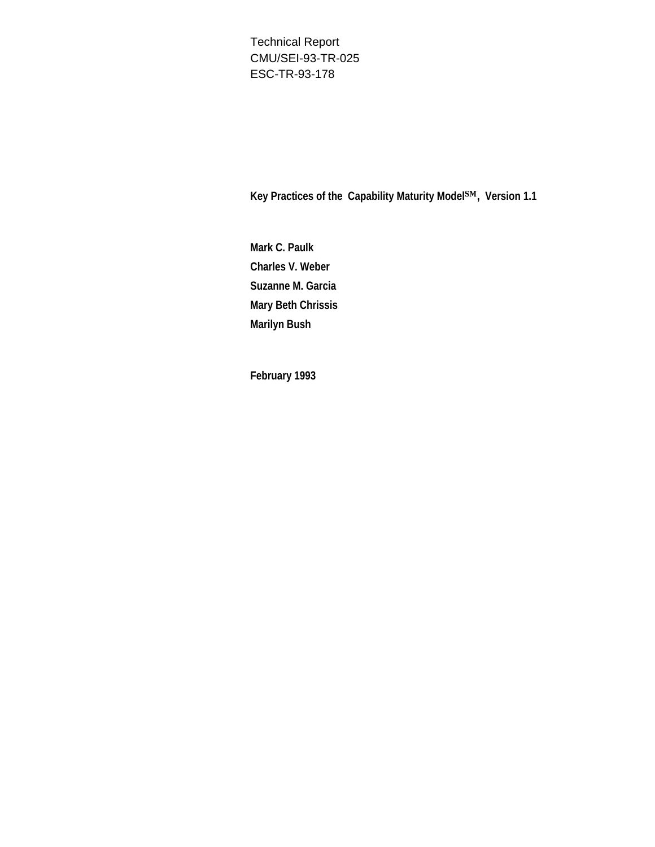Technical Report CMU/SEI-93-TR-025 ESC-TR-93-178

**Key Practices of the Capability Maturity ModelSM, Version 1.1** 

**Mark C. Paulk Charles V. Weber Suzanne M. Garcia Mary Beth Chrissis Marilyn Bush**

**February 1993**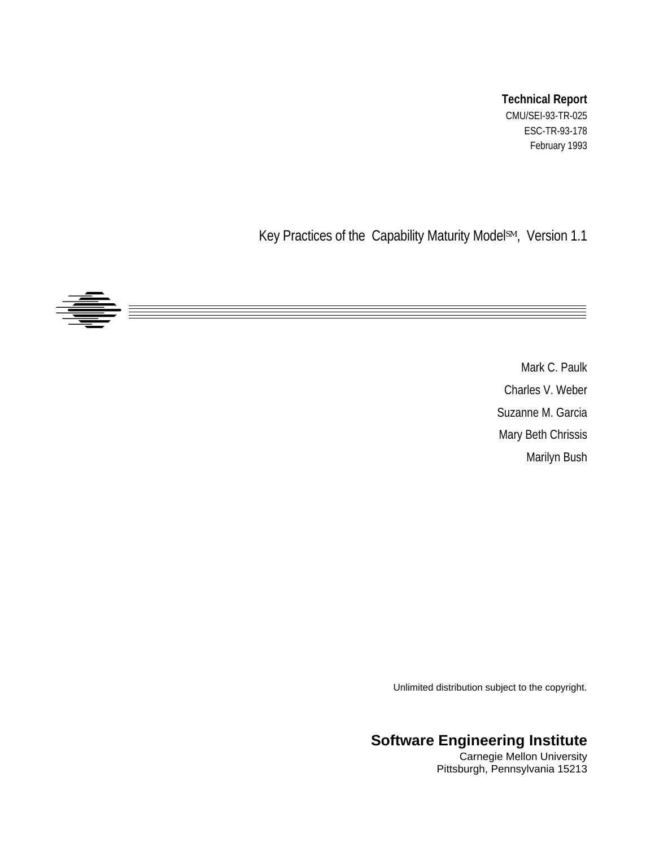**Technical Report** CMU/SEI-93-TR-025 ESC-TR-93-178 February 1993

Key Practices of the Capability Maturity ModelsM, Version 1.1



Mark C. Paulk Charles V. Weber Suzanne M. Garcia Mary Beth Chrissis Marilyn Bush

Unlimited distribution subject to the copyright.

#### **Software Engineering Institute**

Carnegie Mellon University Pittsburgh, Pennsylvania 15213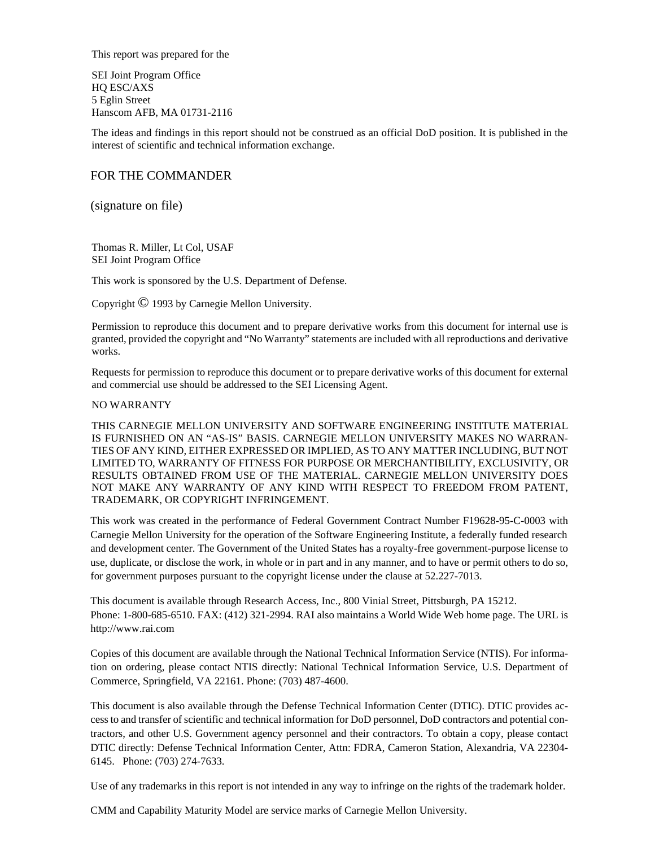This report was prepared for the

SEI Joint Program Office HQ ESC/AXS 5 Eglin Street Hanscom AFB, MA 01731-2116

The ideas and findings in this report should not be construed as an official DoD position. It is published in the interest of scientific and technical information exchange.

#### FOR THE COMMANDER

(signature on file)

Thomas R. Miller, Lt Col, USAF SEI Joint Program Office

This work is sponsored by the U.S. Department of Defense.

Copyright © 1993 by Carnegie Mellon University.

Permission to reproduce this document and to prepare derivative works from this document for internal use is granted, provided the copyright and "No Warranty" statements are included with all reproductions and derivative works.

Requests for permission to reproduce this document or to prepare derivative works of this document for external and commercial use should be addressed to the SEI Licensing Agent.

#### NO WARRANTY

THIS CARNEGIE MELLON UNIVERSITY AND SOFTWARE ENGINEERING INSTITUTE MATERIAL IS FURNISHED ON AN "AS-IS" BASIS. CARNEGIE MELLON UNIVERSITY MAKES NO WARRAN-TIES OF ANY KIND, EITHER EXPRESSED OR IMPLIED, AS TO ANY MATTER INCLUDING, BUT NOT LIMITED TO, WARRANTY OF FITNESS FOR PURPOSE OR MERCHANTIBILITY, EXCLUSIVITY, OR RESULTS OBTAINED FROM USE OF THE MATERIAL. CARNEGIE MELLON UNIVERSITY DOES NOT MAKE ANY WARRANTY OF ANY KIND WITH RESPECT TO FREEDOM FROM PATENT, TRADEMARK, OR COPYRIGHT INFRINGEMENT.

This work was created in the performance of Federal Government Contract Number F19628-95-C-0003 with Carnegie Mellon University for the operation of the Software Engineering Institute, a federally funded research and development center. The Government of the United States has a royalty-free government-purpose license to use, duplicate, or disclose the work, in whole or in part and in any manner, and to have or permit others to do so, for government purposes pursuant to the copyright license under the clause at 52.227-7013.

This document is available through Research Access, Inc., 800 Vinial Street, Pittsburgh, PA 15212. Phone: 1-800-685-6510. FAX: (412) 321-2994. RAI also maintains a World Wide Web home page. The URL is http://www.rai.com

Copies of this document are available through the National Technical Information Service (NTIS). For information on ordering, please contact NTIS directly: National Technical Information Service, U.S. Department of Commerce, Springfield, VA 22161. Phone: (703) 487-4600.

This document is also available through the Defense Technical Information Center (DTIC). DTIC provides access to and transfer of scientific and technical information for DoD personnel, DoD contractors and potential contractors, and other U.S. Government agency personnel and their contractors. To obtain a copy, please contact DTIC directly: Defense Technical Information Center, Attn: FDRA, Cameron Station, Alexandria, VA 22304- 6145. Phone: (703) 274-7633.

Use of any trademarks in this report is not intended in any way to infringe on the rights of the trademark holder.

CMM and Capability Maturity Model are service marks of Carnegie Mellon University.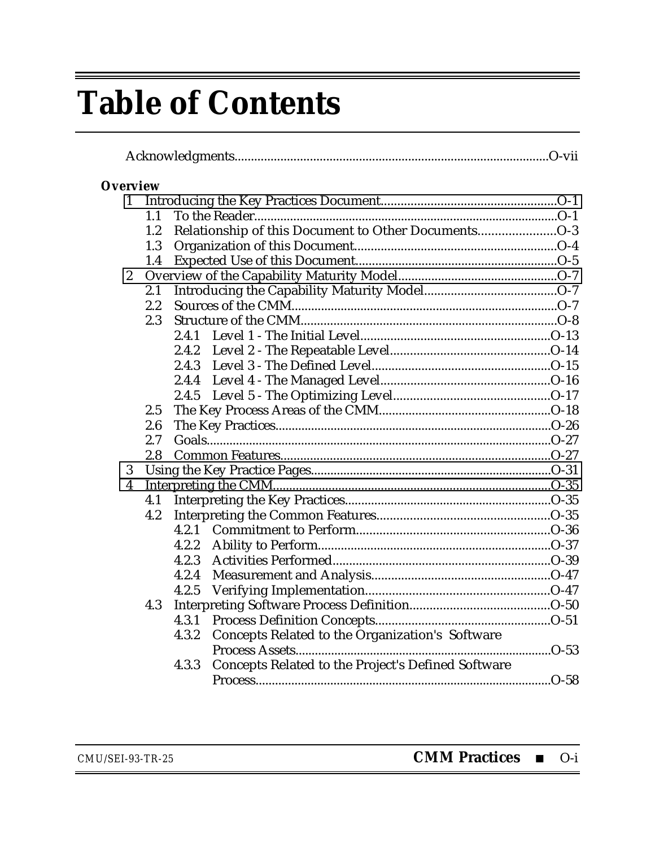|                  | <b>Overview</b> |                                                                    |  |
|------------------|-----------------|--------------------------------------------------------------------|--|
| $\mathbf{1}$     |                 |                                                                    |  |
|                  | 1.1             |                                                                    |  |
|                  | 1.2             |                                                                    |  |
|                  | 1.3             |                                                                    |  |
|                  | 1.4             |                                                                    |  |
| $\boldsymbol{2}$ |                 |                                                                    |  |
|                  | 2.1             |                                                                    |  |
|                  | 2.2             |                                                                    |  |
|                  | 2.3             |                                                                    |  |
|                  |                 | 2.4.1                                                              |  |
|                  |                 |                                                                    |  |
|                  |                 |                                                                    |  |
|                  |                 |                                                                    |  |
|                  |                 |                                                                    |  |
|                  | 2.5             |                                                                    |  |
|                  | 2.6             |                                                                    |  |
|                  | 2.7             |                                                                    |  |
|                  | 2.8             |                                                                    |  |
| 3                |                 |                                                                    |  |
| $\boldsymbol{4}$ |                 |                                                                    |  |
|                  | 4.1             |                                                                    |  |
|                  | 4.2             |                                                                    |  |
|                  |                 | 4.2.1                                                              |  |
|                  |                 | 4.2.2                                                              |  |
|                  |                 | 4.2.3                                                              |  |
|                  |                 | 4.2.4                                                              |  |
|                  |                 | 4.2.5                                                              |  |
|                  | 4.3             |                                                                    |  |
|                  |                 |                                                                    |  |
|                  |                 | <b>Concepts Related to the Organization's Software</b><br>4.3.2    |  |
|                  |                 |                                                                    |  |
|                  |                 | <b>Concepts Related to the Project's Defined Software</b><br>4.3.3 |  |
|                  |                 |                                                                    |  |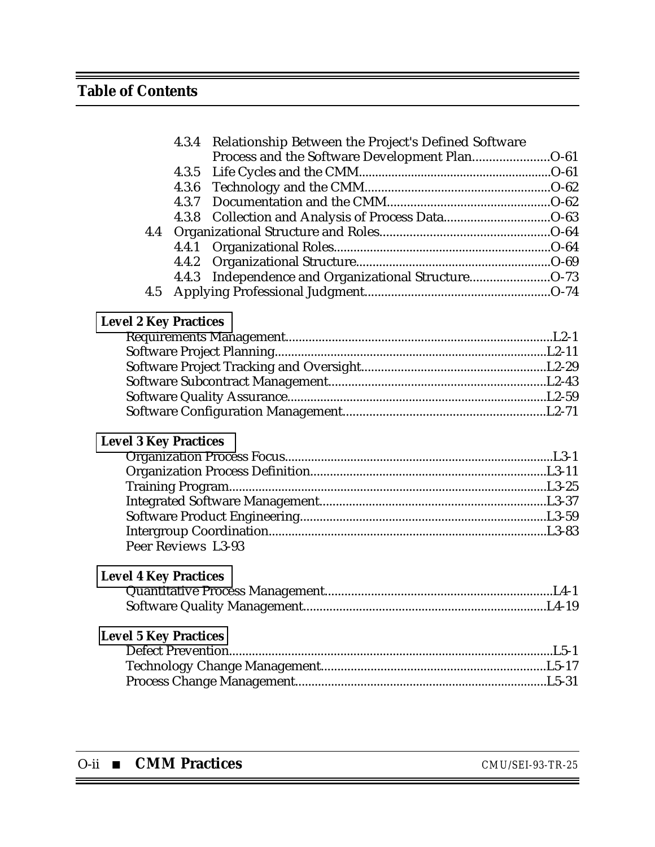|                              | 4.3.4 Relationship Between the Project's Defined Software |  |
|------------------------------|-----------------------------------------------------------|--|
|                              |                                                           |  |
|                              | 4.3.5                                                     |  |
|                              | 4.3.6                                                     |  |
|                              | 4.3.7                                                     |  |
|                              | 4.3.8                                                     |  |
| 4.4                          |                                                           |  |
|                              | 4.4.1                                                     |  |
|                              | 4.4.2                                                     |  |
|                              | 4.4.3                                                     |  |
| 4.5                          |                                                           |  |
| <b>Level 2 Key Practices</b> |                                                           |  |
|                              |                                                           |  |
|                              |                                                           |  |
|                              |                                                           |  |
|                              |                                                           |  |
|                              |                                                           |  |
|                              |                                                           |  |
| <b>Level 3 Key Practices</b> |                                                           |  |
|                              |                                                           |  |
|                              |                                                           |  |
|                              |                                                           |  |
|                              |                                                           |  |
|                              |                                                           |  |
|                              |                                                           |  |
|                              | Peer Reviews L3-93                                        |  |
| <b>Level 4 Key Practices</b> |                                                           |  |
|                              |                                                           |  |
|                              |                                                           |  |
|                              |                                                           |  |
| <b>Level 5 Key Practices</b> |                                                           |  |
|                              | <b>Defect Prevention.</b>                                 |  |
|                              |                                                           |  |
|                              |                                                           |  |
|                              |                                                           |  |

 $\qquad \qquad =$ 

=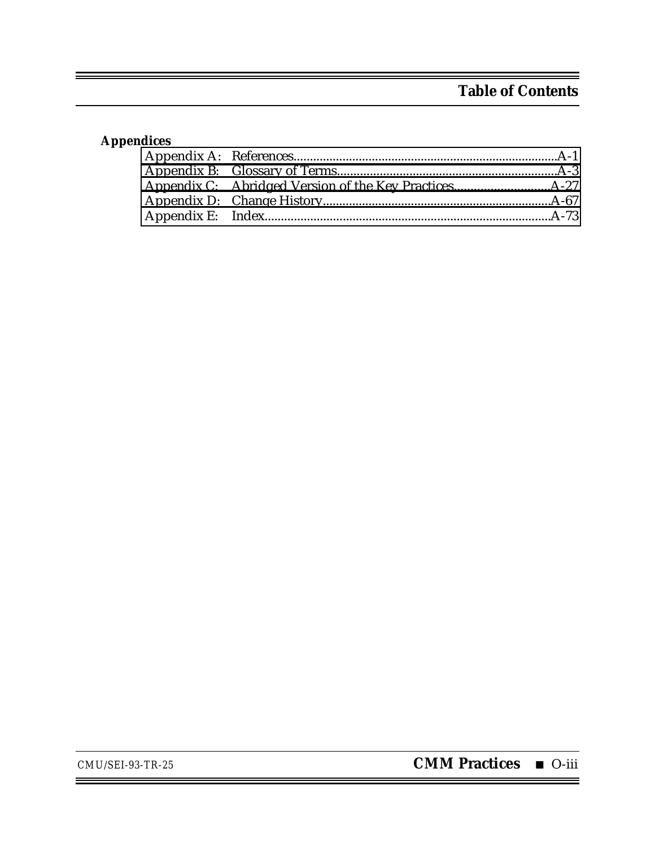Ξ

#### **Appendices**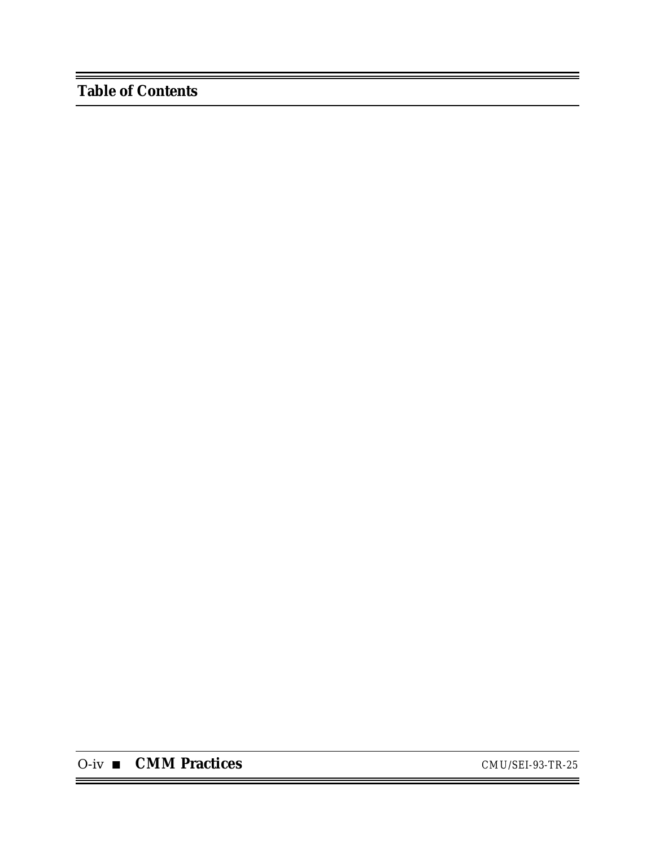=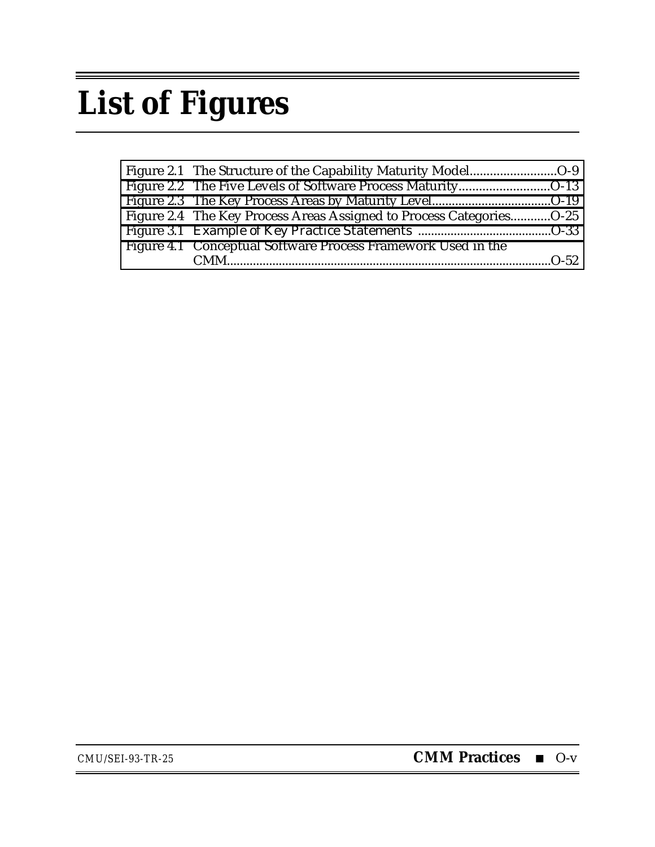# **List of Figures**

| Figure 2.4 The Key Process Areas Assigned to Process Categories O-25 |  |
|----------------------------------------------------------------------|--|
|                                                                      |  |
| Figure 4.1 Conceptual Software Process Framework Used in the         |  |
|                                                                      |  |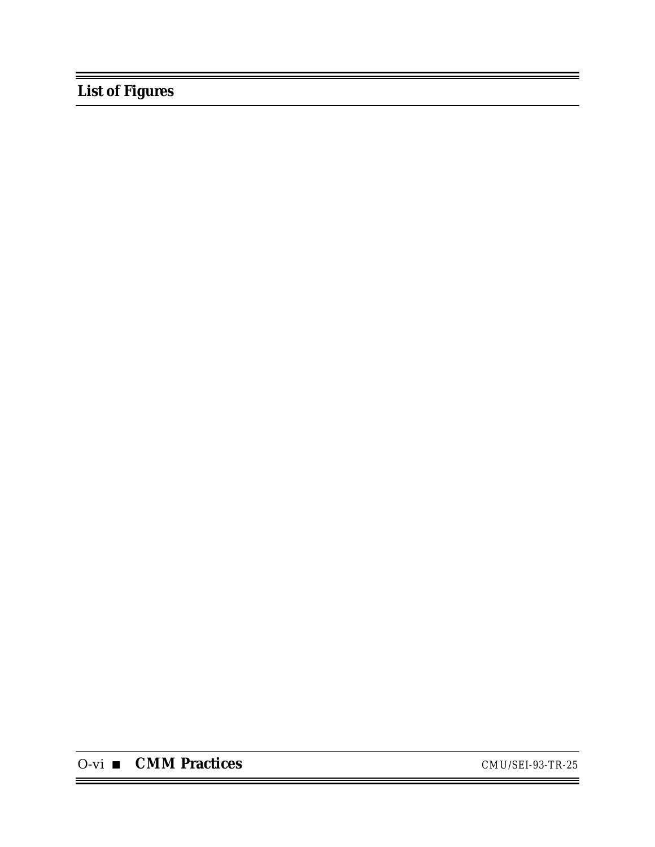## **List of Figures**

Ξ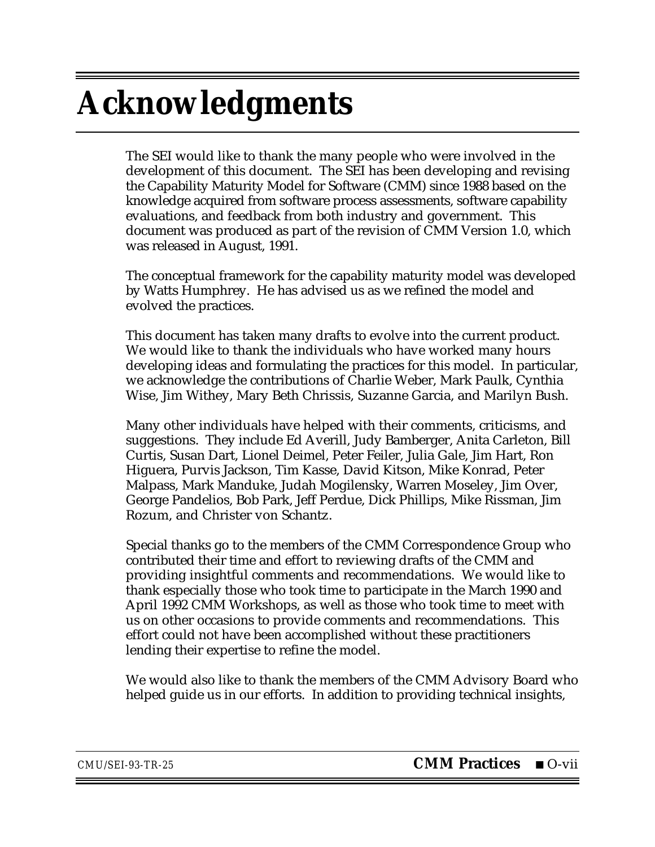# **Acknowledgments**

The SEI would like to thank the many people who were involved in the development of this document. The SEI has been developing and revising the Capability Maturity Model for Software (CMM) since 1988 based on the knowledge acquired from software process assessments, software capability evaluations, and feedback from both industry and government. This document was produced as part of the revision of CMM Version 1.0, which was released in August, 1991.

The conceptual framework for the capability maturity model was developed by Watts Humphrey. He has advised us as we refined the model and evolved the practices.

This document has taken many drafts to evolve into the current product. We would like to thank the individuals who have worked many hours developing ideas and formulating the practices for this model. In particular, we acknowledge the contributions of Charlie Weber, Mark Paulk, Cynthia Wise, Jim Withey, Mary Beth Chrissis, Suzanne Garcia, and Marilyn Bush.

Many other individuals have helped with their comments, criticisms, and suggestions. They include Ed Averill, Judy Bamberger, Anita Carleton, Bill Curtis, Susan Dart, Lionel Deimel, Peter Feiler, Julia Gale, Jim Hart, Ron Higuera, Purvis Jackson, Tim Kasse, David Kitson, Mike Konrad, Peter Malpass, Mark Manduke, Judah Mogilensky, Warren Moseley, Jim Over, George Pandelios, Bob Park, Jeff Perdue, Dick Phillips, Mike Rissman, Jim Rozum, and Christer von Schantz.

Special thanks go to the members of the CMM Correspondence Group who contributed their time and effort to reviewing drafts of the CMM and providing insightful comments and recommendations. We would like to thank especially those who took time to participate in the March 1990 and April 1992 CMM Workshops, as well as those who took time to meet with us on other occasions to provide comments and recommendations. This effort could not have been accomplished without these practitioners lending their expertise to refine the model.

We would also like to thank the members of the CMM Advisory Board who helped guide us in our efforts. In addition to providing technical insights,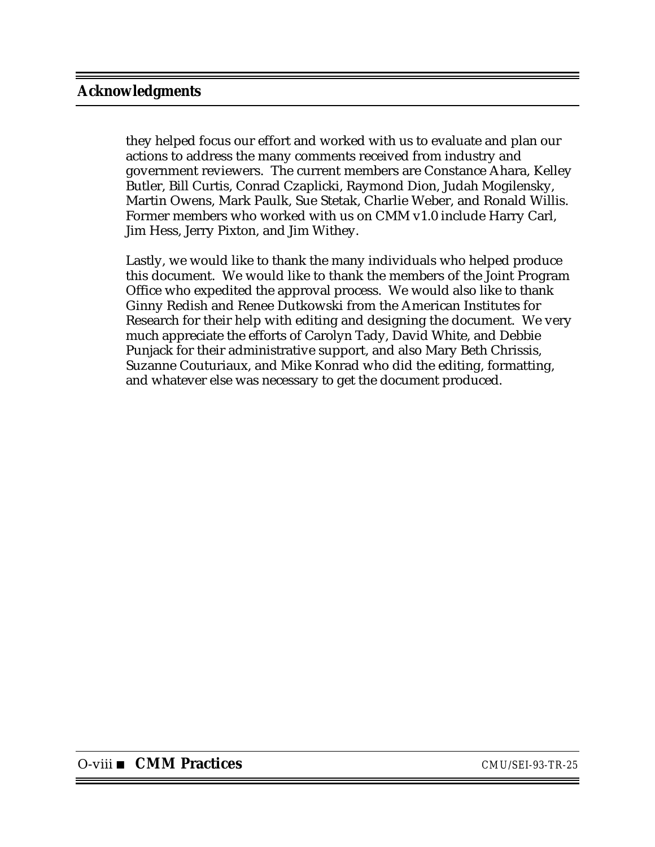#### **Acknowledgments**

they helped focus our effort and worked with us to evaluate and plan our actions to address the many comments received from industry and government reviewers. The current members are Constance Ahara, Kelley Butler, Bill Curtis, Conrad Czaplicki, Raymond Dion, Judah Mogilensky, Martin Owens, Mark Paulk, Sue Stetak, Charlie Weber, and Ronald Willis. Former members who worked with us on CMM v1.0 include Harry Carl, Jim Hess, Jerry Pixton, and Jim Withey.

Lastly, we would like to thank the many individuals who helped produce this document. We would like to thank the members of the Joint Program Office who expedited the approval process. We would also like to thank Ginny Redish and Renee Dutkowski from the American Institutes for Research for their help with editing and designing the document. We very much appreciate the efforts of Carolyn Tady, David White, and Debbie Punjack for their administrative support, and also Mary Beth Chrissis, Suzanne Couturiaux, and Mike Konrad who did the editing, formatting, and whatever else was necessary to get the document produced.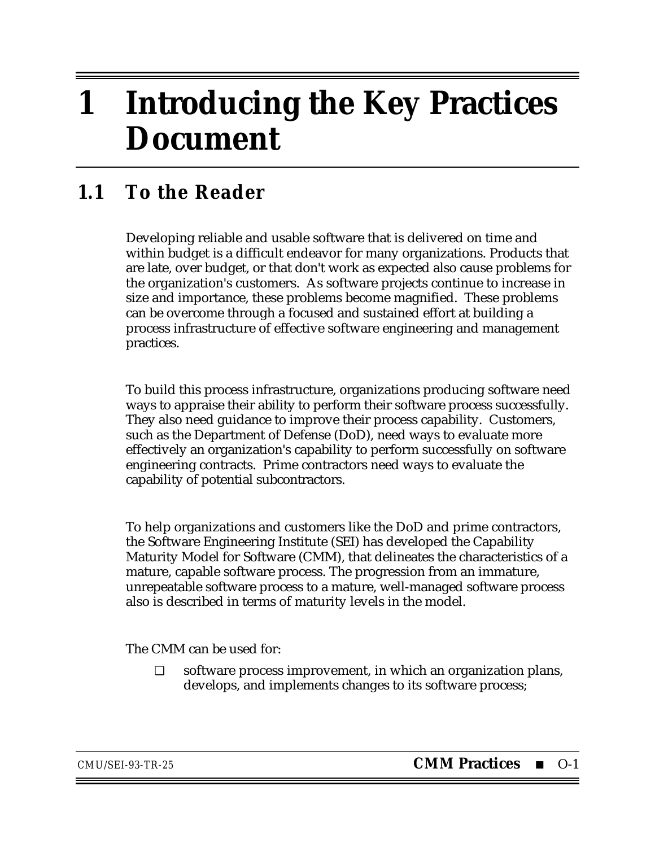## **1 Introducing the Key Practices Document**

## **1.1 To the Reader**

Developing reliable and usable software that is delivered on time and within budget is a difficult endeavor for many organizations. Products that are late, over budget, or that don't work as expected also cause problems for the organization's customers. As software projects continue to increase in size and importance, these problems become magnified. These problems can be overcome through a focused and sustained effort at building a process infrastructure of effective software engineering and management practices.

To build this process infrastructure, organizations producing software need ways to appraise their ability to perform their software process successfully. They also need guidance to improve their process capability. Customers, such as the Department of Defense (DoD), need ways to evaluate more effectively an organization's capability to perform successfully on software engineering contracts. Prime contractors need ways to evaluate the capability of potential subcontractors.

To help organizations and customers like the DoD and prime contractors, the Software Engineering Institute (SEI) has developed the Capability Maturity Model for Software (CMM), that delineates the characteristics of a mature, capable software process. The progression from an immature, unrepeatable software process to a mature, well-managed software process also is described in terms of maturity levels in the model.

The CMM can be used for:

❑ software process improvement, in which an organization plans, develops, and implements changes to its software process;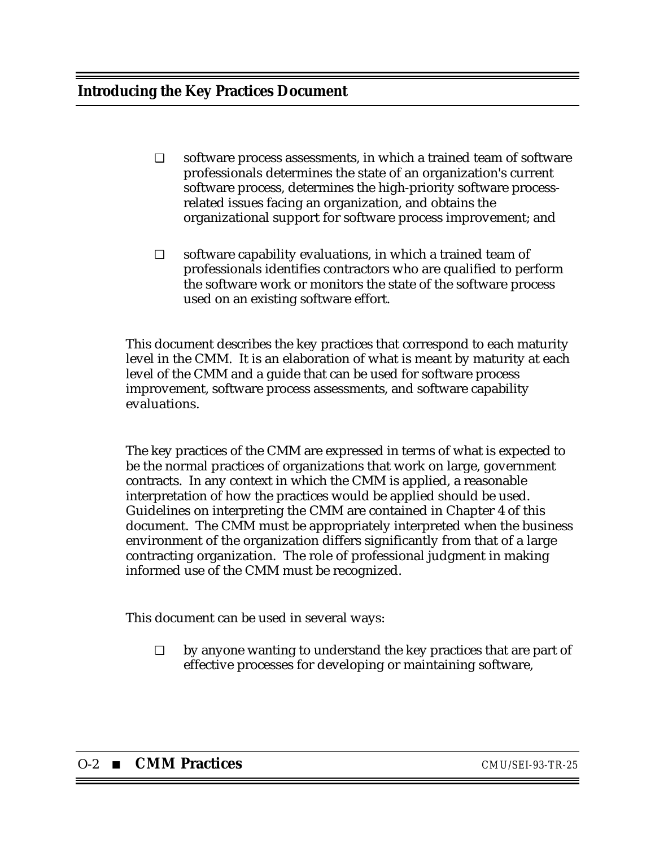#### **Introducing the Key Practices Document**

- ❑ software process assessments, in which a trained team of software professionals determines the state of an organization's current software process, determines the high-priority software processrelated issues facing an organization, and obtains the organizational support for software process improvement; and
- ❑ software capability evaluations, in which a trained team of professionals identifies contractors who are qualified to perform the software work or monitors the state of the software process used on an existing software effort.

This document describes the key practices that correspond to each maturity level in the CMM. It is an elaboration of what is meant by maturity at each level of the CMM and a guide that can be used for software process improvement, software process assessments, and software capability evaluations.

The key practices of the CMM are expressed in terms of what is expected to be the normal practices of organizations that work on large, government contracts. In any context in which the CMM is applied, a reasonable interpretation of how the practices would be applied should be used. Guidelines on interpreting the CMM are contained in Chapter 4 of this document. The CMM must be appropriately interpreted when the business environment of the organization differs significantly from that of a large contracting organization. The role of professional judgment in making informed use of the CMM must be recognized.

This document can be used in several ways:

❑ by anyone wanting to understand the key practices that are part of effective processes for developing or maintaining software,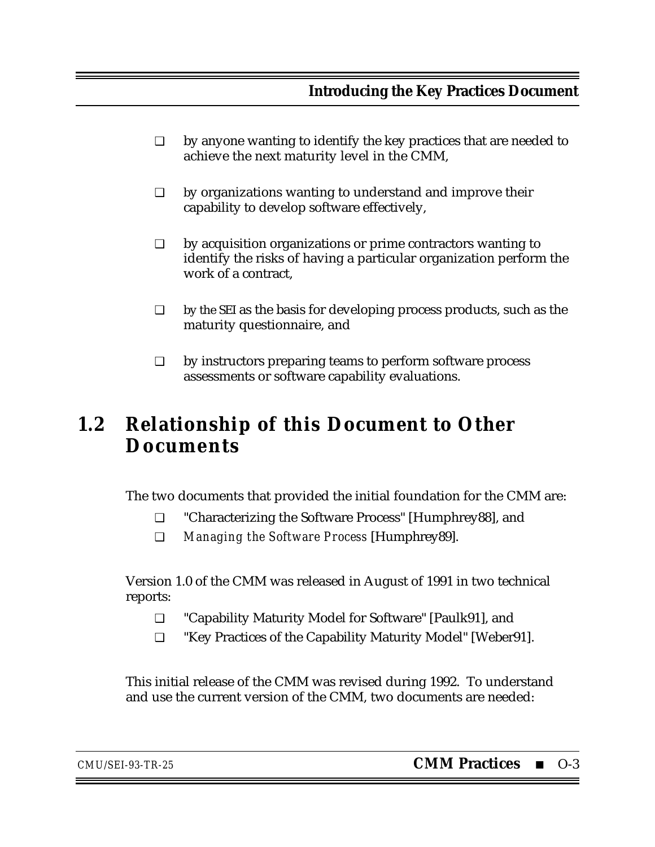- ❑ by anyone wanting to identify the key practices that are needed to achieve the next maturity level in the CMM,
- ❑ by organizations wanting to understand and improve their capability to develop software effectively,
- ❑ by acquisition organizations or prime contractors wanting to identify the risks of having a particular organization perform the work of a contract,
- ❑ by the SEI as the basis for developing process products, such as the maturity questionnaire, and
- ❑ by instructors preparing teams to perform software process assessments or software capability evaluations.

## **1.2 Relationship of this Document to Other Documents**

The two documents that provided the initial foundation for the CMM are:

- ❑ "Characterizing the Software Process" [Humphrey88], and
- ❑ *Managing the Software Process* [Humphrey89].

Version 1.0 of the CMM was released in August of 1991 in two technical reports:

- ❑ "Capability Maturity Model for Software" [Paulk91], and
- ❑ "Key Practices of the Capability Maturity Model" [Weber91].

This initial release of the CMM was revised during 1992. To understand and use the current version of the CMM, two documents are needed: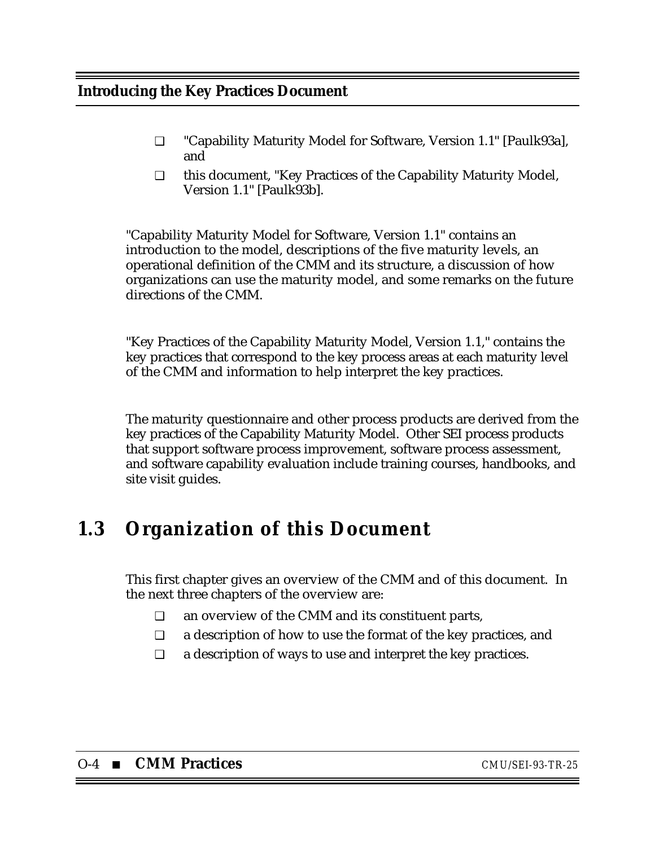#### **Introducing the Key Practices Document**

- ❑ "Capability Maturity Model for Software, Version 1.1" [Paulk93a], and
- ❑ this document, "Key Practices of the Capability Maturity Model, Version 1.1" [Paulk93b].

"Capability Maturity Model for Software, Version 1.1" contains an introduction to the model, descriptions of the five maturity levels, an operational definition of the CMM and its structure, a discussion of how organizations can use the maturity model, and some remarks on the future directions of the CMM.

"Key Practices of the Capability Maturity Model, Version 1.1," contains the key practices that correspond to the key process areas at each maturity level of the CMM and information to help interpret the key practices.

The maturity questionnaire and other process products are derived from the key practices of the Capability Maturity Model. Other SEI process products that support software process improvement, software process assessment, and software capability evaluation include training courses, handbooks, and site visit guides.

## **1.3 Organization of this Document**

This first chapter gives an overview of the CMM and of this document. In the next three chapters of the overview are:

- ❑ an overview of the CMM and its constituent parts,
- ❑ a description of how to use the format of the key practices, and
- ❑ a description of ways to use and interpret the key practices.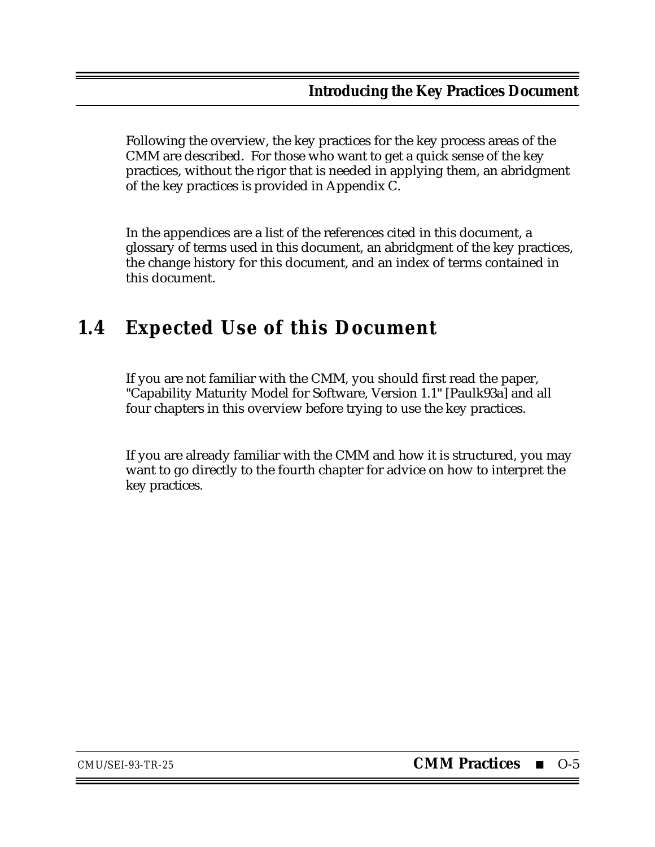Following the overview, the key practices for the key process areas of the CMM are described. For those who want to get a quick sense of the key practices, without the rigor that is needed in applying them, an abridgment of the key practices is provided in Appendix C.

In the appendices are a list of the references cited in this document, a glossary of terms used in this document, an abridgment of the key practices, the change history for this document, and an index of terms contained in this document.

### **1.4 Expected Use of this Document**

If you are not familiar with the CMM, you should first read the paper, "Capability Maturity Model for Software, Version 1.1" [Paulk93a] and all four chapters in this overview before trying to use the key practices.

If you are already familiar with the CMM and how it is structured, you may want to go directly to the fourth chapter for advice on how to interpret the key practices.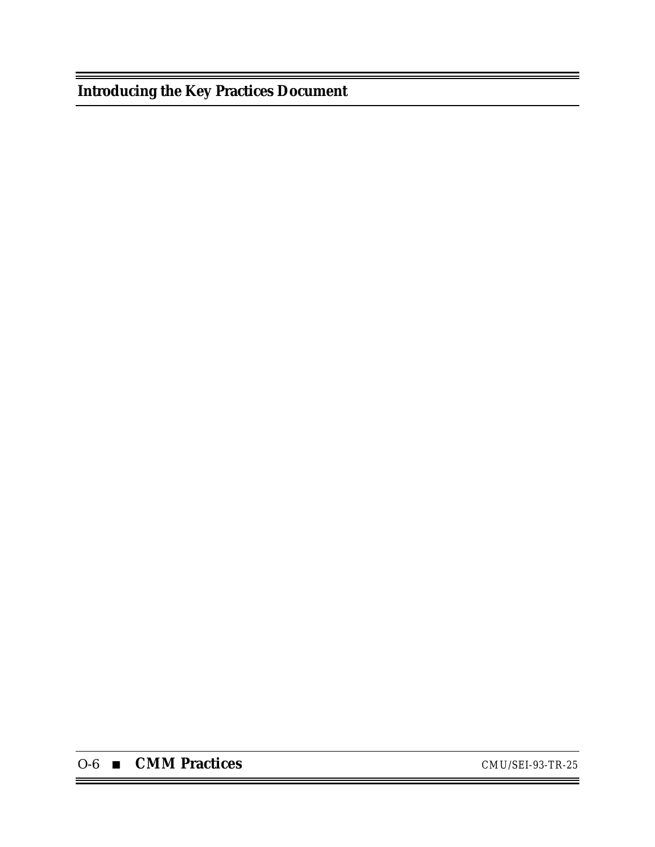**Introducing the Key Practices Document**

=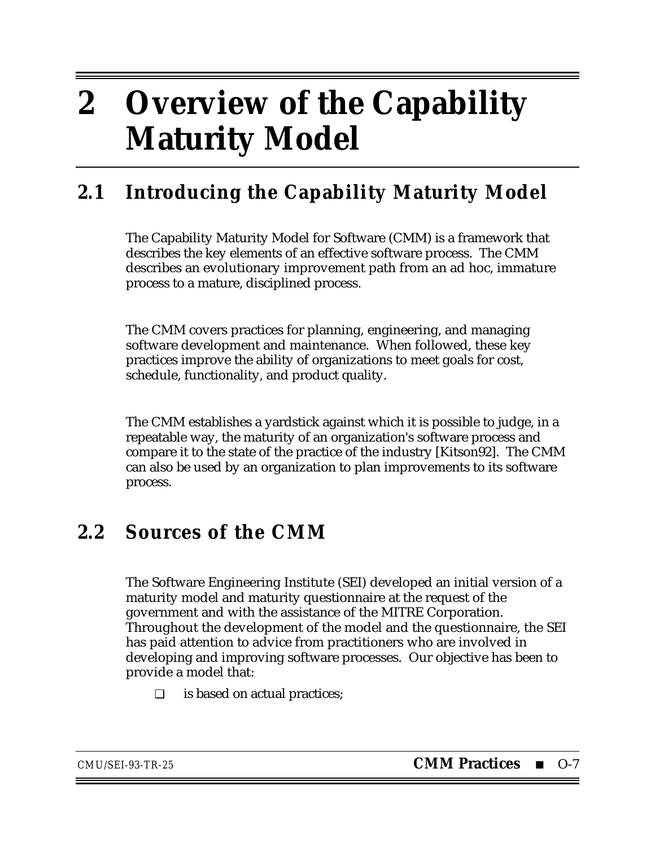## **2.1 Introducing the Capability Maturity Model**

The Capability Maturity Model for Software (CMM) is a framework that describes the key elements of an effective software process. The CMM describes an evolutionary improvement path from an ad hoc, immature process to a mature, disciplined process.

The CMM covers practices for planning, engineering, and managing software development and maintenance. When followed, these key practices improve the ability of organizations to meet goals for cost, schedule, functionality, and product quality.

The CMM establishes a yardstick against which it is possible to judge, in a repeatable way, the maturity of an organization's software process and compare it to the state of the practice of the industry [Kitson92]. The CMM can also be used by an organization to plan improvements to its software process.

### **2.2 Sources of the CMM**

The Software Engineering Institute (SEI) developed an initial version of a maturity model and maturity questionnaire at the request of the government and with the assistance of the MITRE Corporation. Throughout the development of the model and the questionnaire, the SEI has paid attention to advice from practitioners who are involved in developing and improving software processes. Our objective has been to provide a model that:

❑ is based on actual practices;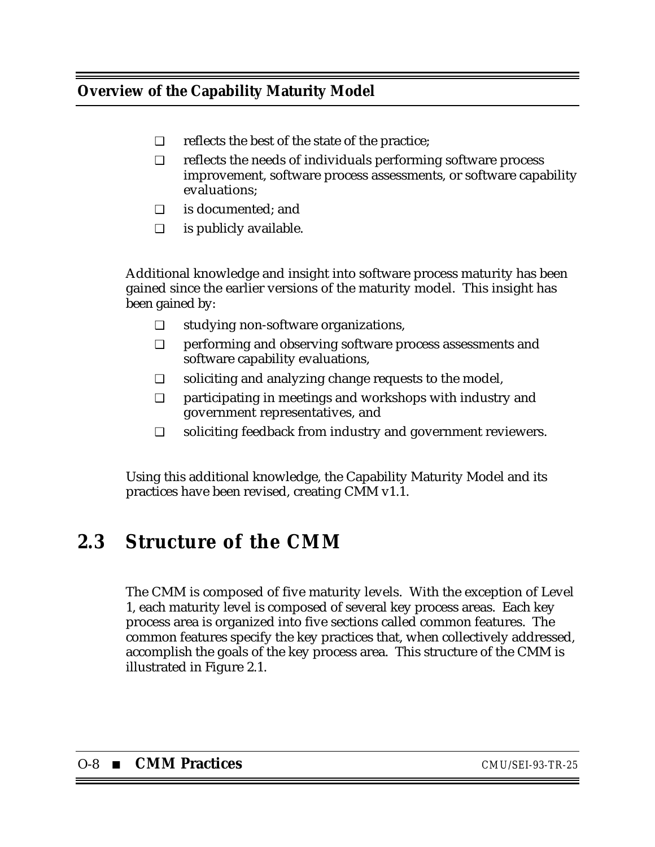- ❑ reflects the best of the state of the practice;
- ❑ reflects the needs of individuals performing software process improvement, software process assessments, or software capability evaluations;
- ❑ is documented; and
- ❑ is publicly available.

Additional knowledge and insight into software process maturity has been gained since the earlier versions of the maturity model. This insight has been gained by:

- ❑ studying non-software organizations,
- ❑ performing and observing software process assessments and software capability evaluations,
- ❑ soliciting and analyzing change requests to the model,
- ❑ participating in meetings and workshops with industry and government representatives, and
- ❑ soliciting feedback from industry and government reviewers.

Using this additional knowledge, the Capability Maturity Model and its practices have been revised, creating CMM v1.1.

## **2.3 Structure of the CMM**

The CMM is composed of five maturity levels. With the exception of Level 1, each maturity level is composed of several key process areas. Each key process area is organized into five sections called common features. The common features specify the key practices that, when collectively addressed, accomplish the goals of the key process area. This structure of the CMM is illustrated in Figure 2.1.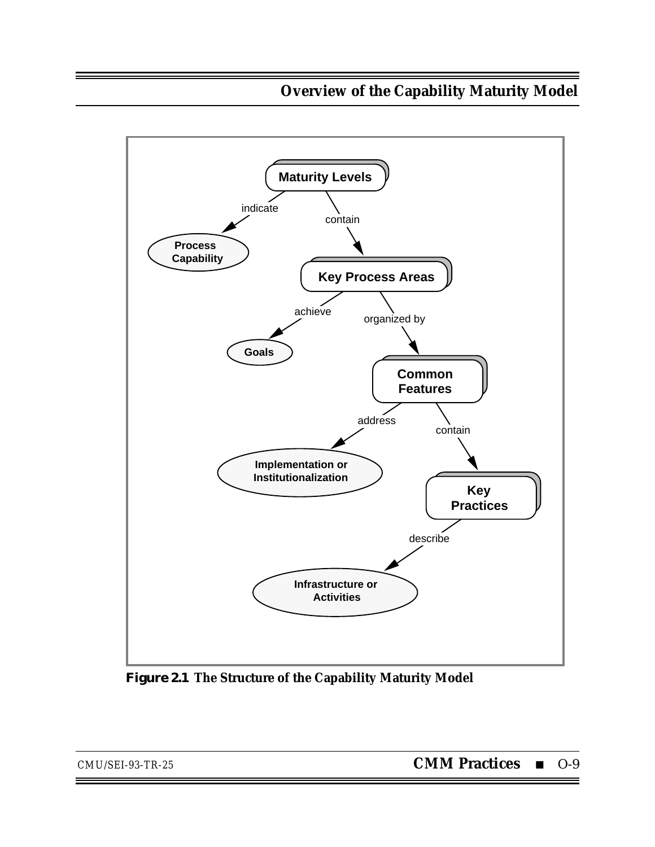<span id="page-19-0"></span>

**Figure 2.1 The Structure of the Capability Maturity Model**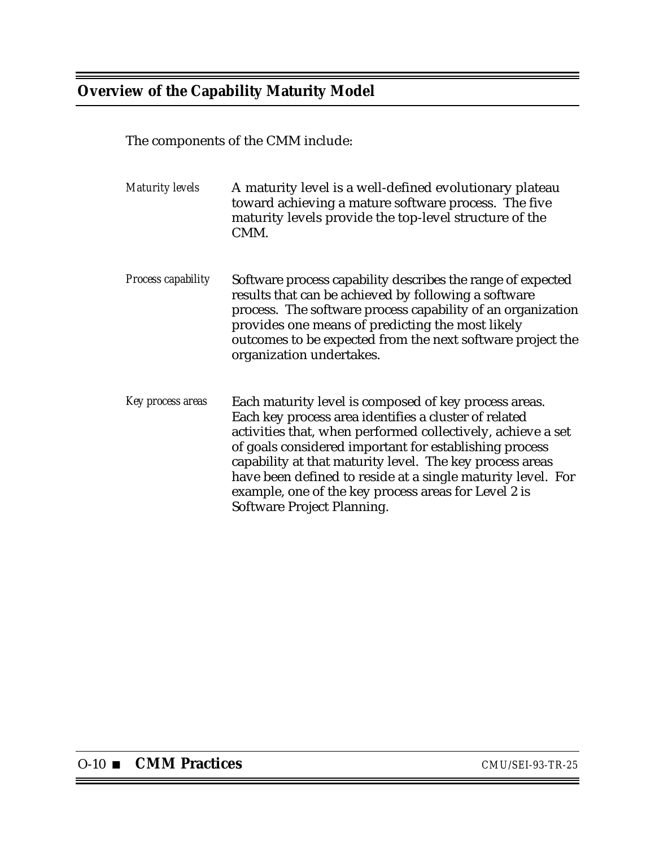#### The components of the CMM include:

| <b>Maturity levels</b> | A maturity level is a well-defined evolutionary plateau<br>toward achieving a mature software process. The five<br>maturity levels provide the top-level structure of the<br>CMM.                                                                                                                                                                                                                                                                        |
|------------------------|----------------------------------------------------------------------------------------------------------------------------------------------------------------------------------------------------------------------------------------------------------------------------------------------------------------------------------------------------------------------------------------------------------------------------------------------------------|
| Process capability     | Software process capability describes the range of expected<br>results that can be achieved by following a software<br>process. The software process capability of an organization<br>provides one means of predicting the most likely<br>outcomes to be expected from the next software project the<br>organization undertakes.                                                                                                                         |
| Key process areas      | Each maturity level is composed of key process areas.<br>Each key process area identifies a cluster of related<br>activities that, when performed collectively, achieve a set<br>of goals considered important for establishing process<br>capability at that maturity level. The key process areas<br>have been defined to reside at a single maturity level. For<br>example, one of the key process areas for Level 2 is<br>Software Project Planning. |

=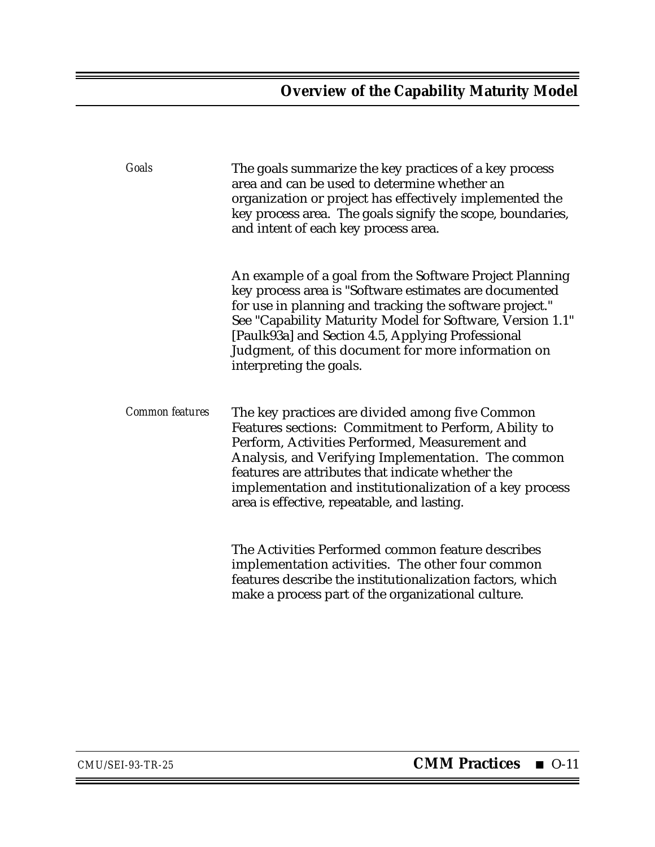| Goals           | The goals summarize the key practices of a key process<br>area and can be used to determine whether an<br>organization or project has effectively implemented the<br>key process area. The goals signify the scope, boundaries,<br>and intent of each key process area.                                                                                                         |  |
|-----------------|---------------------------------------------------------------------------------------------------------------------------------------------------------------------------------------------------------------------------------------------------------------------------------------------------------------------------------------------------------------------------------|--|
|                 | An example of a goal from the Software Project Planning<br>key process area is "Software estimates are documented<br>for use in planning and tracking the software project."<br>See "Capability Maturity Model for Software, Version 1.1"<br>[Paulk93a] and Section 4.5, Applying Professional<br>Judgment, of this document for more information on<br>interpreting the goals. |  |
| Common features | The key practices are divided among five Common<br>Features sections: Commitment to Perform, Ability to<br>Perform, Activities Performed, Measurement and<br>Analysis, and Verifying Implementation. The common<br>features are attributes that indicate whether the<br>implementation and institutionalization of a key process<br>area is effective, repeatable, and lasting. |  |
|                 | The Activities Performed common feature describes<br>implementation activities. The other four common<br>features describe the institutionalization factors, which<br>make a process part of the organizational culture.                                                                                                                                                        |  |

=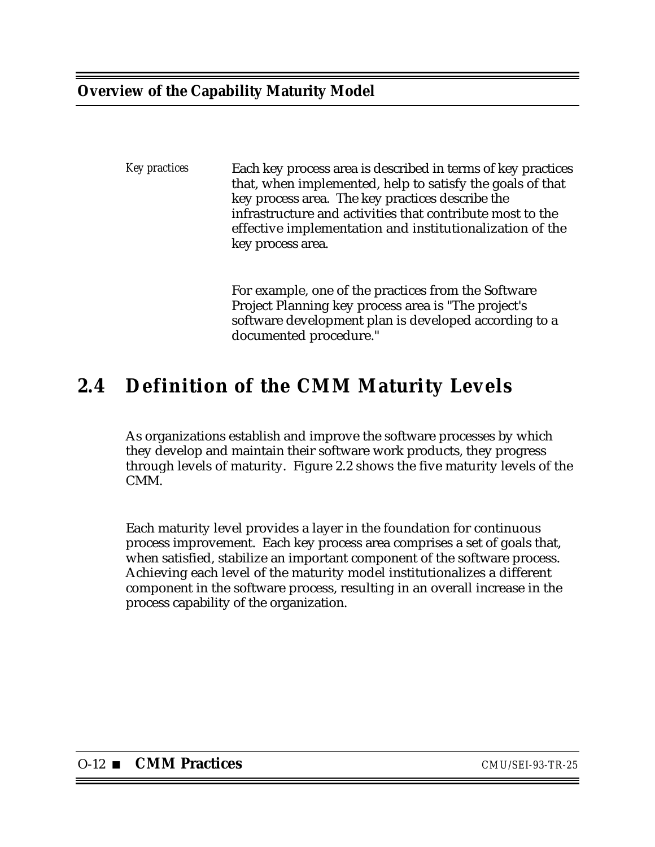*Key practices* Each key process area is described in terms of key practices that, when implemented, help to satisfy the goals of that key process area. The key practices describe the infrastructure and activities that contribute most to the effective implementation and institutionalization of the key process area.

> For example, one of the practices from the Software Project Planning key process area is "The project's software development plan is developed according to a documented procedure."

## **2.4 Definition of the CMM Maturity Levels**

As organizations establish and improve the software processes by which they develop and maintain their software work products, they progress through levels of maturity. Figure 2.2 shows the five maturity levels of the CMM.

Each maturity level provides a layer in the foundation for continuous process improvement. Each key process area comprises a set of goals that, when satisfied, stabilize an important component of the software process. Achieving each level of the maturity model institutionalizes a different component in the software process, resulting in an overall increase in the process capability of the organization.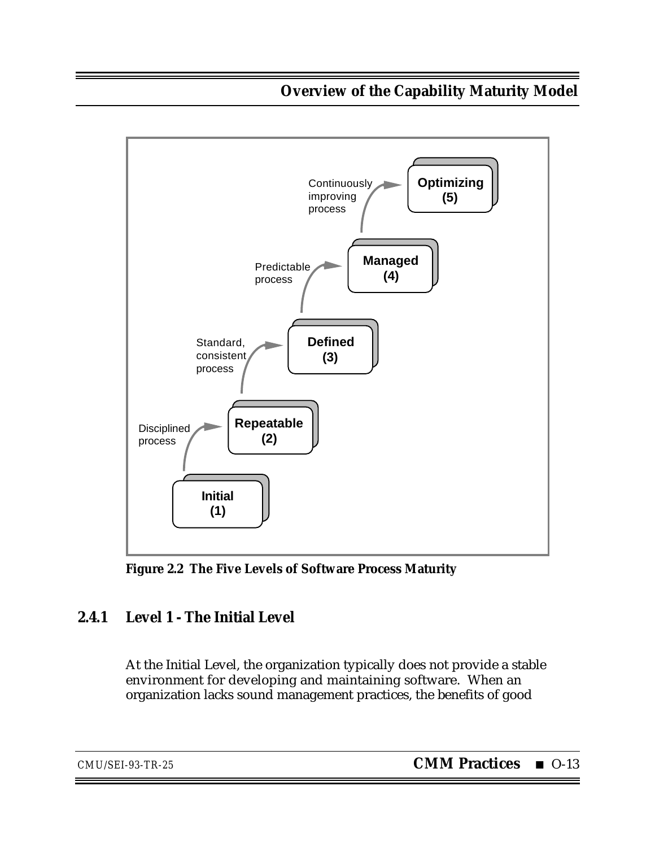<span id="page-23-0"></span>

**Figure 2.2 The Five Levels of Software Process Maturity**

#### **2.4.1 Level 1 - The Initial Level**

At the Initial Level, the organization typically does not provide a stable environment for developing and maintaining software. When an organization lacks sound management practices, the benefits of good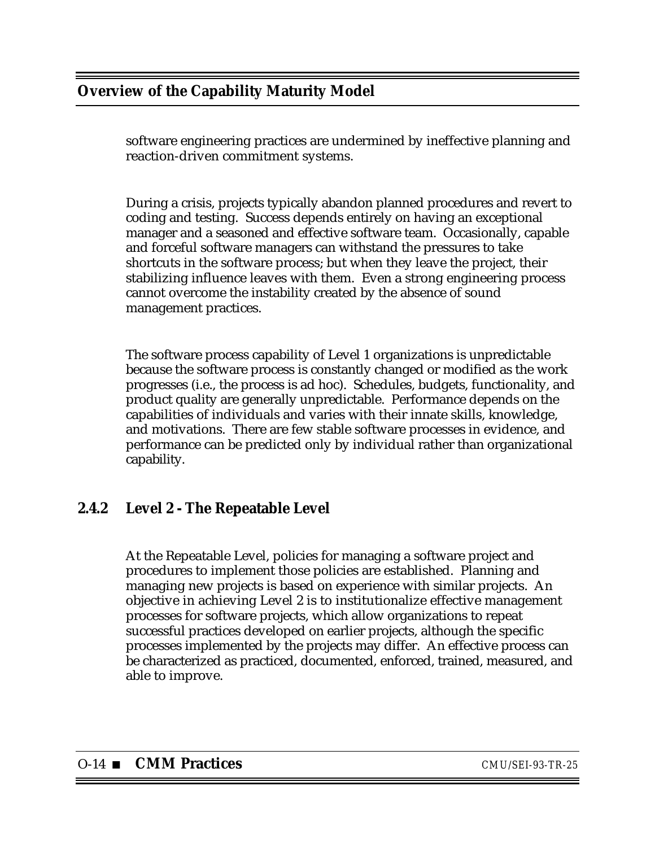software engineering practices are undermined by ineffective planning and reaction-driven commitment systems.

During a crisis, projects typically abandon planned procedures and revert to coding and testing. Success depends entirely on having an exceptional manager and a seasoned and effective software team. Occasionally, capable and forceful software managers can withstand the pressures to take shortcuts in the software process; but when they leave the project, their stabilizing influence leaves with them. Even a strong engineering process cannot overcome the instability created by the absence of sound management practices.

The software process capability of Level 1 organizations is unpredictable because the software process is constantly changed or modified as the work progresses (i.e., the process is ad hoc). Schedules, budgets, functionality, and product quality are generally unpredictable. Performance depends on the capabilities of individuals and varies with their innate skills, knowledge, and motivations. There are few stable software processes in evidence, and performance can be predicted only by individual rather than organizational capability.

#### **2.4.2 Level 2 - The Repeatable Level**

At the Repeatable Level, policies for managing a software project and procedures to implement those policies are established. Planning and managing new projects is based on experience with similar projects. An objective in achieving Level 2 is to institutionalize effective management processes for software projects, which allow organizations to repeat successful practices developed on earlier projects, although the specific processes implemented by the projects may differ. An effective process can be characterized as practiced, documented, enforced, trained, measured, and able to improve.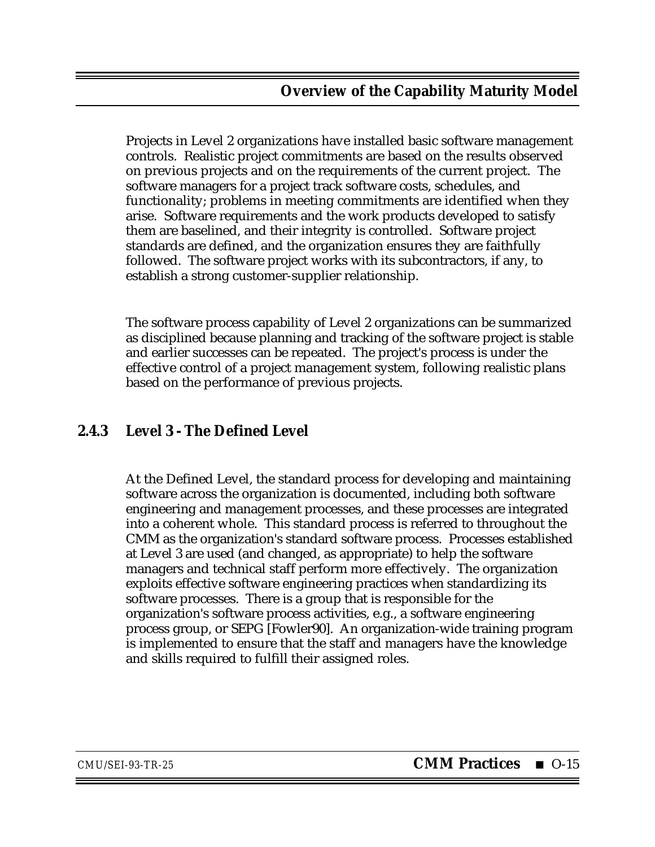Projects in Level 2 organizations have installed basic software management controls. Realistic project commitments are based on the results observed on previous projects and on the requirements of the current project. The software managers for a project track software costs, schedules, and functionality; problems in meeting commitments are identified when they arise. Software requirements and the work products developed to satisfy them are baselined, and their integrity is controlled. Software project standards are defined, and the organization ensures they are faithfully followed. The software project works with its subcontractors, if any, to establish a strong customer-supplier relationship.

The software process capability of Level 2 organizations can be summarized as disciplined because planning and tracking of the software project is stable and earlier successes can be repeated. The project's process is under the effective control of a project management system, following realistic plans based on the performance of previous projects.

#### **2.4.3 Level 3 - The Defined Level**

At the Defined Level, the standard process for developing and maintaining software across the organization is documented, including both software engineering and management processes, and these processes are integrated into a coherent whole. This standard process is referred to throughout the CMM as the organization's standard software process. Processes established at Level 3 are used (and changed, as appropriate) to help the software managers and technical staff perform more effectively. The organization exploits effective software engineering practices when standardizing its software processes. There is a group that is responsible for the organization's software process activities, e.g., a software engineering process group, or SEPG [Fowler90]. An organization-wide training program is implemented to ensure that the staff and managers have the knowledge and skills required to fulfill their assigned roles.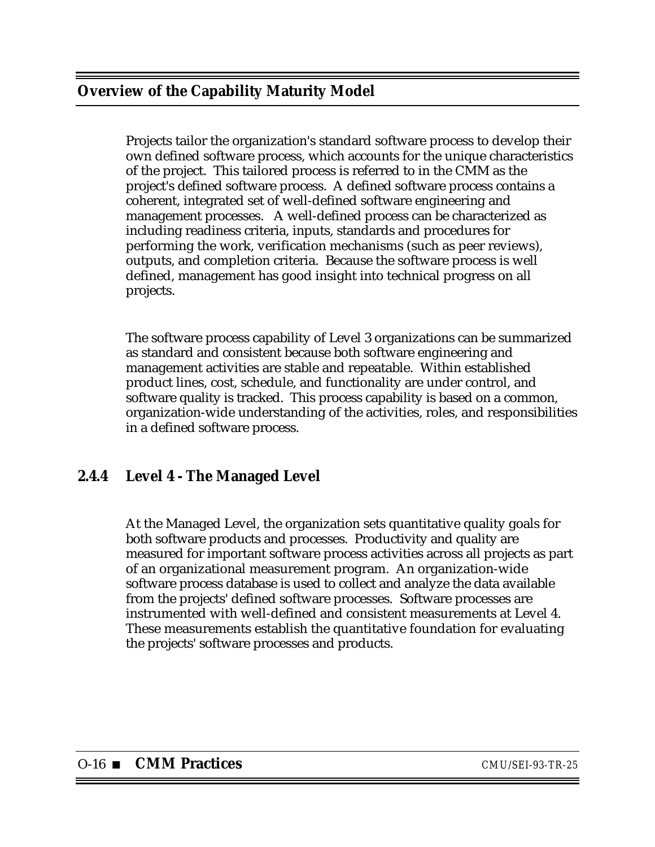Projects tailor the organization's standard software process to develop their own defined software process, which accounts for the unique characteristics of the project. This tailored process is referred to in the CMM as the project's defined software process. A defined software process contains a coherent, integrated set of well-defined software engineering and management processes. A well-defined process can be characterized as including readiness criteria, inputs, standards and procedures for performing the work, verification mechanisms (such as peer reviews), outputs, and completion criteria. Because the software process is well defined, management has good insight into technical progress on all projects.

The software process capability of Level 3 organizations can be summarized as standard and consistent because both software engineering and management activities are stable and repeatable. Within established product lines, cost, schedule, and functionality are under control, and software quality is tracked. This process capability is based on a common, organization-wide understanding of the activities, roles, and responsibilities in a defined software process.

#### **2.4.4 Level 4 - The Managed Level**

At the Managed Level, the organization sets quantitative quality goals for both software products and processes. Productivity and quality are measured for important software process activities across all projects as part of an organizational measurement program. An organization-wide software process database is used to collect and analyze the data available from the projects' defined software processes. Software processes are instrumented with well-defined and consistent measurements at Level 4. These measurements establish the quantitative foundation for evaluating the projects' software processes and products.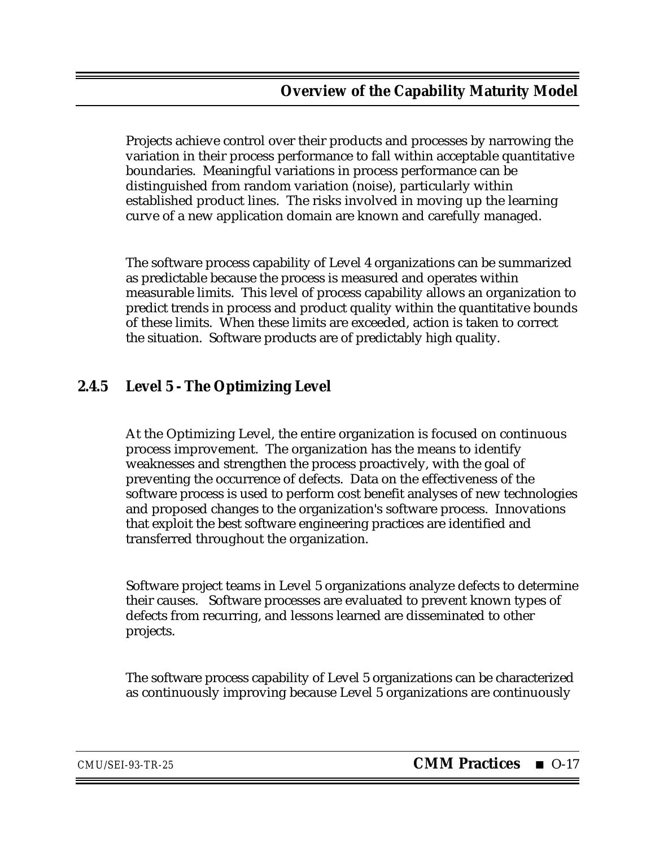Projects achieve control over their products and processes by narrowing the variation in their process performance to fall within acceptable quantitative boundaries. Meaningful variations in process performance can be distinguished from random variation (noise), particularly within established product lines. The risks involved in moving up the learning curve of a new application domain are known and carefully managed.

The software process capability of Level 4 organizations can be summarized as predictable because the process is measured and operates within measurable limits. This level of process capability allows an organization to predict trends in process and product quality within the quantitative bounds of these limits. When these limits are exceeded, action is taken to correct the situation. Software products are of predictably high quality.

#### **2.4.5 Level 5 - The Optimizing Level**

At the Optimizing Level, the entire organization is focused on continuous process improvement. The organization has the means to identify weaknesses and strengthen the process proactively, with the goal of preventing the occurrence of defects. Data on the effectiveness of the software process is used to perform cost benefit analyses of new technologies and proposed changes to the organization's software process. Innovations that exploit the best software engineering practices are identified and transferred throughout the organization.

Software project teams in Level 5 organizations analyze defects to determine their causes. Software processes are evaluated to prevent known types of defects from recurring, and lessons learned are disseminated to other projects.

The software process capability of Level 5 organizations can be characterized as continuously improving because Level 5 organizations are continuously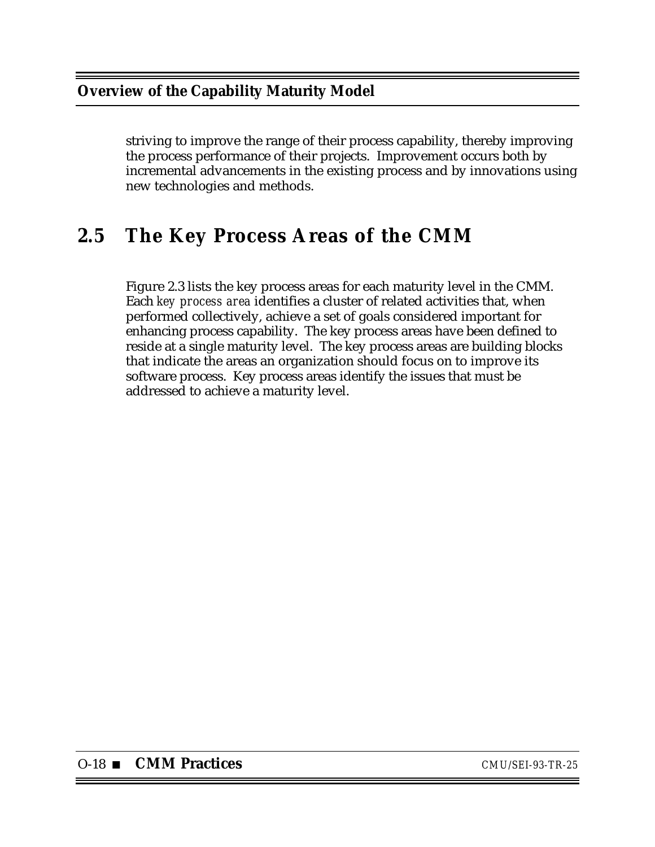striving to improve the range of their process capability, thereby improving the process performance of their projects. Improvement occurs both by incremental advancements in the existing process and by innovations using new technologies and methods.

## **2.5 The Key Process Areas of the CMM**

Figure 2.3 lists the key process areas for each maturity level in the CMM. Each *key process area* identifies a cluster of related activities that, when performed collectively, achieve a set of goals considered important for enhancing process capability. The key process areas have been defined to reside at a single maturity level. The key process areas are building blocks that indicate the areas an organization should focus on to improve its software process. Key process areas identify the issues that must be addressed to achieve a maturity level.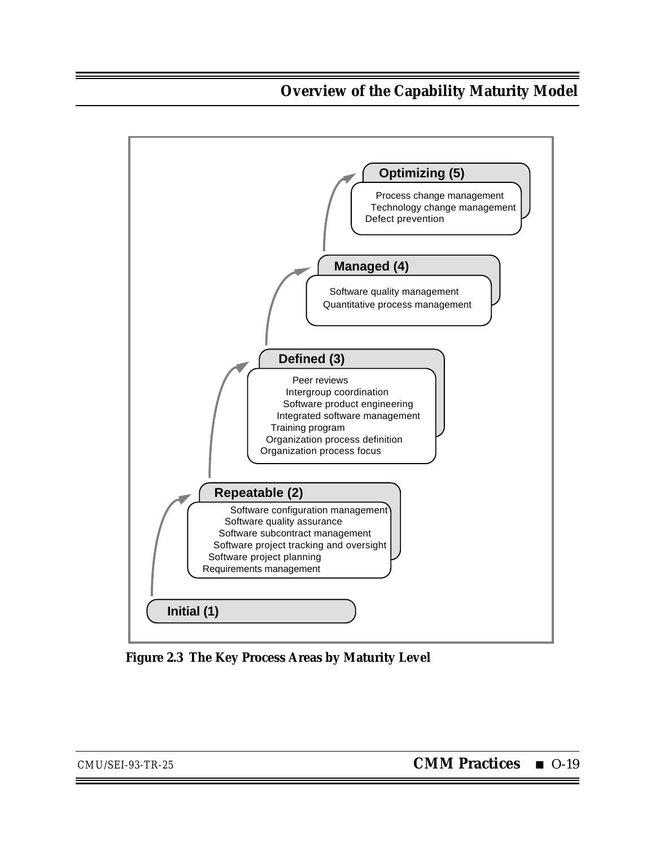<span id="page-29-0"></span>

**Figure 2.3 The Key Process Areas by Maturity Level**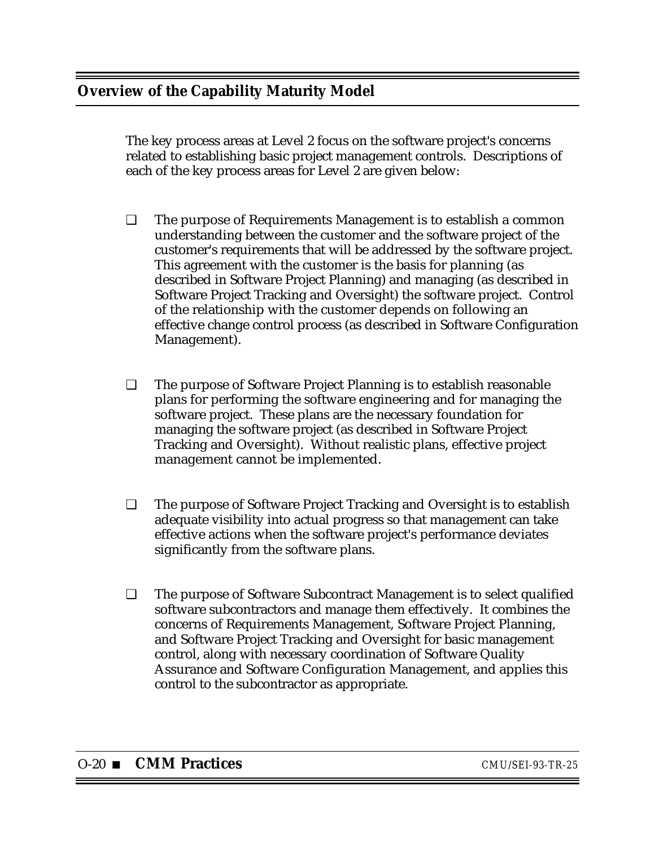The key process areas at Level 2 focus on the software project's concerns related to establishing basic project management controls. Descriptions of each of the key process areas for Level 2 are given below:

- ❑ The purpose of Requirements Management is to establish a common understanding between the customer and the software project of the customer's requirements that will be addressed by the software project. This agreement with the customer is the basis for planning (as described in Software Project Planning) and managing (as described in Software Project Tracking and Oversight) the software project. Control of the relationship with the customer depends on following an effective change control process (as described in Software Configuration Management).
- ❑ The purpose of Software Project Planning is to establish reasonable plans for performing the software engineering and for managing the software project. These plans are the necessary foundation for managing the software project (as described in Software Project Tracking and Oversight). Without realistic plans, effective project management cannot be implemented.
- ❑ The purpose of Software Project Tracking and Oversight is to establish adequate visibility into actual progress so that management can take effective actions when the software project's performance deviates significantly from the software plans.
- ❑ The purpose of Software Subcontract Management is to select qualified software subcontractors and manage them effectively. It combines the concerns of Requirements Management, Software Project Planning, and Software Project Tracking and Oversight for basic management control, along with necessary coordination of Software Quality Assurance and Software Configuration Management, and applies this control to the subcontractor as appropriate.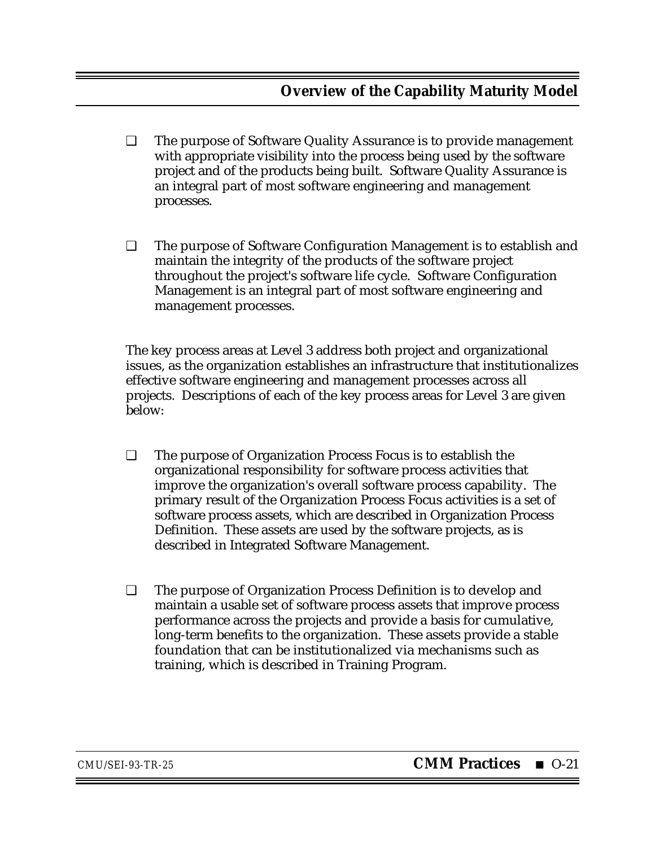- ❑ The purpose of Software Quality Assurance is to provide management with appropriate visibility into the process being used by the software project and of the products being built. Software Quality Assurance is an integral part of most software engineering and management processes.
- ❑ The purpose of Software Configuration Management is to establish and maintain the integrity of the products of the software project throughout the project's software life cycle. Software Configuration Management is an integral part of most software engineering and management processes.

The key process areas at Level 3 address both project and organizational issues, as the organization establishes an infrastructure that institutionalizes effective software engineering and management processes across all projects. Descriptions of each of the key process areas for Level 3 are given below:

- ❑ The purpose of Organization Process Focus is to establish the organizational responsibility for software process activities that improve the organization's overall software process capability. The primary result of the Organization Process Focus activities is a set of software process assets, which are described in Organization Process Definition. These assets are used by the software projects, as is described in Integrated Software Management.
- ❑ The purpose of Organization Process Definition is to develop and maintain a usable set of software process assets that improve process performance across the projects and provide a basis for cumulative, long-term benefits to the organization. These assets provide a stable foundation that can be institutionalized via mechanisms such as training, which is described in Training Program.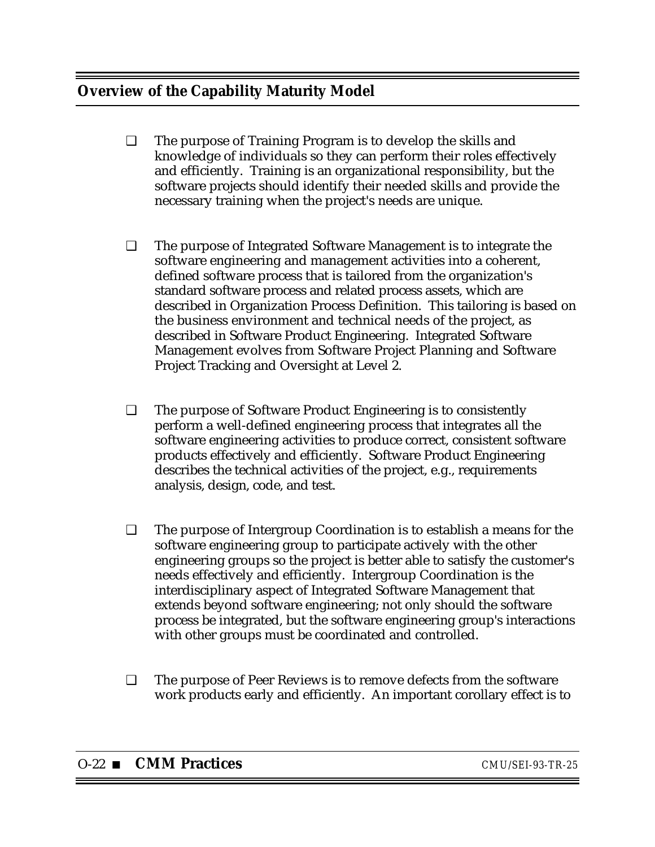- ❑ The purpose of Training Program is to develop the skills and knowledge of individuals so they can perform their roles effectively and efficiently. Training is an organizational responsibility, but the software projects should identify their needed skills and provide the necessary training when the project's needs are unique.
- ❑ The purpose of Integrated Software Management is to integrate the software engineering and management activities into a coherent, defined software process that is tailored from the organization's standard software process and related process assets, which are described in Organization Process Definition. This tailoring is based on the business environment and technical needs of the project, as described in Software Product Engineering. Integrated Software Management evolves from Software Project Planning and Software Project Tracking and Oversight at Level 2.
- ❑ The purpose of Software Product Engineering is to consistently perform a well-defined engineering process that integrates all the software engineering activities to produce correct, consistent software products effectively and efficiently. Software Product Engineering describes the technical activities of the project, e.g., requirements analysis, design, code, and test.
- ❑ The purpose of Intergroup Coordination is to establish a means for the software engineering group to participate actively with the other engineering groups so the project is better able to satisfy the customer's needs effectively and efficiently. Intergroup Coordination is the interdisciplinary aspect of Integrated Software Management that extends beyond software engineering; not only should the software process be integrated, but the software engineering group's interactions with other groups must be coordinated and controlled.
- ❑ The purpose of Peer Reviews is to remove defects from the software work products early and efficiently. An important corollary effect is to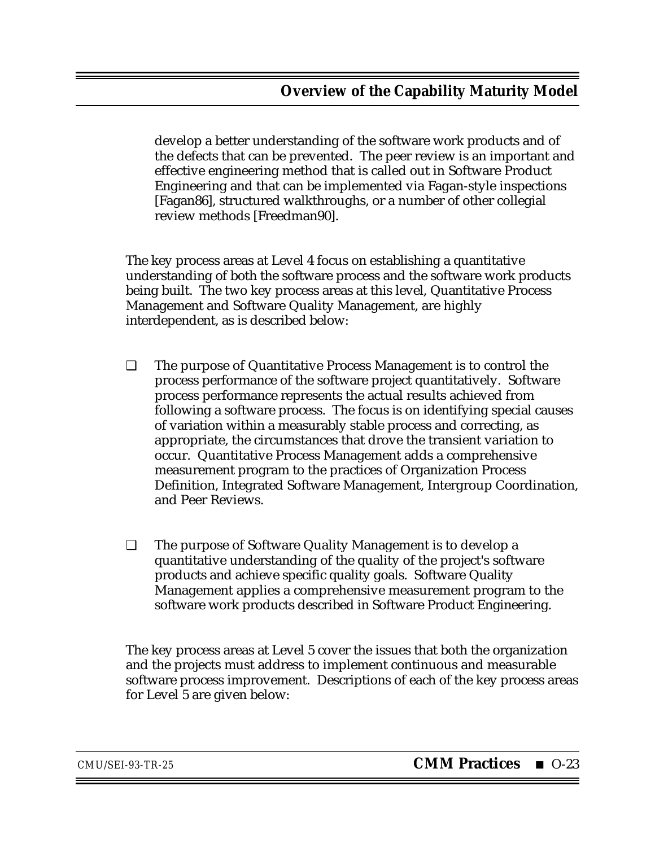develop a better understanding of the software work products and of the defects that can be prevented. The peer review is an important and effective engineering method that is called out in Software Product Engineering and that can be implemented via Fagan-style inspections [Fagan86], structured walkthroughs, or a number of other collegial review methods [Freedman90].

The key process areas at Level 4 focus on establishing a quantitative understanding of both the software process and the software work products being built. The two key process areas at this level, Quantitative Process Management and Software Quality Management, are highly interdependent, as is described below:

- ❑ The purpose of Quantitative Process Management is to control the process performance of the software project quantitatively. Software process performance represents the actual results achieved from following a software process. The focus is on identifying special causes of variation within a measurably stable process and correcting, as appropriate, the circumstances that drove the transient variation to occur. Quantitative Process Management adds a comprehensive measurement program to the practices of Organization Process Definition, Integrated Software Management, Intergroup Coordination, and Peer Reviews.
- ❑ The purpose of Software Quality Management is to develop a quantitative understanding of the quality of the project's software products and achieve specific quality goals. Software Quality Management applies a comprehensive measurement program to the software work products described in Software Product Engineering.

The key process areas at Level 5 cover the issues that both the organization and the projects must address to implement continuous and measurable software process improvement. Descriptions of each of the key process areas for Level 5 are given below: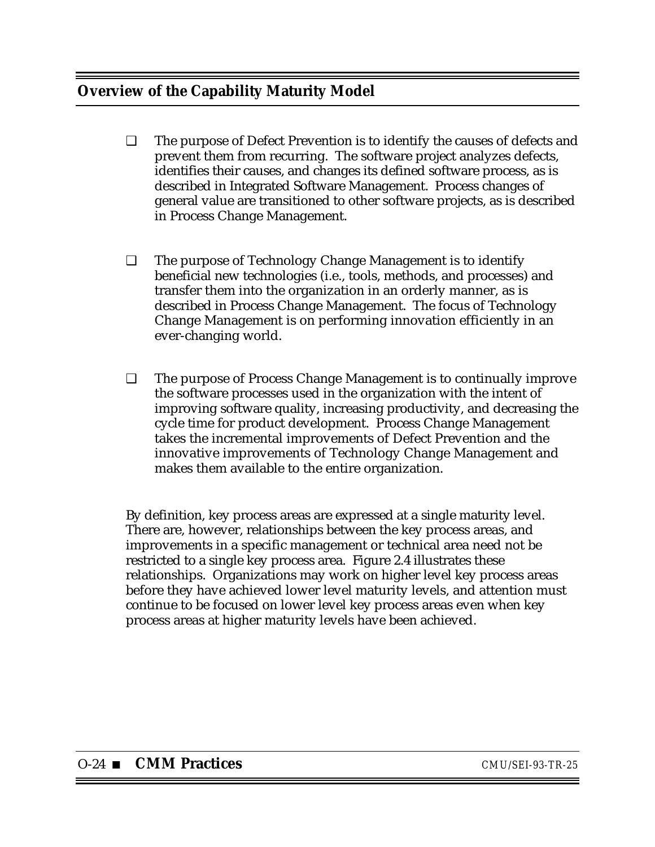- ❑ The purpose of Defect Prevention is to identify the causes of defects and prevent them from recurring. The software project analyzes defects, identifies their causes, and changes its defined software process, as is described in Integrated Software Management. Process changes of general value are transitioned to other software projects, as is described in Process Change Management.
- ❑ The purpose of Technology Change Management is to identify beneficial new technologies (i.e., tools, methods, and processes) and transfer them into the organization in an orderly manner, as is described in Process Change Management. The focus of Technology Change Management is on performing innovation efficiently in an ever-changing world.
- ❑ The purpose of Process Change Management is to continually improve the software processes used in the organization with the intent of improving software quality, increasing productivity, and decreasing the cycle time for product development. Process Change Management takes the incremental improvements of Defect Prevention and the innovative improvements of Technology Change Management and makes them available to the entire organization.

By definition, key process areas are expressed at a single maturity level. There are, however, relationships between the key process areas, and improvements in a specific management or technical area need not be restricted to a single key process area. Figure 2.4 illustrates these relationships. Organizations may work on higher level key process areas before they have achieved lower level maturity levels, and attention must continue to be focused on lower level key process areas even when key process areas at higher maturity levels have been achieved.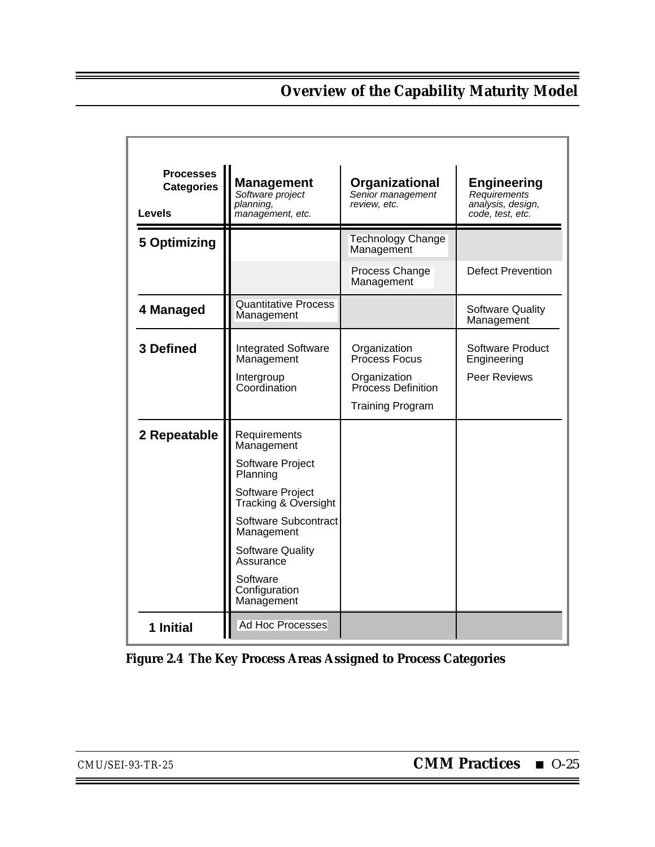<span id="page-35-0"></span>

| <b>Processes</b><br><b>Categories</b><br><b>Levels</b> | <b>Management</b><br>Software project<br>planning,<br>management, etc.                                                                                                                                                          | Organizational<br>Senior management<br>review. etc.                                                   | <b>Engineering</b><br>Requirements<br>analysis, design,<br>code, test, etc. |
|--------------------------------------------------------|---------------------------------------------------------------------------------------------------------------------------------------------------------------------------------------------------------------------------------|-------------------------------------------------------------------------------------------------------|-----------------------------------------------------------------------------|
| 5 Optimizing                                           |                                                                                                                                                                                                                                 | <b>Technology Change</b><br>Management                                                                |                                                                             |
|                                                        |                                                                                                                                                                                                                                 | Process Change<br>Management                                                                          | <b>Defect Prevention</b>                                                    |
| 4 Managed                                              | <b>Quantitative Process</b><br>Management                                                                                                                                                                                       |                                                                                                       | <b>Software Quality</b><br>Management                                       |
| 3 Defined                                              | <b>Integrated Software</b><br>Management<br>Intergroup<br>Coordination                                                                                                                                                          | Organization<br>Process Focus<br>Organization<br><b>Process Definition</b><br><b>Training Program</b> | Software Product<br>Engineering<br>Peer Reviews                             |
| 2 Repeatable                                           | Requirements<br>Management<br>Software Project<br>Planning<br>Software Project<br>Tracking & Oversight<br>Software Subcontract<br>Management<br><b>Software Quality</b><br>Assurance<br>Software<br>Configuration<br>Management |                                                                                                       |                                                                             |
| 1 Initial                                              | <b>Ad Hoc Processes</b>                                                                                                                                                                                                         |                                                                                                       |                                                                             |

**Figure 2.4 The Key Process Areas Assigned to Process Categories**

=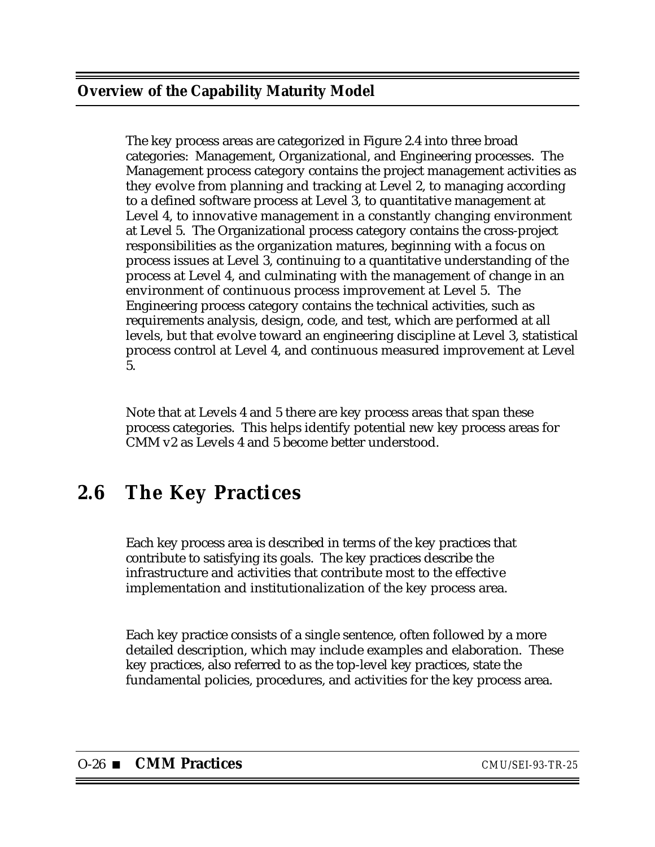## **Overview of the Capability Maturity Model**

The key process areas are categorized in Figure 2.4 into three broad categories: Management, Organizational, and Engineering processes. The Management process category contains the project management activities as they evolve from planning and tracking at Level 2, to managing according to a defined software process at Level 3, to quantitative management at Level 4, to innovative management in a constantly changing environment at Level 5. The Organizational process category contains the cross-project responsibilities as the organization matures, beginning with a focus on process issues at Level 3, continuing to a quantitative understanding of the process at Level 4, and culminating with the management of change in an environment of continuous process improvement at Level 5. The Engineering process category contains the technical activities, such as requirements analysis, design, code, and test, which are performed at all levels, but that evolve toward an engineering discipline at Level 3, statistical process control at Level 4, and continuous measured improvement at Level 5.

Note that at Levels 4 and 5 there are key process areas that span these process categories. This helps identify potential new key process areas for CMM v2 as Levels 4 and 5 become better understood.

# **2.6 The Key Practices**

Each key process area is described in terms of the key practices that contribute to satisfying its goals. The key practices describe the infrastructure and activities that contribute most to the effective implementation and institutionalization of the key process area.

Each key practice consists of a single sentence, often followed by a more detailed description, which may include examples and elaboration. These key practices, also referred to as the top-level key practices, state the fundamental policies, procedures, and activities for the key process area.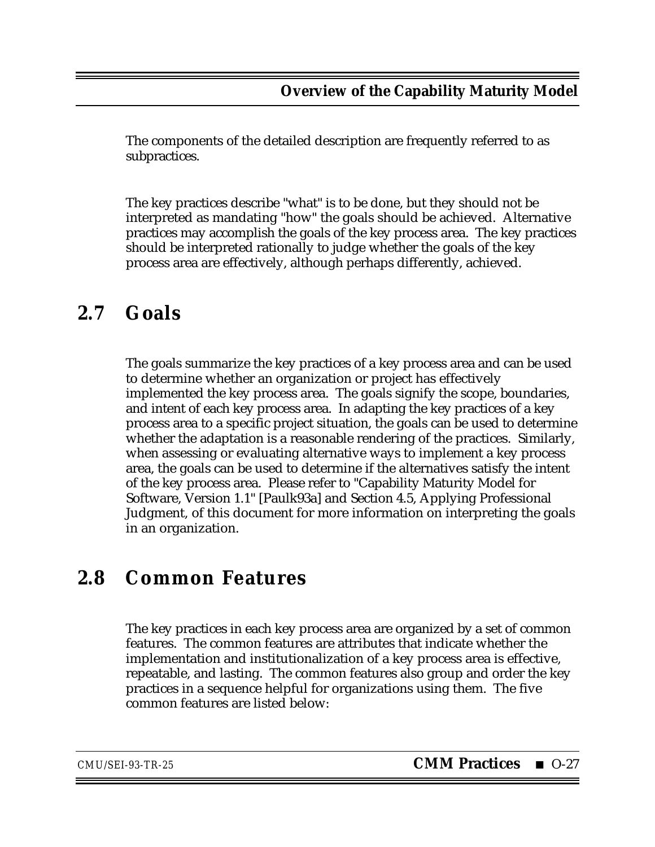The components of the detailed description are frequently referred to as subpractices.

The key practices describe "what" is to be done, but they should not be interpreted as mandating "how" the goals should be achieved. Alternative practices may accomplish the goals of the key process area. The key practices should be interpreted rationally to judge whether the goals of the key process area are effectively, although perhaps differently, achieved.

# **2.7 Goals**

The goals summarize the key practices of a key process area and can be used to determine whether an organization or project has effectively implemented the key process area. The goals signify the scope, boundaries, and intent of each key process area. In adapting the key practices of a key process area to a specific project situation, the goals can be used to determine whether the adaptation is a reasonable rendering of the practices. Similarly, when assessing or evaluating alternative ways to implement a key process area, the goals can be used to determine if the alternatives satisfy the intent of the key process area. Please refer to "Capability Maturity Model for Software, Version 1.1" [Paulk93a] and Section 4.5, Applying Professional Judgment, of this document for more information on interpreting the goals in an organization.

## **2.8 Common Features**

The key practices in each key process area are organized by a set of common features. The common features are attributes that indicate whether the implementation and institutionalization of a key process area is effective, repeatable, and lasting. The common features also group and order the key practices in a sequence helpful for organizations using them. The five common features are listed below: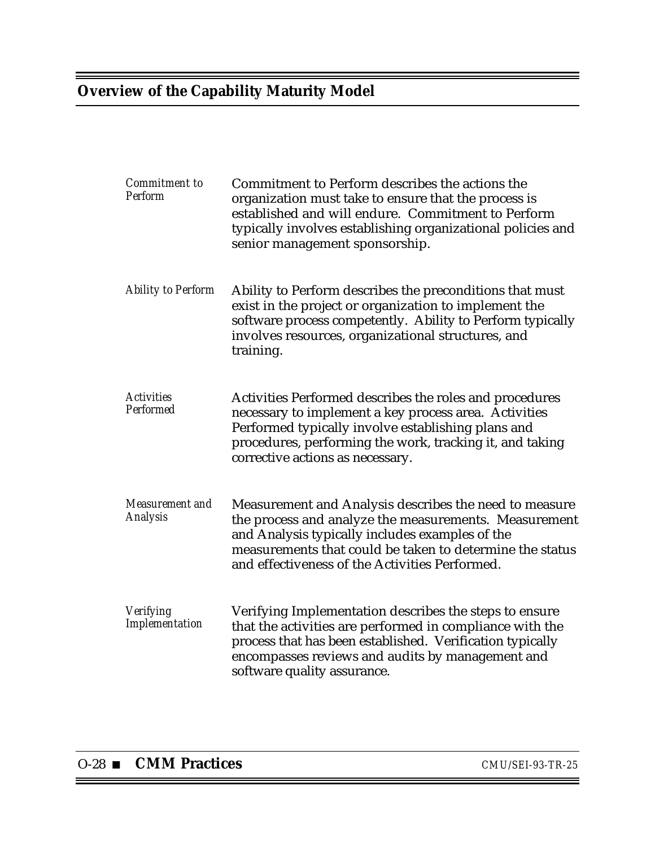# **Overview of the Capability Maturity Model**

| Commitment to<br>Perform       | Commitment to Perform describes the actions the<br>organization must take to ensure that the process is<br>established and will endure. Commitment to Perform<br>typically involves establishing organizational policies and<br>senior management sponsorship.                   |
|--------------------------------|----------------------------------------------------------------------------------------------------------------------------------------------------------------------------------------------------------------------------------------------------------------------------------|
| Ability to Perform             | Ability to Perform describes the preconditions that must<br>exist in the project or organization to implement the<br>software process competently. Ability to Perform typically<br>involves resources, organizational structures, and<br>training.                               |
| <b>Activities</b><br>Performed | Activities Performed describes the roles and procedures<br>necessary to implement a key process area. Activities<br>Performed typically involve establishing plans and<br>procedures, performing the work, tracking it, and taking<br>corrective actions as necessary.           |
| Measurement and<br>Analysis    | Measurement and Analysis describes the need to measure<br>the process and analyze the measurements. Measurement<br>and Analysis typically includes examples of the<br>measurements that could be taken to determine the status<br>and effectiveness of the Activities Performed. |
| Verifying<br>Implementation    | Verifying Implementation describes the steps to ensure<br>that the activities are performed in compliance with the<br>process that has been established. Verification typically<br>encompasses reviews and audits by management and<br>software quality assurance.               |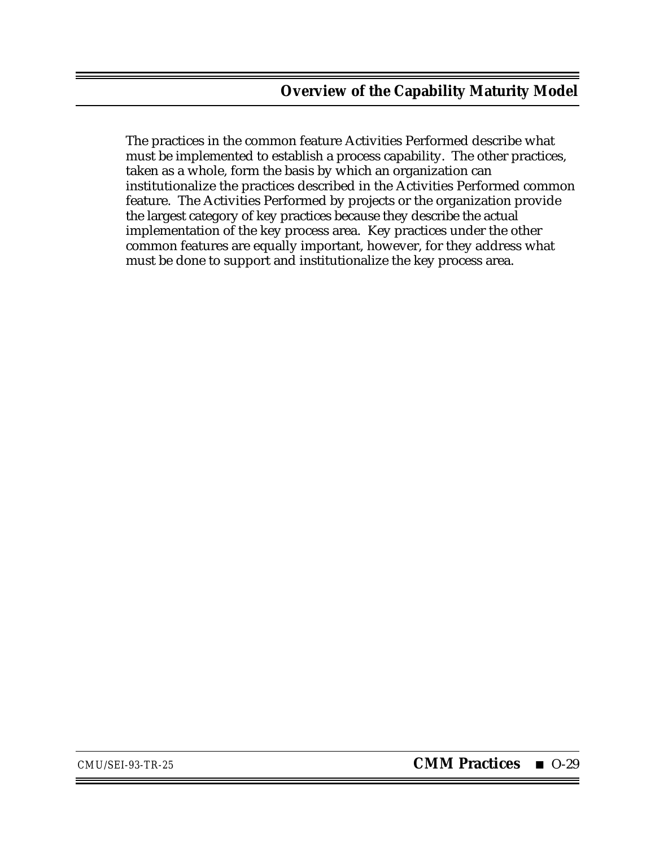The practices in the common feature Activities Performed describe what must be implemented to establish a process capability. The other practices, taken as a whole, form the basis by which an organization can institutionalize the practices described in the Activities Performed common feature. The Activities Performed by projects or the organization provide the largest category of key practices because they describe the actual implementation of the key process area. Key practices under the other common features are equally important, however, for they address what must be done to support and institutionalize the key process area.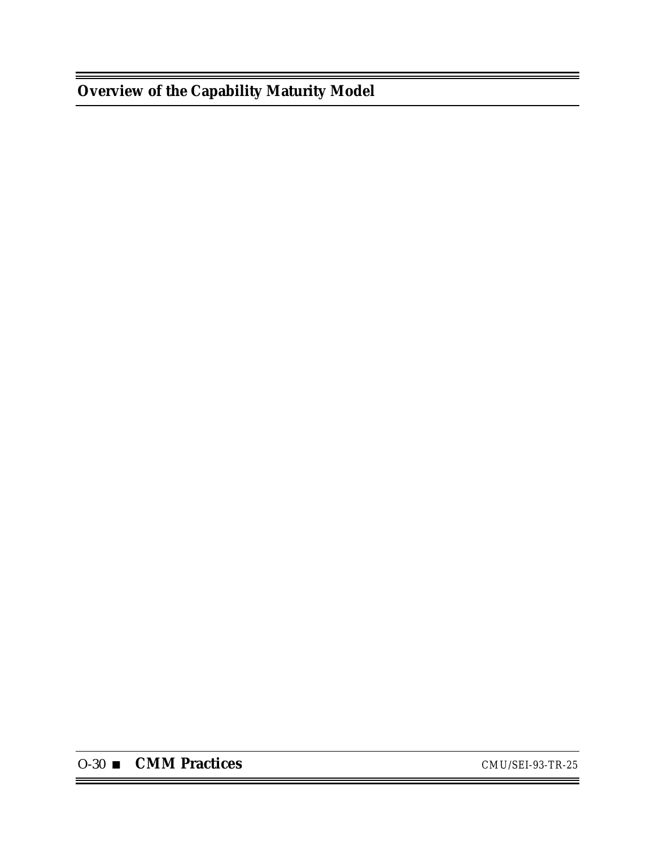**Overview of the Capability Maturity Model**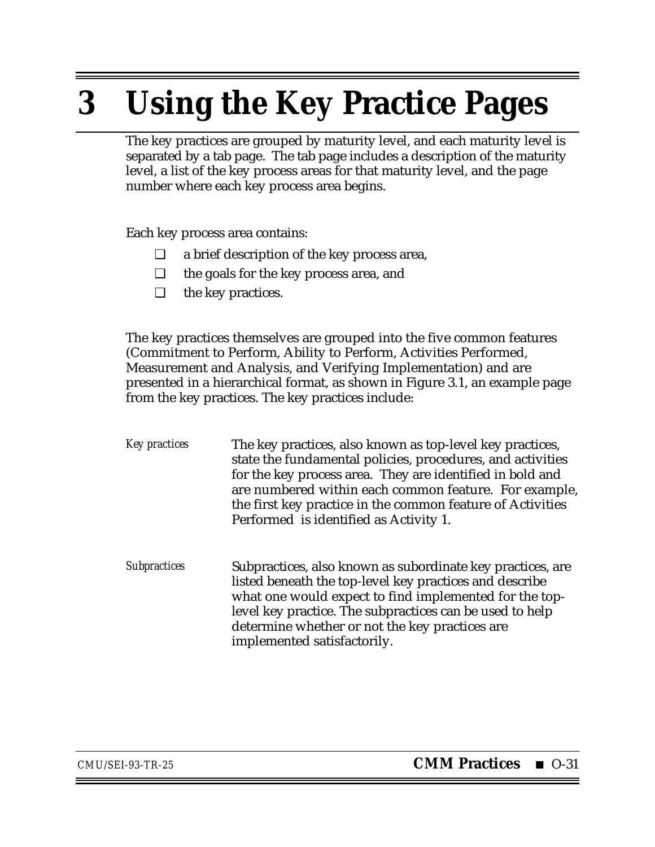# **3 Using the Key Practice Pages**

The key practices are grouped by maturity level, and each maturity level is separated by a tab page. The tab page includes a description of the maturity level, a list of the key process areas for that maturity level, and the page number where each key process area begins.

Each key process area contains:

- ❑ a brief description of the key process area,
- ❑ the goals for the key process area, and
- ❑ the key practices.

The key practices themselves are grouped into the five common features (Commitment to Perform, Ability to Perform, Activities Performed, Measurement and Analysis, and Verifying Implementation) and are presented in a hierarchical format, as shown in Figure 3.1, an example page from the key practices. The key practices include:

| Key practices | The key practices, also known as top-level key practices,<br>state the fundamental policies, procedures, and activities<br>for the key process area. They are identified in bold and<br>are numbered within each common feature. For example,<br>the first key practice in the common feature of Activities<br>Performed is identified as Activity 1. |
|---------------|-------------------------------------------------------------------------------------------------------------------------------------------------------------------------------------------------------------------------------------------------------------------------------------------------------------------------------------------------------|
| Subpractices  | Subpractices, also known as subordinate key practices, are<br>listed beneath the top-level key practices and describe<br>what one would expect to find implemented for the top-<br>level key practice. The subpractices can be used to help<br>determine whether or not the key practices are<br>implemented satisfactorily.                          |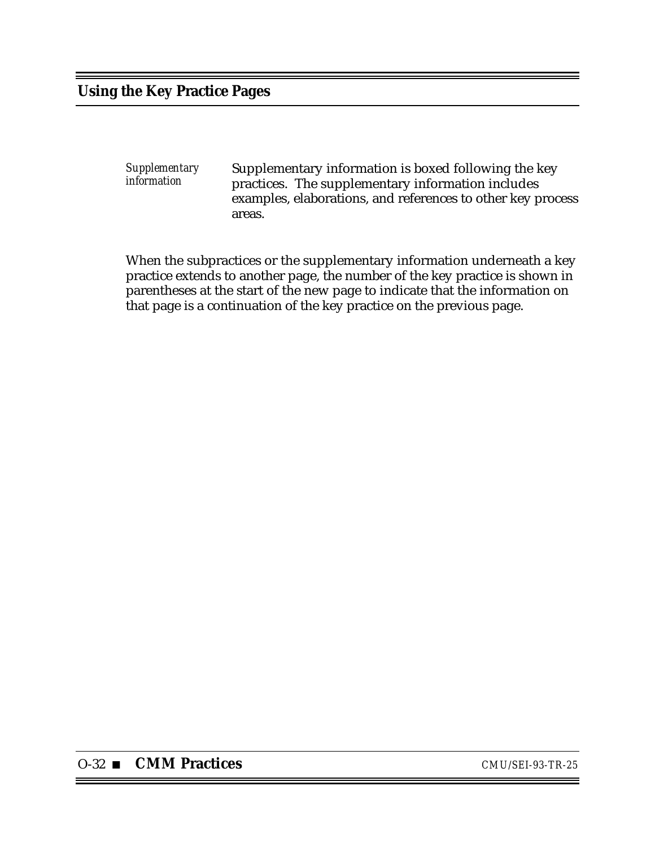#### **Using the Key Practice Pages**

*Supplementary information* Supplementary information is boxed following the key practices. The supplementary information includes examples, elaborations, and references to other key process areas.

When the subpractices or the supplementary information underneath a key practice extends to another page, the number of the key practice is shown in parentheses at the start of the new page to indicate that the information on that page is a continuation of the key practice on the previous page.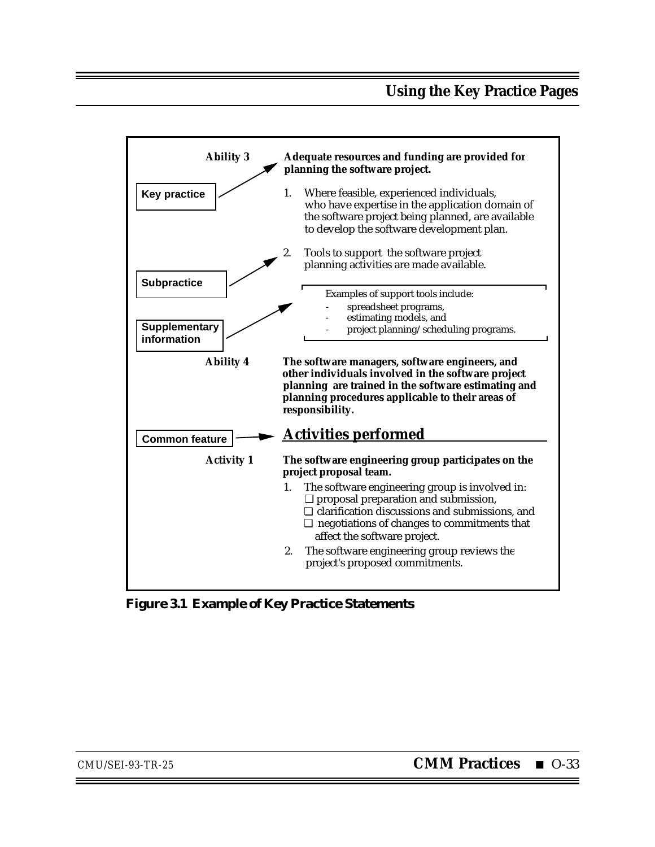

**Figure 3.1 Example of Key Practice Statements**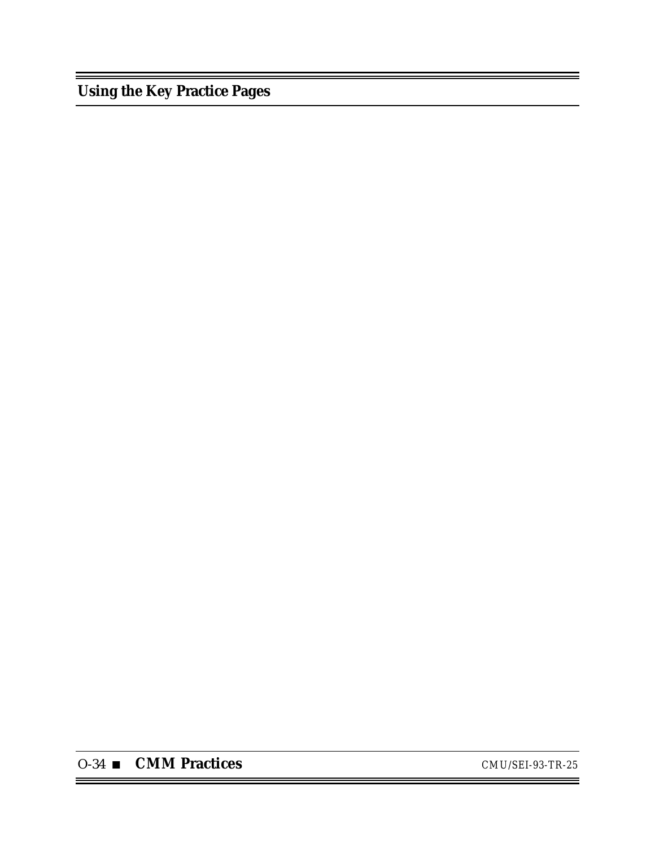**Using the Key Practice Pages**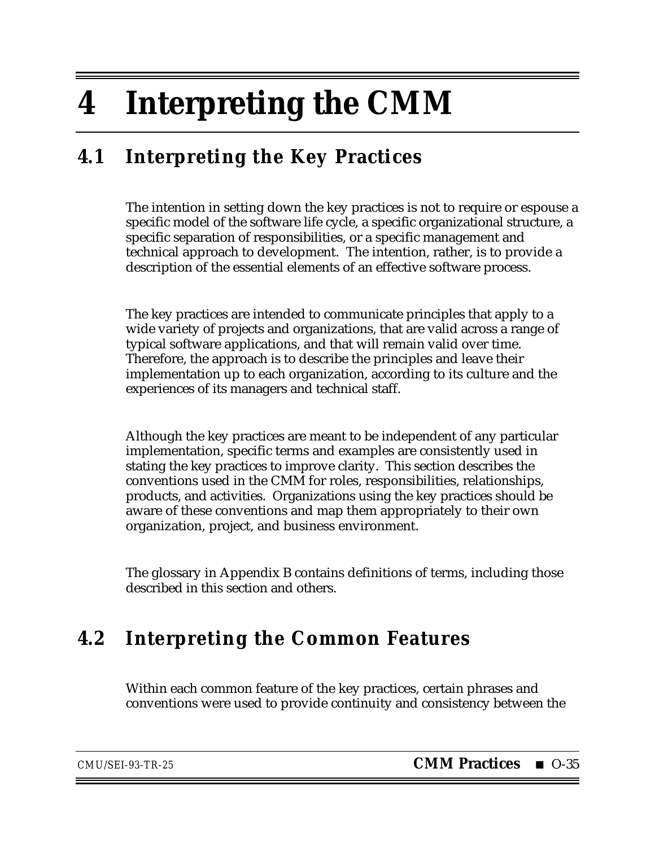# **4.1 Interpreting the Key Practices**

The intention in setting down the key practices is not to require or espouse a specific model of the software life cycle, a specific organizational structure, a specific separation of responsibilities, or a specific management and technical approach to development. The intention, rather, is to provide a description of the essential elements of an effective software process.

The key practices are intended to communicate principles that apply to a wide variety of projects and organizations, that are valid across a range of typical software applications, and that will remain valid over time. Therefore, the approach is to describe the principles and leave their implementation up to each organization, according to its culture and the experiences of its managers and technical staff.

Although the key practices are meant to be independent of any particular implementation, specific terms and examples are consistently used in stating the key practices to improve clarity. This section describes the conventions used in the CMM for roles, responsibilities, relationships, products, and activities. Organizations using the key practices should be aware of these conventions and map them appropriately to their own organization, project, and business environment.

The glossary in Appendix B contains definitions of terms, including those described in this section and others.

# **4.2 Interpreting the Common Features**

Within each common feature of the key practices, certain phrases and conventions were used to provide continuity and consistency between the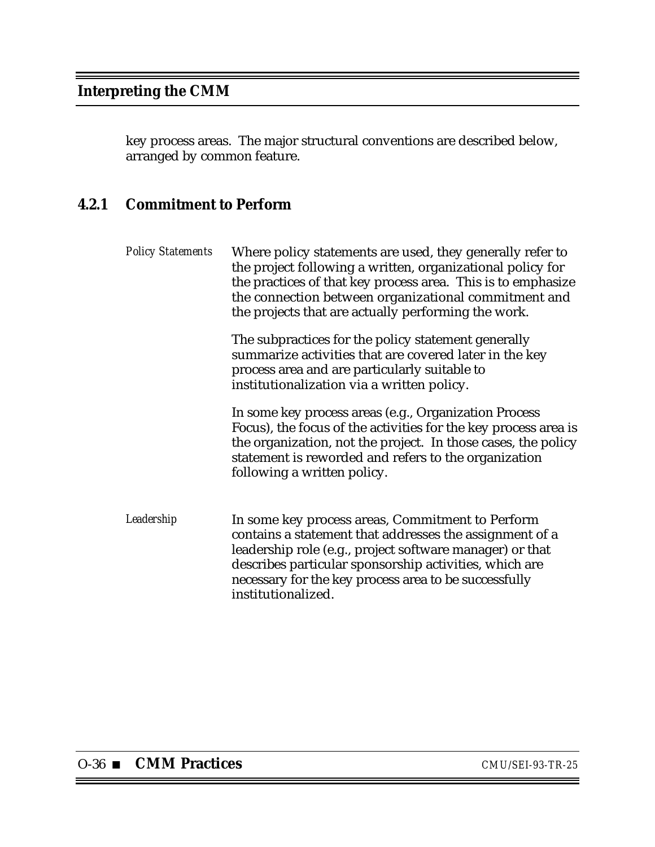key process areas. The major structural conventions are described below, arranged by common feature.

#### **4.2.1 Commitment to Perform**

| <b>Policy Statements</b> | Where policy statements are used, they generally refer to<br>the project following a written, organizational policy for<br>the practices of that key process area. This is to emphasize<br>the connection between organizational commitment and<br>the projects that are actually performing the work.           |
|--------------------------|------------------------------------------------------------------------------------------------------------------------------------------------------------------------------------------------------------------------------------------------------------------------------------------------------------------|
|                          | The subpractices for the policy statement generally<br>summarize activities that are covered later in the key<br>process area and are particularly suitable to<br>institutionalization via a written policy.                                                                                                     |
|                          | In some key process areas (e.g., Organization Process<br>Focus), the focus of the activities for the key process area is<br>the organization, not the project. In those cases, the policy<br>statement is reworded and refers to the organization<br>following a written policy.                                 |
| Leadership               | In some key process areas, Commitment to Perform<br>contains a statement that addresses the assignment of a<br>leadership role (e.g., project software manager) or that<br>describes particular sponsorship activities, which are<br>necessary for the key process area to be successfully<br>institutionalized. |

=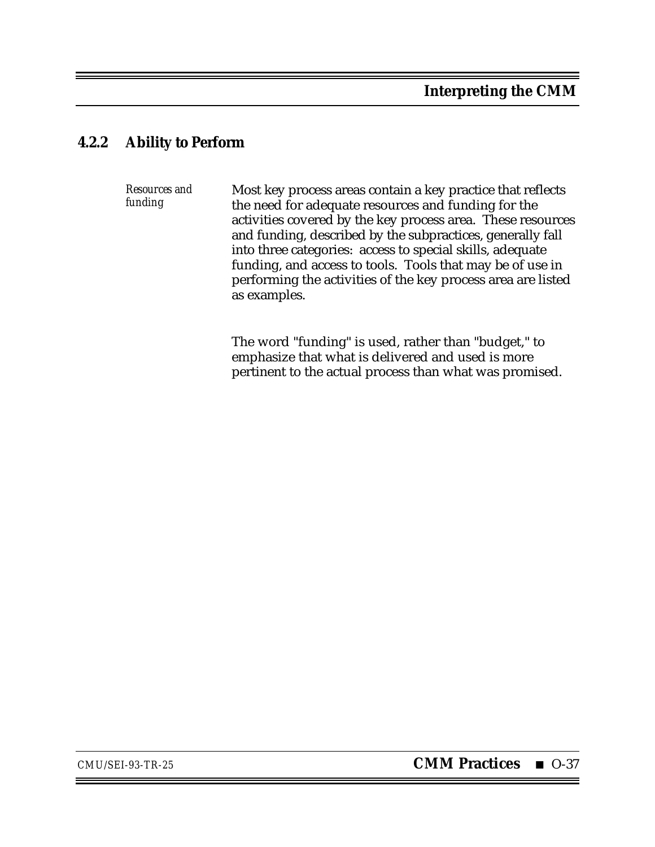## **4.2.2 Ability to Perform**

*Resources and funding*

Most key process areas contain a key practice that reflects the need for adequate resources and funding for the activities covered by the key process area. These resources and funding, described by the subpractices, generally fall into three categories: access to special skills, adequate funding, and access to tools. Tools that may be of use in performing the activities of the key process area are listed as examples.

The word "funding" is used, rather than "budget," to emphasize that what is delivered and used is more pertinent to the actual process than what was promised.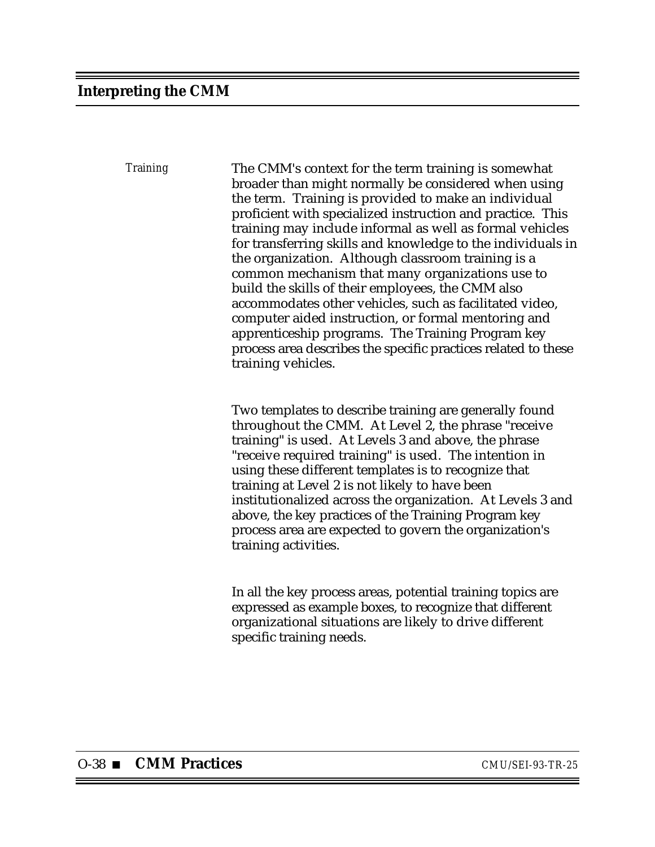*Training* The CMM's context for the term training is somewhat broader than might normally be considered when using the term. Training is provided to make an individual proficient with specialized instruction and practice. This training may include informal as well as formal vehicles for transferring skills and knowledge to the individuals in the organization. Although classroom training is a common mechanism that many organizations use to build the skills of their employees, the CMM also accommodates other vehicles, such as facilitated video, computer aided instruction, or formal mentoring and apprenticeship programs. The Training Program key process area describes the specific practices related to these training vehicles.

> Two templates to describe training are generally found throughout the CMM. At Level 2, the phrase "receive training" is used. At Levels 3 and above, the phrase "receive required training" is used. The intention in using these different templates is to recognize that training at Level 2 is not likely to have been institutionalized across the organization. At Levels 3 and above, the key practices of the Training Program key process area are expected to govern the organization's training activities.

In all the key process areas, potential training topics are expressed as example boxes, to recognize that different organizational situations are likely to drive different specific training needs.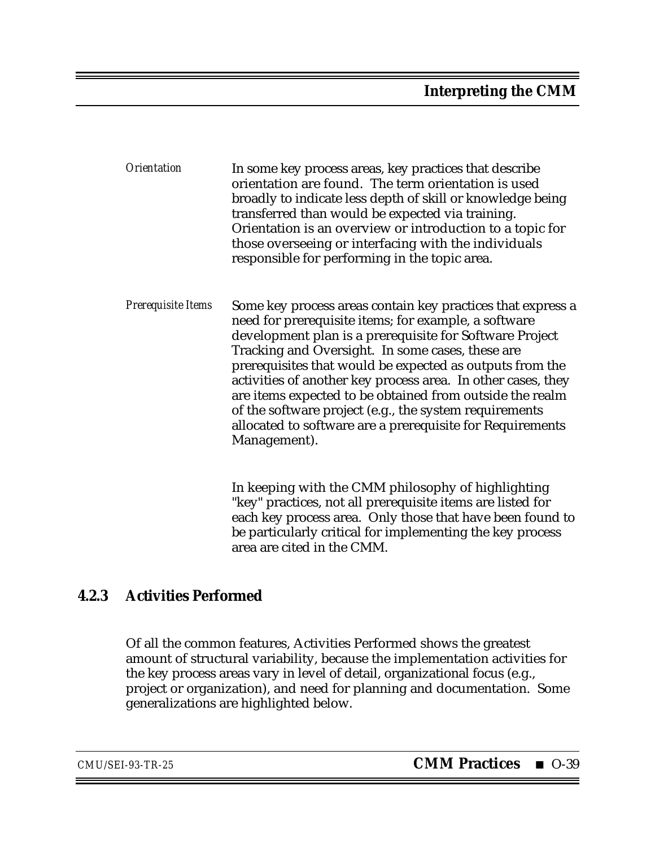| Orientation | In some key process areas, key practices that describe<br>orientation are found. The term orientation is used<br>broadly to indicate less depth of skill or knowledge being<br>transferred than would be expected via training.<br>Orientation is an overview or introduction to a topic for<br>those overseeing or interfacing with the individuals |
|-------------|------------------------------------------------------------------------------------------------------------------------------------------------------------------------------------------------------------------------------------------------------------------------------------------------------------------------------------------------------|
|             | responsible for performing in the topic area.                                                                                                                                                                                                                                                                                                        |

*Prerequisite Items* Some key process areas contain key practices that express a need for prerequisite items; for example, a software development plan is a prerequisite for Software Project Tracking and Oversight. In some cases, these are prerequisites that would be expected as outputs from the activities of another key process area. In other cases, they are items expected to be obtained from outside the realm of the software project (e.g., the system requirements allocated to software are a prerequisite for Requirements Management).

> In keeping with the CMM philosophy of highlighting "key" practices, not all prerequisite items are listed for each key process area. Only those that have been found to be particularly critical for implementing the key process area are cited in the CMM.

#### **4.2.3 Activities Performed**

Of all the common features, Activities Performed shows the greatest amount of structural variability, because the implementation activities for the key process areas vary in level of detail, organizational focus (e.g., project or organization), and need for planning and documentation. Some generalizations are highlighted below.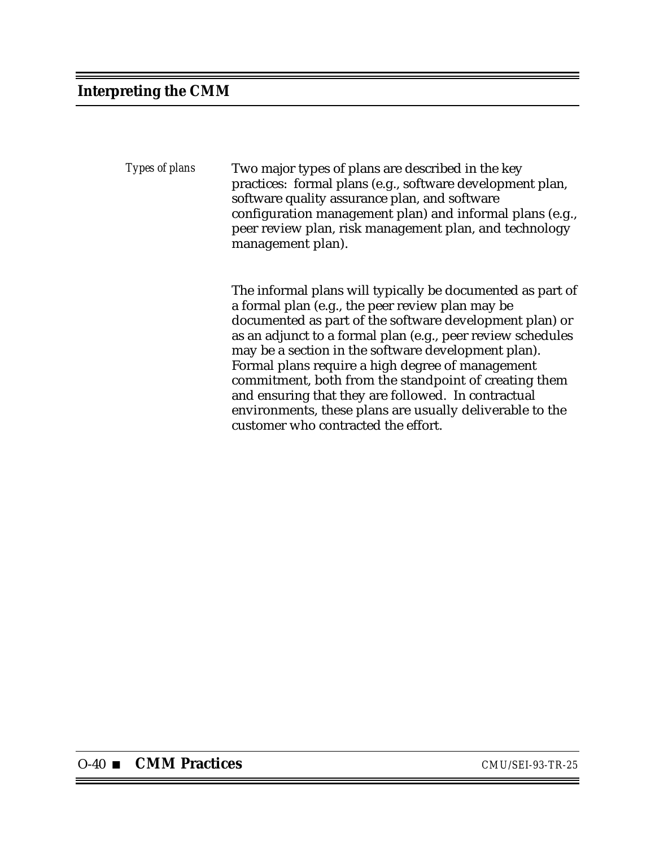*Types of plans* Two major types of plans are described in the key practices: formal plans (e.g., software development plan, software quality assurance plan, and software configuration management plan) and informal plans (e.g., peer review plan, risk management plan, and technology management plan). The informal plans will typically be documented as part of a formal plan (e.g., the peer review plan may be documented as part of the software development plan) or as an adjunct to a formal plan (e.g., peer review schedules may be a section in the software development plan). Formal plans require a high degree of management

commitment, both from the standpoint of creating them and ensuring that they are followed. In contractual environments, these plans are usually deliverable to the customer who contracted the effort.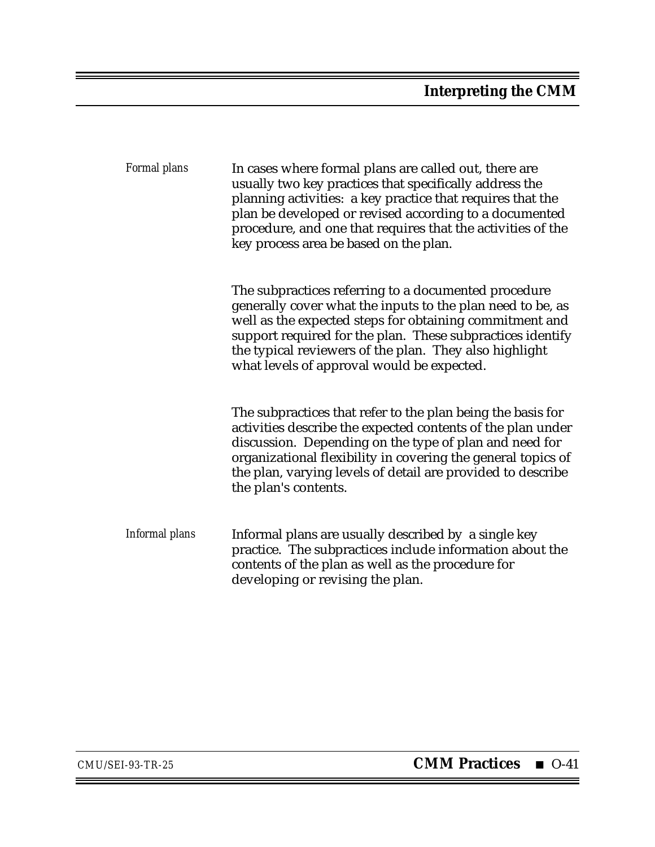| Formal plans   | In cases where formal plans are called out, there are<br>usually two key practices that specifically address the<br>planning activities: a key practice that requires that the<br>plan be developed or revised according to a documented<br>procedure, and one that requires that the activities of the<br>key process area be based on the plan.   |
|----------------|-----------------------------------------------------------------------------------------------------------------------------------------------------------------------------------------------------------------------------------------------------------------------------------------------------------------------------------------------------|
|                | The subpractices referring to a documented procedure<br>generally cover what the inputs to the plan need to be, as<br>well as the expected steps for obtaining commitment and<br>support required for the plan. These subpractices identify<br>the typical reviewers of the plan. They also highlight<br>what levels of approval would be expected. |
|                | The subpractices that refer to the plan being the basis for<br>activities describe the expected contents of the plan under<br>discussion. Depending on the type of plan and need for<br>organizational flexibility in covering the general topics of<br>the plan, varying levels of detail are provided to describe<br>the plan's contents.         |
| Informal plans | Informal plans are usually described by a single key<br>practice. The subpractices include information about the<br>contents of the plan as well as the procedure for<br>developing or revising the plan.                                                                                                                                           |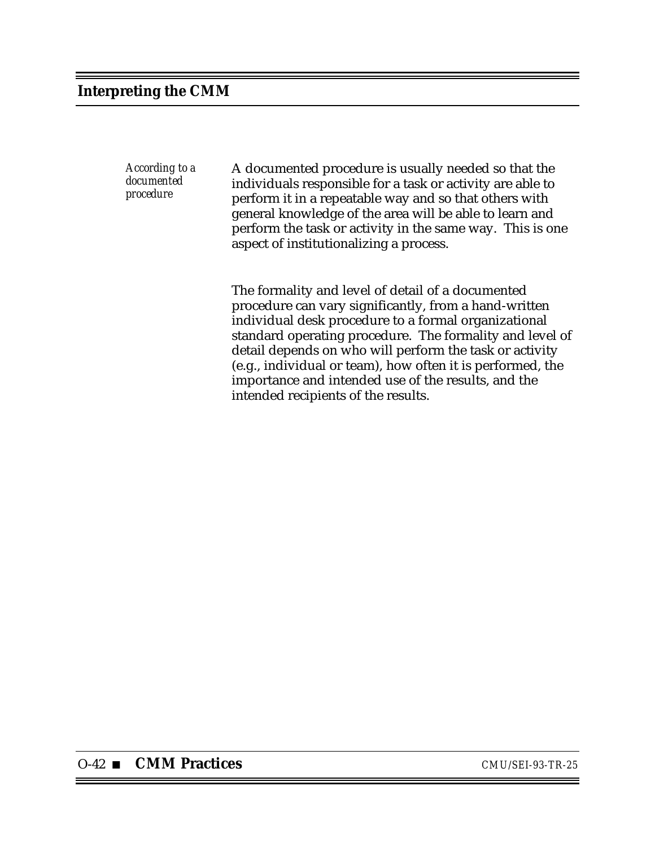*According to a documented procedure*

A documented procedure is usually needed so that the individuals responsible for a task or activity are able to perform it in a repeatable way and so that others with general knowledge of the area will be able to learn and perform the task or activity in the same way. This is one aspect of institutionalizing a process.

The formality and level of detail of a documented procedure can vary significantly, from a hand-written individual desk procedure to a formal organizational standard operating procedure. The formality and level of detail depends on who will perform the task or activity (e.g., individual or team), how often it is performed, the importance and intended use of the results, and the intended recipients of the results.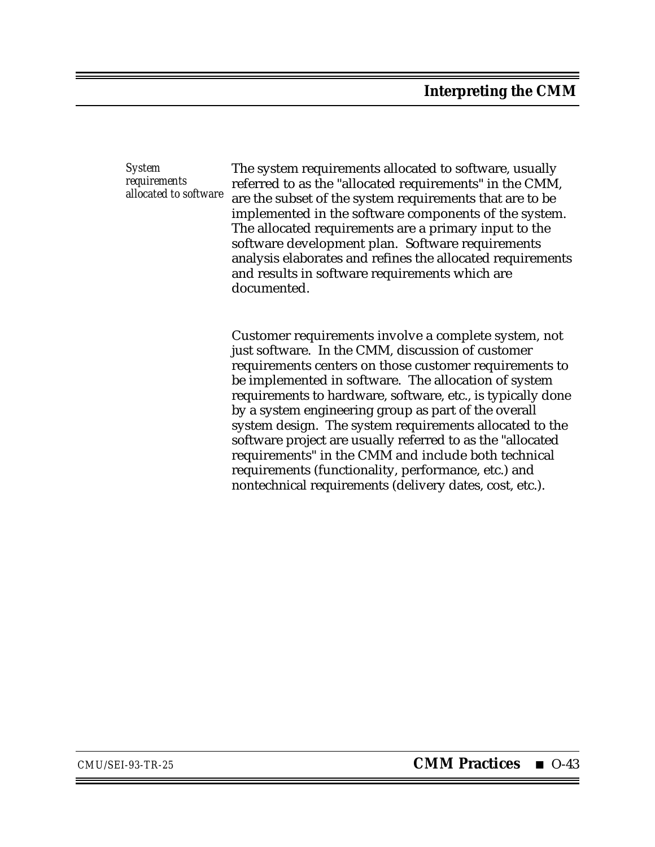*System requirements allocated to software*

The system requirements allocated to software, usually referred to as the "allocated requirements" in the CMM, are the subset of the system requirements that are to be implemented in the software components of the system. The allocated requirements are a primary input to the software development plan. Software requirements analysis elaborates and refines the allocated requirements and results in software requirements which are documented.

Customer requirements involve a complete system, not just software. In the CMM, discussion of customer requirements centers on those customer requirements to be implemented in software. The allocation of system requirements to hardware, software, etc., is typically done by a system engineering group as part of the overall system design. The system requirements allocated to the software project are usually referred to as the "allocated requirements" in the CMM and include both technical requirements (functionality, performance, etc.) and nontechnical requirements (delivery dates, cost, etc.).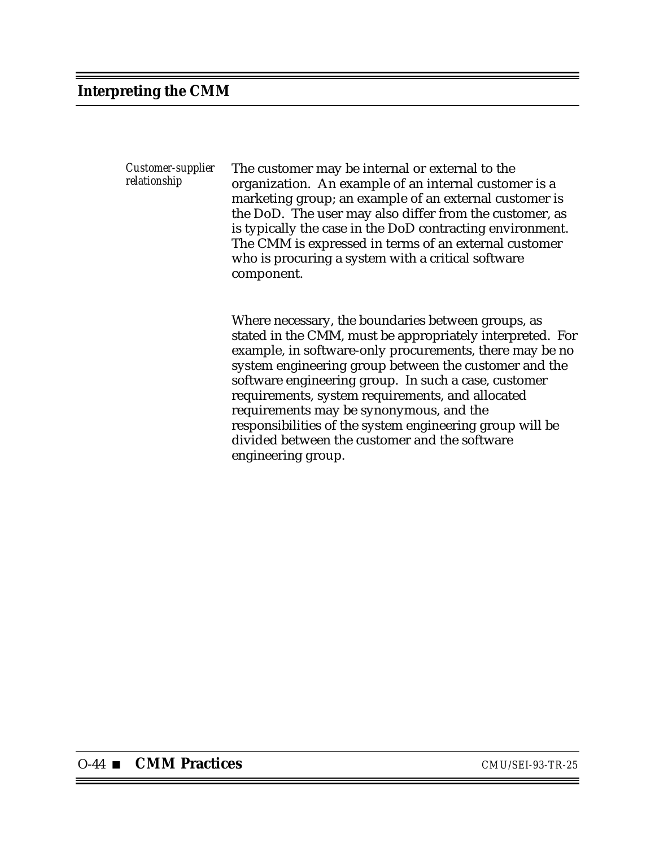*Customer-supplier relationship* The customer may be internal or external to the organization. An example of an internal customer is a marketing group; an example of an external customer is the DoD. The user may also differ from the customer, as is typically the case in the DoD contracting environment. The CMM is expressed in terms of an external customer who is procuring a system with a critical software component.

> Where necessary, the boundaries between groups, as stated in the CMM, must be appropriately interpreted. For example, in software-only procurements, there may be no system engineering group between the customer and the software engineering group. In such a case, customer requirements, system requirements, and allocated requirements may be synonymous, and the responsibilities of the system engineering group will be divided between the customer and the software engineering group.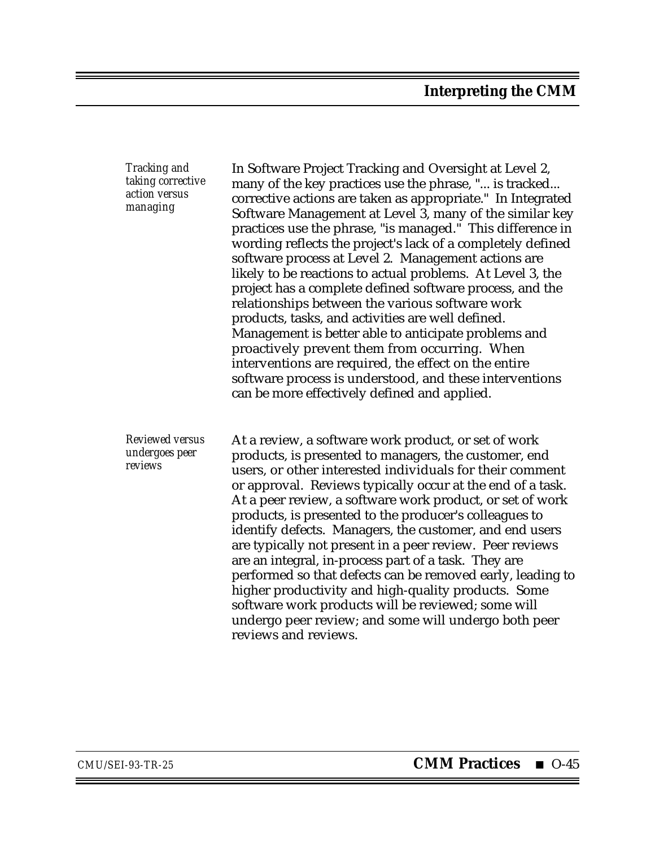| Tracking and<br>taking corrective<br>action versus<br>managing | In Software Project Tracking and Oversight at Level 2,<br>many of the key practices use the phrase, " is tracked<br>corrective actions are taken as appropriate." In Integrated<br>Software Management at Level 3, many of the similar key<br>practices use the phrase, "is managed." This difference in<br>wording reflects the project's lack of a completely defined<br>software process at Level 2. Management actions are<br>likely to be reactions to actual problems. At Level 3, the<br>project has a complete defined software process, and the<br>relationships between the various software work<br>products, tasks, and activities are well defined.<br>Management is better able to anticipate problems and<br>proactively prevent them from occurring. When<br>interventions are required, the effect on the entire<br>software process is understood, and these interventions<br>can be more effectively defined and applied. |
|----------------------------------------------------------------|----------------------------------------------------------------------------------------------------------------------------------------------------------------------------------------------------------------------------------------------------------------------------------------------------------------------------------------------------------------------------------------------------------------------------------------------------------------------------------------------------------------------------------------------------------------------------------------------------------------------------------------------------------------------------------------------------------------------------------------------------------------------------------------------------------------------------------------------------------------------------------------------------------------------------------------------|
| Reviewed versus<br>undergoes peer<br>reviews                   | At a review, a software work product, or set of work<br>products, is presented to managers, the customer, end<br>users, or other interested individuals for their comment<br>or approval. Reviews typically occur at the end of a task.<br>At a peer review, a software work product, or set of work<br>products, is presented to the producer's colleagues to<br>identify defects. Managers, the customer, and end users<br>are typically not present in a peer review. Peer reviews<br>are an integral, in-process part of a task. They are<br>performed so that defects can be removed early, leading to<br>higher productivity and high-quality products. Some<br>software work products will be reviewed; some will<br>undergo peer review; and some will undergo both peer<br>reviews and reviews.                                                                                                                                     |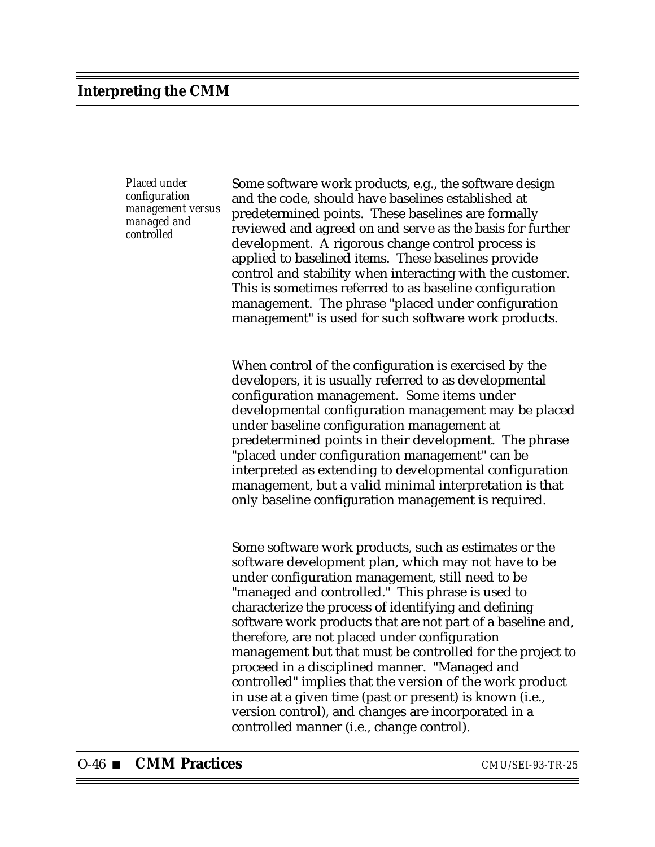*Placed under configuration management versus managed and controlled*

Some software work products, e.g., the software design and the code, should have baselines established at predetermined points. These baselines are formally reviewed and agreed on and serve as the basis for further development. A rigorous change control process is applied to baselined items. These baselines provide control and stability when interacting with the customer. This is sometimes referred to as baseline configuration management. The phrase "placed under configuration management" is used for such software work products.

When control of the configuration is exercised by the developers, it is usually referred to as developmental configuration management. Some items under developmental configuration management may be placed under baseline configuration management at predetermined points in their development. The phrase "placed under configuration management" can be interpreted as extending to developmental configuration management, but a valid minimal interpretation is that only baseline configuration management is required.

Some software work products, such as estimates or the software development plan, which may not have to be under configuration management, still need to be "managed and controlled." This phrase is used to characterize the process of identifying and defining software work products that are not part of a baseline and, therefore, are not placed under configuration management but that must be controlled for the project to proceed in a disciplined manner. "Managed and controlled" implies that the version of the work product in use at a given time (past or present) is known (i.e., version control), and changes are incorporated in a controlled manner (i.e., change control).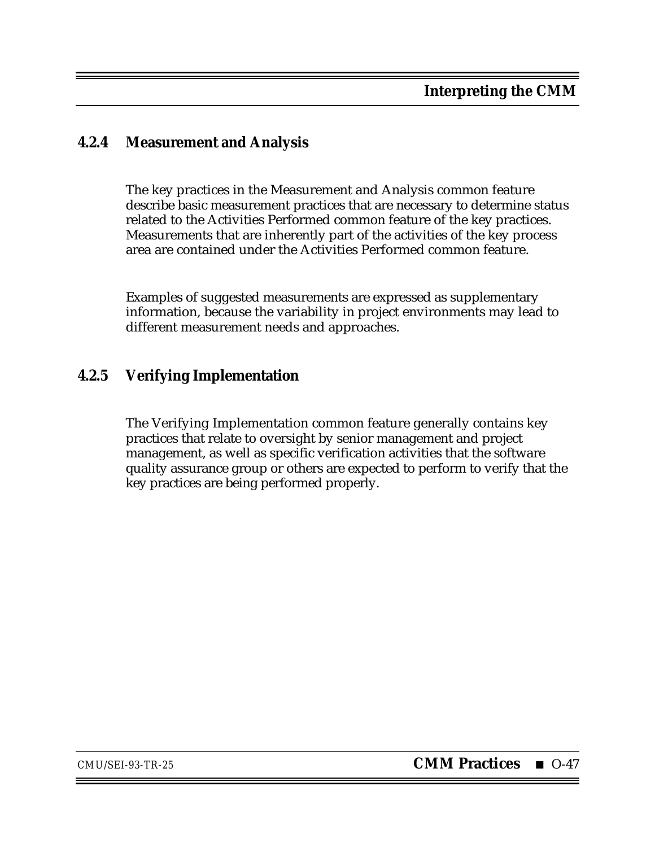#### **4.2.4 Measurement and Analysis**

The key practices in the Measurement and Analysis common feature describe basic measurement practices that are necessary to determine status related to the Activities Performed common feature of the key practices. Measurements that are inherently part of the activities of the key process area are contained under the Activities Performed common feature.

Examples of suggested measurements are expressed as supplementary information, because the variability in project environments may lead to different measurement needs and approaches.

#### **4.2.5 Verifying Implementation**

The Verifying Implementation common feature generally contains key practices that relate to oversight by senior management and project management, as well as specific verification activities that the software quality assurance group or others are expected to perform to verify that the key practices are being performed properly.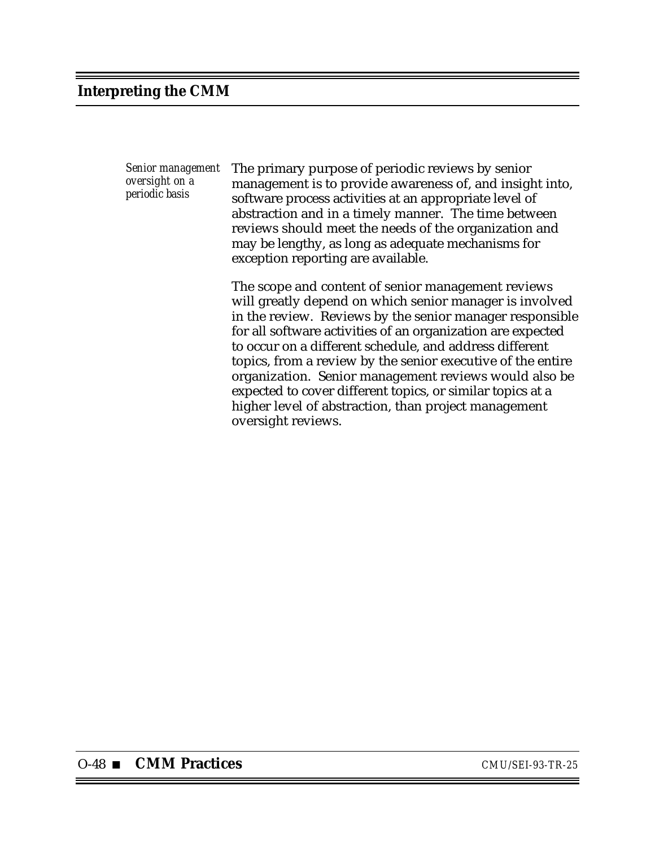*Senior management oversight on a periodic basis*

The primary purpose of periodic reviews by senior management is to provide awareness of, and insight into, software process activities at an appropriate level of abstraction and in a timely manner. The time between reviews should meet the needs of the organization and may be lengthy, as long as adequate mechanisms for exception reporting are available.

The scope and content of senior management reviews will greatly depend on which senior manager is involved in the review. Reviews by the senior manager responsible for all software activities of an organization are expected to occur on a different schedule, and address different topics, from a review by the senior executive of the entire organization. Senior management reviews would also be expected to cover different topics, or similar topics at a higher level of abstraction, than project management oversight reviews.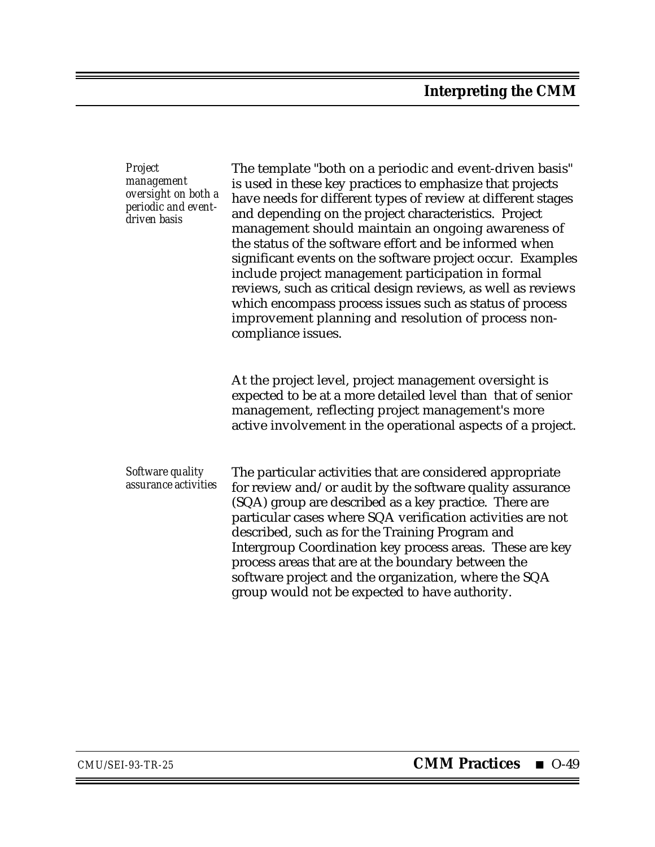| Project<br>management<br>oversight on both a<br>periodic and event-<br>driven basis | The template "both on a periodic and event-driven basis"<br>is used in these key practices to emphasize that projects<br>have needs for different types of review at different stages<br>and depending on the project characteristics. Project<br>management should maintain an ongoing awareness of<br>the status of the software effort and be informed when<br>significant events on the software project occur. Examples<br>include project management participation in formal<br>reviews, such as critical design reviews, as well as reviews<br>which encompass process issues such as status of process<br>improvement planning and resolution of process non-<br>compliance issues. |
|-------------------------------------------------------------------------------------|---------------------------------------------------------------------------------------------------------------------------------------------------------------------------------------------------------------------------------------------------------------------------------------------------------------------------------------------------------------------------------------------------------------------------------------------------------------------------------------------------------------------------------------------------------------------------------------------------------------------------------------------------------------------------------------------|
|                                                                                     | At the project level, project management oversight is<br>expected to be at a more detailed level than that of senior<br>management, reflecting project management's more<br>active involvement in the operational aspects of a project.                                                                                                                                                                                                                                                                                                                                                                                                                                                     |
| Software quality<br>assurance activities                                            | The particular activities that are considered appropriate<br>for review and/or audit by the software quality assurance<br>(SQA) group are described as a key practice. There are<br>particular cases where SQA verification activities are not<br>described, such as for the Training Program and<br>Intergroup Coordination key process areas. These are key<br>process areas that are at the boundary between the<br>software project and the organization, where the SQA<br>group would not be expected to have authority.                                                                                                                                                               |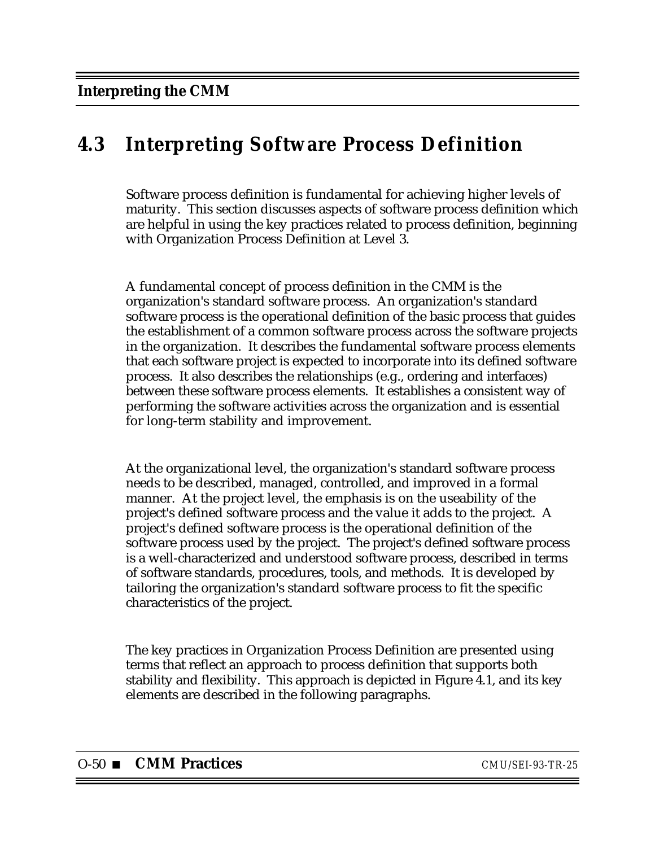# **4.3 Interpreting Software Process Definition**

Software process definition is fundamental for achieving higher levels of maturity. This section discusses aspects of software process definition which are helpful in using the key practices related to process definition, beginning with Organization Process Definition at Level 3.

A fundamental concept of process definition in the CMM is the organization's standard software process. An organization's standard software process is the operational definition of the basic process that guides the establishment of a common software process across the software projects in the organization. It describes the fundamental software process elements that each software project is expected to incorporate into its defined software process. It also describes the relationships (e.g., ordering and interfaces) between these software process elements. It establishes a consistent way of performing the software activities across the organization and is essential for long-term stability and improvement.

At the organizational level, the organization's standard software process needs to be described, managed, controlled, and improved in a formal manner. At the project level, the emphasis is on the useability of the project's defined software process and the value it adds to the project. A project's defined software process is the operational definition of the software process used by the project. The project's defined software process is a well-characterized and understood software process, described in terms of software standards, procedures, tools, and methods. It is developed by tailoring the organization's standard software process to fit the specific characteristics of the project.

The key practices in Organization Process Definition are presented using terms that reflect an approach to process definition that supports both stability and flexibility. This approach is depicted in Figure 4.1, and its key elements are described in the following paragraphs.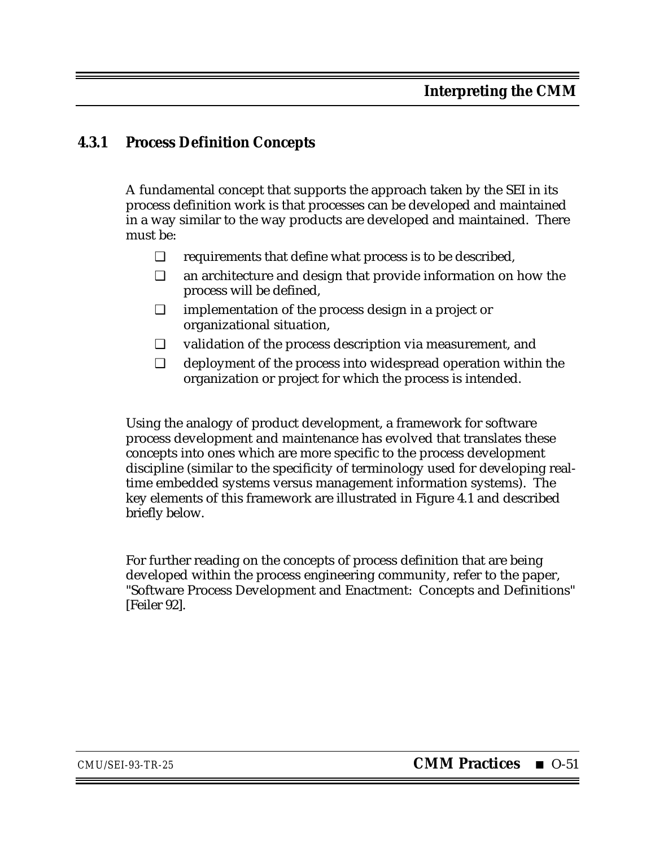## **4.3.1 Process Definition Concepts**

A fundamental concept that supports the approach taken by the SEI in its process definition work is that processes can be developed and maintained in a way similar to the way products are developed and maintained. There must be:

- ❑ requirements that define what process is to be described,
- ❑ an architecture and design that provide information on how the process will be defined,
- ❑ implementation of the process design in a project or organizational situation,
- ❑ validation of the process description via measurement, and
- ❑ deployment of the process into widespread operation within the organization or project for which the process is intended.

Using the analogy of product development, a framework for software process development and maintenance has evolved that translates these concepts into ones which are more specific to the process development discipline (similar to the specificity of terminology used for developing realtime embedded systems versus management information systems). The key elements of this framework are illustrated in Figure 4.1 and described briefly below.

For further reading on the concepts of process definition that are being developed within the process engineering community, refer to the paper, "Software Process Development and Enactment: Concepts and Definitions" [Feiler 92].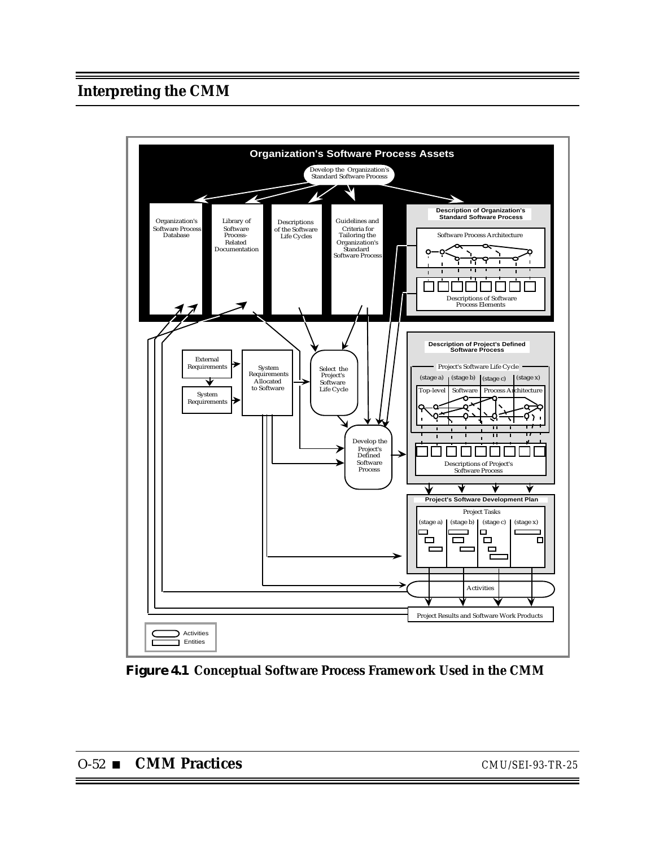

**Figure 4.1 Conceptual Software Process Framework Used in the CMM**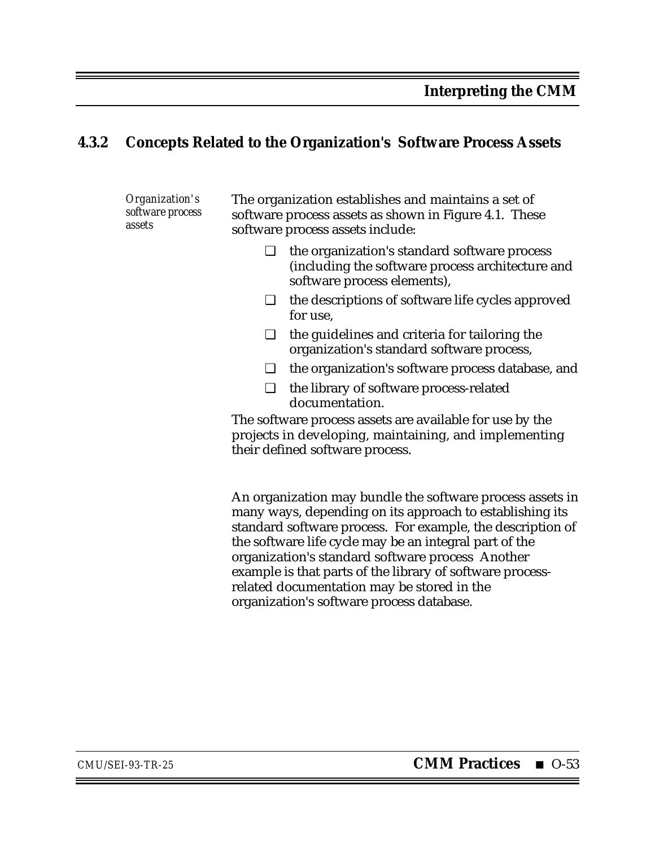## **4.3.2 Concepts Related to the Organization's Software Process Assets**

| Organization's<br>software process<br>assets | The organization establishes and maintains a set of<br>software process assets as shown in Figure 4.1. These<br>software process assets include:                                                                                                                                                                                                                                                             |  |
|----------------------------------------------|--------------------------------------------------------------------------------------------------------------------------------------------------------------------------------------------------------------------------------------------------------------------------------------------------------------------------------------------------------------------------------------------------------------|--|
|                                              | the organization's standard software process<br>(including the software process architecture and<br>software process elements),                                                                                                                                                                                                                                                                              |  |
|                                              | the descriptions of software life cycles approved<br>⊔<br>for use,                                                                                                                                                                                                                                                                                                                                           |  |
|                                              | the guidelines and criteria for tailoring the<br>⊔<br>organization's standard software process,                                                                                                                                                                                                                                                                                                              |  |
|                                              | the organization's software process database, and<br>⊔                                                                                                                                                                                                                                                                                                                                                       |  |
|                                              | the library of software process-related<br>❏<br>documentation.                                                                                                                                                                                                                                                                                                                                               |  |
|                                              | The software process assets are available for use by the<br>projects in developing, maintaining, and implementing<br>their defined software process.                                                                                                                                                                                                                                                         |  |
|                                              | An organization may bundle the software process assets in<br>many ways, depending on its approach to establishing its<br>standard software process. For example, the description of<br>the software life cycle may be an integral part of the<br>organization's standard software process Another<br>example is that parts of the library of software process-<br>related documentation may be stored in the |  |

organization's software process database.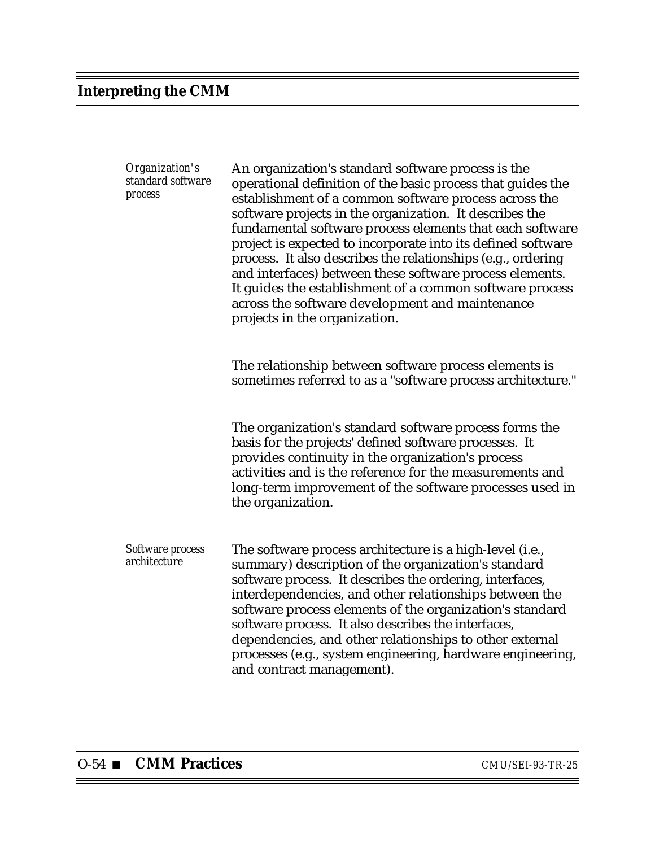| Organization's<br>standard software<br>process | An organization's standard software process is the<br>operational definition of the basic process that guides the<br>establishment of a common software process across the<br>software projects in the organization. It describes the<br>fundamental software process elements that each software<br>project is expected to incorporate into its defined software<br>process. It also describes the relationships (e.g., ordering<br>and interfaces) between these software process elements.<br>It guides the establishment of a common software process<br>across the software development and maintenance<br>projects in the organization. |
|------------------------------------------------|-----------------------------------------------------------------------------------------------------------------------------------------------------------------------------------------------------------------------------------------------------------------------------------------------------------------------------------------------------------------------------------------------------------------------------------------------------------------------------------------------------------------------------------------------------------------------------------------------------------------------------------------------|
|                                                | The relationship between software process elements is<br>sometimes referred to as a "software process architecture."                                                                                                                                                                                                                                                                                                                                                                                                                                                                                                                          |
|                                                | The organization's standard software process forms the<br>basis for the projects' defined software processes. It<br>provides continuity in the organization's process<br>activities and is the reference for the measurements and<br>long-term improvement of the software processes used in<br>the organization.                                                                                                                                                                                                                                                                                                                             |
| Software process<br>architecture               | The software process architecture is a high-level (i.e.,<br>summary) description of the organization's standard<br>software process. It describes the ordering, interfaces,<br>interdependencies, and other relationships between the<br>software process elements of the organization's standard<br>software process. It also describes the interfaces,<br>dependencies, and other relationships to other external<br>processes (e.g., system engineering, hardware engineering,<br>and contract management).                                                                                                                                |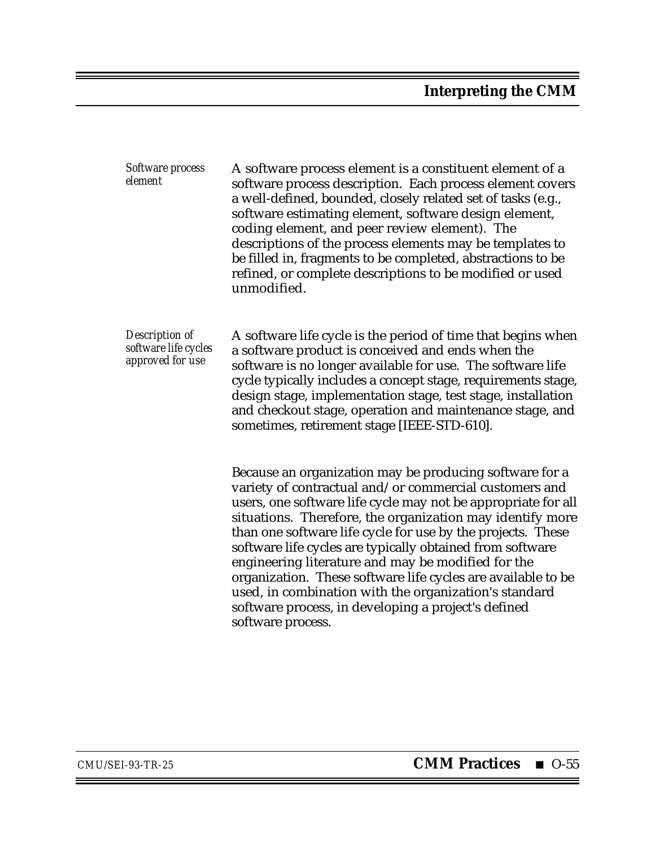| Software process<br>element                                | A software process element is a constituent element of a<br>software process description. Each process element covers<br>a well-defined, bounded, closely related set of tasks (e.g.,<br>software estimating element, software design element,<br>coding element, and peer review element). The<br>descriptions of the process elements may be templates to<br>be filled in, fragments to be completed, abstractions to be<br>refined, or complete descriptions to be modified or used<br>unmodified.                                                                                                                                  |
|------------------------------------------------------------|----------------------------------------------------------------------------------------------------------------------------------------------------------------------------------------------------------------------------------------------------------------------------------------------------------------------------------------------------------------------------------------------------------------------------------------------------------------------------------------------------------------------------------------------------------------------------------------------------------------------------------------|
| Description of<br>software life cycles<br>approved for use | A software life cycle is the period of time that begins when<br>a software product is conceived and ends when the<br>software is no longer available for use. The software life<br>cycle typically includes a concept stage, requirements stage,<br>design stage, implementation stage, test stage, installation<br>and checkout stage, operation and maintenance stage, and<br>sometimes, retirement stage [IEEE-STD-610].                                                                                                                                                                                                            |
|                                                            | Because an organization may be producing software for a<br>variety of contractual and/or commercial customers and<br>users, one software life cycle may not be appropriate for all<br>situations. Therefore, the organization may identify more<br>than one software life cycle for use by the projects. These<br>software life cycles are typically obtained from software<br>engineering literature and may be modified for the<br>organization. These software life cycles are available to be<br>used, in combination with the organization's standard<br>software process, in developing a project's defined<br>software process. |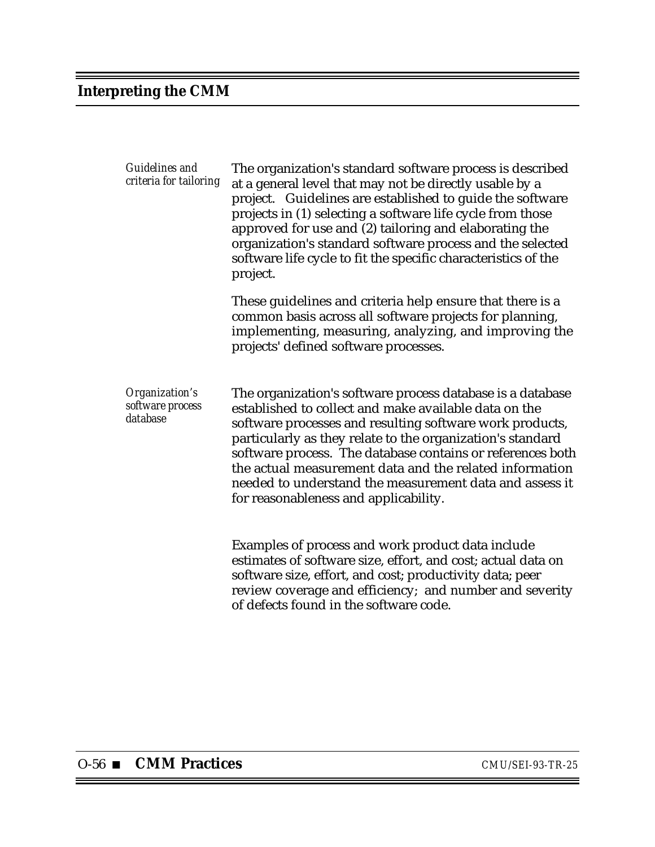| Guidelines and<br>criteria for tailoring       | The organization's standard software process is described<br>at a general level that may not be directly usable by a<br>project. Guidelines are established to guide the software<br>projects in (1) selecting a software life cycle from those<br>approved for use and (2) tailoring and elaborating the<br>organization's standard software process and the selected<br>software life cycle to fit the specific characteristics of the<br>project.                       |
|------------------------------------------------|----------------------------------------------------------------------------------------------------------------------------------------------------------------------------------------------------------------------------------------------------------------------------------------------------------------------------------------------------------------------------------------------------------------------------------------------------------------------------|
|                                                | These guidelines and criteria help ensure that there is a<br>common basis across all software projects for planning,<br>implementing, measuring, analyzing, and improving the<br>projects' defined software processes.                                                                                                                                                                                                                                                     |
| Organization's<br>software process<br>database | The organization's software process database is a database<br>established to collect and make available data on the<br>software processes and resulting software work products,<br>particularly as they relate to the organization's standard<br>software process. The database contains or references both<br>the actual measurement data and the related information<br>needed to understand the measurement data and assess it<br>for reasonableness and applicability. |
|                                                | Examples of process and work product data include<br>estimates of software size, effort, and cost; actual data on<br>software size, effort, and cost; productivity data; peer<br>review coverage and efficiency; and number and severity<br>of defects found in the software code.                                                                                                                                                                                         |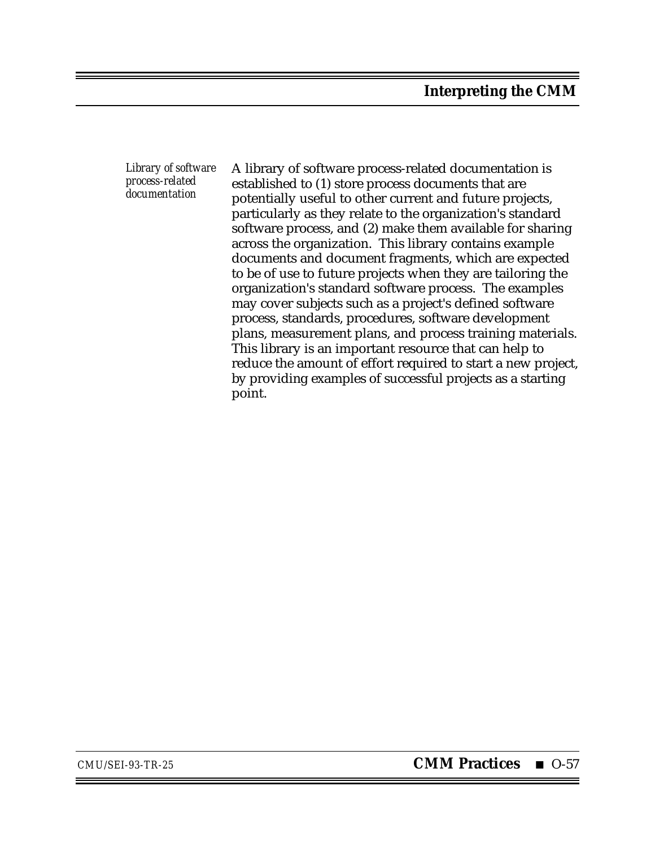*Library of software process-related documentation*

A library of software process-related documentation is established to (1) store process documents that are potentially useful to other current and future projects, particularly as they relate to the organization's standard software process, and (2) make them available for sharing across the organization. This library contains example documents and document fragments, which are expected to be of use to future projects when they are tailoring the organization's standard software process. The examples may cover subjects such as a project's defined software process, standards, procedures, software development plans, measurement plans, and process training materials. This library is an important resource that can help to reduce the amount of effort required to start a new project, by providing examples of successful projects as a starting point.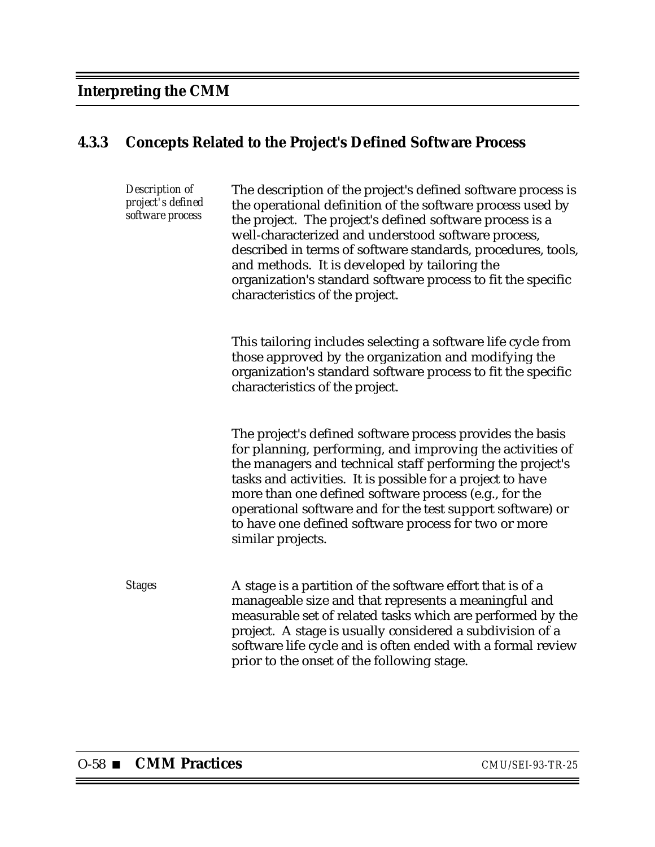## **4.3.3 Concepts Related to the Project's Defined Software Process**

| Description of<br>project's defined<br>software process | The description of the project's defined software process is<br>the operational definition of the software process used by<br>the project. The project's defined software process is a<br>well-characterized and understood software process,<br>described in terms of software standards, procedures, tools,<br>and methods. It is developed by tailoring the<br>organization's standard software process to fit the specific<br>characteristics of the project. |
|---------------------------------------------------------|-------------------------------------------------------------------------------------------------------------------------------------------------------------------------------------------------------------------------------------------------------------------------------------------------------------------------------------------------------------------------------------------------------------------------------------------------------------------|
|                                                         | This tailoring includes selecting a software life cycle from<br>those approved by the organization and modifying the<br>organization's standard software process to fit the specific<br>characteristics of the project.                                                                                                                                                                                                                                           |
|                                                         | The project's defined software process provides the basis<br>for planning, performing, and improving the activities of<br>the managers and technical staff performing the project's<br>tasks and activities. It is possible for a project to have<br>more than one defined software process (e.g., for the<br>operational software and for the test support software) or<br>to have one defined software process for two or more<br>similar projects.             |
| <b>Stages</b>                                           | A stage is a partition of the software effort that is of a<br>manageable size and that represents a meaningful and<br>measurable set of related tasks which are performed by the<br>project. A stage is usually considered a subdivision of a<br>software life cycle and is often ended with a formal review<br>prior to the onset of the following stage.                                                                                                        |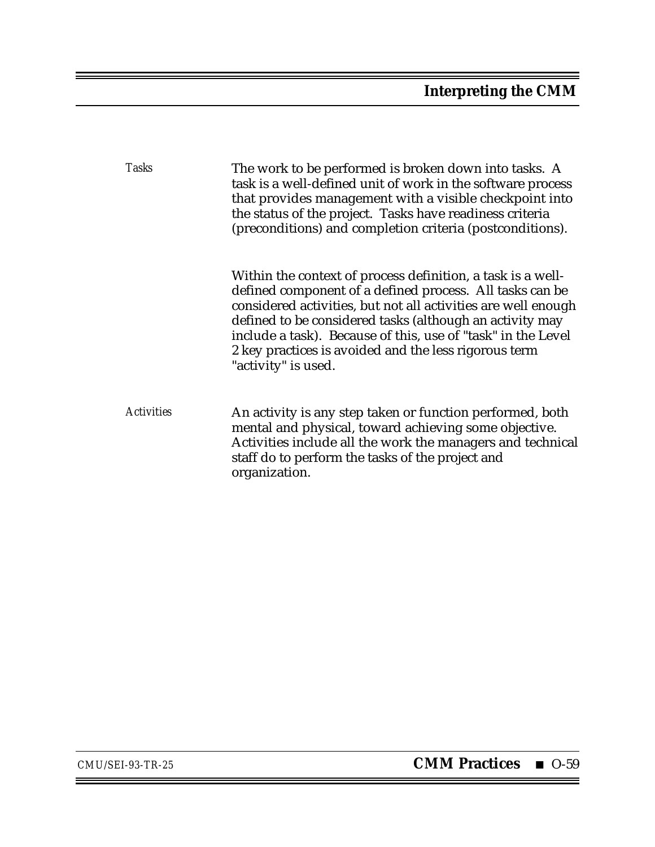| Tasks                    | The work to be performed is broken down into tasks. A<br>task is a well-defined unit of work in the software process<br>that provides management with a visible checkpoint into<br>the status of the project. Tasks have readiness criteria<br>(preconditions) and completion criteria (postconditions).                                                                                             |
|--------------------------|------------------------------------------------------------------------------------------------------------------------------------------------------------------------------------------------------------------------------------------------------------------------------------------------------------------------------------------------------------------------------------------------------|
|                          | Within the context of process definition, a task is a well-<br>defined component of a defined process. All tasks can be<br>considered activities, but not all activities are well enough<br>defined to be considered tasks (although an activity may<br>include a task). Because of this, use of "task" in the Level<br>2 key practices is avoided and the less rigorous term<br>"activity" is used. |
| <i><u>Activities</u></i> | An activity is any step taken or function performed, both<br>mental and physical, toward achieving some objective.<br>Activities include all the work the managers and technical<br>staff do to perform the tasks of the project and<br>organization.                                                                                                                                                |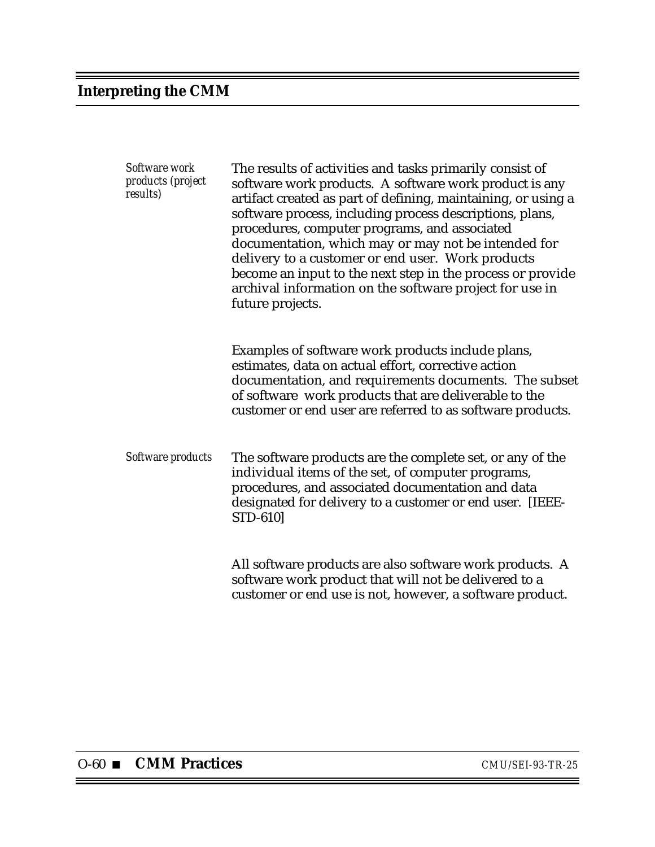| Software work<br>products (project<br>results) | The results of activities and tasks primarily consist of<br>software work products. A software work product is any<br>artifact created as part of defining, maintaining, or using a<br>software process, including process descriptions, plans,<br>procedures, computer programs, and associated<br>documentation, which may or may not be intended for<br>delivery to a customer or end user. Work products<br>become an input to the next step in the process or provide<br>archival information on the software project for use in<br>future projects. |
|------------------------------------------------|-----------------------------------------------------------------------------------------------------------------------------------------------------------------------------------------------------------------------------------------------------------------------------------------------------------------------------------------------------------------------------------------------------------------------------------------------------------------------------------------------------------------------------------------------------------|
|                                                | Examples of software work products include plans,<br>estimates, data on actual effort, corrective action<br>documentation, and requirements documents. The subset<br>of software work products that are deliverable to the<br>customer or end user are referred to as software products.                                                                                                                                                                                                                                                                  |
| Software products                              | The software products are the complete set, or any of the<br>individual items of the set, of computer programs,<br>procedures, and associated documentation and data<br>designated for delivery to a customer or end user. [IEEE-<br><b>STD-610</b>                                                                                                                                                                                                                                                                                                       |
|                                                | All software products are also software work products. A<br>software work product that will not be delivered to a<br>customer or end use is not, however, a software product.                                                                                                                                                                                                                                                                                                                                                                             |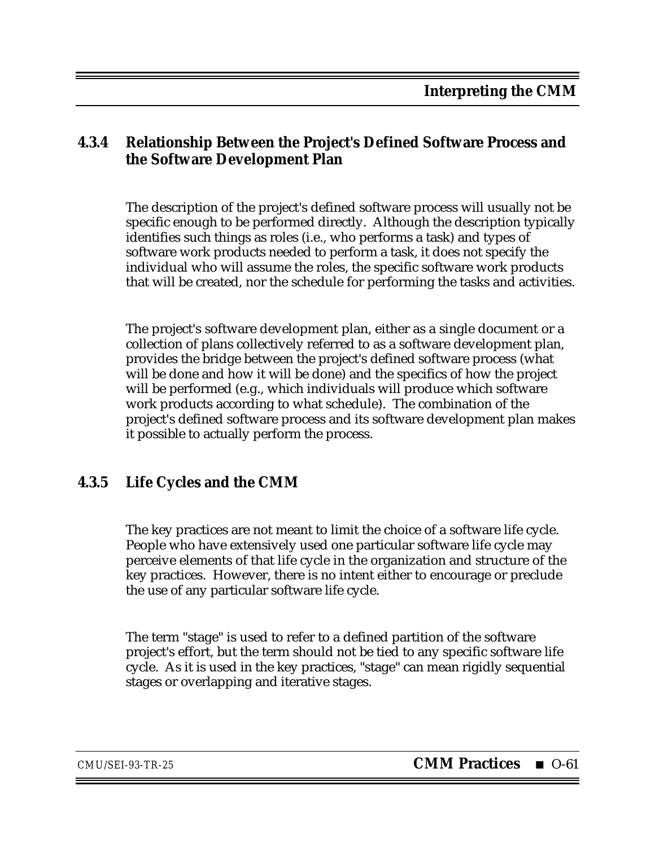#### **4.3.4 Relationship Between the Project's Defined Software Process and the Software Development Plan**

The description of the project's defined software process will usually not be specific enough to be performed directly. Although the description typically identifies such things as roles (i.e., who performs a task) and types of software work products needed to perform a task, it does not specify the individual who will assume the roles, the specific software work products that will be created, nor the schedule for performing the tasks and activities.

The project's software development plan, either as a single document or a collection of plans collectively referred to as a software development plan, provides the bridge between the project's defined software process (what will be done and how it will be done) and the specifics of how the project will be performed (e.g., which individuals will produce which software work products according to what schedule). The combination of the project's defined software process and its software development plan makes it possible to actually perform the process.

## **4.3.5 Life Cycles and the CMM**

The key practices are not meant to limit the choice of a software life cycle. People who have extensively used one particular software life cycle may perceive elements of that life cycle in the organization and structure of the key practices. However, there is no intent either to encourage or preclude the use of any particular software life cycle.

The term "stage" is used to refer to a defined partition of the software project's effort, but the term should not be tied to any specific software life cycle. As it is used in the key practices, "stage" can mean rigidly sequential stages or overlapping and iterative stages.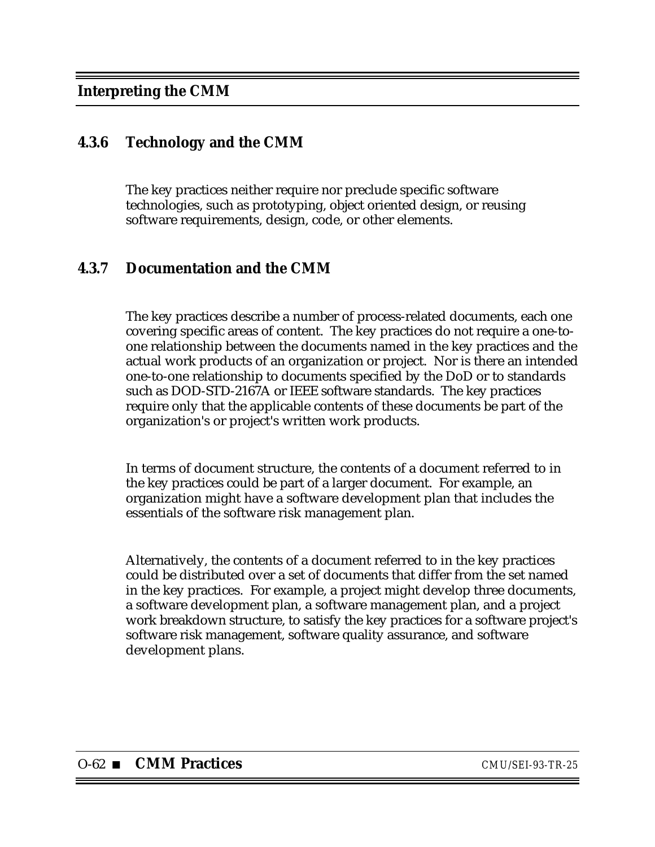#### **Interpreting the CMM**

#### **4.3.6 Technology and the CMM**

The key practices neither require nor preclude specific software technologies, such as prototyping, object oriented design, or reusing software requirements, design, code, or other elements.

#### **4.3.7 Documentation and the CMM**

The key practices describe a number of process-related documents, each one covering specific areas of content. The key practices do not require a one-toone relationship between the documents named in the key practices and the actual work products of an organization or project. Nor is there an intended one-to-one relationship to documents specified by the DoD or to standards such as DOD-STD-2167A or IEEE software standards. The key practices require only that the applicable contents of these documents be part of the organization's or project's written work products.

In terms of document structure, the contents of a document referred to in the key practices could be part of a larger document. For example, an organization might have a software development plan that includes the essentials of the software risk management plan.

Alternatively, the contents of a document referred to in the key practices could be distributed over a set of documents that differ from the set named in the key practices. For example, a project might develop three documents, a software development plan, a software management plan, and a project work breakdown structure, to satisfy the key practices for a software project's software risk management, software quality assurance, and software development plans.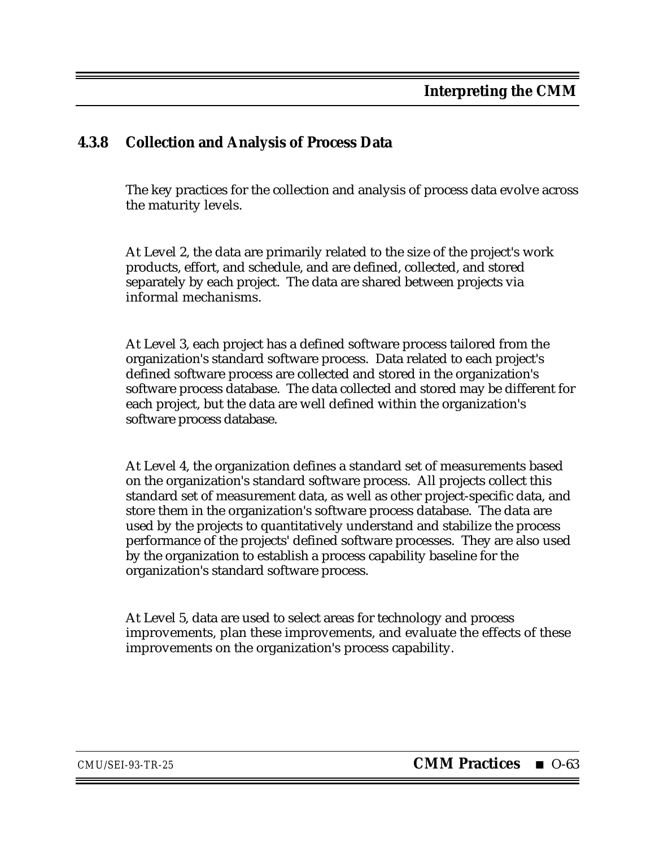#### **4.3.8 Collection and Analysis of Process Data**

The key practices for the collection and analysis of process data evolve across the maturity levels.

At Level 2, the data are primarily related to the size of the project's work products, effort, and schedule, and are defined, collected, and stored separately by each project. The data are shared between projects via informal mechanisms.

At Level 3, each project has a defined software process tailored from the organization's standard software process. Data related to each project's defined software process are collected and stored in the organization's software process database. The data collected and stored may be different for each project, but the data are well defined within the organization's software process database.

At Level 4, the organization defines a standard set of measurements based on the organization's standard software process. All projects collect this standard set of measurement data, as well as other project-specific data, and store them in the organization's software process database. The data are used by the projects to quantitatively understand and stabilize the process performance of the projects' defined software processes. They are also used by the organization to establish a process capability baseline for the organization's standard software process.

At Level 5, data are used to select areas for technology and process improvements, plan these improvements, and evaluate the effects of these improvements on the organization's process capability.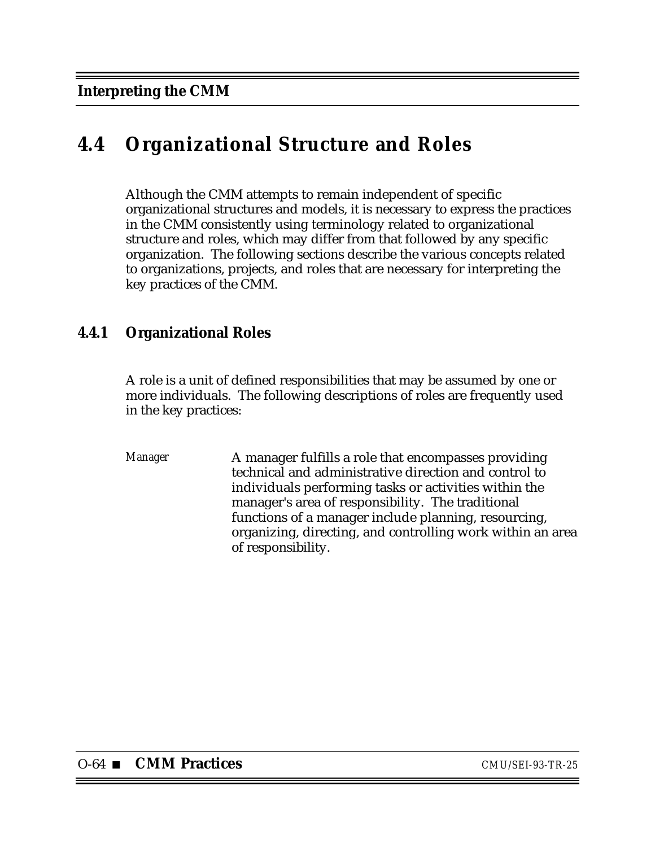# **4.4 Organizational Structure and Roles**

Although the CMM attempts to remain independent of specific organizational structures and models, it is necessary to express the practices in the CMM consistently using terminology related to organizational structure and roles, which may differ from that followed by any specific organization. The following sections describe the various concepts related to organizations, projects, and roles that are necessary for interpreting the key practices of the CMM.

#### **4.4.1 Organizational Roles**

A role is a unit of defined responsibilities that may be assumed by one or more individuals. The following descriptions of roles are frequently used in the key practices:

*Manager* A manager fulfills a role that encompasses providing technical and administrative direction and control to individuals performing tasks or activities within the manager's area of responsibility. The traditional functions of a manager include planning, resourcing, organizing, directing, and controlling work within an area of responsibility.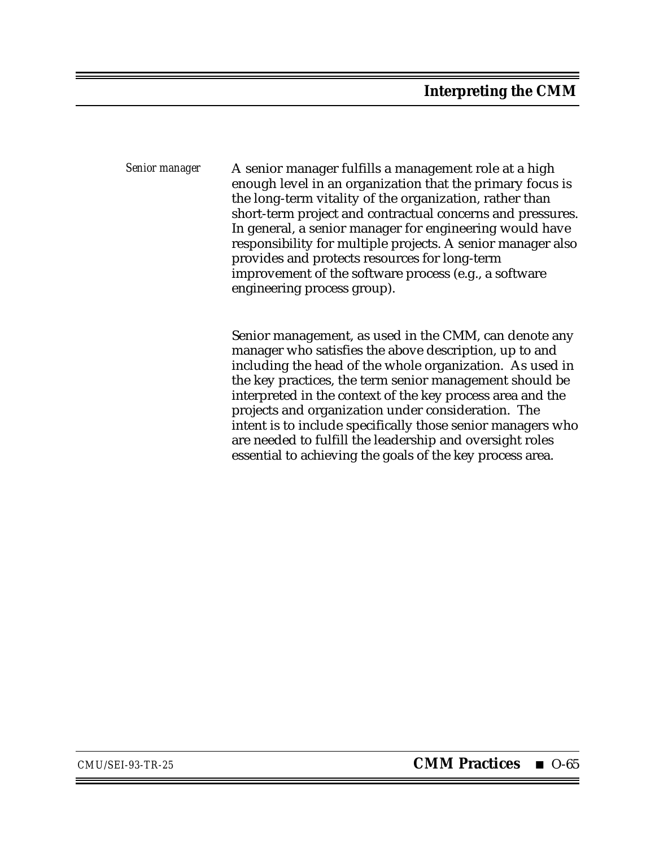*Senior manager* A senior manager fulfills a management role at a high enough level in an organization that the primary focus is the long-term vitality of the organization, rather than short-term project and contractual concerns and pressures. In general, a senior manager for engineering would have responsibility for multiple projects. A senior manager also provides and protects resources for long-term improvement of the software process (e.g., a software engineering process group).

> Senior management, as used in the CMM, can denote any manager who satisfies the above description, up to and including the head of the whole organization. As used in the key practices, the term senior management should be interpreted in the context of the key process area and the projects and organization under consideration. The intent is to include specifically those senior managers who are needed to fulfill the leadership and oversight roles essential to achieving the goals of the key process area.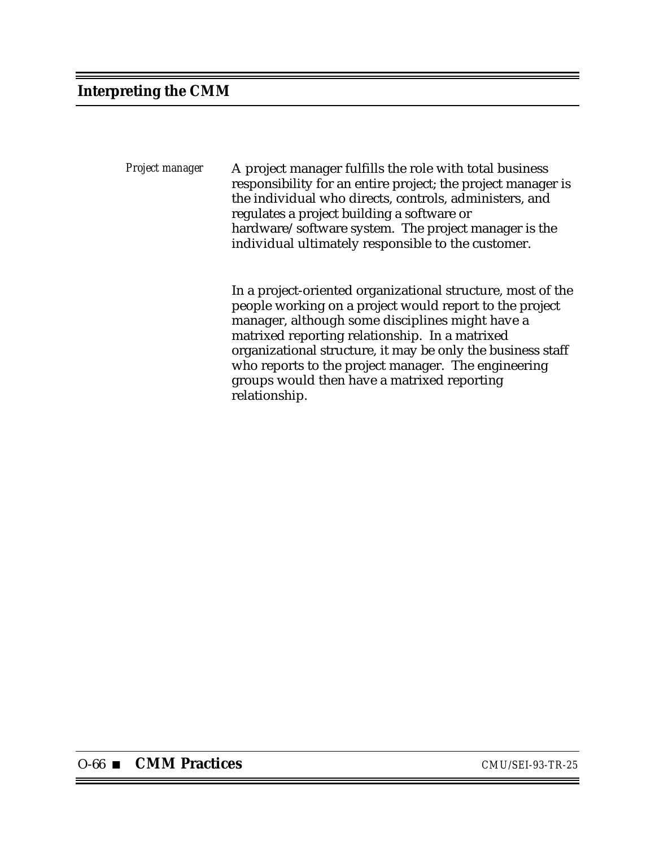#### **Interpreting the CMM**

*Project manager* A project manager fulfills the role with total business responsibility for an entire project; the project manager is the individual who directs, controls, administers, and regulates a project building a software or hardware/software system. The project manager is the individual ultimately responsible to the customer.

> In a project-oriented organizational structure, most of the people working on a project would report to the project manager, although some disciplines might have a matrixed reporting relationship. In a matrixed organizational structure, it may be only the business staff who reports to the project manager. The engineering groups would then have a matrixed reporting relationship.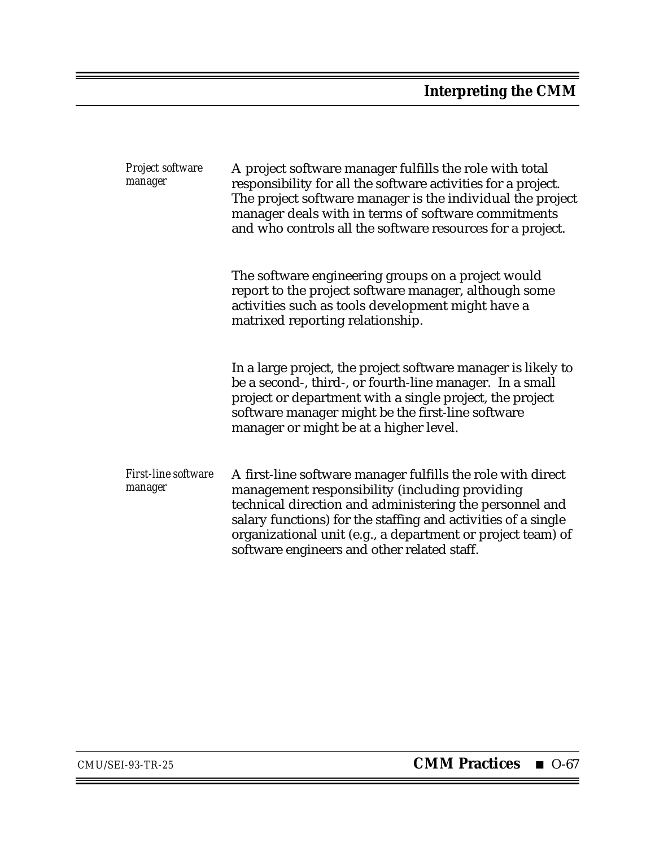| Project software<br>manager    | A project software manager fulfills the role with total<br>responsibility for all the software activities for a project.<br>The project software manager is the individual the project<br>manager deals with in terms of software commitments<br>and who controls all the software resources for a project.                                             |
|--------------------------------|---------------------------------------------------------------------------------------------------------------------------------------------------------------------------------------------------------------------------------------------------------------------------------------------------------------------------------------------------------|
|                                | The software engineering groups on a project would<br>report to the project software manager, although some<br>activities such as tools development might have a<br>matrixed reporting relationship.                                                                                                                                                    |
|                                | In a large project, the project software manager is likely to<br>be a second-, third-, or fourth-line manager. In a small<br>project or department with a single project, the project<br>software manager might be the first-line software<br>manager or might be at a higher level.                                                                    |
| First-line software<br>manager | A first-line software manager fulfills the role with direct<br>management responsibility (including providing<br>technical direction and administering the personnel and<br>salary functions) for the staffing and activities of a single<br>organizational unit (e.g., a department or project team) of<br>software engineers and other related staff. |

Ξ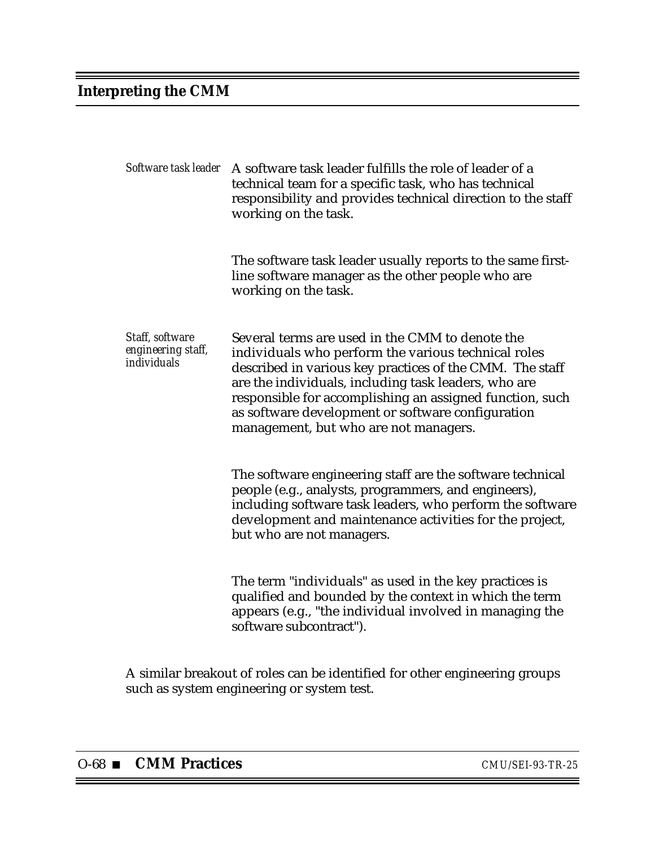#### **Interpreting the CMM**

| Software task leader                                 | A software task leader fulfills the role of leader of a<br>technical team for a specific task, who has technical<br>responsibility and provides technical direction to the staff<br>working on the task.                                                                                                                                                                             |
|------------------------------------------------------|--------------------------------------------------------------------------------------------------------------------------------------------------------------------------------------------------------------------------------------------------------------------------------------------------------------------------------------------------------------------------------------|
|                                                      | The software task leader usually reports to the same first-<br>line software manager as the other people who are<br>working on the task.                                                                                                                                                                                                                                             |
| Staff, software<br>engineering staff,<br>individuals | Several terms are used in the CMM to denote the<br>individuals who perform the various technical roles<br>described in various key practices of the CMM. The staff<br>are the individuals, including task leaders, who are<br>responsible for accomplishing an assigned function, such<br>as software development or software configuration<br>management, but who are not managers. |
|                                                      | The software engineering staff are the software technical<br>people (e.g., analysts, programmers, and engineers),<br>including software task leaders, who perform the software<br>development and maintenance activities for the project,<br>but who are not managers.                                                                                                               |
|                                                      | The term "individuals" as used in the key practices is<br>qualified and bounded by the context in which the term<br>appears (e.g., "the individual involved in managing the<br>software subcontract").                                                                                                                                                                               |

A similar breakout of roles can be identified for other engineering groups such as system engineering or system test.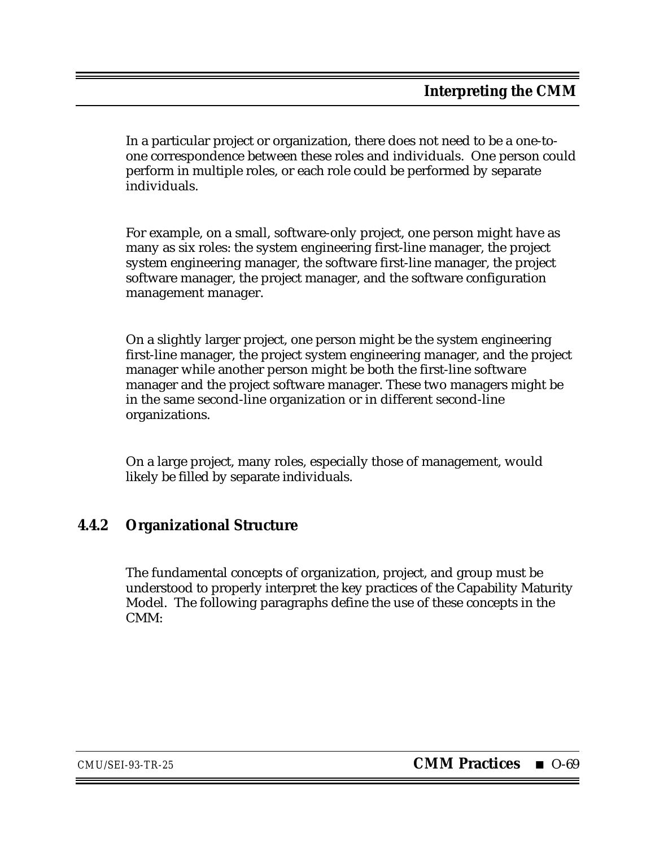In a particular project or organization, there does not need to be a one-toone correspondence between these roles and individuals. One person could perform in multiple roles, or each role could be performed by separate individuals.

For example, on a small, software-only project, one person might have as many as six roles: the system engineering first-line manager, the project system engineering manager, the software first-line manager, the project software manager, the project manager, and the software configuration management manager.

On a slightly larger project, one person might be the system engineering first-line manager, the project system engineering manager, and the project manager while another person might be both the first-line software manager and the project software manager. These two managers might be in the same second-line organization or in different second-line organizations.

On a large project, many roles, especially those of management, would likely be filled by separate individuals.

#### **4.4.2 Organizational Structure**

The fundamental concepts of organization, project, and group must be understood to properly interpret the key practices of the Capability Maturity Model. The following paragraphs define the use of these concepts in the CMM: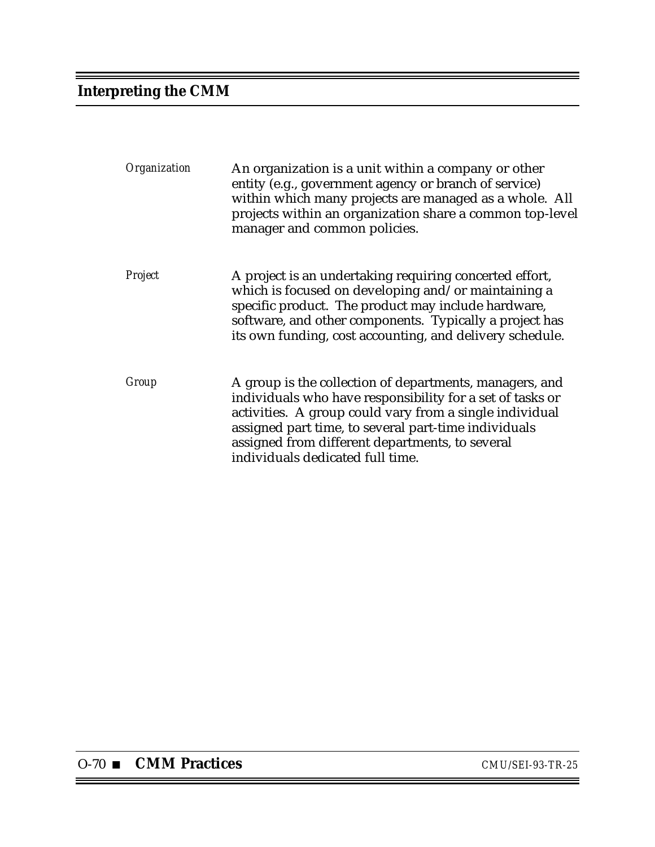## **Interpreting the CMM**

| Organization | An organization is a unit within a company or other<br>entity (e.g., government agency or branch of service)<br>within which many projects are managed as a whole. All<br>projects within an organization share a common top-level<br>manager and common policies.                                                             |
|--------------|--------------------------------------------------------------------------------------------------------------------------------------------------------------------------------------------------------------------------------------------------------------------------------------------------------------------------------|
| Project      | A project is an undertaking requiring concerted effort,<br>which is focused on developing and/or maintaining a<br>specific product. The product may include hardware,<br>software, and other components. Typically a project has<br>its own funding, cost accounting, and delivery schedule.                                   |
| Group        | A group is the collection of departments, managers, and<br>individuals who have responsibility for a set of tasks or<br>activities. A group could vary from a single individual<br>assigned part time, to several part-time individuals<br>assigned from different departments, to several<br>individuals dedicated full time. |

Ξ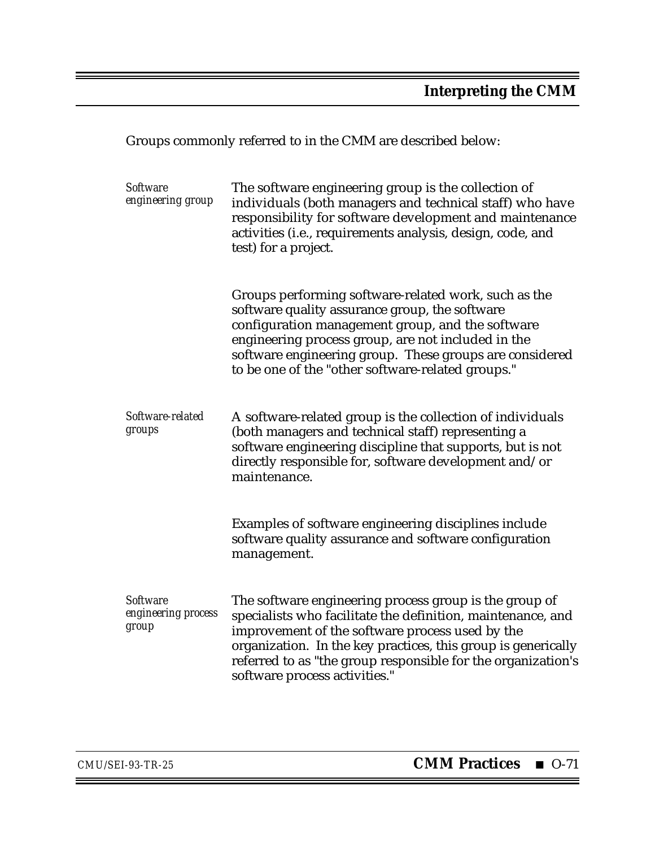Groups commonly referred to in the CMM are described below:

| Software<br>engineering group            | The software engineering group is the collection of<br>individuals (both managers and technical staff) who have<br>responsibility for software development and maintenance<br>activities (i.e., requirements analysis, design, code, and<br>test) for a project.                                                                           |
|------------------------------------------|--------------------------------------------------------------------------------------------------------------------------------------------------------------------------------------------------------------------------------------------------------------------------------------------------------------------------------------------|
|                                          | Groups performing software-related work, such as the<br>software quality assurance group, the software<br>configuration management group, and the software<br>engineering process group, are not included in the<br>software engineering group. These groups are considered<br>to be one of the "other software-related groups."           |
| Software-related<br>groups               | A software-related group is the collection of individuals<br>(both managers and technical staff) representing a<br>software engineering discipline that supports, but is not<br>directly responsible for, software development and/or<br>maintenance.                                                                                      |
|                                          | Examples of software engineering disciplines include<br>software quality assurance and software configuration<br>management.                                                                                                                                                                                                               |
| Software<br>engineering process<br>group | The software engineering process group is the group of<br>specialists who facilitate the definition, maintenance, and<br>improvement of the software process used by the<br>organization. In the key practices, this group is generically<br>referred to as "the group responsible for the organization's<br>software process activities." |

=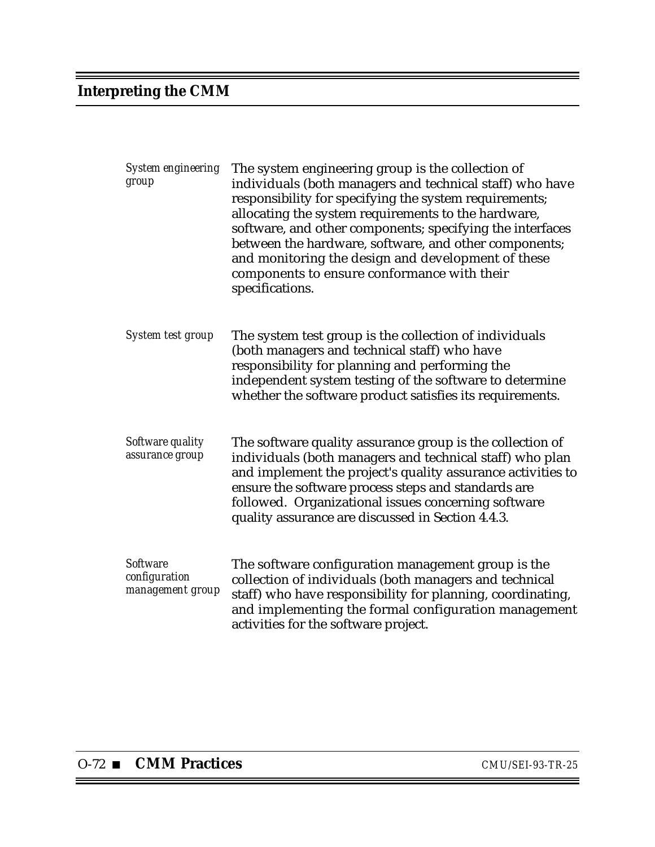## **Interpreting the CMM**

| System engineering<br>group                   | The system engineering group is the collection of<br>individuals (both managers and technical staff) who have<br>responsibility for specifying the system requirements;<br>allocating the system requirements to the hardware,<br>software, and other components; specifying the interfaces<br>between the hardware, software, and other components;<br>and monitoring the design and development of these<br>components to ensure conformance with their<br>specifications. |
|-----------------------------------------------|------------------------------------------------------------------------------------------------------------------------------------------------------------------------------------------------------------------------------------------------------------------------------------------------------------------------------------------------------------------------------------------------------------------------------------------------------------------------------|
| System test group                             | The system test group is the collection of individuals<br>(both managers and technical staff) who have<br>responsibility for planning and performing the<br>independent system testing of the software to determine<br>whether the software product satisfies its requirements.                                                                                                                                                                                              |
| Software quality<br>assurance group           | The software quality assurance group is the collection of<br>individuals (both managers and technical staff) who plan<br>and implement the project's quality assurance activities to<br>ensure the software process steps and standards are<br>followed. Organizational issues concerning software<br>quality assurance are discussed in Section 4.4.3.                                                                                                                      |
| Software<br>configuration<br>management group | The software configuration management group is the<br>collection of individuals (both managers and technical<br>staff) who have responsibility for planning, coordinating,<br>and implementing the formal configuration management<br>activities for the software project.                                                                                                                                                                                                   |

Ξ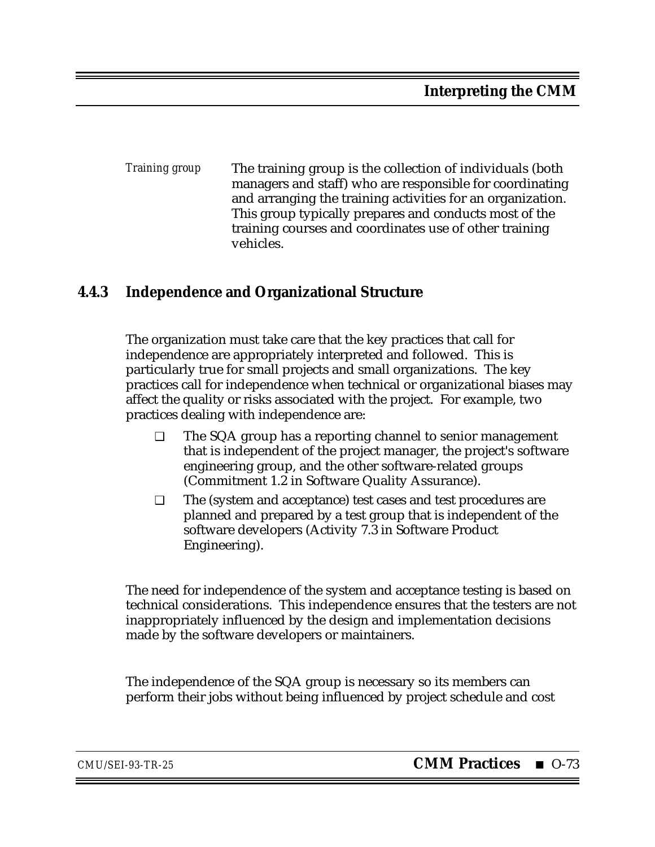*Training group* The training group is the collection of individuals (both managers and staff) who are responsible for coordinating and arranging the training activities for an organization. This group typically prepares and conducts most of the training courses and coordinates use of other training vehicles.

#### **4.4.3 Independence and Organizational Structure**

The organization must take care that the key practices that call for independence are appropriately interpreted and followed. This is particularly true for small projects and small organizations. The key practices call for independence when technical or organizational biases may affect the quality or risks associated with the project. For example, two practices dealing with independence are:

- ❑ The SQA group has a reporting channel to senior management that is independent of the project manager, the project's software engineering group, and the other software-related groups (Commitment 1.2 in Software Quality Assurance).
- ❑ The (system and acceptance) test cases and test procedures are planned and prepared by a test group that is independent of the software developers (Activity 7.3 in Software Product Engineering).

The need for independence of the system and acceptance testing is based on technical considerations. This independence ensures that the testers are not inappropriately influenced by the design and implementation decisions made by the software developers or maintainers.

The independence of the SQA group is necessary so its members can perform their jobs without being influenced by project schedule and cost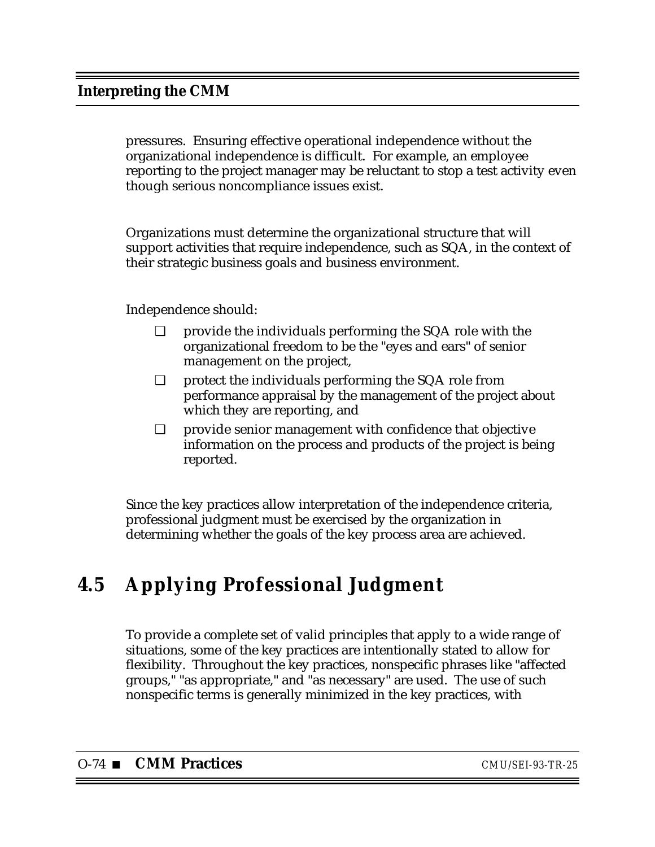pressures. Ensuring effective operational independence without the organizational independence is difficult. For example, an employee reporting to the project manager may be reluctant to stop a test activity even though serious noncompliance issues exist.

Organizations must determine the organizational structure that will support activities that require independence, such as SQA, in the context of their strategic business goals and business environment.

Independence should:

- ❑ provide the individuals performing the SQA role with the organizational freedom to be the "eyes and ears" of senior management on the project,
- ❑ protect the individuals performing the SQA role from performance appraisal by the management of the project about which they are reporting, and
- ❑ provide senior management with confidence that objective information on the process and products of the project is being reported.

Since the key practices allow interpretation of the independence criteria, professional judgment must be exercised by the organization in determining whether the goals of the key process area are achieved.

# **4.5 Applying Professional Judgment**

To provide a complete set of valid principles that apply to a wide range of situations, some of the key practices are intentionally stated to allow for flexibility. Throughout the key practices, nonspecific phrases like "affected groups," "as appropriate," and "as necessary" are used. The use of such nonspecific terms is generally minimized in the key practices, with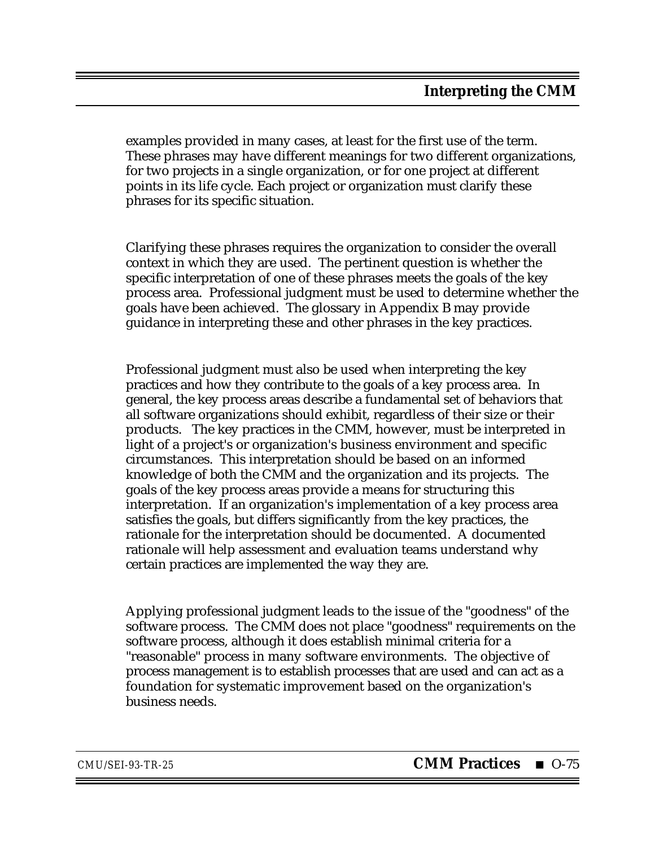examples provided in many cases, at least for the first use of the term. These phrases may have different meanings for two different organizations, for two projects in a single organization, or for one project at different points in its life cycle. Each project or organization must clarify these phrases for its specific situation.

Clarifying these phrases requires the organization to consider the overall context in which they are used. The pertinent question is whether the specific interpretation of one of these phrases meets the goals of the key process area. Professional judgment must be used to determine whether the goals have been achieved. The glossary in Appendix B may provide guidance in interpreting these and other phrases in the key practices.

Professional judgment must also be used when interpreting the key practices and how they contribute to the goals of a key process area. In general, the key process areas describe a fundamental set of behaviors that all software organizations should exhibit, regardless of their size or their products. The key practices in the CMM, however, must be interpreted in light of a project's or organization's business environment and specific circumstances. This interpretation should be based on an informed knowledge of both the CMM and the organization and its projects. The goals of the key process areas provide a means for structuring this interpretation. If an organization's implementation of a key process area satisfies the goals, but differs significantly from the key practices, the rationale for the interpretation should be documented. A documented rationale will help assessment and evaluation teams understand why certain practices are implemented the way they are.

Applying professional judgment leads to the issue of the "goodness" of the software process. The CMM does not place "goodness" requirements on the software process, although it does establish minimal criteria for a "reasonable" process in many software environments. The objective of process management is to establish processes that are used and can act as a foundation for systematic improvement based on the organization's business needs.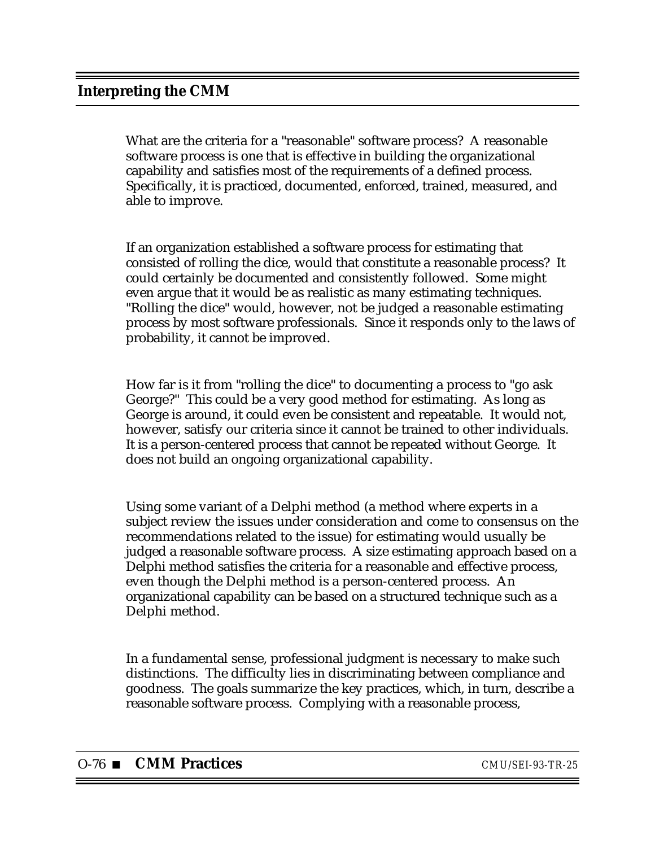#### **Interpreting the CMM**

What are the criteria for a "reasonable" software process? A reasonable software process is one that is effective in building the organizational capability and satisfies most of the requirements of a defined process. Specifically, it is practiced, documented, enforced, trained, measured, and able to improve.

If an organization established a software process for estimating that consisted of rolling the dice, would that constitute a reasonable process? It could certainly be documented and consistently followed. Some might even argue that it would be as realistic as many estimating techniques. "Rolling the dice" would, however, not be judged a reasonable estimating process by most software professionals. Since it responds only to the laws of probability, it cannot be improved.

How far is it from "rolling the dice" to documenting a process to "go ask George?" This could be a very good method for estimating. As long as George is around, it could even be consistent and repeatable. It would not, however, satisfy our criteria since it cannot be trained to other individuals. It is a person-centered process that cannot be repeated without George. It does not build an ongoing organizational capability.

Using some variant of a Delphi method (a method where experts in a subject review the issues under consideration and come to consensus on the recommendations related to the issue) for estimating would usually be judged a reasonable software process. A size estimating approach based on a Delphi method satisfies the criteria for a reasonable and effective process, even though the Delphi method is a person-centered process. An organizational capability can be based on a structured technique such as a Delphi method.

In a fundamental sense, professional judgment is necessary to make such distinctions. The difficulty lies in discriminating between compliance and goodness. The goals summarize the key practices, which, in turn, describe a reasonable software process. Complying with a reasonable process,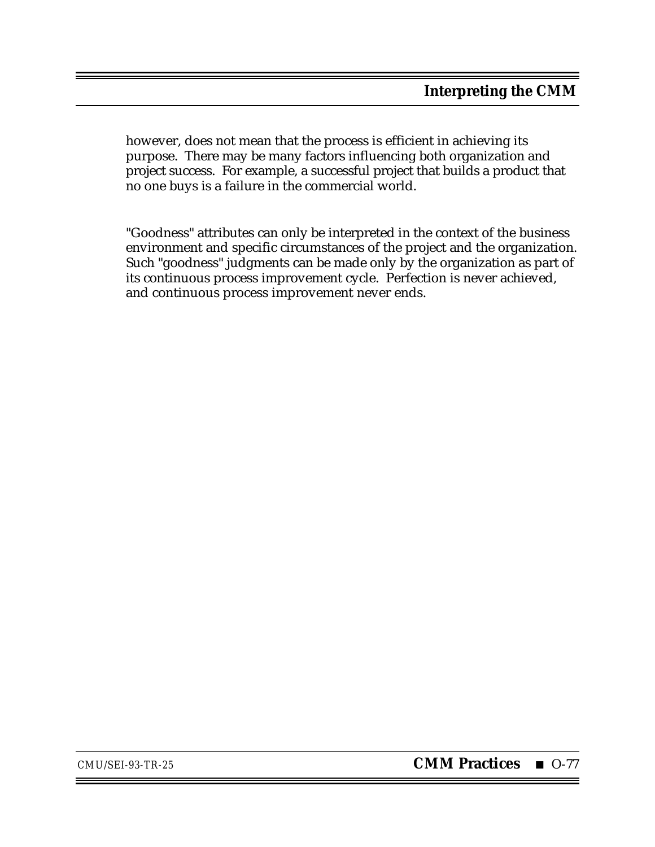however, does not mean that the process is efficient in achieving its purpose. There may be many factors influencing both organization and project success. For example, a successful project that builds a product that no one buys is a failure in the commercial world.

"Goodness" attributes can only be interpreted in the context of the business environment and specific circumstances of the project and the organization. Such "goodness" judgments can be made only by the organization as part of its continuous process improvement cycle. Perfection is never achieved, and continuous process improvement never ends.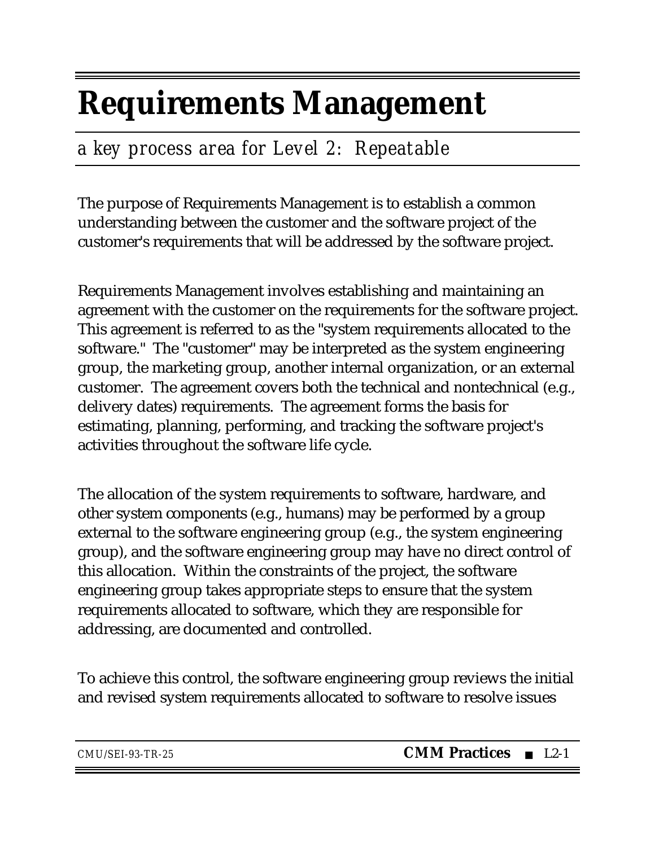# **Requirements Management**

# *a key process area for Level 2: Repeatable*

The purpose of Requirements Management is to establish a common understanding between the customer and the software project of the customer's requirements that will be addressed by the software project.

Requirements Management involves establishing and maintaining an agreement with the customer on the requirements for the software project. This agreement is referred to as the "system requirements allocated to the software." The "customer" may be interpreted as the system engineering group, the marketing group, another internal organization, or an external customer. The agreement covers both the technical and nontechnical (e.g., delivery dates) requirements. The agreement forms the basis for estimating, planning, performing, and tracking the software project's activities throughout the software life cycle.

The allocation of the system requirements to software, hardware, and other system components (e.g., humans) may be performed by a group external to the software engineering group (e.g., the system engineering group), and the software engineering group may have no direct control of this allocation. Within the constraints of the project, the software engineering group takes appropriate steps to ensure that the system requirements allocated to software, which they are responsible for addressing, are documented and controlled.

To achieve this control, the software engineering group reviews the initial and revised system requirements allocated to software to resolve issues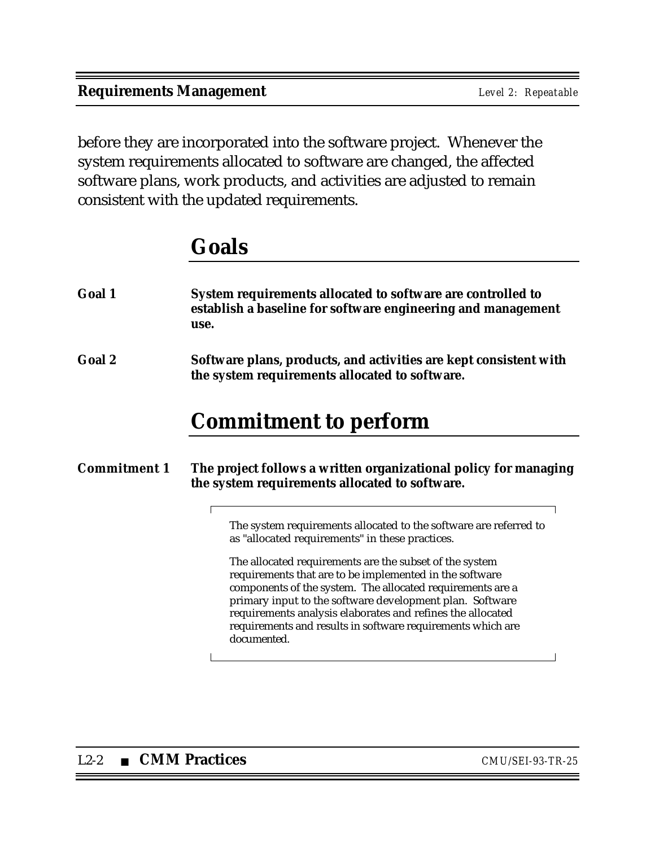before they are incorporated into the software project. Whenever the system requirements allocated to software are changed, the affected software plans, work products, and activities are adjusted to remain consistent with the updated requirements.

|                     | Goals                                                                                                                                                                                                                                                                                                                                                                                    |  |  |
|---------------------|------------------------------------------------------------------------------------------------------------------------------------------------------------------------------------------------------------------------------------------------------------------------------------------------------------------------------------------------------------------------------------------|--|--|
| Goal 1              | System requirements allocated to software are controlled to<br>establish a baseline for software engineering and management<br>use.                                                                                                                                                                                                                                                      |  |  |
| Goal 2              | Software plans, products, and activities are kept consistent with<br>the system requirements allocated to software.                                                                                                                                                                                                                                                                      |  |  |
|                     | <b>Commitment to perform</b>                                                                                                                                                                                                                                                                                                                                                             |  |  |
| <b>Commitment 1</b> | The project follows a written organizational policy for managing<br>the system requirements allocated to software.                                                                                                                                                                                                                                                                       |  |  |
|                     | The system requirements allocated to the software are referred to<br>as "allocated requirements" in these practices.                                                                                                                                                                                                                                                                     |  |  |
|                     | The allocated requirements are the subset of the system<br>requirements that are to be implemented in the software<br>components of the system. The allocated requirements are a<br>primary input to the software development plan. Software<br>requirements analysis elaborates and refines the allocated<br>requirements and results in software requirements which are<br>documented. |  |  |
|                     |                                                                                                                                                                                                                                                                                                                                                                                          |  |  |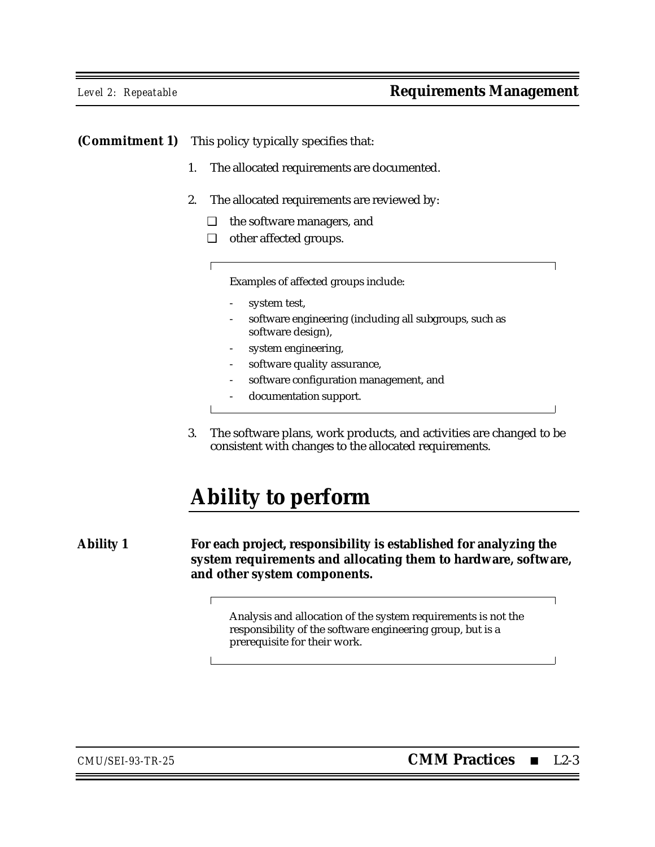**(Commitment 1)** This policy typically specifies that:

 $\sqrt{2}$ 

 $\sqrt{2}$ 

- 1. The allocated requirements are documented.
- 2. The allocated requirements are reviewed by:
	- ❑ the software managers, and
	- ❑ other affected groups.

Examples of affected groups include:

- system test,
- software engineering (including all subgroups, such as software design),
- system engineering,
- software quality assurance,
- software configuration management, and
- documentation support.
- 3. The software plans, work products, and activities are changed to be consistent with changes to the allocated requirements.

# **Ability to perform**

**Ability 1 For each project, responsibility is established for analyzing the system requirements and allocating them to hardware, software, and other system components.**

> Analysis and allocation of the system requirements is not the responsibility of the software engineering group, but is a prerequisite for their work.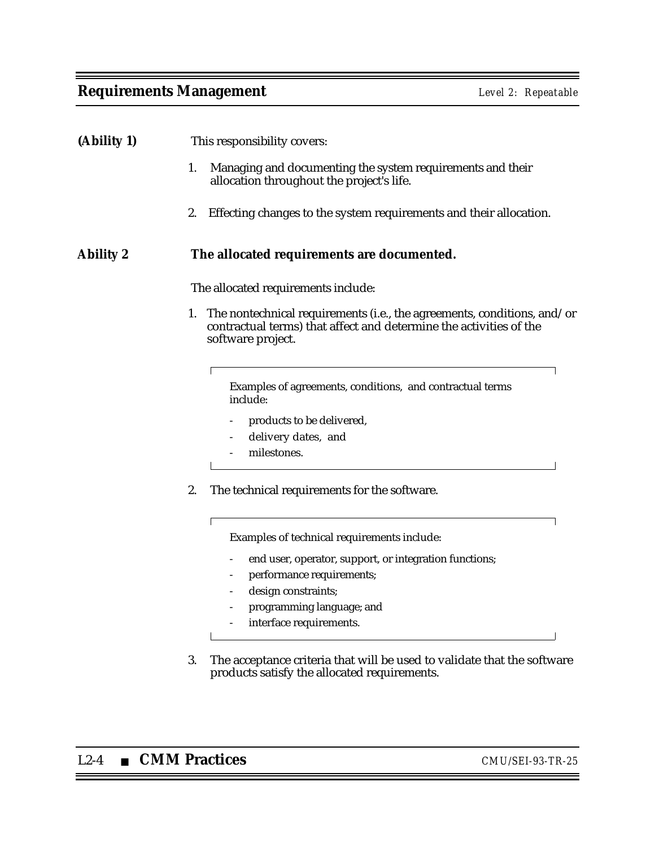#### **Requirements Management** *Level 2: Rep*

| (Ability 1)      | This responsibility covers:                                                                                                                                           |  |  |
|------------------|-----------------------------------------------------------------------------------------------------------------------------------------------------------------------|--|--|
|                  | 1.<br>Managing and documenting the system requirements and their<br>allocation throughout the project's life.                                                         |  |  |
|                  | Effecting changes to the system requirements and their allocation.<br>2.                                                                                              |  |  |
| <b>Ability 2</b> | The allocated requirements are documented.                                                                                                                            |  |  |
|                  | The allocated requirements include:                                                                                                                                   |  |  |
|                  | 1. The nontechnical requirements (i.e., the agreements, conditions, and/or<br>contractual terms) that affect and determine the activities of the<br>software project. |  |  |
|                  | Examples of agreements, conditions, and contractual terms<br>include:                                                                                                 |  |  |
|                  | products to be delivered,                                                                                                                                             |  |  |
|                  | delivery dates, and<br>$\blacksquare$                                                                                                                                 |  |  |
|                  | milestones.                                                                                                                                                           |  |  |
|                  | 2.<br>The technical requirements for the software.                                                                                                                    |  |  |
|                  | Examples of technical requirements include:                                                                                                                           |  |  |
|                  | end user, operator, support, or integration functions;<br>$\overline{\phantom{0}}$                                                                                    |  |  |
|                  | performance requirements;                                                                                                                                             |  |  |
|                  | design constraints;                                                                                                                                                   |  |  |
|                  | programming language; and                                                                                                                                             |  |  |
|                  | interface requirements.                                                                                                                                               |  |  |
|                  |                                                                                                                                                                       |  |  |

3. The acceptance criteria that will be used to validate that the software products satisfy the allocated requirements.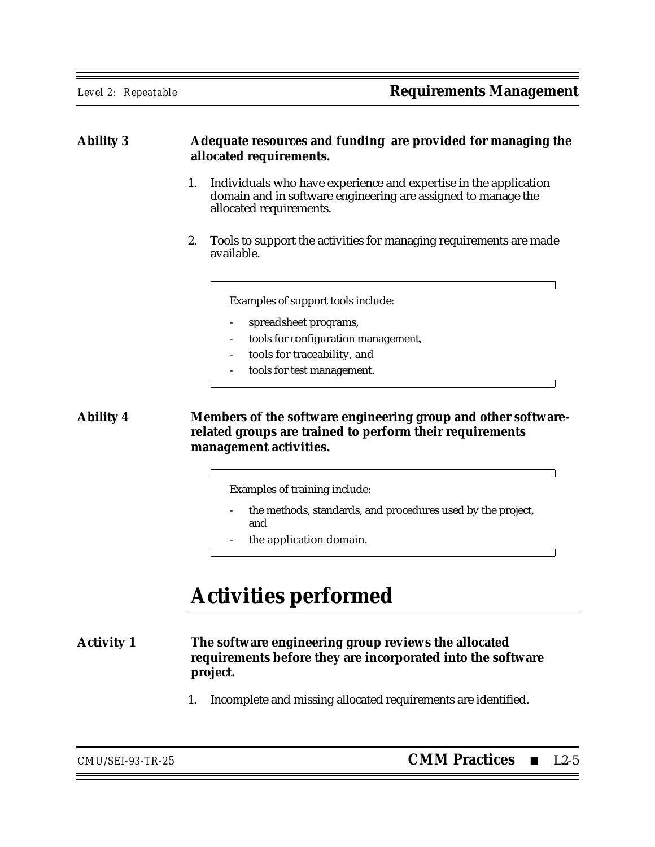#### **Ability 3 Adequate resources and funding are provided for managing the allocated requirements.** 1. Individuals who have experience and expertise in the application domain and in software engineering are assigned to manage the allocated requirements. 2. Tools to support the activities for managing requirements are made available.  $\sqrt{ }$ Examples of support tools include: - spreadsheet programs, tools for configuration management, tools for traceability, and tools for test management. **Ability 4 Members of the software engineering group and other softwarerelated groups are trained to perform their requirements management activities.**  $\sqrt{2}$ ٦ Examples of training include: the methods, standards, and procedures used by the project, and the application domain.  $\overline{\phantom{a}}$ **Activities performed**

**Activity 1 The software engineering group reviews the allocated requirements before they are incorporated into the software project.**

1. Incomplete and missing allocated requirements are identified.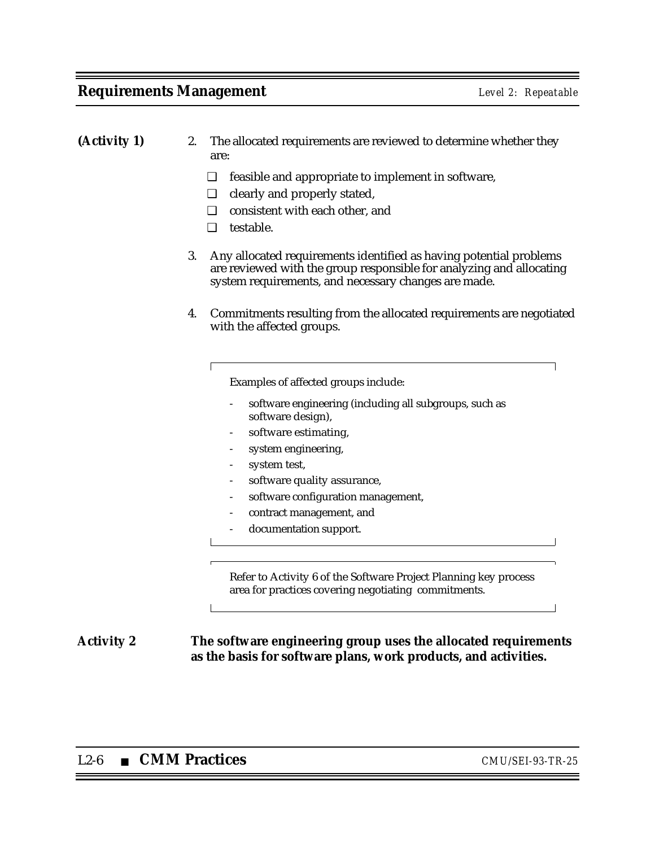#### **Requirements Management** *Level 2: Repeatable*

#### **(Activity 1)** 2. The allocated requirements are reviewed to determine whether they are:

- ❑ feasible and appropriate to implement in software,
- ❑ clearly and properly stated,
- ❑ consistent with each other, and
- ❑ testable.
- 3. Any allocated requirements identified as having potential problems are reviewed with the group responsible for analyzing and allocating system requirements, and necessary changes are made.
- 4. Commitments resulting from the allocated requirements are negotiated with the affected groups.

Examples of affected groups include:

- software engineering (including all subgroups, such as software design),
- software estimating,
- system engineering,
- system test,
- software quality assurance,
- software configuration management,
- contract management, and
- documentation support.

Refer to Activity 6 of the Software Project Planning key process area for practices covering negotiating commitments.

**Activity 2 The software engineering group uses the allocated requirements as the basis for software plans, work products, and activities.**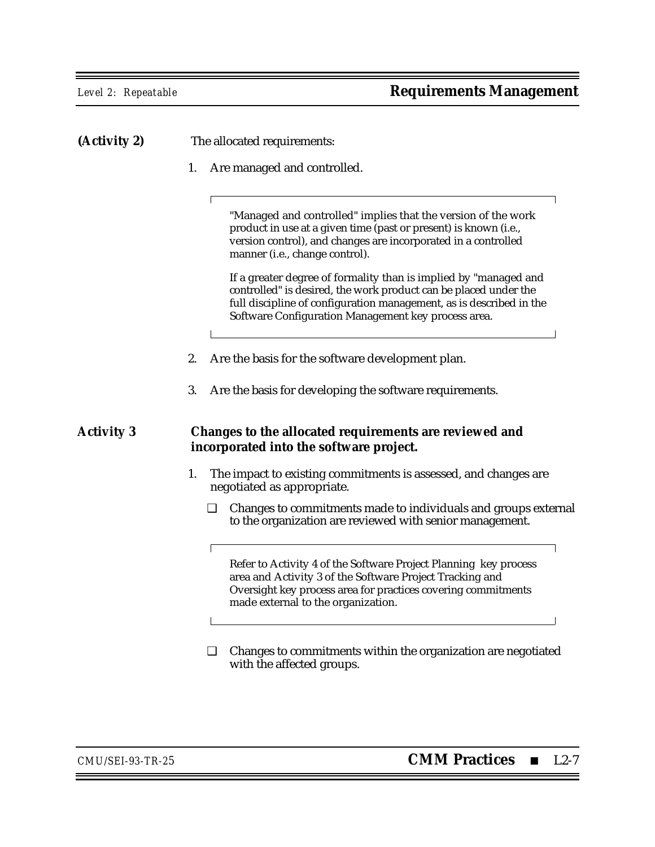| (Activity 2)      | The allocated requirements:       |                                                                                                                                                                                                                                                                    |
|-------------------|-----------------------------------|--------------------------------------------------------------------------------------------------------------------------------------------------------------------------------------------------------------------------------------------------------------------|
|                   | 1.<br>Are managed and controlled. |                                                                                                                                                                                                                                                                    |
|                   | manner (i.e., change control).    | "Managed and controlled" implies that the version of the work<br>product in use at a given time (past or present) is known (i.e.,<br>version control), and changes are incorporated in a controlled                                                                |
|                   |                                   | If a greater degree of formality than is implied by "managed and<br>controlled" is desired, the work product can be placed under the<br>full discipline of configuration management, as is described in the<br>Software Configuration Management key process area. |
|                   | 2.                                | Are the basis for the software development plan.                                                                                                                                                                                                                   |
|                   | 3.                                | Are the basis for developing the software requirements.                                                                                                                                                                                                            |
| <b>Activity 3</b> |                                   | Changes to the allocated requirements are reviewed and<br>incorporated into the software project.                                                                                                                                                                  |
|                   | 1.<br>negotiated as appropriate.  | The impact to existing commitments is assessed, and changes are                                                                                                                                                                                                    |
|                   | ⊔                                 | Changes to commitments made to individuals and groups external<br>to the organization are reviewed with senior management.                                                                                                                                         |
|                   |                                   | Refer to Activity 4 of the Software Project Planning key process<br>area and Activity 3 of the Software Project Tracking and<br>Oversight key process area for practices covering commitments<br>made external to the organization.                                |
|                   | ⊔<br>with the affected groups.    | Changes to commitments within the organization are negotiated                                                                                                                                                                                                      |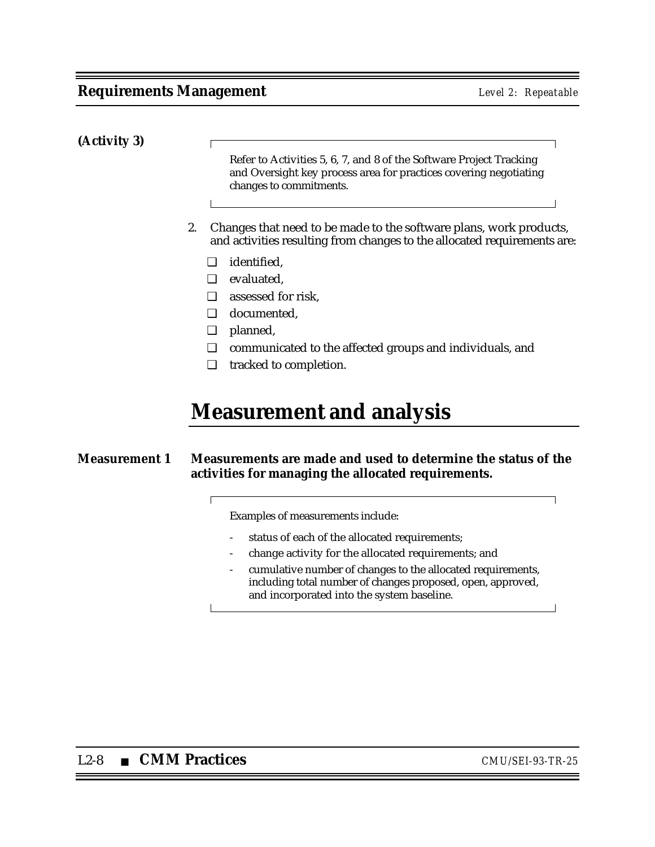### **Requirements Management** *Level 2: Repeatable*

≡

| (Activity 3)         | Refer to Activities 5, 6, 7, and 8 of the Software Project Tracking<br>and Oversight key process area for practices covering negotiating<br>changes to commitments.                                  |  |  |
|----------------------|------------------------------------------------------------------------------------------------------------------------------------------------------------------------------------------------------|--|--|
|                      | 2.<br>Changes that need to be made to the software plans, work products,<br>and activities resulting from changes to the allocated requirements are:                                                 |  |  |
|                      | identified,<br>ப                                                                                                                                                                                     |  |  |
|                      | evaluated,<br>❏                                                                                                                                                                                      |  |  |
|                      | assessed for risk,<br>⊔                                                                                                                                                                              |  |  |
|                      | documented,<br>⊔                                                                                                                                                                                     |  |  |
|                      | planned,<br>❏                                                                                                                                                                                        |  |  |
|                      | communicated to the affected groups and individuals, and<br>❏                                                                                                                                        |  |  |
|                      | tracked to completion.<br>❏                                                                                                                                                                          |  |  |
| <b>Measurement 1</b> | <b>Measurement and analysis</b><br>Measurements are made and used to determine the status of the<br>activities for managing the allocated requirements.                                              |  |  |
|                      | Examples of measurements include:                                                                                                                                                                    |  |  |
|                      | status of each of the allocated requirements;<br>-                                                                                                                                                   |  |  |
|                      | change activity for the allocated requirements; and                                                                                                                                                  |  |  |
|                      | cumulative number of changes to the allocated requirements,<br>$\overline{\phantom{0}}$<br>including total number of changes proposed, open, approved,<br>and incorporated into the system baseline. |  |  |

 $\overline{\phantom{a}}$ 

 $\overline{\phantom{a}}$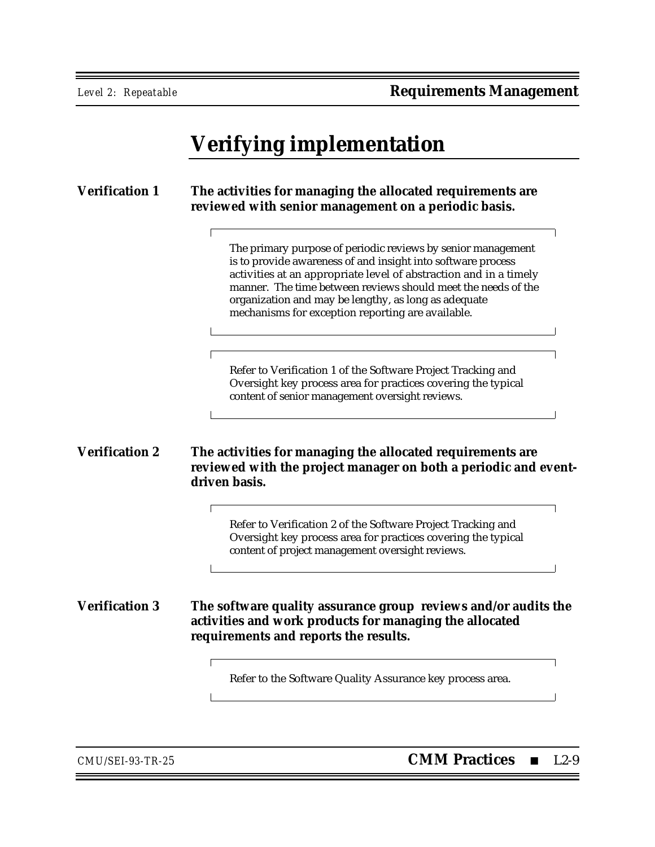# **Verifying implementation**

| <b>Verification 1</b> | The activities for managing the allocated requirements are<br>reviewed with senior management on a periodic basis.                                                                                                                                                                                                                                                              |  |  |
|-----------------------|---------------------------------------------------------------------------------------------------------------------------------------------------------------------------------------------------------------------------------------------------------------------------------------------------------------------------------------------------------------------------------|--|--|
|                       | The primary purpose of periodic reviews by senior management<br>is to provide awareness of and insight into software process<br>activities at an appropriate level of abstraction and in a timely<br>manner. The time between reviews should meet the needs of the<br>organization and may be lengthy, as long as adequate<br>mechanisms for exception reporting are available. |  |  |
|                       | Refer to Verification 1 of the Software Project Tracking and<br>Oversight key process area for practices covering the typical<br>content of senior management oversight reviews.                                                                                                                                                                                                |  |  |
| <b>Verification 2</b> | The activities for managing the allocated requirements are<br>reviewed with the project manager on both a periodic and event-                                                                                                                                                                                                                                                   |  |  |
|                       | driven basis.                                                                                                                                                                                                                                                                                                                                                                   |  |  |
|                       | Refer to Verification 2 of the Software Project Tracking and<br>Oversight key process area for practices covering the typical<br>content of project management oversight reviews.                                                                                                                                                                                               |  |  |
| <b>Verification 3</b> | The software quality assurance group reviews and/or audits the<br>activities and work products for managing the allocated<br>requirements and reports the results.                                                                                                                                                                                                              |  |  |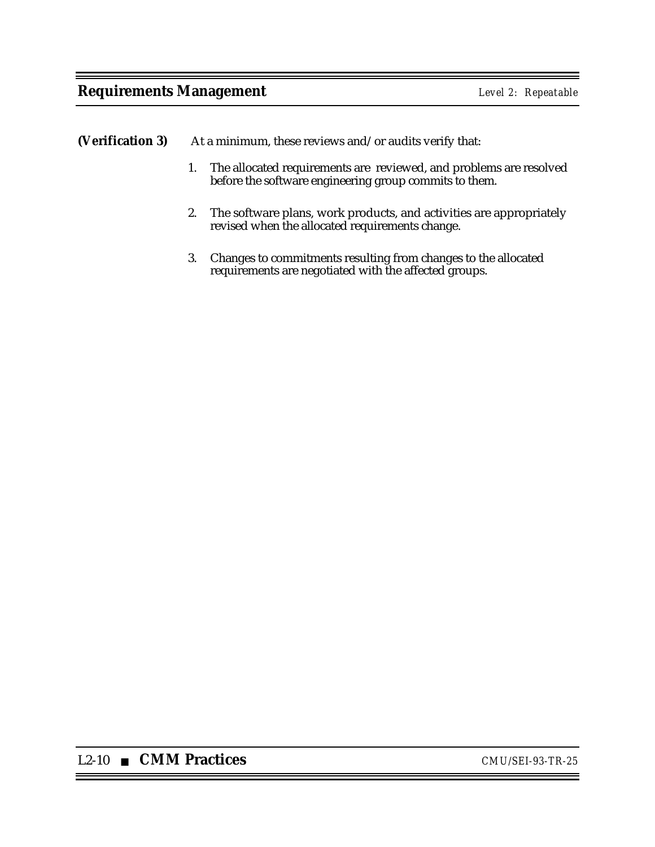#### **Requirements Management** *Level 2: Repeatable*

| (Verification 3) |    | At a minimum, these reviews and/or audits verify that:                                                                          |  |
|------------------|----|---------------------------------------------------------------------------------------------------------------------------------|--|
|                  |    | 1. The allocated requirements are reviewed, and problems are resolved<br>before the software engineering group commits to them. |  |
|                  | 2. | The software plans, work products, and activities are appropriately<br>revised when the allocated requirements change.          |  |

3. Changes to commitments resulting from changes to the allocated requirements are negotiated with the affected groups.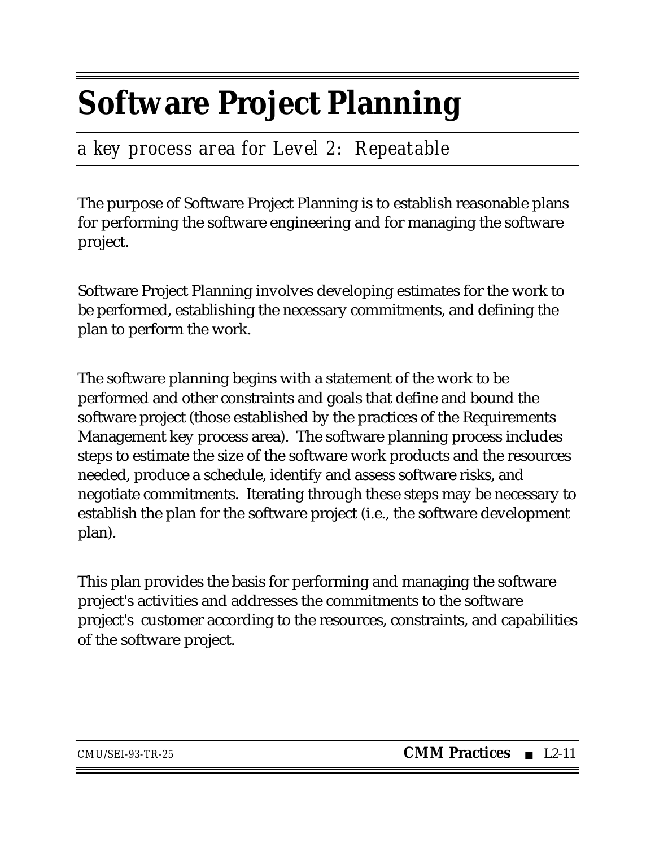# **Software Project Planning**

# *a key process area for Level 2: Repeatable*

The purpose of Software Project Planning is to establish reasonable plans for performing the software engineering and for managing the software project.

Software Project Planning involves developing estimates for the work to be performed, establishing the necessary commitments, and defining the plan to perform the work.

The software planning begins with a statement of the work to be performed and other constraints and goals that define and bound the software project (those established by the practices of the Requirements Management key process area). The software planning process includes steps to estimate the size of the software work products and the resources needed, produce a schedule, identify and assess software risks, and negotiate commitments. Iterating through these steps may be necessary to establish the plan for the software project (i.e., the software development plan).

This plan provides the basis for performing and managing the software project's activities and addresses the commitments to the software project's customer according to the resources, constraints, and capabilities of the software project.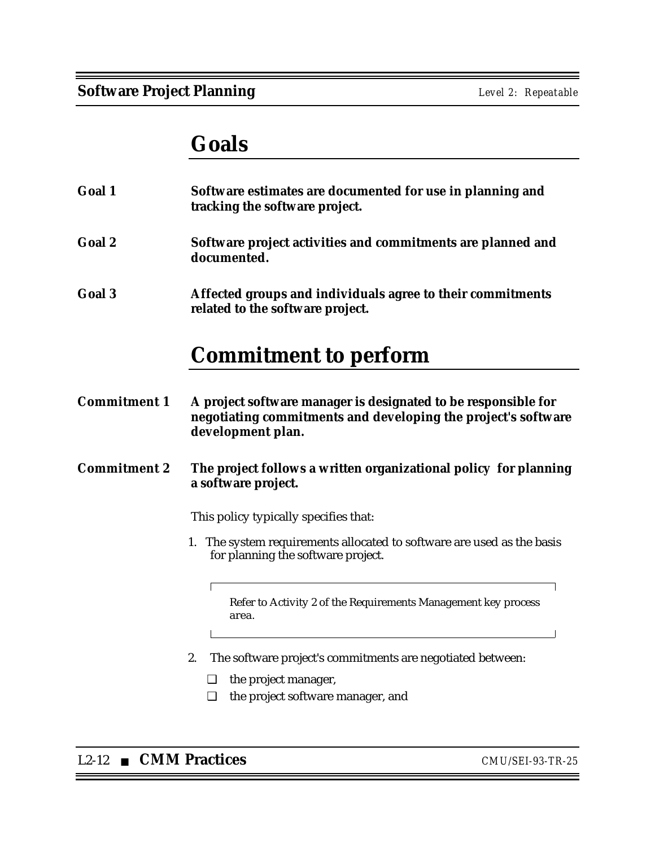### **Software Project Planning** *Level 2: Repeatable*

Ξ

|                     | Goals                                                                                                                                                |
|---------------------|------------------------------------------------------------------------------------------------------------------------------------------------------|
| <b>Goal 1</b>       | Software estimates are documented for use in planning and<br>tracking the software project.                                                          |
| <b>Goal 2</b>       | Software project activities and commitments are planned and<br>documented.                                                                           |
| <b>Goal 3</b>       | Affected groups and individuals agree to their commitments<br>related to the software project.                                                       |
|                     | <b>Commitment to perform</b>                                                                                                                         |
| <b>Commitment 1</b> | A project software manager is designated to be responsible for<br>negotiating commitments and developing the project's software<br>development plan. |
| <b>Commitment 2</b> | The project follows a written organizational policy for planning<br>a software project.                                                              |
|                     | This policy typically specifies that:                                                                                                                |
|                     | 1. The system requirements allocated to software are used as the basis<br>for planning the software project.                                         |
|                     | Refer to Activity 2 of the Requirements Management key process<br>area.                                                                              |
|                     | The software project's commitments are negotiated between:<br>2.                                                                                     |
|                     | the project manager,<br>⊔                                                                                                                            |
|                     | the project software manager, and<br>⊔                                                                                                               |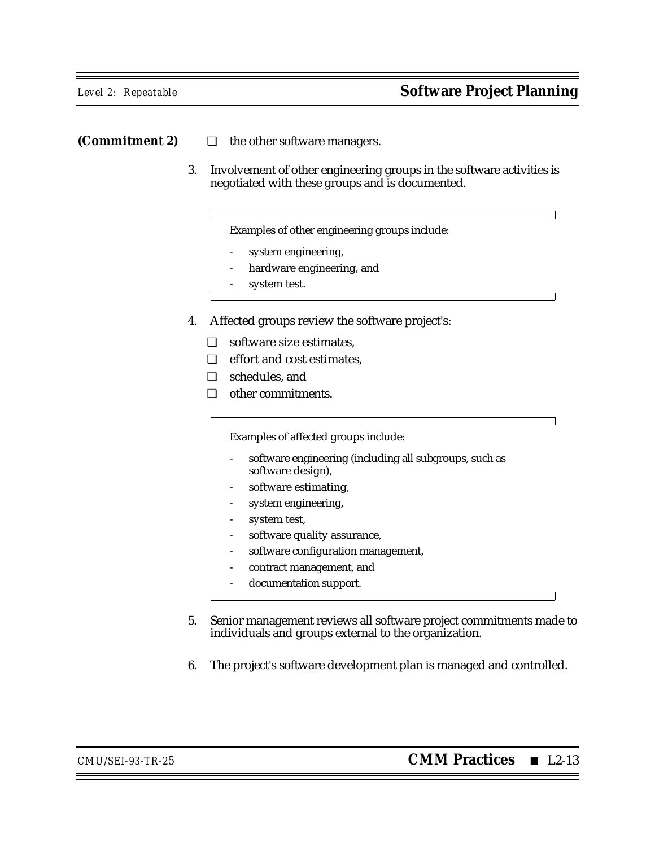- **(Commitment 2)** ❑ the other software managers.
	- 3. Involvement of other engineering groups in the software activities is negotiated with these groups and is documented.

Examples of other engineering groups include:

- system engineering,
- hardware engineering, and
- system test.

 $\sqrt{2}$ 

 $\sqrt{2}$ 

- 4. Affected groups review the software project's:
	- ❑ software size estimates,
	- ❑ effort and cost estimates,
	- ❑ schedules, and
	- ❑ other commitments.

Examples of affected groups include:

- software engineering (including all subgroups, such as software design),
- software estimating,
- system engineering,
- system test,
- software quality assurance,
- software configuration management,
- contract management, and
- documentation support.
- 5. Senior management reviews all software project commitments made to individuals and groups external to the organization.
- 6. The project's software development plan is managed and controlled.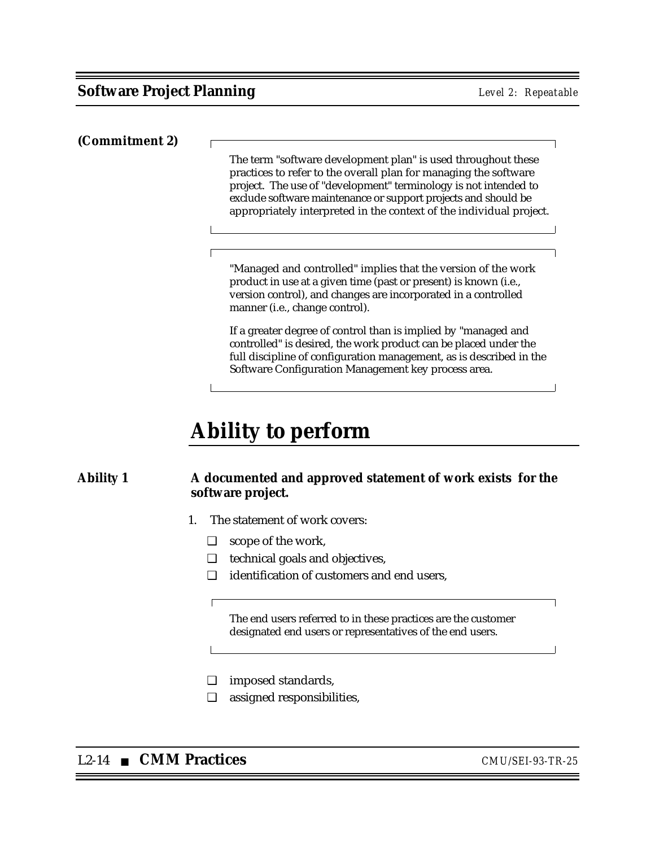### **Software Project Planning** *Level 2: Repeatable*

≡

| (Commitment 2)   |                                                                                                                                                                                                                                                                                                                                                |
|------------------|------------------------------------------------------------------------------------------------------------------------------------------------------------------------------------------------------------------------------------------------------------------------------------------------------------------------------------------------|
|                  | The term "software development plan" is used throughout these<br>practices to refer to the overall plan for managing the software<br>project. The use of "development" terminology is not intended to<br>exclude software maintenance or support projects and should be<br>appropriately interpreted in the context of the individual project. |
|                  |                                                                                                                                                                                                                                                                                                                                                |
|                  | "Managed and controlled" implies that the version of the work<br>product in use at a given time (past or present) is known (i.e.,<br>version control), and changes are incorporated in a controlled<br>manner (i.e., change control).                                                                                                          |
|                  | If a greater degree of control than is implied by "managed and<br>controlled" is desired, the work product can be placed under the<br>full discipline of configuration management, as is described in the<br>Software Configuration Management key process area.                                                                               |
|                  | <b>Ability to perform</b>                                                                                                                                                                                                                                                                                                                      |
| <b>Ability 1</b> | A documented and approved statement of work exists for the<br>software project.                                                                                                                                                                                                                                                                |
|                  | 1.<br>The statement of work covers:                                                                                                                                                                                                                                                                                                            |
|                  | scope of the work,<br>⊔                                                                                                                                                                                                                                                                                                                        |
|                  | technical goals and objectives,<br>⊔                                                                                                                                                                                                                                                                                                           |
|                  | identification of customers and end users,<br>⊔                                                                                                                                                                                                                                                                                                |
|                  |                                                                                                                                                                                                                                                                                                                                                |
|                  | The end users referred to in these practices are the customer<br>designated end users or representatives of the end users.                                                                                                                                                                                                                     |
|                  |                                                                                                                                                                                                                                                                                                                                                |
|                  | imposed standards,<br>ப                                                                                                                                                                                                                                                                                                                        |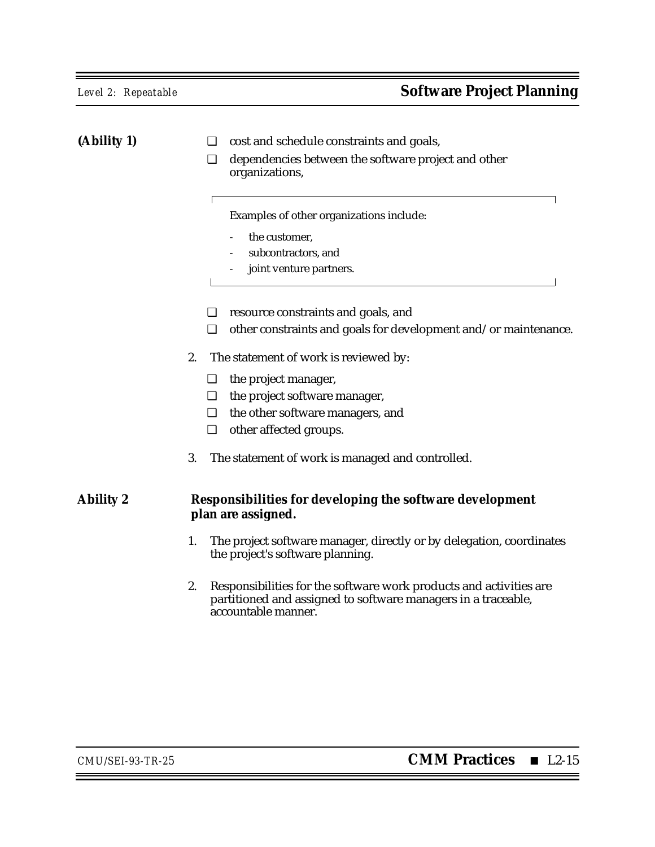| (Ability 1)      | cost and schedule constraints and goals,<br>$\Box$                                                             |
|------------------|----------------------------------------------------------------------------------------------------------------|
|                  | dependencies between the software project and other<br>$\Box$<br>organizations,                                |
|                  |                                                                                                                |
|                  | Examples of other organizations include:                                                                       |
|                  | the customer,                                                                                                  |
|                  | subcontractors, and                                                                                            |
|                  | joint venture partners.                                                                                        |
|                  | resource constraints and goals, and<br>❏                                                                       |
|                  | other constraints and goals for development and/or maintenance.<br>$\Box$                                      |
|                  |                                                                                                                |
|                  | 2.<br>The statement of work is reviewed by:                                                                    |
|                  | the project manager,<br>❏                                                                                      |
|                  | the project software manager,<br>❏                                                                             |
|                  | the other software managers, and<br>❏                                                                          |
|                  | other affected groups.<br>$\Box$                                                                               |
|                  | 3.<br>The statement of work is managed and controlled.                                                         |
| <b>Ability 2</b> | Responsibilities for developing the software development<br>plan are assigned.                                 |
|                  | 1.<br>The project software manager, directly or by delegation, coordinates<br>the project's software planning. |
|                  |                                                                                                                |

2. Responsibilities for the software work products and activities are partitioned and assigned to software managers in a traceable, accountable manner.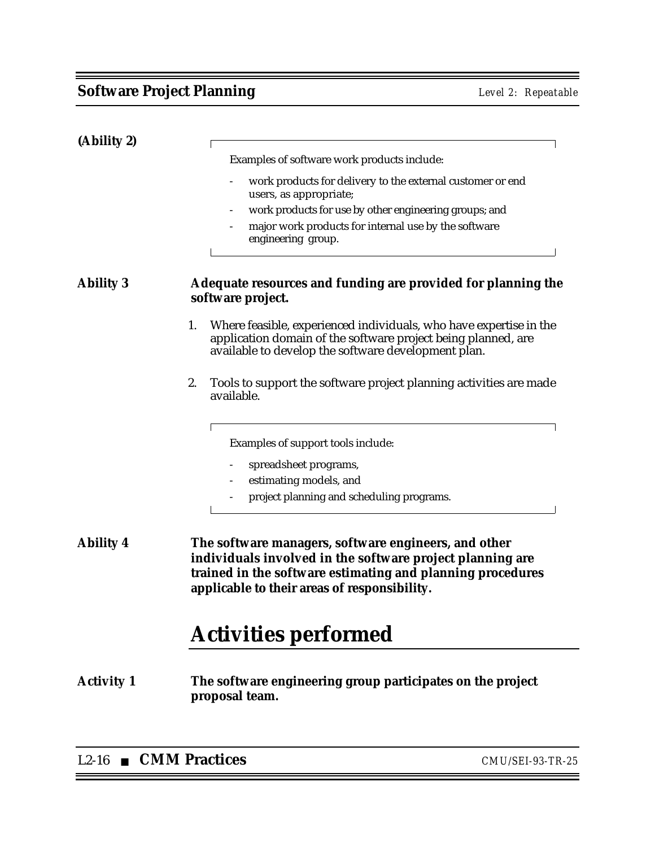### **Software Project Planning** *Level 2: Repeatable*

≡

| (Ability 2)       |                                                                                                                                                                                                                                 |
|-------------------|---------------------------------------------------------------------------------------------------------------------------------------------------------------------------------------------------------------------------------|
|                   | Examples of software work products include:                                                                                                                                                                                     |
|                   | work products for delivery to the external customer or end<br>users, as appropriate;                                                                                                                                            |
|                   | work products for use by other engineering groups; and<br>$\overline{\phantom{a}}$                                                                                                                                              |
|                   | major work products for internal use by the software<br>engineering group.                                                                                                                                                      |
| <b>Ability 3</b>  | Adequate resources and funding are provided for planning the<br>software project.                                                                                                                                               |
|                   | 1.<br>Where feasible, experienced individuals, who have expertise in the<br>application domain of the software project being planned, are<br>available to develop the software development plan.                                |
|                   | 2.<br>Tools to support the software project planning activities are made<br>available.                                                                                                                                          |
|                   | Examples of support tools include:                                                                                                                                                                                              |
|                   | spreadsheet programs,<br>$\qquad \qquad \blacksquare$                                                                                                                                                                           |
|                   | estimating models, and                                                                                                                                                                                                          |
|                   | project planning and scheduling programs.                                                                                                                                                                                       |
| <b>Ability 4</b>  | The software managers, software engineers, and other<br>individuals involved in the software project planning are<br>trained in the software estimating and planning procedures<br>applicable to their areas of responsibility. |
|                   | <b>Activities performed</b>                                                                                                                                                                                                     |
| <b>Activity 1</b> | The software engineering group participates on the project<br>proposal team.                                                                                                                                                    |
|                   |                                                                                                                                                                                                                                 |

#### L2-16 ■ **CMM Practices** *CMU/SEI-93-TR-25*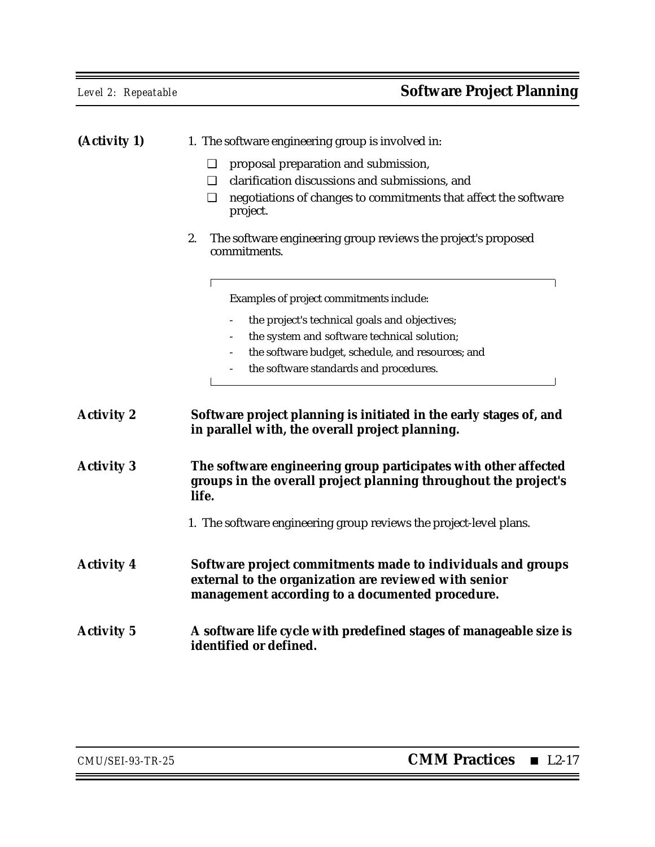| (Activity 1)      | 1. The software engineering group is involved in:                                                                                                                       |
|-------------------|-------------------------------------------------------------------------------------------------------------------------------------------------------------------------|
|                   | proposal preparation and submission,<br>⊔                                                                                                                               |
|                   | clarification discussions and submissions, and<br>❏                                                                                                                     |
|                   | negotiations of changes to commitments that affect the software<br>❏<br>project.                                                                                        |
|                   | The software engineering group reviews the project's proposed<br>2.<br>commitments.                                                                                     |
|                   |                                                                                                                                                                         |
|                   | Examples of project commitments include:                                                                                                                                |
|                   | the project's technical goals and objectives;                                                                                                                           |
|                   | the system and software technical solution;                                                                                                                             |
|                   | the software budget, schedule, and resources; and                                                                                                                       |
|                   | the software standards and procedures.                                                                                                                                  |
| <b>Activity 2</b> | Software project planning is initiated in the early stages of, and<br>in parallel with, the overall project planning.                                                   |
| <b>Activity 3</b> | The software engineering group participates with other affected<br>groups in the overall project planning throughout the project's<br>life.                             |
|                   | 1. The software engineering group reviews the project-level plans.                                                                                                      |
| <b>Activity 4</b> | Software project commitments made to individuals and groups<br>external to the organization are reviewed with senior<br>management according to a documented procedure. |
| <b>Activity 5</b> | A software life cycle with predefined stages of manageable size is<br>identified or defined.                                                                            |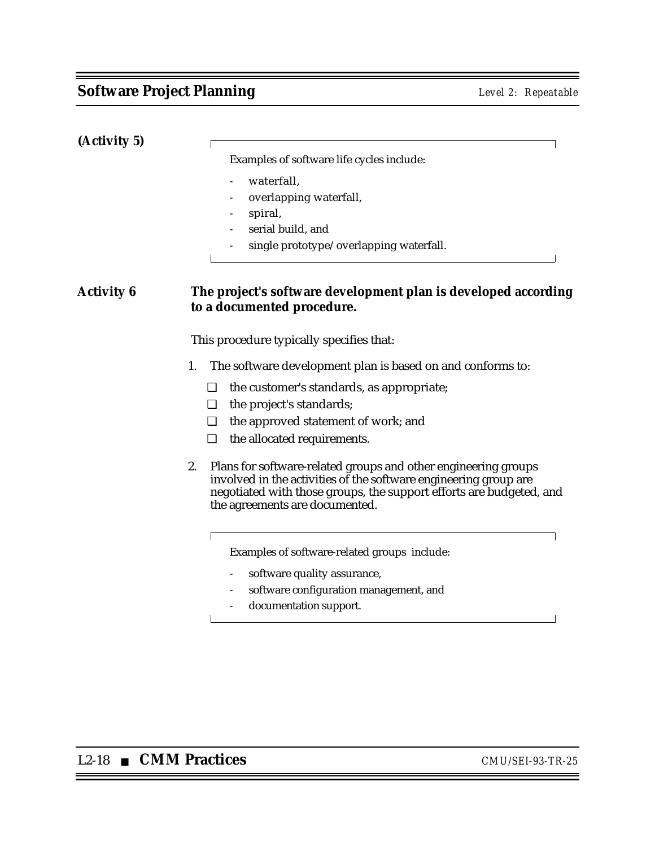### **Software Project Planning** *Level 2: Repeatable*

≡

| (Activity 5)      |                                                                                                                                                                                                                                                   |
|-------------------|---------------------------------------------------------------------------------------------------------------------------------------------------------------------------------------------------------------------------------------------------|
|                   | Examples of software life cycles include:                                                                                                                                                                                                         |
|                   | waterfall,                                                                                                                                                                                                                                        |
|                   | overlapping waterfall,                                                                                                                                                                                                                            |
|                   | spiral,                                                                                                                                                                                                                                           |
|                   | serial build, and                                                                                                                                                                                                                                 |
|                   | single prototype/overlapping waterfall.                                                                                                                                                                                                           |
| <b>Activity 6</b> | The project's software development plan is developed according<br>to a documented procedure.                                                                                                                                                      |
|                   | This procedure typically specifies that:                                                                                                                                                                                                          |
|                   | 1.<br>The software development plan is based on and conforms to:                                                                                                                                                                                  |
|                   | the customer's standards, as appropriate;<br>⊔                                                                                                                                                                                                    |
|                   | the project's standards;<br>⊔                                                                                                                                                                                                                     |
|                   | the approved statement of work; and<br>⊔                                                                                                                                                                                                          |
|                   | the allocated requirements.<br>$\Box$                                                                                                                                                                                                             |
|                   | 2.<br>Plans for software-related groups and other engineering groups<br>involved in the activities of the software engineering group are<br>negotiated with those groups, the support efforts are budgeted, and<br>the agreements are documented. |
|                   | Examples of software-related groups include:                                                                                                                                                                                                      |
|                   | software quality assurance,                                                                                                                                                                                                                       |
|                   | software configuration management, and                                                                                                                                                                                                            |
|                   |                                                                                                                                                                                                                                                   |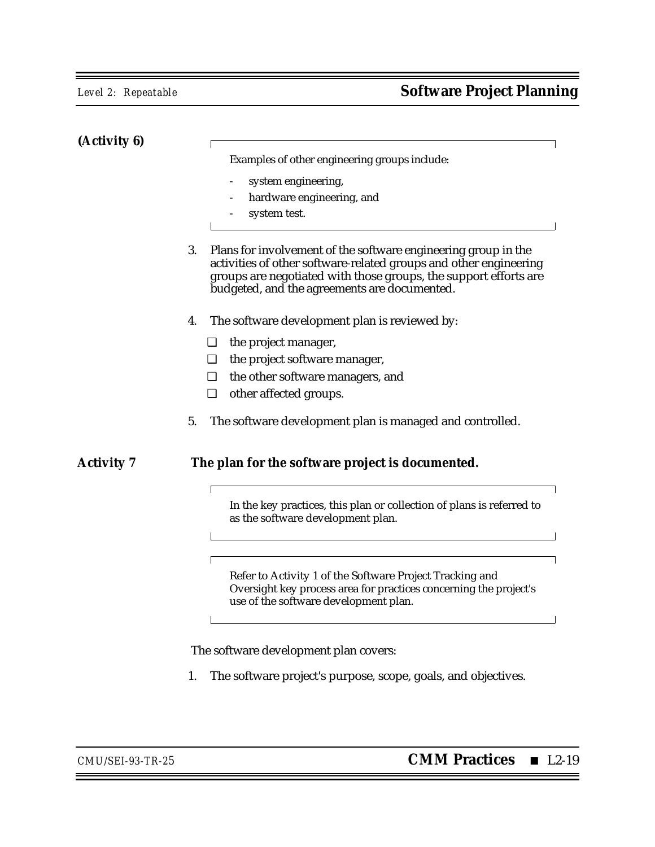| (Activity 6)      |                                                                                                                                                                                                                                                               |
|-------------------|---------------------------------------------------------------------------------------------------------------------------------------------------------------------------------------------------------------------------------------------------------------|
|                   | Examples of other engineering groups include:                                                                                                                                                                                                                 |
|                   | system engineering,                                                                                                                                                                                                                                           |
|                   | hardware engineering, and                                                                                                                                                                                                                                     |
|                   | system test.                                                                                                                                                                                                                                                  |
|                   | 3.<br>Plans for involvement of the software engineering group in the<br>activities of other software-related groups and other engineering<br>groups are negotiated with those groups, the support efforts are<br>budgeted, and the agreements are documented. |
|                   | 4.<br>The software development plan is reviewed by:                                                                                                                                                                                                           |
|                   | ⊔<br>the project manager,                                                                                                                                                                                                                                     |
|                   | the project software manager,<br>⊔                                                                                                                                                                                                                            |
|                   | the other software managers, and<br>⊔                                                                                                                                                                                                                         |
|                   | other affected groups.<br>❏                                                                                                                                                                                                                                   |
|                   | 5.<br>The software development plan is managed and controlled.                                                                                                                                                                                                |
| <b>Activity 7</b> | The plan for the software project is documented.                                                                                                                                                                                                              |
|                   | In the key practices, this plan or collection of plans is referred to<br>as the software development plan.                                                                                                                                                    |
|                   | Refer to Activity 1 of the Software Project Tracking and<br>Oversight key process area for practices concerning the project's<br>use of the software development plan.                                                                                        |
|                   | The software development plan covers:<br>The software project's purpose, scope, goals, and objectives.<br>1.                                                                                                                                                  |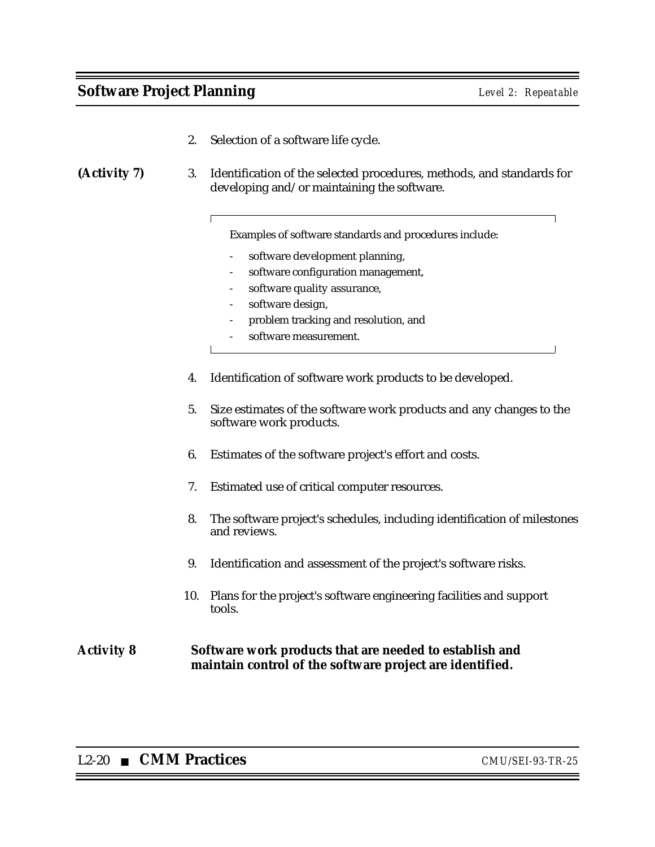#### **Software Project Planning** *Level 2: Repeatable*

 $\sqrt{2}$ 

2. Selection of a software life cycle.

**(Activity 7)** 3. Identification of the selected procedures, methods, and standards for developing and/or maintaining the software.

Examples of software standards and procedures include:

- software development planning,
- software configuration management,
- software quality assurance,
- software design,
- problem tracking and resolution, and
- software measurement.
- 4. Identification of software work products to be developed.
- 5. Size estimates of the software work products and any changes to the software work products.
- 6. Estimates of the software project's effort and costs.
- 7. Estimated use of critical computer resources.
- 8. The software project's schedules, including identification of milestones and reviews.
- 9. Identification and assessment of the project's software risks.
- 10. Plans for the project's software engineering facilities and support tools.

#### **Activity 8 Software work products that are needed to establish and maintain control of the software project are identified.**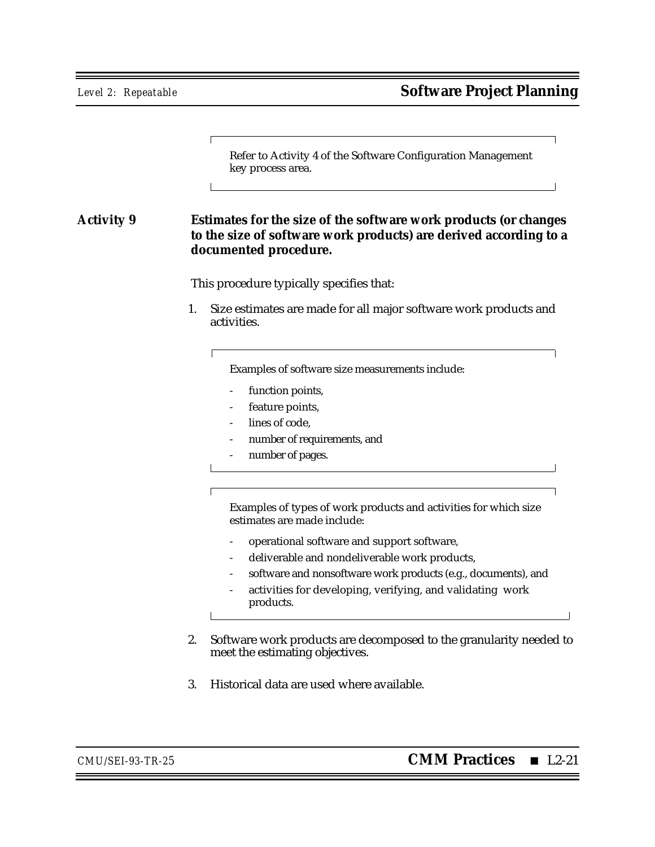$\sqrt{ }$ 

 $\sqrt{2}$ 

 $\sqrt{ }$ 

Refer to Activity 4 of the Software Configuration Management key process area.

**Activity 9 Estimates for the size of the software work products (or changes to the size of software work products) are derived according to a documented procedure.**

This procedure typically specifies that:

1. Size estimates are made for all major software work products and activities.

Examples of software size measurements include:

- function points,
- feature points,
- lines of code,
- number of requirements, and
- number of pages.

Examples of types of work products and activities for which size estimates are made include:

- operational software and support software,
- deliverable and nondeliverable work products,
- software and nonsoftware work products (e.g., documents), and
- activities for developing, verifying, and validating work products.
- 2. Software work products are decomposed to the granularity needed to meet the estimating objectives.
- 3. Historical data are used where available.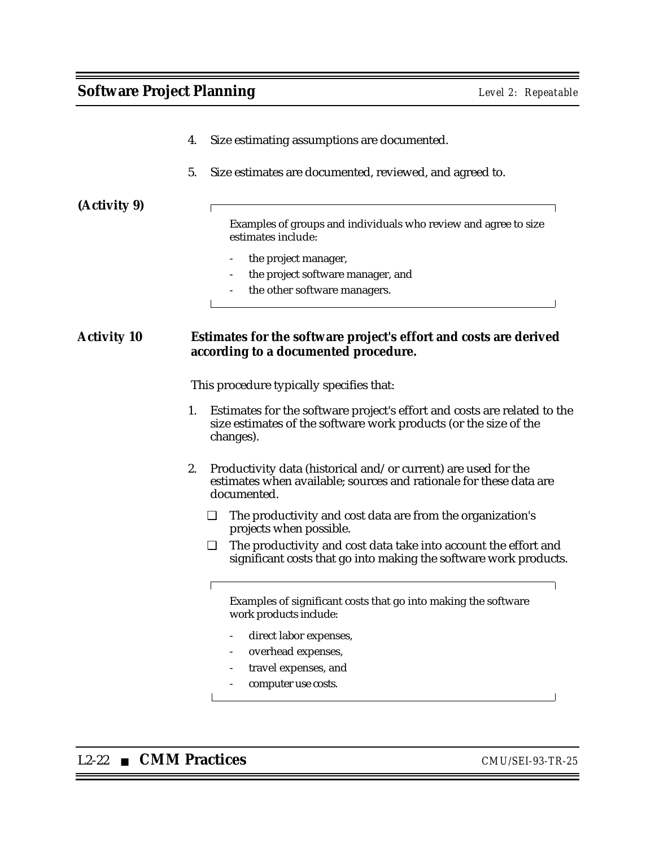## **Software Project Planning** *Level 2: Repeatable*

 $\equiv$ 

|              | 4. | Size estimating assumptions are documented.                                                                                                               |
|--------------|----|-----------------------------------------------------------------------------------------------------------------------------------------------------------|
|              | 5. | Size estimates are documented, reviewed, and agreed to.                                                                                                   |
| (Activity 9) |    |                                                                                                                                                           |
|              |    | Examples of groups and individuals who review and agree to size<br>estimates include:                                                                     |
|              |    | the project manager,                                                                                                                                      |
|              |    | the project software manager, and                                                                                                                         |
|              |    | the other software managers.                                                                                                                              |
| Activity 10  |    | Estimates for the software project's effort and costs are derived<br>according to a documented procedure.                                                 |
|              |    | This procedure typically specifies that:                                                                                                                  |
|              | 1. | Estimates for the software project's effort and costs are related to the<br>size estimates of the software work products (or the size of the<br>changes). |
|              | 2. | Productivity data (historical and/or current) are used for the<br>estimates when available; sources and rationale for these data are<br>documented.       |
|              |    | The productivity and cost data are from the organization's<br>⊔<br>projects when possible.                                                                |
|              |    | $\Box$<br>The productivity and cost data take into account the effort and<br>significant costs that go into making the software work products.            |
|              |    | Examples of significant costs that go into making the software<br>work products include:                                                                  |
|              |    | direct labor expenses,                                                                                                                                    |
|              |    | overhead expenses,                                                                                                                                        |
|              |    | travel expenses, and                                                                                                                                      |
|              |    | computer use costs.                                                                                                                                       |
|              |    |                                                                                                                                                           |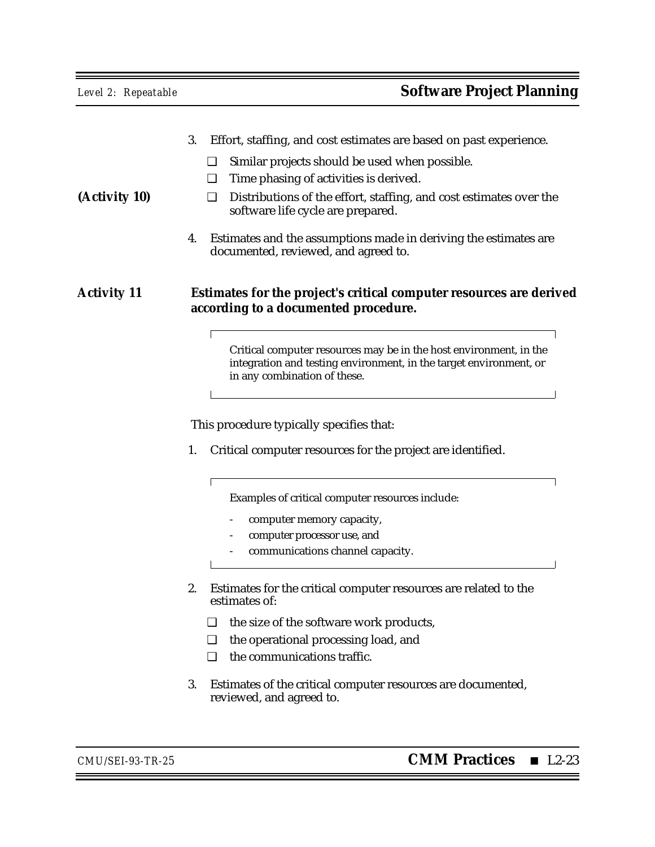|                    | 3.<br>Effort, staffing, and cost estimates are based on past experience.                                                                                                 |
|--------------------|--------------------------------------------------------------------------------------------------------------------------------------------------------------------------|
|                    | Similar projects should be used when possible.<br>❏                                                                                                                      |
|                    | Time phasing of activities is derived.<br>⊔                                                                                                                              |
| (Activity 10)      | Distributions of the effort, staffing, and cost estimates over the<br>❏<br>software life cycle are prepared.                                                             |
|                    | Estimates and the assumptions made in deriving the estimates are<br>4.<br>documented, reviewed, and agreed to.                                                           |
| <b>Activity 11</b> | <b>Estimates for the project's critical computer resources are derived</b><br>according to a documented procedure.                                                       |
|                    | Critical computer resources may be in the host environment, in the<br>integration and testing environment, in the target environment, or<br>in any combination of these. |
|                    | This procedure typically specifies that:                                                                                                                                 |
|                    | Critical computer resources for the project are identified.<br>1.                                                                                                        |
|                    | Examples of critical computer resources include:                                                                                                                         |
|                    | computer memory capacity,                                                                                                                                                |
|                    | computer processor use, and                                                                                                                                              |
|                    | communications channel capacity.                                                                                                                                         |
|                    | Estimates for the critical computer resources are related to the<br>2.<br>estimates of:                                                                                  |
|                    | the size of the software work products,<br>❏                                                                                                                             |
|                    | the operational processing load, and<br>$\Box$                                                                                                                           |
|                    | the communications traffic.<br>$\Box$                                                                                                                                    |
|                    | Estimates of the critical computer resources are documented,<br>3.<br>reviewed, and agreed to.                                                                           |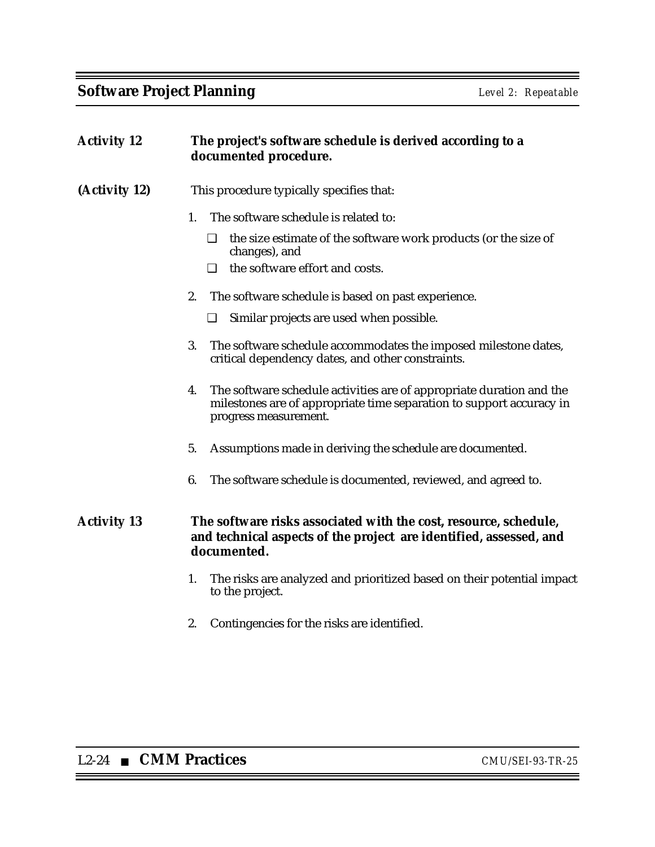## **Software Project Planning** *Level 2: Repeatable*

 $\equiv$ 

| <b>Activity 12</b> | The project's software schedule is derived according to a<br>documented procedure.                                                                                          |
|--------------------|-----------------------------------------------------------------------------------------------------------------------------------------------------------------------------|
| (Activity 12)      | This procedure typically specifies that:                                                                                                                                    |
|                    | The software schedule is related to:<br>1.                                                                                                                                  |
|                    | the size estimate of the software work products (or the size of<br>⊔<br>changes), and                                                                                       |
|                    | the software effort and costs.<br>❏                                                                                                                                         |
|                    | 2.<br>The software schedule is based on past experience.                                                                                                                    |
|                    | Similar projects are used when possible.<br>❏                                                                                                                               |
|                    | 3.<br>The software schedule accommodates the imposed milestone dates,<br>critical dependency dates, and other constraints.                                                  |
|                    | The software schedule activities are of appropriate duration and the<br>4.<br>milestones are of appropriate time separation to support accuracy in<br>progress measurement. |
|                    | Assumptions made in deriving the schedule are documented.<br>5.                                                                                                             |
|                    | The software schedule is documented, reviewed, and agreed to.<br>6.                                                                                                         |
| <b>Activity 13</b> | The software risks associated with the cost, resource, schedule,<br>and technical aspects of the project are identified, assessed, and<br>documented.                       |
|                    | The risks are analyzed and prioritized based on their potential impact<br>1.<br>to the project.                                                                             |
|                    | 2.<br>Contingencies for the risks are identified.                                                                                                                           |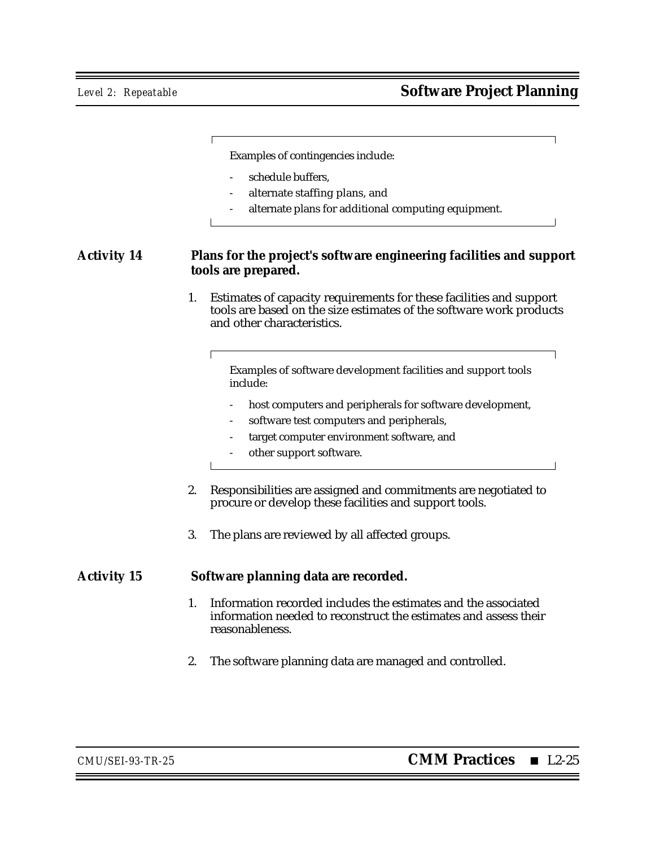Examples of contingencies include:

- schedule buffers,
- alternate staffing plans, and
- alternate plans for additional computing equipment.

**Activity 14 Plans for the project's software engineering facilities and support tools are prepared.**

> 1. Estimates of capacity requirements for these facilities and support tools are based on the size estimates of the software work products and other characteristics.

> > Examples of software development facilities and support tools include:

- host computers and peripherals for software development,
- software test computers and peripherals,
- target computer environment software, and
- other support software.
- 2. Responsibilities are assigned and commitments are negotiated to procure or develop these facilities and support tools.
- 3. The plans are reviewed by all affected groups.

#### **Activity 15 Software planning data are recorded.**

 $\sqrt{ }$ 

 $\lceil$ 

- 1. Information recorded includes the estimates and the associated information needed to reconstruct the estimates and assess their reasonableness.
- 2. The software planning data are managed and controlled.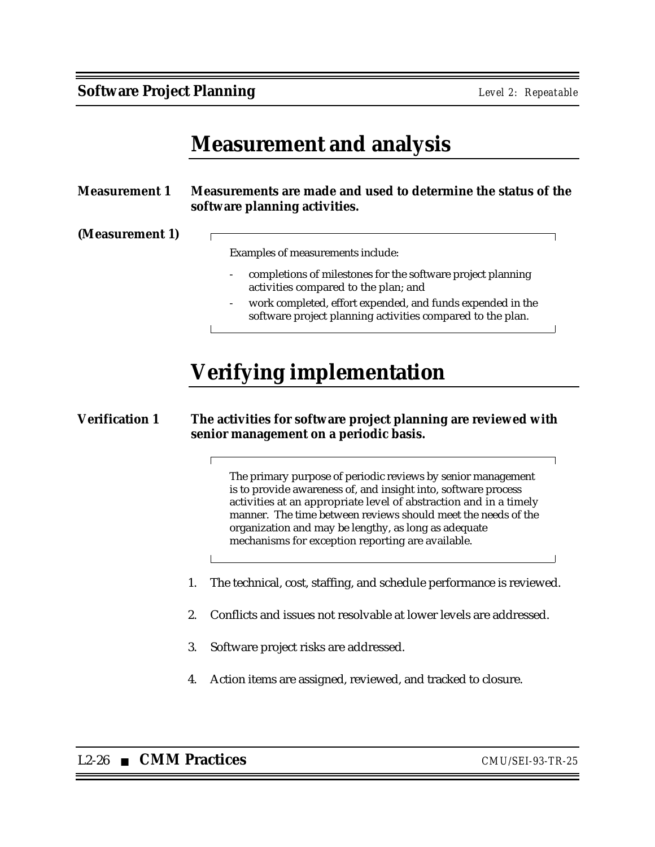#### **Software Project Planning** *Level 2: Repeatable*

# **Measurement and analysis**

| <b>Measurement 1</b> | Measurements are made and used to determine the status of the<br>software planning activities.                           |
|----------------------|--------------------------------------------------------------------------------------------------------------------------|
| (Measurement 1)      |                                                                                                                          |
|                      | <b>Examples of measurements include:</b>                                                                                 |
|                      | completions of milestones for the software project planning<br>activities compared to the plan; and                      |
|                      | work completed, effort expended, and funds expended in the<br>software project planning activities compared to the plan. |
|                      |                                                                                                                          |

# **Verifying implementation**

| <b>Verification 1</b> | The activities for software project planning are reviewed with<br>senior management on a periodic basis. |
|-----------------------|----------------------------------------------------------------------------------------------------------|
|                       |                                                                                                          |

The primary purpose of periodic reviews by senior management is to provide awareness of, and insight into, software process activities at an appropriate level of abstraction and in a timely manner. The time between reviews should meet the needs of the organization and may be lengthy, as long as adequate mechanisms for exception reporting are available.

- 1. The technical, cost, staffing, and schedule performance is reviewed.
- 2. Conflicts and issues not resolvable at lower levels are addressed.
- 3. Software project risks are addressed.
- 4. Action items are assigned, reviewed, and tracked to closure.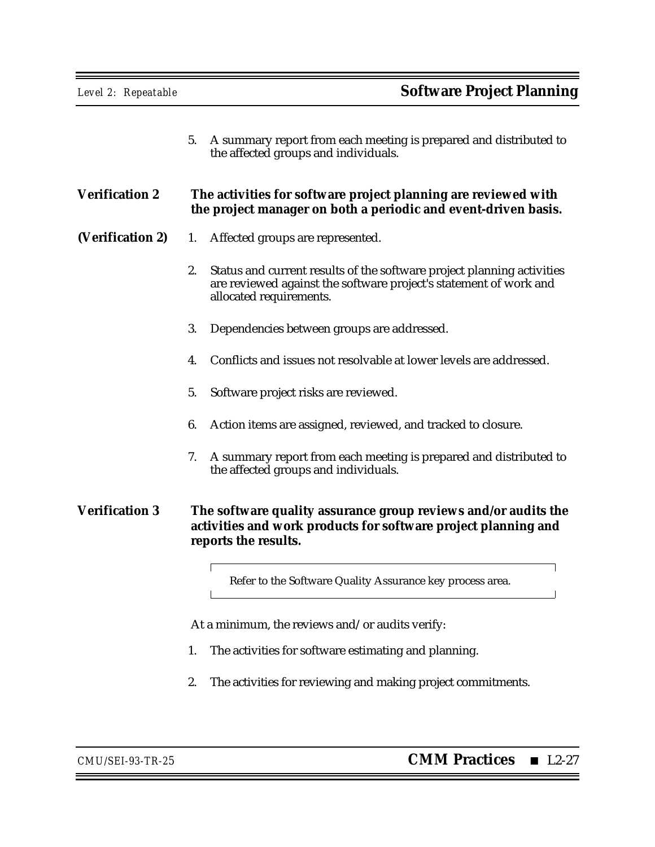5. A summary report from each meeting is prepared and distributed to the affected groups and individuals.

#### **Verification 2 The activities for software project planning are reviewed with the project manager on both a periodic and event-driven basis.**

- **(Verification 2)** 1. Affected groups are represented.
	- 2. Status and current results of the software project planning activities are reviewed against the software project's statement of work and allocated requirements.
	- 3. Dependencies between groups are addressed.
	- 4. Conflicts and issues not resolvable at lower levels are addressed.
	- 5. Software project risks are reviewed.
	- 6. Action items are assigned, reviewed, and tracked to closure.
	- 7. A summary report from each meeting is prepared and distributed to the affected groups and individuals.

#### **Verification 3 The software quality assurance group reviews and/or audits the activities and work products for software project planning and reports the results.**

Refer to the Software Quality Assurance key process area.

At a minimum, the reviews and/or audits verify:

- 1. The activities for software estimating and planning.
- 2. The activities for reviewing and making project commitments.

٦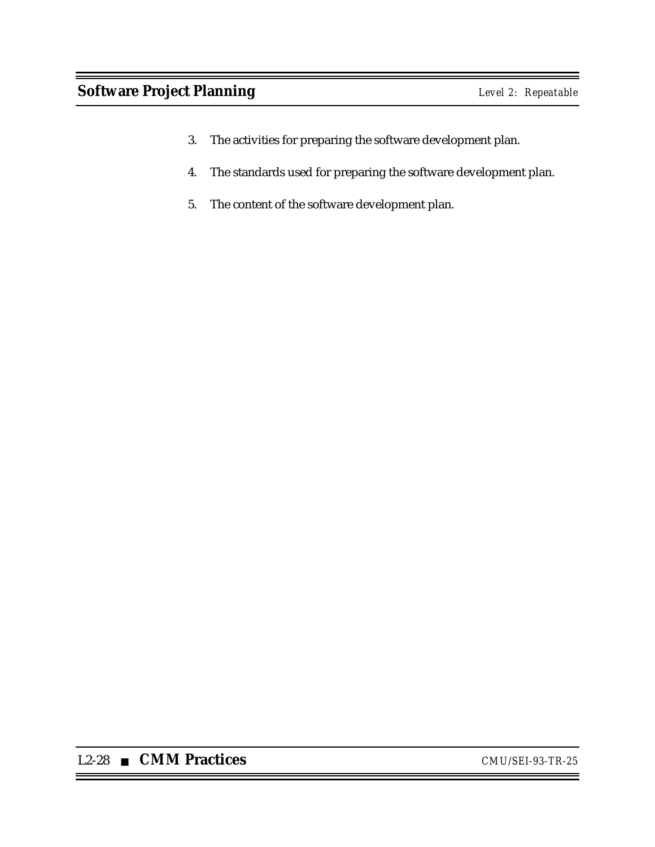- 3. The activities for preparing the software development plan.
- 4. The standards used for preparing the software development plan.
- 5. The content of the software development plan.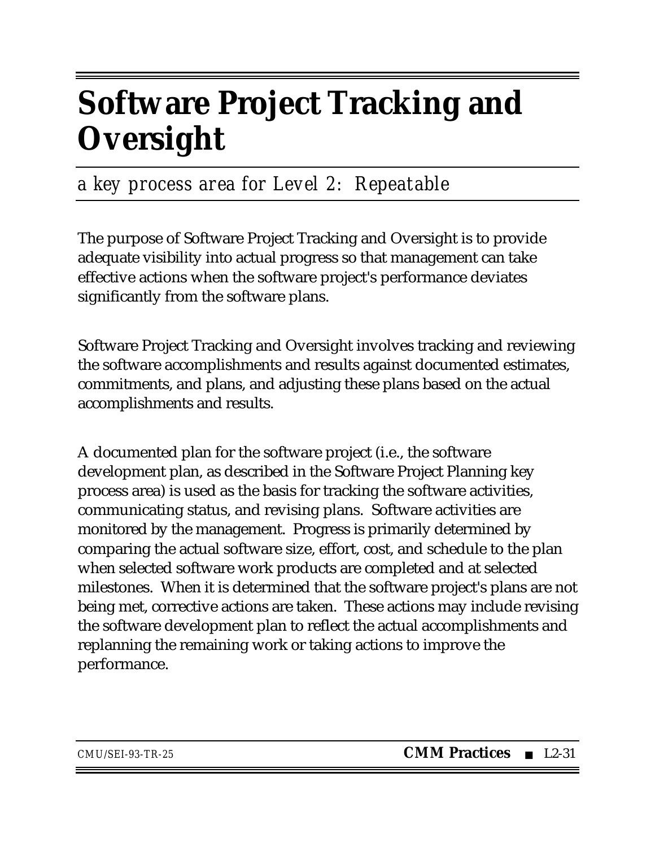# **Software Project Tracking and Oversight**

*a key process area for Level 2: Repeatable*

The purpose of Software Project Tracking and Oversight is to provide adequate visibility into actual progress so that management can take effective actions when the software project's performance deviates significantly from the software plans.

Software Project Tracking and Oversight involves tracking and reviewing the software accomplishments and results against documented estimates, commitments, and plans, and adjusting these plans based on the actual accomplishments and results.

A documented plan for the software project (i.e., the software development plan, as described in the Software Project Planning key process area) is used as the basis for tracking the software activities, communicating status, and revising plans. Software activities are monitored by the management. Progress is primarily determined by comparing the actual software size, effort, cost, and schedule to the plan when selected software work products are completed and at selected milestones. When it is determined that the software project's plans are not being met, corrective actions are taken. These actions may include revising the software development plan to reflect the actual accomplishments and replanning the remaining work or taking actions to improve the performance.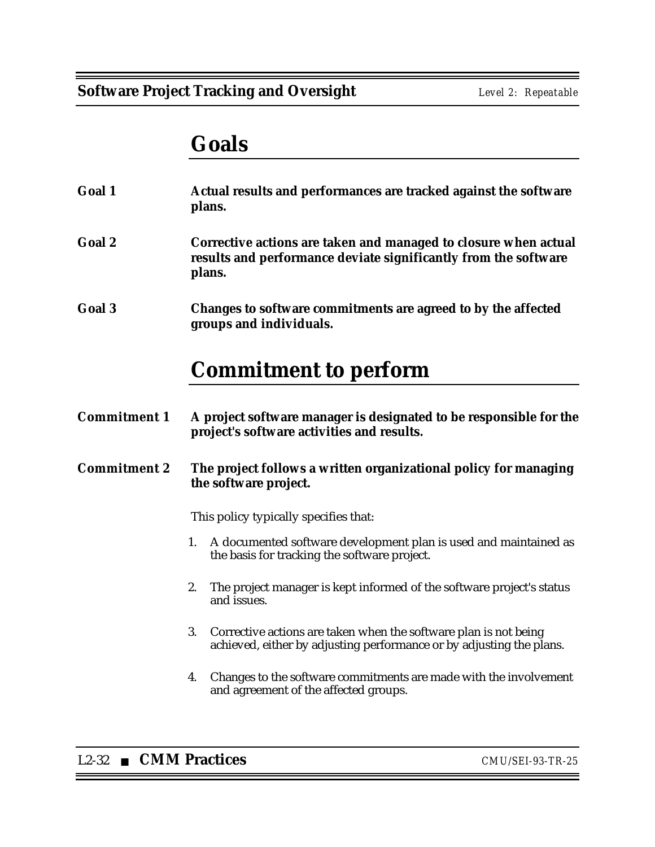Ξ

|                     | Goals                                                                                                                                          |
|---------------------|------------------------------------------------------------------------------------------------------------------------------------------------|
| Goal 1              | Actual results and performances are tracked against the software<br>plans.                                                                     |
| <b>Goal 2</b>       | Corrective actions are taken and managed to closure when actual<br>results and performance deviate significantly from the software<br>plans.   |
| Goal 3              | Changes to software commitments are agreed to by the affected<br>groups and individuals.                                                       |
|                     | <b>Commitment to perform</b>                                                                                                                   |
| <b>Commitment 1</b> | A project software manager is designated to be responsible for the<br>project's software activities and results.                               |
| <b>Commitment 2</b> | The project follows a written organizational policy for managing<br>the software project.                                                      |
|                     | This policy typically specifies that:                                                                                                          |
|                     | A documented software development plan is used and maintained as<br>1.<br>the basis for tracking the software project.                         |
|                     | The project manager is kept informed of the software project's status<br>2.<br>and issues.                                                     |
|                     | Corrective actions are taken when the software plan is not being<br>3.<br>achieved, either by adjusting performance or by adjusting the plans. |
|                     | Changes to the software commitments are made with the involvement<br>4.<br>and agreement of the affected groups.                               |
|                     |                                                                                                                                                |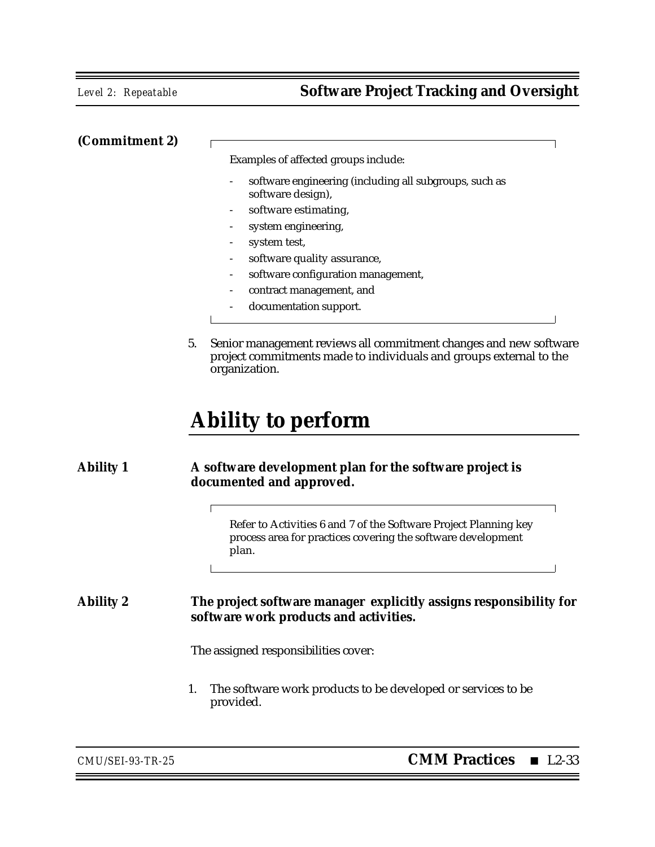## *Level 2: Repeatable* **Software Project Tracking and Oversight**

| (Commitment 2)   |                                                                                                                                                                |
|------------------|----------------------------------------------------------------------------------------------------------------------------------------------------------------|
|                  | Examples of affected groups include:                                                                                                                           |
|                  | software engineering (including all subgroups, such as<br>software design),                                                                                    |
|                  | software estimating,<br>-                                                                                                                                      |
|                  | system engineering,                                                                                                                                            |
|                  | system test,                                                                                                                                                   |
|                  | software quality assurance,<br>-                                                                                                                               |
|                  | software configuration management,<br>-                                                                                                                        |
|                  | contract management, and                                                                                                                                       |
|                  | documentation support.                                                                                                                                         |
|                  |                                                                                                                                                                |
|                  | 5.<br>Senior management reviews all commitment changes and new software<br>project commitments made to individuals and groups external to the<br>organization. |
| <b>Ability 1</b> | <b>Ability to perform</b><br>A software development plan for the software project is<br>documented and approved.                                               |
|                  | Refer to Activities 6 and 7 of the Software Project Planning key<br>process area for practices covering the software development<br>plan.                      |
| <b>Ability 2</b> | The project software manager explicitly assigns responsibility for<br>software work products and activities.                                                   |
|                  | The assigned responsibilities cover:                                                                                                                           |
|                  | The software work products to be developed or services to be<br>1.<br>provided.                                                                                |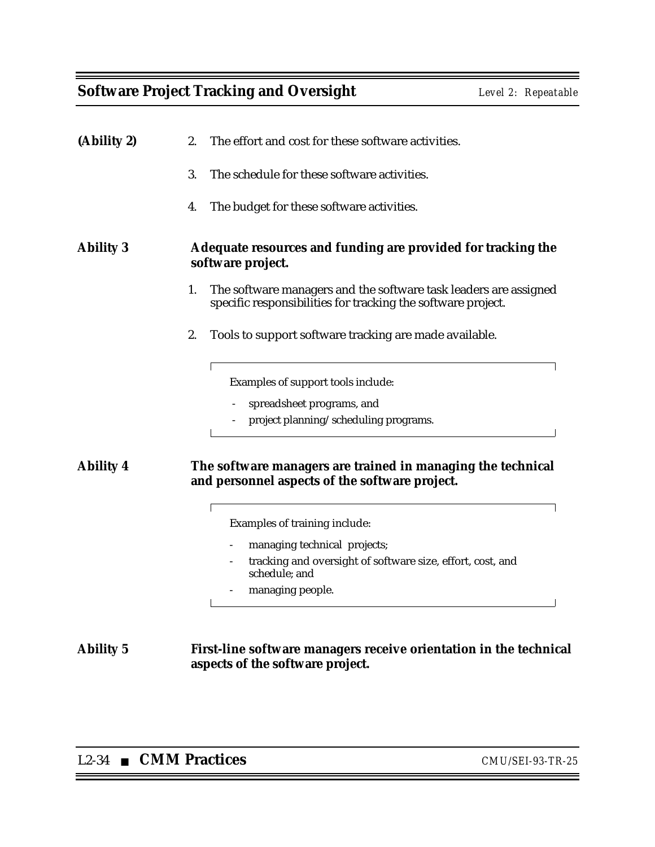Ξ

| (Ability 2)      | The effort and cost for these software activities.<br>2.                                                                               |
|------------------|----------------------------------------------------------------------------------------------------------------------------------------|
|                  | 3.<br>The schedule for these software activities.                                                                                      |
|                  | 4.<br>The budget for these software activities.                                                                                        |
| <b>Ability 3</b> | Adequate resources and funding are provided for tracking the<br>software project.                                                      |
|                  | 1.<br>The software managers and the software task leaders are assigned<br>specific responsibilities for tracking the software project. |
|                  | 2.<br>Tools to support software tracking are made available.                                                                           |
|                  | Examples of support tools include:                                                                                                     |
|                  | spreadsheet programs, and                                                                                                              |
|                  | project planning/scheduling programs.                                                                                                  |
| <b>Ability 4</b> | The software managers are trained in managing the technical<br>and personnel aspects of the software project.                          |
|                  | Examples of training include:                                                                                                          |
|                  | managing technical projects;                                                                                                           |
|                  | tracking and oversight of software size, effort, cost, and<br>schedule; and                                                            |
|                  | managing people.                                                                                                                       |
|                  |                                                                                                                                        |

#### **Ability 5 First-line software managers receive orientation in the technical aspects of the software project.**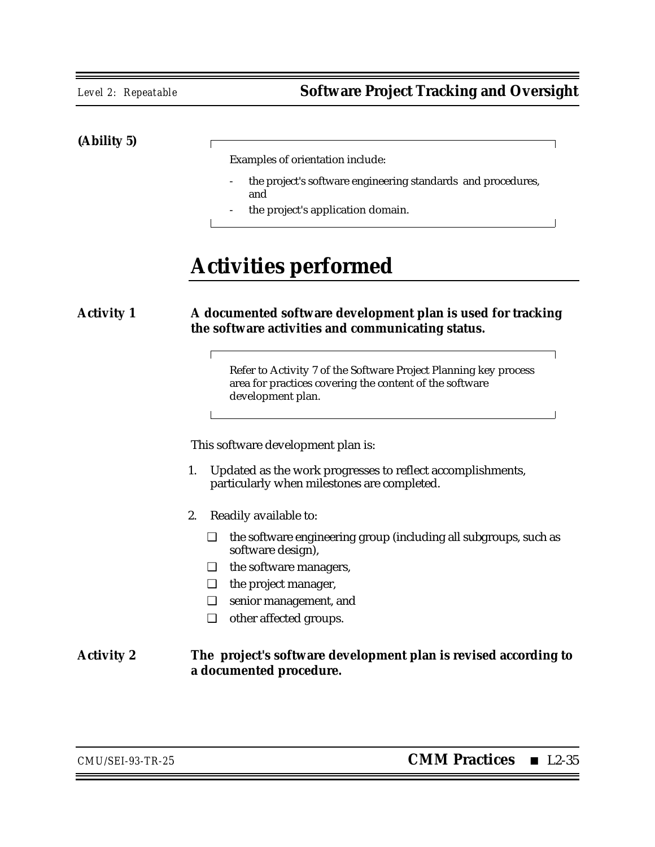| (Ability 5)       |                                                                                                                                                  |
|-------------------|--------------------------------------------------------------------------------------------------------------------------------------------------|
|                   | Examples of orientation include:                                                                                                                 |
|                   | the project's software engineering standards and procedures,<br>and                                                                              |
|                   | the project's application domain.                                                                                                                |
|                   | <b>Activities performed</b>                                                                                                                      |
| <b>Activity 1</b> | A documented software development plan is used for tracking<br>the software activities and communicating status.                                 |
|                   | Refer to Activity 7 of the Software Project Planning key process<br>area for practices covering the content of the software<br>development plan. |
|                   | This software development plan is:                                                                                                               |
| 1.                | Updated as the work progresses to reflect accomplishments,<br>particularly when milestones are completed.                                        |
| 2.                | Readily available to:                                                                                                                            |
|                   | $\Box$<br>the software engineering group (including all subgroups, such as<br>software design),                                                  |
|                   | the software managers,<br>⊔                                                                                                                      |
|                   | the project manager,<br>⊔                                                                                                                        |
|                   | ⊔<br>senior management, and                                                                                                                      |
|                   | $\Box$<br>other affected groups.                                                                                                                 |
| <b>Activity 2</b> | The project's software development plan is revised according to<br>a documented procedure.                                                       |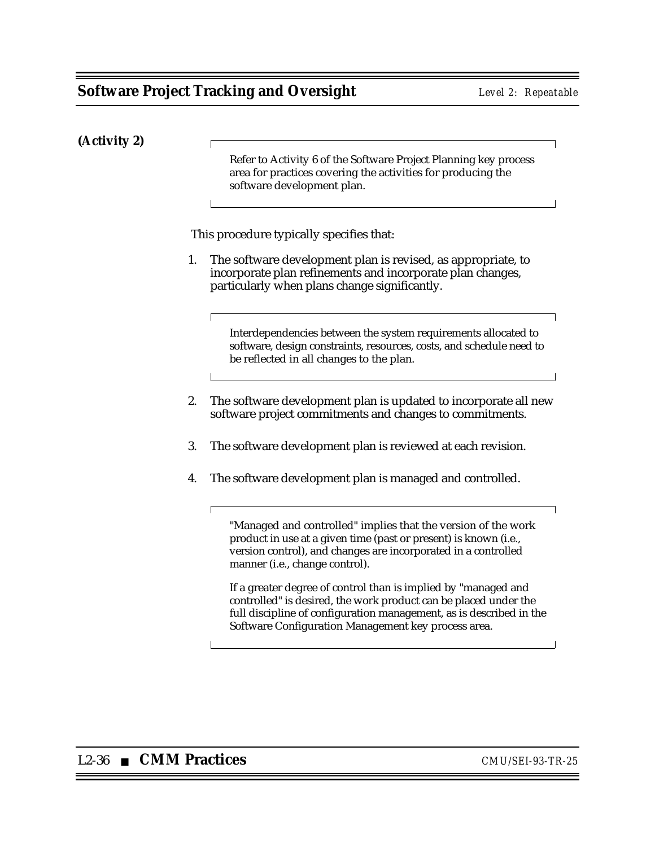≡

| (Activity 2) |    | Refer to Activity 6 of the Software Project Planning key process<br>area for practices covering the activities for producing the<br>software development plan.                                                                                                   |
|--------------|----|------------------------------------------------------------------------------------------------------------------------------------------------------------------------------------------------------------------------------------------------------------------|
|              |    | This procedure typically specifies that:                                                                                                                                                                                                                         |
|              | 1. | The software development plan is revised, as appropriate, to<br>incorporate plan refinements and incorporate plan changes,<br>particularly when plans change significantly.                                                                                      |
|              |    | Interdependencies between the system requirements allocated to<br>software, design constraints, resources, costs, and schedule need to<br>be reflected in all changes to the plan.                                                                               |
|              | 2. | The software development plan is updated to incorporate all new<br>software project commitments and changes to commitments.                                                                                                                                      |
|              | 3. | The software development plan is reviewed at each revision.                                                                                                                                                                                                      |
|              | 4. | The software development plan is managed and controlled.                                                                                                                                                                                                         |
|              |    | "Managed and controlled" implies that the version of the work<br>product in use at a given time (past or present) is known (i.e.,<br>version control), and changes are incorporated in a controlled<br>manner (i.e., change control).                            |
|              |    | If a greater degree of control than is implied by "managed and<br>controlled" is desired, the work product can be placed under the<br>full discipline of configuration management, as is described in the<br>Software Configuration Management key process area. |

 $\overline{\phantom{a}}$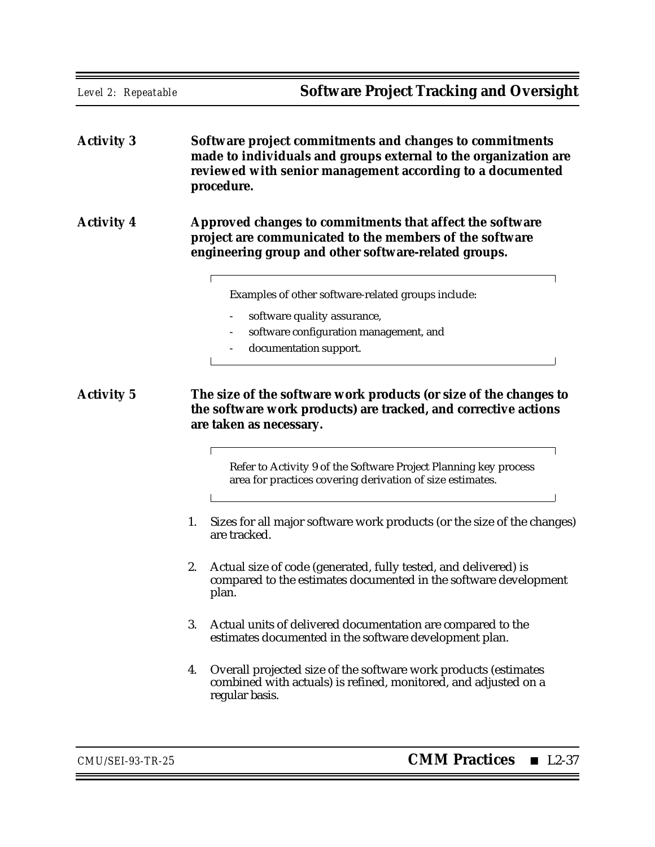| <b>Activity 3</b> | Software project commitments and changes to commitments<br>made to individuals and groups external to the organization are<br>reviewed with senior management according to a documented<br>procedure.                                                                                            |
|-------------------|--------------------------------------------------------------------------------------------------------------------------------------------------------------------------------------------------------------------------------------------------------------------------------------------------|
| <b>Activity 4</b> | Approved changes to commitments that affect the software<br>project are communicated to the members of the software<br>engineering group and other software-related groups.                                                                                                                      |
|                   | Examples of other software-related groups include:<br>software quality assurance,<br>software configuration management, and<br>documentation support.                                                                                                                                            |
| <b>Activity 5</b> | The size of the software work products (or size of the changes to<br>the software work products) are tracked, and corrective actions<br>are taken as necessary.<br>Refer to Activity 9 of the Software Project Planning key process<br>area for practices covering derivation of size estimates. |
|                   | Sizes for all major software work products (or the size of the changes)<br>1.<br>are tracked.                                                                                                                                                                                                    |
|                   | 2.<br>Actual size of code (generated, fully tested, and delivered) is<br>compared to the estimates documented in the software development<br>plan.                                                                                                                                               |
|                   | 3.<br>Actual units of delivered documentation are compared to the<br>estimates documented in the software development plan.                                                                                                                                                                      |
|                   | Overall projected size of the software work products (estimates<br>4.<br>combined with actuals) is refined, monitored, and adjusted on a<br>regular basis.                                                                                                                                       |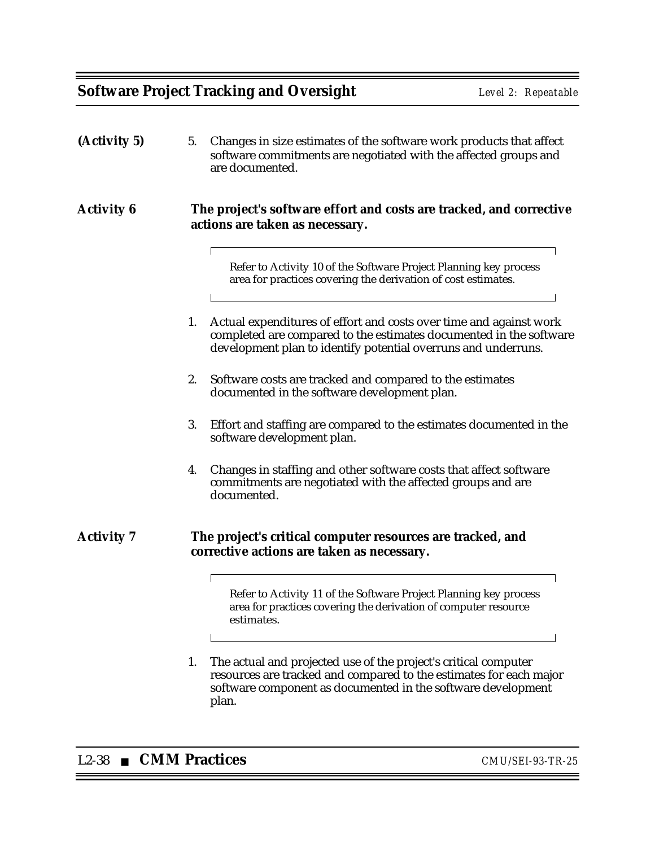Ξ

| (Activity 5)      | 5.<br>Changes in size estimates of the software work products that affect<br>software commitments are negotiated with the affected groups and<br>are documented.                                                     |
|-------------------|----------------------------------------------------------------------------------------------------------------------------------------------------------------------------------------------------------------------|
| <b>Activity 6</b> | The project's software effort and costs are tracked, and corrective<br>actions are taken as necessary.                                                                                                               |
|                   | Refer to Activity 10 of the Software Project Planning key process<br>area for practices covering the derivation of cost estimates.                                                                                   |
|                   | 1.<br>Actual expenditures of effort and costs over time and against work<br>completed are compared to the estimates documented in the software<br>development plan to identify potential overruns and underruns.     |
|                   | 2.<br>Software costs are tracked and compared to the estimates<br>documented in the software development plan.                                                                                                       |
|                   | 3.<br>Effort and staffing are compared to the estimates documented in the<br>software development plan.                                                                                                              |
|                   | Changes in staffing and other software costs that affect software<br>4.<br>commitments are negotiated with the affected groups and are<br>documented.                                                                |
| <b>Activity 7</b> | The project's critical computer resources are tracked, and<br>corrective actions are taken as necessary.                                                                                                             |
|                   | Refer to Activity 11 of the Software Project Planning key process<br>area for practices covering the derivation of computer resource<br>estimates.                                                                   |
|                   | The actual and projected use of the project's critical computer<br>1.<br>resources are tracked and compared to the estimates for each major<br>software component as documented in the software development<br>plan. |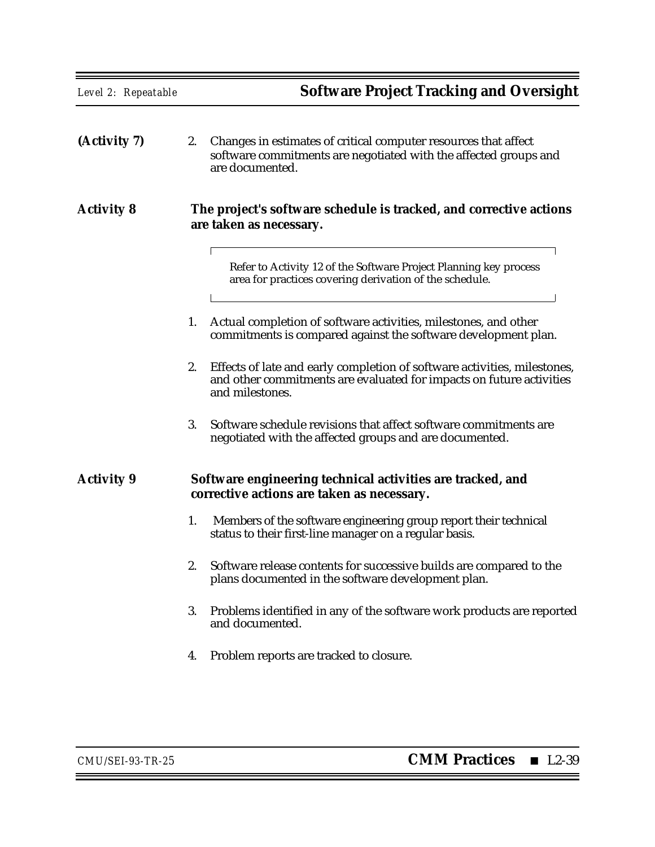| (Activity 7)      | 2.<br>Changes in estimates of critical computer resources that affect<br>software commitments are negotiated with the affected groups and<br>are documented.              |
|-------------------|---------------------------------------------------------------------------------------------------------------------------------------------------------------------------|
| <b>Activity 8</b> | The project's software schedule is tracked, and corrective actions<br>are taken as necessary.                                                                             |
|                   | Refer to Activity 12 of the Software Project Planning key process<br>area for practices covering derivation of the schedule.                                              |
|                   | Actual completion of software activities, milestones, and other<br>1.<br>commitments is compared against the software development plan.                                   |
|                   | 2.<br>Effects of late and early completion of software activities, milestones,<br>and other commitments are evaluated for impacts on future activities<br>and milestones. |
|                   | 3.<br>Software schedule revisions that affect software commitments are<br>negotiated with the affected groups and are documented.                                         |
| <b>Activity 9</b> | Software engineering technical activities are tracked, and<br>corrective actions are taken as necessary.                                                                  |
|                   | 1.<br>Members of the software engineering group report their technical<br>status to their first-line manager on a regular basis.                                          |
|                   | 2.<br>Software release contents for successive builds are compared to the<br>plans documented in the software development plan.                                           |
|                   | 3.<br>Problems identified in any of the software work products are reported<br>and documented.                                                                            |
|                   | Problem reports are tracked to closure.<br>4.                                                                                                                             |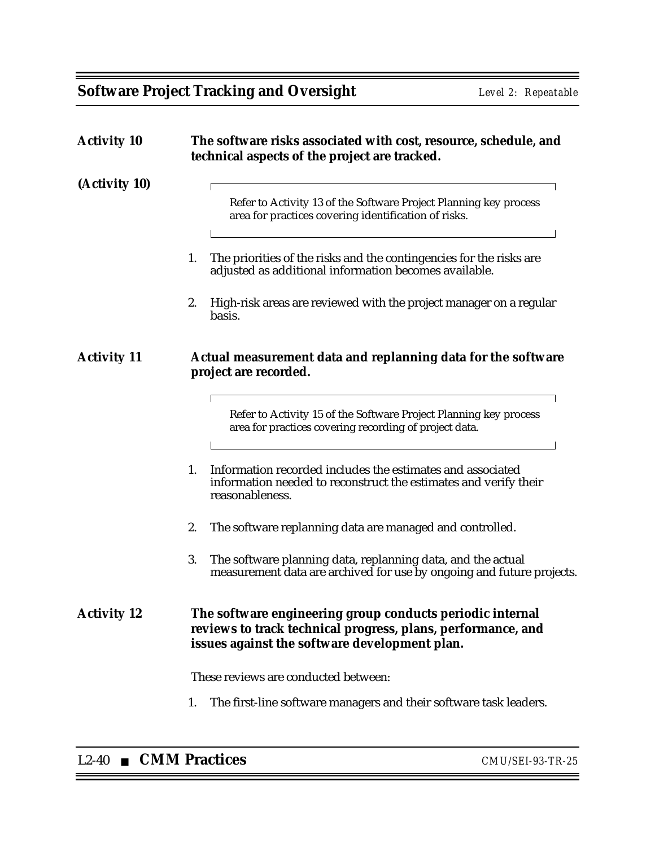Ξ

| <b>Activity 10</b> | The software risks associated with cost, resource, schedule, and<br>technical aspects of the project are tracked.                                                          |  |
|--------------------|----------------------------------------------------------------------------------------------------------------------------------------------------------------------------|--|
| (Activity 10)      | Refer to Activity 13 of the Software Project Planning key process<br>area for practices covering identification of risks.                                                  |  |
|                    | The priorities of the risks and the contingencies for the risks are<br>1.<br>adjusted as additional information becomes available.                                         |  |
|                    | High-risk areas are reviewed with the project manager on a regular<br>2.<br>basis.                                                                                         |  |
| <b>Activity 11</b> | Actual measurement data and replanning data for the software<br>project are recorded.                                                                                      |  |
|                    | Refer to Activity 15 of the Software Project Planning key process<br>area for practices covering recording of project data.                                                |  |
|                    | Information recorded includes the estimates and associated<br>1.<br>information needed to reconstruct the estimates and verify their<br>reasonableness.                    |  |
|                    | 2.<br>The software replanning data are managed and controlled.                                                                                                             |  |
|                    | 3.<br>The software planning data, replanning data, and the actual<br>measurement data are archived for use by ongoing and future projects.                                 |  |
| <b>Activity 12</b> | The software engineering group conducts periodic internal<br>reviews to track technical progress, plans, performance, and<br>issues against the software development plan. |  |
|                    | These reviews are conducted between:                                                                                                                                       |  |
|                    | The first-line software managers and their software task leaders.<br>1.                                                                                                    |  |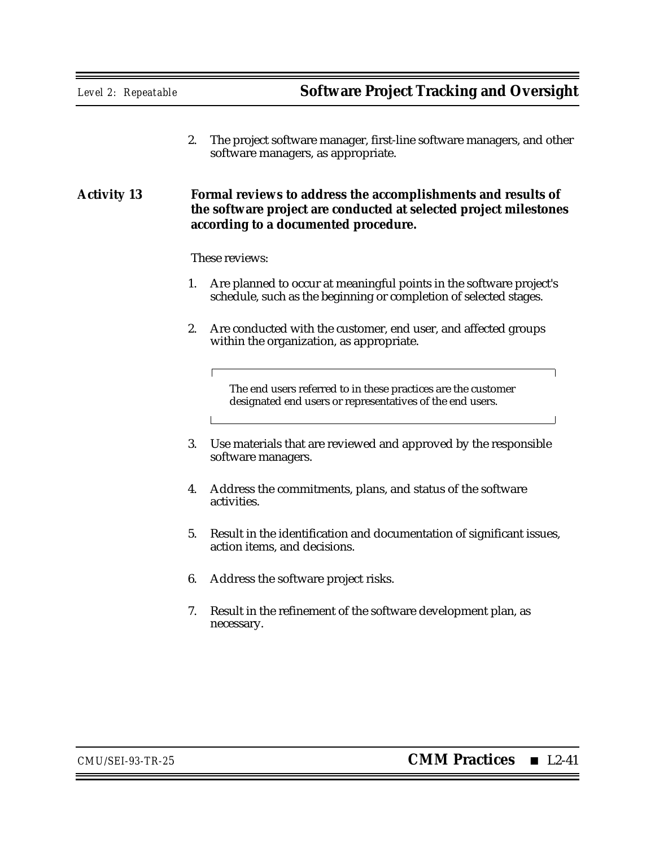2. The project software manager, first-line software managers, and other software managers, as appropriate.

#### **Activity 13 Formal reviews to address the accomplishments and results of the software project are conducted at selected project milestones according to a documented procedure.**

These reviews:

 $\sqrt{ }$ 

- 1. Are planned to occur at meaningful points in the software project's schedule, such as the beginning or completion of selected stages.
- 2. Are conducted with the customer, end user, and affected groups within the organization, as appropriate.

The end users referred to in these practices are the customer designated end users or representatives of the end users.

- 3. Use materials that are reviewed and approved by the responsible software managers.
- 4. Address the commitments, plans, and status of the software activities.
- 5. Result in the identification and documentation of significant issues, action items, and decisions.
- 6. Address the software project risks.
- 7. Result in the refinement of the software development plan, as necessary.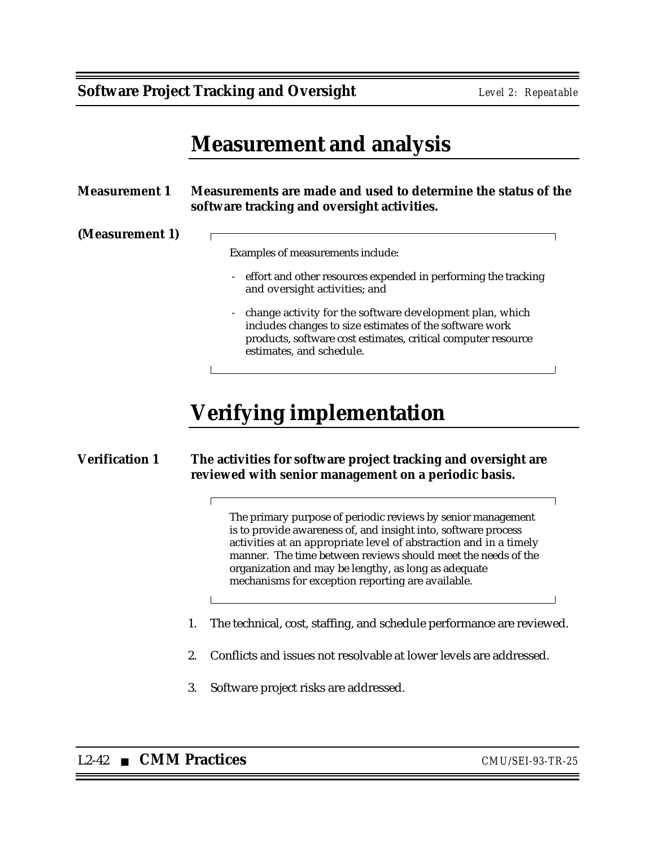$\sqrt{ }$ 

# **Measurement and analysis**

| <b>Measurement 1</b>  | Measurements are made and used to determine the status of the<br>software tracking and oversight activities.                                                                                                                                                                                                                                                       |
|-----------------------|--------------------------------------------------------------------------------------------------------------------------------------------------------------------------------------------------------------------------------------------------------------------------------------------------------------------------------------------------------------------|
| (Measurement 1)       | Examples of measurements include:<br>effort and other resources expended in performing the tracking<br>-<br>and oversight activities; and<br>change activity for the software development plan, which<br>-<br>includes changes to size estimates of the software work<br>products, software cost estimates, critical computer resource<br>estimates, and schedule. |
| <b>Verification 1</b> | <b>Verifying implementation</b><br>The activities for software project tracking and oversight are                                                                                                                                                                                                                                                                  |

The primary purpose of periodic reviews by senior management is to provide awareness of, and insight into, software process activities at an appropriate level of abstraction and in a timely manner. The time between reviews should meet the needs of the organization and may be lengthy, as long as adequate mechanisms for exception reporting are available.

**reviewed with senior management on a periodic basis.**

- 1. The technical, cost, staffing, and schedule performance are reviewed.
- 2. Conflicts and issues not resolvable at lower levels are addressed.
- 3. Software project risks are addressed.

٦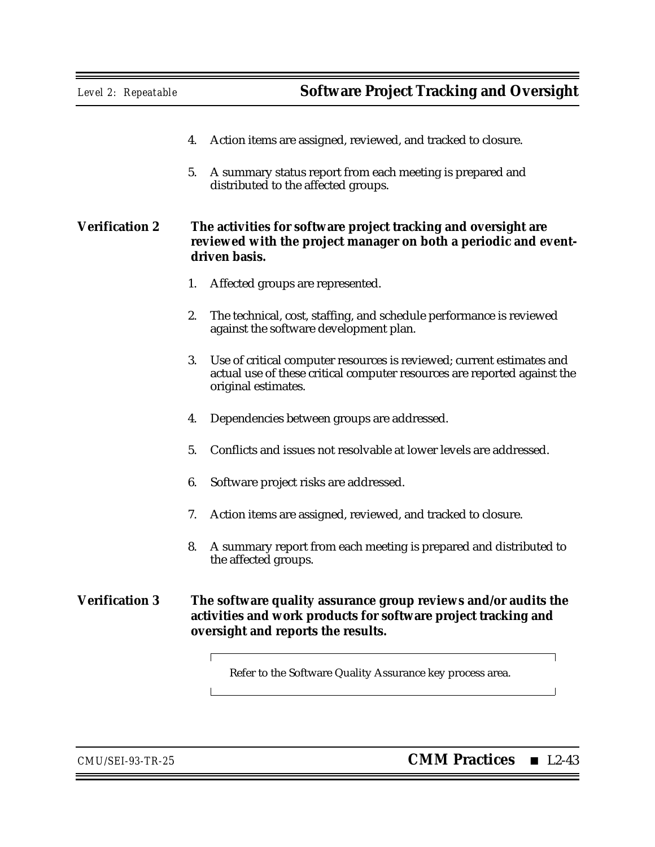- 4. Action items are assigned, reviewed, and tracked to closure.
- 5. A summary status report from each meeting is prepared and distributed to the affected groups.

#### **Verification 2 The activities for software project tracking and oversight are reviewed with the project manager on both a periodic and eventdriven basis.**

- 1. Affected groups are represented.
- 2. The technical, cost, staffing, and schedule performance is reviewed against the software development plan.
- 3. Use of critical computer resources is reviewed; current estimates and actual use of these critical computer resources are reported against the original estimates.
- 4. Dependencies between groups are addressed.
- 5. Conflicts and issues not resolvable at lower levels are addressed.
- 6. Software project risks are addressed.
- 7. Action items are assigned, reviewed, and tracked to closure.
- 8. A summary report from each meeting is prepared and distributed to the affected groups.

#### **Verification 3 The software quality assurance group reviews and/or audits the activities and work products for software project tracking and oversight and reports the results.**

Refer to the Software Quality Assurance key process area.

 $\sqrt{ }$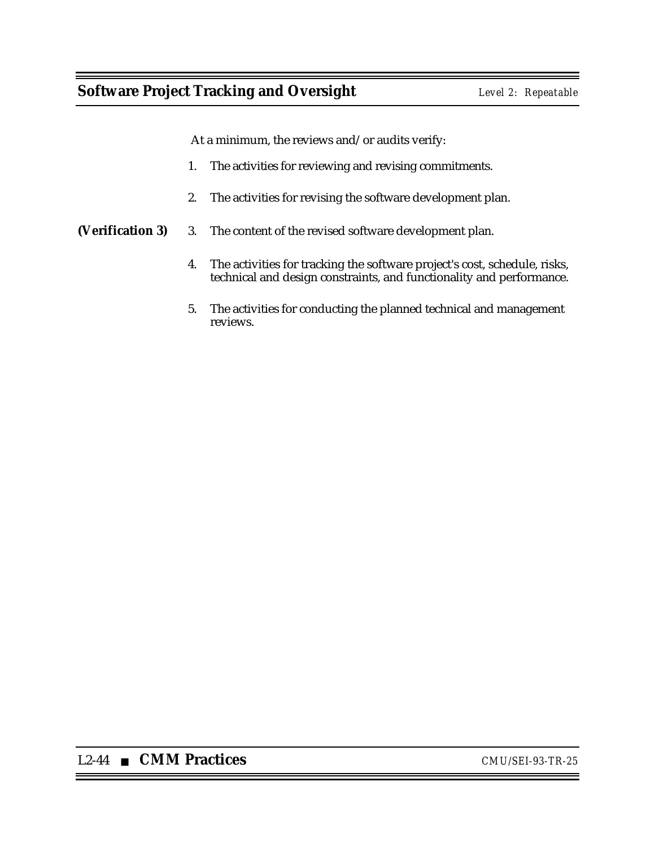At a minimum, the reviews and/or audits verify:

- 1. The activities for reviewing and revising commitments.
- 2. The activities for revising the software development plan.
- **(Verification 3)** 3. The content of the revised software development plan.
	- 4. The activities for tracking the software project's cost, schedule, risks, technical and design constraints, and functionality and performance.
	- 5. The activities for conducting the planned technical and management reviews.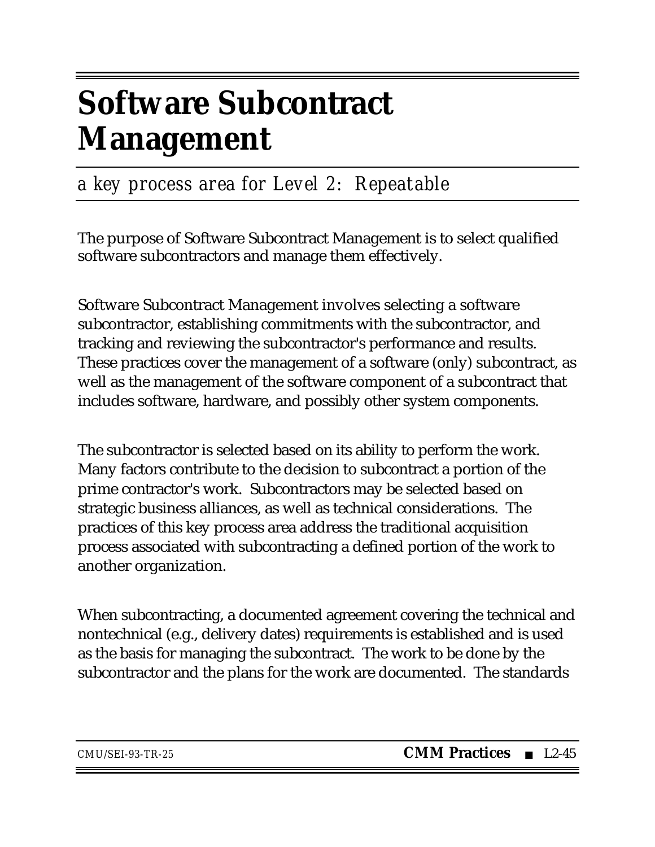# **Software Subcontract Management**

# *a key process area for Level 2: Repeatable*

The purpose of Software Subcontract Management is to select qualified software subcontractors and manage them effectively.

Software Subcontract Management involves selecting a software subcontractor, establishing commitments with the subcontractor, and tracking and reviewing the subcontractor's performance and results. These practices cover the management of a software (only) subcontract, as well as the management of the software component of a subcontract that includes software, hardware, and possibly other system components.

The subcontractor is selected based on its ability to perform the work. Many factors contribute to the decision to subcontract a portion of the prime contractor's work. Subcontractors may be selected based on strategic business alliances, as well as technical considerations. The practices of this key process area address the traditional acquisition process associated with subcontracting a defined portion of the work to another organization.

When subcontracting, a documented agreement covering the technical and nontechnical (e.g., delivery dates) requirements is established and is used as the basis for managing the subcontract. The work to be done by the subcontractor and the plans for the work are documented. The standards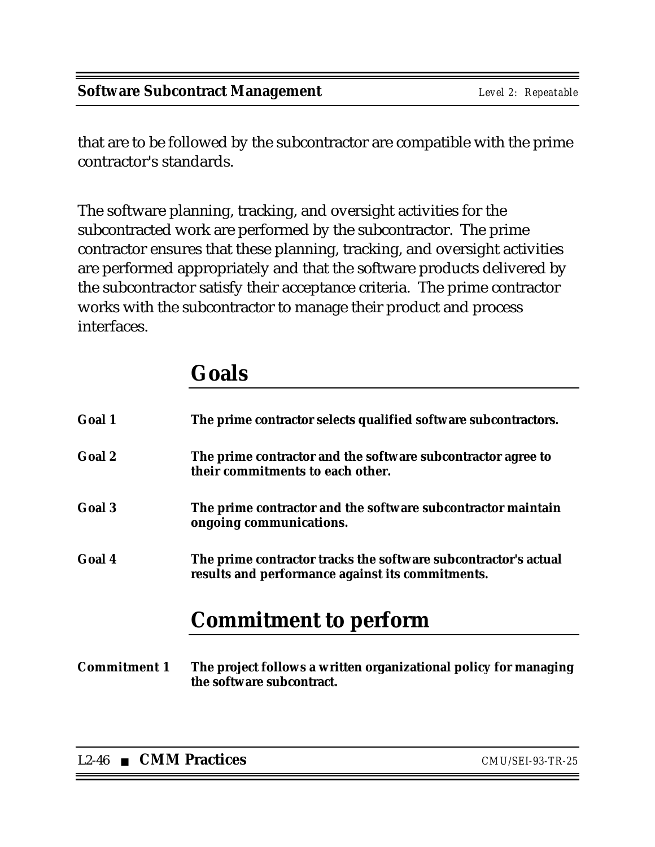that are to be followed by the subcontractor are compatible with the prime contractor's standards.

The software planning, tracking, and oversight activities for the subcontracted work are performed by the subcontractor. The prime contractor ensures that these planning, tracking, and oversight activities are performed appropriately and that the software products delivered by the subcontractor satisfy their acceptance criteria. The prime contractor works with the subcontractor to manage their product and process interfaces.

**Goals Goal 1 The prime contractor selects qualified software subcontractors. Goal 2 The prime contractor and the software subcontractor agree to their commitments to each other. Goal 3 The prime contractor and the software subcontractor maintain ongoing communications. Goal 4 The prime contractor tracks the software subcontractor's actual results and performance against its commitments. Commitment to perform**

**Commitment 1 The project follows a written organizational policy for managing the software subcontract.**

| $L2-46$ |  |  | <b>CMM</b> Practices |
|---------|--|--|----------------------|
|---------|--|--|----------------------|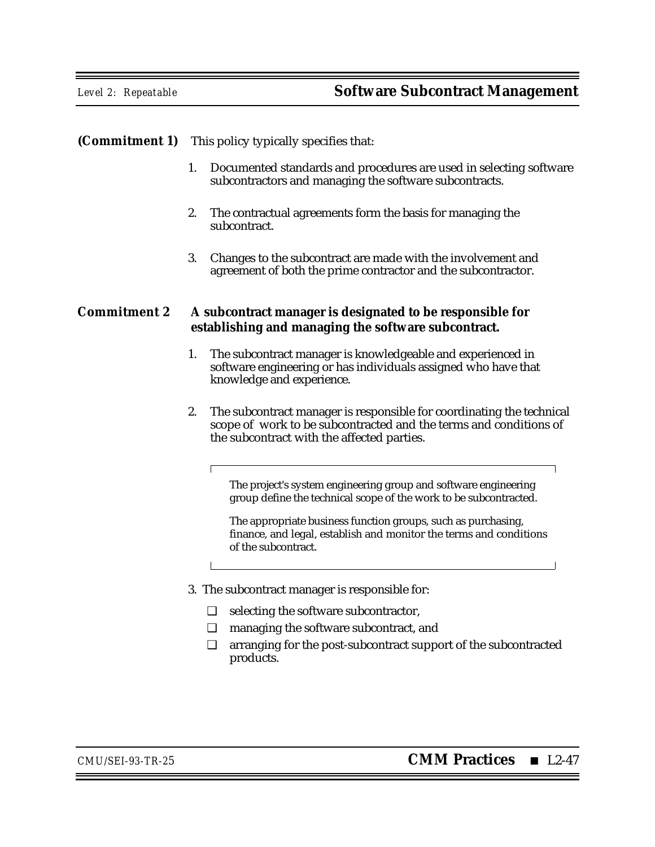## **(Commitment 1)** This policy typically specifies that: 1. Documented standards and procedures are used in selecting software subcontractors and managing the software subcontracts. 2. The contractual agreements form the basis for managing the subcontract. 3. Changes to the subcontract are made with the involvement and agreement of both the prime contractor and the subcontractor. **Commitment 2 A subcontract manager is designated to be responsible for establishing and managing the software subcontract.** 1. The subcontract manager is knowledgeable and experienced in software engineering or has individuals assigned who have that knowledge and experience. 2. The subcontract manager is responsible for coordinating the technical scope of work to be subcontracted and the terms and conditions of the subcontract with the affected parties.  $\sqrt{2}$ The project's system engineering group and software engineering group define the technical scope of the work to be subcontracted. The appropriate business function groups, such as purchasing, finance, and legal, establish and monitor the terms and conditions of the subcontract.

- 3. The subcontract manager is responsible for:
	- ❑ selecting the software subcontractor,
	- ❑ managing the software subcontract, and
	- ❑ arranging for the post-subcontract support of the subcontracted products.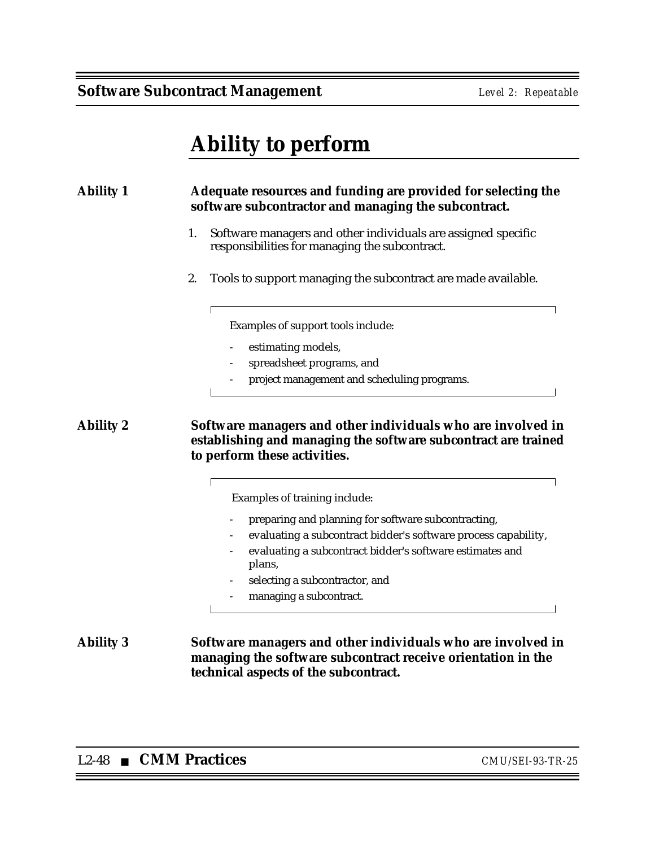#### **Software Subcontract Management** *Level 2: Repeatable*

 $\sqrt{ }$ 

# **Ability to perform**

#### **Ability 1 Adequate resources and funding are provided for selecting the software subcontractor and managing the subcontract.**

- 1. Software managers and other individuals are assigned specific responsibilities for managing the subcontract.
- 2. Tools to support managing the subcontract are made available.

Examples of support tools include:

- estimating models,
- spreadsheet programs, and
- project management and scheduling programs.

**Ability 2 Software managers and other individuals who are involved in establishing and managing the software subcontract are trained to perform these activities.**

Examples of training include:

- preparing and planning for software subcontracting,
- evaluating a subcontract bidder's software process capability,
- evaluating a subcontract bidder's software estimates and plans,
	- selecting a subcontractor, and
- managing a subcontract.

#### **Ability 3 Software managers and other individuals who are involved in managing the software subcontract receive orientation in the technical aspects of the subcontract.**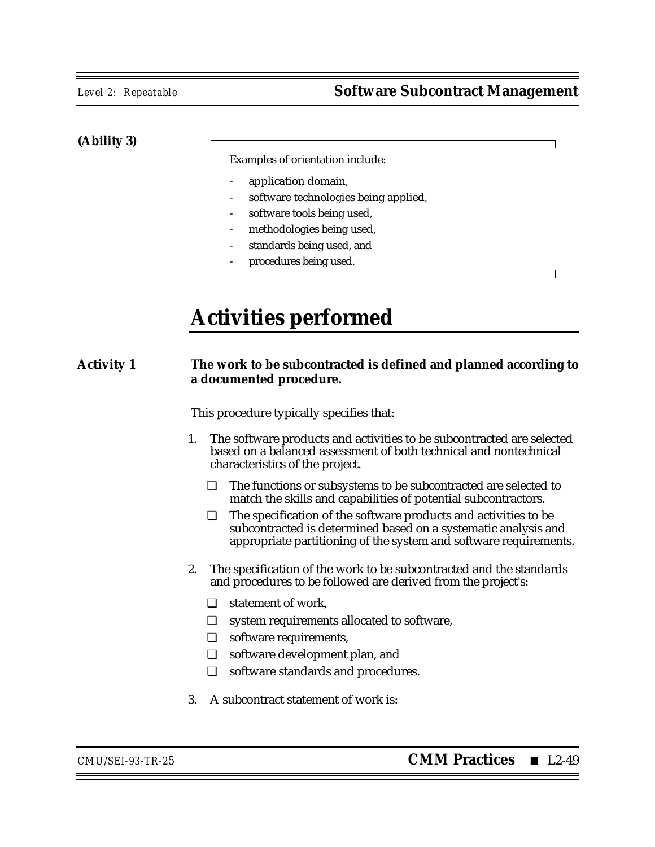#### *Level 2: Repeatable* **Software Subcontract Management**

| (Ability 3) |                                                                                                                                                                |
|-------------|----------------------------------------------------------------------------------------------------------------------------------------------------------------|
|             | <b>Examples of orientation include:</b>                                                                                                                        |
|             | application domain,<br>$\sim$<br>software technologies being applied,<br>$\sim$<br>software tools being used,<br>$\sim$<br>methodologies being used,<br>$\sim$ |

- standards being used, and
- procedures being used.

# **Activities performed**

#### **Activity 1 The work to be subcontracted is defined and planned according to a documented procedure.**

This procedure typically specifies that:

- 1. The software products and activities to be subcontracted are selected based on a balanced assessment of both technical and nontechnical characteristics of the project.
	- ❑ The functions or subsystems to be subcontracted are selected to match the skills and capabilities of potential subcontractors.
	- ❑ The specification of the software products and activities to be subcontracted is determined based on a systematic analysis and appropriate partitioning of the system and software requirements.
- 2. The specification of the work to be subcontracted and the standards and procedures to be followed are derived from the project's:
	- ❑ statement of work,
	- ❑ system requirements allocated to software,
	- ❑ software requirements,
	- ❑ software development plan, and
	- ❑ software standards and procedures.
- 3. A subcontract statement of work is: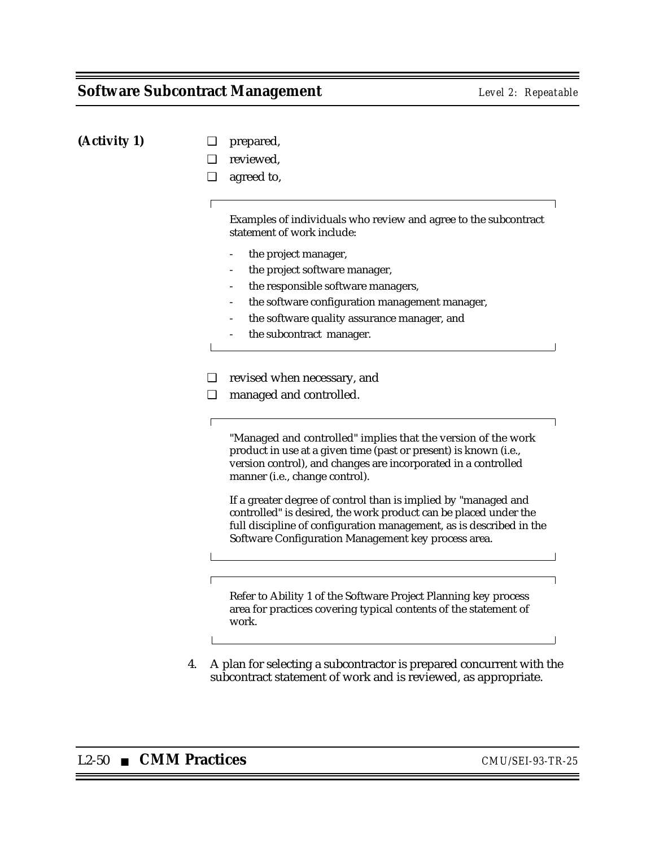## **Software Subcontract Management** *Level 2: Repeatable*

≡

| (Activity 1) | prepared,<br>⊔                                                                                                                                                                                                                                                   |
|--------------|------------------------------------------------------------------------------------------------------------------------------------------------------------------------------------------------------------------------------------------------------------------|
|              | reviewed,<br>⊔                                                                                                                                                                                                                                                   |
|              | $\Box$<br>agreed to,                                                                                                                                                                                                                                             |
|              | Examples of individuals who review and agree to the subcontract<br>statement of work include:                                                                                                                                                                    |
|              | the project manager,                                                                                                                                                                                                                                             |
|              | the project software manager,                                                                                                                                                                                                                                    |
|              | the responsible software managers,<br>$\qquad \qquad \blacksquare$                                                                                                                                                                                               |
|              | the software configuration management manager,                                                                                                                                                                                                                   |
|              | the software quality assurance manager, and                                                                                                                                                                                                                      |
|              | the subcontract manager.                                                                                                                                                                                                                                         |
|              |                                                                                                                                                                                                                                                                  |
|              | revised when necessary, and<br>⊔                                                                                                                                                                                                                                 |
|              | $\Box$<br>managed and controlled.                                                                                                                                                                                                                                |
|              |                                                                                                                                                                                                                                                                  |
|              | "Managed and controlled" implies that the version of the work<br>product in use at a given time (past or present) is known (i.e.,<br>version control), and changes are incorporated in a controlled<br>manner (i.e., change control).                            |
|              | If a greater degree of control than is implied by "managed and<br>controlled" is desired, the work product can be placed under the<br>full discipline of configuration management, as is described in the<br>Software Configuration Management key process area. |
|              |                                                                                                                                                                                                                                                                  |
|              |                                                                                                                                                                                                                                                                  |
|              | Refer to Ability 1 of the Software Project Planning key process<br>area for practices covering typical contents of the statement of<br>work.                                                                                                                     |
|              |                                                                                                                                                                                                                                                                  |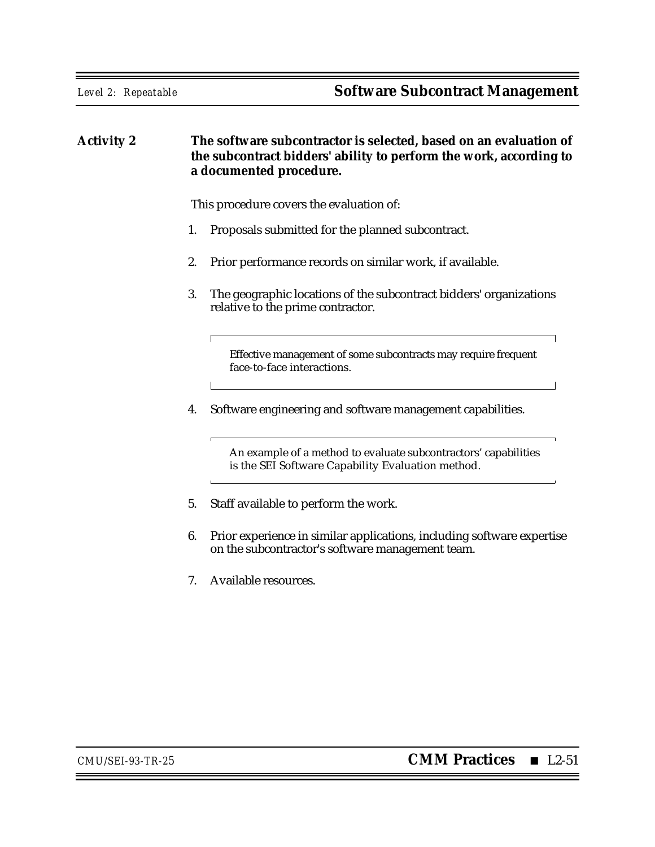#### **Activity 2 The software subcontractor is selected, based on an evaluation of the subcontract bidders' ability to perform the work, according to a documented procedure.**

This procedure covers the evaluation of:

- 1. Proposals submitted for the planned subcontract.
- 2. Prior performance records on similar work, if available.
- 3. The geographic locations of the subcontract bidders' organizations relative to the prime contractor.

Effective management of some subcontracts may require frequent face-to-face interactions.

4. Software engineering and software management capabilities.

An example of a method to evaluate subcontractors' capabilities is the SEI Software Capability Evaluation method.

- 5. Staff available to perform the work.
- 6. Prior experience in similar applications, including software expertise on the subcontractor's software management team.
- 7. Available resources.

 $\sqrt{2}$ 

 $\overline{\phantom{a}}$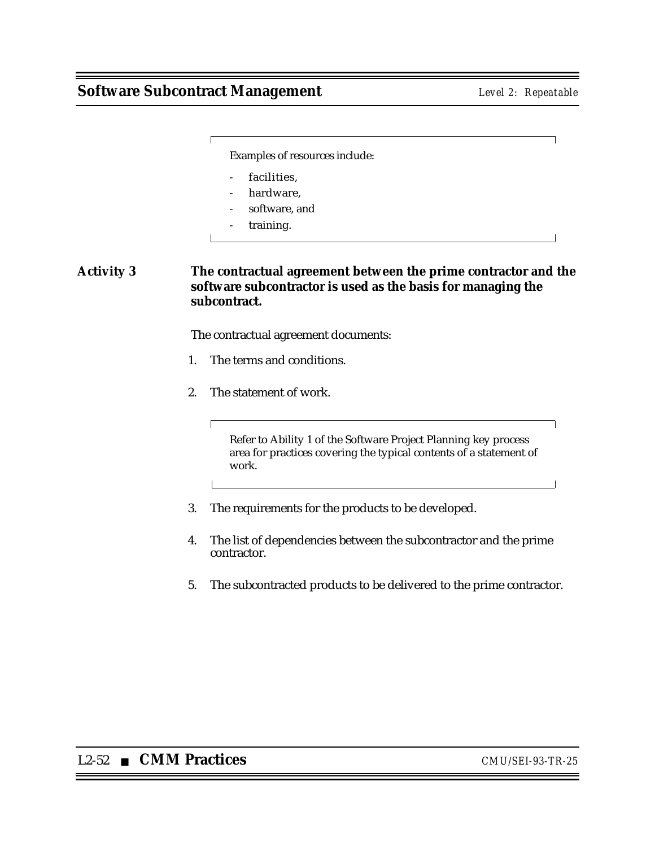#### **Software Subcontract Management** *Level 2: Repeatable*

 $\sqrt{ }$ 

Examples of resources include:

- facilities,
- hardware.
- software, and
- training.

**Activity 3 The contractual agreement between the prime contractor and the software subcontractor is used as the basis for managing the subcontract.**

The contractual agreement documents:

- 1. The terms and conditions.
- 2. The statement of work.

 $\sqrt{2}$ 

Refer to Ability 1 of the Software Project Planning key process area for practices covering the typical contents of a statement of work.

- 3. The requirements for the products to be developed.
- 4. The list of dependencies between the subcontractor and the prime contractor.
- 5. The subcontracted products to be delivered to the prime contractor.

 $\overline{\phantom{a}}$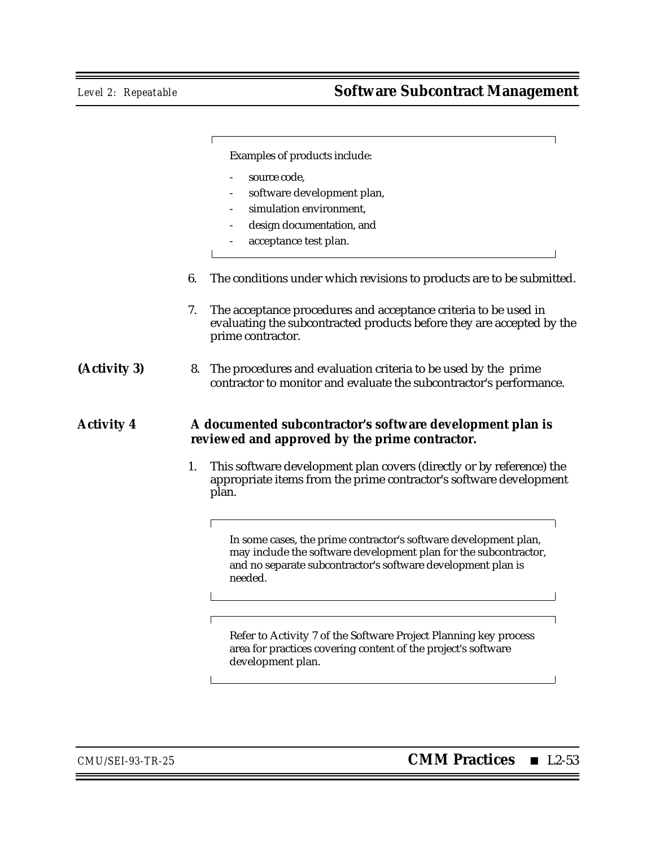|                   |    | Examples of products include:                                                                                                                                                                                   |
|-------------------|----|-----------------------------------------------------------------------------------------------------------------------------------------------------------------------------------------------------------------|
|                   |    | source code,                                                                                                                                                                                                    |
|                   |    | software development plan,                                                                                                                                                                                      |
|                   |    | simulation environment,                                                                                                                                                                                         |
|                   |    | design documentation, and                                                                                                                                                                                       |
|                   |    | acceptance test plan.                                                                                                                                                                                           |
|                   | 6. | The conditions under which revisions to products are to be submitted.                                                                                                                                           |
|                   | 7. | The acceptance procedures and acceptance criteria to be used in<br>evaluating the subcontracted products before they are accepted by the<br>prime contractor.                                                   |
| (Activity 3)      | 8. | The procedures and evaluation criteria to be used by the prime<br>contractor to monitor and evaluate the subcontractor's performance.                                                                           |
| <b>Activity 4</b> |    | A documented subcontractor's software development plan is<br>reviewed and approved by the prime contractor.                                                                                                     |
|                   | 1. | This software development plan covers (directly or by reference) the<br>appropriate items from the prime contractor's software development<br>plan.                                                             |
|                   |    | In some cases, the prime contractor's software development plan,<br>may include the software development plan for the subcontractor,<br>and no separate subcontractor's software development plan is<br>needed. |
|                   |    | Refer to Activity 7 of the Software Project Planning key process<br>area for practices covering content of the project's software<br>development plan.                                                          |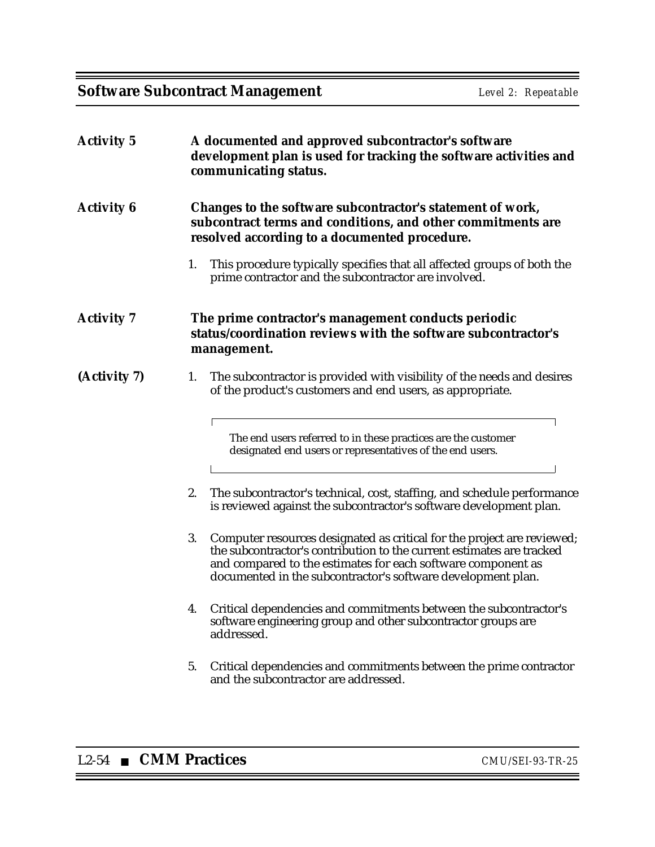## **Software Subcontract Management** *Level 2: Repeatable*

≡

| <b>Activity 5</b> | A documented and approved subcontractor's software<br>development plan is used for tracking the software activities and<br>communicating status.                                                                                                                                       |  |  |
|-------------------|----------------------------------------------------------------------------------------------------------------------------------------------------------------------------------------------------------------------------------------------------------------------------------------|--|--|
| <b>Activity 6</b> | Changes to the software subcontractor's statement of work,<br>subcontract terms and conditions, and other commitments are<br>resolved according to a documented procedure.                                                                                                             |  |  |
|                   | This procedure typically specifies that all affected groups of both the<br>1.<br>prime contractor and the subcontractor are involved.                                                                                                                                                  |  |  |
| <b>Activity 7</b> | The prime contractor's management conducts periodic<br>status/coordination reviews with the software subcontractor's<br>management.                                                                                                                                                    |  |  |
| (Activity 7)      | The subcontractor is provided with visibility of the needs and desires<br>1.<br>of the product's customers and end users, as appropriate.                                                                                                                                              |  |  |
|                   | The end users referred to in these practices are the customer<br>designated end users or representatives of the end users.                                                                                                                                                             |  |  |
|                   | 2.<br>The subcontractor's technical, cost, staffing, and schedule performance<br>is reviewed against the subcontractor's software development plan.                                                                                                                                    |  |  |
|                   | 3.<br>Computer resources designated as critical for the project are reviewed;<br>the subcontractor's contribution to the current estimates are tracked<br>and compared to the estimates for each software component as<br>documented in the subcontractor's software development plan. |  |  |
|                   | Critical dependencies and commitments between the subcontractor's<br>4.<br>software engineering group and other subcontractor groups are<br>addressed.                                                                                                                                 |  |  |
|                   | 5.<br>Critical dependencies and commitments between the prime contractor<br>and the subcontractor are addressed.                                                                                                                                                                       |  |  |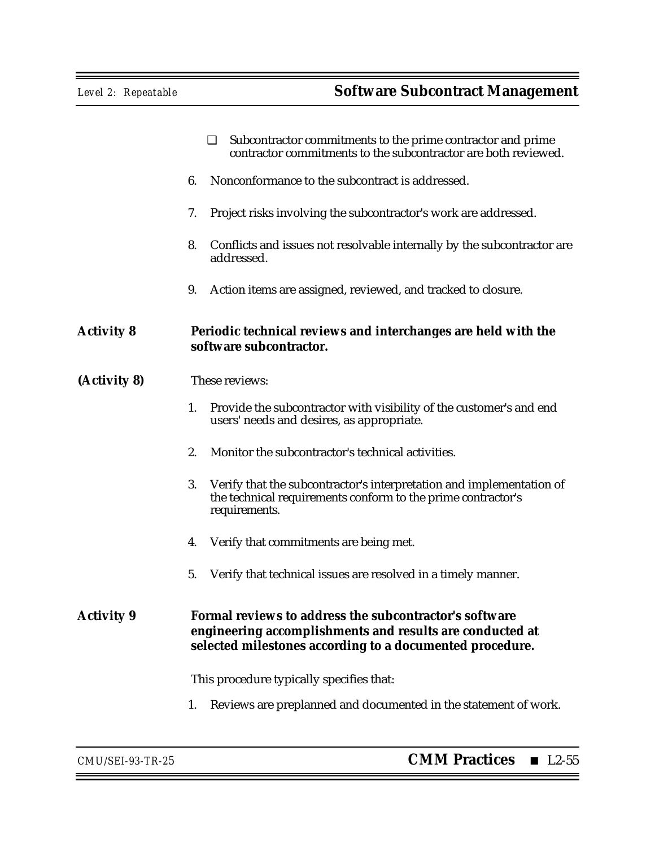|                   | Subcontractor commitments to the prime contractor and prime<br>⊔<br>contractor commitments to the subcontractor are both reviewed.                                             |
|-------------------|--------------------------------------------------------------------------------------------------------------------------------------------------------------------------------|
|                   | Nonconformance to the subcontract is addressed.<br>6.                                                                                                                          |
|                   | 7.<br>Project risks involving the subcontractor's work are addressed.                                                                                                          |
|                   | 8.<br>Conflicts and issues not resolvable internally by the subcontractor are<br>addressed.                                                                                    |
|                   | Action items are assigned, reviewed, and tracked to closure.<br>9.                                                                                                             |
| <b>Activity 8</b> | Periodic technical reviews and interchanges are held with the<br>software subcontractor.                                                                                       |
| (Activity 8)      | These reviews:                                                                                                                                                                 |
|                   | 1.<br>Provide the subcontractor with visibility of the customer's and end<br>users' needs and desires, as appropriate.                                                         |
|                   | 2.<br>Monitor the subcontractor's technical activities.                                                                                                                        |
|                   | 3.<br>Verify that the subcontractor's interpretation and implementation of<br>the technical requirements conform to the prime contractor's<br>requirements.                    |
|                   | Verify that commitments are being met.<br>4.                                                                                                                                   |
|                   | 5.<br>Verify that technical issues are resolved in a timely manner.                                                                                                            |
| <b>Activity 9</b> | Formal reviews to address the subcontractor's software<br>engineering accomplishments and results are conducted at<br>selected milestones according to a documented procedure. |
|                   | This procedure typically specifies that:                                                                                                                                       |
|                   | Reviews are preplanned and documented in the statement of work.<br>1.                                                                                                          |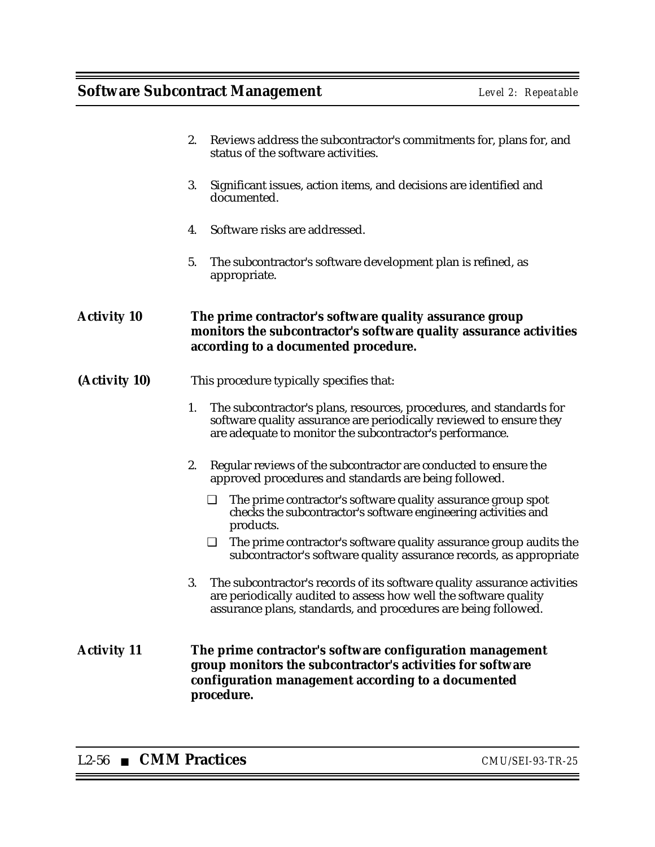#### **Software Subcontract Management** *Level 2: Repeatable*

- 2. Reviews address the subcontractor's commitments for, plans for, and status of the software activities.
- 3. Significant issues, action items, and decisions are identified and documented.
- 4. Software risks are addressed.
- 5. The subcontractor's software development plan is refined, as appropriate.

**Activity 10 The prime contractor's software quality assurance group monitors the subcontractor's software quality assurance activities according to a documented procedure.**

- **(Activity 10)** This procedure typically specifies that:
	- 1. The subcontractor's plans, resources, procedures, and standards for software quality assurance are periodically reviewed to ensure they are adequate to monitor the subcontractor's performance.
	- 2. Regular reviews of the subcontractor are conducted to ensure the approved procedures and standards are being followed.
		- ❑ The prime contractor's software quality assurance group spot checks the subcontractor's software engineering activities and products.
		- ❑ The prime contractor's software quality assurance group audits the subcontractor's software quality assurance records, as appropriate
	- 3. The subcontractor's records of its software quality assurance activities are periodically audited to assess how well the software quality assurance plans, standards, and procedures are being followed.

**Activity 11 The prime contractor's software configuration management group monitors the subcontractor's activities for software configuration management according to a documented procedure.**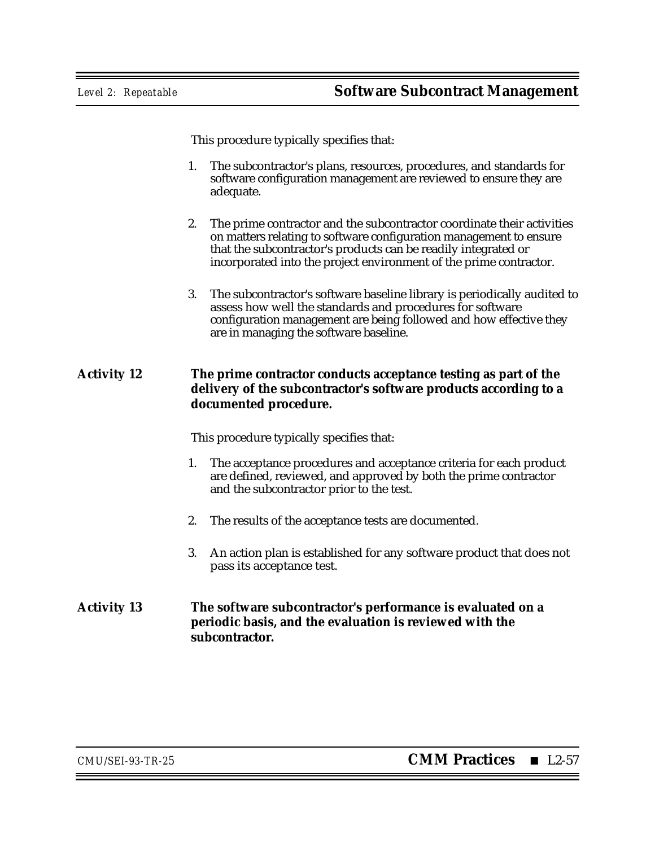This procedure typically specifies that:

- 1. The subcontractor's plans, resources, procedures, and standards for software configuration management are reviewed to ensure they are adequate.
- 2. The prime contractor and the subcontractor coordinate their activities on matters relating to software configuration management to ensure that the subcontractor's products can be readily integrated or incorporated into the project environment of the prime contractor.
- 3. The subcontractor's software baseline library is periodically audited to assess how well the standards and procedures for software configuration management are being followed and how effective they are in managing the software baseline.

#### **Activity 12 The prime contractor conducts acceptance testing as part of the delivery of the subcontractor's software products according to a documented procedure.**

This procedure typically specifies that:

- 1. The acceptance procedures and acceptance criteria for each product are defined, reviewed, and approved by both the prime contractor and the subcontractor prior to the test.
- 2. The results of the acceptance tests are documented.
- 3. An action plan is established for any software product that does not pass its acceptance test.

#### **Activity 13 The software subcontractor's performance is evaluated on a periodic basis, and the evaluation is reviewed with the subcontractor.**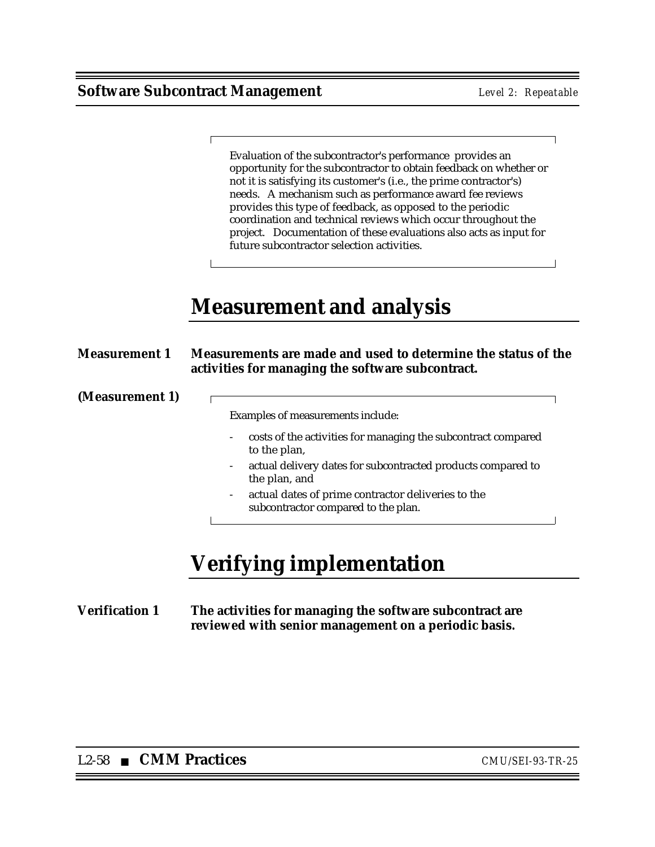### **Software Subcontract Management** *Level 2: Repeatable*

 $\sqrt{ }$ 

Evaluation of the subcontractor's performance provides an opportunity for the subcontractor to obtain feedback on whether or not it is satisfying its customer's (i.e., the prime contractor's) needs. A mechanism such as performance award fee reviews provides this type of feedback, as opposed to the periodic coordination and technical reviews which occur throughout the project. Documentation of these evaluations also acts as input for future subcontractor selection activities.

# **Measurement and analysis**

| <b>Measurement 1</b> | Measurements are made and used to determine the status of the<br>activities for managing the software subcontract. |
|----------------------|--------------------------------------------------------------------------------------------------------------------|
| (Measurement 1)      |                                                                                                                    |
|                      | Examples of measurements include:                                                                                  |
|                      | costs of the activities for managing the subcontract compared<br>-<br>to the plan,                                 |
|                      | actual delivery dates for subcontracted products compared to<br>$\overline{\phantom{0}}$<br>the plan, and          |
|                      | actual dates of prime contractor deliveries to the<br>$\sim$<br>subcontractor compared to the plan.                |

# **Verifying implementation**

#### **Verification 1 The activities for managing the software subcontract are reviewed with senior management on a periodic basis.**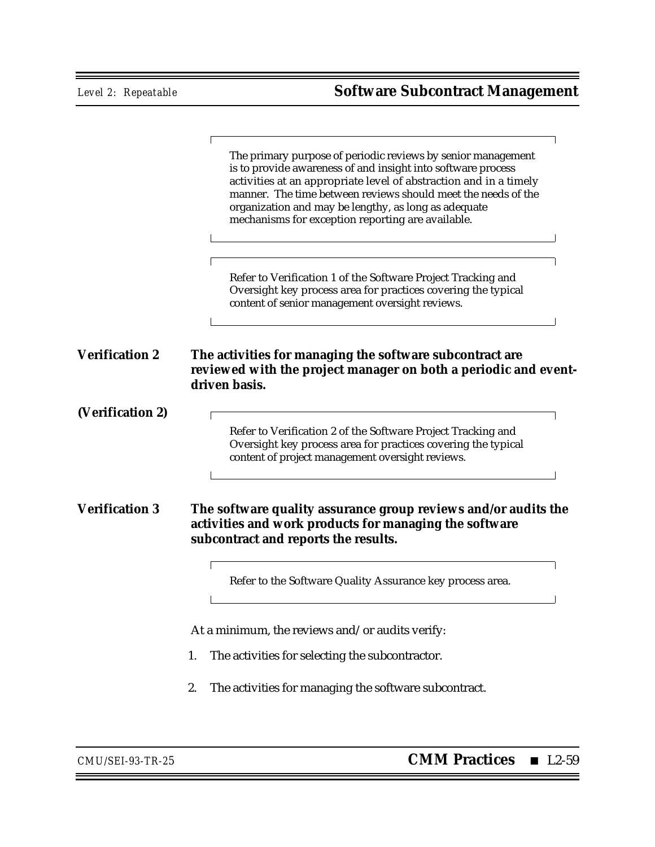|                       | The primary purpose of periodic reviews by senior management<br>is to provide awareness of and insight into software process<br>activities at an appropriate level of abstraction and in a timely<br>manner. The time between reviews should meet the needs of the<br>organization and may be lengthy, as long as adequate<br>mechanisms for exception reporting are available. |
|-----------------------|---------------------------------------------------------------------------------------------------------------------------------------------------------------------------------------------------------------------------------------------------------------------------------------------------------------------------------------------------------------------------------|
|                       | Refer to Verification 1 of the Software Project Tracking and<br>Oversight key process area for practices covering the typical<br>content of senior management oversight reviews.                                                                                                                                                                                                |
| <b>Verification 2</b> | The activities for managing the software subcontract are<br>reviewed with the project manager on both a periodic and event-<br>driven basis.                                                                                                                                                                                                                                    |
| (Verification 2)      | Refer to Verification 2 of the Software Project Tracking and<br>Oversight key process area for practices covering the typical<br>content of project management oversight reviews.                                                                                                                                                                                               |
| <b>Verification 3</b> | The software quality assurance group reviews and/or audits the<br>activities and work products for managing the software<br>subcontract and reports the results.                                                                                                                                                                                                                |
|                       | Refer to the Software Quality Assurance key process area.                                                                                                                                                                                                                                                                                                                       |
|                       | At a minimum, the reviews and/or audits verify:                                                                                                                                                                                                                                                                                                                                 |
|                       | The activities for selecting the subcontractor.<br>1.                                                                                                                                                                                                                                                                                                                           |
|                       | The activities for managing the software subcontract.<br>2.                                                                                                                                                                                                                                                                                                                     |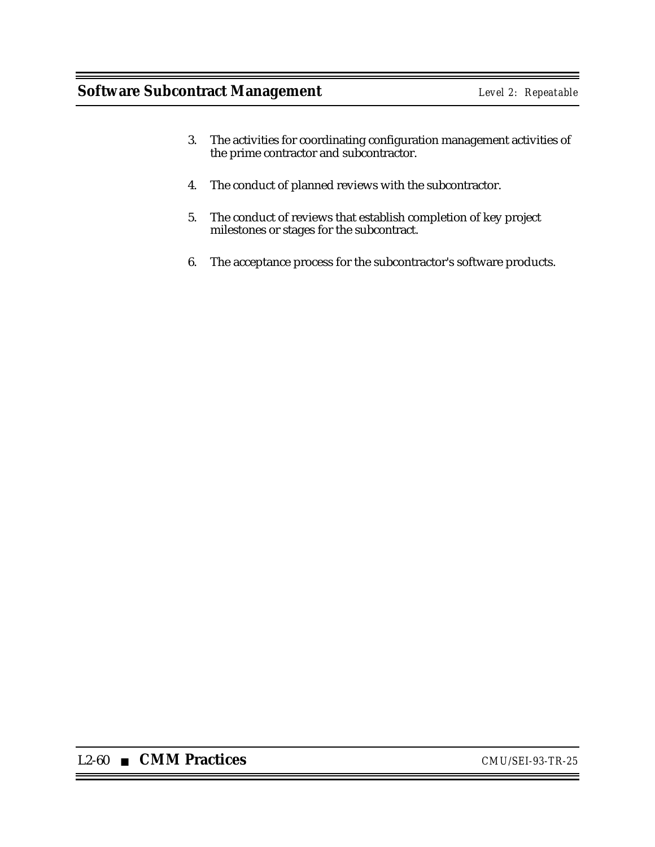### **Software Subcontract Management** *Level 2: Repeatable*

- 3. The activities for coordinating configuration management activities of the prime contractor and subcontractor.
- 4. The conduct of planned reviews with the subcontractor.
- 5. The conduct of reviews that establish completion of key project milestones or stages for the subcontract.
- 6. The acceptance process for the subcontractor's software products.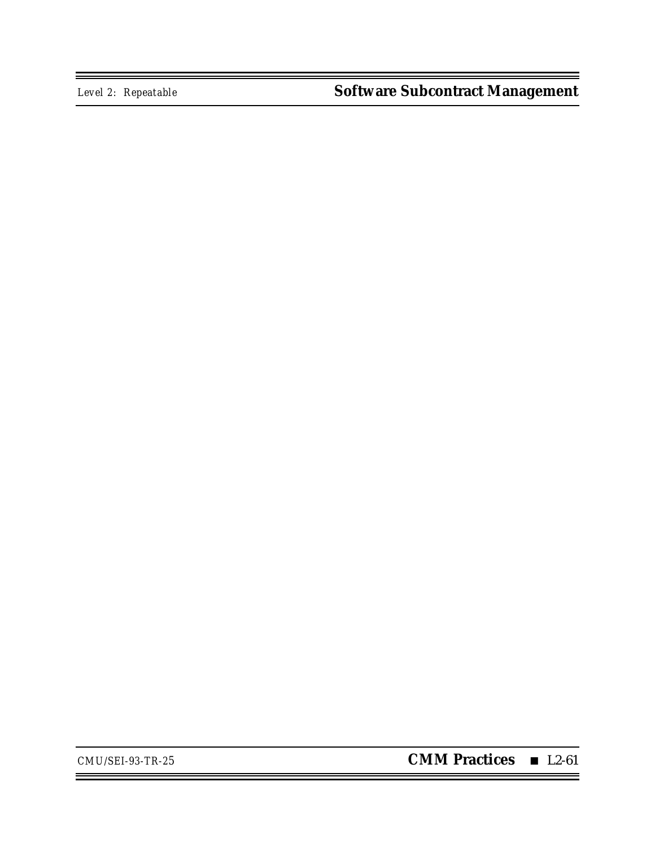*Level 2: Repeatable* **Software Subcontract Management**

*CMU/SEI-93-TR-25* **CMM Practices** ■ L2-61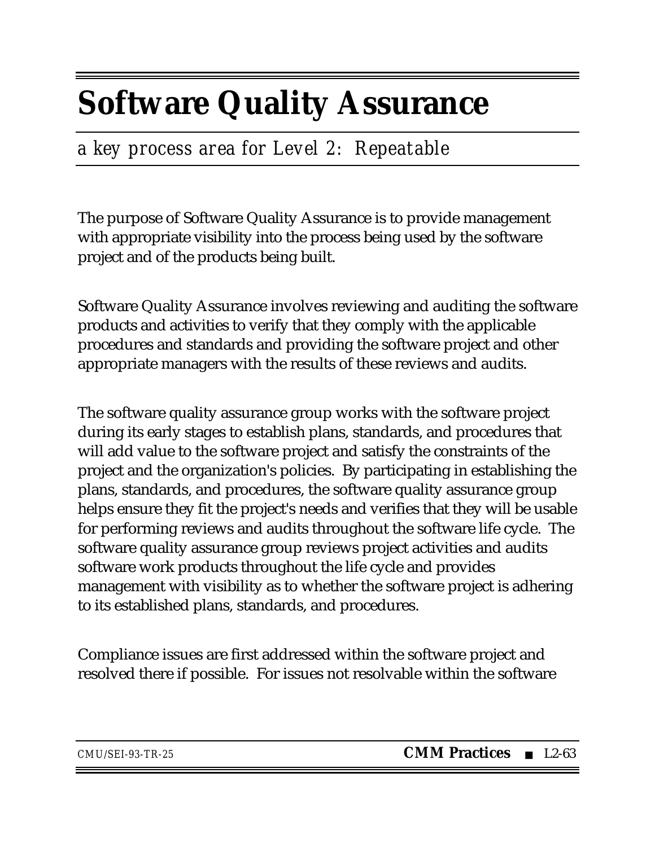# **Software Quality Assurance**

# *a key process area for Level 2: Repeatable*

The purpose of Software Quality Assurance is to provide management with appropriate visibility into the process being used by the software project and of the products being built.

Software Quality Assurance involves reviewing and auditing the software products and activities to verify that they comply with the applicable procedures and standards and providing the software project and other appropriate managers with the results of these reviews and audits.

The software quality assurance group works with the software project during its early stages to establish plans, standards, and procedures that will add value to the software project and satisfy the constraints of the project and the organization's policies. By participating in establishing the plans, standards, and procedures, the software quality assurance group helps ensure they fit the project's needs and verifies that they will be usable for performing reviews and audits throughout the software life cycle. The software quality assurance group reviews project activities and audits software work products throughout the life cycle and provides management with visibility as to whether the software project is adhering to its established plans, standards, and procedures.

Compliance issues are first addressed within the software project and resolved there if possible. For issues not resolvable within the software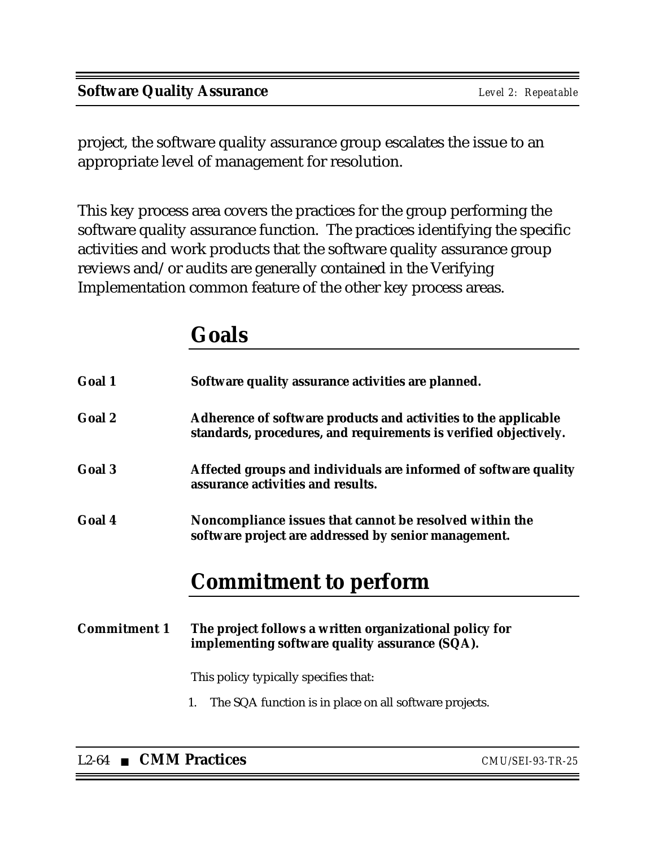project, the software quality assurance group escalates the issue to an appropriate level of management for resolution.

This key process area covers the practices for the group performing the software quality assurance function. The practices identifying the specific activities and work products that the software quality assurance group reviews and/or audits are generally contained in the Verifying Implementation common feature of the other key process areas.

# **Goals**

| Software quality assurance activities are planned.                                                                                  |
|-------------------------------------------------------------------------------------------------------------------------------------|
| Adherence of software products and activities to the applicable<br>standards, procedures, and requirements is verified objectively. |
| Affected groups and individuals are informed of software quality<br>assurance activities and results.                               |
| Noncompliance issues that cannot be resolved within the<br>software project are addressed by senior management.                     |
| <b>Commitment to perform</b>                                                                                                        |
| The project follows a written organizational policy for<br>implementing software quality assurance (SQA).                           |
| This policy typically specifies that:                                                                                               |
| The SQA function is in place on all software projects.<br>1.                                                                        |
|                                                                                                                                     |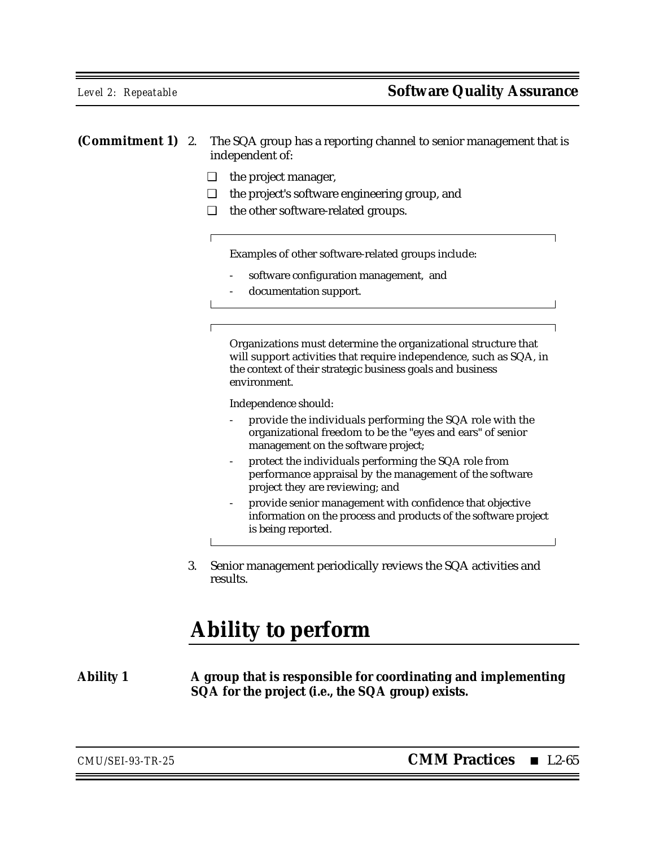#### **(Commitment 1)** 2. The SQA group has a reporting channel to senior management that is independent of:

❑ the project manager,

 $\sqrt{ }$ 

- ❑ the project's software engineering group, and
- ❑ the other software-related groups.

Examples of other software-related groups include:

- software configuration management, and
- documentation support.

Organizations must determine the organizational structure that will support activities that require independence, such as SQA, in the context of their strategic business goals and business environment.

Independence should:

- provide the individuals performing the SQA role with the organizational freedom to be the "eyes and ears" of senior management on the software project;
- protect the individuals performing the SQA role from performance appraisal by the management of the software project they are reviewing; and
- provide senior management with confidence that objective information on the process and products of the software project is being reported.
- 3. Senior management periodically reviews the SQA activities and results.

## **Ability to perform**

**Ability 1 A group that is responsible for coordinating and implementing SQA for the project (i.e., the SQA group) exists.**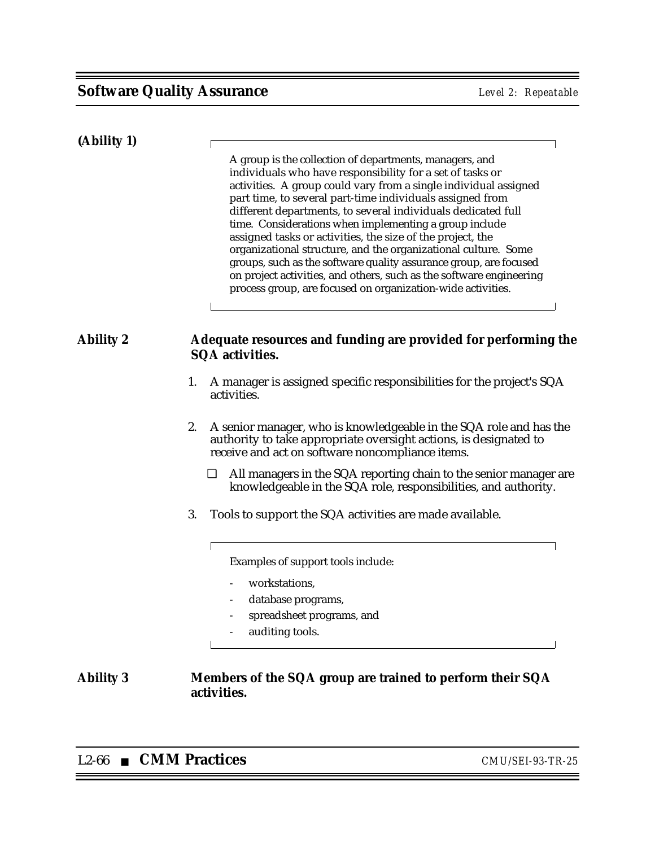### **Software Quality Assurance** *Level 2: Repeatable*

 $\equiv$ 

| (Ability 1)      |                                                                                                                                                                                                                                                                                                                                                                                                                                                                                                                                                                                                                                                                                                                            |
|------------------|----------------------------------------------------------------------------------------------------------------------------------------------------------------------------------------------------------------------------------------------------------------------------------------------------------------------------------------------------------------------------------------------------------------------------------------------------------------------------------------------------------------------------------------------------------------------------------------------------------------------------------------------------------------------------------------------------------------------------|
|                  | A group is the collection of departments, managers, and<br>individuals who have responsibility for a set of tasks or<br>activities. A group could vary from a single individual assigned<br>part time, to several part-time individuals assigned from<br>different departments, to several individuals dedicated full<br>time. Considerations when implementing a group include<br>assigned tasks or activities, the size of the project, the<br>organizational structure, and the organizational culture. Some<br>groups, such as the software quality assurance group, are focused<br>on project activities, and others, such as the software engineering<br>process group, are focused on organization-wide activities. |
| <b>Ability 2</b> | Adequate resources and funding are provided for performing the<br>SQA activities.                                                                                                                                                                                                                                                                                                                                                                                                                                                                                                                                                                                                                                          |
|                  | A manager is assigned specific responsibilities for the project's SQA<br>1.<br>activities.                                                                                                                                                                                                                                                                                                                                                                                                                                                                                                                                                                                                                                 |
|                  | 2.<br>A senior manager, who is knowledgeable in the SQA role and has the<br>authority to take appropriate oversight actions, is designated to<br>receive and act on software noncompliance items.                                                                                                                                                                                                                                                                                                                                                                                                                                                                                                                          |
|                  | $\Box$<br>All managers in the SQA reporting chain to the senior manager are<br>knowledgeable in the SQA role, responsibilities, and authority.                                                                                                                                                                                                                                                                                                                                                                                                                                                                                                                                                                             |
|                  | 3.<br>Tools to support the SQA activities are made available.                                                                                                                                                                                                                                                                                                                                                                                                                                                                                                                                                                                                                                                              |
|                  | Examples of support tools include:                                                                                                                                                                                                                                                                                                                                                                                                                                                                                                                                                                                                                                                                                         |
|                  | workstations,                                                                                                                                                                                                                                                                                                                                                                                                                                                                                                                                                                                                                                                                                                              |
|                  | database programs,                                                                                                                                                                                                                                                                                                                                                                                                                                                                                                                                                                                                                                                                                                         |
|                  | spreadsheet programs, and<br>auditing tools.                                                                                                                                                                                                                                                                                                                                                                                                                                                                                                                                                                                                                                                                               |
|                  |                                                                                                                                                                                                                                                                                                                                                                                                                                                                                                                                                                                                                                                                                                                            |
| <b>Ability 3</b> | Members of the SQA group are trained to perform their SQA<br>activities.                                                                                                                                                                                                                                                                                                                                                                                                                                                                                                                                                                                                                                                   |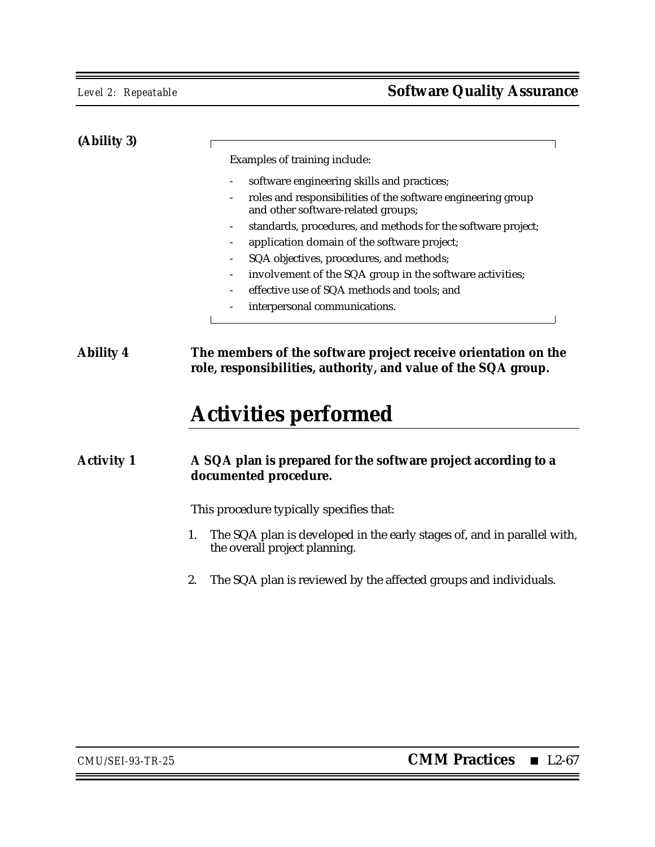| (Ability 3)       |                                                                                                                |
|-------------------|----------------------------------------------------------------------------------------------------------------|
|                   | Examples of training include:                                                                                  |
|                   | software engineering skills and practices;<br>-                                                                |
|                   | roles and responsibilities of the software engineering group<br>and other software-related groups;             |
|                   | standards, procedures, and methods for the software project;<br>-                                              |
|                   | application domain of the software project;                                                                    |
|                   | SQA objectives, procedures, and methods;                                                                       |
|                   | involvement of the SQA group in the software activities;                                                       |
|                   | effective use of SQA methods and tools; and<br>$\overline{\phantom{a}}$                                        |
|                   | interpersonal communications.                                                                                  |
|                   | <b>Activities performed</b>                                                                                    |
| <b>Activity 1</b> | A SQA plan is prepared for the software project according to a<br>documented procedure.                        |
|                   | This procedure typically specifies that:                                                                       |
|                   | The SQA plan is developed in the early stages of, and in parallel with,<br>1.<br>the overall project planning. |
|                   | The SQA plan is reviewed by the affected groups and individuals.<br>2.                                         |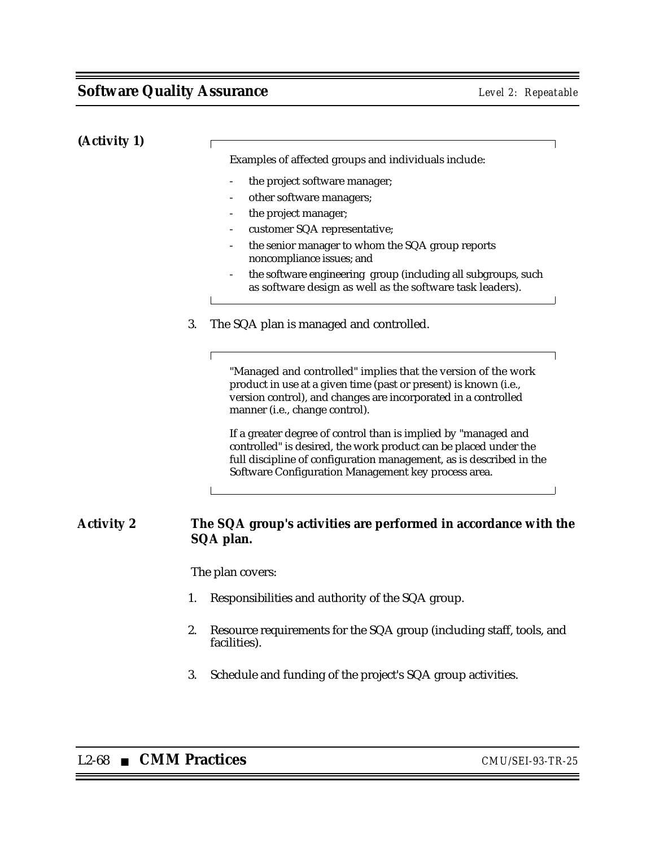### **Software Quality Assurance** *Level 2: Repeatable*

≡

| (Activity 1)      |                                                                                                                                                                                                                                                                  |
|-------------------|------------------------------------------------------------------------------------------------------------------------------------------------------------------------------------------------------------------------------------------------------------------|
|                   | Examples of affected groups and individuals include:                                                                                                                                                                                                             |
|                   | the project software manager;                                                                                                                                                                                                                                    |
|                   | other software managers;                                                                                                                                                                                                                                         |
|                   | the project manager;                                                                                                                                                                                                                                             |
|                   | customer SQA representative;                                                                                                                                                                                                                                     |
|                   | the senior manager to whom the SQA group reports<br>-<br>noncompliance issues; and                                                                                                                                                                               |
|                   | the software engineering group (including all subgroups, such<br>as software design as well as the software task leaders).                                                                                                                                       |
| 3.                | The SQA plan is managed and controlled.                                                                                                                                                                                                                          |
|                   | "Managed and controlled" implies that the version of the work<br>product in use at a given time (past or present) is known (i.e.,<br>version control), and changes are incorporated in a controlled<br>manner (i.e., change control).                            |
|                   | If a greater degree of control than is implied by "managed and<br>controlled" is desired, the work product can be placed under the<br>full discipline of configuration management, as is described in the<br>Software Configuration Management key process area. |
| <b>Activity 2</b> | The SQA group's activities are performed in accordance with the<br>SQA plan.                                                                                                                                                                                     |
|                   | The plan covers:                                                                                                                                                                                                                                                 |
| 1.                | Responsibilities and authority of the SQA group.                                                                                                                                                                                                                 |
| 2.                | Resource requirements for the SQA group (including staff, tools, and<br>facilities).                                                                                                                                                                             |
| 3.                | Schedule and funding of the project's SQA group activities.                                                                                                                                                                                                      |
|                   |                                                                                                                                                                                                                                                                  |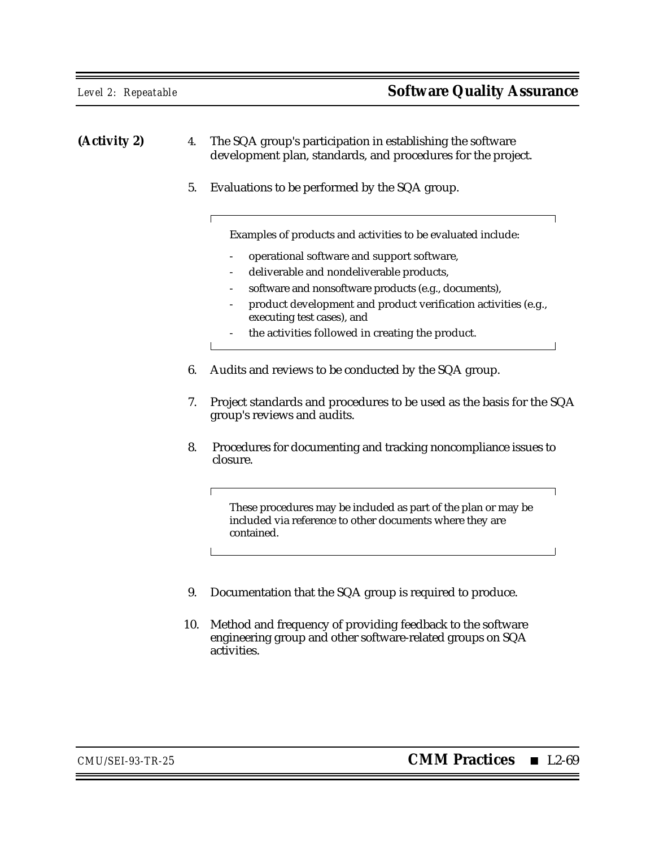| (Activity 2) | 4.       | The SQA group's participation in establishing the software<br>development plan, standards, and procedures for the project.                                                                                                                                                                                                                                                                                                                                                                                                        |
|--------------|----------|-----------------------------------------------------------------------------------------------------------------------------------------------------------------------------------------------------------------------------------------------------------------------------------------------------------------------------------------------------------------------------------------------------------------------------------------------------------------------------------------------------------------------------------|
|              | 5.       | Evaluations to be performed by the SQA group.                                                                                                                                                                                                                                                                                                                                                                                                                                                                                     |
|              | 6.<br>7. | Examples of products and activities to be evaluated include:<br>operational software and support software,<br>deliverable and nondeliverable products,<br>software and nonsoftware products (e.g., documents),<br>product development and product verification activities (e.g.,<br>executing test cases), and<br>the activities followed in creating the product.<br>Audits and reviews to be conducted by the SQA group.<br>Project standards and procedures to be used as the basis for the SQA<br>group's reviews and audits. |
|              | 8.       | Procedures for documenting and tracking noncompliance issues to<br>closure.                                                                                                                                                                                                                                                                                                                                                                                                                                                       |
|              |          | These procedures may be included as part of the plan or may be<br>included via reference to other documents where they are<br>contained.                                                                                                                                                                                                                                                                                                                                                                                          |
|              | 9.       | Documentation that the SQA group is required to produce.                                                                                                                                                                                                                                                                                                                                                                                                                                                                          |

10. Method and frequency of providing feedback to the software engineering group and other software-related groups on SQA activities.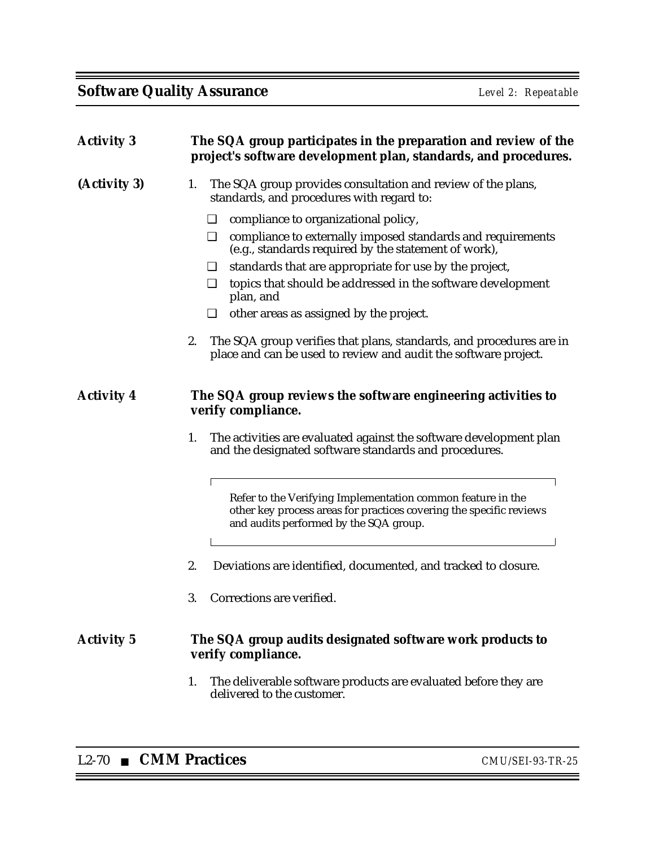### **Software Quality Assurance** *Level 2: Repeatable*

≡

| <b>Activity 3</b> | The SQA group participates in the preparation and review of the<br>project's software development plan, standards, and procedures.                                                                                      |  |
|-------------------|-------------------------------------------------------------------------------------------------------------------------------------------------------------------------------------------------------------------------|--|
| (Activity 3)      | The SQA group provides consultation and review of the plans,<br>1.<br>standards, and procedures with regard to:                                                                                                         |  |
|                   | compliance to organizational policy,<br>❏                                                                                                                                                                               |  |
|                   | $\Box$<br>compliance to externally imposed standards and requirements<br>(e.g., standards required by the statement of work),                                                                                           |  |
|                   | standards that are appropriate for use by the project,<br>⊔                                                                                                                                                             |  |
|                   | topics that should be addressed in the software development<br>❏<br>plan, and                                                                                                                                           |  |
|                   | other areas as assigned by the project.<br>❏                                                                                                                                                                            |  |
|                   | 2.<br>The SQA group verifies that plans, standards, and procedures are in<br>place and can be used to review and audit the software project.                                                                            |  |
| <b>Activity 4</b> | The SQA group reviews the software engineering activities to<br>verify compliance.<br>1.<br>The activities are evaluated against the software development plan<br>and the designated software standards and procedures. |  |
|                   | Refer to the Verifying Implementation common feature in the<br>other key process areas for practices covering the specific reviews<br>and audits performed by the SQA group.                                            |  |
|                   | 2.<br>Deviations are identified, documented, and tracked to closure.                                                                                                                                                    |  |
|                   | 3.<br>Corrections are verified.                                                                                                                                                                                         |  |
| <b>Activity 5</b> | The SQA group audits designated software work products to<br>verify compliance.                                                                                                                                         |  |
|                   | The deliverable software products are evaluated before they are<br>1.<br>delivered to the customer.                                                                                                                     |  |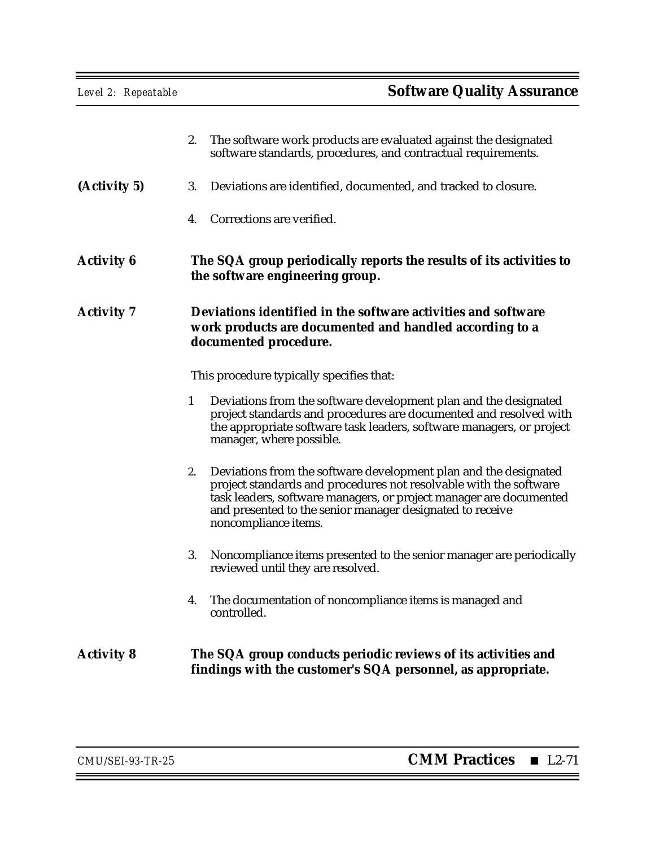|                   | 2.<br>The software work products are evaluated against the designated<br>software standards, procedures, and contractual requirements.                                                                                                                                                                 |
|-------------------|--------------------------------------------------------------------------------------------------------------------------------------------------------------------------------------------------------------------------------------------------------------------------------------------------------|
| (Activity 5)      | 3.<br>Deviations are identified, documented, and tracked to closure.                                                                                                                                                                                                                                   |
|                   | Corrections are verified.<br>4.                                                                                                                                                                                                                                                                        |
| <b>Activity 6</b> | The SQA group periodically reports the results of its activities to<br>the software engineering group.                                                                                                                                                                                                 |
| <b>Activity 7</b> | Deviations identified in the software activities and software<br>work products are documented and handled according to a<br>documented procedure.                                                                                                                                                      |
|                   | This procedure typically specifies that:                                                                                                                                                                                                                                                               |
|                   | 1<br>Deviations from the software development plan and the designated<br>project standards and procedures are documented and resolved with<br>the appropriate software task leaders, software managers, or project<br>manager, where possible.                                                         |
|                   | 2.<br>Deviations from the software development plan and the designated<br>project standards and procedures not resolvable with the software<br>task leaders, software managers, or project manager are documented<br>and presented to the senior manager designated to receive<br>noncompliance items. |
|                   | 3.<br>Noncompliance items presented to the senior manager are periodically<br>reviewed until they are resolved.                                                                                                                                                                                        |
|                   | 4.<br>The documentation of noncompliance items is managed and<br>controlled.                                                                                                                                                                                                                           |
| <b>Activity 8</b> | The SQA group conducts periodic reviews of its activities and<br>findings with the customer's SQA personnel, as appropriate.                                                                                                                                                                           |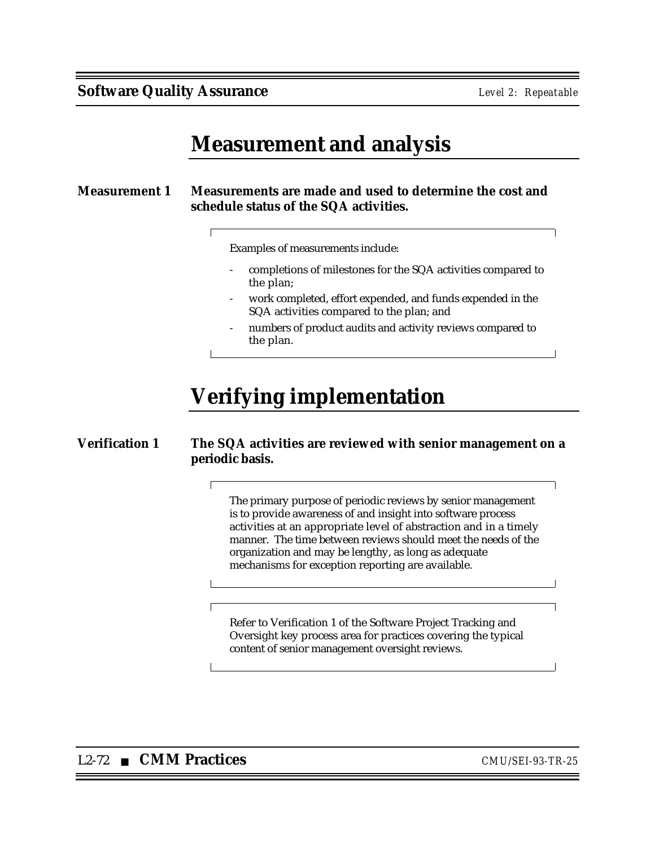$\sqrt{2}$ 

 $\Gamma$ 

 $\sqrt{ }$ 

٦

# **Measurement and analysis**

#### **Measurement 1 Measurements are made and used to determine the cost and schedule status of the SQA activities.**

Examples of measurements include:

- completions of milestones for the SQA activities compared to the plan;
- work completed, effort expended, and funds expended in the SQA activities compared to the plan; and
- numbers of product audits and activity reviews compared to the plan.

# **Verifying implementation**

#### **Verification 1 The SQA activities are reviewed with senior management on a periodic basis.**

The primary purpose of periodic reviews by senior management is to provide awareness of and insight into software process activities at an appropriate level of abstraction and in a timely manner. The time between reviews should meet the needs of the organization and may be lengthy, as long as adequate mechanisms for exception reporting are available.

Refer to Verification 1 of the Software Project Tracking and Oversight key process area for practices covering the typical content of senior management oversight reviews.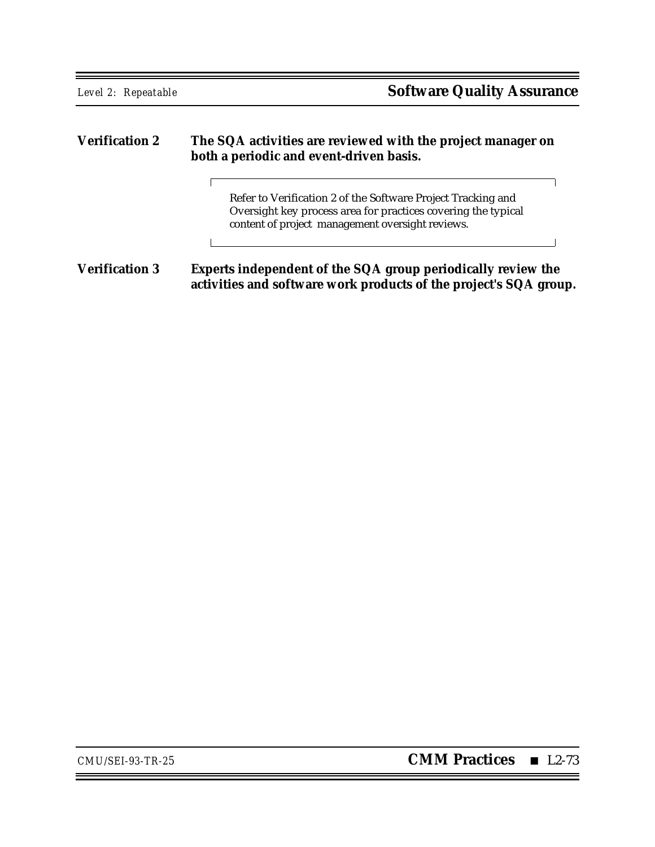| <b>Verification 2</b><br><b>Verification 3</b> | The SQA activities are reviewed with the project manager on<br>both a periodic and event-driven basis.                                                                            |  |  |
|------------------------------------------------|-----------------------------------------------------------------------------------------------------------------------------------------------------------------------------------|--|--|
|                                                | Refer to Verification 2 of the Software Project Tracking and<br>Oversight key process area for practices covering the typical<br>content of project management oversight reviews. |  |  |
|                                                | Experts independent of the SQA group periodically review the                                                                                                                      |  |  |
|                                                | activities and software work products of the project's SQA group.                                                                                                                 |  |  |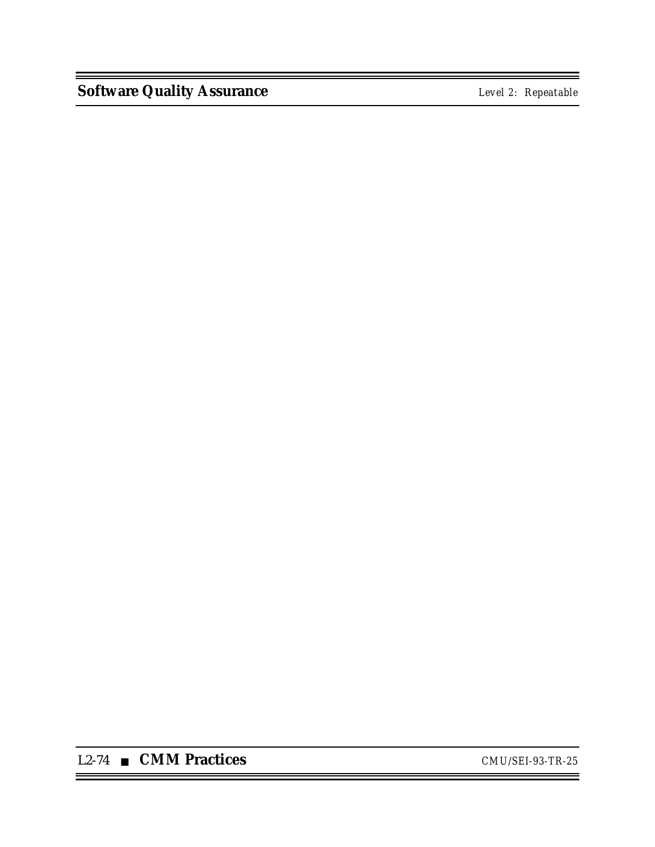**Software Quality Assurance** *Level 2: Repeatable*

≡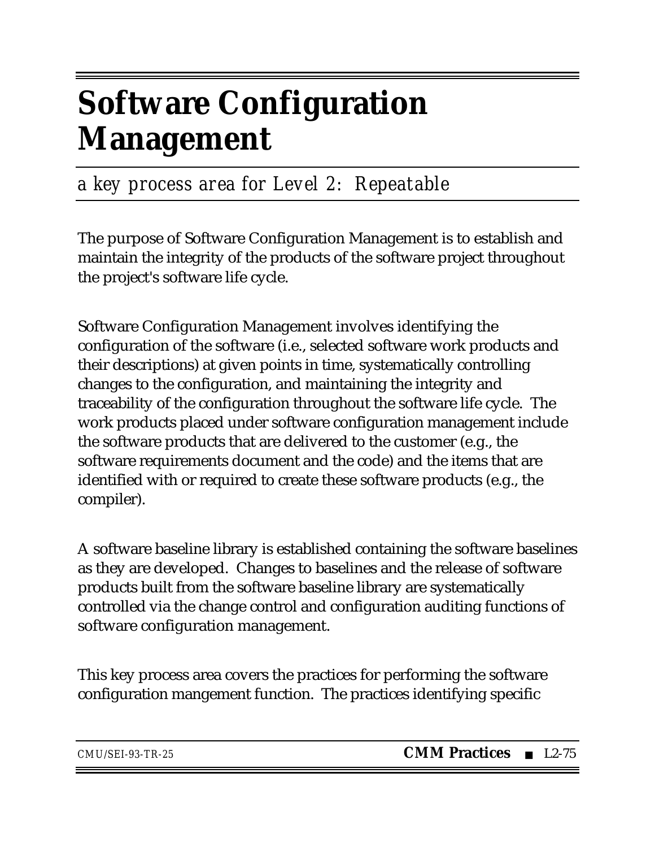# **Software Configuration Management**

*a key process area for Level 2: Repeatable*

The purpose of Software Configuration Management is to establish and maintain the integrity of the products of the software project throughout the project's software life cycle.

Software Configuration Management involves identifying the configuration of the software (i.e., selected software work products and their descriptions) at given points in time, systematically controlling changes to the configuration, and maintaining the integrity and traceability of the configuration throughout the software life cycle. The work products placed under software configuration management include the software products that are delivered to the customer (e.g., the software requirements document and the code) and the items that are identified with or required to create these software products (e.g., the compiler).

A software baseline library is established containing the software baselines as they are developed. Changes to baselines and the release of software products built from the software baseline library are systematically controlled via the change control and configuration auditing functions of software configuration management.

This key process area covers the practices for performing the software configuration mangement function. The practices identifying specific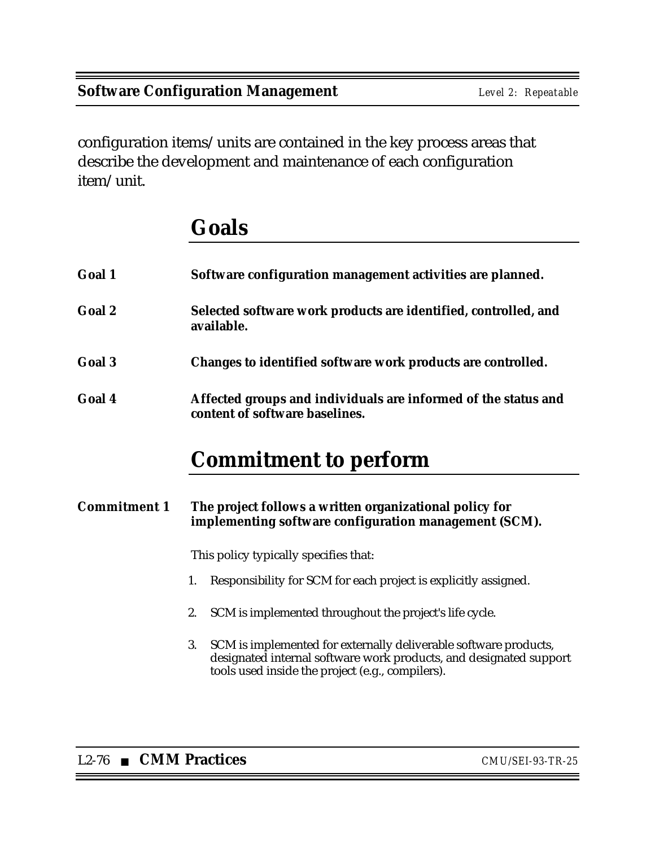**Goals**

configuration items/units are contained in the key process areas that describe the development and maintenance of each configuration item/unit.

| Goal 1              | Software configuration management activities are planned.                                                                                                                                        |
|---------------------|--------------------------------------------------------------------------------------------------------------------------------------------------------------------------------------------------|
| Goal 2              | Selected software work products are identified, controlled, and<br>available.                                                                                                                    |
| Goal 3              | Changes to identified software work products are controlled.                                                                                                                                     |
| Goal 4              | Affected groups and individuals are informed of the status and<br>content of software baselines.                                                                                                 |
|                     | <b>Commitment to perform</b>                                                                                                                                                                     |
| <b>Commitment 1</b> | The project follows a written organizational policy for<br>implementing software configuration management (SCM).                                                                                 |
|                     | This policy typically specifies that:                                                                                                                                                            |
|                     | Responsibility for SCM for each project is explicitly assigned.<br>1.                                                                                                                            |
|                     | SCM is implemented throughout the project's life cycle.<br>2.                                                                                                                                    |
|                     | 3.<br>SCM is implemented for externally deliverable software products,<br>designated internal software work products, and designated support<br>tools used inside the project (e.g., compilers). |

### L2-76 ■ **CMM Practices** *CMU/SEI-93-TR-25*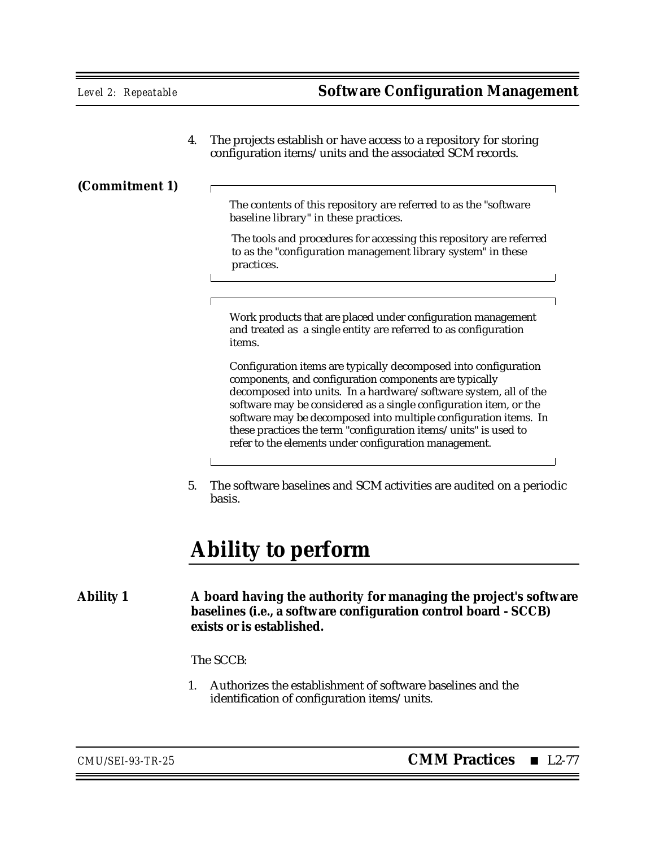٦

4. The projects establish or have access to a repository for storing configuration items/units and the associated SCM records.

#### **(Commitment 1)**

The contents of this repository are referred to as the "software baseline library" in these practices.

The tools and procedures for accessing this repository are referred to as the "configuration management library system" in these practices.

Work products that are placed under configuration management and treated as a single entity are referred to as configuration items.

Configuration items are typically decomposed into configuration components, and configuration components are typically decomposed into units. In a hardware/software system, all of the software may be considered as a single configuration item, or the software may be decomposed into multiple configuration items. In these practices the term "configuration items/units" is used to refer to the elements under configuration management.

5. The software baselines and SCM activities are audited on a periodic basis.

### **Ability to perform**

#### **Ability 1 A board having the authority for managing the project's software baselines (i.e., a software configuration control board - SCCB) exists or is established.**

The SCCB:

1. Authorizes the establishment of software baselines and the identification of configuration items/units.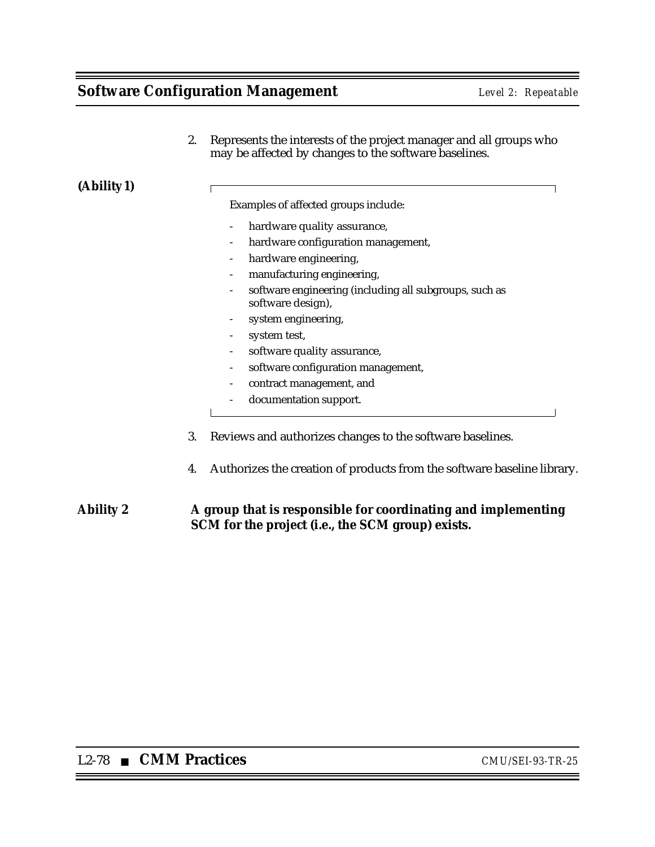| (Ability1) |    |                                                                             |
|------------|----|-----------------------------------------------------------------------------|
|            |    | Examples of affected groups include:                                        |
|            |    | hardware quality assurance,                                                 |
|            |    | hardware configuration management,                                          |
|            |    | hardware engineering,                                                       |
|            |    | manufacturing engineering,                                                  |
|            |    | software engineering (including all subgroups, such as<br>software design), |
|            |    | system engineering,                                                         |
|            |    | system test,                                                                |
|            |    | software quality assurance,                                                 |
|            |    | software configuration management,                                          |
|            |    | contract management, and                                                    |
|            |    | documentation support.                                                      |
|            |    |                                                                             |
|            | 3. | Reviews and authorizes changes to the software baselines.                   |
|            | 4. | Authorizes the creation of products from the software baseline library.     |

#### **Ability 2 A group that is responsible for coordinating and implementing SCM for the project (i.e., the SCM group) exists.**

### L2-78 ■ **CMM Practices** *CMU/SEI-93-TR-25*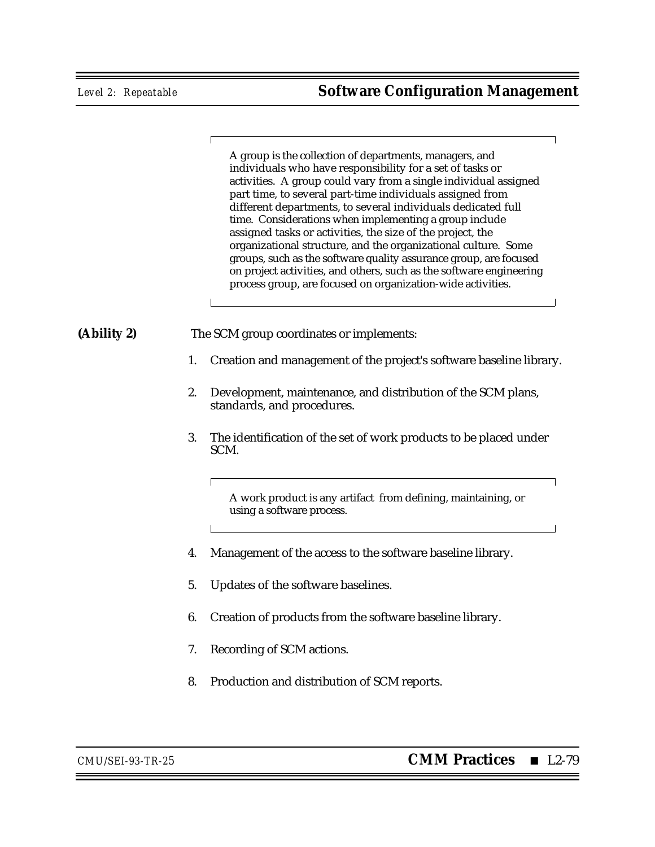|             | A group is the collection of departments, managers, and<br>individuals who have responsibility for a set of tasks or<br>activities. A group could vary from a single individual assigned<br>part time, to several part-time individuals assigned from<br>different departments, to several individuals dedicated full<br>time. Considerations when implementing a group include<br>assigned tasks or activities, the size of the project, the<br>organizational structure, and the organizational culture. Some<br>groups, such as the software quality assurance group, are focused<br>on project activities, and others, such as the software engineering<br>process group, are focused on organization-wide activities. |
|-------------|----------------------------------------------------------------------------------------------------------------------------------------------------------------------------------------------------------------------------------------------------------------------------------------------------------------------------------------------------------------------------------------------------------------------------------------------------------------------------------------------------------------------------------------------------------------------------------------------------------------------------------------------------------------------------------------------------------------------------|
| (Ability 2) | The SCM group coordinates or implements:                                                                                                                                                                                                                                                                                                                                                                                                                                                                                                                                                                                                                                                                                   |
|             | Creation and management of the project's software baseline library.<br>1.                                                                                                                                                                                                                                                                                                                                                                                                                                                                                                                                                                                                                                                  |
|             | 2.<br>Development, maintenance, and distribution of the SCM plans,<br>standards, and procedures.                                                                                                                                                                                                                                                                                                                                                                                                                                                                                                                                                                                                                           |
|             | 3.<br>The identification of the set of work products to be placed under<br>SCM.                                                                                                                                                                                                                                                                                                                                                                                                                                                                                                                                                                                                                                            |
|             | A work product is any artifact from defining, maintaining, or<br>using a software process.                                                                                                                                                                                                                                                                                                                                                                                                                                                                                                                                                                                                                                 |
|             | Management of the access to the software baseline library.<br>4.                                                                                                                                                                                                                                                                                                                                                                                                                                                                                                                                                                                                                                                           |
|             | Updates of the software baselines.<br>5.                                                                                                                                                                                                                                                                                                                                                                                                                                                                                                                                                                                                                                                                                   |
|             | Creation of products from the software baseline library.<br>6.                                                                                                                                                                                                                                                                                                                                                                                                                                                                                                                                                                                                                                                             |
|             | Recording of SCM actions.<br>7.                                                                                                                                                                                                                                                                                                                                                                                                                                                                                                                                                                                                                                                                                            |
|             | Production and distribution of SCM reports.<br>8.                                                                                                                                                                                                                                                                                                                                                                                                                                                                                                                                                                                                                                                                          |
|             |                                                                                                                                                                                                                                                                                                                                                                                                                                                                                                                                                                                                                                                                                                                            |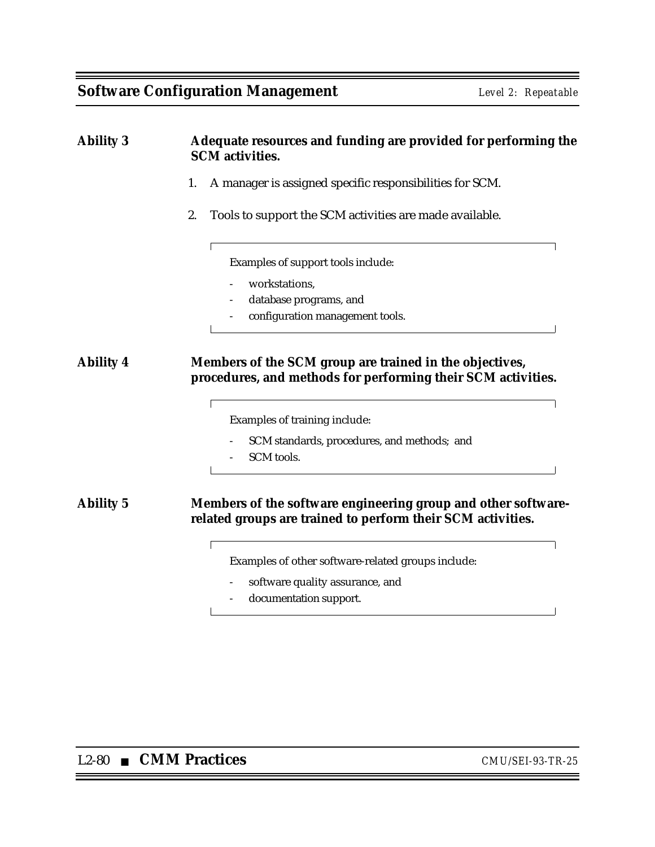Ξ

| Adequate resources and funding are provided for performing the<br><b>SCM</b> activities.                                                                                                                              |  |
|-----------------------------------------------------------------------------------------------------------------------------------------------------------------------------------------------------------------------|--|
| A manager is assigned specific responsibilities for SCM.<br>1.                                                                                                                                                        |  |
| 2.<br>Tools to support the SCM activities are made available.                                                                                                                                                         |  |
| Examples of support tools include:                                                                                                                                                                                    |  |
| workstations,                                                                                                                                                                                                         |  |
| database programs, and                                                                                                                                                                                                |  |
| configuration management tools.                                                                                                                                                                                       |  |
| Examples of training include:                                                                                                                                                                                         |  |
| SCM standards, procedures, and methods; and<br>SCM tools.                                                                                                                                                             |  |
| Members of the software engineering group and other software-<br>related groups are trained to perform their SCM activities.<br>Examples of other software-related groups include:<br>software quality assurance, and |  |
| documentation support.                                                                                                                                                                                                |  |
|                                                                                                                                                                                                                       |  |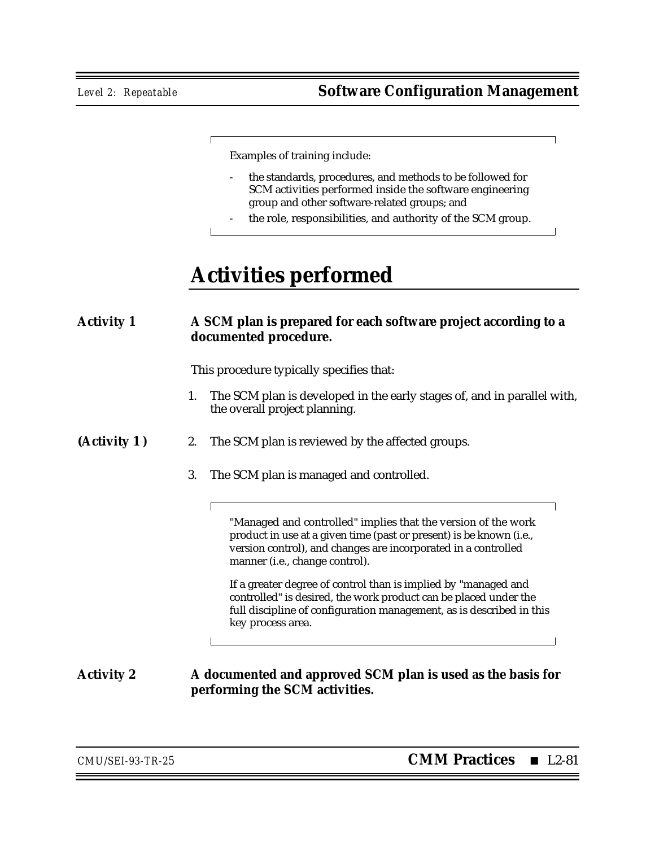Examples of training include:

- the standards, procedures, and methods to be followed for SCM activities performed inside the software engineering group and other software-related groups; and
- the role, responsibilities, and authority of the SCM group.

# **Activities performed**

#### **Activity 1 A SCM plan is prepared for each software project according to a documented procedure.**

This procedure typically specifies that:

- 1. The SCM plan is developed in the early stages of, and in parallel with, the overall project planning.
- **(Activity 1)** 2. The SCM plan is reviewed by the affected groups.

 $\sqrt{2}$ 

3. The SCM plan is managed and controlled.

"Managed and controlled" implies that the version of the work product in use at a given time (past or present) is be known (i.e., version control), and changes are incorporated in a controlled manner (i.e., change control).

If a greater degree of control than is implied by "managed and controlled" is desired, the work product can be placed under the full discipline of configuration management, as is described in this key process area.

**Activity 2 A documented and approved SCM plan is used as the basis for performing the SCM activities.**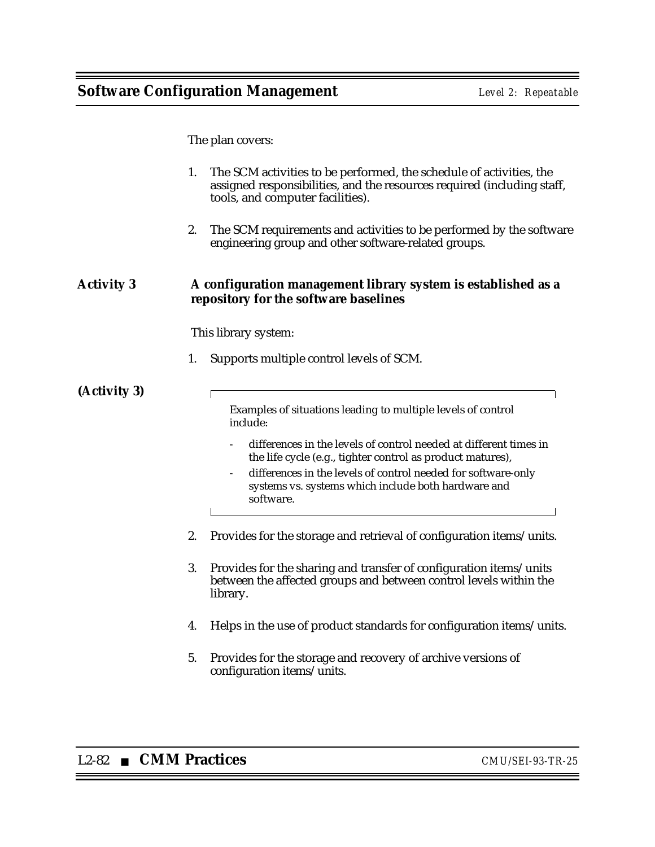Ξ

The plan covers:

|                   | The SCM activities to be performed, the schedule of activities, the<br>1.<br>assigned responsibilities, and the resources required (including staff,<br>tools, and computer facilities). |
|-------------------|------------------------------------------------------------------------------------------------------------------------------------------------------------------------------------------|
|                   | 2.<br>The SCM requirements and activities to be performed by the software<br>engineering group and other software-related groups.                                                        |
| <b>Activity 3</b> | A configuration management library system is established as a<br>repository for the software baselines                                                                                   |
|                   | This library system:                                                                                                                                                                     |
|                   | Supports multiple control levels of SCM.<br>1.                                                                                                                                           |
| (Activity 3)      | Examples of situations leading to multiple levels of control<br>include:                                                                                                                 |
|                   | differences in the levels of control needed at different times in<br>the life cycle (e.g., tighter control as product matures),                                                          |
|                   | differences in the levels of control needed for software-only<br>systems vs. systems which include both hardware and<br>software.                                                        |
|                   | 2.<br>Provides for the storage and retrieval of configuration items/units.                                                                                                               |
|                   | 3.<br>Provides for the sharing and transfer of configuration items/units<br>between the affected groups and between control levels within the<br>library.                                |
|                   | Helps in the use of product standards for configuration items/units.<br>4.                                                                                                               |
|                   | Provides for the storage and recovery of archive versions of<br>5.<br>configuration items/units.                                                                                         |
|                   |                                                                                                                                                                                          |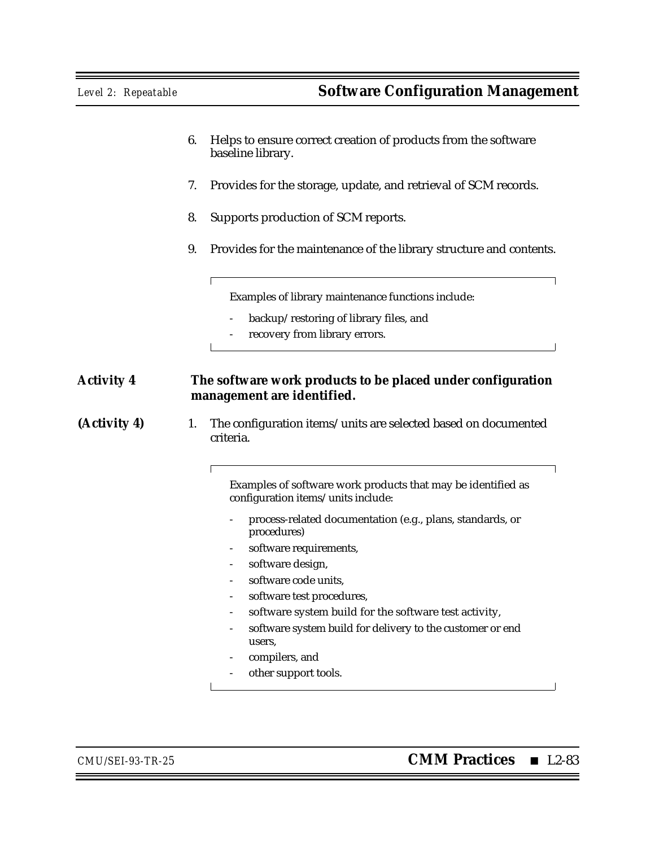|                                   | 6. | Helps to ensure correct creation of products from the software<br>baseline library.                                                                                      |
|-----------------------------------|----|--------------------------------------------------------------------------------------------------------------------------------------------------------------------------|
|                                   | 7. | Provides for the storage, update, and retrieval of SCM records.                                                                                                          |
|                                   | 8. | Supports production of SCM reports.                                                                                                                                      |
|                                   | 9. | Provides for the maintenance of the library structure and contents.                                                                                                      |
|                                   |    | Examples of library maintenance functions include:                                                                                                                       |
|                                   |    | backup/restoring of library files, and                                                                                                                                   |
|                                   |    | recovery from library errors.                                                                                                                                            |
|                                   |    |                                                                                                                                                                          |
| <b>Activity 4</b><br>(Activity 4) | 1. | The software work products to be placed under configuration<br>management are identified.<br>The configuration items/units are selected based on documented<br>criteria. |
|                                   |    | Examples of software work products that may be identified as<br>configuration items/units include:                                                                       |
|                                   |    | process-related documentation (e.g., plans, standards, or<br>procedures)                                                                                                 |
|                                   |    | software requirements,                                                                                                                                                   |
|                                   |    | software design,                                                                                                                                                         |
|                                   |    | software code units,<br>$\overline{\phantom{a}}$                                                                                                                         |
|                                   |    | software test procedures,                                                                                                                                                |
|                                   |    | software system build for the software test activity,                                                                                                                    |
|                                   |    | software system build for delivery to the customer or end                                                                                                                |
|                                   |    | users,                                                                                                                                                                   |
|                                   |    | compilers, and<br>other support tools.                                                                                                                                   |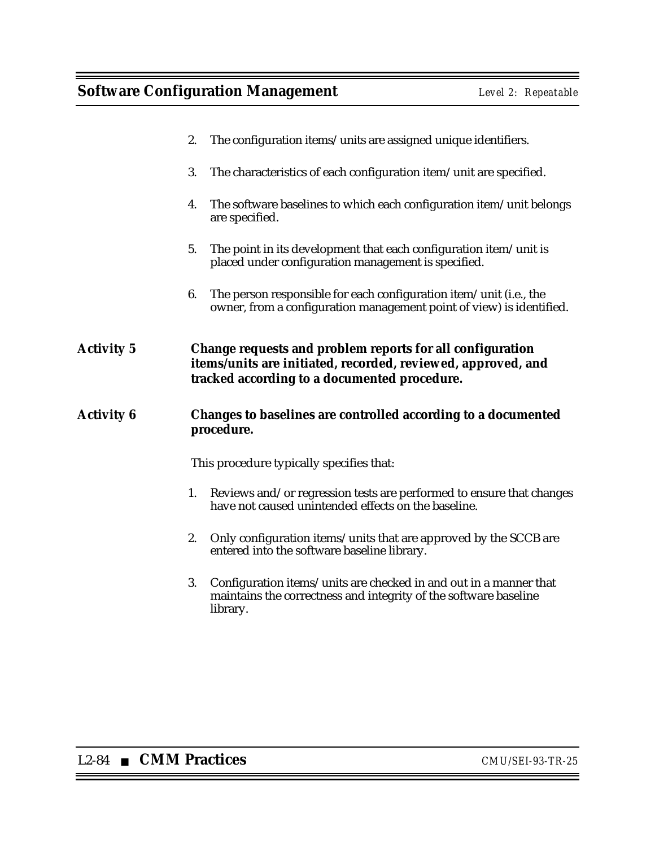≡

|                   | 2.<br>The configuration items/units are assigned unique identifiers.                                                                                                      |
|-------------------|---------------------------------------------------------------------------------------------------------------------------------------------------------------------------|
|                   | 3.<br>The characteristics of each configuration item/unit are specified.                                                                                                  |
|                   | The software baselines to which each configuration item/unit belongs<br>4.<br>are specified.                                                                              |
|                   | The point in its development that each configuration item/unit is<br>5.<br>placed under configuration management is specified.                                            |
|                   | The person responsible for each configuration item/unit (i.e., the<br>6.<br>owner, from a configuration management point of view) is identified.                          |
| <b>Activity 5</b> | Change requests and problem reports for all configuration<br>items/units are initiated, recorded, reviewed, approved, and<br>tracked according to a documented procedure. |
| <b>Activity 6</b> | Changes to baselines are controlled according to a documented<br>procedure.                                                                                               |
|                   | This procedure typically specifies that:                                                                                                                                  |
|                   | Reviews and/or regression tests are performed to ensure that changes<br>1.<br>have not caused unintended effects on the baseline.                                         |
|                   | 2.<br>Only configuration items/units that are approved by the SCCB are<br>entered into the software baseline library.                                                     |
|                   | 3.<br>Configuration items/units are checked in and out in a manner that<br>maintains the correctness and integrity of the software baseline<br>library.                   |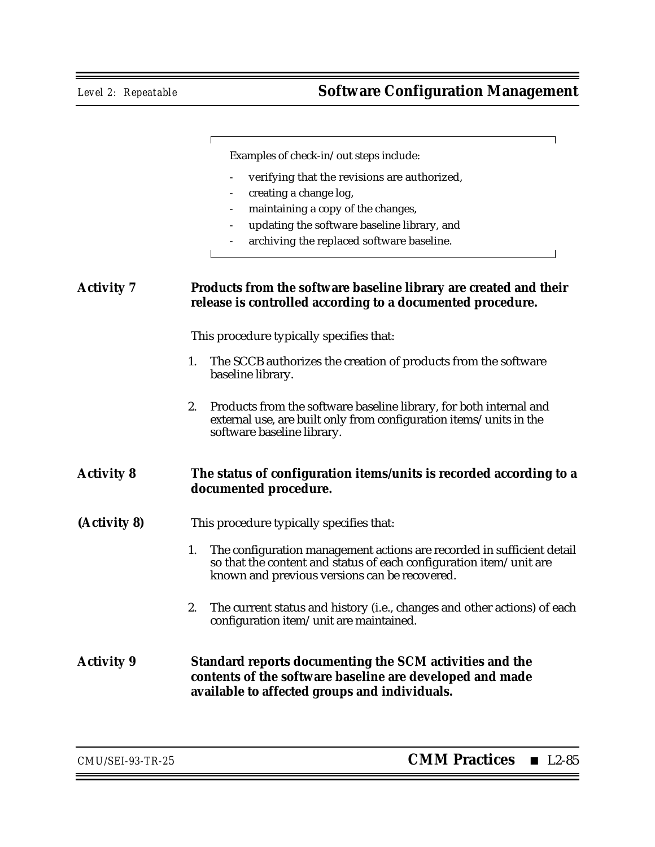| Examples of check-in/out steps include: |  |
|-----------------------------------------|--|
|-----------------------------------------|--|

- verifying that the revisions are authorized,
- creating a change log,
- maintaining a copy of the changes,
- updating the software baseline library, and
- archiving the replaced software baseline.

#### **Activity 7 Products from the software baseline library are created and their release is controlled according to a documented procedure.**

This procedure typically specifies that:

- 1. The SCCB authorizes the creation of products from the software baseline library.
- 2. Products from the software baseline library, for both internal and external use, are built only from configuration items/units in the software baseline library.

#### **Activity 8 The status of configuration items/units is recorded according to a documented procedure.**

- **(Activity 8)** This procedure typically specifies that:
	- 1. The configuration management actions are recorded in sufficient detail so that the content and status of each configuration item/unit are known and previous versions can be recovered.
	- 2. The current status and history (i.e., changes and other actions) of each configuration item/unit are maintained.

#### **Activity 9 Standard reports documenting the SCM activities and the contents of the software baseline are developed and made available to affected groups and individuals.**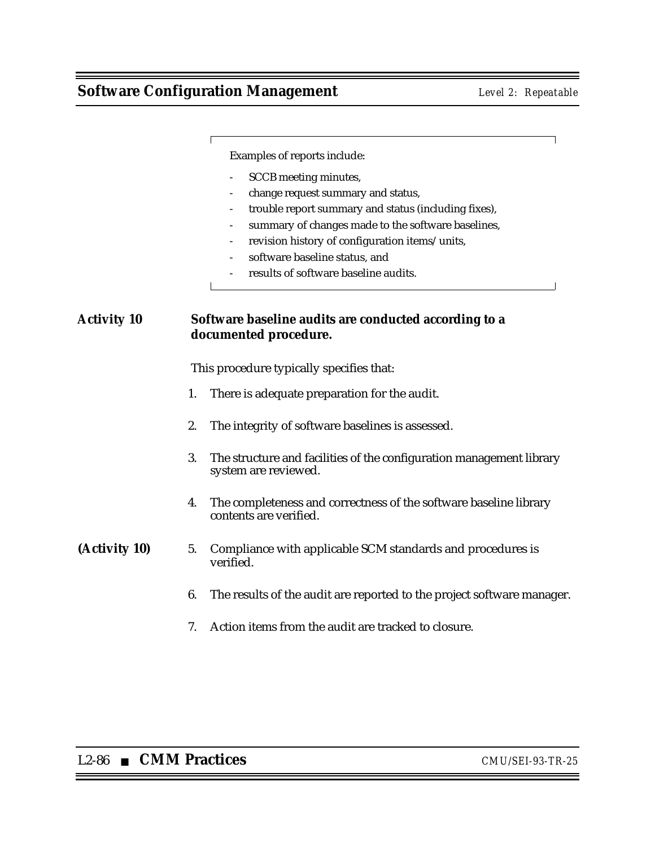$\lceil$ 

Examples of reports include:

- SCCB meeting minutes,
- change request summary and status,
- trouble report summary and status (including fixes),
- summary of changes made to the software baselines,
- revision history of configuration items/units,
- software baseline status, and
- results of software baseline audits.

#### **Activity 10 Software baseline audits are conducted according to a documented procedure.**

This procedure typically specifies that:

- 1. There is adequate preparation for the audit.
- 2. The integrity of software baselines is assessed.
- 3. The structure and facilities of the configuration management library system are reviewed.
- 4. The completeness and correctness of the software baseline library contents are verified.

#### **(Activity 10)** 5. Compliance with applicable SCM standards and procedures is verified.

- 6. The results of the audit are reported to the project software manager.
- 7. Action items from the audit are tracked to closure.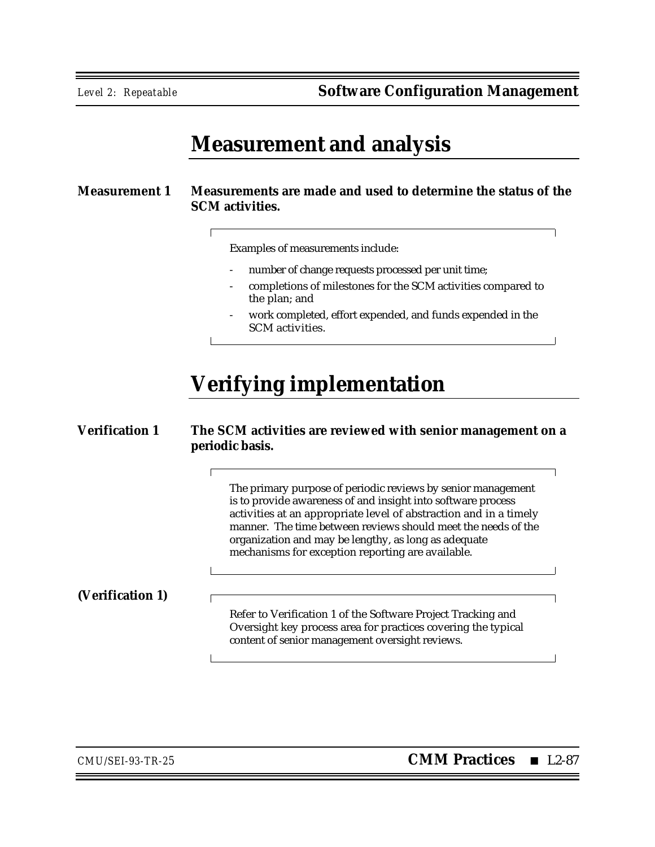*Level 2: Repeatable* **Software Configuration Management**

٦

 $\overline{\phantom{a}}$ 

### **Measurement and analysis**

#### **Measurement 1 Measurements are made and used to determine the status of the SCM activities.**

Examples of measurements include:

 $\sqrt{ }$ 

- number of change requests processed per unit time;
- completions of milestones for the SCM activities compared to the plan; and
- work completed, effort expended, and funds expended in the SCM activities.

## **Verifying implementation**

| <b>Verification 1</b> | The SCM activities are reviewed with senior management on a<br>periodic basis.                                                                                                                                                                                                                                                                                                  |
|-----------------------|---------------------------------------------------------------------------------------------------------------------------------------------------------------------------------------------------------------------------------------------------------------------------------------------------------------------------------------------------------------------------------|
|                       | The primary purpose of periodic reviews by senior management<br>is to provide awareness of and insight into software process<br>activities at an appropriate level of abstraction and in a timely<br>manner. The time between reviews should meet the needs of the<br>organization and may be lengthy, as long as adequate<br>mechanisms for exception reporting are available. |
| (Verification 1)      | Refer to Verification 1 of the Software Project Tracking and                                                                                                                                                                                                                                                                                                                    |
|                       | Oversight key process area for practices covering the typical<br>content of senior management oversight reviews.                                                                                                                                                                                                                                                                |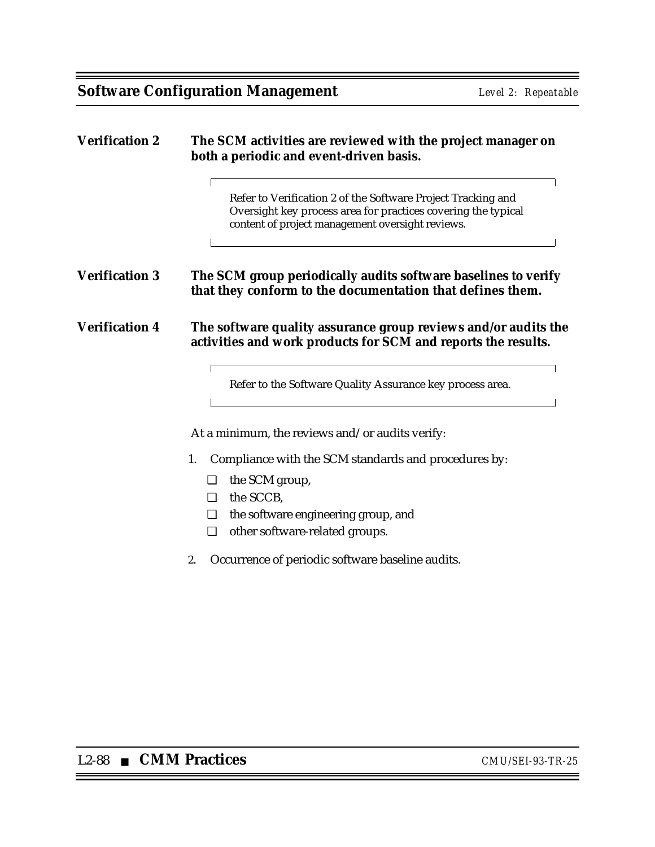≡

| <b>Verification 2</b> | The SCM activities are reviewed with the project manager on<br>both a periodic and event-driven basis.                                                                            |
|-----------------------|-----------------------------------------------------------------------------------------------------------------------------------------------------------------------------------|
|                       | Refer to Verification 2 of the Software Project Tracking and<br>Oversight key process area for practices covering the typical<br>content of project management oversight reviews. |
| <b>Verification 3</b> | The SCM group periodically audits software baselines to verify<br>that they conform to the documentation that defines them.                                                       |
| <b>Verification 4</b> | The software quality assurance group reviews and/or audits the<br>activities and work products for SCM and reports the results.                                                   |
|                       | Refer to the Software Quality Assurance key process area.                                                                                                                         |
|                       | At a minimum, the reviews and/or audits verify:                                                                                                                                   |
|                       | Compliance with the SCM standards and procedures by:<br>1.                                                                                                                        |
|                       | the SCM group,<br>❏                                                                                                                                                               |
|                       | the SCCB,<br>❏                                                                                                                                                                    |
|                       | the software engineering group, and<br>❏                                                                                                                                          |
|                       | other software-related groups.<br>$\Box$                                                                                                                                          |
|                       | Occurrence of periodic software baseline audits.<br>2.                                                                                                                            |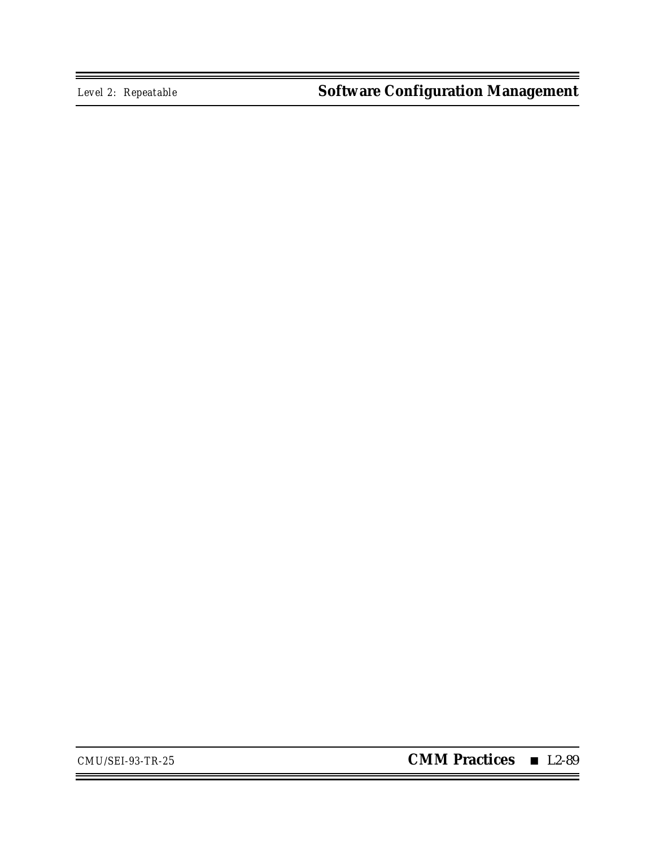*Level 2: Repeatable* **Software Configuration Management**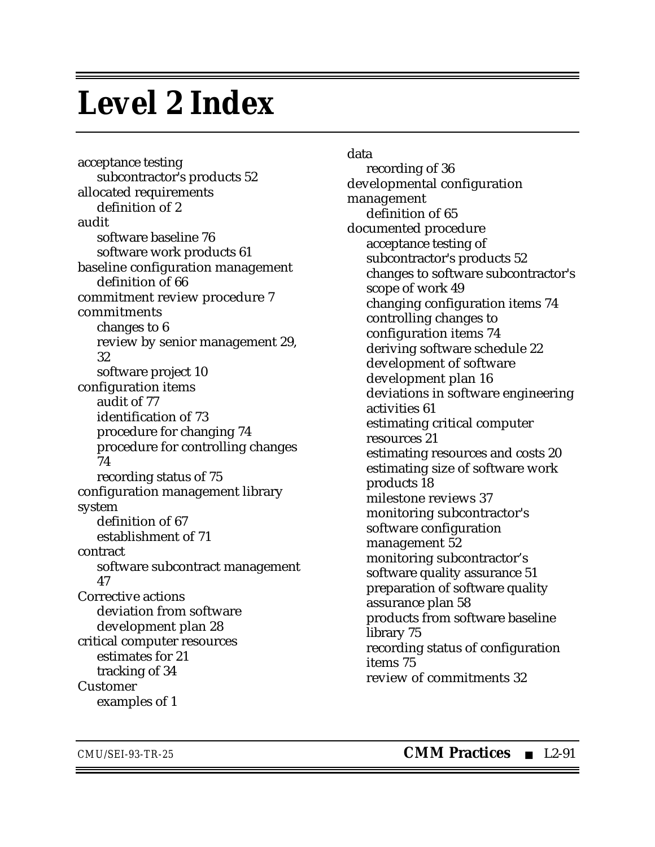## **Level 2 Index**

acceptance testing<br>
subcontractor's products 52 developmental configuration allocated requirements<br>definition of 2 definition of 2<br>audit documented procedure<br>software baseline 76 acceptance testing of software baseline 70<br>software work products 61<br>baseline configuration management<br>changes to software subcontractor's products 52 scope of work 49<br>commitment review procedure 7 definition of 66 scope of work 49 commitment review procedure *r* changing configuration items 74<br>commitments changes to 6<br>controlling changes to 6 review by senior management 29, Eview by semon management 25,<br>32 deriving software schedule 22 software project 10<br>configuration items<br>development plan 16<br>development plan 16 addit of 71<br>identification of 73 procedure for changing 74 resources 21 procedure for controlling changes procedure for controlling changes<br>  $\frac{74}{2}$ products 18 recording status of 75 configuration management library system definition of 67 establishment of 71 contract monitoring subcontractor's software subcontract management<br>47 <sup>47</sup><br>Corrective actions extending the preparation of software quality deviation from software deviation from software<br>development plan 28 products from software baseline<br>ibrary 75 library 75 critical computer resources recording status of configuration estimates for 21<br>tracking of 34<br>received and the setting of 34 tracking of 34 review of commitments 32 Customer examples of 1

baseline computation management<br>definition of 66 configuration items 74 development of software riguration items<br>audit of 77 estimating critical computer estimating size of software work milestone reviews 37 monitoring subcontractor's software configuration management 52 assurance plan 58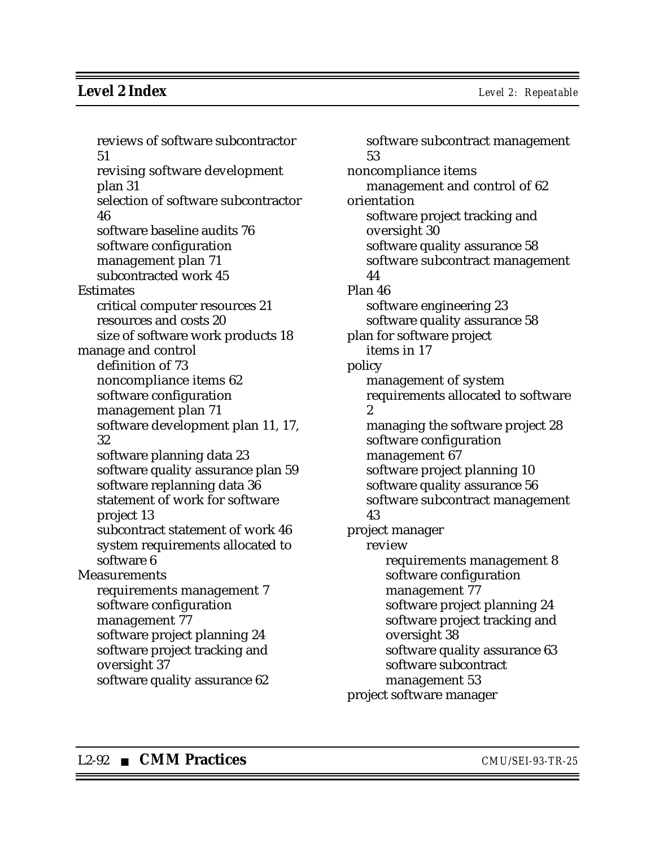#### **Level 2 Index** *Level 2: Repeatable*

reviews of software subcontractor 51 revising software development plan 31 selection of software subcontractor 46 software baseline audits 76 oversight 30 software configuration management plan 71 subcontracted work 45 44 Estimates Plan 46 critical computer resources 21 software engineering 23 resources and costs 20 software quality assurance 58 size of software work products 18 plan for software project manage and control items in 17 definition of 73 policy noncompliance items 62 management of system software configuration management plan 71 software development plan 11, 17, 32 software planning data 23 management 67 software quality assurance plan 59 software project planning 10 software replanning data 36 software quality assurance 56 statement of work for software project 13 subcontract statement of work 46 project manager system requirements allocated to software 6 Measurements software configuration requirements management 7 management 77 software configuration management 77 software project planning 24 oversight 38 software project tracking and oversight 37 software quality assurance 62 management 53

software subcontract management 53 noncompliance items management and control of 62 orientation software project tracking and software quality assurance 58 software subcontract management requirements allocated to software 2 managing the software project 28 software configuration software subcontract management 43 review requirements management 8 software project planning 24 software project tracking and software quality assurance 63 software subcontract project software manager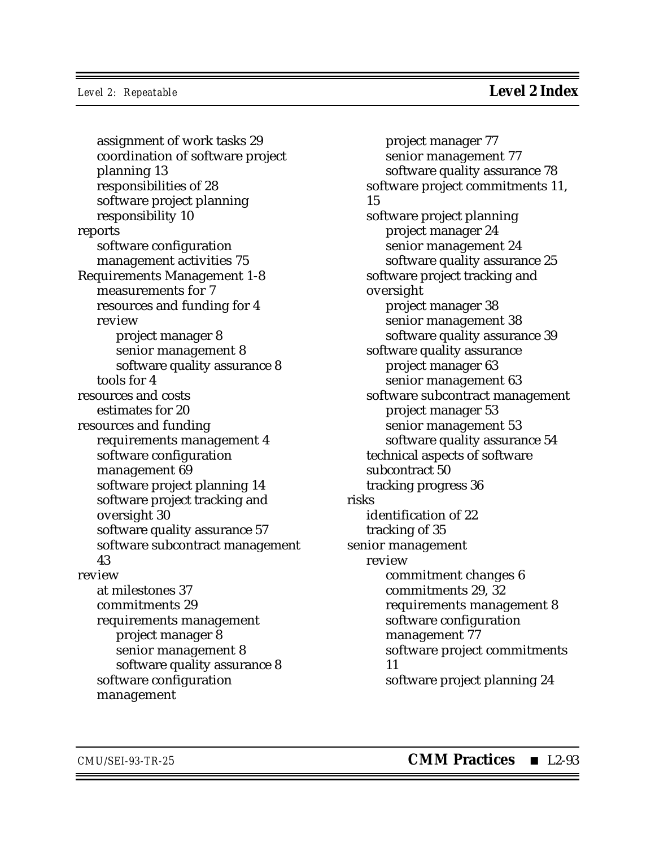assignment of work tasks 29 project manager 77 coordination of software project planning 13 software project planning 15 responsibility 10 software project planning reports **project manager 24** software configuration management activities 75 Requirements Management 1-8 software project tracking and measurements for 7 oversight resources and funding for 4 project manager 38 review senior management 38 senior management 8 software quality assurance software quality assurance 8 project manager 63 tools for 4 senior management 63 resources and costs software subcontract management estimates for 20 project manager 53 resources and funding senior management 53 requirements management 4 software quality assurance 54 software configuration management 69 software project planning 14 tracking progress 36 software project tracking and oversight 30 software quality assurance 57 tracking of 35 software subcontract management 43 review commitment changes 6 at milestones 37 commitments 29, 32 commitments 29 requirements management 8 requirements management software configuration<br>project manager 8 management 77 project manager 8 software quality assurance 8 11 software configuration management

senior management 77 software quality assurance 78 responsibilities of 28 software project commitments 11, senior management 24 software quality assurance 25 project manager 8 software quality assurance 39 technical aspects of software subcontract 50 risks identification of 22 senior management review senior management 8 software project commitments software project planning 24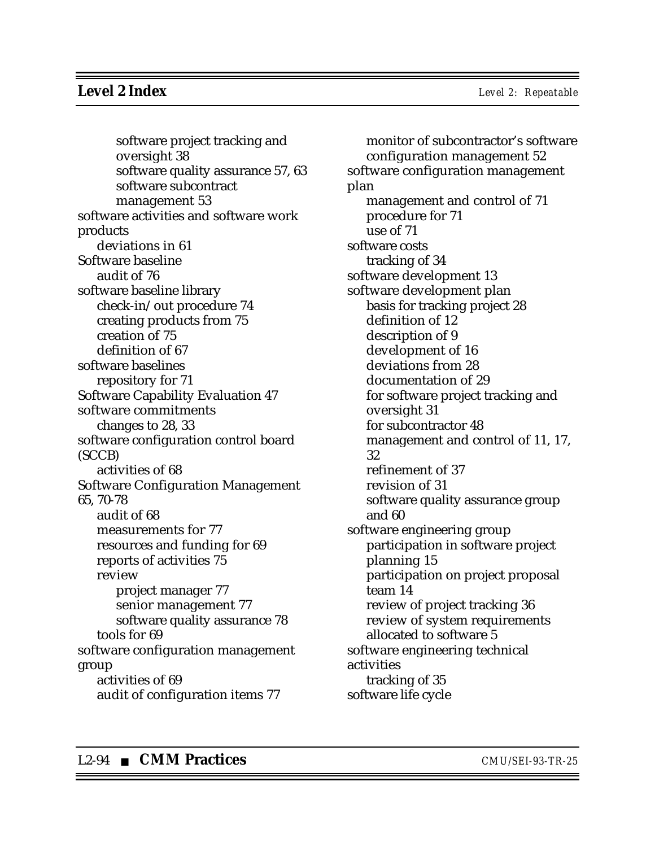software project tracking and oversight 38 software subcontract blan software activities and software work products deviations in 61 software costs Software baseline tracking of 34 audit of 76 software development 13 software baseline library software development plan check-in/out procedure 74 basis for tracking project 28 creating products from 75 definition of 12 creation of 75 description of 9 definition of 67 development of 16 software baselines deviations from 28 repository for 71 documentation of 29 Software Capability Evaluation 47 for software project tracking and software commitments oversight 31 changes to 28, 33 for subcontractor 48 software configuration control board (SCCB) activities of 68 refinement of 37 Software Configuration Management 65, 70-78 audit of 68 and 60 measurements for 77 software engineering group resources and funding for 69 participation in software project reports of activities 75 planning 15 project manager 77 team 14 senior management 77 review of project tracking 36 tools for 69 allocated to software 5 software configuration management group activities of 69 tracking of 35 audit of configuration items 77 software life cycle

monitor of subcontractor's software configuration management 52 software quality assurance 57, 63 software configuration management management 53 management and control of 71 procedure for 71 use of 71 management and control of 11, 17, 32 revision of 31 software quality assurance group review participation on project proposal software quality assurance 78 review of system requirements software engineering technical activities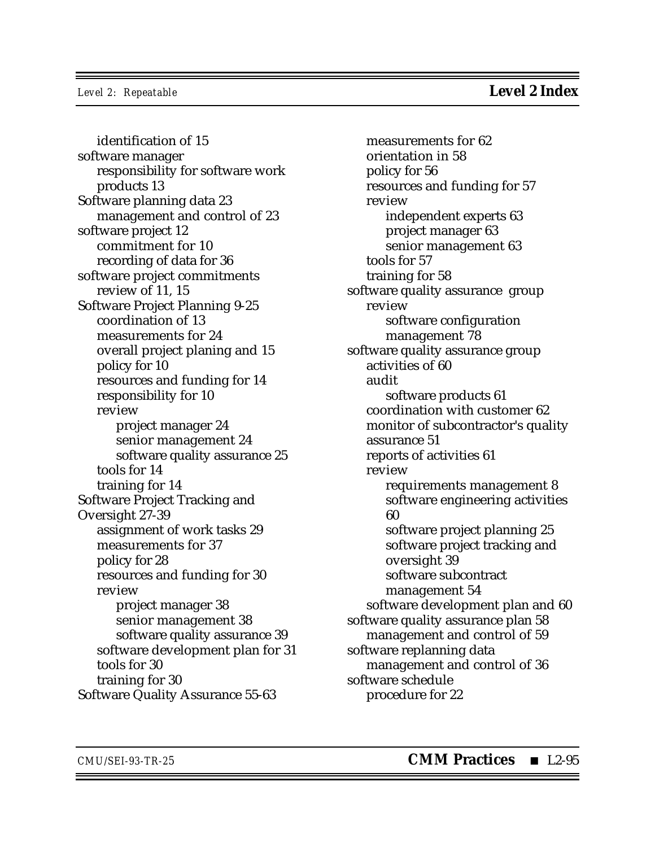identification of 15 measurements for 62 software manager orientation in 58 responsibility for software work products 13 Software planning data 23 review management and control of 23 independent experts 63 software project 12 project manager 63 commitment for 10 senior management 63 recording of data for 36 tools for 57 software project commitments training for 58 review of 11, 15 software quality assurance group Software Project Planning 9-25 review coordination of 13 software configuration measurements for 24 management 78 overall project planing and 15 software quality assurance group policy for 10 activities of 60 resources and funding for 14 audit responsibility for 10 software products 61 review coordination with customer 62 senior management 24 assurance 51 software quality assurance 25 reports of activities 61 tools for 14 review Software Project Tracking and Oversight 27-39 assignment of work tasks 29 software project planning 25 policy for 28 oversight 39 resources and funding for 30 software subcontract review management 54 software development plan for 31 software replanning data tools for 30 management and control of 36 training for 30 software schedule Software Quality Assurance 55-63 procedure for 22

policy for 56 resources and funding for 57 project manager 24 monitor of subcontractor's quality training for 14 requirements management 8 software engineering activities 60 measurements for 37 software project tracking and project manager 38 software development plan and 60 senior management 38 software quality assurance plan 58 software quality assurance 39 management and control of 59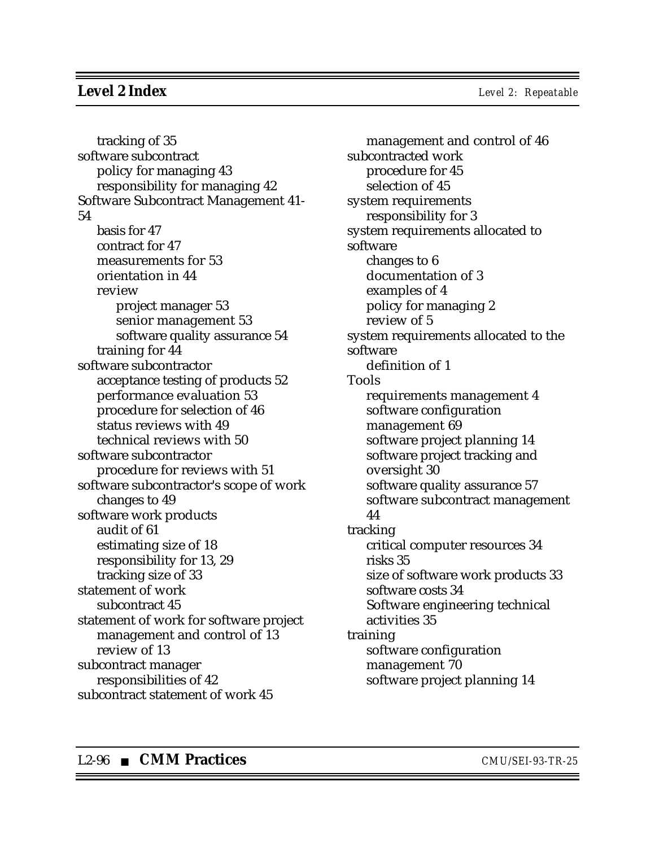#### **Level 2 Index** *Level 2: Repeatable*

software subcontract subcontracted work policy for managing 43 procedure for 45 responsibility for managing 42 selection of 45 Software Subcontract Management 41- 54 basis for 47 system requirements allocated to contract for 47 software measurements for 53 changes to 6 orientation in 44 documentation of 3 review examples of 4 project manager 53 policy for managing 2 senior management 53 review of 5 training for 44 software software subcontractor definition of 1 acceptance testing of products 52 Tools performance evaluation 53 requirements management 4 procedure for selection of 46 software configuration status reviews with 49 management 69 technical reviews with 50 software project planning 14 software subcontractor software project tracking and procedure for reviews with 51 oversight 30 software subcontractor's scope of work software quality assurance 57 software work products 44 audit of 61 tracking estimating size of 18 critical computer resources 34 responsibility for 13, 29 risks 35 statement of work statement of work statement of work statement of work statement of work statement of  $\frac{1}{2}$ subcontract 45 Software engineering technical statement of work for software project activities 35 management and control of 13 training review of 13 software configuration subcontract manager management 70 responsibilities of 42 software project planning 14 subcontract statement of work 45

tracking of 35 management and control of 46 system requirements responsibility for 3 software quality assurance 54 system requirements allocated to the changes to 49 software subcontract management tracking size of 33 size of software work products 33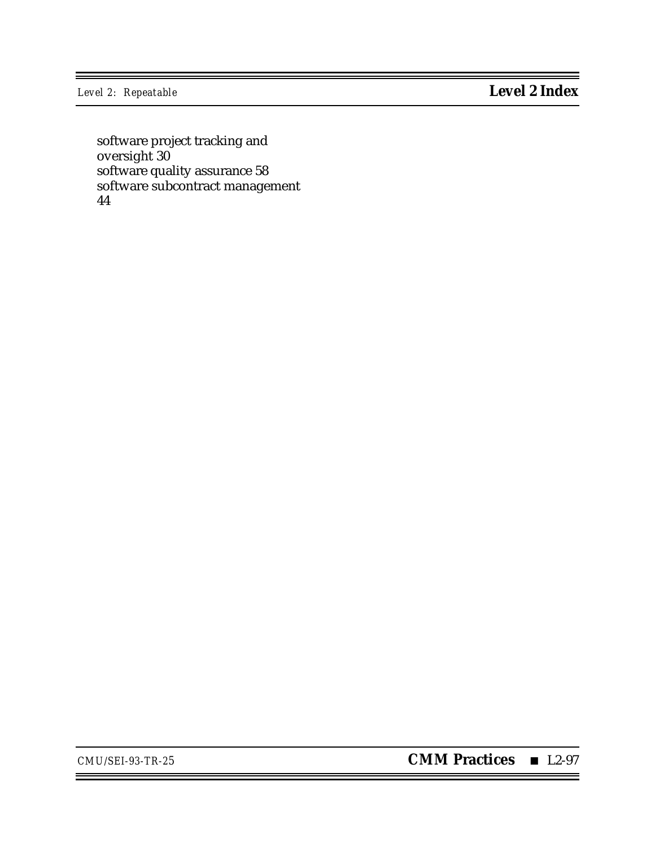software project tracking and oversight 30 software quality assurance 58 software subcontract management 44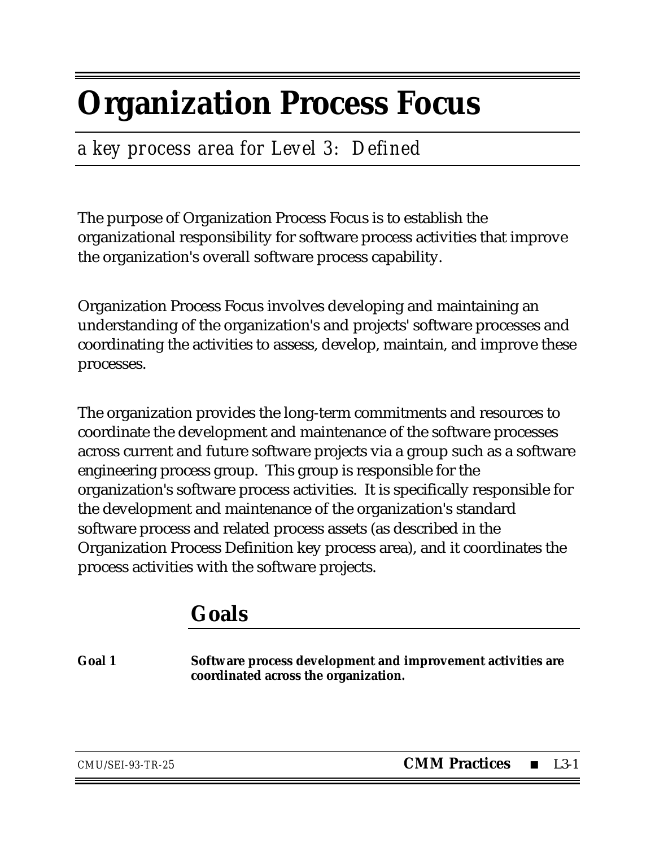## **Organization Process Focus**

*a key process area for Level 3: Defined*

The purpose of Organization Process Focus is to establish the organizational responsibility for software process activities that improve the organization's overall software process capability.

Organization Process Focus involves developing and maintaining an understanding of the organization's and projects' software processes and coordinating the activities to assess, develop, maintain, and improve these processes.

The organization provides the long-term commitments and resources to coordinate the development and maintenance of the software processes across current and future software projects via a group such as a software engineering process group. This group is responsible for the organization's software process activities. It is specifically responsible for the development and maintenance of the organization's standard software process and related process assets (as described in the Organization Process Definition key process area), and it coordinates the process activities with the software projects.

## **Goals**

**Goal 1 Software process development and improvement activities are coordinated across the organization.**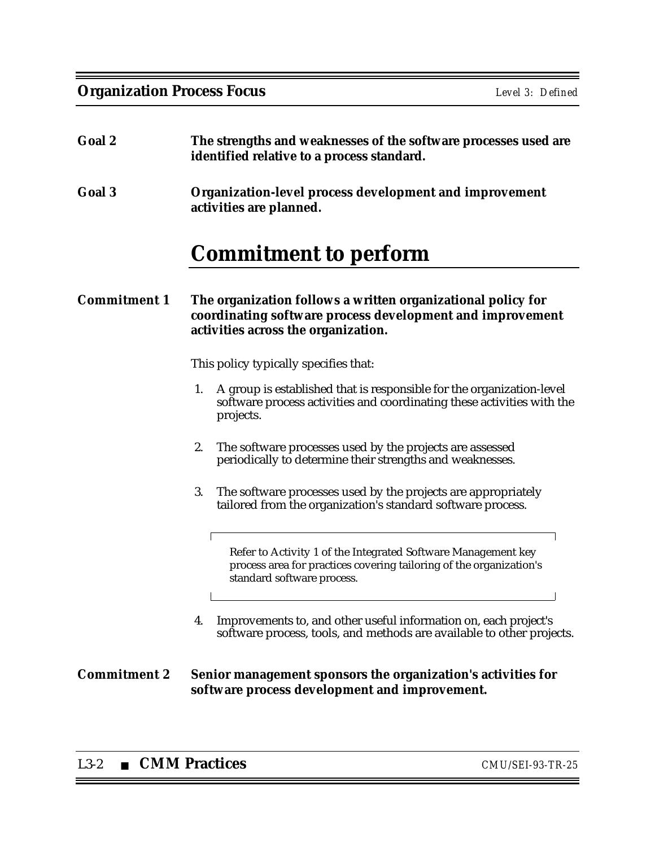#### **Goal 2 The strengths and weaknesses of the software processes used are identified relative to a process standard.**

**Goal 3 Organization-level process development and improvement activities are planned.**

### **Commitment to perform**

#### **Commitment 1 The organization follows a written organizational policy for coordinating software process development and improvement activities across the organization.**

This policy typically specifies that:

- 1. A group is established that is responsible for the organization-level software process activities and coordinating these activities with the projects.
- 2. The software processes used by the projects are assessed periodically to determine their strengths and weaknesses.
- 3. The software processes used by the projects are appropriately tailored from the organization's standard software process.

Refer to Activity 1 of the Integrated Software Management key process area for practices covering tailoring of the organization's standard software process.

4. Improvements to, and other useful information on, each project's software process, tools, and methods are available to other projects.

#### **Commitment 2 Senior management sponsors the organization's activities for software process development and improvement.**

 $\sqrt{2}$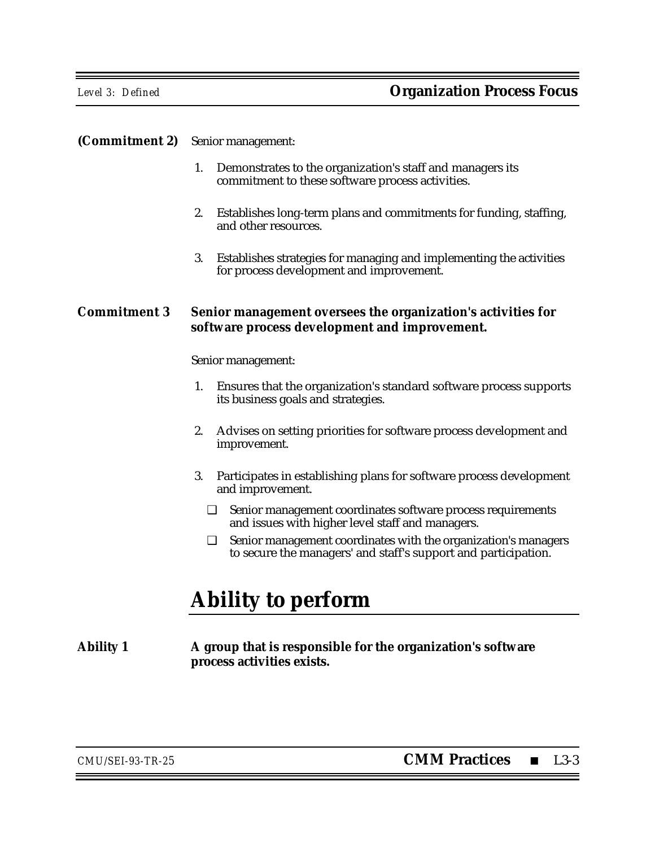| (Commitment 2)      | Senior management:                                                                                                                         |
|---------------------|--------------------------------------------------------------------------------------------------------------------------------------------|
|                     | Demonstrates to the organization's staff and managers its<br>1.<br>commitment to these software process activities.                        |
|                     | 2.<br>Establishes long-term plans and commitments for funding, staffing,<br>and other resources.                                           |
|                     | 3.<br>Establishes strategies for managing and implementing the activities<br>for process development and improvement.                      |
| <b>Commitment 3</b> | Senior management oversees the organization's activities for<br>software process development and improvement.                              |
|                     | Senior management:                                                                                                                         |
|                     | Ensures that the organization's standard software process supports<br>1.<br>its business goals and strategies.                             |
|                     | 2.<br>Advises on setting priorities for software process development and<br>improvement.                                                   |
|                     | 3.<br>Participates in establishing plans for software process development<br>and improvement.                                              |
|                     | Senior management coordinates software process requirements<br>❏<br>and issues with higher level staff and managers.                       |
|                     | Senior management coordinates with the organization's managers<br>$\Box$<br>to secure the managers' and staff's support and participation. |
|                     | <b>Ability to perform</b>                                                                                                                  |

## **Ability 1 A group that is responsible for the organization's software**

**process activities exists.**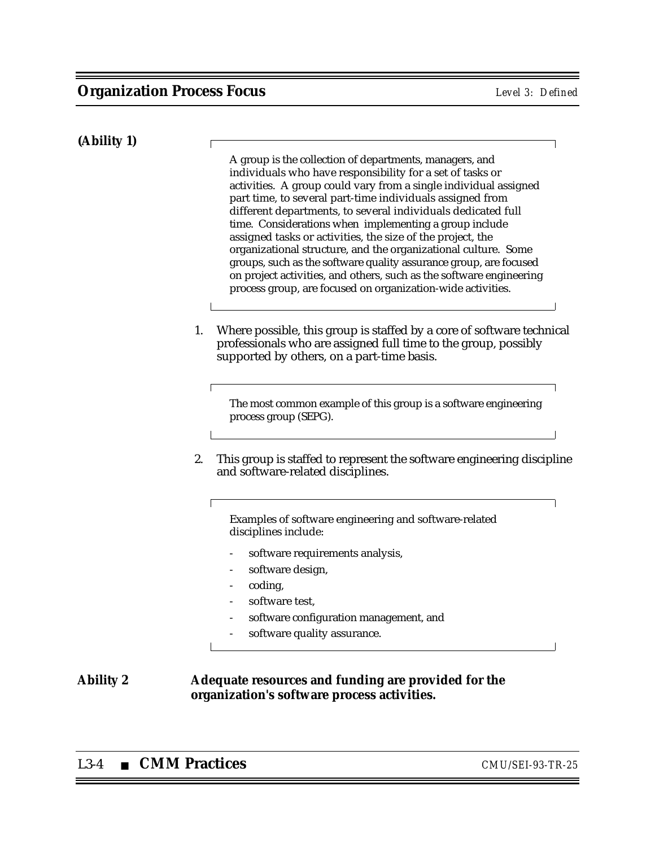### **Organization Process Focus** *Level 3: Defined*

| (Ability 1)      | A group is the collection of departments, managers, and<br>individuals who have responsibility for a set of tasks or<br>activities. A group could vary from a single individual assigned<br>part time, to several part-time individuals assigned from<br>different departments, to several individuals dedicated full<br>time. Considerations when implementing a group include<br>assigned tasks or activities, the size of the project, the<br>organizational structure, and the organizational culture. Some<br>groups, such as the software quality assurance group, are focused<br>on project activities, and others, such as the software engineering<br>process group, are focused on organization-wide activities. |
|------------------|----------------------------------------------------------------------------------------------------------------------------------------------------------------------------------------------------------------------------------------------------------------------------------------------------------------------------------------------------------------------------------------------------------------------------------------------------------------------------------------------------------------------------------------------------------------------------------------------------------------------------------------------------------------------------------------------------------------------------|
|                  | 1.<br>Where possible, this group is staffed by a core of software technical<br>professionals who are assigned full time to the group, possibly<br>supported by others, on a part-time basis.                                                                                                                                                                                                                                                                                                                                                                                                                                                                                                                               |
|                  | The most common example of this group is a software engineering<br>process group (SEPG).                                                                                                                                                                                                                                                                                                                                                                                                                                                                                                                                                                                                                                   |
|                  | 2.<br>This group is staffed to represent the software engineering discipline<br>and software-related disciplines.                                                                                                                                                                                                                                                                                                                                                                                                                                                                                                                                                                                                          |
|                  | Examples of software engineering and software-related<br>disciplines include:                                                                                                                                                                                                                                                                                                                                                                                                                                                                                                                                                                                                                                              |
|                  | software requirements analysis,                                                                                                                                                                                                                                                                                                                                                                                                                                                                                                                                                                                                                                                                                            |
|                  | software design,                                                                                                                                                                                                                                                                                                                                                                                                                                                                                                                                                                                                                                                                                                           |
|                  | coding,                                                                                                                                                                                                                                                                                                                                                                                                                                                                                                                                                                                                                                                                                                                    |
|                  | software test,                                                                                                                                                                                                                                                                                                                                                                                                                                                                                                                                                                                                                                                                                                             |
|                  | software configuration management, and<br>software quality assurance.                                                                                                                                                                                                                                                                                                                                                                                                                                                                                                                                                                                                                                                      |
|                  |                                                                                                                                                                                                                                                                                                                                                                                                                                                                                                                                                                                                                                                                                                                            |
| <b>Ability 2</b> | Adequate resources and funding are provided for the<br>organization's software process activities.                                                                                                                                                                                                                                                                                                                                                                                                                                                                                                                                                                                                                         |

#### L3-4 ■ **CMM Practices** *CMU/SEI-93-TR-25*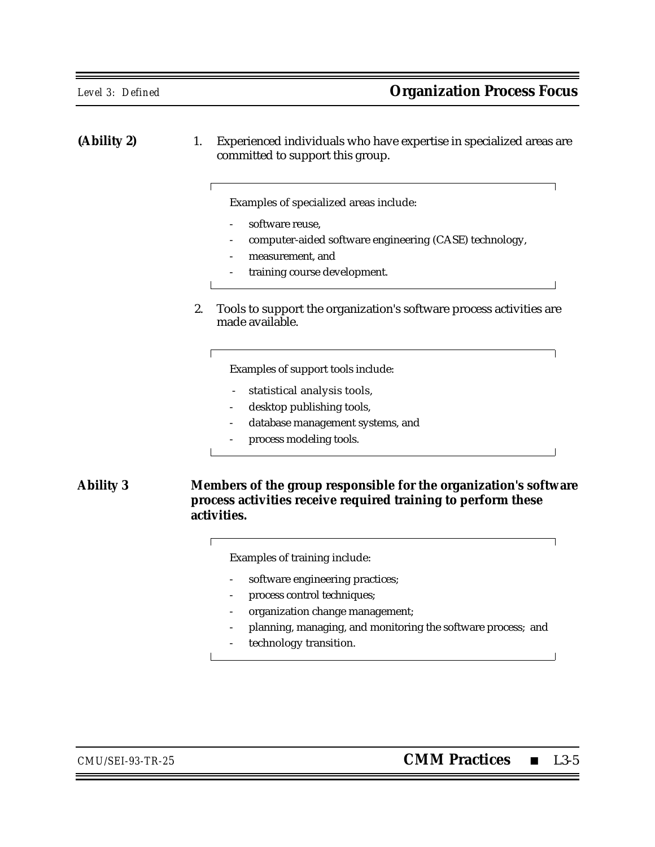Ξ

| (Ability 2)      | 1. | Experienced individuals who have expertise in specialized areas are<br>committed to support this group.                           |
|------------------|----|-----------------------------------------------------------------------------------------------------------------------------------|
|                  |    | Examples of specialized areas include:                                                                                            |
|                  |    | software reuse,                                                                                                                   |
|                  |    | computer-aided software engineering (CASE) technology,                                                                            |
|                  |    | measurement, and                                                                                                                  |
|                  |    | training course development.                                                                                                      |
|                  | 2. | Tools to support the organization's software process activities are<br>made available.                                            |
|                  |    | Examples of support tools include:                                                                                                |
|                  |    | statistical analysis tools,                                                                                                       |
|                  |    | desktop publishing tools,                                                                                                         |
|                  |    | database management systems, and                                                                                                  |
|                  |    | process modeling tools.                                                                                                           |
| <b>Ability 3</b> |    | Members of the group responsible for the organization's software<br>process activities receive required training to perform these |
|                  |    | activities.                                                                                                                       |
|                  |    | Examples of training include:                                                                                                     |
|                  |    | software engineering practices;                                                                                                   |
|                  |    | process control techniques;                                                                                                       |
|                  |    | organization change management;                                                                                                   |
|                  |    | planning, managing, and monitoring the software process; and                                                                      |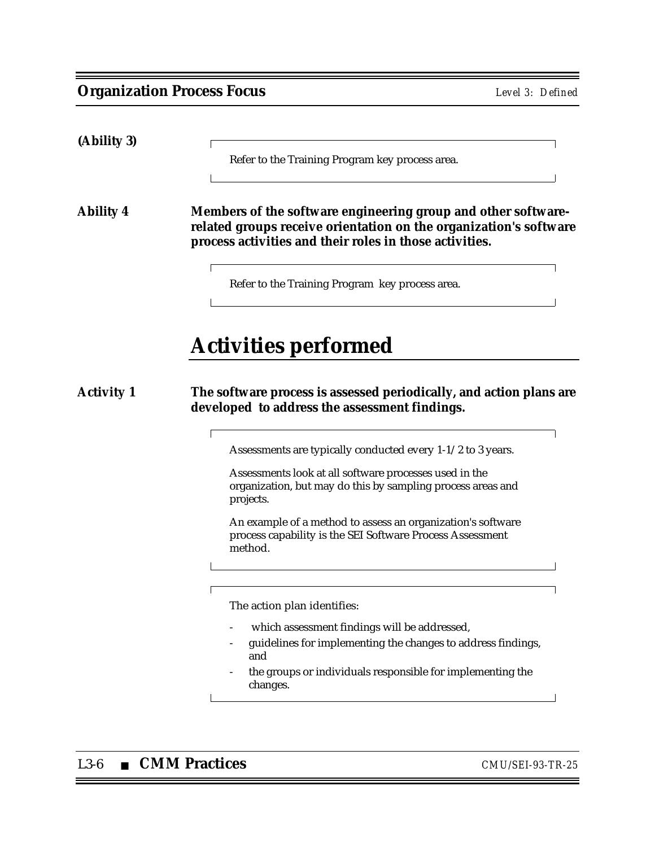### **Organization Process Focus** *Level 3: Defined*

| (Ability 3)       |                                                                                                                                                                                               |
|-------------------|-----------------------------------------------------------------------------------------------------------------------------------------------------------------------------------------------|
|                   | Refer to the Training Program key process area.                                                                                                                                               |
| <b>Ability 4</b>  | Members of the software engineering group and other software-<br>related groups receive orientation on the organization's software<br>process activities and their roles in those activities. |
|                   | Refer to the Training Program key process area.                                                                                                                                               |
|                   | <b>Activities performed</b>                                                                                                                                                                   |
|                   |                                                                                                                                                                                               |
| <b>Activity 1</b> | The software process is assessed periodically, and action plans are<br>developed to address the assessment findings.                                                                          |
|                   |                                                                                                                                                                                               |
|                   | Assessments are typically conducted every 1-1/2 to 3 years.                                                                                                                                   |
|                   | Assessments look at all software processes used in the<br>organization, but may do this by sampling process areas and<br>projects.                                                            |
|                   | An example of a method to assess an organization's software<br>process capability is the SEI Software Process Assessment<br>method.                                                           |
|                   |                                                                                                                                                                                               |
|                   |                                                                                                                                                                                               |
|                   | The action plan identifies:                                                                                                                                                                   |
|                   | which assessment findings will be addressed,                                                                                                                                                  |
|                   | guidelines for implementing the changes to address findings,<br>and                                                                                                                           |
|                   | the groups or individuals responsible for implementing the<br>changes.                                                                                                                        |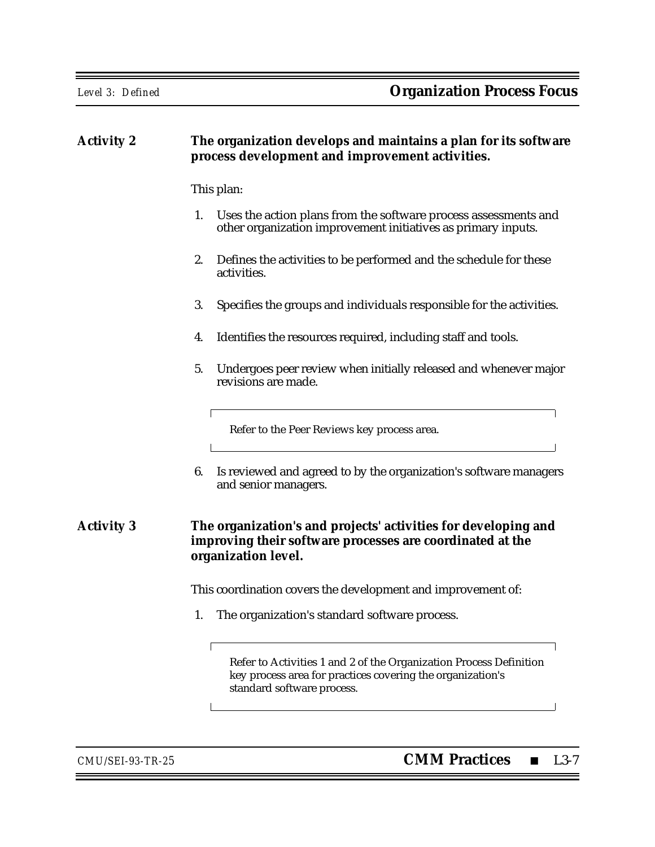$\equiv$ 

| <b>Activity 2</b> | The organization develops and maintains a plan for its software<br>process development and improvement activities.                                             |  |  |
|-------------------|----------------------------------------------------------------------------------------------------------------------------------------------------------------|--|--|
|                   | This plan:                                                                                                                                                     |  |  |
|                   | Uses the action plans from the software process assessments and<br>1.<br>other organization improvement initiatives as primary inputs.                         |  |  |
|                   | Defines the activities to be performed and the schedule for these<br>2.<br>activities.                                                                         |  |  |
|                   | 3.<br>Specifies the groups and individuals responsible for the activities.                                                                                     |  |  |
|                   | Identifies the resources required, including staff and tools.<br>4.                                                                                            |  |  |
|                   | 5.<br>Undergoes peer review when initially released and whenever major<br>revisions are made.                                                                  |  |  |
|                   | Refer to the Peer Reviews key process area.                                                                                                                    |  |  |
|                   | Is reviewed and agreed to by the organization's software managers<br>6.<br>and senior managers.                                                                |  |  |
| <b>Activity 3</b> | The organization's and projects' activities for developing and<br>improving their software processes are coordinated at the<br>organization level.             |  |  |
|                   | This coordination covers the development and improvement of:                                                                                                   |  |  |
|                   | The organization's standard software process.<br>1.                                                                                                            |  |  |
|                   | Refer to Activities 1 and 2 of the Organization Process Definition<br>key process area for practices covering the organization's<br>standard software process. |  |  |
|                   |                                                                                                                                                                |  |  |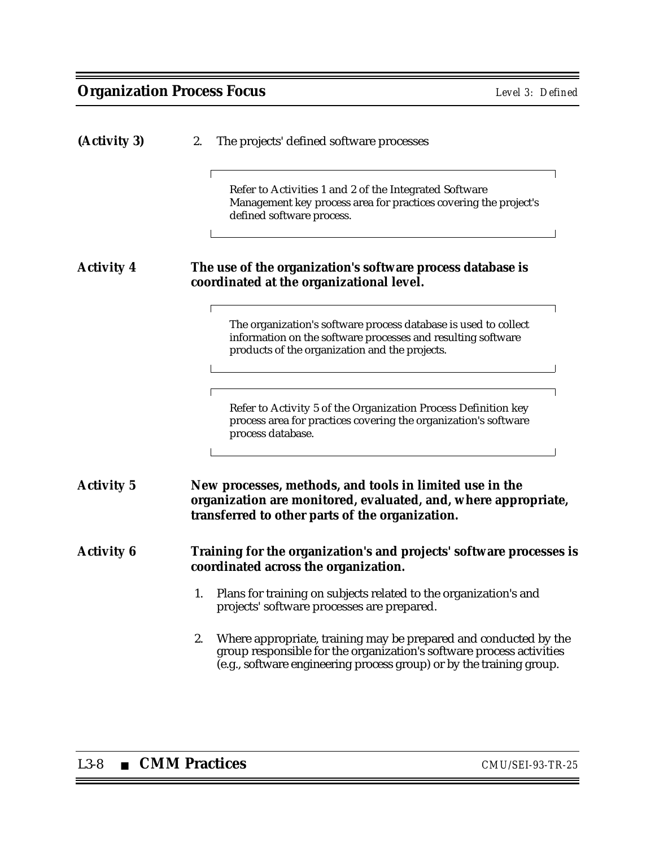### **Organization Process Focus** *Level 3: Defined*

| (Activity 3)      | The projects' defined software processes<br>2.                                                                                                                                                                         |
|-------------------|------------------------------------------------------------------------------------------------------------------------------------------------------------------------------------------------------------------------|
|                   | Refer to Activities 1 and 2 of the Integrated Software<br>Management key process area for practices covering the project's<br>defined software process.                                                                |
| <b>Activity 4</b> | The use of the organization's software process database is<br>coordinated at the organizational level.                                                                                                                 |
|                   | The organization's software process database is used to collect<br>information on the software processes and resulting software<br>products of the organization and the projects.                                      |
|                   | Refer to Activity 5 of the Organization Process Definition key<br>process area for practices covering the organization's software<br>process database.                                                                 |
| <b>Activity 5</b> | New processes, methods, and tools in limited use in the<br>organization are monitored, evaluated, and, where appropriate,<br>transferred to other parts of the organization.                                           |
| <b>Activity 6</b> | Training for the organization's and projects' software processes is<br>coordinated across the organization.                                                                                                            |
|                   | 1.<br>Plans for training on subjects related to the organization's and<br>projects' software processes are prepared.                                                                                                   |
|                   | 2.<br>Where appropriate, training may be prepared and conducted by the<br>group responsible for the organization's software process activities<br>(e.g., software engineering process group) or by the training group. |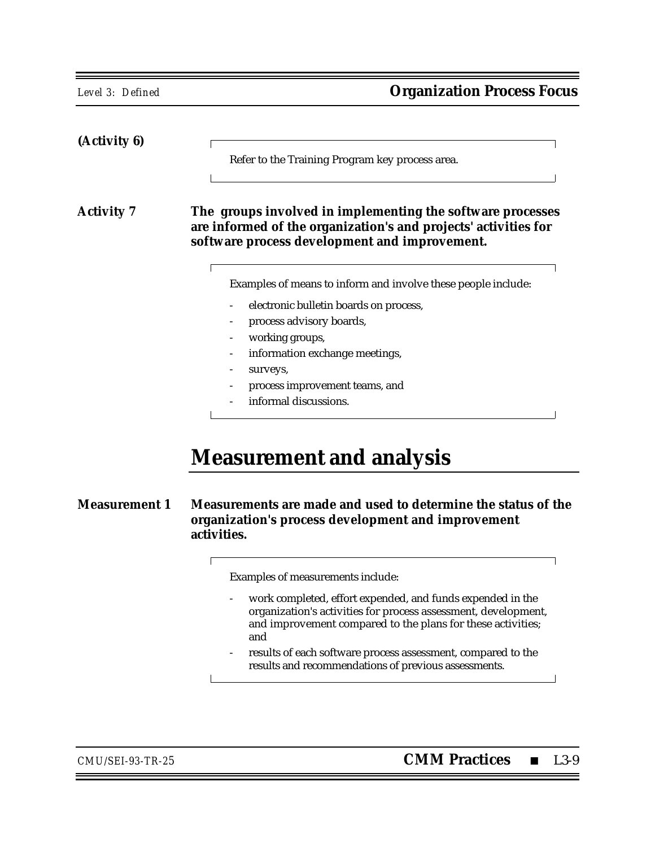| (Activity 6)      | Refer to the Training Program key process area.                                                                                                                                |  |  |
|-------------------|--------------------------------------------------------------------------------------------------------------------------------------------------------------------------------|--|--|
| <b>Activity 7</b> | The groups involved in implementing the software processes<br>are informed of the organization's and projects' activities for<br>software process development and improvement. |  |  |
|                   | Examples of means to inform and involve these people include:                                                                                                                  |  |  |
|                   | electronic bulletin boards on process,                                                                                                                                         |  |  |
|                   | process advisory boards,                                                                                                                                                       |  |  |
|                   |                                                                                                                                                                                |  |  |
|                   | working groups,                                                                                                                                                                |  |  |
|                   | information exchange meetings,                                                                                                                                                 |  |  |
|                   | surveys,                                                                                                                                                                       |  |  |
|                   | process improvement teams, and                                                                                                                                                 |  |  |

### **Measurement and analysis**

**Measurement 1 Measurements are made and used to determine the status of the organization's process development and improvement activities.**

Examples of measurements include:

 $\sqrt{2}$ 

- work completed, effort expended, and funds expended in the organization's activities for process assessment, development, and improvement compared to the plans for these activities; and
- results of each software process assessment, compared to the results and recommendations of previous assessments.

٦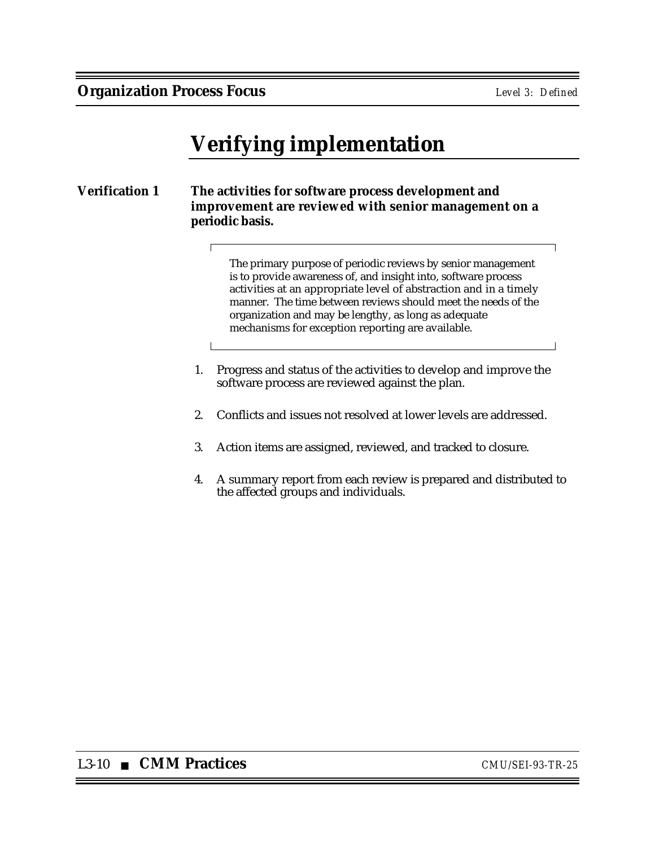#### **Organization Process Focus** *Level 3: Defined*

 $\sqrt{ }$ 

### **Verifying implementation**

#### **Verification 1 The activities for software process development and improvement are reviewed with senior management on a periodic basis.**

The primary purpose of periodic reviews by senior management is to provide awareness of, and insight into, software process activities at an appropriate level of abstraction and in a timely manner. The time between reviews should meet the needs of the organization and may be lengthy, as long as adequate mechanisms for exception reporting are available.

- 1. Progress and status of the activities to develop and improve the software process are reviewed against the plan.
- 2. Conflicts and issues not resolved at lower levels are addressed.
- 3. Action items are assigned, reviewed, and tracked to closure.
- 4. A summary report from each review is prepared and distributed to the affected groups and individuals.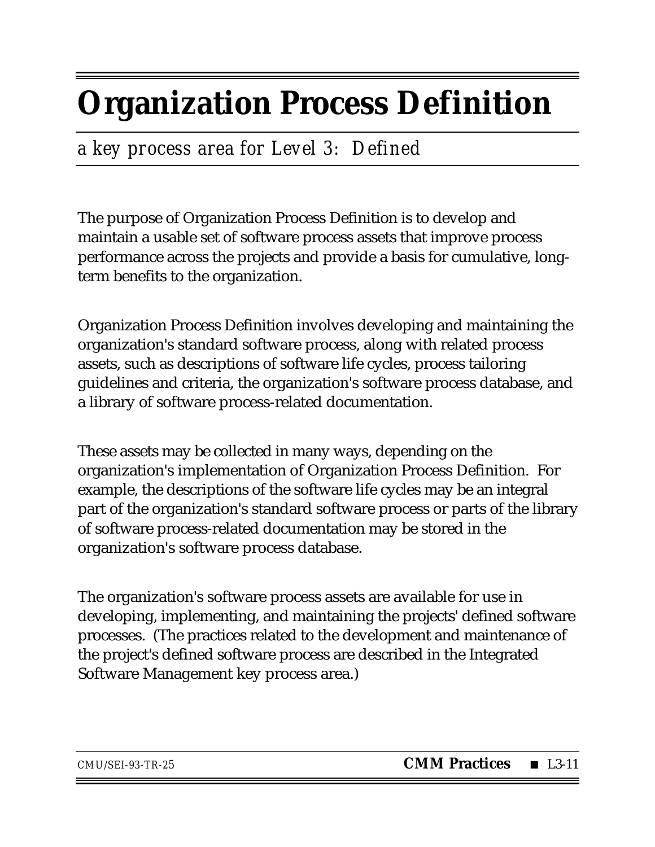## **Organization Process Definition**

### *a key process area for Level 3: Defined*

The purpose of Organization Process Definition is to develop and maintain a usable set of software process assets that improve process performance across the projects and provide a basis for cumulative, longterm benefits to the organization.

Organization Process Definition involves developing and maintaining the organization's standard software process, along with related process assets, such as descriptions of software life cycles, process tailoring guidelines and criteria, the organization's software process database, and a library of software process-related documentation.

These assets may be collected in many ways, depending on the organization's implementation of Organization Process Definition. For example, the descriptions of the software life cycles may be an integral part of the organization's standard software process or parts of the library of software process-related documentation may be stored in the organization's software process database.

The organization's software process assets are available for use in developing, implementing, and maintaining the projects' defined software processes. (The practices related to the development and maintenance of the project's defined software process are described in the Integrated Software Management key process area.)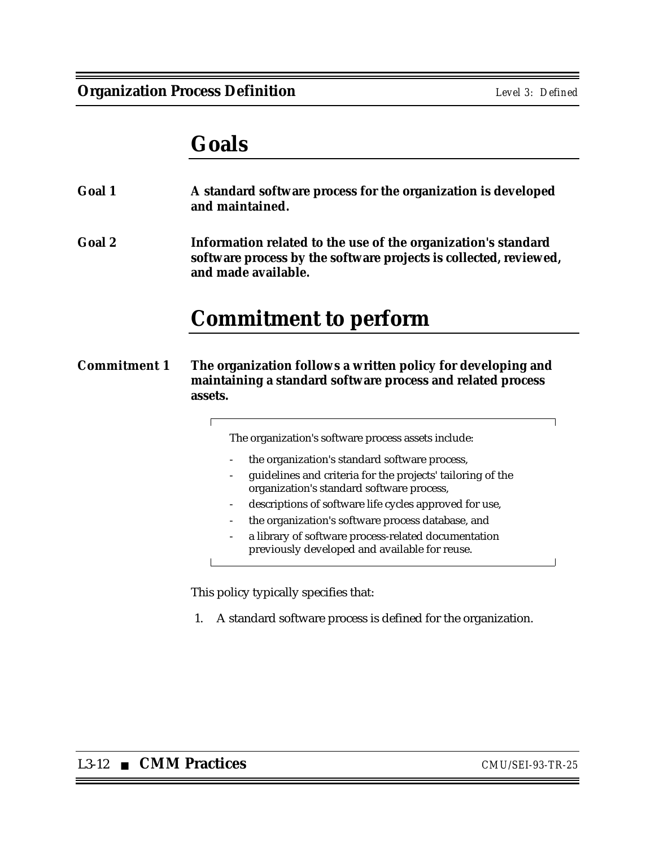|                     | Goals                                                                                                                                                     |  |  |
|---------------------|-----------------------------------------------------------------------------------------------------------------------------------------------------------|--|--|
| <b>Goal 1</b>       | A standard software process for the organization is developed<br>and maintained.                                                                          |  |  |
| <b>Goal 2</b>       | Information related to the use of the organization's standard<br>software process by the software projects is collected, reviewed,<br>and made available. |  |  |
|                     |                                                                                                                                                           |  |  |
|                     | <b>Commitment to perform</b>                                                                                                                              |  |  |
| <b>Commitment 1</b> | The organization follows a written policy for developing and<br>maintaining a standard software process and related process<br>assets.                    |  |  |
|                     | The organization's software process assets include:                                                                                                       |  |  |
|                     | the organization's standard software process,<br>guidelines and criteria for the projects' tailoring of the                                               |  |  |
|                     | organization's standard software process,<br>descriptions of software life cycles approved for use,                                                       |  |  |
|                     | the organization's software process database, and                                                                                                         |  |  |

#### L3-12 ■ **CMM Practices** *CMU/SEI-93-TR-25*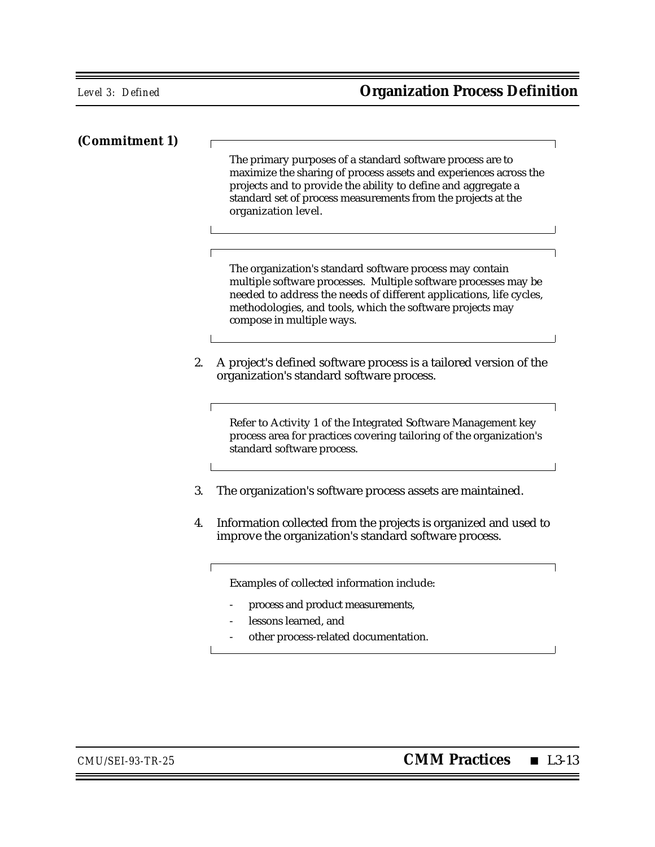| (Commitment 1) |    | The primary purposes of a standard software process are to<br>maximize the sharing of process assets and experiences across the<br>projects and to provide the ability to define and aggregate a<br>standard set of process measurements from the projects at the<br>organization level.     |
|----------------|----|----------------------------------------------------------------------------------------------------------------------------------------------------------------------------------------------------------------------------------------------------------------------------------------------|
|                |    | The organization's standard software process may contain<br>multiple software processes. Multiple software processes may be<br>needed to address the needs of different applications, life cycles,<br>methodologies, and tools, which the software projects may<br>compose in multiple ways. |
|                | 2. | A project's defined software process is a tailored version of the<br>organization's standard software process.                                                                                                                                                                               |
|                |    | Refer to Activity 1 of the Integrated Software Management key<br>process area for practices covering tailoring of the organization's<br>standard software process.                                                                                                                           |
|                | 3. | The organization's software process assets are maintained.                                                                                                                                                                                                                                   |
|                | 4. | Information collected from the projects is organized and used to<br>improve the organization's standard software process.                                                                                                                                                                    |
|                |    | Examples of collected information include:<br>process and product measurements,                                                                                                                                                                                                              |
|                |    | lessons learned, and<br>other process-related documentation.                                                                                                                                                                                                                                 |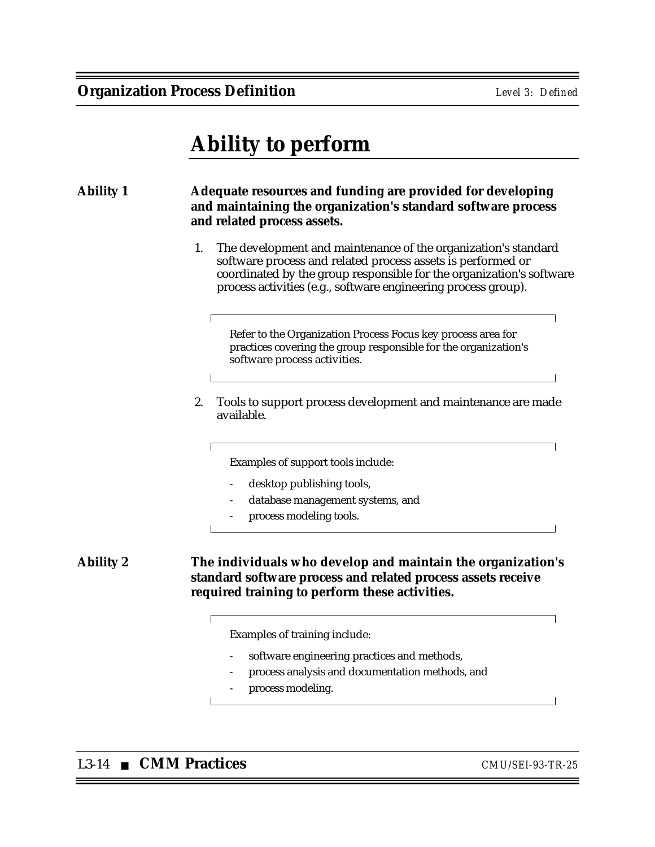### **Ability to perform**

#### **Ability 1 Adequate resources and funding are provided for developing and maintaining the organization's standard software process and related process assets.**

1. The development and maintenance of the organization's standard software process and related process assets is performed or coordinated by the group responsible for the organization's software process activities (e.g., software engineering process group).

Refer to the Organization Process Focus key process area for practices covering the group responsible for the organization's software process activities.

2. Tools to support process development and maintenance are made available.

Examples of support tools include:

- desktop publishing tools,
- database management systems, and
- process modeling tools.

**Ability 2 The individuals who develop and maintain the organization's standard software process and related process assets receive required training to perform these activities.**

Examples of training include:

- software engineering practices and methods,
- process analysis and documentation methods, and
- process modeling.

 $\sqrt{ }$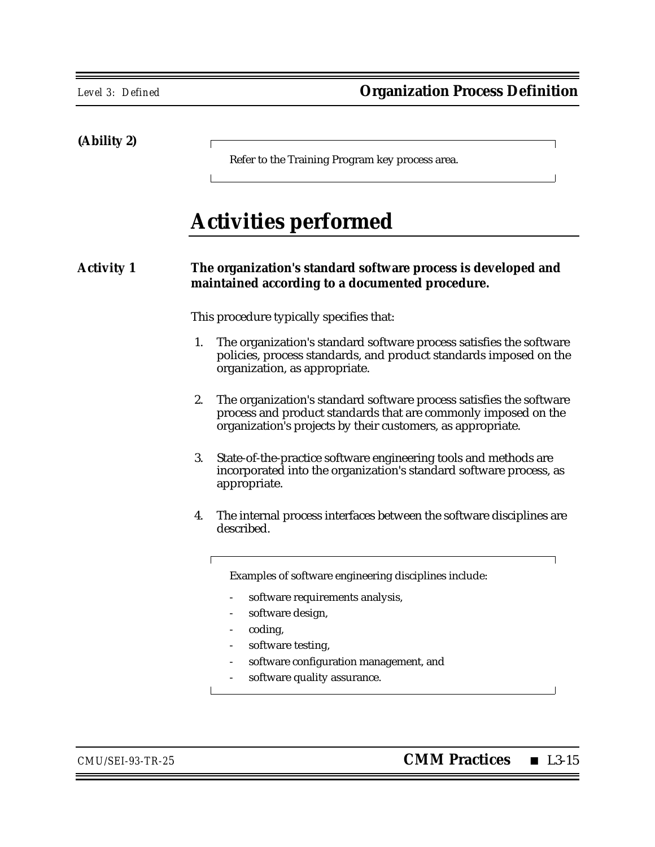| (Ability 2)       | Refer to the Training Program key process area.                                                                                                                                                            |
|-------------------|------------------------------------------------------------------------------------------------------------------------------------------------------------------------------------------------------------|
|                   | <b>Activities performed</b>                                                                                                                                                                                |
| <b>Activity 1</b> | The organization's standard software process is developed and<br>maintained according to a documented procedure.                                                                                           |
|                   | This procedure typically specifies that:                                                                                                                                                                   |
|                   | The organization's standard software process satisfies the software<br>1.<br>policies, process standards, and product standards imposed on the<br>organization, as appropriate.                            |
|                   | 2.<br>The organization's standard software process satisfies the software<br>process and product standards that are commonly imposed on the<br>organization's projects by their customers, as appropriate. |
|                   | 3.<br>State-of-the-practice software engineering tools and methods are<br>incorporated into the organization's standard software process, as<br>appropriate.                                               |
|                   | 4.<br>The internal process interfaces between the software disciplines are<br>described.                                                                                                                   |
|                   | Examples of software engineering disciplines include:                                                                                                                                                      |
|                   | software requirements analysis,                                                                                                                                                                            |
|                   | software design,                                                                                                                                                                                           |
|                   | coding,<br>software testing,                                                                                                                                                                               |
|                   | software configuration management, and                                                                                                                                                                     |
|                   | software quality assurance.                                                                                                                                                                                |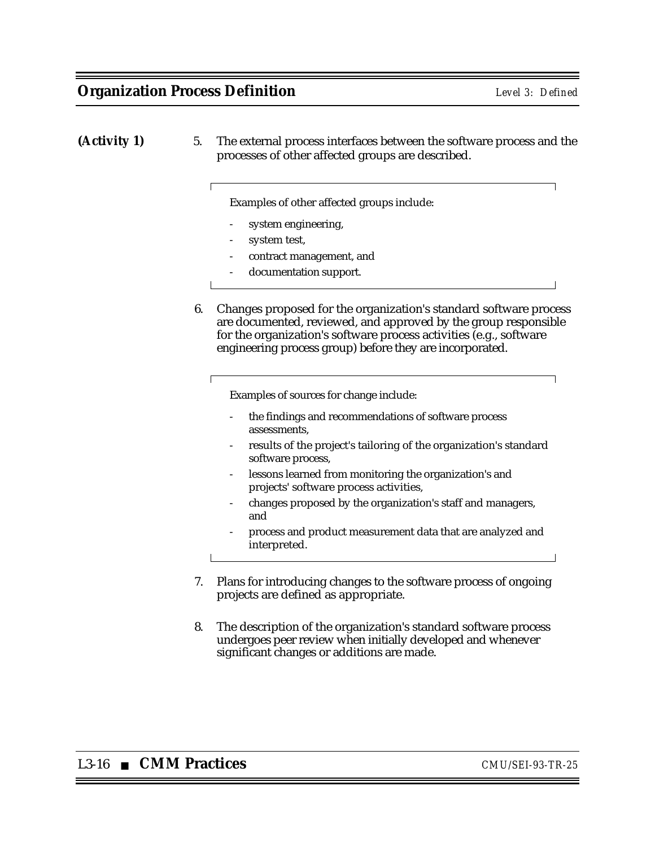| (Activity 1) | 5. | The external process interfaces between the software process and the<br>processes of other affected groups are described.                                                                                                                                              |
|--------------|----|------------------------------------------------------------------------------------------------------------------------------------------------------------------------------------------------------------------------------------------------------------------------|
|              |    | Examples of other affected groups include:                                                                                                                                                                                                                             |
|              |    | system engineering,                                                                                                                                                                                                                                                    |
|              |    | system test,                                                                                                                                                                                                                                                           |
|              |    | contract management, and                                                                                                                                                                                                                                               |
|              |    | documentation support.                                                                                                                                                                                                                                                 |
|              | 6. | Changes proposed for the organization's standard software process<br>are documented, reviewed, and approved by the group responsible<br>for the organization's software process activities (e.g., software<br>engineering process group) before they are incorporated. |
|              |    | Examples of sources for change include:                                                                                                                                                                                                                                |
|              |    | the findings and recommendations of software process<br>assessments,                                                                                                                                                                                                   |
|              |    | results of the project's tailoring of the organization's standard<br>software process,                                                                                                                                                                                 |
|              |    | lessons learned from monitoring the organization's and<br>projects' software process activities,                                                                                                                                                                       |
|              |    | changes proposed by the organization's staff and managers,<br>and                                                                                                                                                                                                      |
|              |    | process and product measurement data that are analyzed and<br>interpreted.                                                                                                                                                                                             |
|              | 7. | Plans for introducing changes to the software process of ongoing<br>projects are defined as appropriate.                                                                                                                                                               |
|              | 8. | The description of the organization's standard software process<br>undergoes peer review when initially developed and whenever                                                                                                                                         |

significant changes or additions are made.

L3-16 ■ **CMM Practices** *CMU/SEI-93-TR-25*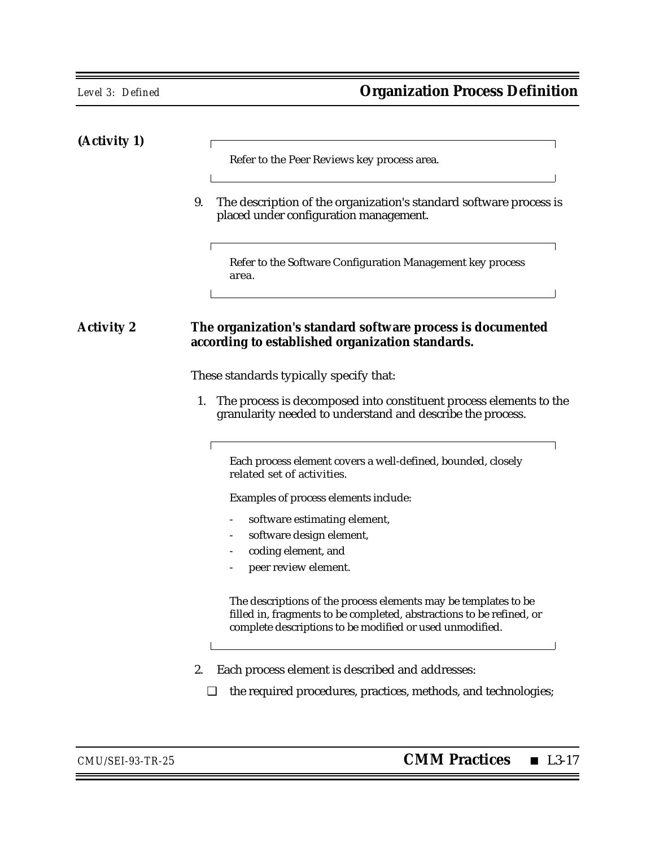| (Activity 1)      |                                                                                                                                                                                                     |
|-------------------|-----------------------------------------------------------------------------------------------------------------------------------------------------------------------------------------------------|
|                   | Refer to the Peer Reviews key process area.                                                                                                                                                         |
|                   | 9.<br>The description of the organization's standard software process is<br>placed under configuration management.                                                                                  |
|                   | Refer to the Software Configuration Management key process<br>area.                                                                                                                                 |
| <b>Activity 2</b> | The organization's standard software process is documented<br>according to established organization standards.                                                                                      |
|                   | These standards typically specify that:                                                                                                                                                             |
|                   | The process is decomposed into constituent process elements to the<br>1.<br>granularity needed to understand and describe the process.                                                              |
|                   | Each process element covers a well-defined, bounded, closely<br>related set of activities.                                                                                                          |
|                   | Examples of process elements include:                                                                                                                                                               |
|                   | software estimating element,                                                                                                                                                                        |
|                   | software design element,                                                                                                                                                                            |
|                   | coding element, and                                                                                                                                                                                 |
|                   | peer review element.                                                                                                                                                                                |
|                   | The descriptions of the process elements may be templates to be<br>filled in, fragments to be completed, abstractions to be refined, or<br>complete descriptions to be modified or used unmodified. |
|                   | 2.<br>Each process element is described and addresses:                                                                                                                                              |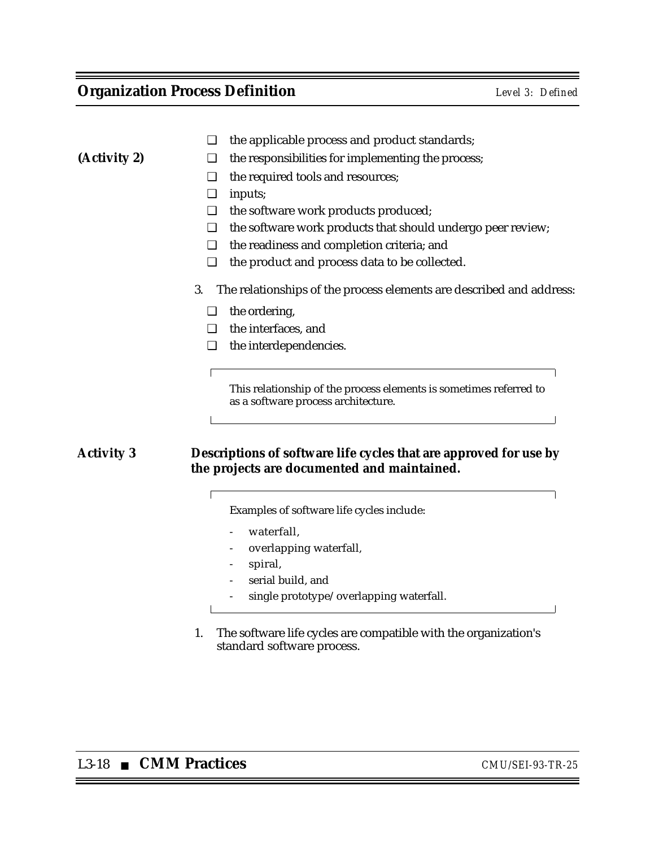|                   | $\Box$ | the applicable process and product standards;                                                                    |
|-------------------|--------|------------------------------------------------------------------------------------------------------------------|
| (Activity 2)      | ❏      | the responsibilities for implementing the process;                                                               |
|                   | ⊔      | the required tools and resources;                                                                                |
|                   | ⊔      | inputs;                                                                                                          |
|                   | ❏      | the software work products produced;                                                                             |
|                   | ❏      | the software work products that should undergo peer review;                                                      |
|                   | $\Box$ | the readiness and completion criteria; and                                                                       |
|                   | $\Box$ | the product and process data to be collected.                                                                    |
|                   | 3.     | The relationships of the process elements are described and address:                                             |
|                   | ⊔      | the ordering,                                                                                                    |
|                   | ❏      | the interfaces, and                                                                                              |
|                   | $\Box$ | the interdependencies.                                                                                           |
|                   |        | This relationship of the process elements is sometimes referred to<br>as a software process architecture.        |
| <b>Activity 3</b> |        | Descriptions of software life cycles that are approved for use by<br>the projects are documented and maintained. |
|                   |        | Examples of software life cycles include:                                                                        |
|                   |        | waterfall,                                                                                                       |
|                   |        | overlapping waterfall,                                                                                           |
|                   |        | spiral,                                                                                                          |
|                   |        | serial build, and                                                                                                |
|                   |        | single prototype/overlapping waterfall.                                                                          |
|                   | 1.     | The software life cycles are compatible with the organization's                                                  |

standard software process.

 $\equiv$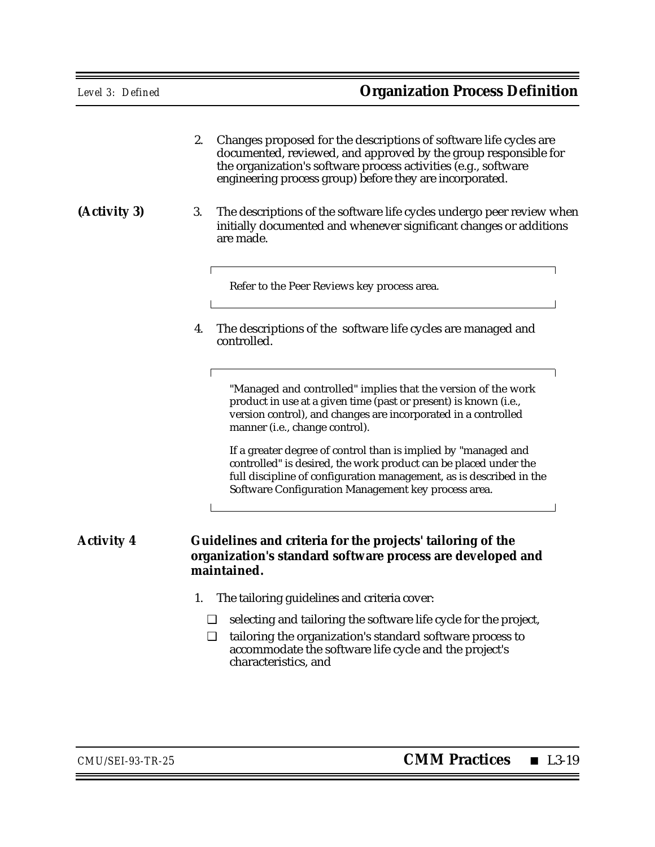|                   | 2.<br>Changes proposed for the descriptions of software life cycles are<br>documented, reviewed, and approved by the group responsible for<br>the organization's software process activities (e.g., software<br>engineering process group) before they are incorporated. |  |  |
|-------------------|--------------------------------------------------------------------------------------------------------------------------------------------------------------------------------------------------------------------------------------------------------------------------|--|--|
| (Activity 3)      | 3.<br>The descriptions of the software life cycles undergo peer review when<br>initially documented and whenever significant changes or additions<br>are made.                                                                                                           |  |  |
|                   | Refer to the Peer Reviews key process area.                                                                                                                                                                                                                              |  |  |
|                   | The descriptions of the software life cycles are managed and<br>4.<br>controlled.                                                                                                                                                                                        |  |  |
|                   | "Managed and controlled" implies that the version of the work<br>product in use at a given time (past or present) is known (i.e.,<br>version control), and changes are incorporated in a controlled<br>manner ( <i>i.e.</i> , change control).                           |  |  |
|                   | If a greater degree of control than is implied by "managed and<br>controlled" is desired, the work product can be placed under the<br>full discipline of configuration management, as is described in the<br>Software Configuration Management key process area.         |  |  |
| <b>Activity 4</b> | Guidelines and criteria for the projects' tailoring of the<br>organization's standard software process are developed and<br>maintained.                                                                                                                                  |  |  |
|                   | The tailoring guidelines and criteria cover:<br>1.                                                                                                                                                                                                                       |  |  |
|                   | selecting and tailoring the software life cycle for the project,<br>⊔<br>tailoring the organization's standard software process to<br>⊔                                                                                                                                  |  |  |
|                   | accommodate the software life cycle and the project's<br>characteristics, and                                                                                                                                                                                            |  |  |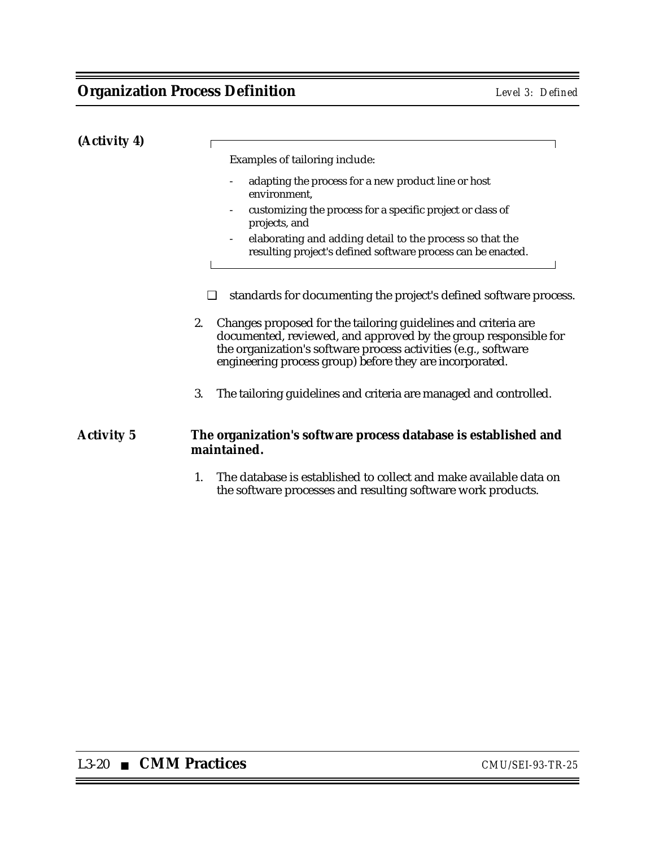| (Activity 4)      | Examples of tailoring include:                                                                                                                                                                                                                                                                                                                  |  |  |
|-------------------|-------------------------------------------------------------------------------------------------------------------------------------------------------------------------------------------------------------------------------------------------------------------------------------------------------------------------------------------------|--|--|
|                   | adapting the process for a new product line or host<br>environment.                                                                                                                                                                                                                                                                             |  |  |
|                   | customizing the process for a specific project or class of<br>projects, and                                                                                                                                                                                                                                                                     |  |  |
|                   | elaborating and adding detail to the process so that the<br>resulting project's defined software process can be enacted.                                                                                                                                                                                                                        |  |  |
|                   | standards for documenting the project's defined software process.<br>❏<br>2.<br>Changes proposed for the tailoring guidelines and criteria are<br>documented, reviewed, and approved by the group responsible for<br>the organization's software process activities (e.g., software<br>engineering process group) before they are incorporated. |  |  |
|                   | 3.<br>The tailoring guidelines and criteria are managed and controlled.                                                                                                                                                                                                                                                                         |  |  |
| <b>Activity 5</b> | The organization's software process database is established and<br>maintained.                                                                                                                                                                                                                                                                  |  |  |
|                   | The database is established to collect and make available data on<br>1.                                                                                                                                                                                                                                                                         |  |  |

the software processes and resulting software work products.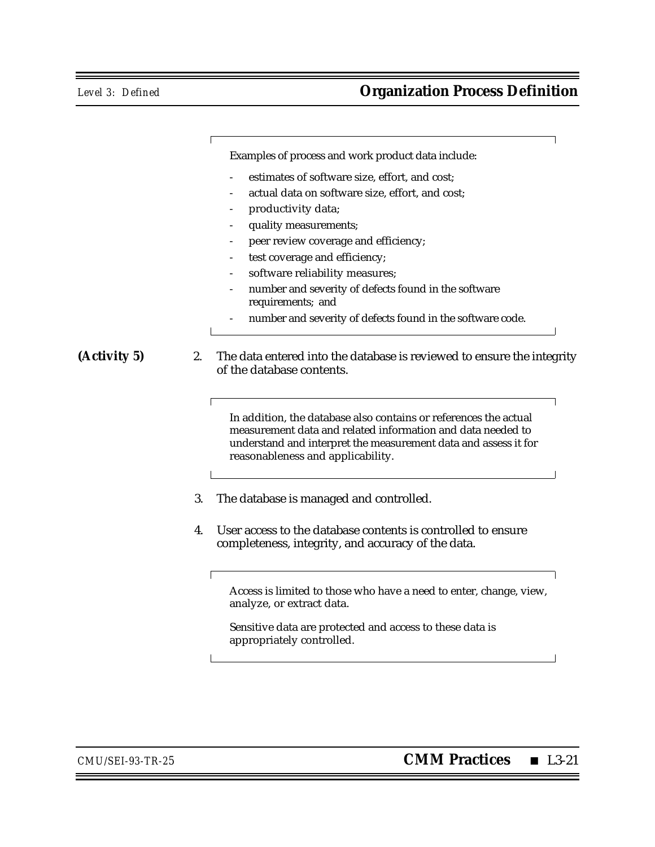$\sqrt{ }$ Examples of process and work product data include: estimates of software size, effort, and cost; actual data on software size, effort, and cost; productivity data; quality measurements; peer review coverage and efficiency; test coverage and efficiency; software reliability measures; number and severity of defects found in the software requirements; and number and severity of defects found in the software code. **(Activity 5)** 2. The data entered into the database is reviewed to ensure the integrity of the database contents.  $\sqrt{ }$ In addition, the database also contains or references the actual measurement data and related information and data needed to understand and interpret the measurement data and assess it for reasonableness and applicability. 3. The database is managed and controlled. 4. User access to the database contents is controlled to ensure completeness, integrity, and accuracy of the data. Access is limited to those who have a need to enter, change, view, analyze, or extract data. Sensitive data are protected and access to these data is appropriately controlled.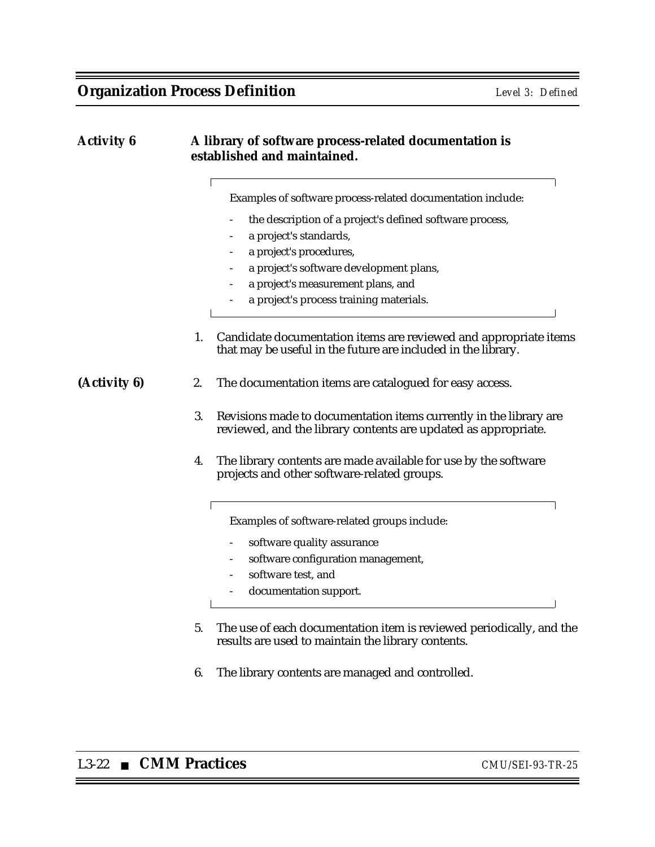|              | Examples of software process-related documentation include:                                                                                |
|--------------|--------------------------------------------------------------------------------------------------------------------------------------------|
|              | the description of a project's defined software process,                                                                                   |
|              | a project's standards,                                                                                                                     |
|              | a project's procedures,                                                                                                                    |
|              | a project's software development plans,                                                                                                    |
|              | a project's measurement plans, and                                                                                                         |
|              | a project's process training materials.                                                                                                    |
|              | 1.<br>Candidate documentation items are reviewed and appropriate items<br>that may be useful in the future are included in the library.    |
| (Activity 6) | 2.<br>The documentation items are catalogued for easy access.                                                                              |
|              | 3.<br>Revisions made to documentation items currently in the library are<br>reviewed, and the library contents are updated as appropriate. |
|              | 4.<br>The library contents are made available for use by the software<br>projects and other software-related groups.                       |
|              | Examples of software-related groups include:                                                                                               |
|              | software quality assurance                                                                                                                 |
|              | software configuration management,<br>$\overline{\phantom{a}}$                                                                             |
|              | software test, and                                                                                                                         |
|              | documentation support.                                                                                                                     |
|              | 5.<br>The use of each documentation item is reviewed periodically, and the                                                                 |

6. The library contents are managed and controlled.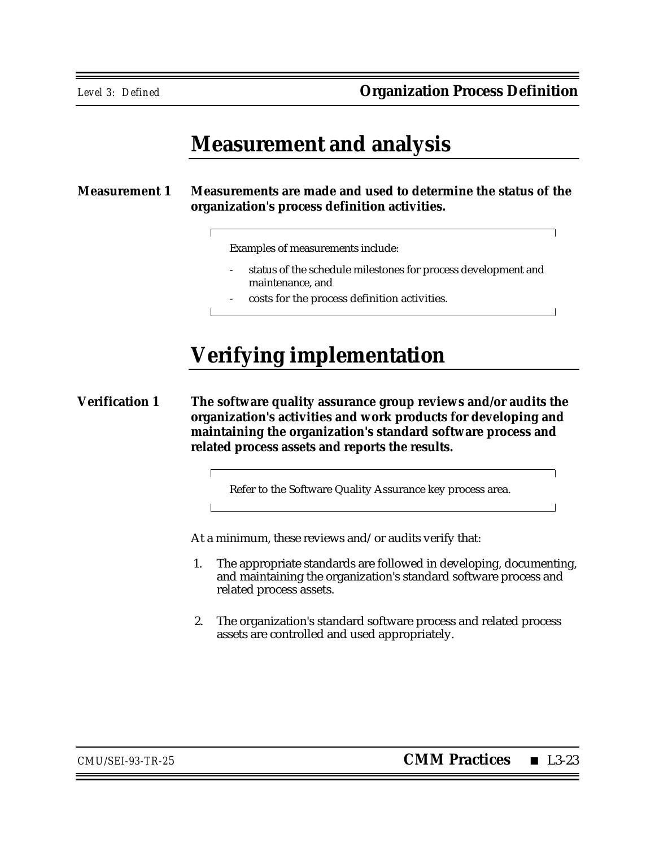### **Measurement and analysis**

**Measurement 1 Measurements are made and used to determine the status of the organization's process definition activities.**

Examples of measurements include:

Г

 $\sqrt{2}$ 

- status of the schedule milestones for process development and maintenance, and
- costs for the process definition activities.

### **Verifying implementation**

**Verification 1 The software quality assurance group reviews and/or audits the organization's activities and work products for developing and maintaining the organization's standard software process and related process assets and reports the results.**

Refer to the Software Quality Assurance key process area.

At a minimum, these reviews and/or audits verify that:

- 1. The appropriate standards are followed in developing, documenting, and maintaining the organization's standard software process and related process assets.
- 2. The organization's standard software process and related process assets are controlled and used appropriately.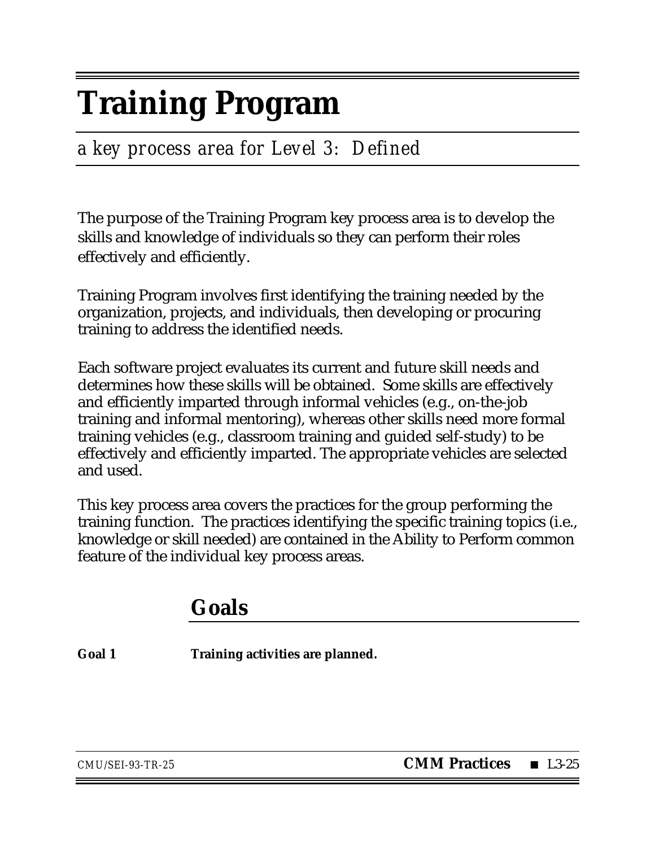# **Training Program**

*a key process area for Level 3: Defined*

The purpose of the Training Program key process area is to develop the skills and knowledge of individuals so they can perform their roles effectively and efficiently.

Training Program involves first identifying the training needed by the organization, projects, and individuals, then developing or procuring training to address the identified needs.

Each software project evaluates its current and future skill needs and determines how these skills will be obtained. Some skills are effectively and efficiently imparted through informal vehicles (e.g., on-the-job training and informal mentoring), whereas other skills need more formal training vehicles (e.g., classroom training and guided self-study) to be effectively and efficiently imparted. The appropriate vehicles are selected and used.

This key process area covers the practices for the group performing the training function. The practices identifying the specific training topics (i.e., knowledge or skill needed) are contained in the Ability to Perform common feature of the individual key process areas.

### **Goals**

**Goal 1 Training activities are planned.**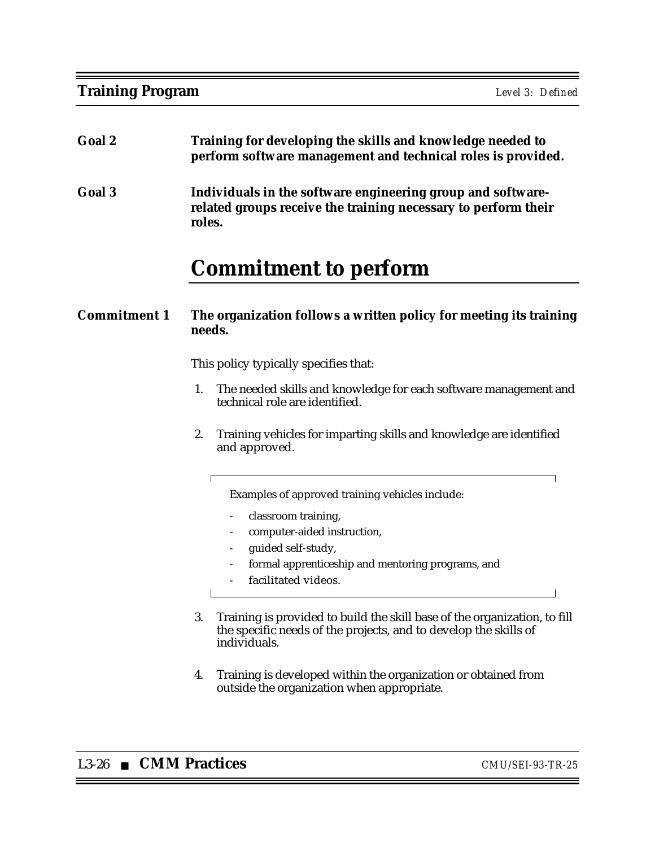| Goal 2              | Training for developing the skills and knowledge needed to<br>perform software management and technical roles is provided.                                          |  |  |
|---------------------|---------------------------------------------------------------------------------------------------------------------------------------------------------------------|--|--|
| Goal 3              | Individuals in the software engineering group and software-<br>related groups receive the training necessary to perform their<br>roles.                             |  |  |
|                     | <b>Commitment to perform</b>                                                                                                                                        |  |  |
| <b>Commitment 1</b> | The organization follows a written policy for meeting its training<br>needs.                                                                                        |  |  |
|                     | This policy typically specifies that:                                                                                                                               |  |  |
|                     | The needed skills and knowledge for each software management and<br>1.<br>technical role are identified.                                                            |  |  |
|                     | 2.<br>Training vehicles for imparting skills and knowledge are identified<br>and approved.                                                                          |  |  |
|                     | Examples of approved training vehicles include:                                                                                                                     |  |  |
|                     | classroom training,<br>$\overline{\phantom{0}}$<br>computer-aided instruction,                                                                                      |  |  |
|                     | guided self-study,                                                                                                                                                  |  |  |
|                     | formal apprenticeship and mentoring programs, and                                                                                                                   |  |  |
|                     | facilitated videos.                                                                                                                                                 |  |  |
|                     | 3.<br>Training is provided to build the skill base of the organization, to fill<br>the specific needs of the projects, and to develop the skills of<br>individuals. |  |  |

4. Training is developed within the organization or obtained from outside the organization when appropriate.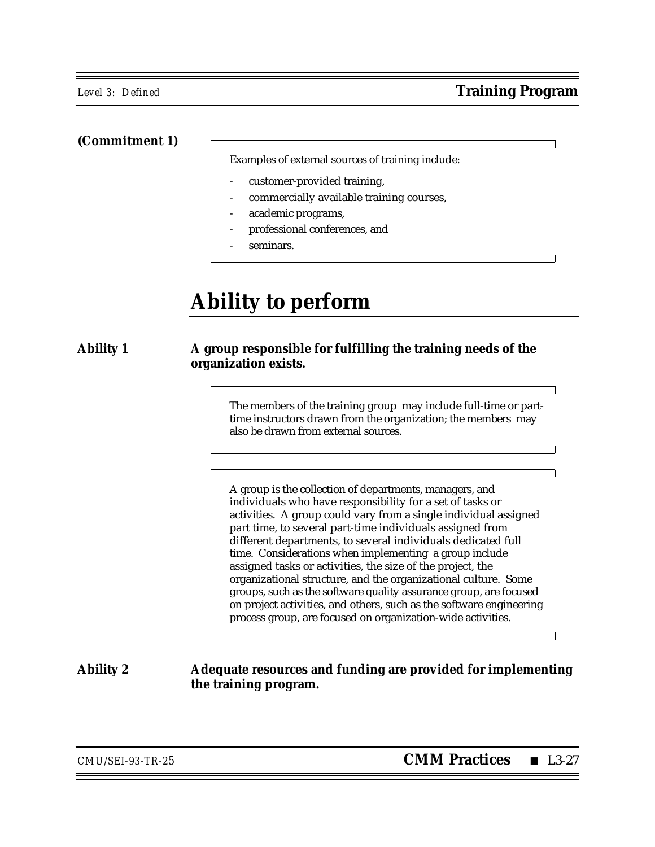٦

#### **(Commitment 1)**

Examples of external sources of training include:

- customer-provided training,
- commercially available training courses,
- academic programs,
- professional conferences, and
- seminars.

 $\sqrt{2}$ 

 $\sqrt{2}$ 

### **Ability to perform**

#### **Ability 1 A group responsible for fulfilling the training needs of the organization exists.**

The members of the training group may include full-time or parttime instructors drawn from the organization; the members may also be drawn from external sources.

A group is the collection of departments, managers, and individuals who have responsibility for a set of tasks or activities. A group could vary from a single individual assigned part time, to several part-time individuals assigned from different departments, to several individuals dedicated full time. Considerations when implementing a group include assigned tasks or activities, the size of the project, the organizational structure, and the organizational culture. Some groups, such as the software quality assurance group, are focused on project activities, and others, such as the software engineering process group, are focused on organization-wide activities.

#### **Ability 2 Adequate resources and funding are provided for implementing the training program.**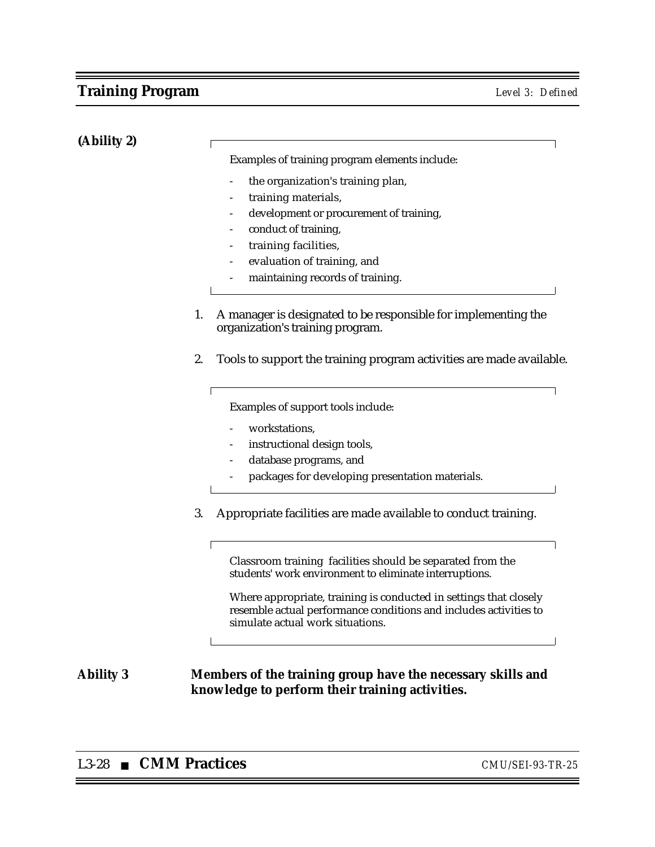#### **Training Program** *Level 3: Defined*

=

|    | Examples of training program elements include:                                                                                                                             |
|----|----------------------------------------------------------------------------------------------------------------------------------------------------------------------------|
|    | the organization's training plan,                                                                                                                                          |
|    | training materials,                                                                                                                                                        |
|    | development or procurement of training,                                                                                                                                    |
|    | conduct of training,                                                                                                                                                       |
|    | training facilities,<br>$\overline{\phantom{a}}$                                                                                                                           |
|    | evaluation of training, and                                                                                                                                                |
|    | maintaining records of training.                                                                                                                                           |
| 1. | A manager is designated to be responsible for implementing the<br>organization's training program.                                                                         |
| 2. | Tools to support the training program activities are made available.                                                                                                       |
|    | Examples of support tools include:                                                                                                                                         |
|    | workstations,                                                                                                                                                              |
|    | instructional design tools,                                                                                                                                                |
|    | database programs, and                                                                                                                                                     |
|    | packages for developing presentation materials.                                                                                                                            |
| 3. | Appropriate facilities are made available to conduct training.                                                                                                             |
|    | Classroom training facilities should be separated from the<br>students' work environment to eliminate interruptions.                                                       |
|    | Where appropriate, training is conducted in settings that closely<br>resemble actual performance conditions and includes activities to<br>simulate actual work situations. |
|    |                                                                                                                                                                            |

 $=$ 

Ξ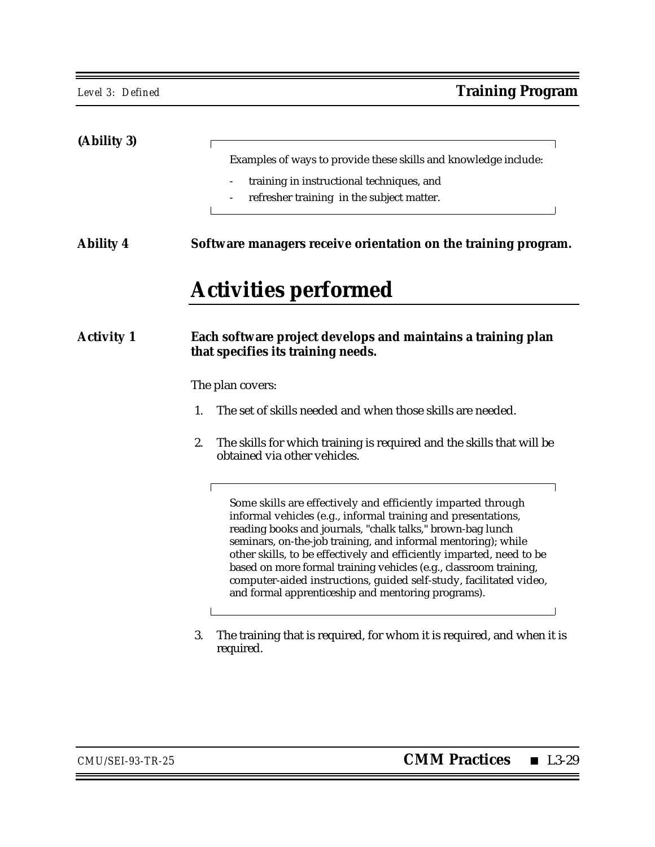$\equiv$ 

| (Ability 3)       | Examples of ways to provide these skills and knowledge include:<br>training in instructional techniques, and<br>refresher training in the subject matter.                                                                                                                                                                                                                                                                                                                                                                             |  |
|-------------------|---------------------------------------------------------------------------------------------------------------------------------------------------------------------------------------------------------------------------------------------------------------------------------------------------------------------------------------------------------------------------------------------------------------------------------------------------------------------------------------------------------------------------------------|--|
| <b>Ability 4</b>  | Software managers receive orientation on the training program.                                                                                                                                                                                                                                                                                                                                                                                                                                                                        |  |
|                   | <b>Activities performed</b>                                                                                                                                                                                                                                                                                                                                                                                                                                                                                                           |  |
| <b>Activity 1</b> | Each software project develops and maintains a training plan<br>that specifies its training needs.                                                                                                                                                                                                                                                                                                                                                                                                                                    |  |
|                   | The plan covers:                                                                                                                                                                                                                                                                                                                                                                                                                                                                                                                      |  |
|                   | The set of skills needed and when those skills are needed.<br>1.                                                                                                                                                                                                                                                                                                                                                                                                                                                                      |  |
|                   | 2.<br>The skills for which training is required and the skills that will be<br>obtained via other vehicles.                                                                                                                                                                                                                                                                                                                                                                                                                           |  |
|                   | Some skills are effectively and efficiently imparted through<br>informal vehicles (e.g., informal training and presentations,<br>reading books and journals, "chalk talks," brown-bag lunch<br>seminars, on-the-job training, and informal mentoring); while<br>other skills, to be effectively and efficiently imparted, need to be<br>based on more formal training vehicles (e.g., classroom training,<br>computer-aided instructions, guided self-study, facilitated video,<br>and formal apprenticeship and mentoring programs). |  |
|                   | The training that is required, for whom it is required, and when it is<br>3.<br>required.                                                                                                                                                                                                                                                                                                                                                                                                                                             |  |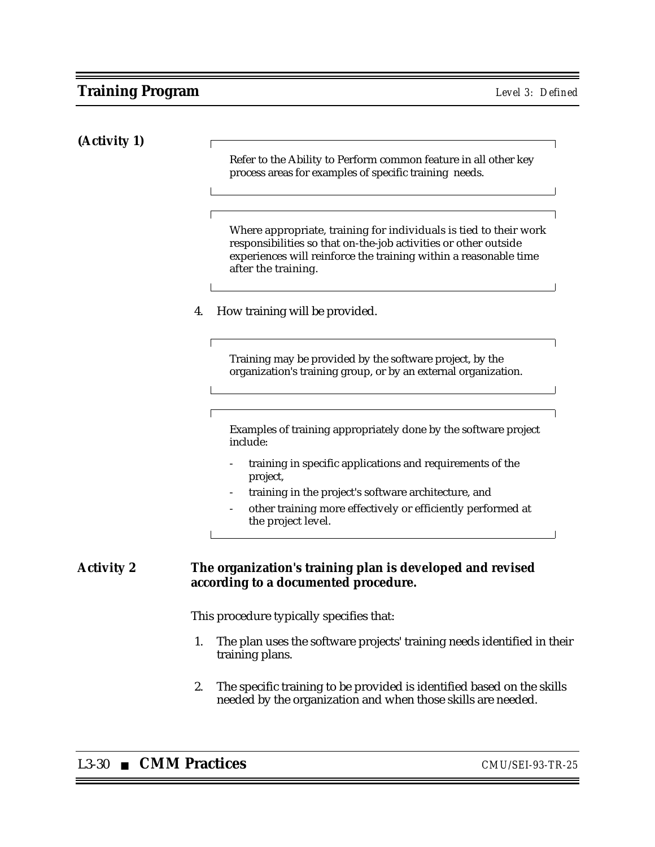#### **Training Program** *Level 3: Defined*

=

| (Activity 1)      |                                                                                                                                                                                                                                 |
|-------------------|---------------------------------------------------------------------------------------------------------------------------------------------------------------------------------------------------------------------------------|
|                   | Refer to the Ability to Perform common feature in all other key<br>process areas for examples of specific training needs.                                                                                                       |
|                   | Where appropriate, training for individuals is tied to their work<br>responsibilities so that on-the-job activities or other outside<br>experiences will reinforce the training within a reasonable time<br>after the training. |
|                   | How training will be provided.<br>4.                                                                                                                                                                                            |
|                   | Training may be provided by the software project, by the<br>organization's training group, or by an external organization.                                                                                                      |
|                   | Examples of training appropriately done by the software project<br>include:                                                                                                                                                     |
|                   | training in specific applications and requirements of the<br>project,                                                                                                                                                           |
|                   | training in the project's software architecture, and<br>other training more effectively or efficiently performed at<br>the project level.                                                                                       |
| <b>Activity 2</b> | The organization's training plan is developed and revised<br>according to a documented procedure.                                                                                                                               |
|                   | This procedure typically specifies that:                                                                                                                                                                                        |
|                   | The plan uses the software projects' training needs identified in their<br>1.<br>training plans.                                                                                                                                |
|                   | 2.<br>The specific training to be provided is identified based on the skills<br>needed by the organization and when those skills are needed.                                                                                    |

 $\qquad \qquad =\qquad$ 

Ξ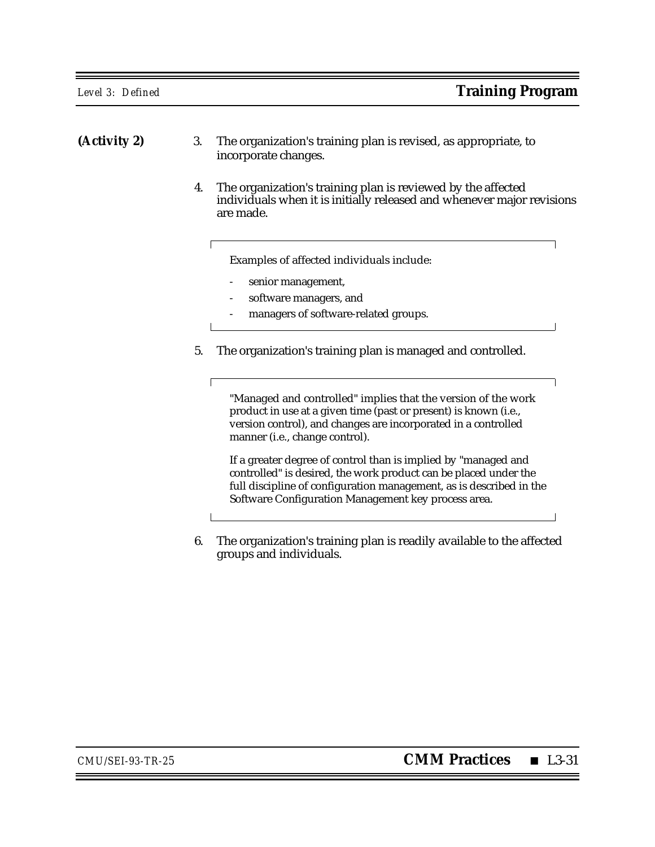Ξ

| (Activity 2) | 3. | The organization's training plan is revised, as appropriate, to<br>incorporate changes.                                                                                                                                                                          |
|--------------|----|------------------------------------------------------------------------------------------------------------------------------------------------------------------------------------------------------------------------------------------------------------------|
|              | 4. | The organization's training plan is reviewed by the affected<br>individuals when it is initially released and whenever major revisions<br>are made.                                                                                                              |
|              |    | Examples of affected individuals include:                                                                                                                                                                                                                        |
|              |    | senior management,                                                                                                                                                                                                                                               |
|              |    | software managers, and                                                                                                                                                                                                                                           |
|              |    | managers of software-related groups.                                                                                                                                                                                                                             |
|              | 5. | The organization's training plan is managed and controlled.                                                                                                                                                                                                      |
|              |    | "Managed and controlled" implies that the version of the work<br>product in use at a given time (past or present) is known (i.e.,<br>version control), and changes are incorporated in a controlled<br>manner (i.e., change control).                            |
|              |    | If a greater degree of control than is implied by "managed and<br>controlled" is desired, the work product can be placed under the<br>full discipline of configuration management, as is described in the<br>Software Configuration Management key process area. |
|              |    | $\cdots$<br>$\cdots$<br>.                                                                                                                                                                                                                                        |

6. The organization's training plan is readily available to the affected groups and individuals.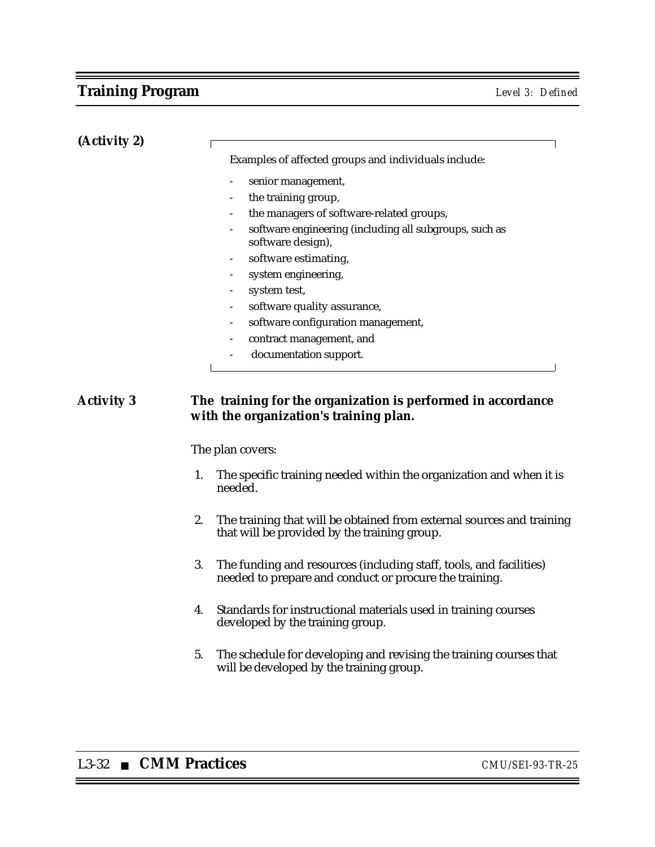#### **Training Program** *Level 3: Defined*

| Examples of affected groups and individuals include:                        |
|-----------------------------------------------------------------------------|
| senior management,                                                          |
| the training group,                                                         |
| the managers of software-related groups,                                    |
| software engineering (including all subgroups, such as<br>software design), |
| software estimating,                                                        |
| system engineering,                                                         |
| system test,                                                                |
| software quality assurance,                                                 |
| software configuration management,                                          |
| contract management, and                                                    |
| documentation support.                                                      |

#### **Activity 3 The training for the organization is performed in accordance with the organization's training plan.**

The plan covers:

- 1. The specific training needed within the organization and when it is needed.
- 2. The training that will be obtained from external sources and training that will be provided by the training group.
- 3. The funding and resources (including staff, tools, and facilities) needed to prepare and conduct or procure the training.
- 4. Standards for instructional materials used in training courses developed by the training group.
- 5. The schedule for developing and revising the training courses that will be developed by the training group.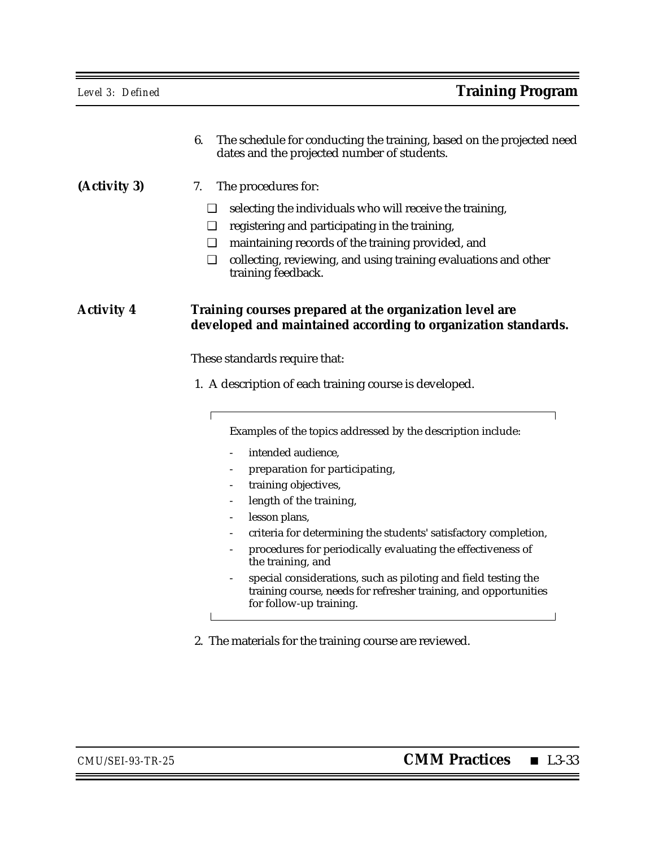$\equiv$ 

|                   | 6.<br>The schedule for conducting the training, based on the projected need<br>dates and the projected number of students.                                    |
|-------------------|---------------------------------------------------------------------------------------------------------------------------------------------------------------|
| (Activity 3)      | The procedures for:<br>7.                                                                                                                                     |
|                   | selecting the individuals who will receive the training,<br>$\Box$                                                                                            |
|                   | registering and participating in the training,<br>$\Box$                                                                                                      |
|                   | maintaining records of the training provided, and<br>⊔                                                                                                        |
|                   | collecting, reviewing, and using training evaluations and other<br>$\Box$<br>training feedback.                                                               |
| <b>Activity 4</b> | Training courses prepared at the organization level are<br>developed and maintained according to organization standards.                                      |
|                   | These standards require that:                                                                                                                                 |
|                   | 1. A description of each training course is developed.                                                                                                        |
|                   |                                                                                                                                                               |
|                   | Examples of the topics addressed by the description include:                                                                                                  |
|                   | intended audience,                                                                                                                                            |
|                   | preparation for participating,<br>$\qquad \qquad \blacksquare$                                                                                                |
|                   | training objectives,                                                                                                                                          |
|                   | length of the training,                                                                                                                                       |
|                   | lesson plans,<br>$\overline{\phantom{a}}$                                                                                                                     |
|                   | criteria for determining the students' satisfactory completion,                                                                                               |
|                   | procedures for periodically evaluating the effectiveness of<br>the training, and                                                                              |
|                   | special considerations, such as piloting and field testing the<br>training course, needs for refresher training, and opportunities<br>for follow-up training. |

2. The materials for the training course are reviewed.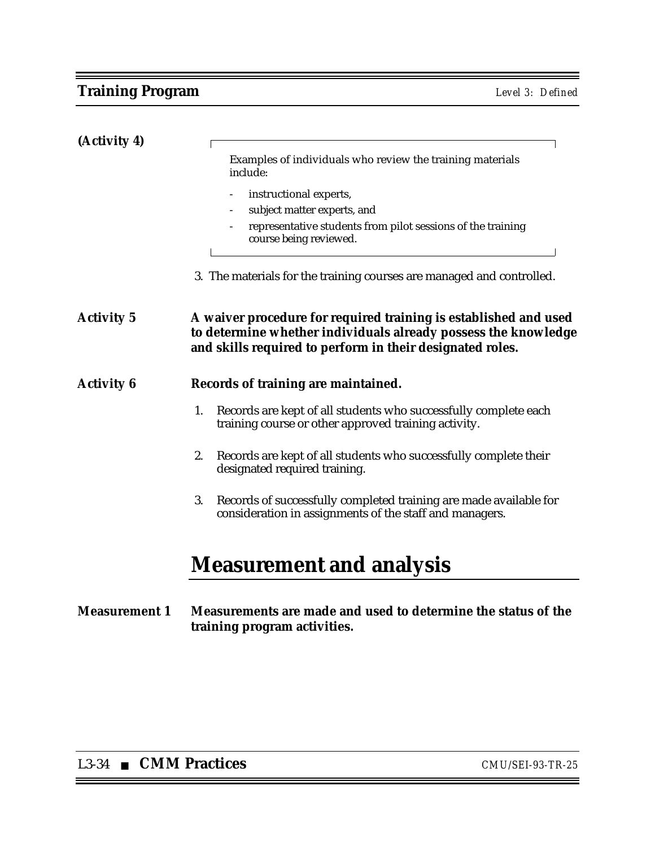#### **Training Program** *Level 3: Defined*

| (Activity 4)      | Examples of individuals who review the training materials                                                                                                                                       |
|-------------------|-------------------------------------------------------------------------------------------------------------------------------------------------------------------------------------------------|
|                   | include:                                                                                                                                                                                        |
|                   | instructional experts,                                                                                                                                                                          |
|                   | subject matter experts, and                                                                                                                                                                     |
|                   | representative students from pilot sessions of the training<br>course being reviewed.                                                                                                           |
|                   | 3. The materials for the training courses are managed and controlled.                                                                                                                           |
| <b>Activity 5</b> | A waiver procedure for required training is established and used<br>to determine whether individuals already possess the knowledge<br>and skills required to perform in their designated roles. |
| <b>Activity 6</b> | Records of training are maintained.                                                                                                                                                             |
|                   | 1.<br>Records are kept of all students who successfully complete each<br>training course or other approved training activity.                                                                   |
|                   | 2.<br>Records are kept of all students who successfully complete their<br>designated required training.                                                                                         |
|                   | 3.<br>Records of successfully completed training are made available for<br>consideration in assignments of the staff and managers.                                                              |
|                   |                                                                                                                                                                                                 |

#### **Measurement 1 Measurements are made and used to determine the status of the training program activities.**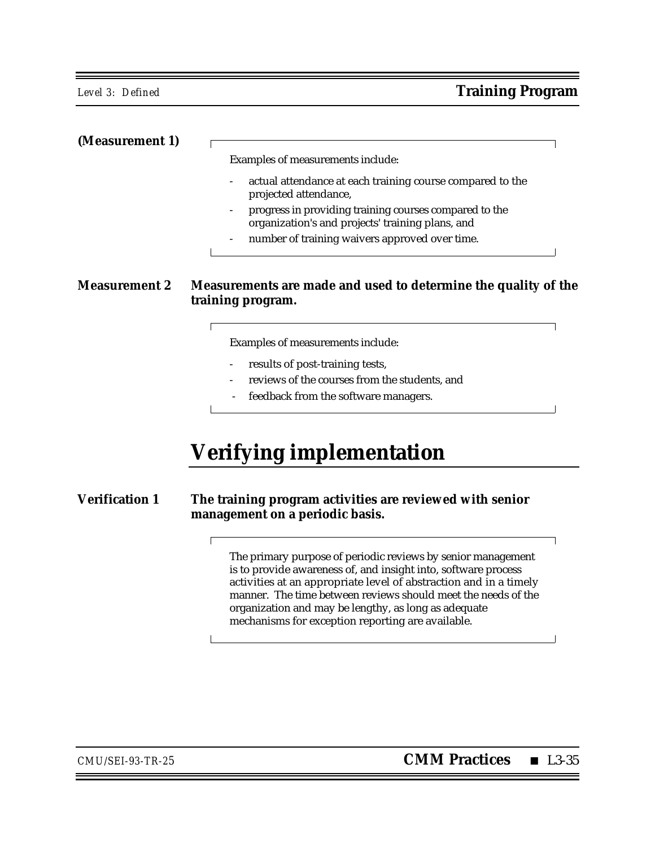٦

#### **(Measurement 1)**

Examples of measurements include:

- actual attendance at each training course compared to the projected attendance,
- progress in providing training courses compared to the organization's and projects' training plans, and
- number of training waivers approved over time.

#### **Measurement 2 Measurements are made and used to determine the quality of the training program.**

Examples of measurements include:

results of post-training tests,

 $\sqrt{2}$ 

 $\sqrt{2}$ 

- reviews of the courses from the students, and
- feedback from the software managers.

## **Verifying implementation**

#### **Verification 1 The training program activities are reviewed with senior management on a periodic basis.**

The primary purpose of periodic reviews by senior management is to provide awareness of, and insight into, software process activities at an appropriate level of abstraction and in a timely manner. The time between reviews should meet the needs of the organization and may be lengthy, as long as adequate mechanisms for exception reporting are available.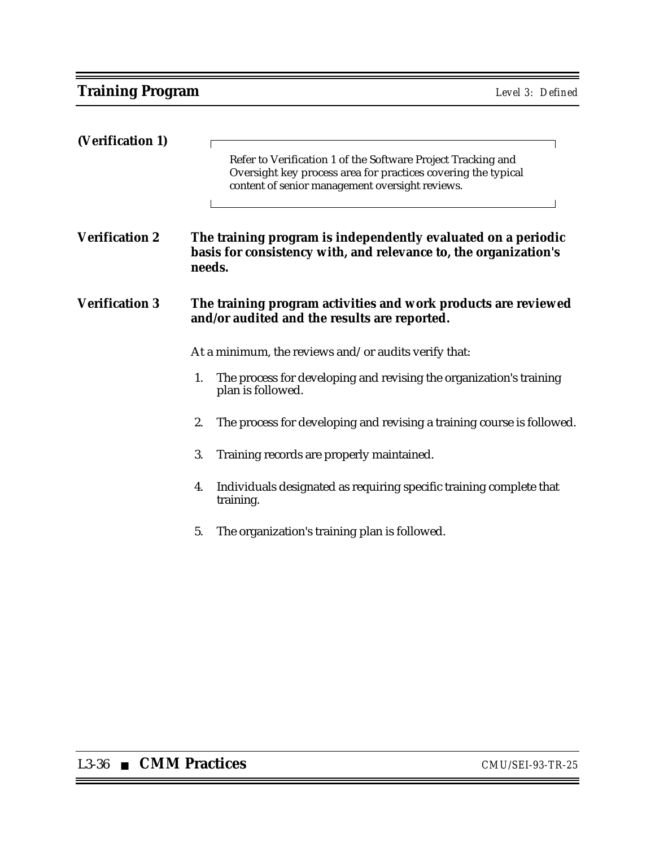#### **Training Program** *Level 3: Defined*

=

| (Verification 1)      | Refer to Verification 1 of the Software Project Tracking and<br>Oversight key process area for practices covering the typical<br>content of senior management oversight reviews. |  |  |
|-----------------------|----------------------------------------------------------------------------------------------------------------------------------------------------------------------------------|--|--|
| <b>Verification 2</b> | The training program is independently evaluated on a periodic<br>basis for consistency with, and relevance to, the organization's<br>needs.                                      |  |  |
| <b>Verification 3</b> | The training program activities and work products are reviewed<br>and/or audited and the results are reported.                                                                   |  |  |
|                       | At a minimum, the reviews and/or audits verify that:                                                                                                                             |  |  |
|                       | The process for developing and revising the organization's training<br>1.<br>plan is followed.                                                                                   |  |  |
|                       | 2.<br>The process for developing and revising a training course is followed.                                                                                                     |  |  |
|                       | 3.<br>Training records are properly maintained.                                                                                                                                  |  |  |
|                       | 4.<br>Individuals designated as requiring specific training complete that<br>training.                                                                                           |  |  |
|                       | 5.<br>The organization's training plan is followed.                                                                                                                              |  |  |

 $\qquad \qquad =\qquad$ 

Ξ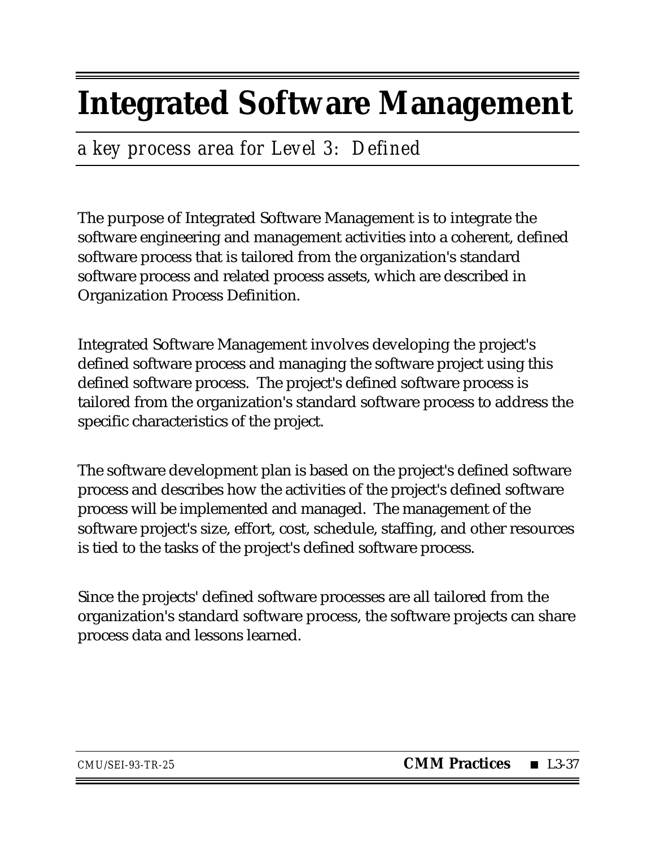# **Integrated Software Management**

*a key process area for Level 3: Defined*

The purpose of Integrated Software Management is to integrate the software engineering and management activities into a coherent, defined software process that is tailored from the organization's standard software process and related process assets, which are described in Organization Process Definition.

Integrated Software Management involves developing the project's defined software process and managing the software project using this defined software process. The project's defined software process is tailored from the organization's standard software process to address the specific characteristics of the project.

The software development plan is based on the project's defined software process and describes how the activities of the project's defined software process will be implemented and managed. The management of the software project's size, effort, cost, schedule, staffing, and other resources is tied to the tasks of the project's defined software process.

Since the projects' defined software processes are all tailored from the organization's standard software process, the software projects can share process data and lessons learned.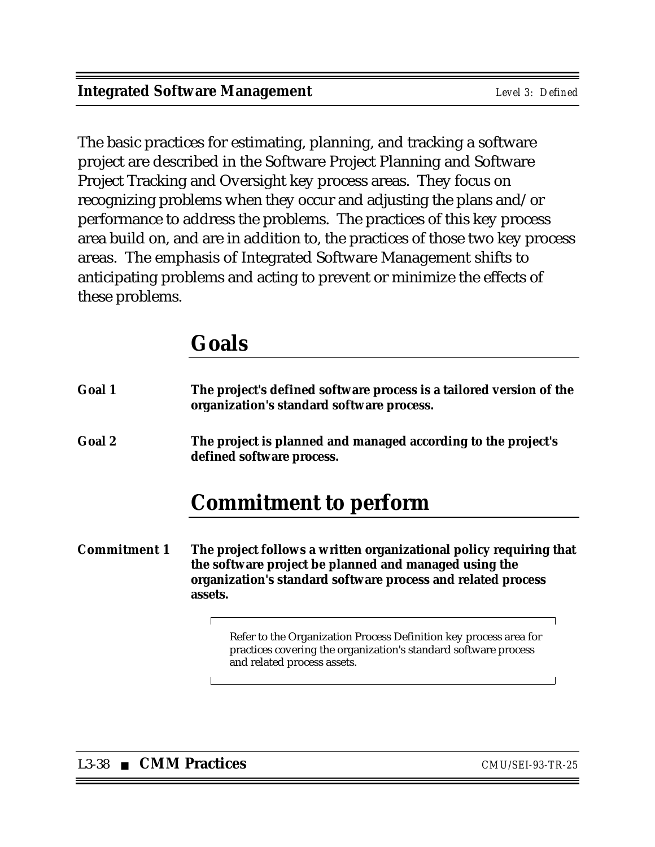The basic practices for estimating, planning, and tracking a software project are described in the Software Project Planning and Software Project Tracking and Oversight key process areas. They focus on recognizing problems when they occur and adjusting the plans and/or performance to address the problems. The practices of this key process area build on, and are in addition to, the practices of those two key process areas. The emphasis of Integrated Software Management shifts to anticipating problems and acting to prevent or minimize the effects of these problems.

## **Goals**

| Goal 1              | The project's defined software process is a tailored version of the<br>organization's standard software process.                                                                                       |
|---------------------|--------------------------------------------------------------------------------------------------------------------------------------------------------------------------------------------------------|
| Goal 2              | The project is planned and managed according to the project's<br>defined software process.                                                                                                             |
|                     | <b>Commitment to perform</b>                                                                                                                                                                           |
| <b>Commitment 1</b> | The project follows a written organizational policy requiring that<br>the software project be planned and managed using the<br>organization's standard software process and related process<br>assets. |
|                     | Refer to the Organization Process Definition key process area for<br>practices covering the organization's standard software process<br>and related process assets.                                    |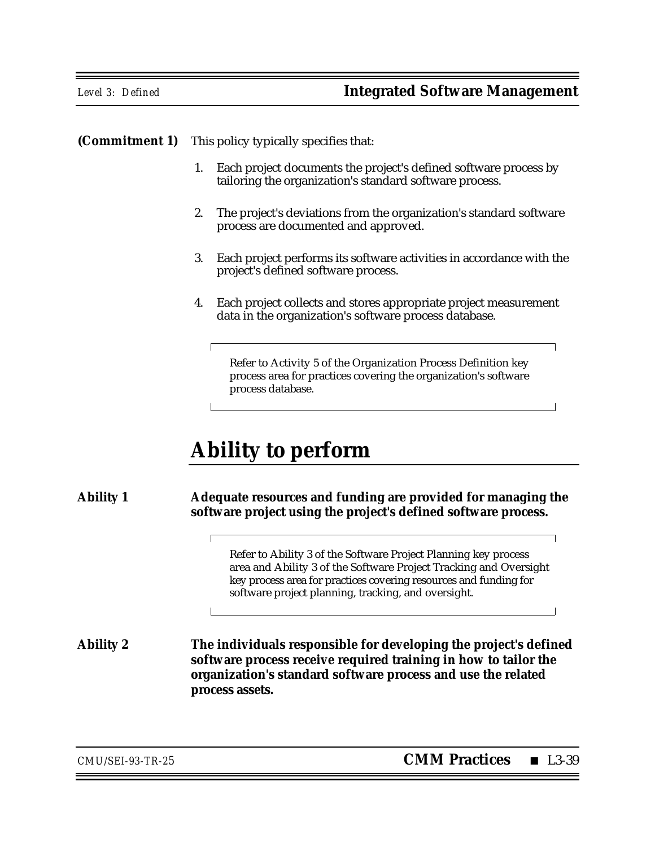**(Commitment 1)** This policy typically specifies that: 1. Each project documents the project's defined software process by tailoring the organization's standard software process. 2. The project's deviations from the organization's standard software process are documented and approved. 3. Each project performs its software activities in accordance with the project's defined software process. 4. Each project collects and stores appropriate project measurement data in the organization's software process database. ٦ Refer to Activity 5 of the Organization Process Definition key process area for practices covering the organization's software process database. **Ability to perform Ability 1 Adequate resources and funding are provided for managing the software project using the project's defined software process.**  $\overline{\phantom{a}}$  $\sqrt{ }$ Refer to Ability 3 of the Software Project Planning key process area and Ability 3 of the Software Project Tracking and Oversight key process area for practices covering resources and funding for software project planning, tracking, and oversight. **Ability 2 The individuals responsible for developing the project's defined software process receive required training in how to tailor the organization's standard software process and use the related process assets.**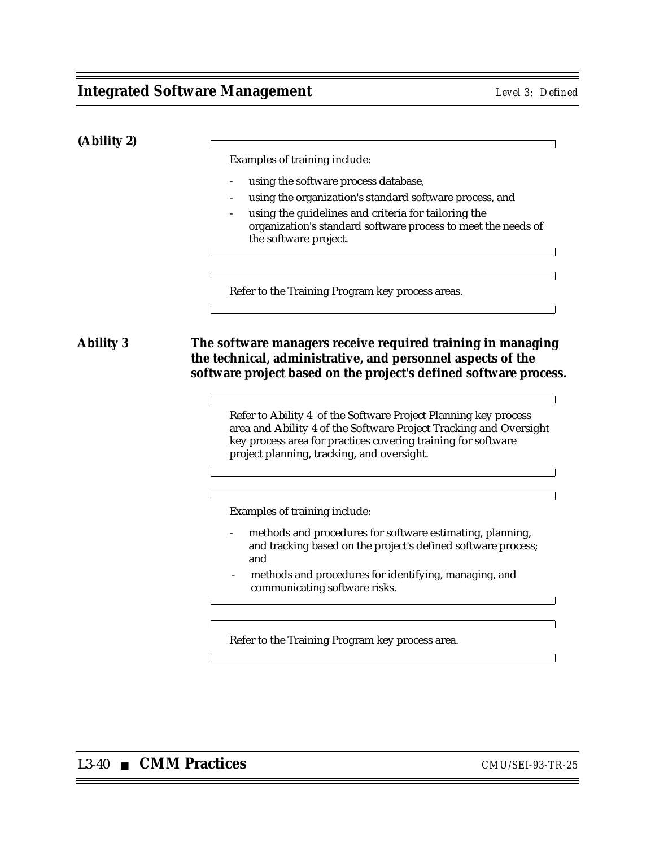| (Ability 2)      |                                                                                                                                                                                                                                                     |
|------------------|-----------------------------------------------------------------------------------------------------------------------------------------------------------------------------------------------------------------------------------------------------|
|                  | Examples of training include:                                                                                                                                                                                                                       |
|                  | using the software process database,                                                                                                                                                                                                                |
|                  | using the organization's standard software process, and                                                                                                                                                                                             |
|                  | using the guidelines and criteria for tailoring the<br>organization's standard software process to meet the needs of<br>the software project.                                                                                                       |
|                  | Refer to the Training Program key process areas.                                                                                                                                                                                                    |
| <b>Ability 3</b> | The software managers receive required training in managing<br>the technical, administrative, and personnel aspects of the<br>software project based on the project's defined software process.                                                     |
|                  | Refer to Ability 4 of the Software Project Planning key process<br>area and Ability 4 of the Software Project Tracking and Oversight<br>key process area for practices covering training for software<br>project planning, tracking, and oversight. |
|                  | Examples of training include:                                                                                                                                                                                                                       |
|                  | methods and procedures for software estimating, planning,<br>and tracking based on the project's defined software process;<br>and                                                                                                                   |
|                  | methods and procedures for identifying, managing, and<br>communicating software risks.                                                                                                                                                              |
|                  | Refer to the Training Program key process area.                                                                                                                                                                                                     |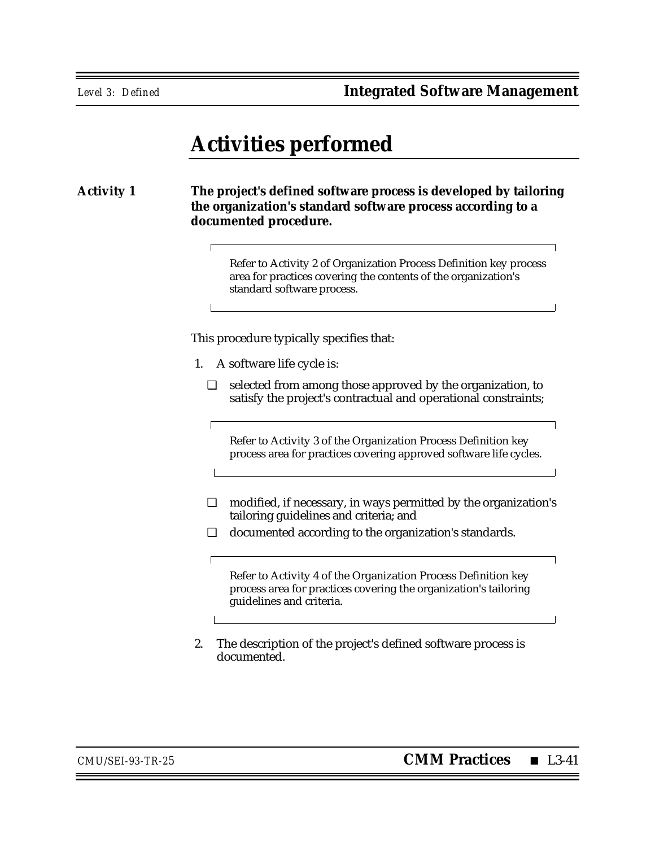## **Activities performed**

#### **Activity 1 The project's defined software process is developed by tailoring the organization's standard software process according to a documented procedure.**  $\sqrt{2}$ Refer to Activity 2 of Organization Process Definition key process area for practices covering the contents of the organization's standard software process. This procedure typically specifies that: 1. A software life cycle is: ❑ selected from among those approved by the organization, to satisfy the project's contractual and operational constraints;  $\sqrt{2}$ ٦ Refer to Activity 3 of the Organization Process Definition key process area for practices covering approved software life cycles. ❑ modified, if necessary, in ways permitted by the organization's tailoring guidelines and criteria; and ❑ documented according to the organization's standards.  $\sqrt{ }$ Refer to Activity 4 of the Organization Process Definition key process area for practices covering the organization's tailoring guidelines and criteria.

2. The description of the project's defined software process is documented.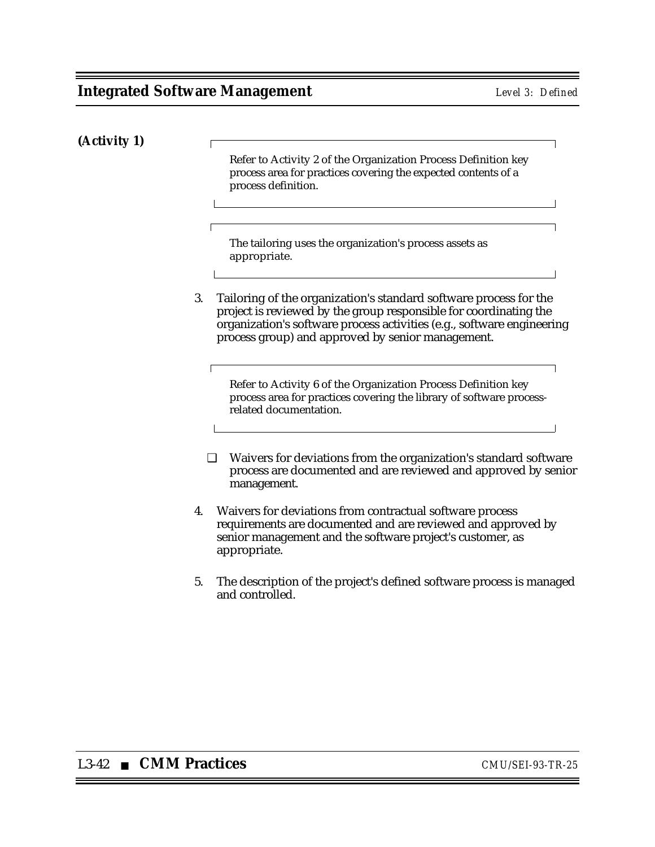| (Activity 1) |                                                                                                                                                                                                                                                                             |
|--------------|-----------------------------------------------------------------------------------------------------------------------------------------------------------------------------------------------------------------------------------------------------------------------------|
|              | Refer to Activity 2 of the Organization Process Definition key<br>process area for practices covering the expected contents of a<br>process definition.                                                                                                                     |
|              | The tailoring uses the organization's process assets as<br>appropriate.                                                                                                                                                                                                     |
|              | 3.<br>Tailoring of the organization's standard software process for the<br>project is reviewed by the group responsible for coordinating the<br>organization's software process activities (e.g., software engineering<br>process group) and approved by senior management. |
|              | Refer to Activity 6 of the Organization Process Definition key<br>process area for practices covering the library of software process-<br>related documentation.                                                                                                            |
|              | Waivers for deviations from the organization's standard software<br>$\Box$<br>process are documented and are reviewed and approved by senior<br>management.                                                                                                                 |
|              | 4.<br>Waivers for deviations from contractual software process<br>requirements are documented and are reviewed and approved by<br>senior management and the software project's customer, as<br>appropriate.                                                                 |
|              | 5.<br>The description of the project's defined software process is managed<br>and controlled.                                                                                                                                                                               |

Ξ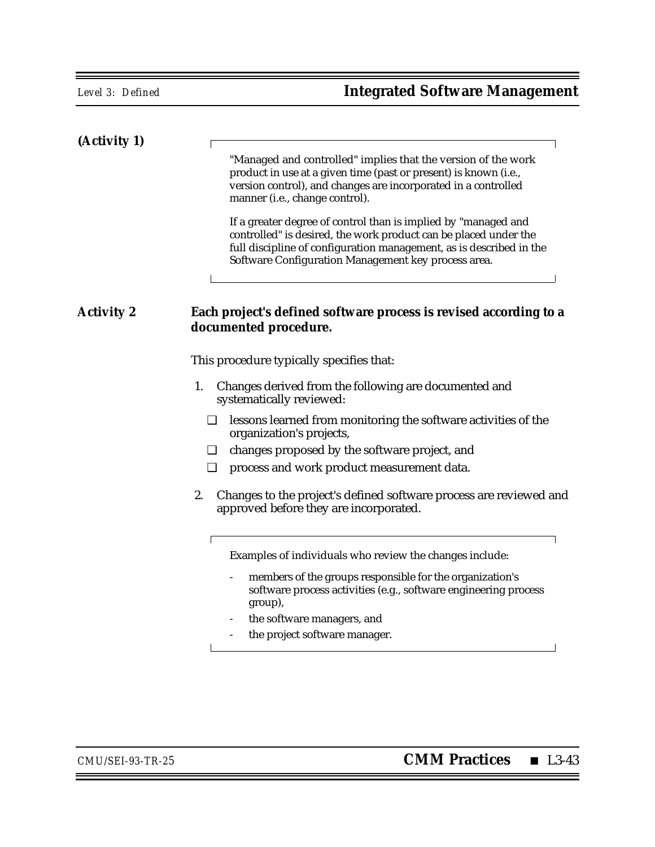| (Activity 1)      |                                                                                                                                                                                                                                                                  |
|-------------------|------------------------------------------------------------------------------------------------------------------------------------------------------------------------------------------------------------------------------------------------------------------|
|                   | "Managed and controlled" implies that the version of the work<br>product in use at a given time (past or present) is known (i.e.,<br>version control), and changes are incorporated in a controlled<br>manner (i.e., change control).                            |
|                   | If a greater degree of control than is implied by "managed and<br>controlled" is desired, the work product can be placed under the<br>full discipline of configuration management, as is described in the<br>Software Configuration Management key process area. |
| <b>Activity 2</b> | Each project's defined software process is revised according to a<br>documented procedure.                                                                                                                                                                       |
|                   | This procedure typically specifies that:                                                                                                                                                                                                                         |
|                   | 1.<br>Changes derived from the following are documented and<br>systematically reviewed:                                                                                                                                                                          |
|                   | lessons learned from monitoring the software activities of the<br>⊔<br>organization's projects,                                                                                                                                                                  |
|                   | changes proposed by the software project, and<br>⊔                                                                                                                                                                                                               |
|                   | process and work product measurement data.<br>⊔                                                                                                                                                                                                                  |
|                   | Changes to the project's defined software process are reviewed and<br>2.<br>approved before they are incorporated.                                                                                                                                               |
|                   | Examples of individuals who review the changes include:                                                                                                                                                                                                          |
|                   | members of the groups responsible for the organization's<br>software process activities (e.g., software engineering process<br>group),                                                                                                                           |
|                   | the software managers, and                                                                                                                                                                                                                                       |
|                   | the project software manager.                                                                                                                                                                                                                                    |
|                   |                                                                                                                                                                                                                                                                  |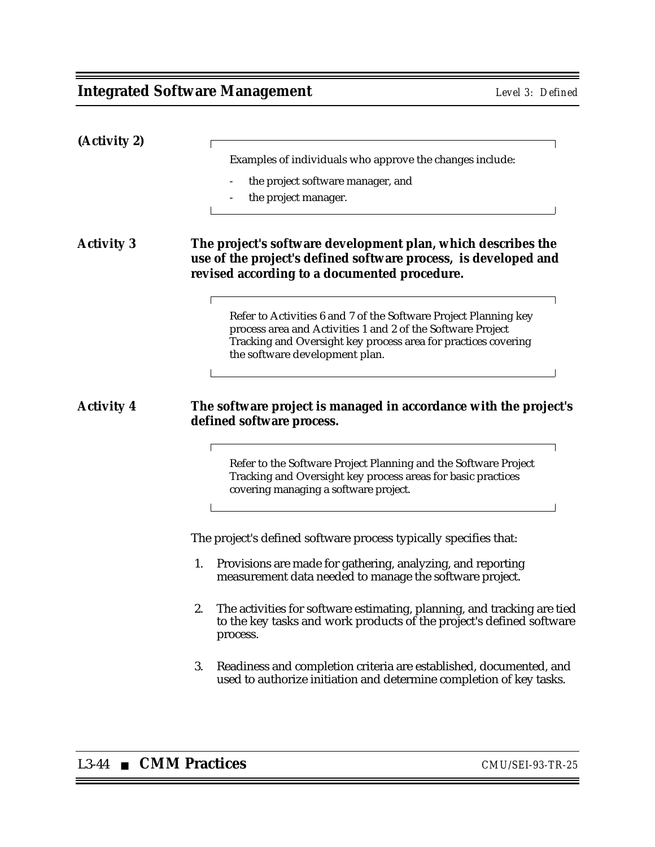| (Activity 2)      |                                                                                                                                                                                                                                     |
|-------------------|-------------------------------------------------------------------------------------------------------------------------------------------------------------------------------------------------------------------------------------|
|                   | Examples of individuals who approve the changes include:                                                                                                                                                                            |
|                   | the project software manager, and                                                                                                                                                                                                   |
|                   | the project manager.                                                                                                                                                                                                                |
| <b>Activity 3</b> | The project's software development plan, which describes the<br>use of the project's defined software process, is developed and<br>revised according to a documented procedure.                                                     |
|                   | Refer to Activities 6 and 7 of the Software Project Planning key<br>process area and Activities 1 and 2 of the Software Project<br>Tracking and Oversight key process area for practices covering<br>the software development plan. |
| <b>Activity 4</b> | The software project is managed in accordance with the project's<br>defined software process.                                                                                                                                       |
|                   | Refer to the Software Project Planning and the Software Project<br>Tracking and Oversight key process areas for basic practices<br>covering managing a software project.                                                            |
|                   | The project's defined software process typically specifies that:                                                                                                                                                                    |
|                   | Provisions are made for gathering, analyzing, and reporting<br>1.<br>measurement data needed to manage the software project.                                                                                                        |
|                   | The activities for software estimating, planning, and tracking are tied<br>2.<br>to the key tasks and work products of the project's defined software<br>process.                                                                   |
|                   | 3.<br>Readiness and completion criteria are established, documented, and<br>used to authorize initiation and determine completion of key tasks.                                                                                     |
|                   |                                                                                                                                                                                                                                     |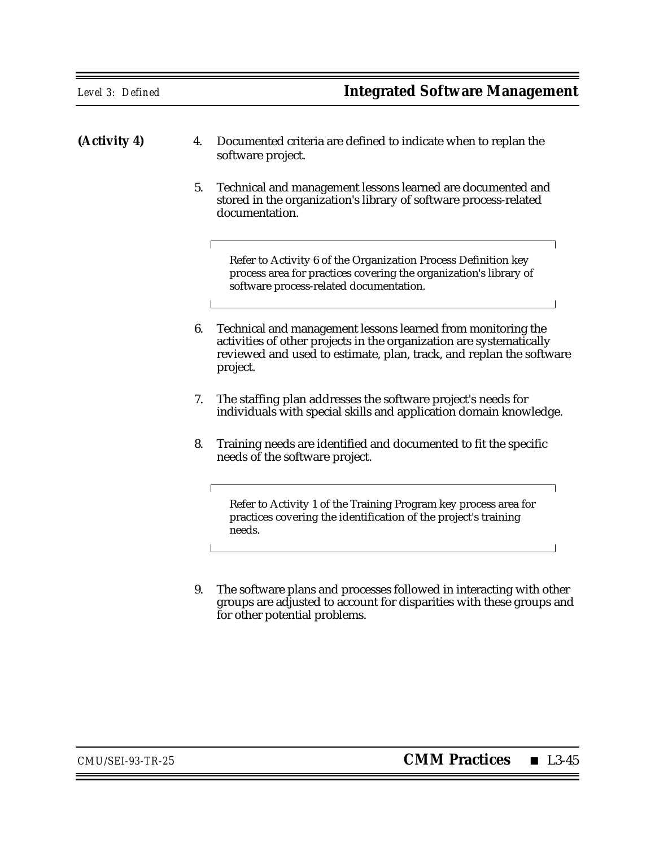#### **(Activity 4)** 4. Documented criteria are defined to indicate when to replan the software project.

5. Technical and management lessons learned are documented and stored in the organization's library of software process-related documentation.

Refer to Activity 6 of the Organization Process Definition key process area for practices covering the organization's library of software process-related documentation.

- 6. Technical and management lessons learned from monitoring the activities of other projects in the organization are systematically reviewed and used to estimate, plan, track, and replan the software project.
- 7. The staffing plan addresses the software project's needs for individuals with special skills and application domain knowledge.
- 8. Training needs are identified and documented to fit the specific needs of the software project.

Refer to Activity 1 of the Training Program key process area for practices covering the identification of the project's training needs.

9. The software plans and processes followed in interacting with other groups are adjusted to account for disparities with these groups and for other potential problems.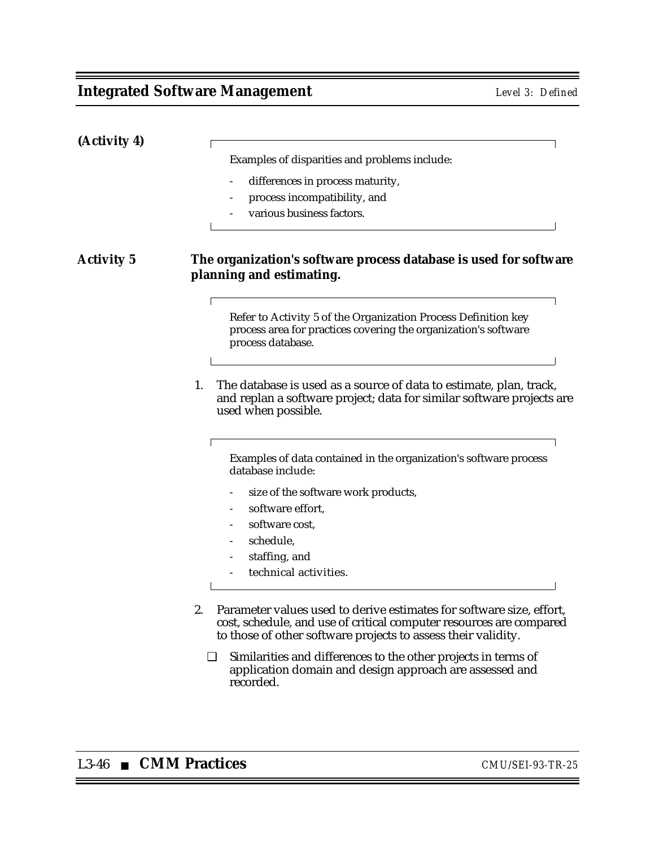| (Activity 4)      |                                                                                                                                                                                                                    |
|-------------------|--------------------------------------------------------------------------------------------------------------------------------------------------------------------------------------------------------------------|
|                   | Examples of disparities and problems include:                                                                                                                                                                      |
|                   | differences in process maturity,                                                                                                                                                                                   |
|                   | process incompatibility, and                                                                                                                                                                                       |
|                   | various business factors.                                                                                                                                                                                          |
| <b>Activity 5</b> | The organization's software process database is used for software<br>planning and estimating.                                                                                                                      |
|                   | Refer to Activity 5 of the Organization Process Definition key<br>process area for practices covering the organization's software<br>process database.                                                             |
|                   | 1.<br>The database is used as a source of data to estimate, plan, track,<br>and replan a software project; data for similar software projects are<br>used when possible.                                           |
|                   | Examples of data contained in the organization's software process<br>database include:                                                                                                                             |
|                   | size of the software work products,                                                                                                                                                                                |
|                   | software effort,                                                                                                                                                                                                   |
|                   | software cost,<br>$\overline{a}$                                                                                                                                                                                   |
|                   | schedule,                                                                                                                                                                                                          |
|                   | staffing, and                                                                                                                                                                                                      |
|                   | technical activities.                                                                                                                                                                                              |
|                   | 2.<br>Parameter values used to derive estimates for software size, effort,<br>cost, schedule, and use of critical computer resources are compared<br>to those of other software projects to assess their validity. |
|                   | Similarities and differences to the other projects in terms of<br>⊔<br>application domain and design approach are assessed and                                                                                     |

recorded.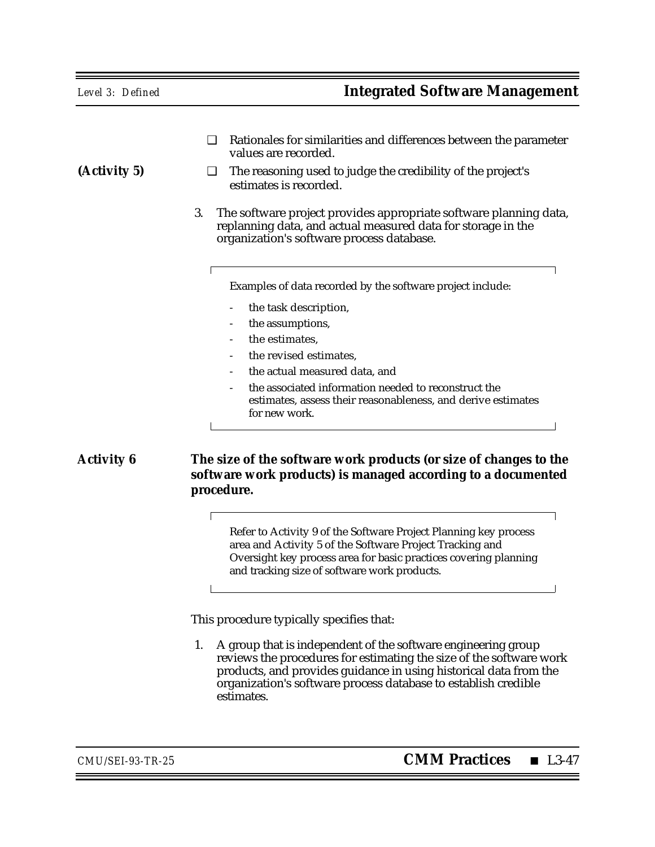| Rationales for similarities and differences between the parameter |
|-------------------------------------------------------------------|
| values are recorded.                                              |

**(Activity 5)** ❑ The reasoning used to judge the credibility of the project's estimates is recorded.

> 3. The software project provides appropriate software planning data, replanning data, and actual measured data for storage in the organization's software process database.

Examples of data recorded by the software project include:

- the task description,
- the assumptions,
- the estimates.

 $\sqrt{ }$ 

- the revised estimates.
- the actual measured data, and
- the associated information needed to reconstruct the estimates, assess their reasonableness, and derive estimates for new work.

**Activity 6 The size of the software work products (or size of changes to the software work products) is managed according to a documented procedure.**

> Refer to Activity 9 of the Software Project Planning key process area and Activity 5 of the Software Project Tracking and Oversight key process area for basic practices covering planning and tracking size of software work products.

This procedure typically specifies that:

1. A group that is independent of the software engineering group reviews the procedures for estimating the size of the software work products, and provides guidance in using historical data from the organization's software process database to establish credible estimates.

٦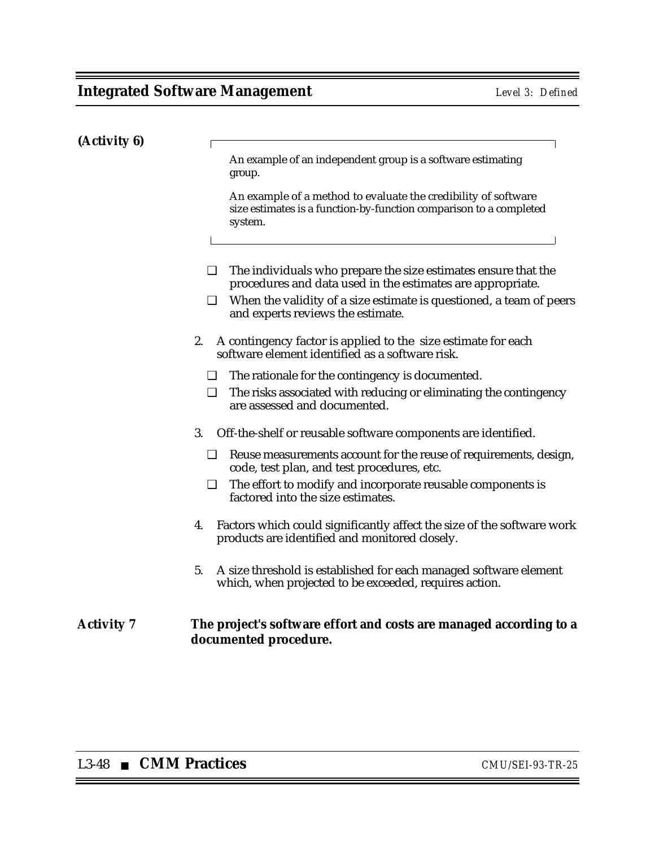| (Activity 6)      |                                                                                                                                                 |
|-------------------|-------------------------------------------------------------------------------------------------------------------------------------------------|
|                   | An example of an independent group is a software estimating<br>group.                                                                           |
|                   | An example of a method to evaluate the credibility of software<br>size estimates is a function-by-function comparison to a completed<br>system. |
|                   |                                                                                                                                                 |
|                   | The individuals who prepare the size estimates ensure that the<br>⊔<br>procedures and data used in the estimates are appropriate.               |
|                   | When the validity of a size estimate is questioned, a team of peers<br>$\Box$<br>and experts reviews the estimate.                              |
|                   | 2.<br>A contingency factor is applied to the size estimate for each<br>software element identified as a software risk.                          |
|                   | The rationale for the contingency is documented.<br>⊔                                                                                           |
|                   | The risks associated with reducing or eliminating the contingency<br>$\Box$<br>are assessed and documented.                                     |
|                   | 3.<br>Off-the-shelf or reusable software components are identified.                                                                             |
|                   | Reuse measurements account for the reuse of requirements, design,<br>⊔<br>code, test plan, and test procedures, etc.                            |
|                   | The effort to modify and incorporate reusable components is<br>❏<br>factored into the size estimates.                                           |
|                   | Factors which could significantly affect the size of the software work<br>4.<br>products are identified and monitored closely.                  |
|                   | 5.<br>A size threshold is established for each managed software element<br>which, when projected to be exceeded, requires action.               |
| <b>Activity 7</b> | The project's software effort and costs are managed according to a<br>documented procedure.                                                     |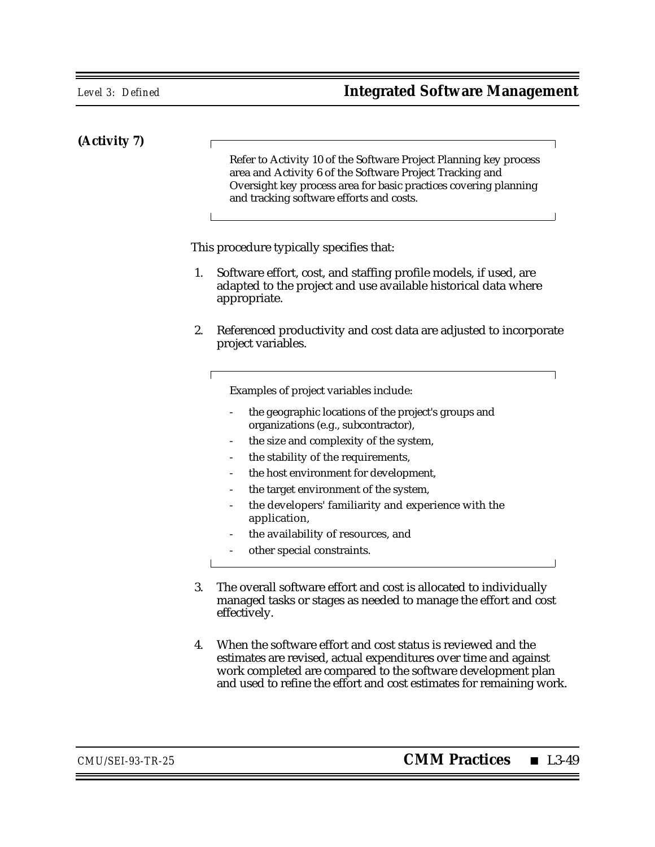| (Activity 7) |    | Refer to Activity 10 of the Software Project Planning key process<br>area and Activity 6 of the Software Project Tracking and<br>Oversight key process area for basic practices covering planning<br>and tracking software efforts and costs. |
|--------------|----|-----------------------------------------------------------------------------------------------------------------------------------------------------------------------------------------------------------------------------------------------|
|              |    | This procedure typically specifies that:                                                                                                                                                                                                      |
|              | 1. | Software effort, cost, and staffing profile models, if used, are<br>adapted to the project and use available historical data where<br>appropriate.                                                                                            |
|              | 2. | Referenced productivity and cost data are adjusted to incorporate<br>project variables.                                                                                                                                                       |
|              |    | Examples of project variables include:                                                                                                                                                                                                        |
|              |    | the geographic locations of the project's groups and<br>organizations (e.g., subcontractor),                                                                                                                                                  |
|              |    | the size and complexity of the system,<br>$\overline{\phantom{a}}$                                                                                                                                                                            |
|              |    | the stability of the requirements,                                                                                                                                                                                                            |
|              |    | the host environment for development,<br>$\overline{\phantom{0}}$                                                                                                                                                                             |
|              |    | the target environment of the system,                                                                                                                                                                                                         |
|              |    | the developers' familiarity and experience with the<br>$\overline{\phantom{a}}$<br>application,                                                                                                                                               |
|              |    | the availability of resources, and                                                                                                                                                                                                            |
|              |    | other special constraints.                                                                                                                                                                                                                    |
|              | 3. | The overall software effort and cost is allocated to individually<br>managed tasks or stages as needed to manage the effort and cost<br>effectively.                                                                                          |

4. When the software effort and cost status is reviewed and the estimates are revised, actual expenditures over time and against work completed are compared to the software development plan and used to refine the effort and cost estimates for remaining work.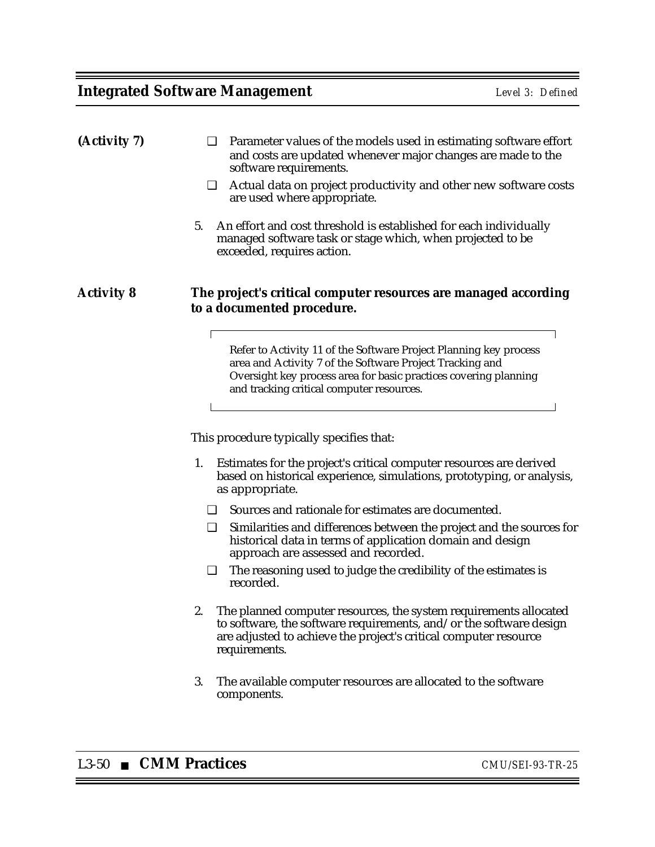| (Activity 7)      | $\Box$<br>Parameter values of the models used in estimating software effort<br>and costs are updated whenever major changes are made to the<br>software requirements.                                                                          |
|-------------------|------------------------------------------------------------------------------------------------------------------------------------------------------------------------------------------------------------------------------------------------|
|                   | Actual data on project productivity and other new software costs<br>$\Box$<br>are used where appropriate.                                                                                                                                      |
|                   | 5.<br>An effort and cost threshold is established for each individually<br>managed software task or stage which, when projected to be<br>exceeded, requires action.                                                                            |
| <b>Activity 8</b> | The project's critical computer resources are managed according<br>to a documented procedure.                                                                                                                                                  |
|                   | Refer to Activity 11 of the Software Project Planning key process<br>area and Activity 7 of the Software Project Tracking and<br>Oversight key process area for basic practices covering planning<br>and tracking critical computer resources. |
|                   |                                                                                                                                                                                                                                                |
|                   | This procedure typically specifies that:                                                                                                                                                                                                       |
|                   | 1.<br>Estimates for the project's critical computer resources are derived<br>based on historical experience, simulations, prototyping, or analysis,<br>as appropriate.                                                                         |
|                   | Sources and rationale for estimates are documented.<br>ப                                                                                                                                                                                       |
|                   | Similarities and differences between the project and the sources for<br>$\Box$<br>historical data in terms of application domain and design<br>approach are assessed and recorded.                                                             |
|                   | The reasoning used to judge the credibility of the estimates is<br>⊔<br>recorded.                                                                                                                                                              |
|                   | The planned computer resources, the system requirements allocated<br>to software, the software requirements, and/or the software design<br>are adjusted to achieve the project's critical computer resource<br>requirements.                   |
|                   | 3.<br>The available computer resources are allocated to the software<br>components.                                                                                                                                                            |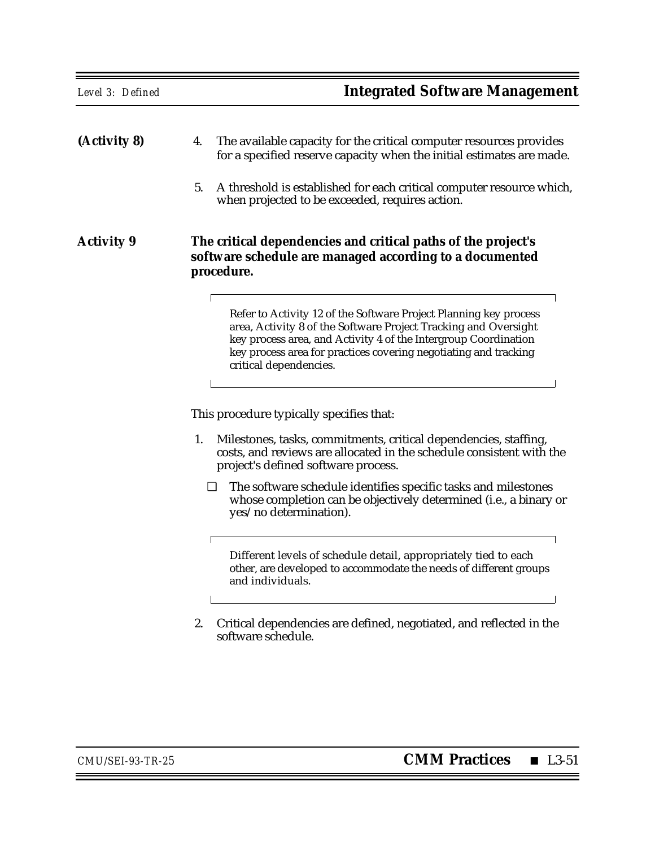| (Activity 8)      | The available capacity for the critical computer resources provides<br>4.<br>for a specified reserve capacity when the initial estimates are made.                                                                                                                                                    |
|-------------------|-------------------------------------------------------------------------------------------------------------------------------------------------------------------------------------------------------------------------------------------------------------------------------------------------------|
|                   | 5.<br>A threshold is established for each critical computer resource which,<br>when projected to be exceeded, requires action.                                                                                                                                                                        |
| <b>Activity 9</b> | The critical dependencies and critical paths of the project's<br>software schedule are managed according to a documented<br>procedure.                                                                                                                                                                |
|                   | Refer to Activity 12 of the Software Project Planning key process<br>area, Activity 8 of the Software Project Tracking and Oversight<br>key process area, and Activity 4 of the Intergroup Coordination<br>key process area for practices covering negotiating and tracking<br>critical dependencies. |
|                   | This procedure typically specifies that:                                                                                                                                                                                                                                                              |
|                   | 1.<br>Milestones, tasks, commitments, critical dependencies, staffing,<br>costs, and reviews are allocated in the schedule consistent with the<br>project's defined software process.                                                                                                                 |
|                   | The software schedule identifies specific tasks and milestones<br>$\Box$<br>whose completion can be objectively determined (i.e., a binary or<br>yes/no determination).                                                                                                                               |
|                   | Different levels of schedule detail, appropriately tied to each<br>other, are developed to accommodate the needs of different groups<br>and individuals.                                                                                                                                              |
|                   | 2.<br>Critical dependencies are defined, negotiated, and reflected in the                                                                                                                                                                                                                             |

software schedule.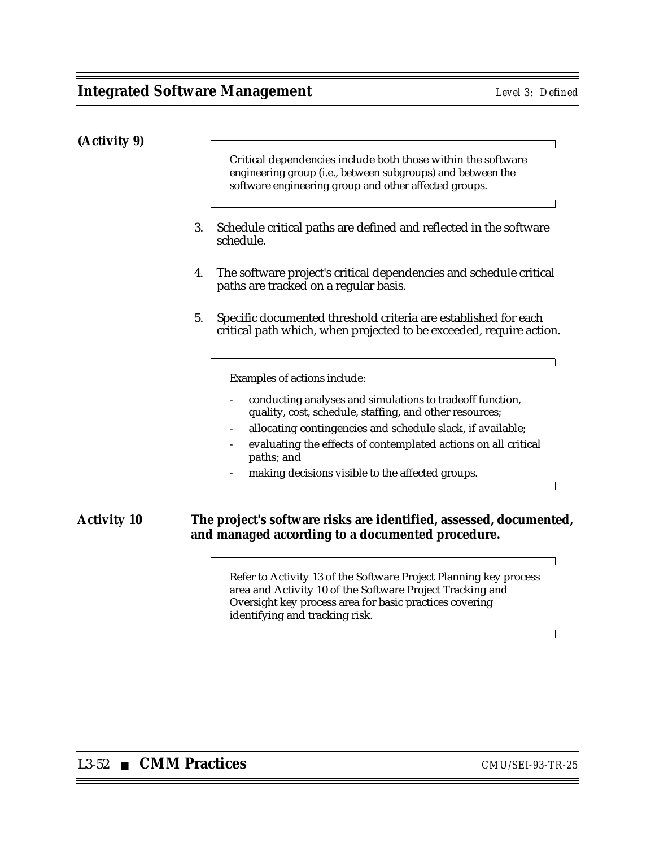| Critical dependencies include both those within the software<br>engineering group (i.e., between subgroups) and between the<br>software engineering group and other affected groups.                                        |
|-----------------------------------------------------------------------------------------------------------------------------------------------------------------------------------------------------------------------------|
| Schedule critical paths are defined and reflected in the software<br>3.<br>schedule.                                                                                                                                        |
| The software project's critical dependencies and schedule critical<br>4.<br>paths are tracked on a regular basis.                                                                                                           |
| 5.<br>Specific documented threshold criteria are established for each<br>critical path which, when projected to be exceeded, require action.                                                                                |
| <b>Examples of actions include:</b>                                                                                                                                                                                         |
| conducting analyses and simulations to tradeoff function,<br>quality, cost, schedule, staffing, and other resources;                                                                                                        |
| allocating contingencies and schedule slack, if available;                                                                                                                                                                  |
| evaluating the effects of contemplated actions on all critical<br>paths; and                                                                                                                                                |
| making decisions visible to the affected groups.                                                                                                                                                                            |
| The project's software risks are identified, assessed, documented,<br>and managed according to a documented procedure.                                                                                                      |
| Refer to Activity 13 of the Software Project Planning key process<br>area and Activity 10 of the Software Project Tracking and<br>Oversight key process area for basic practices covering<br>identifying and tracking risk. |
|                                                                                                                                                                                                                             |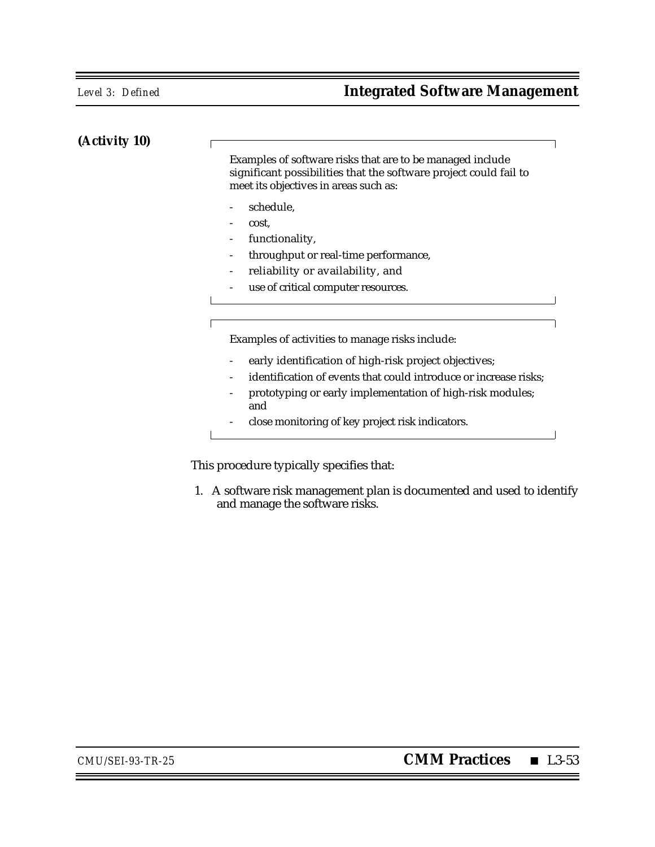| (Activity 10) | Examples of software risks that are to be managed include<br>significant possibilities that the software project could fail to<br>meet its objectives in areas such as: |
|---------------|-------------------------------------------------------------------------------------------------------------------------------------------------------------------------|
|               | schedule,                                                                                                                                                               |
|               | cost.                                                                                                                                                                   |
|               | functionality,                                                                                                                                                          |
|               | throughput or real-time performance,                                                                                                                                    |
|               | reliability or availability, and                                                                                                                                        |
|               | use of critical computer resources.                                                                                                                                     |
|               | Examples of activities to manage risks include:                                                                                                                         |
|               | early identification of high-risk project objectives;                                                                                                                   |
|               | identification of events that could introduce or increase risks;                                                                                                        |
|               | prototyping or early implementation of high-risk modules;<br>and                                                                                                        |
|               | close monitoring of key project risk indicators.                                                                                                                        |

1. A software risk management plan is documented and used to identify and manage the software risks.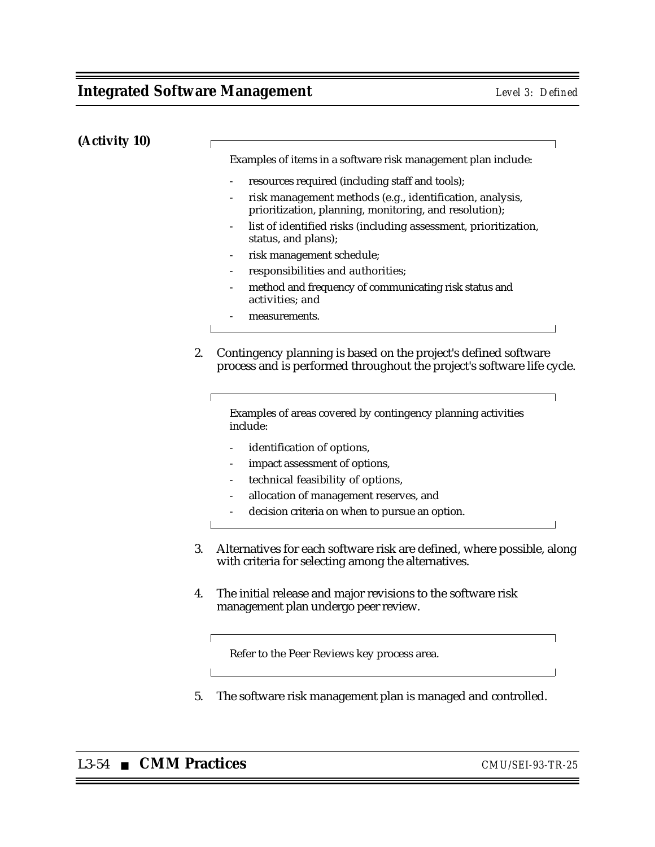| (Activity 10) |    |                                                                                                                                                |
|---------------|----|------------------------------------------------------------------------------------------------------------------------------------------------|
|               |    | Examples of items in a software risk management plan include:                                                                                  |
|               |    | resources required (including staff and tools);                                                                                                |
|               |    | risk management methods (e.g., identification, analysis,<br>$\overline{\phantom{a}}$<br>prioritization, planning, monitoring, and resolution); |
|               |    | list of identified risks (including assessment, prioritization,<br>status, and plans);                                                         |
|               |    | risk management schedule;<br>-                                                                                                                 |
|               |    | responsibilities and authorities;<br>-                                                                                                         |
|               |    | method and frequency of communicating risk status and<br>activities; and                                                                       |
|               |    | measurements.                                                                                                                                  |
|               | 2. | Contingency planning is based on the project's defined software<br>process and is performed throughout the project's software life cycle.      |
|               |    | Examples of areas covered by contingency planning activities<br>include:                                                                       |
|               |    | identification of options,<br>-                                                                                                                |
|               |    | impact assessment of options,                                                                                                                  |
|               |    | technical feasibility of options,<br>-                                                                                                         |
|               |    | allocation of management reserves, and                                                                                                         |
|               |    | decision criteria on when to pursue an option.                                                                                                 |
|               | 3. | Alternatives for each software risk are defined, where possible, along<br>with criteria for selecting among the alternatives.                  |
|               | 4. | The initial release and major revisions to the software risk<br>management plan undergo peer review.                                           |
|               |    | Refer to the Peer Reviews key process area.                                                                                                    |
|               | 5. | The software risk management plan is managed and controlled.                                                                                   |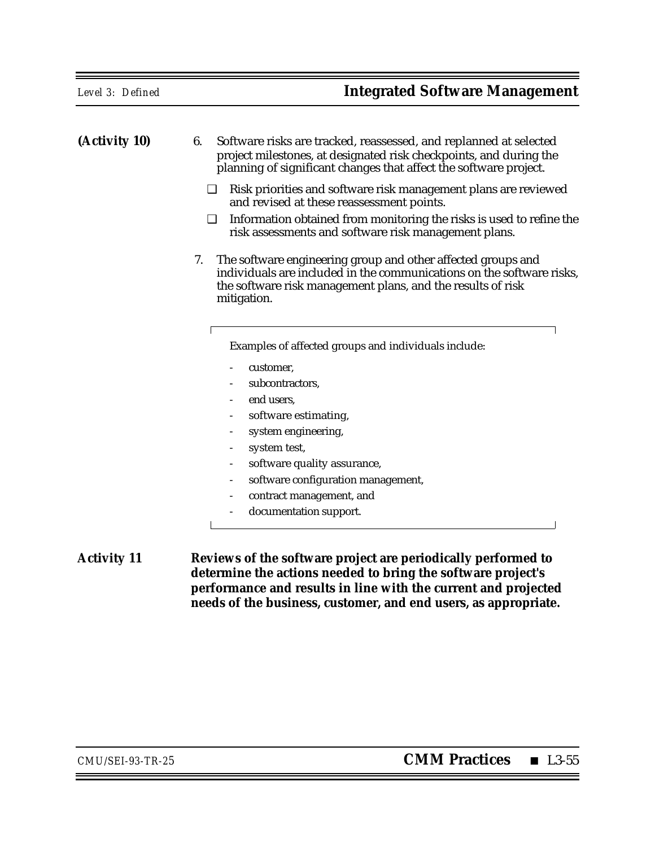- **(Activity 10)** 6. Software risks are tracked, reassessed, and replanned at selected project milestones, at designated risk checkpoints, and during the planning of significant changes that affect the software project.
	- ❑ Risk priorities and software risk management plans are reviewed and revised at these reassessment points.
	- $\Box$  Information obtained from monitoring the risks is used to refine the risk assessments and software risk management plans.
	- 7. The software engineering group and other affected groups and individuals are included in the communications on the software risks, the software risk management plans, and the results of risk mitigation.

Examples of affected groups and individuals include:

- customer,
- subcontractors,
- end users,
- software estimating,
- system engineering,
- system test,
- software quality assurance,
- software configuration management,
- contract management, and
- documentation support.

#### **Activity 11 Reviews of the software project are periodically performed to determine the actions needed to bring the software project's performance and results in line with the current and projected needs of the business, customer, and end users, as appropriate.**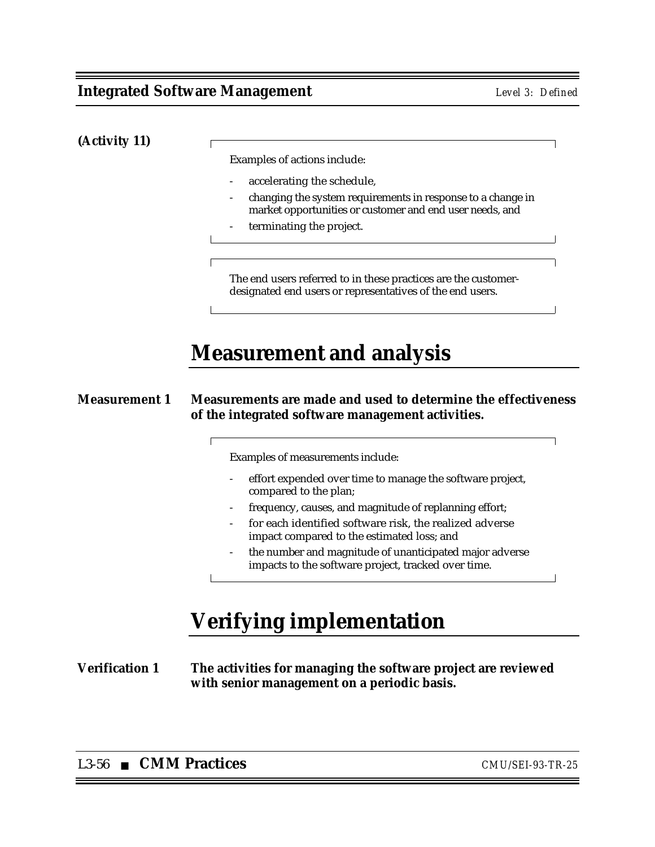| (Activity 11)         |                                                                                                                                                                 |
|-----------------------|-----------------------------------------------------------------------------------------------------------------------------------------------------------------|
|                       | Examples of actions include:                                                                                                                                    |
|                       | accelerating the schedule,                                                                                                                                      |
|                       | changing the system requirements in response to a change in<br>market opportunities or customer and end user needs, and<br>terminating the project.             |
|                       | The end users referred to in these practices are the customer-<br>designated end users or representatives of the end users.                                     |
| <b>Measurement 1</b>  | <b>Measurement and analysis</b><br>Measurements are made and used to determine the effectiveness                                                                |
|                       | of the integrated software management activities.<br>Examples of measurements include:                                                                          |
|                       | effort expended over time to manage the software project,<br>compared to the plan;                                                                              |
|                       | frequency, causes, and magnitude of replanning effort;<br>for each identified software risk, the realized adverse<br>impact compared to the estimated loss; and |
|                       | the number and magnitude of unanticipated major adverse<br>impacts to the software project, tracked over time.                                                  |
|                       | <b>Verifying implementation</b>                                                                                                                                 |
| <b>Verification 1</b> | The activities for managing the software project are reviewed                                                                                                   |

#### L3-56 ■ **CMM Practices** *CMU/SEI-93-TR-25*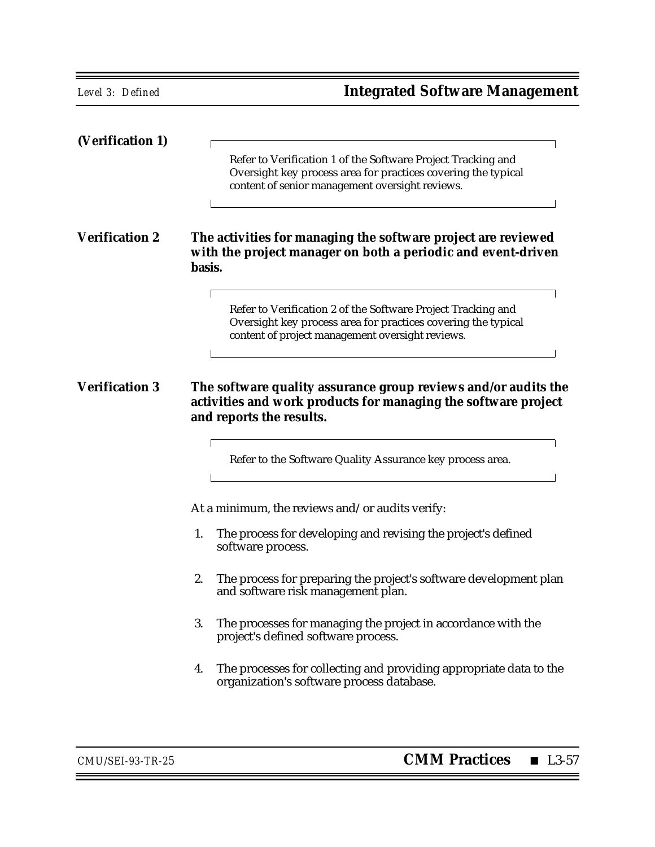| (Verification 1)      |                                                                                                                                                                                   |
|-----------------------|-----------------------------------------------------------------------------------------------------------------------------------------------------------------------------------|
|                       | Refer to Verification 1 of the Software Project Tracking and<br>Oversight key process area for practices covering the typical<br>content of senior management oversight reviews.  |
| <b>Verification 2</b> | The activities for managing the software project are reviewed<br>with the project manager on both a periodic and event-driven<br>basis.                                           |
|                       | Refer to Verification 2 of the Software Project Tracking and<br>Oversight key process area for practices covering the typical<br>content of project management oversight reviews. |
| <b>Verification 3</b> | The software quality assurance group reviews and/or audits the<br>activities and work products for managing the software project<br>and reports the results.                      |
|                       | Refer to the Software Quality Assurance key process area.                                                                                                                         |
|                       | At a minimum, the reviews and/or audits verify:                                                                                                                                   |
|                       | The process for developing and revising the project's defined<br>1.<br>software process.                                                                                          |
|                       | The process for preparing the project's software development plan<br>2.<br>and software risk management plan.                                                                     |
|                       | 3.<br>The processes for managing the project in accordance with the<br>project's defined software process.                                                                        |
|                       | The processes for collecting and providing appropriate data to the<br>4.<br>organization's software process database.                                                             |
|                       |                                                                                                                                                                                   |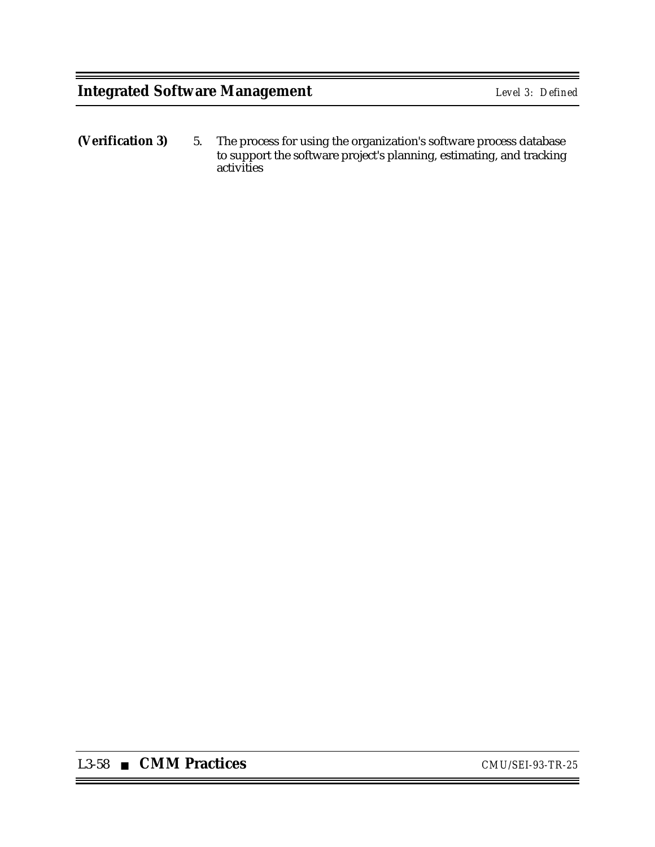**(Verification 3)** 5. The process for using the organization's software process database to support the software project's planning, estimating, and tracking activities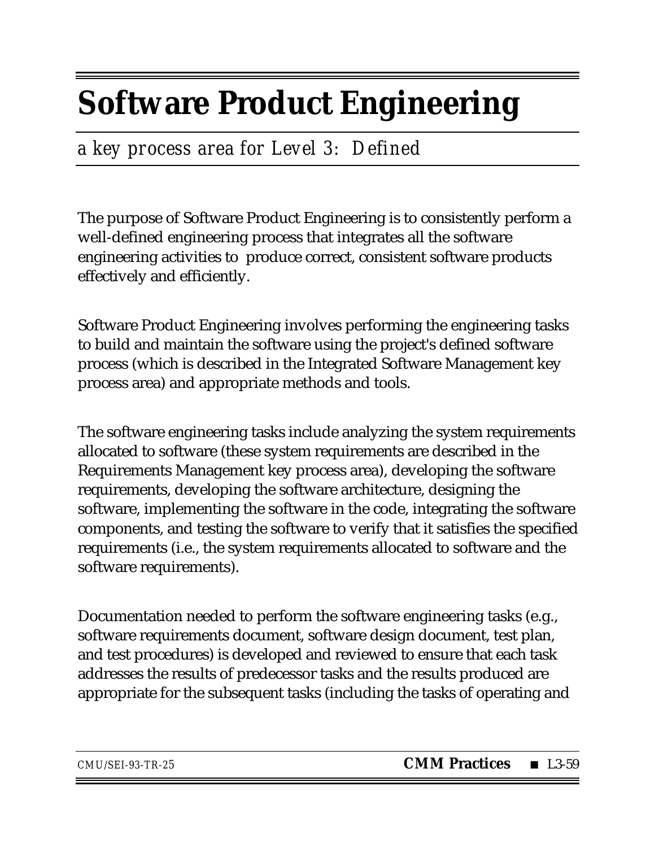# **Software Product Engineering**

*a key process area for Level 3: Defined*

The purpose of Software Product Engineering is to consistently perform a well-defined engineering process that integrates all the software engineering activities to produce correct, consistent software products effectively and efficiently.

Software Product Engineering involves performing the engineering tasks to build and maintain the software using the project's defined software process (which is described in the Integrated Software Management key process area) and appropriate methods and tools.

The software engineering tasks include analyzing the system requirements allocated to software (these system requirements are described in the Requirements Management key process area), developing the software requirements, developing the software architecture, designing the software, implementing the software in the code, integrating the software components, and testing the software to verify that it satisfies the specified requirements (i.e., the system requirements allocated to software and the software requirements).

Documentation needed to perform the software engineering tasks (e.g., software requirements document, software design document, test plan, and test procedures) is developed and reviewed to ensure that each task addresses the results of predecessor tasks and the results produced are appropriate for the subsequent tasks (including the tasks of operating and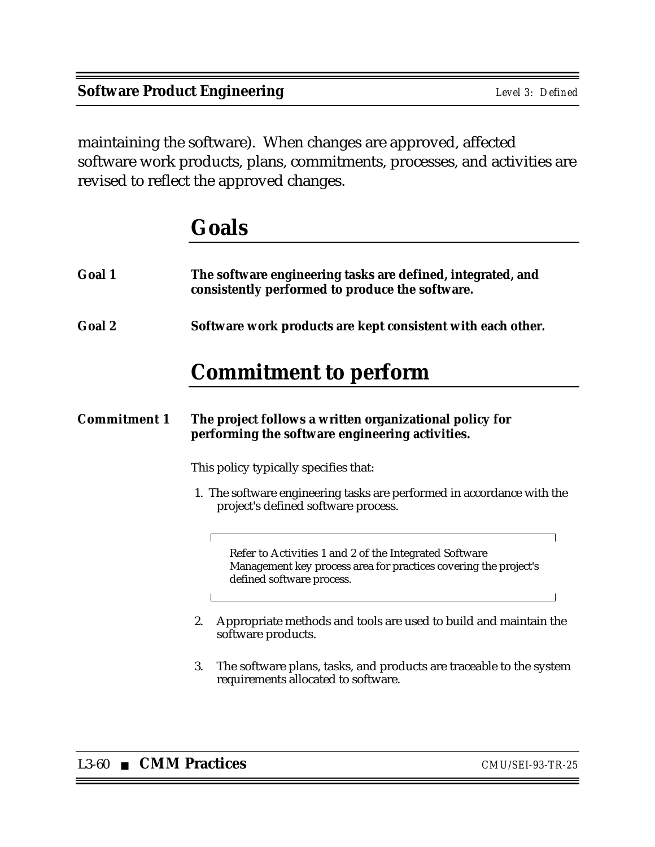maintaining the software). When changes are approved, affected software work products, plans, commitments, processes, and activities are revised to reflect the approved changes.

|                     | Goals                                                                                                                                                   |
|---------------------|---------------------------------------------------------------------------------------------------------------------------------------------------------|
| Goal 1              | The software engineering tasks are defined, integrated, and<br>consistently performed to produce the software.                                          |
| Goal 2              | Software work products are kept consistent with each other.                                                                                             |
|                     | <b>Commitment to perform</b>                                                                                                                            |
| <b>Commitment 1</b> | The project follows a written organizational policy for<br>performing the software engineering activities.                                              |
|                     | This policy typically specifies that:                                                                                                                   |
|                     | 1. The software engineering tasks are performed in accordance with the<br>project's defined software process.                                           |
|                     | Refer to Activities 1 and 2 of the Integrated Software<br>Management key process area for practices covering the project's<br>defined software process. |
|                     | 2.<br>Appropriate methods and tools are used to build and maintain the<br>software products.                                                            |

3. The software plans, tasks, and products are traceable to the system requirements allocated to software.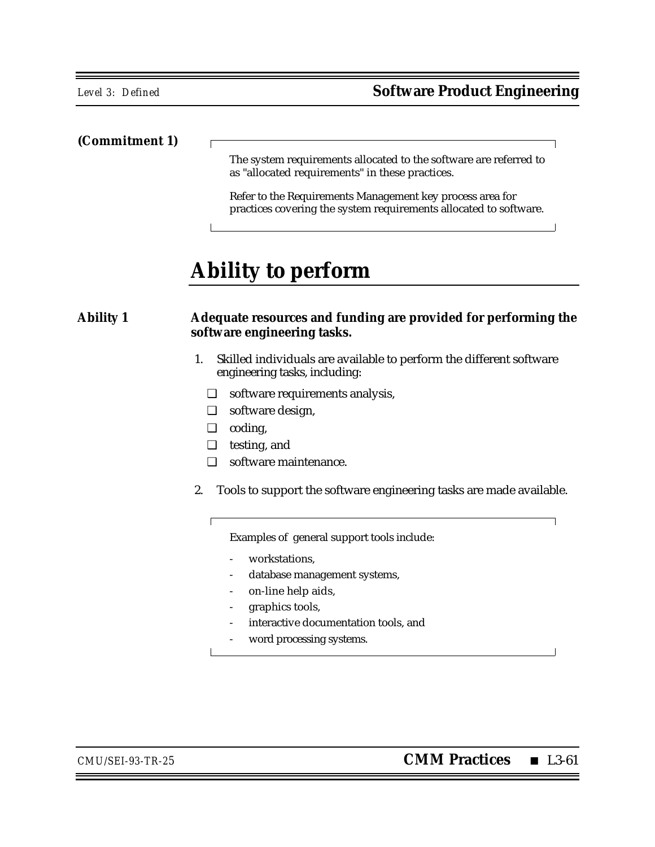| (Commitment 1)   |                                                                                                                                |
|------------------|--------------------------------------------------------------------------------------------------------------------------------|
|                  | The system requirements allocated to the software are referred to<br>as "allocated requirements" in these practices.           |
|                  | Refer to the Requirements Management key process area for<br>practices covering the system requirements allocated to software. |
|                  |                                                                                                                                |
|                  | <b>Ability to perform</b>                                                                                                      |
| <b>Ability 1</b> | Adequate resources and funding are provided for performing the<br>software engineering tasks.                                  |
|                  | 1.<br>Skilled individuals are available to perform the different software<br>engineering tasks, including:                     |
|                  | ⊔<br>software requirements analysis,                                                                                           |
|                  | software design,<br>⊔                                                                                                          |
|                  | coding,<br>⊔                                                                                                                   |
|                  | testing, and<br>⊔                                                                                                              |
|                  | software maintenance.<br>❏                                                                                                     |
|                  | 2.<br>Tools to support the software engineering tasks are made available.                                                      |
|                  | Examples of general support tools include:                                                                                     |
|                  | workstations,                                                                                                                  |
|                  | database management systems,                                                                                                   |
|                  | on-line help aids,<br>$\overline{\phantom{a}}$                                                                                 |
|                  | graphics tools,                                                                                                                |
|                  | interactive documentation tools, and                                                                                           |
|                  | word processing systems.                                                                                                       |
|                  |                                                                                                                                |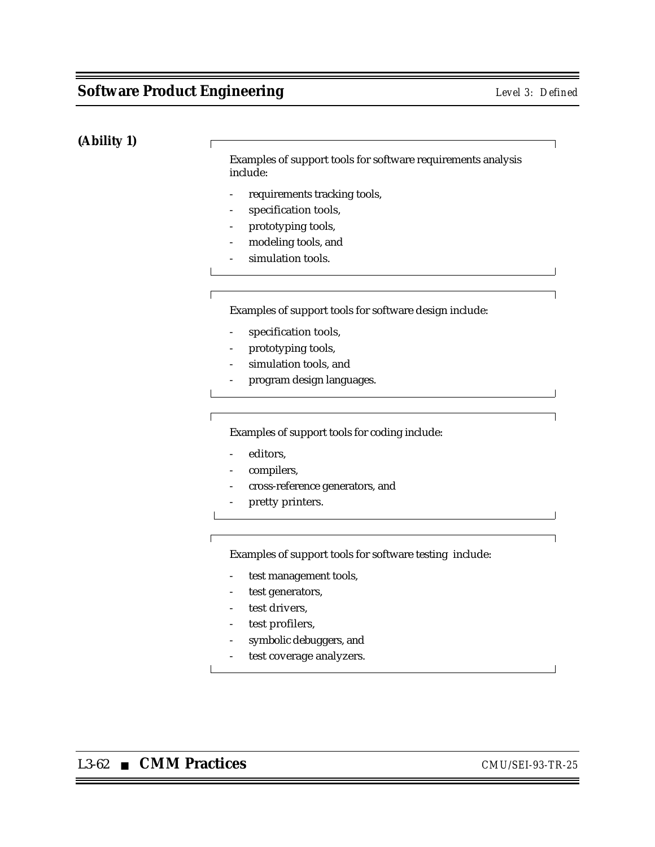## **Software Product Engineering** *Level 3: Defined*

| (Ability 1) |                                                                          |
|-------------|--------------------------------------------------------------------------|
|             | Examples of support tools for software requirements analysis<br>include: |
|             | requirements tracking tools,<br>$\overline{\phantom{0}}$                 |
|             | specification tools,                                                     |
|             | prototyping tools,                                                       |
|             | modeling tools, and                                                      |
|             | simulation tools.                                                        |
|             | Examples of support tools for software design include:                   |
|             | specification tools,<br>$\overline{\phantom{a}}$                         |
|             | prototyping tools,                                                       |
|             | simulation tools, and                                                    |
|             | program design languages.                                                |
|             | Examples of support tools for coding include:                            |
|             |                                                                          |
|             | editors,                                                                 |
|             | compilers,<br>cross-reference generators, and                            |
|             | pretty printers.                                                         |
|             |                                                                          |
|             | Examples of support tools for software testing include:                  |
|             | test management tools,                                                   |
|             | test generators,                                                         |
|             | test drivers,                                                            |
|             | test profilers,                                                          |
|             | symbolic debuggers, and                                                  |
|             | test coverage analyzers.                                                 |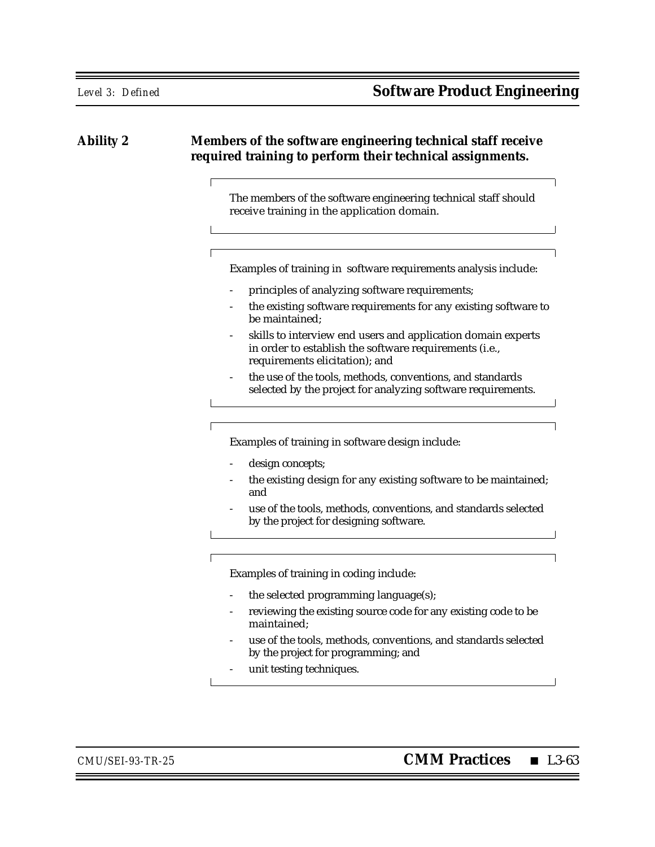| <b>Ability 2</b> | Members of the software engineering technical staff receive<br>required training to perform their technical assignments.                                 |
|------------------|----------------------------------------------------------------------------------------------------------------------------------------------------------|
|                  | The members of the software engineering technical staff should<br>receive training in the application domain.                                            |
|                  | Examples of training in software requirements analysis include:                                                                                          |
|                  | principles of analyzing software requirements;                                                                                                           |
|                  | the existing software requirements for any existing software to<br>be maintained:                                                                        |
|                  | skills to interview end users and application domain experts<br>in order to establish the software requirements (i.e.,<br>requirements elicitation); and |
|                  | the use of the tools, methods, conventions, and standards<br>selected by the project for analyzing software requirements.                                |
|                  | Examples of training in software design include:                                                                                                         |
|                  | design concepts;                                                                                                                                         |
|                  | the existing design for any existing software to be maintained;<br>and                                                                                   |
|                  | use of the tools, methods, conventions, and standards selected<br>by the project for designing software.                                                 |
|                  | Examples of training in coding include:                                                                                                                  |
|                  | the selected programming language(s);                                                                                                                    |
|                  | reviewing the existing source code for any existing code to be<br>maintained:                                                                            |
|                  | use of the tools, methods, conventions, and standards selected<br>by the project for programming; and<br>unit testing techniques.                        |
|                  |                                                                                                                                                          |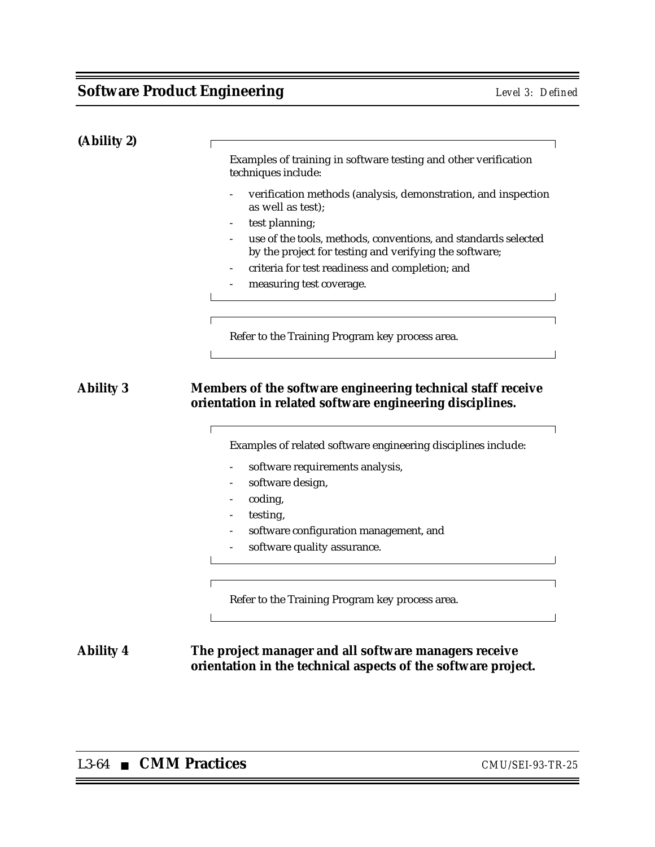## **Software Product Engineering** *Level 3: Defined*

|                  | Examples of training in software testing and other verification<br>techniques include:                                   |
|------------------|--------------------------------------------------------------------------------------------------------------------------|
|                  | verification methods (analysis, demonstration, and inspection<br>as well as test):                                       |
|                  | test planning;<br>$\overline{\phantom{a}}$                                                                               |
|                  | use of the tools, methods, conventions, and standards selected<br>by the project for testing and verifying the software; |
|                  | criteria for test readiness and completion; and                                                                          |
|                  | measuring test coverage.                                                                                                 |
|                  | Refer to the Training Program key process area.                                                                          |
| <b>Ability 3</b> | Members of the software engineering technical staff receive<br>orientation in related software engineering disciplines.  |
|                  |                                                                                                                          |
|                  | Examples of related software engineering disciplines include:                                                            |
|                  | software requirements analysis,                                                                                          |
|                  | software design,                                                                                                         |
|                  | coding,                                                                                                                  |
|                  | testing,                                                                                                                 |
|                  | software configuration management, and<br>software quality assurance.                                                    |

Ξ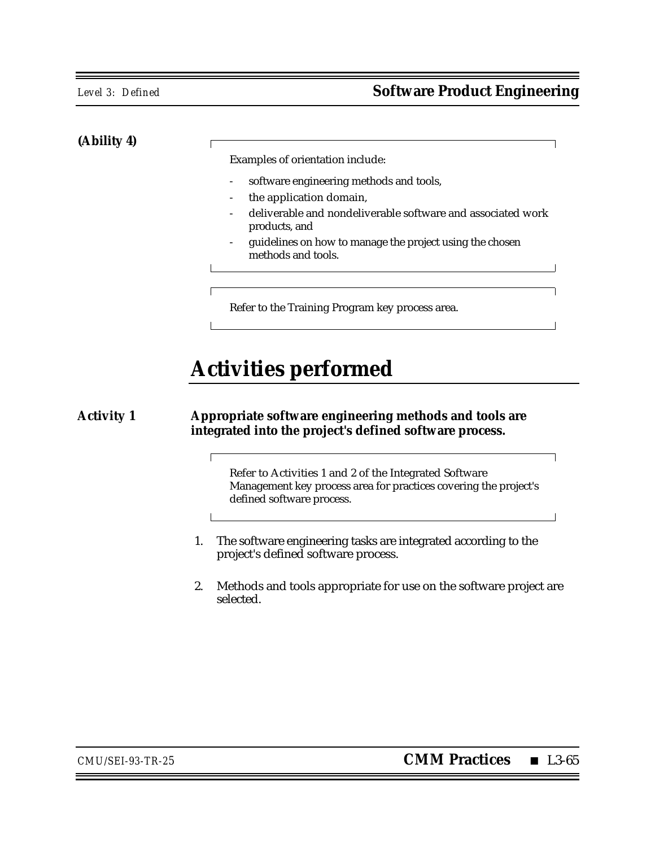| (Ability 4)       |                                                                                                                                                         |
|-------------------|---------------------------------------------------------------------------------------------------------------------------------------------------------|
|                   | Examples of orientation include:                                                                                                                        |
|                   | software engineering methods and tools,                                                                                                                 |
|                   | the application domain,                                                                                                                                 |
|                   | deliverable and nondeliverable software and associated work<br>products, and                                                                            |
|                   | guidelines on how to manage the project using the chosen<br>methods and tools.                                                                          |
|                   | Refer to the Training Program key process area.                                                                                                         |
|                   | <b>Activities performed</b>                                                                                                                             |
| <b>Activity 1</b> | Appropriate software engineering methods and tools are<br>integrated into the project's defined software process.                                       |
|                   |                                                                                                                                                         |
|                   | Refer to Activities 1 and 2 of the Integrated Software<br>Management key process area for practices covering the project's<br>defined software process. |
|                   | 1.<br>The software engineering tasks are integrated according to the<br>project's defined software process.                                             |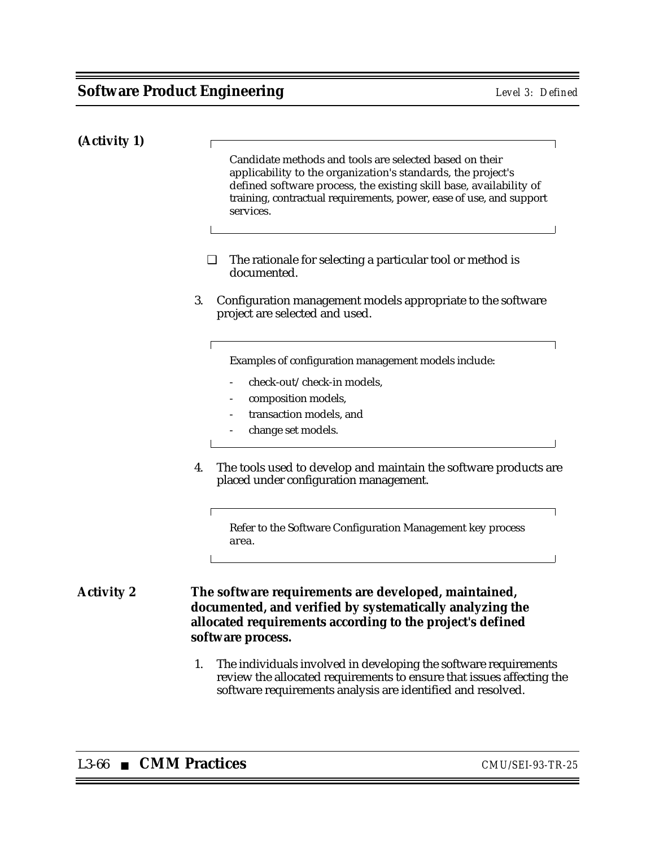| (Activity 1)      | Candidate methods and tools are selected based on their<br>applicability to the organization's standards, the project's<br>defined software process, the existing skill base, availability of<br>training, contractual requirements, power, ease of use, and support<br>services. |
|-------------------|-----------------------------------------------------------------------------------------------------------------------------------------------------------------------------------------------------------------------------------------------------------------------------------|
|                   | The rationale for selecting a particular tool or method is<br>⊔<br>documented.<br>3.<br>Configuration management models appropriate to the software                                                                                                                               |
|                   | project are selected and used.<br>Examples of configuration management models include:<br>check-out/check-in models,<br>composition models,<br>transaction models, and<br>change set models.                                                                                      |
|                   | The tools used to develop and maintain the software products are<br>4.<br>placed under configuration management.                                                                                                                                                                  |
|                   | Refer to the Software Configuration Management key process<br>area.                                                                                                                                                                                                               |
| <b>Activity 2</b> | The software requirements are developed, maintained,<br>documented, and verified by systematically analyzing the<br>allocated requirements according to the project's defined<br>software process.                                                                                |
|                   | The individuals involved in developing the software requirements<br>1.<br>review the allocated requirements to ensure that issues affecting the<br>software requirements analysis are identified and resolved.                                                                    |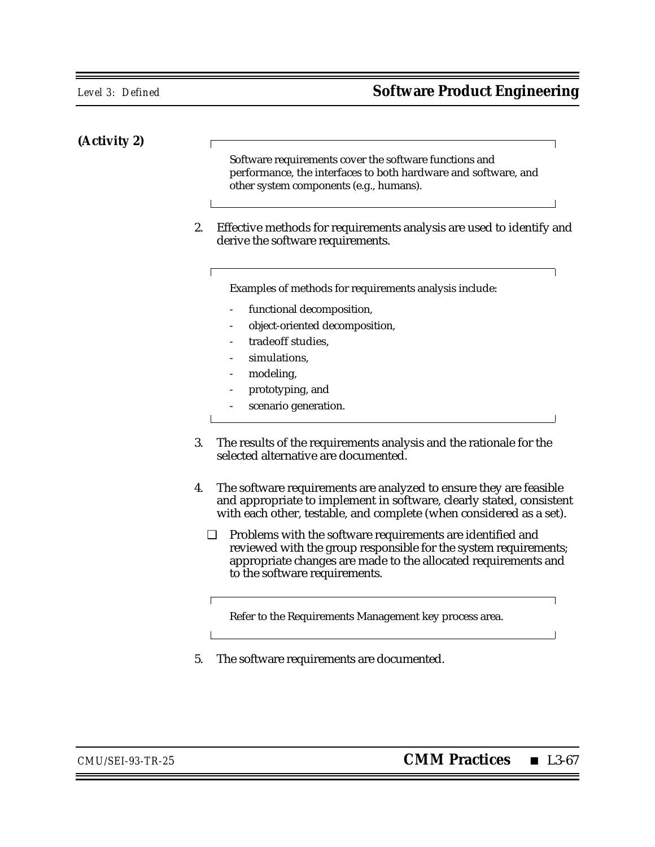| (Activity 2) |    | Software requirements cover the software functions and<br>performance, the interfaces to both hardware and software, and<br>other system components (e.g., humans).                                                                    |
|--------------|----|----------------------------------------------------------------------------------------------------------------------------------------------------------------------------------------------------------------------------------------|
|              | 2. | Effective methods for requirements analysis are used to identify and<br>derive the software requirements.                                                                                                                              |
|              |    | Examples of methods for requirements analysis include:                                                                                                                                                                                 |
|              |    | functional decomposition,                                                                                                                                                                                                              |
|              |    | object-oriented decomposition,                                                                                                                                                                                                         |
|              |    | tradeoff studies,                                                                                                                                                                                                                      |
|              |    | simulations,                                                                                                                                                                                                                           |
|              |    | modeling,                                                                                                                                                                                                                              |
|              |    | prototyping, and                                                                                                                                                                                                                       |
|              |    | scenario generation.                                                                                                                                                                                                                   |
|              | 3. | The results of the requirements analysis and the rationale for the<br>selected alternative are documented.                                                                                                                             |
|              | 4. | The software requirements are analyzed to ensure they are feasible<br>and appropriate to implement in software, clearly stated, consistent<br>with each other, testable, and complete (when considered as a set).                      |
|              |    | ❏<br>Problems with the software requirements are identified and<br>reviewed with the group responsible for the system requirements;<br>appropriate changes are made to the allocated requirements and<br>to the software requirements. |
|              |    | Refer to the Requirements Management key process area.                                                                                                                                                                                 |
|              | 5. | The software requirements are documented.                                                                                                                                                                                              |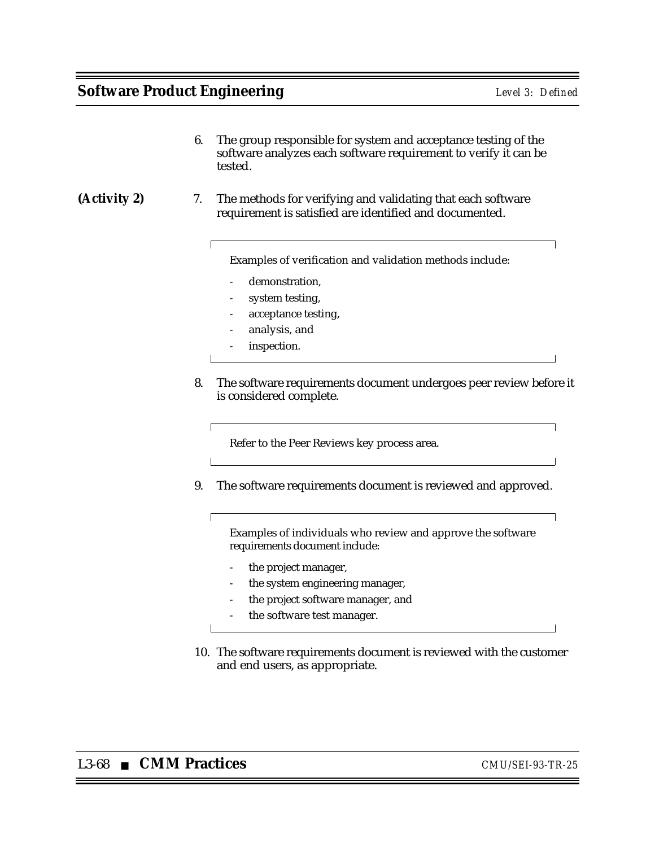- 6. The group responsible for system and acceptance testing of the software analyzes each software requirement to verify it can be tested.
- **(Activity 2)** 7. The methods for verifying and validating that each software requirement is satisfied are identified and documented.

Examples of verification and validation methods include:

- demonstration,
- system testing,
- acceptance testing,
- analysis, and
- inspection.

 $\Gamma$ 

 $\sqrt{2}$ 

8. The software requirements document undergoes peer review before it is considered complete.

Refer to the Peer Reviews key process area.

9. The software requirements document is reviewed and approved.

Examples of individuals who review and approve the software requirements document include:

- the project manager,
- the system engineering manager,
- the project software manager, and
- the software test manager.
- 10. The software requirements document is reviewed with the customer and end users, as appropriate.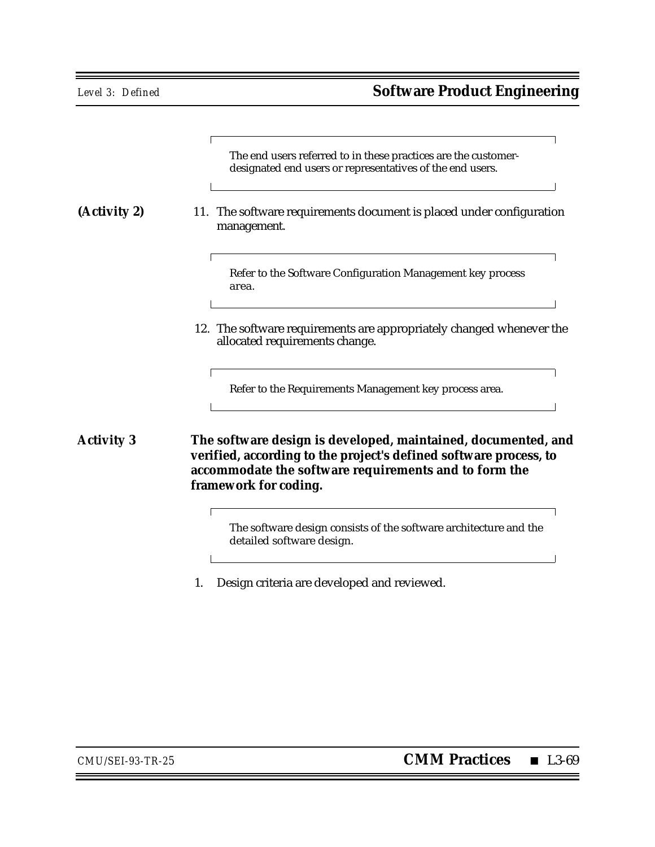|                   | The end users referred to in these practices are the customer-<br>designated end users or representatives of the end users.                                                                                          |
|-------------------|----------------------------------------------------------------------------------------------------------------------------------------------------------------------------------------------------------------------|
| (Activity 2)      | 11. The software requirements document is placed under configuration<br>management.                                                                                                                                  |
|                   | Refer to the Software Configuration Management key process<br>area.                                                                                                                                                  |
|                   | 12. The software requirements are appropriately changed whenever the<br>allocated requirements change.                                                                                                               |
|                   | Refer to the Requirements Management key process area.                                                                                                                                                               |
| <b>Activity 3</b> | The software design is developed, maintained, documented, and<br>verified, according to the project's defined software process, to<br>accommodate the software requirements and to form the<br>framework for coding. |
|                   | The software design consists of the software architecture and the<br>detailed software design.                                                                                                                       |

1. Design criteria are developed and reviewed.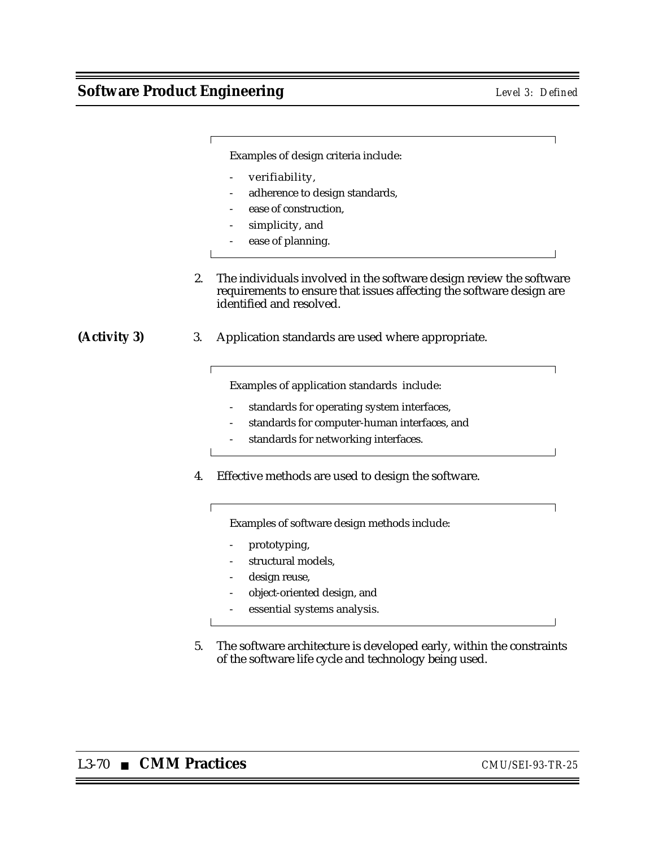$\sqrt{ }$ Examples of design criteria include: verifiability, adherence to design standards, ease of construction. simplicity, and ease of planning. 2. The individuals involved in the software design review the software requirements to ensure that issues affecting the software design are identified and resolved. **(Activity 3)** 3. Application standards are used where appropriate.  $\sqrt{2}$ ٦ Examples of application standards include: standards for operating system interfaces, standards for computer-human interfaces, and standards for networking interfaces. 4. Effective methods are used to design the software.  $\sqrt{ }$ Examples of software design methods include: prototyping, structural models, design reuse, object-oriented design, and essential systems analysis. 5. The software architecture is developed early, within the constraints of the software life cycle and technology being used.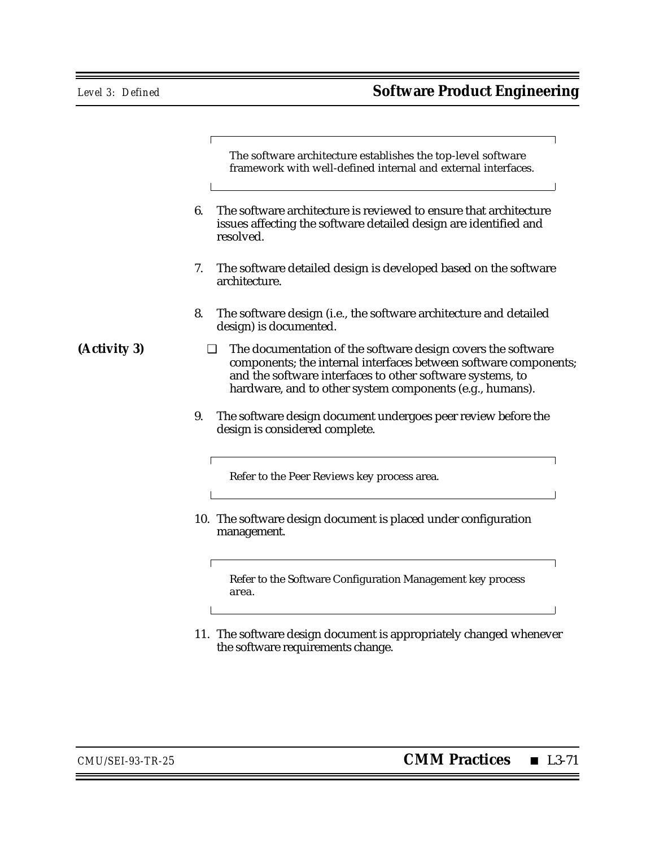|              | The software architecture establishes the top-level software<br>framework with well-defined internal and external interfaces.                                                                                                                                       |
|--------------|---------------------------------------------------------------------------------------------------------------------------------------------------------------------------------------------------------------------------------------------------------------------|
|              | The software architecture is reviewed to ensure that architecture<br>6.<br>issues affecting the software detailed design are identified and<br>resolved.                                                                                                            |
|              | The software detailed design is developed based on the software<br>7.<br>architecture.                                                                                                                                                                              |
|              | 8.<br>The software design (i.e., the software architecture and detailed<br>design) is documented.                                                                                                                                                                   |
| (Activity 3) | The documentation of the software design covers the software<br>$\Box$<br>components; the internal interfaces between software components;<br>and the software interfaces to other software systems, to<br>hardware, and to other system components (e.g., humans). |
|              | 9.<br>The software design document undergoes peer review before the<br>design is considered complete.                                                                                                                                                               |
|              | Refer to the Peer Reviews key process area.                                                                                                                                                                                                                         |
|              | 10. The software design document is placed under configuration<br>management.                                                                                                                                                                                       |
|              | Refer to the Software Configuration Management key process<br>area.                                                                                                                                                                                                 |
|              | 11. The software design document is appropriately changed whenever<br>the software requirements change.                                                                                                                                                             |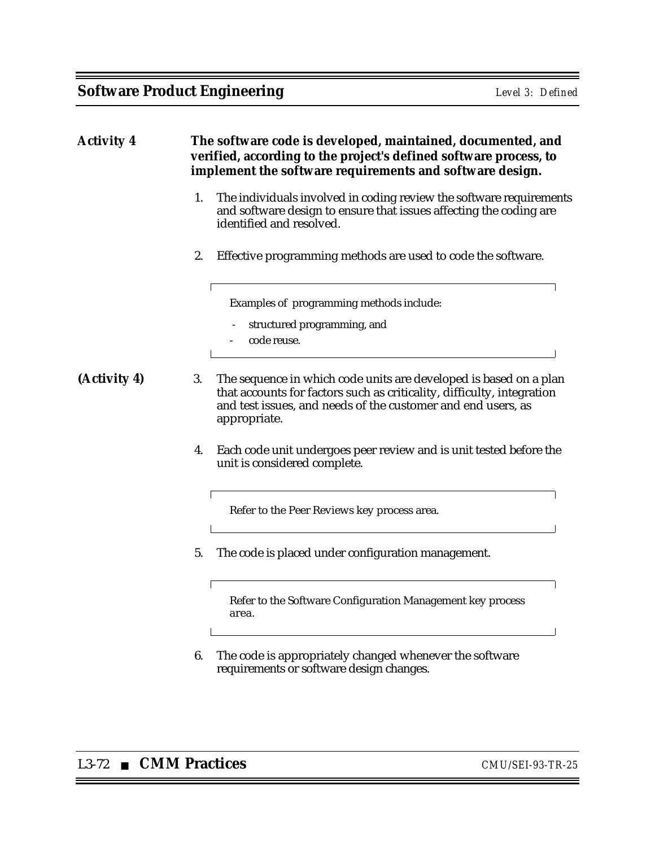| <b>Activity 4</b> | The software code is developed, maintained, documented, and<br>verified, according to the project's defined software process, to<br>implement the software requirements and software design.                                      |  |  |
|-------------------|-----------------------------------------------------------------------------------------------------------------------------------------------------------------------------------------------------------------------------------|--|--|
|                   | 1.<br>The individuals involved in coding review the software requirements<br>and software design to ensure that issues affecting the coding are<br>identified and resolved.                                                       |  |  |
|                   | 2.<br>Effective programming methods are used to code the software.                                                                                                                                                                |  |  |
|                   | Examples of programming methods include:                                                                                                                                                                                          |  |  |
|                   | structured programming, and<br>code reuse.                                                                                                                                                                                        |  |  |
| (Activity 4)      | 3.<br>The sequence in which code units are developed is based on a plan<br>that accounts for factors such as criticality, difficulty, integration<br>and test issues, and needs of the customer and end users, as<br>appropriate. |  |  |
|                   | Each code unit undergoes peer review and is unit tested before the<br>4.<br>unit is considered complete.                                                                                                                          |  |  |
|                   | Refer to the Peer Reviews key process area.                                                                                                                                                                                       |  |  |
|                   | 5.<br>The code is placed under configuration management.                                                                                                                                                                          |  |  |
|                   | Refer to the Software Configuration Management key process<br>area.                                                                                                                                                               |  |  |
|                   | 6.<br>The code is appropriately changed whenever the software<br>requirements or software design changes.                                                                                                                         |  |  |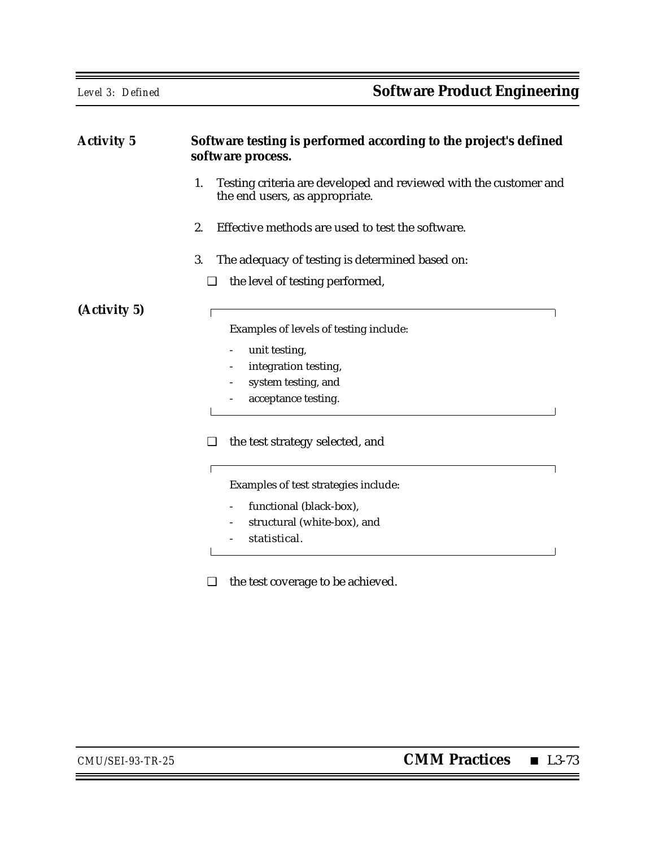| <b>Activity 5</b> | Software testing is performed according to the project's defined<br>software process.                                                                                                             |  |  |  |
|-------------------|---------------------------------------------------------------------------------------------------------------------------------------------------------------------------------------------------|--|--|--|
|                   | 1.<br>Testing criteria are developed and reviewed with the customer and<br>the end users, as appropriate.                                                                                         |  |  |  |
|                   | 2.<br>Effective methods are used to test the software.                                                                                                                                            |  |  |  |
|                   | 3.<br>The adequacy of testing is determined based on:                                                                                                                                             |  |  |  |
|                   | the level of testing performed,<br>❏                                                                                                                                                              |  |  |  |
| (Activity 5)      | Examples of levels of testing include:<br>unit testing,<br>$\overline{\phantom{a}}$<br>integration testing,<br>system testing, and<br>acceptance testing.<br>the test strategy selected, and<br>ப |  |  |  |
|                   | Examples of test strategies include:<br>functional (black-box),<br>structural (white-box), and<br>statistical.                                                                                    |  |  |  |

❑ the test coverage to be achieved.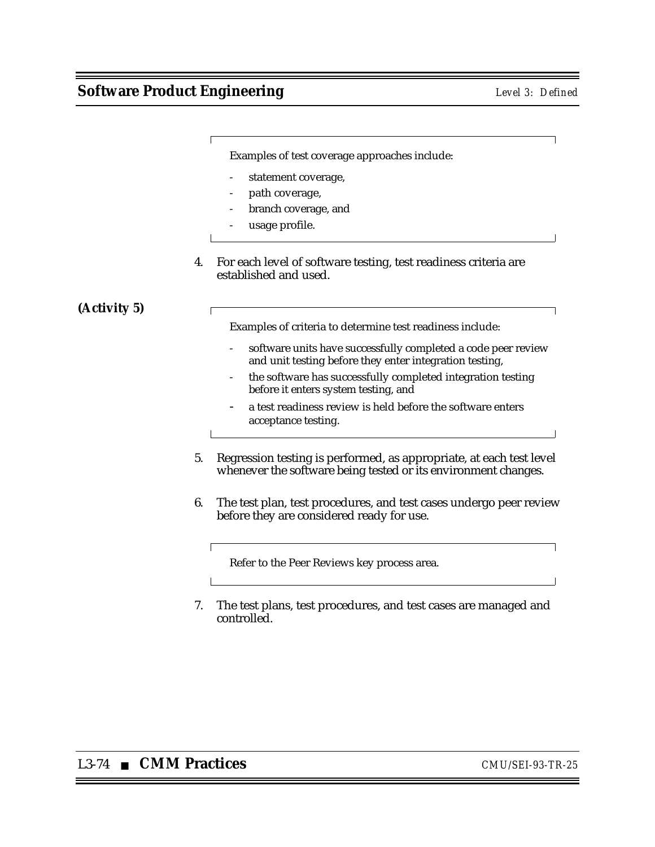|              |    | Examples of test coverage approaches include:                                                                                         |
|--------------|----|---------------------------------------------------------------------------------------------------------------------------------------|
|              |    | statement coverage,                                                                                                                   |
|              |    | path coverage,                                                                                                                        |
|              |    | branch coverage, and                                                                                                                  |
|              |    | usage profile.                                                                                                                        |
|              | 4. | For each level of software testing, test readiness criteria are<br>established and used.                                              |
| (Activity 5) |    |                                                                                                                                       |
|              |    | Examples of criteria to determine test readiness include:                                                                             |
|              |    | software units have successfully completed a code peer review<br>and unit testing before they enter integration testing,              |
|              |    | the software has successfully completed integration testing<br>before it enters system testing, and                                   |
|              |    | a test readiness review is held before the software enters<br>acceptance testing.                                                     |
|              | 5. | Regression testing is performed, as appropriate, at each test level<br>whenever the software being tested or its environment changes. |
|              | 6. | The test plan, test procedures, and test cases undergo peer review<br>before they are considered ready for use.                       |
|              |    | Refer to the Peer Reviews key process area.                                                                                           |
|              | 7. | The test plans, test procedures, and test cases are managed and<br>controlled.                                                        |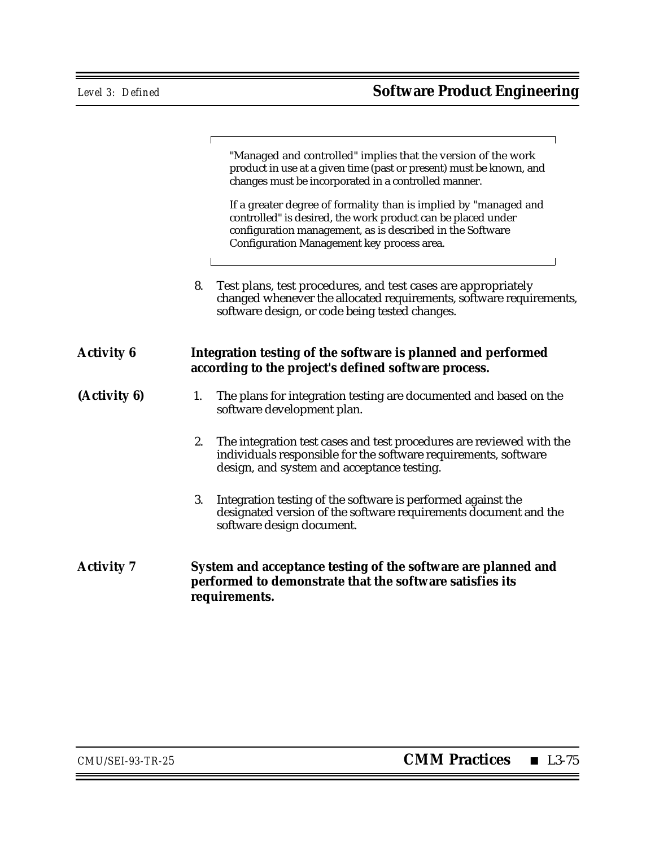|                   | "Managed and controlled" implies that the version of the work<br>product in use at a given time (past or present) must be known, and<br>changes must be incorporated in a controlled manner.                                                |
|-------------------|---------------------------------------------------------------------------------------------------------------------------------------------------------------------------------------------------------------------------------------------|
|                   | If a greater degree of formality than is implied by "managed and<br>controlled" is desired, the work product can be placed under<br>configuration management, as is described in the Software<br>Configuration Management key process area. |
|                   | 8.<br>Test plans, test procedures, and test cases are appropriately<br>changed whenever the allocated requirements, software requirements,<br>software design, or code being tested changes.                                                |
| <b>Activity 6</b> | Integration testing of the software is planned and performed<br>according to the project's defined software process.                                                                                                                        |
| (Activity 6)      | The plans for integration testing are documented and based on the<br>1.<br>software development plan.                                                                                                                                       |
|                   | 2.<br>The integration test cases and test procedures are reviewed with the<br>individuals responsible for the software requirements, software<br>design, and system and acceptance testing.                                                 |
|                   | 3.<br>Integration testing of the software is performed against the<br>designated version of the software requirements document and the<br>software design document.                                                                         |
| <b>Activity 7</b> | System and acceptance testing of the software are planned and<br>performed to demonstrate that the software satisfies its<br>requirements.                                                                                                  |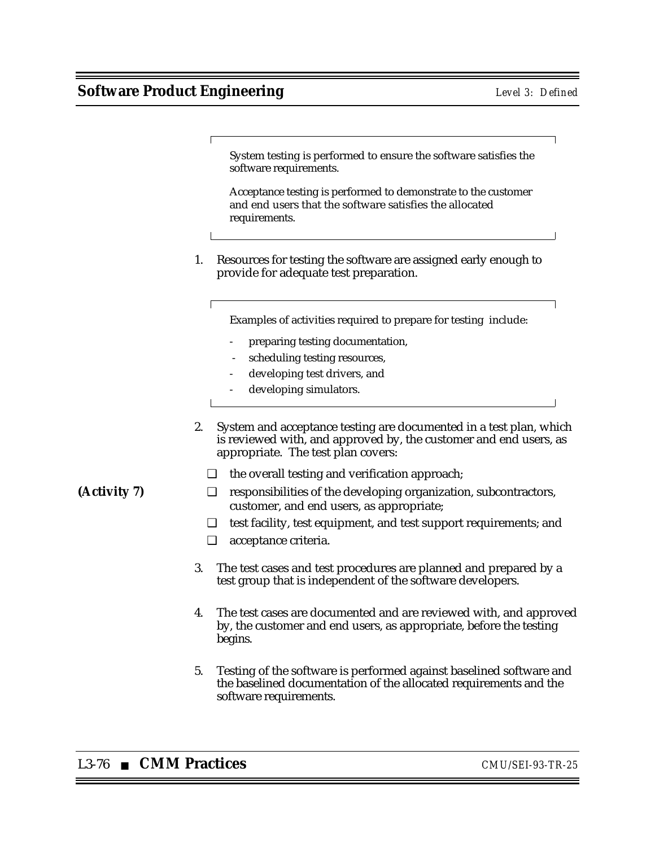|              | System testing is performed to ensure the software satisfies the<br>software requirements.                                                                                          |
|--------------|-------------------------------------------------------------------------------------------------------------------------------------------------------------------------------------|
|              | Acceptance testing is performed to demonstrate to the customer<br>and end users that the software satisfies the allocated<br>requirements.                                          |
|              | 1.<br>Resources for testing the software are assigned early enough to<br>provide for adequate test preparation.                                                                     |
|              | Examples of activities required to prepare for testing include:                                                                                                                     |
|              | preparing testing documentation,                                                                                                                                                    |
|              | scheduling testing resources,                                                                                                                                                       |
|              | developing test drivers, and                                                                                                                                                        |
|              | developing simulators.                                                                                                                                                              |
|              | 2.<br>System and acceptance testing are documented in a test plan, which<br>is reviewed with, and approved by, the customer and end users, as<br>appropriate. The test plan covers: |
|              | the overall testing and verification approach;<br>⊔                                                                                                                                 |
| (Activity 7) | responsibilities of the developing organization, subcontractors,<br>❏<br>customer, and end users, as appropriate;                                                                   |
|              | test facility, test equipment, and test support requirements; and<br>⊔                                                                                                              |
|              | ❏<br>acceptance criteria.                                                                                                                                                           |
|              | 3.<br>The test cases and test procedures are planned and prepared by a<br>test group that is independent of the software developers.                                                |
|              | 4.<br>The test cases are documented and are reviewed with, and approved<br>by, the customer and end users, as appropriate, before the testing<br>begins.                            |
|              | 5.<br>Testing of the software is performed against baselined software and<br>the baselined documentation of the allocated requirements and the                                      |

software requirements.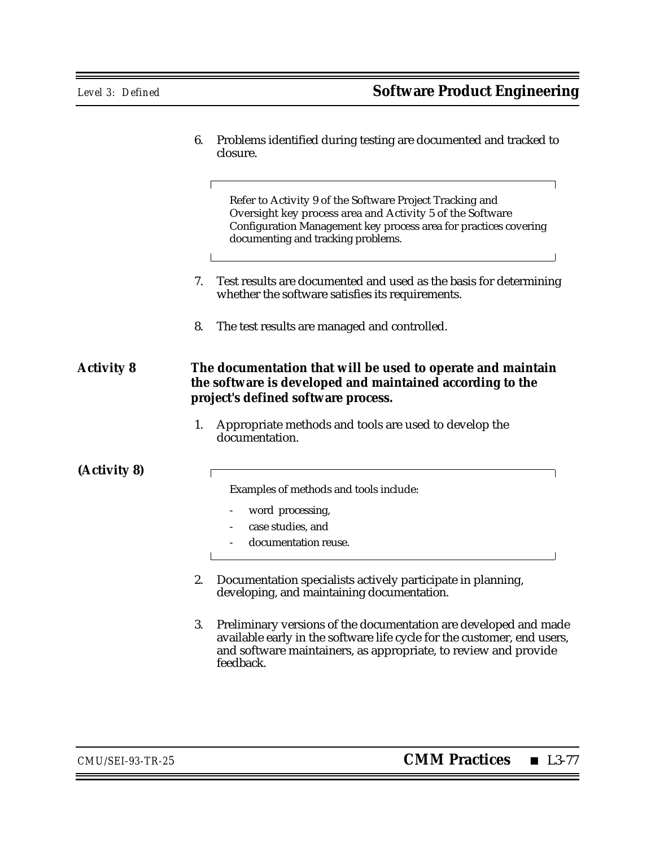|                   | 6. | Problems identified during testing are documented and tracked to<br>closure.                                                                                                                                                    |
|-------------------|----|---------------------------------------------------------------------------------------------------------------------------------------------------------------------------------------------------------------------------------|
|                   | 7. | Refer to Activity 9 of the Software Project Tracking and<br>Oversight key process area and Activity 5 of the Software<br>Configuration Management key process area for practices covering<br>documenting and tracking problems. |
|                   |    | Test results are documented and used as the basis for determining<br>whether the software satisfies its requirements.                                                                                                           |
|                   | 8. | The test results are managed and controlled.                                                                                                                                                                                    |
| <b>Activity 8</b> |    | The documentation that will be used to operate and maintain<br>the software is developed and maintained according to the<br>project's defined software process.                                                                 |
|                   | 1. | Appropriate methods and tools are used to develop the<br>documentation.                                                                                                                                                         |
| (Activity 8)      |    | Examples of methods and tools include:                                                                                                                                                                                          |
|                   |    |                                                                                                                                                                                                                                 |
|                   |    | word processing,                                                                                                                                                                                                                |
|                   |    | case studies, and<br>documentation reuse.                                                                                                                                                                                       |
|                   | 2. | Documentation specialists actively participate in planning,<br>developing, and maintaining documentation.                                                                                                                       |
|                   | 3. | Preliminary versions of the documentation are developed and made<br>available early in the software life cycle for the customer, end users,<br>and software maintainers, as appropriate, to review and provide<br>feedback.     |
|                   |    |                                                                                                                                                                                                                                 |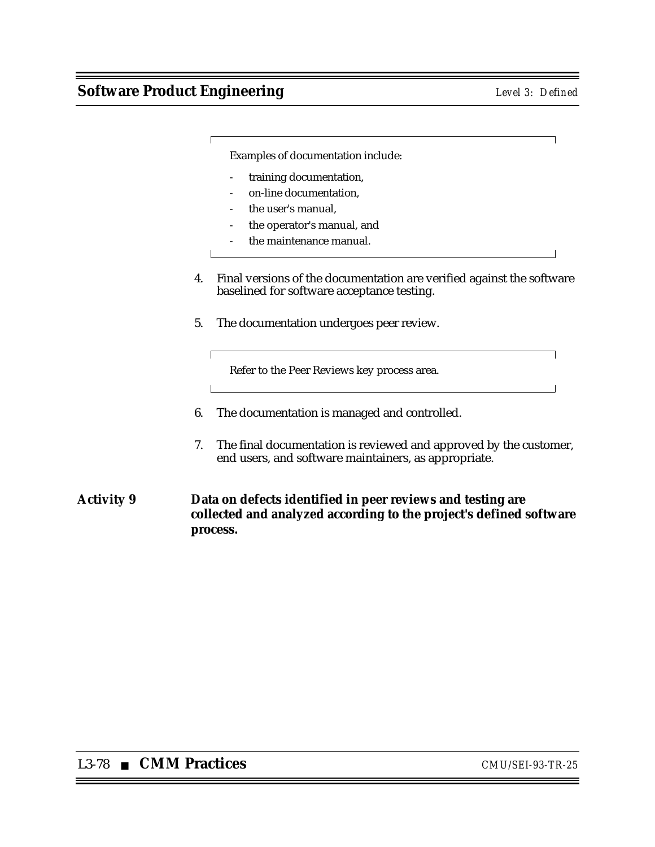|                   | Examples of documentation include:                                                                                                           |
|-------------------|----------------------------------------------------------------------------------------------------------------------------------------------|
|                   | training documentation,                                                                                                                      |
|                   | on-line documentation,                                                                                                                       |
|                   | the user's manual,                                                                                                                           |
|                   | the operator's manual, and                                                                                                                   |
|                   | the maintenance manual.                                                                                                                      |
|                   | 4.<br>Final versions of the documentation are verified against the software<br>baselined for software acceptance testing.                    |
|                   | 5.<br>The documentation undergoes peer review.                                                                                               |
|                   | Refer to the Peer Reviews key process area.                                                                                                  |
|                   | 6.<br>The documentation is managed and controlled.                                                                                           |
|                   | The final documentation is reviewed and approved by the customer,<br>7.<br>end users, and software maintainers, as appropriate.              |
| <b>Activity 9</b> | Data on defects identified in peer reviews and testing are<br>collected and analyzed according to the project's defined software<br>process. |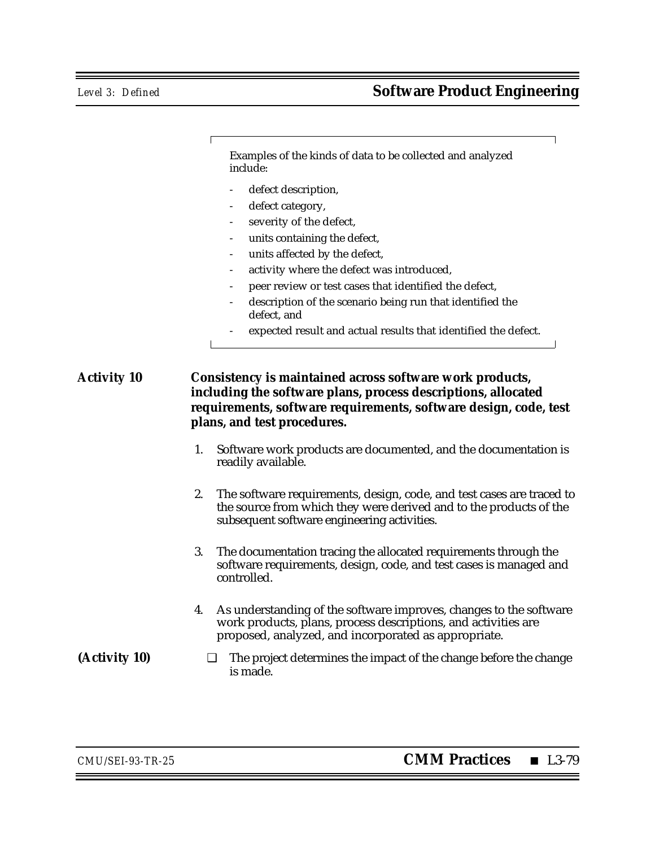$\overline{\phantom{a}}$ 

Examples of the kinds of data to be collected and analyzed include:

- defect description,
- defect category,

 $\lceil$ 

- severity of the defect,
- units containing the defect,
- units affected by the defect,
- activity where the defect was introduced,
- peer review or test cases that identified the defect,
- description of the scenario being run that identified the defect, and
- expected result and actual results that identified the defect.

**Activity 10 Consistency is maintained across software work products, including the software plans, process descriptions, allocated requirements, software requirements, software design, code, test plans, and test procedures.**

- 1. Software work products are documented, and the documentation is readily available.
- 2. The software requirements, design, code, and test cases are traced to the source from which they were derived and to the products of the subsequent software engineering activities.
- 3. The documentation tracing the allocated requirements through the software requirements, design, code, and test cases is managed and controlled.
- 4. As understanding of the software improves, changes to the software work products, plans, process descriptions, and activities are proposed, analyzed, and incorporated as appropriate.

#### **(Activity 10)** ❑ The project determines the impact of the change before the change is made.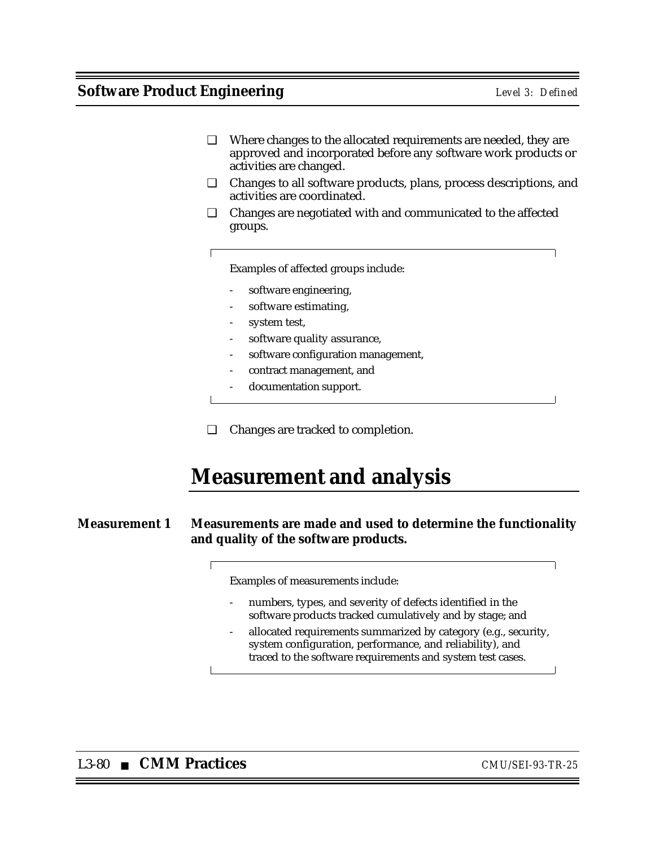$\sqrt{ }$ 

- ❑ Where changes to the allocated requirements are needed, they are approved and incorporated before any software work products or activities are changed.
- ❑ Changes to all software products, plans, process descriptions, and activities are coordinated.
- ❑ Changes are negotiated with and communicated to the affected groups.

Examples of affected groups include:

- software engineering,
- software estimating,
- system test,
- software quality assurance,
- software configuration management,
- contract management, and
- documentation support.
- ❑ Changes are tracked to completion.

### **Measurement and analysis**

#### **Measurement 1 Measurements are made and used to determine the functionality and quality of the software products.**

Examples of measurements include:

- numbers, types, and severity of defects identified in the software products tracked cumulatively and by stage; and
- allocated requirements summarized by category (e.g., security, system configuration, performance, and reliability), and traced to the software requirements and system test cases.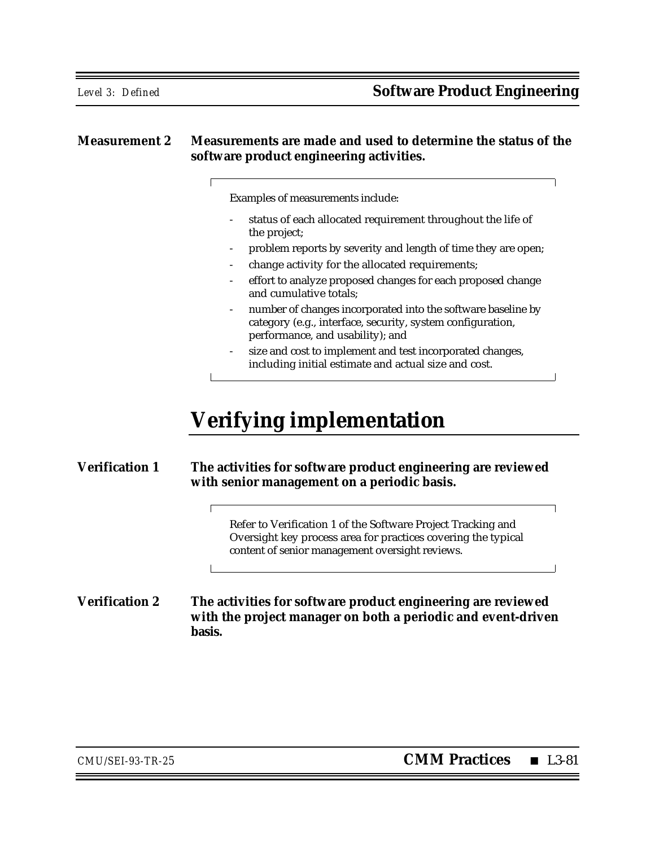$\overline{\phantom{a}}$ 

#### **Measurement 2 Measurements are made and used to determine the status of the software product engineering activities.**

Examples of measurements include:

 $\sqrt{ }$ 

- status of each allocated requirement throughout the life of the project;
- problem reports by severity and length of time they are open;
- change activity for the allocated requirements;
- effort to analyze proposed changes for each proposed change and cumulative totals;
- number of changes incorporated into the software baseline by category (e.g., interface, security, system configuration, performance, and usability); and
- size and cost to implement and test incorporated changes, including initial estimate and actual size and cost.

# **Verifying implementation**

### **Verification 1 The activities for software product engineering are reviewed with senior management on a periodic basis.**  $\sqrt{2}$ Refer to Verification 1 of the Software Project Tracking and Oversight key process area for practices covering the typical content of senior management oversight reviews. **Verification 2 The activities for software product engineering are reviewed**

### **with the project manager on both a periodic and event-driven basis.**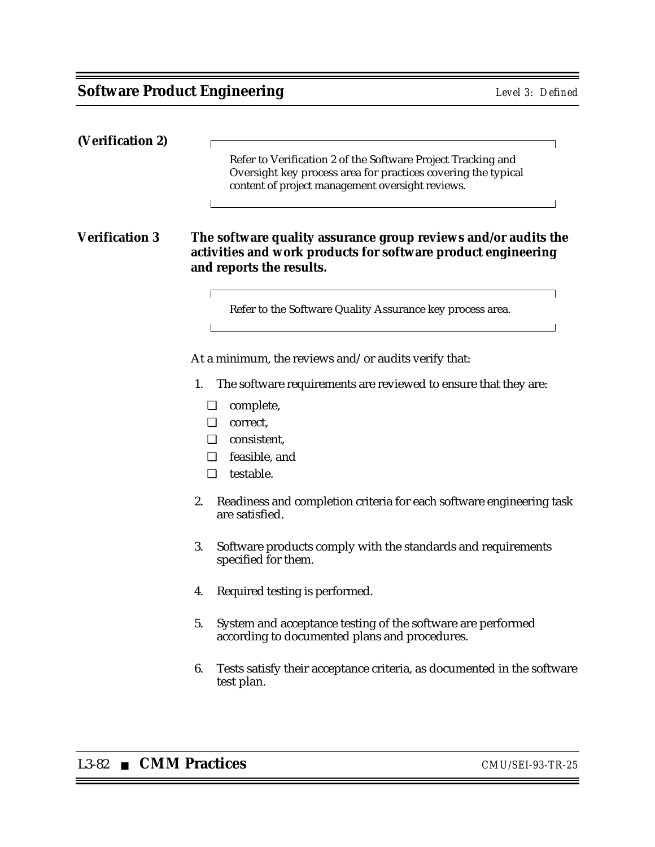| (Verification 2)      |                                                                                                                                                                                   |
|-----------------------|-----------------------------------------------------------------------------------------------------------------------------------------------------------------------------------|
|                       | Refer to Verification 2 of the Software Project Tracking and<br>Oversight key process area for practices covering the typical<br>content of project management oversight reviews. |
| <b>Verification 3</b> | The software quality assurance group reviews and/or audits the<br>activities and work products for software product engineering<br>and reports the results.                       |
|                       | Refer to the Software Quality Assurance key process area.                                                                                                                         |
|                       | At a minimum, the reviews and/or audits verify that:                                                                                                                              |
|                       | The software requirements are reviewed to ensure that they are:<br>1.                                                                                                             |
|                       | $\Box$<br>complete,                                                                                                                                                               |
|                       | correct,<br>⊔                                                                                                                                                                     |
|                       | consistent,<br>⊔                                                                                                                                                                  |
|                       | feasible, and<br>⊔                                                                                                                                                                |
|                       | testable.<br>❏                                                                                                                                                                    |
|                       | 2.<br>Readiness and completion criteria for each software engineering task<br>are satisfied.                                                                                      |
|                       | 3.<br>Software products comply with the standards and requirements<br>specified for them.                                                                                         |
|                       | Required testing is performed.<br>4.                                                                                                                                              |
|                       | 5.<br>System and acceptance testing of the software are performed<br>according to documented plans and procedures.                                                                |
|                       | Tests satisfy their acceptance criteria, as documented in the software<br>6.<br>test plan.                                                                                        |

Ξ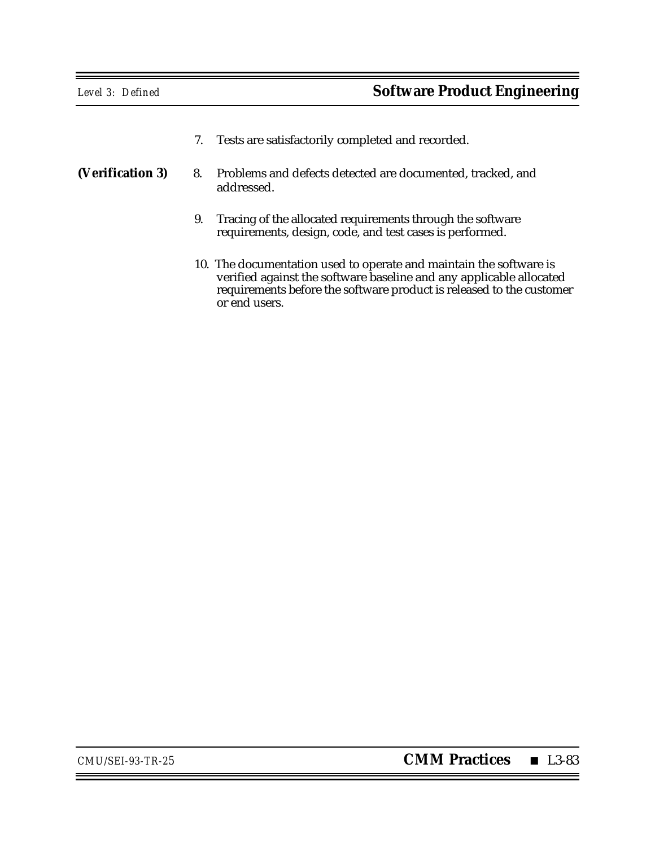- 7. Tests are satisfactorily completed and recorded.
- **(Verification 3)** 8. Problems and defects detected are documented, tracked, and addressed.
	- 9. Tracing of the allocated requirements through the software requirements, design, code, and test cases is performed.
	- 10. The documentation used to operate and maintain the software is verified against the software baseline and any applicable allocated requirements before the software product is released to the customer or end users.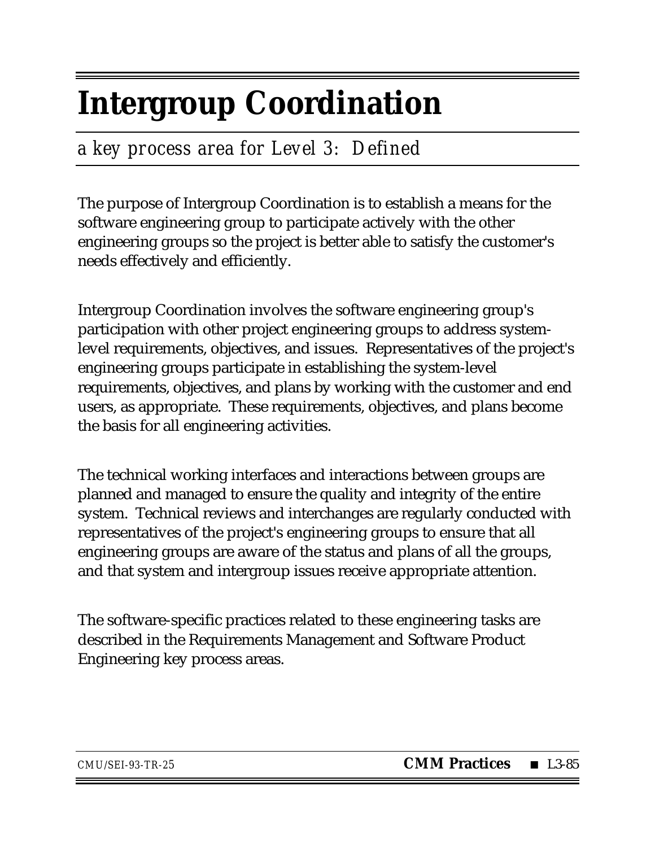# **Intergroup Coordination**

# *a key process area for Level 3: Defined*

The purpose of Intergroup Coordination is to establish a means for the software engineering group to participate actively with the other engineering groups so the project is better able to satisfy the customer's needs effectively and efficiently.

Intergroup Coordination involves the software engineering group's participation with other project engineering groups to address systemlevel requirements, objectives, and issues. Representatives of the project's engineering groups participate in establishing the system-level requirements, objectives, and plans by working with the customer and end users, as appropriate. These requirements, objectives, and plans become the basis for all engineering activities.

The technical working interfaces and interactions between groups are planned and managed to ensure the quality and integrity of the entire system. Technical reviews and interchanges are regularly conducted with representatives of the project's engineering groups to ensure that all engineering groups are aware of the status and plans of all the groups, and that system and intergroup issues receive appropriate attention.

The software-specific practices related to these engineering tasks are described in the Requirements Management and Software Product Engineering key process areas.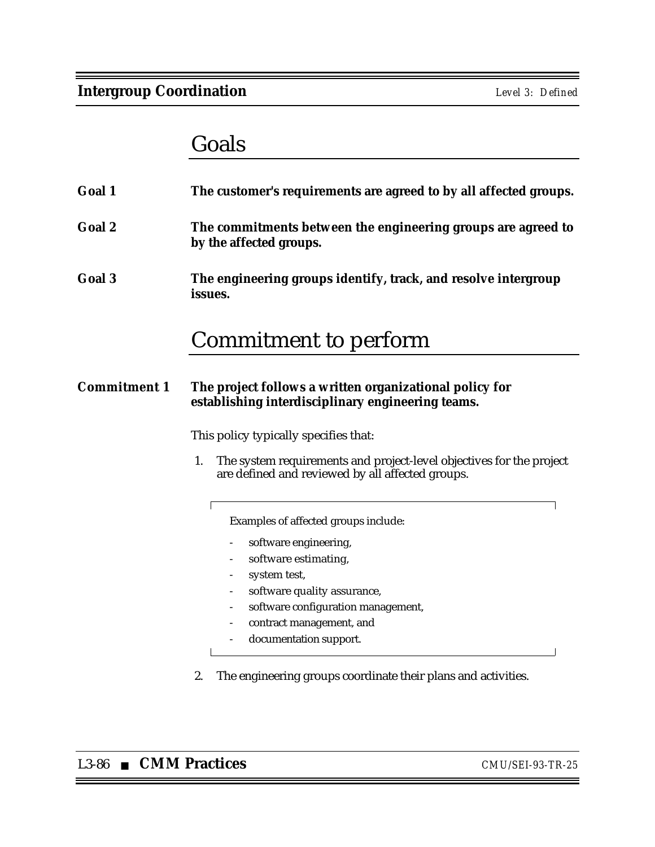### **Intergroup Coordination** *Level 3: Defined*

### Goals

| Goal 1              | The customer's requirements are agreed to by all affected groups.                                                              |
|---------------------|--------------------------------------------------------------------------------------------------------------------------------|
| Goal 2              | The commitments between the engineering groups are agreed to<br>by the affected groups.                                        |
| Goal 3              | The engineering groups identify, track, and resolve intergroup<br>issues.                                                      |
|                     | Commitment to perform                                                                                                          |
| <b>Commitment 1</b> | The project follows a written organizational policy for<br>establishing interdisciplinary engineering teams.                   |
|                     | This policy typically specifies that:                                                                                          |
|                     | 1.<br>The system requirements and project-level objectives for the project<br>are defined and reviewed by all affected groups. |
|                     | Examples of affected groups include:                                                                                           |
|                     | software engineering,                                                                                                          |
|                     | software estimating,                                                                                                           |
|                     | system test,                                                                                                                   |
|                     | software quality assurance,<br>$\overline{\phantom{a}}$                                                                        |
|                     | software configuration management,                                                                                             |
|                     | contract management, and<br>documentation support.                                                                             |
|                     |                                                                                                                                |

2. The engineering groups coordinate their plans and activities.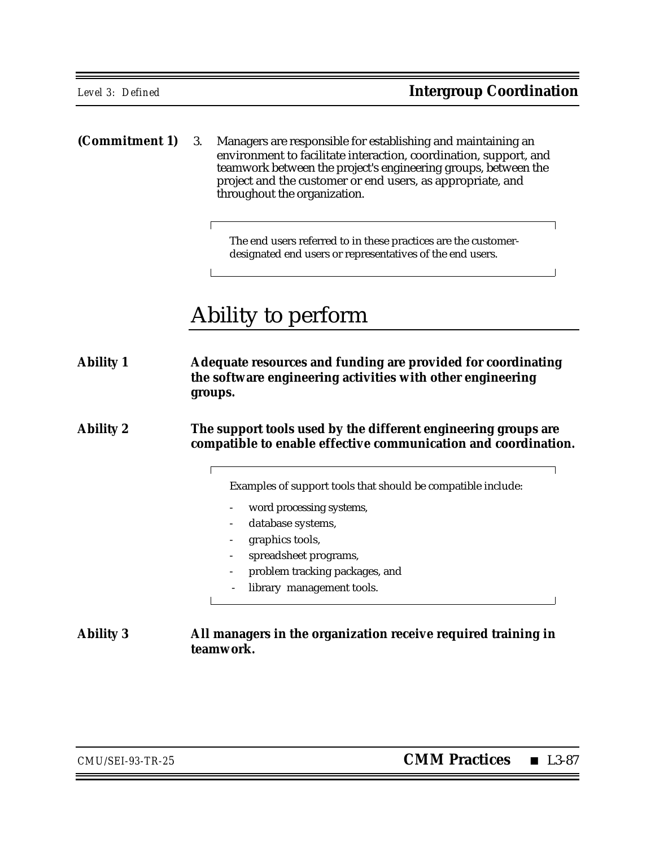Ξ

| (Commitment 1)   | 3.<br>Managers are responsible for establishing and maintaining an<br>environment to facilitate interaction, coordination, support, and<br>teamwork between the project's engineering groups, between the<br>project and the customer or end users, as appropriate, and<br>throughout the organization. |  |
|------------------|---------------------------------------------------------------------------------------------------------------------------------------------------------------------------------------------------------------------------------------------------------------------------------------------------------|--|
|                  | The end users referred to in these practices are the customer-<br>designated end users or representatives of the end users.                                                                                                                                                                             |  |
|                  | <b>Ability to perform</b>                                                                                                                                                                                                                                                                               |  |
| <b>Ability 1</b> | Adequate resources and funding are provided for coordinating<br>the software engineering activities with other engineering<br>groups.                                                                                                                                                                   |  |
| <b>Ability 2</b> | The support tools used by the different engineering groups are<br>compatible to enable effective communication and coordination.                                                                                                                                                                        |  |
|                  | Examples of support tools that should be compatible include:                                                                                                                                                                                                                                            |  |
|                  | word processing systems,                                                                                                                                                                                                                                                                                |  |
|                  | database systems,                                                                                                                                                                                                                                                                                       |  |
|                  | graphics tools,<br>$\blacksquare$                                                                                                                                                                                                                                                                       |  |
|                  | spreadsheet programs,                                                                                                                                                                                                                                                                                   |  |
|                  | problem tracking packages, and                                                                                                                                                                                                                                                                          |  |
|                  | library management tools.                                                                                                                                                                                                                                                                               |  |
| <b>Ability 3</b> | All managers in the organization receive required training in                                                                                                                                                                                                                                           |  |

**teamwork.**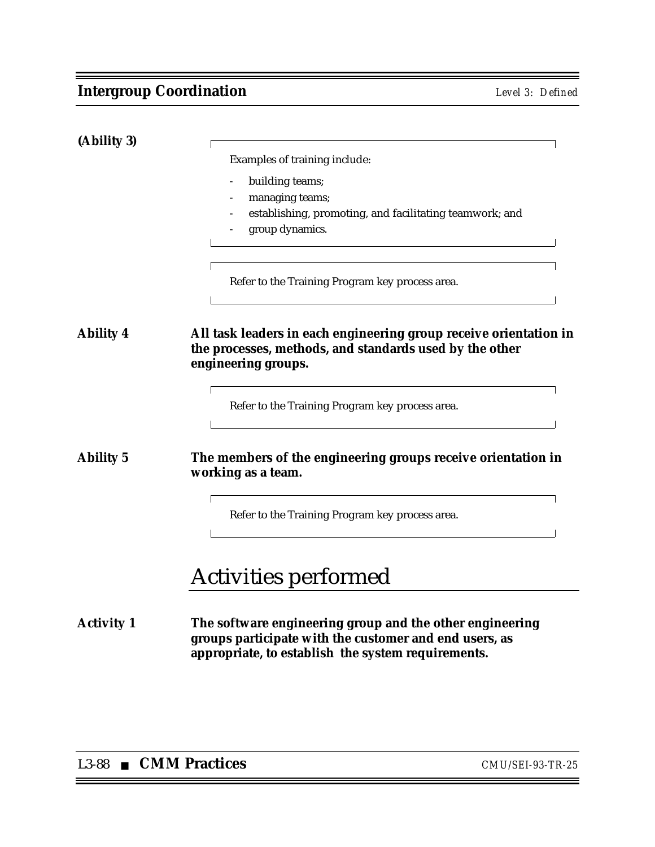# **Intergroup Coordination** *Level 3: Defined*

| (Ability 3)       | Examples of training include:<br>building teams;<br>managing teams;<br>$\blacksquare$<br>establishing, promoting, and facilitating teamwork; and<br>group dynamics.      |
|-------------------|--------------------------------------------------------------------------------------------------------------------------------------------------------------------------|
|                   | Refer to the Training Program key process area.                                                                                                                          |
| <b>Ability 4</b>  | All task leaders in each engineering group receive orientation in<br>the processes, methods, and standards used by the other<br>engineering groups.                      |
|                   | Refer to the Training Program key process area.                                                                                                                          |
| <b>Ability 5</b>  | The members of the engineering groups receive orientation in<br>working as a team.                                                                                       |
|                   | Refer to the Training Program key process area.                                                                                                                          |
|                   | <b>Activities performed</b>                                                                                                                                              |
| <b>Activity 1</b> | The software engineering group and the other engineering<br>groups participate with the customer and end users, as<br>appropriate, to establish the system requirements. |

 $=$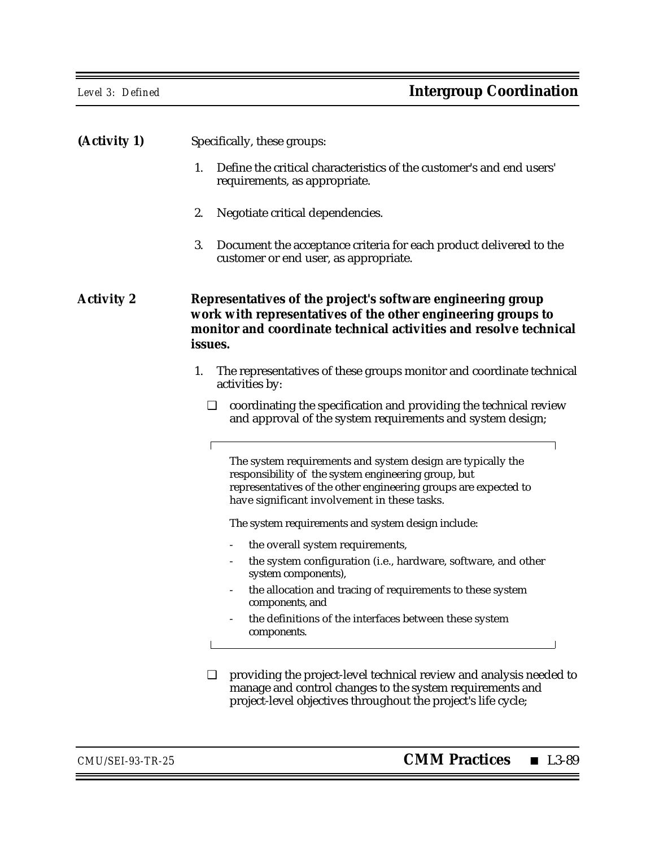| (Activity 1)      | Specifically, these groups:                                                                                                                                                                                                           |
|-------------------|---------------------------------------------------------------------------------------------------------------------------------------------------------------------------------------------------------------------------------------|
|                   | 1.<br>Define the critical characteristics of the customer's and end users'<br>requirements, as appropriate.                                                                                                                           |
|                   | 2.<br>Negotiate critical dependencies.                                                                                                                                                                                                |
|                   | 3.<br>Document the acceptance criteria for each product delivered to the<br>customer or end user, as appropriate.                                                                                                                     |
| <b>Activity 2</b> | Representatives of the project's software engineering group<br>work with representatives of the other engineering groups to<br>monitor and coordinate technical activities and resolve technical<br>issues.                           |
|                   | 1.<br>The representatives of these groups monitor and coordinate technical<br>activities by:                                                                                                                                          |
|                   | coordinating the specification and providing the technical review<br>⊔<br>and approval of the system requirements and system design;                                                                                                  |
|                   | The system requirements and system design are typically the<br>responsibility of the system engineering group, but<br>representatives of the other engineering groups are expected to<br>have significant involvement in these tasks. |
|                   | The system requirements and system design include:                                                                                                                                                                                    |
|                   | the overall system requirements,                                                                                                                                                                                                      |
|                   | the system configuration (i.e., hardware, software, and other<br>Ξ.<br>system components),                                                                                                                                            |
|                   | the allocation and tracing of requirements to these system<br>components, and                                                                                                                                                         |
|                   | the definitions of the interfaces between these system<br>components.                                                                                                                                                                 |
|                   |                                                                                                                                                                                                                                       |
|                   | ❏<br>providing the project-level technical review and analysis needed to                                                                                                                                                              |

manage and control changes to the system requirements and project-level objectives throughout the project's life cycle;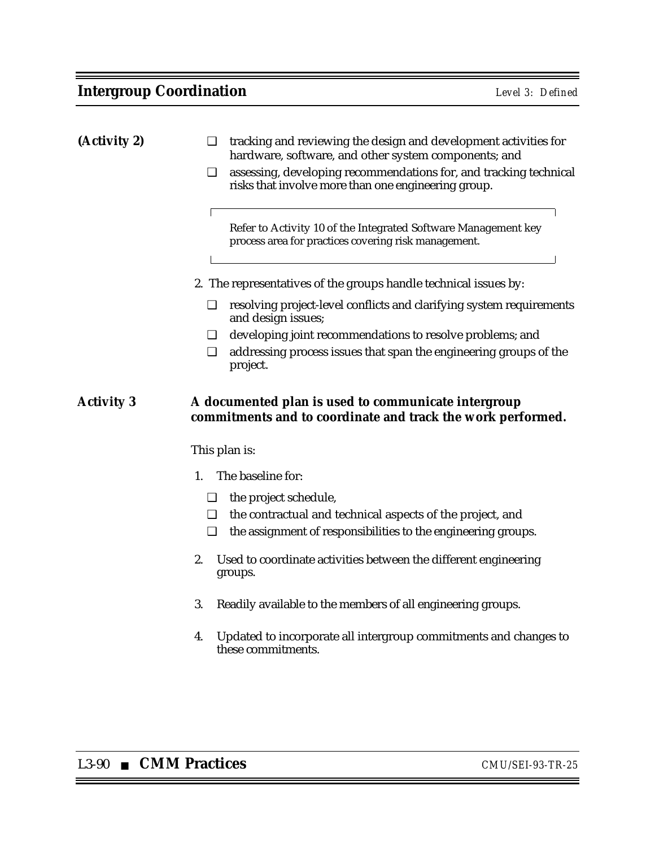| (Activity 2)      | tracking and reviewing the design and development activities for<br>$\Box$<br>hardware, software, and other system components; and |
|-------------------|------------------------------------------------------------------------------------------------------------------------------------|
|                   | assessing, developing recommendations for, and tracking technical<br>❏<br>risks that involve more than one engineering group.      |
|                   | Refer to Activity 10 of the Integrated Software Management key<br>process area for practices covering risk management.             |
|                   | 2. The representatives of the groups handle technical issues by:                                                                   |
|                   | resolving project-level conflicts and clarifying system requirements<br>$\Box$<br>and design issues;                               |
|                   | developing joint recommendations to resolve problems; and<br>⊔                                                                     |
|                   | addressing process issues that span the engineering groups of the<br>❏<br>project.                                                 |
| <b>Activity 3</b> | A documented plan is used to communicate intergroup<br>commitments and to coordinate and track the work performed.                 |
|                   | This plan is:                                                                                                                      |
|                   | The baseline for:<br>1.                                                                                                            |
|                   | the project schedule,<br>❏                                                                                                         |
|                   | the contractual and technical aspects of the project, and<br>$\Box$                                                                |
|                   | the assignment of responsibilities to the engineering groups.<br>❏                                                                 |
|                   | 2.<br>Used to coordinate activities between the different engineering<br>groups.                                                   |
|                   | 3.<br>Readily available to the members of all engineering groups.                                                                  |
|                   |                                                                                                                                    |

 $=$ 

Ξ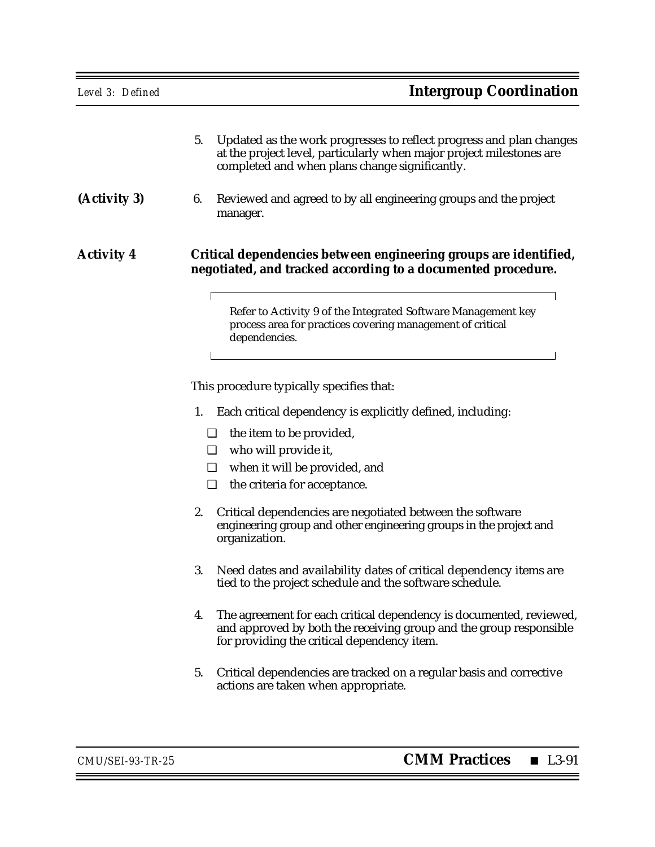|                   | 5.<br>Updated as the work progresses to reflect progress and plan changes<br>at the project level, particularly when major project milestones are<br>completed and when plans change significantly. |
|-------------------|-----------------------------------------------------------------------------------------------------------------------------------------------------------------------------------------------------|
| (Activity 3)      | 6.<br>Reviewed and agreed to by all engineering groups and the project<br>manager.                                                                                                                  |
| <b>Activity 4</b> | Critical dependencies between engineering groups are identified,<br>negotiated, and tracked according to a documented procedure.                                                                    |
|                   | Refer to Activity 9 of the Integrated Software Management key<br>process area for practices covering management of critical<br>dependencies.                                                        |
|                   | This procedure typically specifies that:                                                                                                                                                            |
|                   | Each critical dependency is explicitly defined, including:<br>1.                                                                                                                                    |
|                   | the item to be provided,<br>$\Box$                                                                                                                                                                  |
|                   | who will provide it,<br>❏                                                                                                                                                                           |
|                   | when it will be provided, and<br>❏                                                                                                                                                                  |
|                   | the criteria for acceptance.<br>$\Box$                                                                                                                                                              |
|                   | 2.<br>Critical dependencies are negotiated between the software<br>engineering group and other engineering groups in the project and<br>organization.                                               |
|                   | Aland datas and anallahility datas of outfield damaged announce                                                                                                                                     |

- 3. Need dates and availability dates of critical dependency items are tied to the project schedule and the software schedule.
- 4. The agreement for each critical dependency is documented, reviewed, and approved by both the receiving group and the group responsible for providing the critical dependency item.
- 5. Critical dependencies are tracked on a regular basis and corrective actions are taken when appropriate.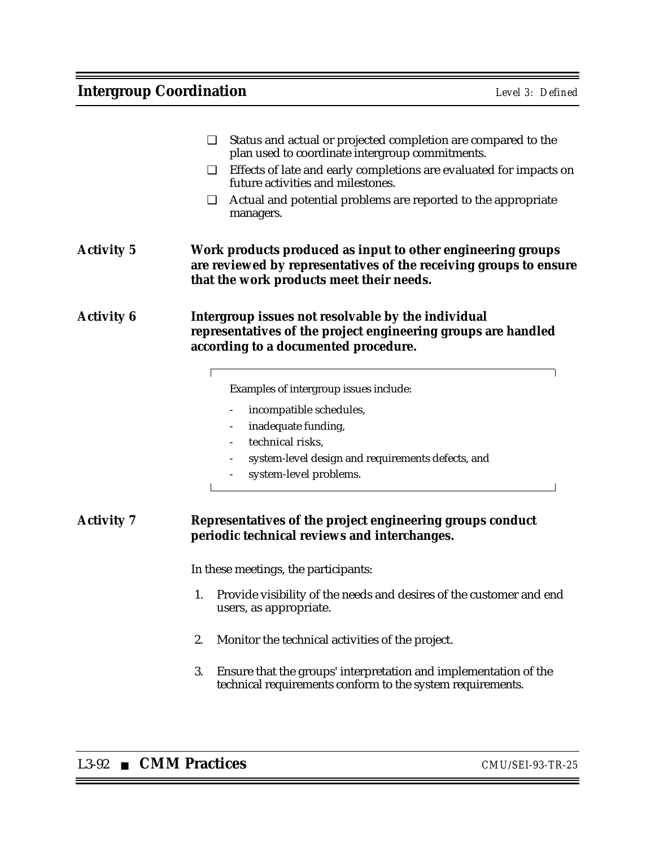Ξ

### **Intergroup Coordination** *Level 3: Defined*

|                   | Status and actual or projected completion are compared to the<br>$\Box$<br>plan used to coordinate intergroup commitments.                                                   |
|-------------------|------------------------------------------------------------------------------------------------------------------------------------------------------------------------------|
|                   | Effects of late and early completions are evaluated for impacts on<br>$\Box$<br>future activities and milestones.                                                            |
|                   | Actual and potential problems are reported to the appropriate<br>$\Box$<br>managers.                                                                                         |
| <b>Activity 5</b> | Work products produced as input to other engineering groups<br>are reviewed by representatives of the receiving groups to ensure<br>that the work products meet their needs. |
| <b>Activity 6</b> | Intergroup issues not resolvable by the individual<br>representatives of the project engineering groups are handled<br>according to a documented procedure.                  |
|                   | Examples of intergroup issues include:                                                                                                                                       |
|                   | incompatible schedules,                                                                                                                                                      |
|                   | inadequate funding,<br>$\blacksquare$                                                                                                                                        |
|                   | technical risks,                                                                                                                                                             |
|                   | system-level design and requirements defects, and                                                                                                                            |
|                   | system-level problems.                                                                                                                                                       |
| <b>Activity 7</b> | Representatives of the project engineering groups conduct<br>periodic technical reviews and interchanges.                                                                    |
|                   | In these meetings, the participants:                                                                                                                                         |
|                   | Provide visibility of the needs and desires of the customer and end<br>1.<br>users, as appropriate.                                                                          |
|                   | 2.<br>Monitor the technical activities of the project.                                                                                                                       |
|                   | 3.<br>Ensure that the groups' interpretation and implementation of the<br>technical requirements conform to the system requirements.                                         |

 $=$ 

Ξ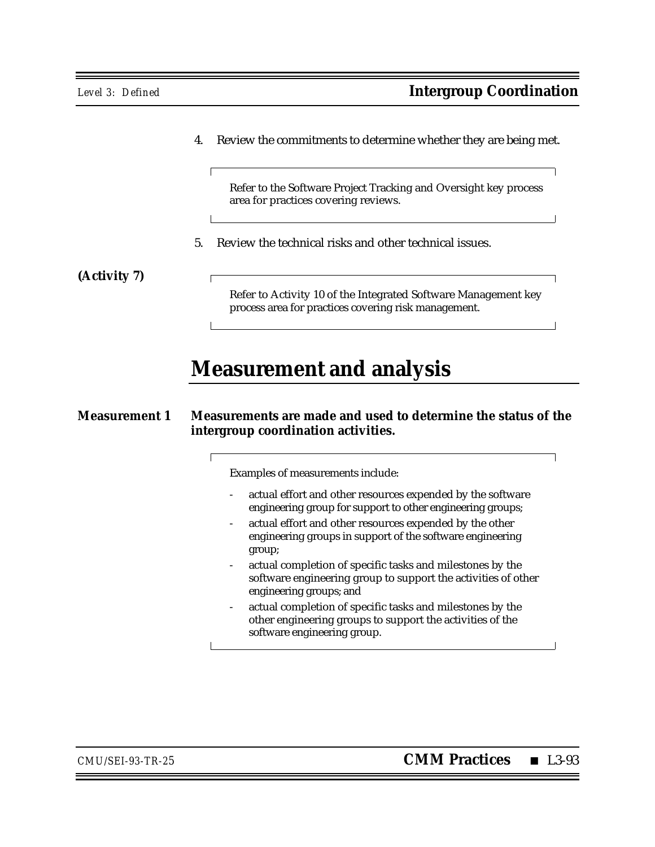Г

 $\sqrt{ }$ 

٦

 $\blacksquare$ 

٦

4. Review the commitments to determine whether they are being met.

Refer to the Software Project Tracking and Oversight key process area for practices covering reviews.

5. Review the technical risks and other technical issues.

**(Activity 7)**

Refer to Activity 10 of the Integrated Software Management key process area for practices covering risk management.

### **Measurement and analysis**

#### **Measurement 1 Measurements are made and used to determine the status of the intergroup coordination activities.**

Examples of measurements include:

- actual effort and other resources expended by the software engineering group for support to other engineering groups;
- actual effort and other resources expended by the other engineering groups in support of the software engineering group;
- actual completion of specific tasks and milestones by the software engineering group to support the activities of other engineering groups; and
- actual completion of specific tasks and milestones by the other engineering groups to support the activities of the software engineering group. **Contract Contract**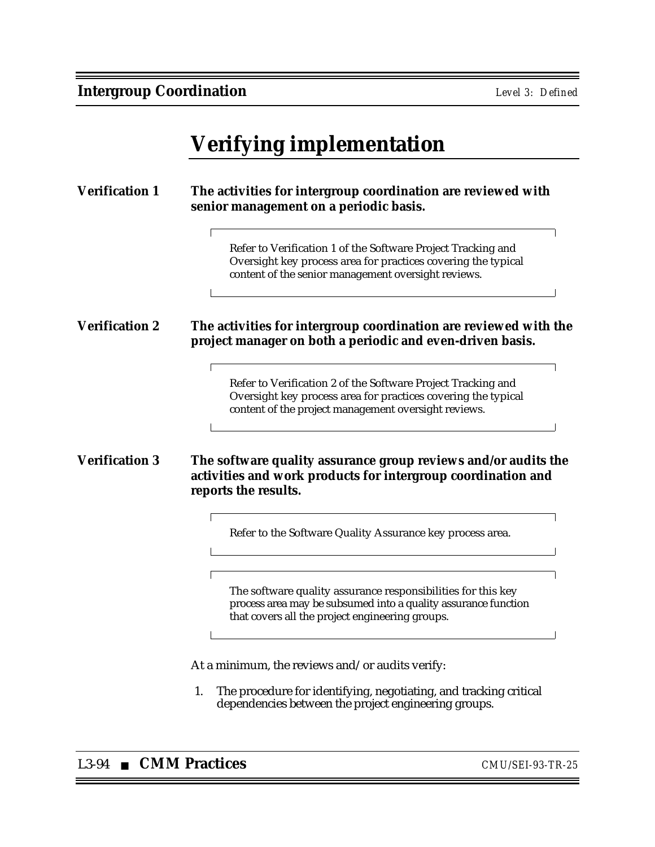#### **Intergroup Coordination** *Level 3: Defined*

# **Verifying implementation**

| <b>Verification 1</b> | The activities for intergroup coordination are reviewed with<br>senior management on a periodic basis.                                                                                |
|-----------------------|---------------------------------------------------------------------------------------------------------------------------------------------------------------------------------------|
|                       | Refer to Verification 1 of the Software Project Tracking and<br>Oversight key process area for practices covering the typical<br>content of the senior management oversight reviews.  |
| <b>Verification 2</b> | The activities for intergroup coordination are reviewed with the<br>project manager on both a periodic and even-driven basis.                                                         |
|                       | Refer to Verification 2 of the Software Project Tracking and<br>Oversight key process area for practices covering the typical<br>content of the project management oversight reviews. |
| <b>Verification 3</b> | The software quality assurance group reviews and/or audits the<br>activities and work products for intergroup coordination and<br>reports the results.                                |
|                       | Refer to the Software Quality Assurance key process area.                                                                                                                             |
|                       | The software quality assurance responsibilities for this key<br>process area may be subsumed into a quality assurance function<br>that covers all the project engineering groups.     |
|                       | At a minimum, the reviews and/or audits verify:                                                                                                                                       |
|                       | 1.<br>The procedure for identifying, negotiating, and tracking critical<br>dependencies between the project engineering groups.                                                       |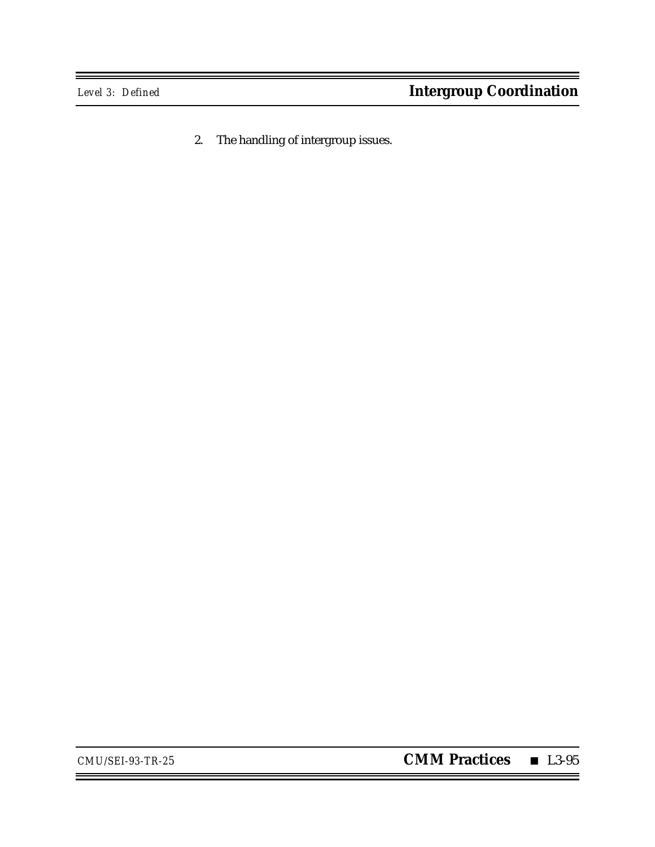2. The handling of intergroup issues.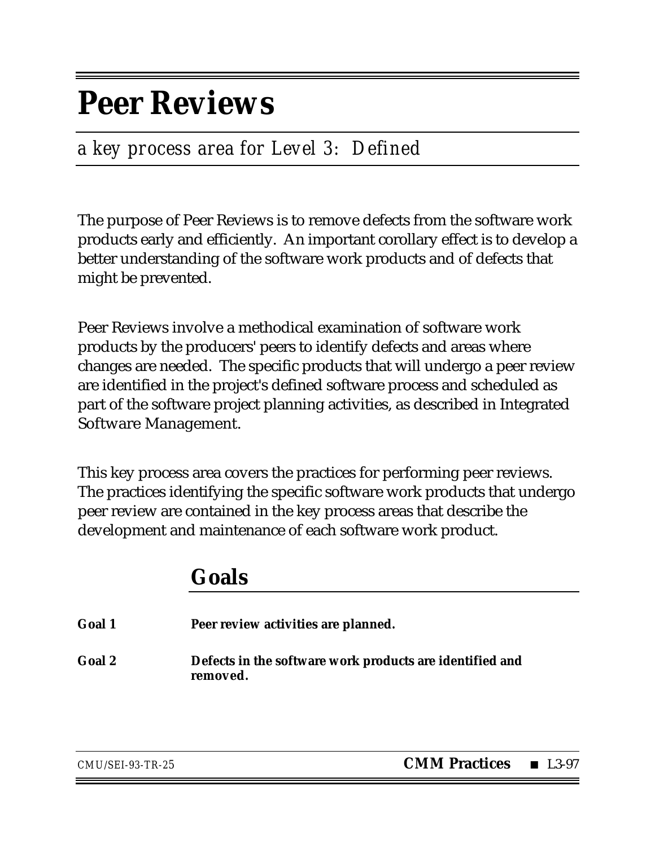# **Peer Reviews**

## *a key process area for Level 3: Defined*

The purpose of Peer Reviews is to remove defects from the software work products early and efficiently. An important corollary effect is to develop a better understanding of the software work products and of defects that might be prevented.

Peer Reviews involve a methodical examination of software work products by the producers' peers to identify defects and areas where changes are needed. The specific products that will undergo a peer review are identified in the project's defined software process and scheduled as part of the software project planning activities, as described in Integrated Software Management.

This key process area covers the practices for performing peer reviews. The practices identifying the specific software work products that undergo peer review are contained in the key process areas that describe the development and maintenance of each software work product.

# **Goals**

| Goal 1        | Peer review activities are planned.                                  |
|---------------|----------------------------------------------------------------------|
| <b>Goal 2</b> | Defects in the software work products are identified and<br>removed. |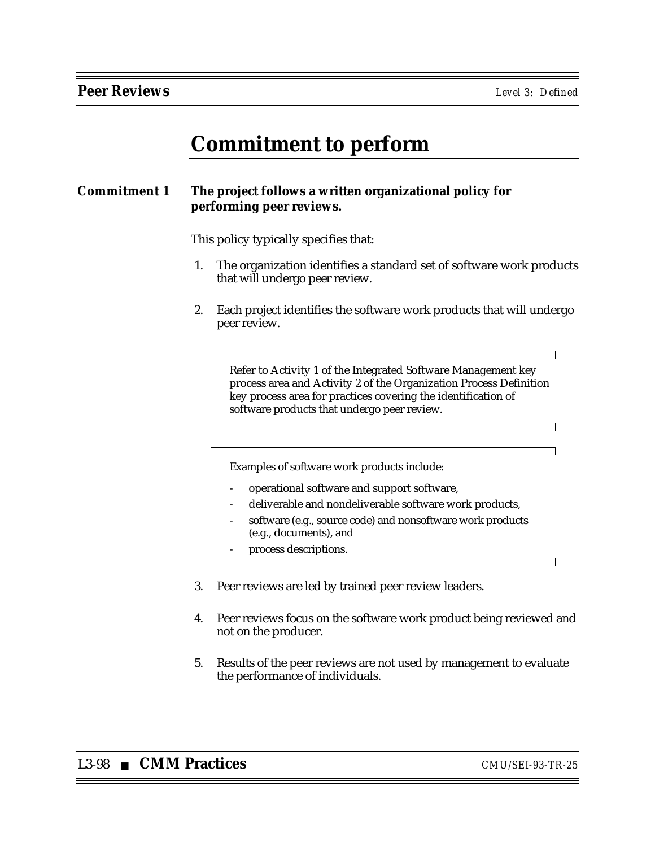# **Commitment to perform**

#### **Commitment 1 The project follows a written organizational policy for performing peer reviews.**

This policy typically specifies that:

 $\sqrt{ }$ 

 $\sqrt{ }$ 

- 1. The organization identifies a standard set of software work products that will undergo peer review.
- 2. Each project identifies the software work products that will undergo peer review.

Refer to Activity 1 of the Integrated Software Management key process area and Activity 2 of the Organization Process Definition key process area for practices covering the identification of software products that undergo peer review.

Examples of software work products include:

- operational software and support software,
- deliverable and nondeliverable software work products,
- software (e.g., source code) and nonsoftware work products (e.g., documents), and
- process descriptions.
- 3. Peer reviews are led by trained peer review leaders.
- 4. Peer reviews focus on the software work product being reviewed and not on the producer.
- 5. Results of the peer reviews are not used by management to evaluate the performance of individuals.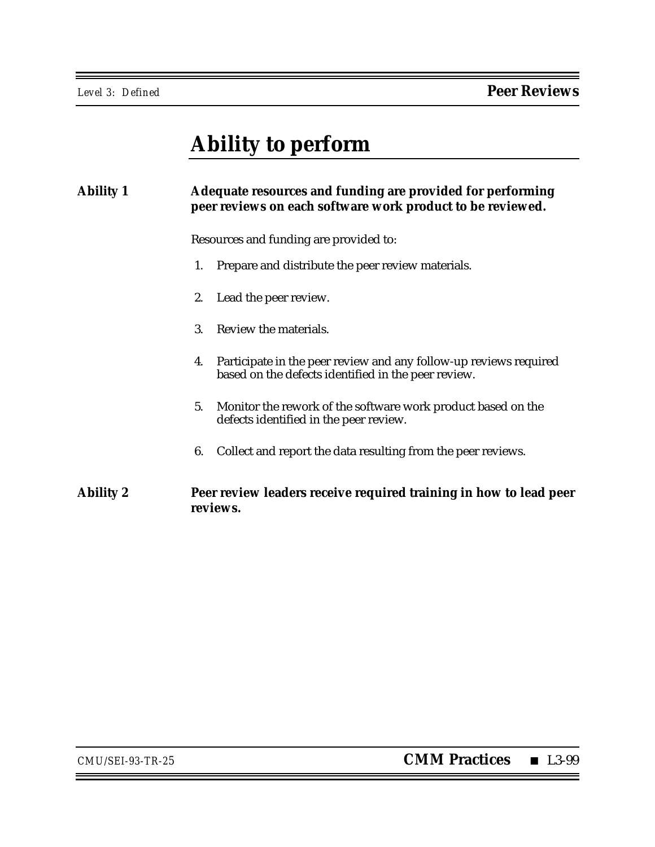# **Ability to perform**

#### **Ability 1 Adequate resources and funding are provided for performing peer reviews on each software work product to be reviewed.**

Resources and funding are provided to:

- 1. Prepare and distribute the peer review materials.
- 2. Lead the peer review.
- 3. Review the materials.
- 4. Participate in the peer review and any follow-up reviews required based on the defects identified in the peer review.
- 5. Monitor the rework of the software work product based on the defects identified in the peer review.
- 6. Collect and report the data resulting from the peer reviews.

#### **Ability 2 Peer review leaders receive required training in how to lead peer reviews.**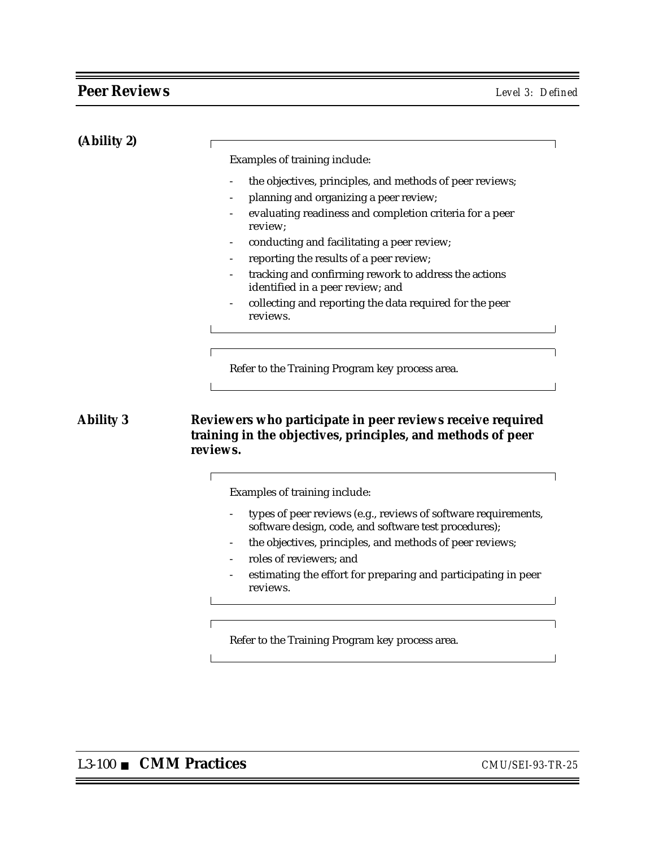| (Ability 2)      |                                                                                                                                       |
|------------------|---------------------------------------------------------------------------------------------------------------------------------------|
|                  | Examples of training include:                                                                                                         |
|                  | the objectives, principles, and methods of peer reviews;                                                                              |
|                  | planning and organizing a peer review;                                                                                                |
|                  | evaluating readiness and completion criteria for a peer<br>review:                                                                    |
|                  | conducting and facilitating a peer review;<br>$\overline{\phantom{a}}$                                                                |
|                  | reporting the results of a peer review;<br>$\overline{\phantom{a}}$                                                                   |
|                  | tracking and confirming rework to address the actions<br>identified in a peer review; and                                             |
|                  | collecting and reporting the data required for the peer<br>reviews.                                                                   |
|                  | Refer to the Training Program key process area.                                                                                       |
|                  |                                                                                                                                       |
| <b>Ability 3</b> | Reviewers who participate in peer reviews receive required<br>training in the objectives, principles, and methods of peer<br>reviews. |
|                  | Examples of training include:                                                                                                         |
|                  | types of peer reviews (e.g., reviews of software requirements,<br>software design, code, and software test procedures);               |
|                  | the objectives, principles, and methods of peer reviews;<br>$\overline{\phantom{a}}$                                                  |
|                  | roles of reviewers; and                                                                                                               |
|                  | estimating the effort for preparing and participating in peer<br>reviews.                                                             |

 $\qquad \qquad =\qquad$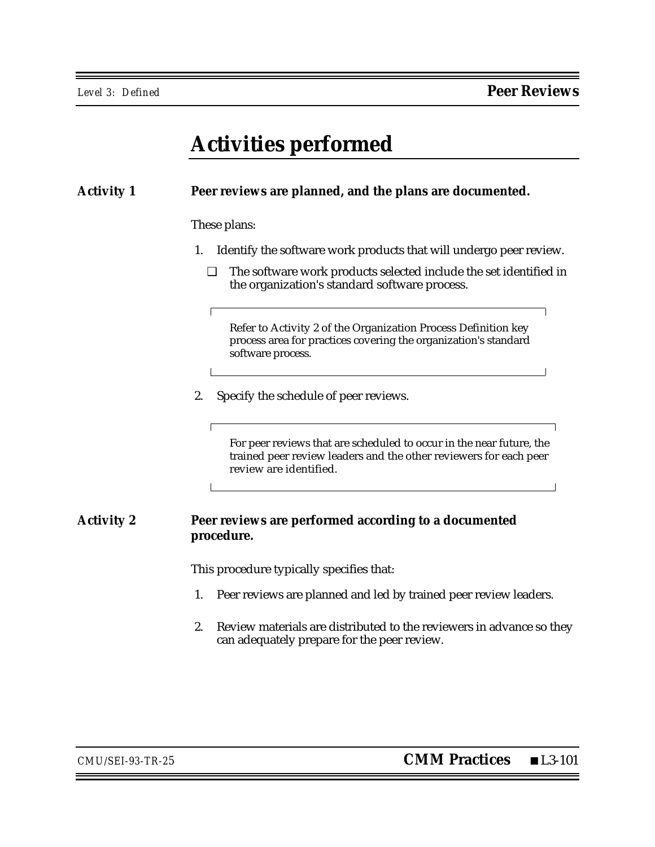$\overline{\phantom{0}}$ 

# **Activities performed**

**Activity 1 Peer reviews are planned, and the plans are documented.**

These plans:

 $\sqrt{ }$ 

- 1. Identify the software work products that will undergo peer review.
	- ❑ The software work products selected include the set identified in the organization's standard software process.

Refer to Activity 2 of the Organization Process Definition key process area for practices covering the organization's standard software process.

2. Specify the schedule of peer reviews.

For peer reviews that are scheduled to occur in the near future, the trained peer review leaders and the other reviewers for each peer review are identified.

#### **Activity 2 Peer reviews are performed according to a documented procedure.**

This procedure typically specifies that:

- 1. Peer reviews are planned and led by trained peer review leaders.
- 2. Review materials are distributed to the reviewers in advance so they can adequately prepare for the peer review.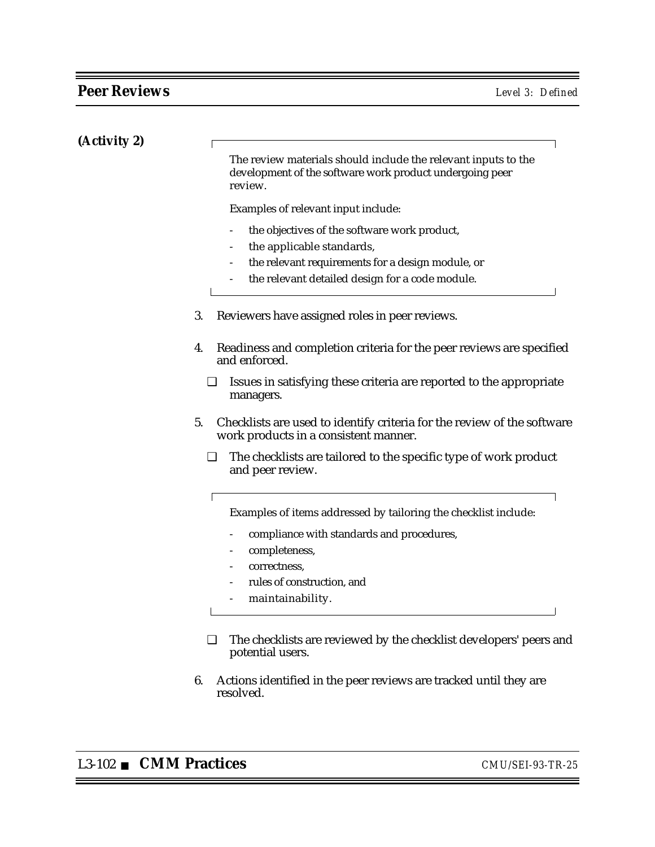| (Activity 2) |                                                                                                                                       |
|--------------|---------------------------------------------------------------------------------------------------------------------------------------|
|              | The review materials should include the relevant inputs to the<br>development of the software work product undergoing peer<br>review. |
|              | Examples of relevant input include:                                                                                                   |
|              | the objectives of the software work product,<br>the applicable standards,<br>the relevant requirements for a design module, or        |
|              | the relevant detailed design for a code module.                                                                                       |
|              | 3.<br>Reviewers have assigned roles in peer reviews.                                                                                  |
|              | Readiness and completion criteria for the peer reviews are specified<br>4.<br>and enforced.                                           |
|              | Issues in satisfying these criteria are reported to the appropriate<br>⊔<br>managers.                                                 |
|              | 5.<br>Checklists are used to identify criteria for the review of the software<br>work products in a consistent manner.                |
|              | The checklists are tailored to the specific type of work product<br>❏<br>and peer review.                                             |
|              | Examples of items addressed by tailoring the checklist include:                                                                       |
|              | compliance with standards and procedures,                                                                                             |
|              | completeness,<br>correctness,                                                                                                         |
|              | rules of construction, and<br>$\overline{\phantom{a}}$                                                                                |
|              | maintainability.                                                                                                                      |
|              | The checklists are reviewed by the checklist developers' peers and<br>❏<br>potential users.                                           |

6. Actions identified in the peer reviews are tracked until they are resolved.

Ξ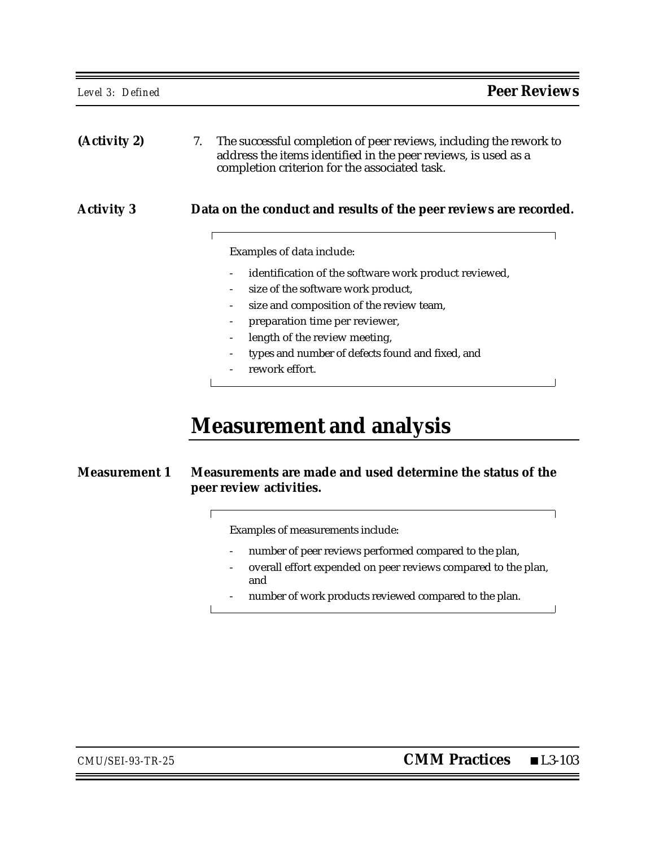$\overline{\phantom{a}}$ 

 $\overline{\phantom{a}}$ 

| (Activity 2)      | The successful completion of peer reviews, including the rework to<br>7.<br>address the items identified in the peer reviews, is used as a<br>completion criterion for the associated task. |
|-------------------|---------------------------------------------------------------------------------------------------------------------------------------------------------------------------------------------|
| <b>Activity 3</b> | Data on the conduct and results of the peer reviews are recorded.                                                                                                                           |
|                   | Examples of data include:                                                                                                                                                                   |
|                   | identification of the software work product reviewed,<br>$\overline{\phantom{a}}$                                                                                                           |
|                   | size of the software work product,                                                                                                                                                          |
|                   | size and composition of the review team,                                                                                                                                                    |
|                   | preparation time per reviewer,                                                                                                                                                              |
|                   | length of the review meeting,                                                                                                                                                               |
|                   | types and number of defects found and fixed, and<br>$\overline{\phantom{a}}$<br>$\mathbf{r}$                                                                                                |

rework effort.

 $\sqrt{2}$ 

# **Measurement and analysis**

#### **Measurement 1 Measurements are made and used determine the status of the peer review activities.**

Examples of measurements include:

- number of peer reviews performed compared to the plan,
- overall effort expended on peer reviews compared to the plan, and
- number of work products reviewed compared to the plan.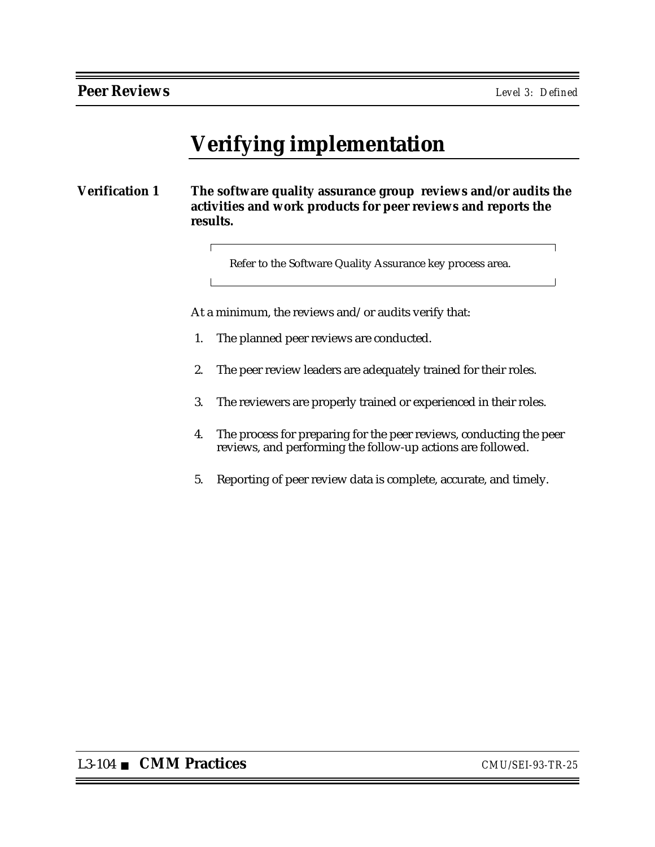$\sqrt{2}$ 

# **Verifying implementation**

#### **Verification 1 The software quality assurance group reviews and/or audits the activities and work products for peer reviews and reports the results.**

Refer to the Software Quality Assurance key process area.

At a minimum, the reviews and/or audits verify that:

- 1. The planned peer reviews are conducted.
- 2. The peer review leaders are adequately trained for their roles.
- 3. The reviewers are properly trained or experienced in their roles.
- 4. The process for preparing for the peer reviews, conducting the peer reviews, and performing the follow-up actions are followed.
- 5. Reporting of peer review data is complete, accurate, and timely.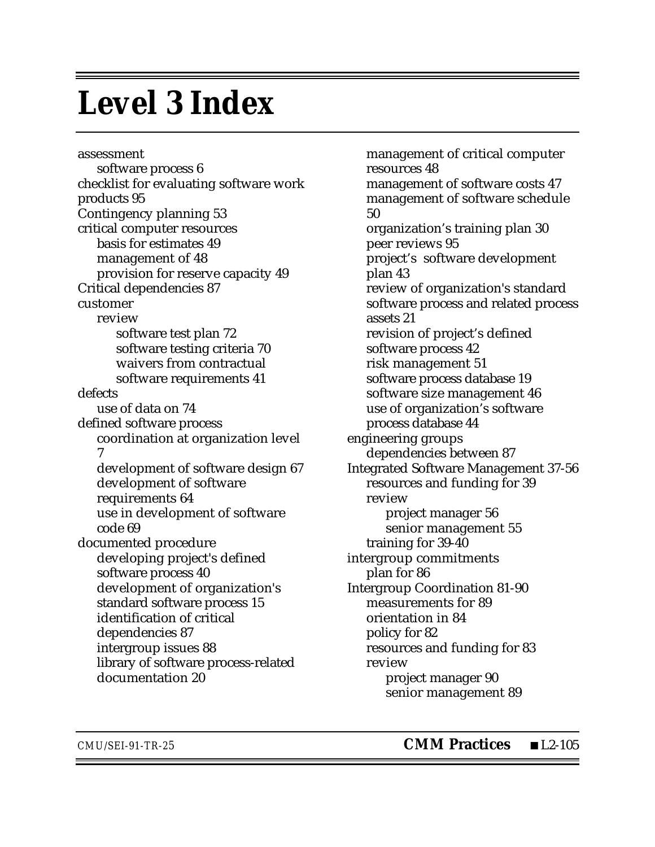# **Level 3 Index**

software process 6 resources 48 checklist for evaluating software work products 95 Contingency planning 53 50 critical computer resources organization's training plan 30 basis for estimates 49 peer reviews 95 management of 48 project's software development provision for reserve capacity 49 plan 43 Critical dependencies 87 review of organization's standard customer review software test plan 72 revision of project's defined software testing criteria 70 software process 42 waivers from contractual software requirements 41 defects defects software size management 46 use of data on 74 use of organization's software defined software process quality of the process database 44 coordination at organization level 7 development of software requirements 64 use in development of software code 69 documented procedure training for 39-40 developing project's defined software process 40 development of organization's standard software process 15 identification of critical dependencies 87 intergroup issues 88 resources and funding for 83 library of software process-related documentation 20

assessment management of critical computer management of software costs 47 management of software schedule software process and related process assets 21 risk management 51 software process database 19 engineering groups dependencies between 87 development of software design 67 Integrated Software Management 37-56 resources and funding for 39 review project manager 56 senior management 55 intergroup commitments plan for 86 Intergroup Coordination 81-90 measurements for 89 orientation in 84 policy for 82 review project manager 90 senior management 89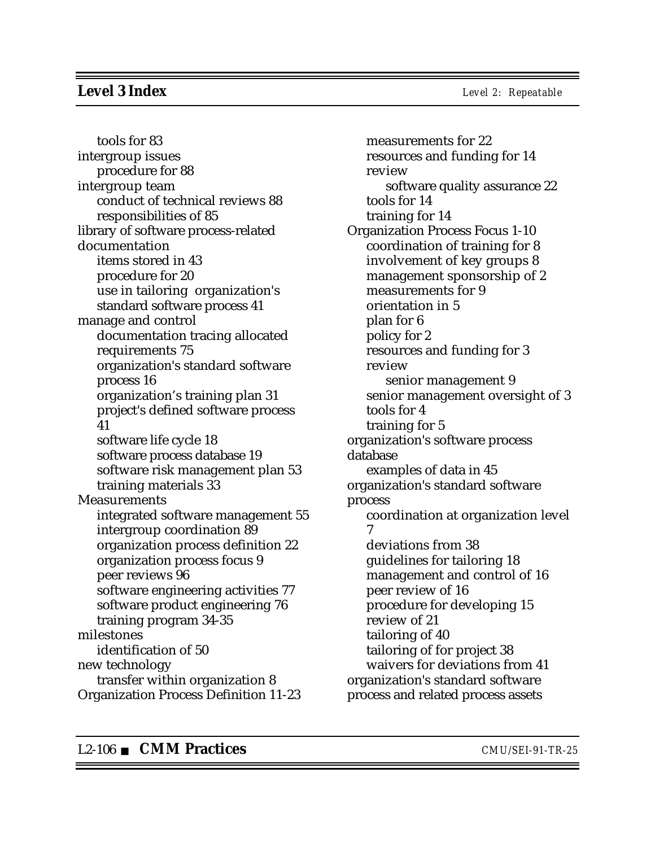#### **Level 3 Index** *Level 2: Repeatable*

tools for 83 measurements for 22 intergroup issues resources and funding for 14 procedure for 88 review intergroup team software quality assurance 22 conduct of technical reviews 88 tools for 14 responsibilities of 85 training for 14 library of software process-related documentation items stored in 43 involvement of key groups 8 procedure for 20 management sponsorship of 2 use in tailoring organization's standard software process 41 manage and control plan for 6 documentation tracing allocated requirements 75 organization's standard software process 16 project's defined software process 41 software life cycle 18 organization's software process software process database 19 database software risk management plan 53 examples of data in 45 Measurements **process** intergroup coordination 89 organization process definition 22 deviations from 38 organization process focus 9 guidelines for tailoring 18 peer reviews 96 management and control of 16 software engineering activities 77 peer review of 16 software product engineering 76 procedure for developing 15 training program 34-35 review of 21 milestones tailoring of 40 identification of 50 tailoring of for project 38 new technology waivers for deviations from 41 transfer within organization 8 organization's standard software Organization Process Definition 11-23 process and related process assets

Organization Process Focus 1-10 coordination of training for 8 measurements for 9 orientation in 5 policy for 2 resources and funding for 3 review senior management 9 organization's training plan 31 senior management oversight of 3 tools for 4 training for 5 organization's standard software integrated software management 55 coordination at organization level

#### L2-106 ■ **CMM Practices** *CMU/SEI-91-TR-25*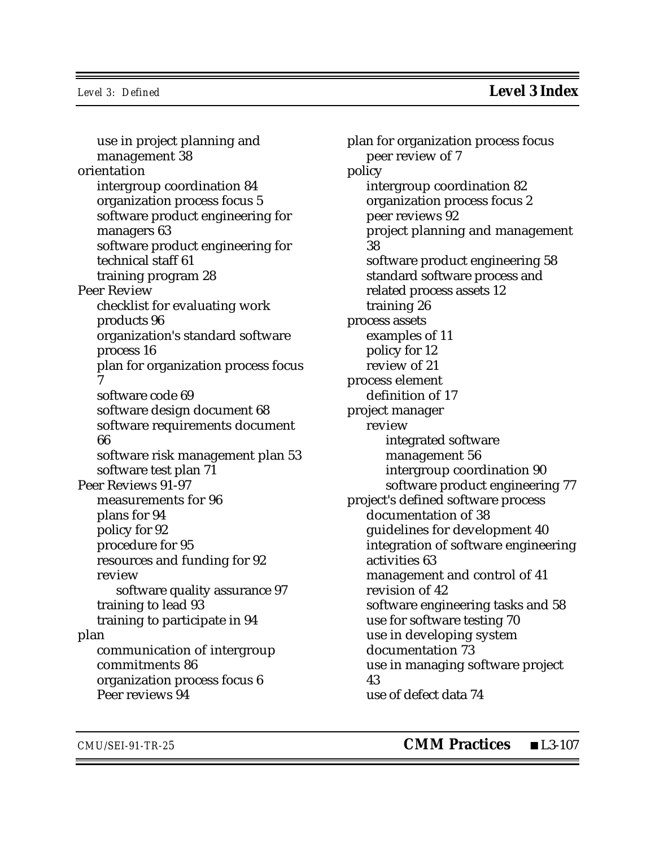use in project planning and management 38 orientation policy intergroup coordination 84 intergroup coordination 82 organization process focus 5 organization process focus 2 software product engineering for managers 63 software product engineering for 38 training program 28 standard software process and Peer Review related process assets 12 checklist for evaluating work products 96 organization's standard software process 16 plan for organization process focus 7 software code 69 definition of 17 software design document 68 project manager software requirements document 66 software risk management plan 53 management 56 software test plan 71 intergroup coordination 90 measurements for 96 project's defined software process plans for 94 documentation of 38 policy for 92 guidelines for development 40 resources and funding for 92 activities 63 review management and control of 41 software quality assurance 97 revision of 42 training to participate in 94 use for software testing 70 plan use in developing system communication of intergroup documentation 73 organization process focus 6 43 Peer reviews 94 use of defect data 74

plan for organization process focus peer review of 7 peer reviews 92 project planning and management technical staff 61 software product engineering 58 training 26 process assets examples of 11 policy for 12 review of 21 process element review integrated software Peer Reviews 91-97 software product engineering 77 procedure for 95 integration of software engineering training to lead 93 software engineering tasks and 58 commitments 86 use in managing software project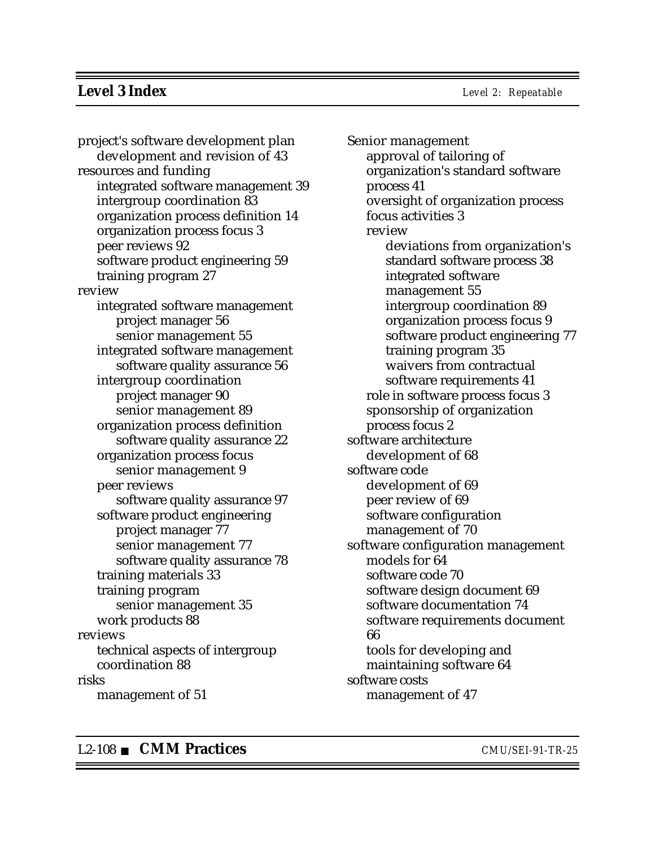project's software development plan Senior management development and revision of 43 approval of tailoring of resources and funding integrated software management 39 organization process definition 14 focus activities 3 organization process focus 3 review software product engineering 59 standard software process 38 training program 27 integrated software review management 55 integrated software management intergroup coordination 89 integrated software management training program 35 software quality assurance 56 waivers from contractual intergroup coordination software requirements 41 senior management 89 sponsorship of organization organization process definition process focus 2 software quality assurance 22 software architecture organization process focus development of 68 senior management 9 software code peer reviews development of 69 software quality assurance 97 peer review of 69 software product engineering software configuration project manager 77 management of 70 software quality assurance 78 models for 64 training materials 33 software code 70 training program software design document 69 senior management 35 software documentation 74 reviews 66 technical aspects of intergroup coordination 88 risks software costs management of 51 management of 47

organization's standard software process 41 intergroup coordination 83 oversight of organization process peer reviews 92 deviations from organization's project manager 56 organization process focus 9 senior management 55 software product engineering 77 project manager 90 role in software process focus 3 senior management 77 software configuration management work products 88 software requirements document tools for developing and maintaining software 64

#### L2-108 ■ **CMM Practices** *CMU/SEI-91-TR-25*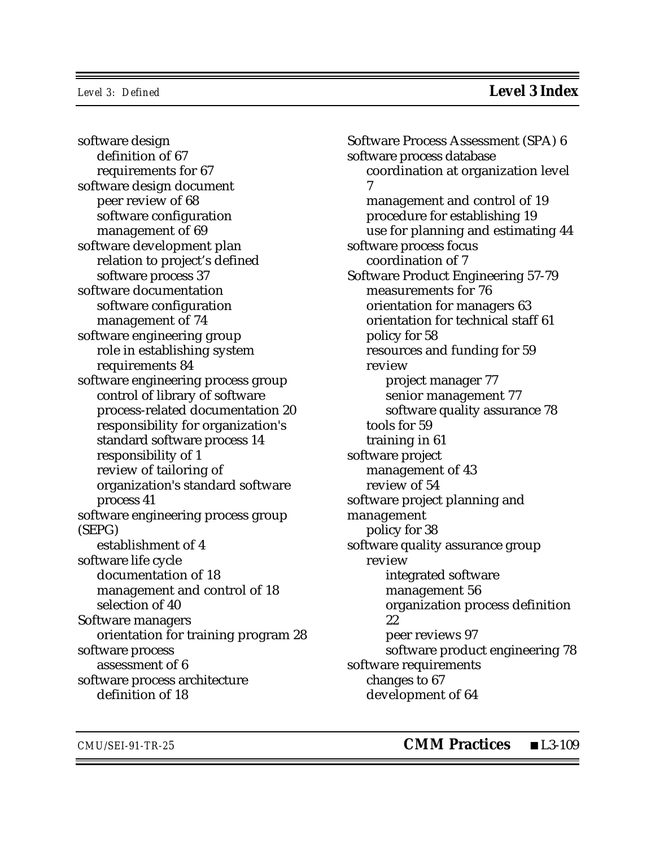definition of 67 software process database software design document 7 peer review of 68 management and control of 19 software configuration management of 69 software development plan software process focus relation to project's defined software process 37 software documentation measurements for 76 software configuration management of 74 software engineering group policy for 58 role in establishing system requirements 84 software engineering process group project manager 77 control of library of software process-related documentation 20 responsibility for organization's standard software process 14 responsibility of 1 software project review of tailoring of organization's standard software process 41 software engineering process group management (SEPG) policy for 38<br>establishment of 4 software quality software life cycle review documentation of 18 integrated software management and control of 18 management 56 Software managers 22 orientation for training program 28 peer reviews 97 assessment of 6 software requirements software process architecture changes to 67<br>definition of 18 development

software design Software Process Assessment (SPA) 6 requirements for 67 coordination at organization level procedure for establishing 19 use for planning and estimating 44 coordination of 7 Software Product Engineering 57-79 orientation for managers 63 orientation for technical staff 61 resources and funding for 59 review senior management 77 software quality assurance 78 tools for 59 training in 61 management of 43 review of 54 software project planning and software quality assurance group selection of 40 organization process definition software process software product engineering 78 development of 64

*CMU/SEI-91-TR-25* **CMM Practices** ■ L3-109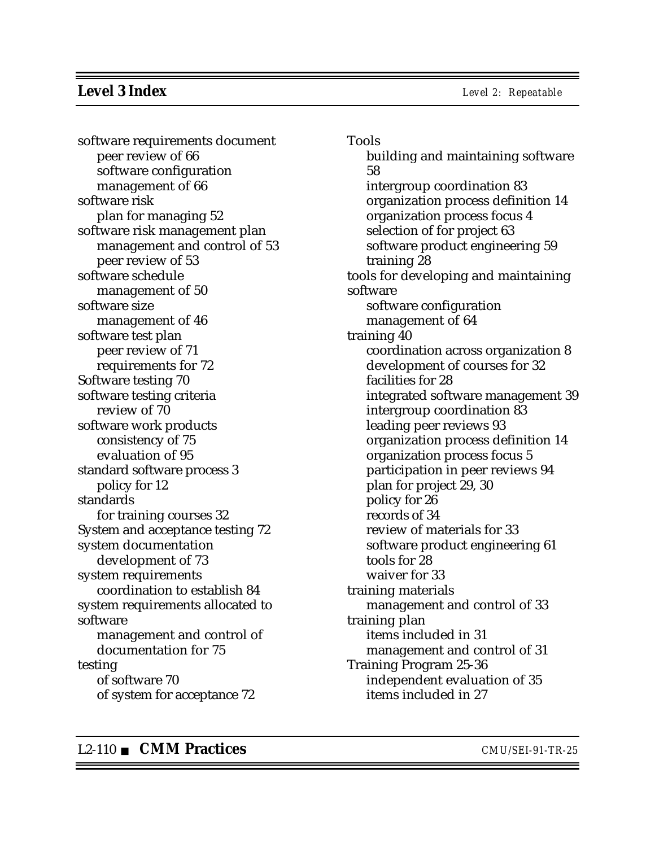software requirements document Tools software configuration 58 management of 66 intergroup coordination 83 plan for managing 52 organization process focus 4 software risk management plan selection of for project 63 peer review of 53 training 28 management of 50 software software size software configuration management of 46 management of 64 software test plan training 40 Software testing 70 facilities for 28 review of 70 intergroup coordination 83 software work products leading peer reviews 93 evaluation of 95 organization process focus 5 policy for 12 plan for project 29, 30 standards policy for 26 for training courses 32 records of 34 System and acceptance testing 72 review of materials for 33 development of 73 tools for 28 system requirements waiver for 33 coordination to establish 84 training materials system requirements allocated to software management and control of documentation for 75 testing Training Program 25-36 of system for acceptance 72 items included in 27

peer review of 66 building and maintaining software software risk organization process definition 14 management and control of 53 software product engineering 59 software schedule tools for developing and maintaining peer review of 71 coordination across organization 8 requirements for 72 development of courses for 32 software testing criteria integrated software management 39 consistency of 75 organization process definition 14 standard software process 3 participation in peer reviews 94 system documentation software product engineering 61 management and control of 33 training plan items included in 31 management and control of 31 of software 70 independent evaluation of 35

#### L2-110 ■ **CMM Practices** *CMU/SEI-91-TR-25*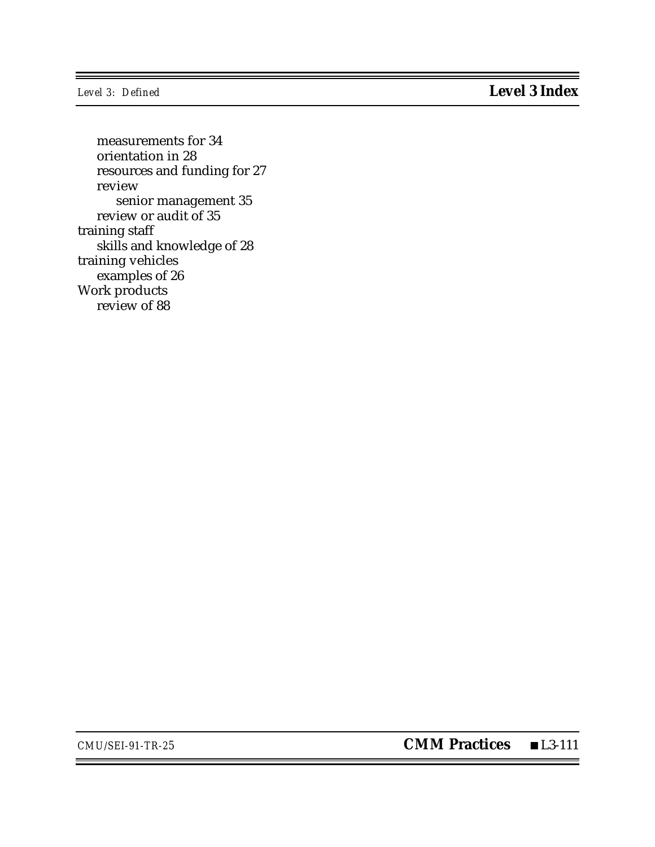measurements for 34 orientation in 28 resources and funding for 27 review senior management 35 review or audit of 35 training staff skills and knowledge of 28 training vehicles examples of 26 Work products review of 88

 $\qquad \qquad$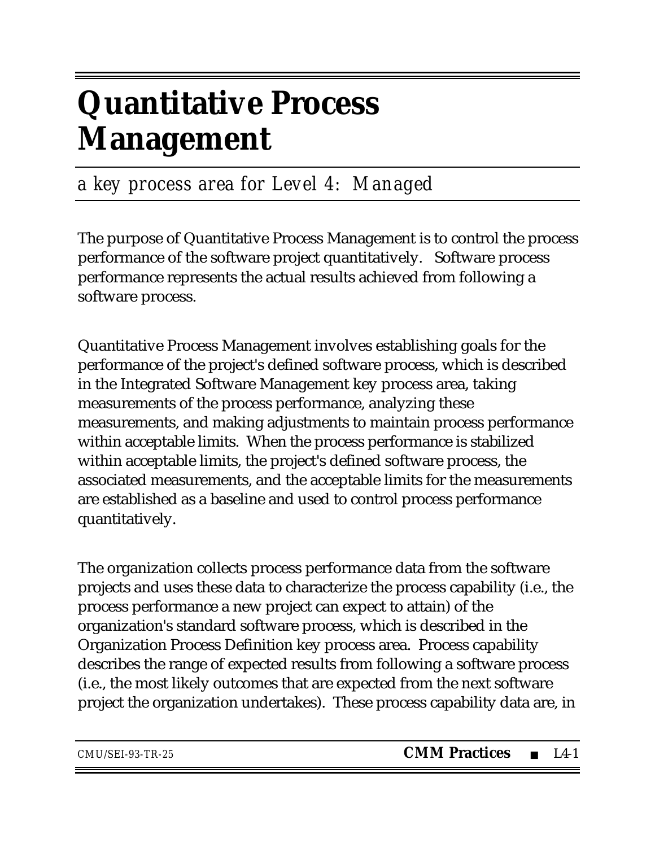# **Quantitative Process Management**

# *a key process area for Level 4: Managed*

The purpose of Quantitative Process Management is to control the process performance of the software project quantitatively. Software process performance represents the actual results achieved from following a software process.

Quantitative Process Management involves establishing goals for the performance of the project's defined software process, which is described in the Integrated Software Management key process area, taking measurements of the process performance, analyzing these measurements, and making adjustments to maintain process performance within acceptable limits. When the process performance is stabilized within acceptable limits, the project's defined software process, the associated measurements, and the acceptable limits for the measurements are established as a baseline and used to control process performance quantitatively.

The organization collects process performance data from the software projects and uses these data to characterize the process capability (i.e., the process performance a new project can expect to attain) of the organization's standard software process, which is described in the Organization Process Definition key process area. Process capability describes the range of expected results from following a software process (i.e., the most likely outcomes that are expected from the next software project the organization undertakes). These process capability data are, in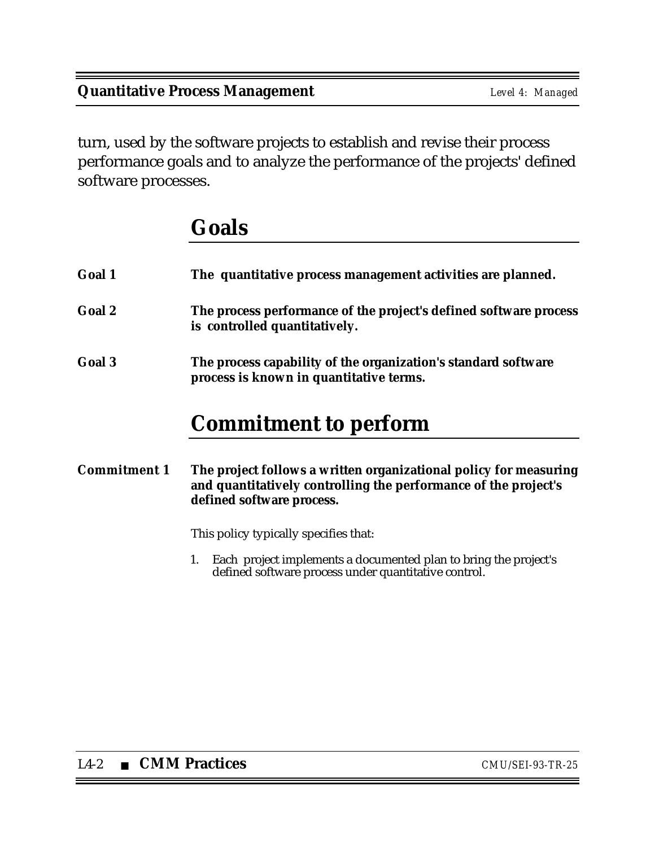turn, used by the software projects to establish and revise their process performance goals and to analyze the performance of the projects' defined software processes.

|                     | Goals                                                                                                                                                             |
|---------------------|-------------------------------------------------------------------------------------------------------------------------------------------------------------------|
| Goal 1              | The quantitative process management activities are planned.                                                                                                       |
| Goal 2              | The process performance of the project's defined software process<br>is controlled quantitatively.                                                                |
| Goal 3              | The process capability of the organization's standard software<br>process is known in quantitative terms.                                                         |
|                     | <b>Commitment to perform</b>                                                                                                                                      |
| <b>Commitment 1</b> | The project follows a written organizational policy for measuring<br>and quantitatively controlling the performance of the project's<br>defined software process. |
|                     | This policy typically specifies that:                                                                                                                             |
|                     | Each project implements a documented plan to bring the project's<br>1.<br>defined software process under quantitative control.                                    |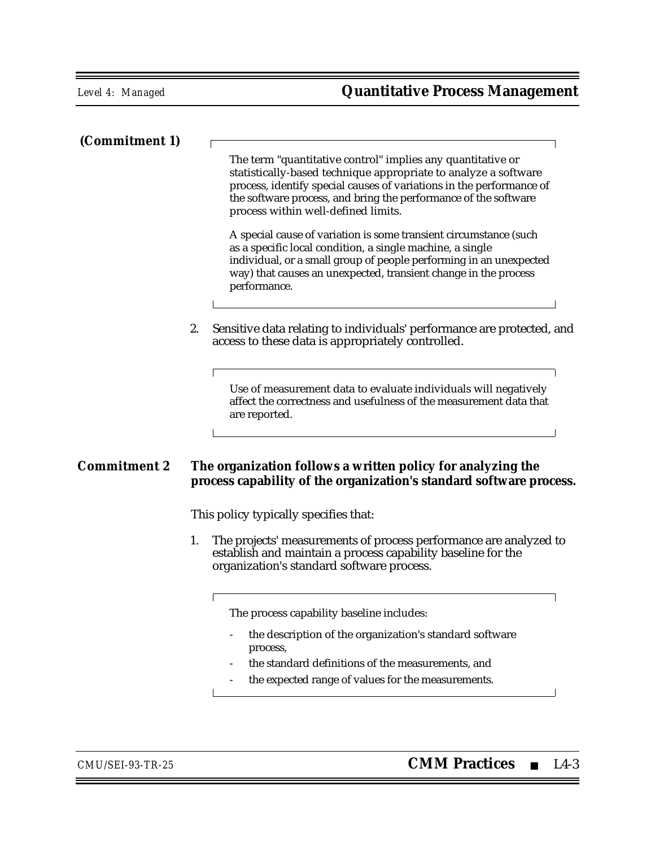| (Commitment 1)      |    |                                                                                                                                                                                                                                                                                                                  |
|---------------------|----|------------------------------------------------------------------------------------------------------------------------------------------------------------------------------------------------------------------------------------------------------------------------------------------------------------------|
|                     |    | The term "quantitative control" implies any quantitative or<br>statistically-based technique appropriate to analyze a software<br>process, identify special causes of variations in the performance of<br>the software process, and bring the performance of the software<br>process within well-defined limits. |
|                     |    | A special cause of variation is some transient circumstance (such<br>as a specific local condition, a single machine, a single<br>individual, or a small group of people performing in an unexpected<br>way) that causes an unexpected, transient change in the process<br>performance.                          |
|                     | 2. | Sensitive data relating to individuals' performance are protected, and<br>access to these data is appropriately controlled.                                                                                                                                                                                      |
|                     |    | Use of measurement data to evaluate individuals will negatively<br>affect the correctness and usefulness of the measurement data that<br>are reported.                                                                                                                                                           |
| <b>Commitment 2</b> |    | The organization follows a written policy for analyzing the<br>process capability of the organization's standard software process.                                                                                                                                                                               |
|                     |    | This policy typically specifies that:                                                                                                                                                                                                                                                                            |
|                     | 1. | The projects' measurements of process performance are analyzed to<br>establish and maintain a process capability baseline for the<br>organization's standard software process.                                                                                                                                   |
|                     |    | The process capability baseline includes:                                                                                                                                                                                                                                                                        |
|                     |    | the description of the organization's standard software<br>process,                                                                                                                                                                                                                                              |
|                     |    | the standard definitions of the measurements, and                                                                                                                                                                                                                                                                |
|                     |    | the expected range of values for the measurements.                                                                                                                                                                                                                                                               |
|                     |    |                                                                                                                                                                                                                                                                                                                  |

Ξ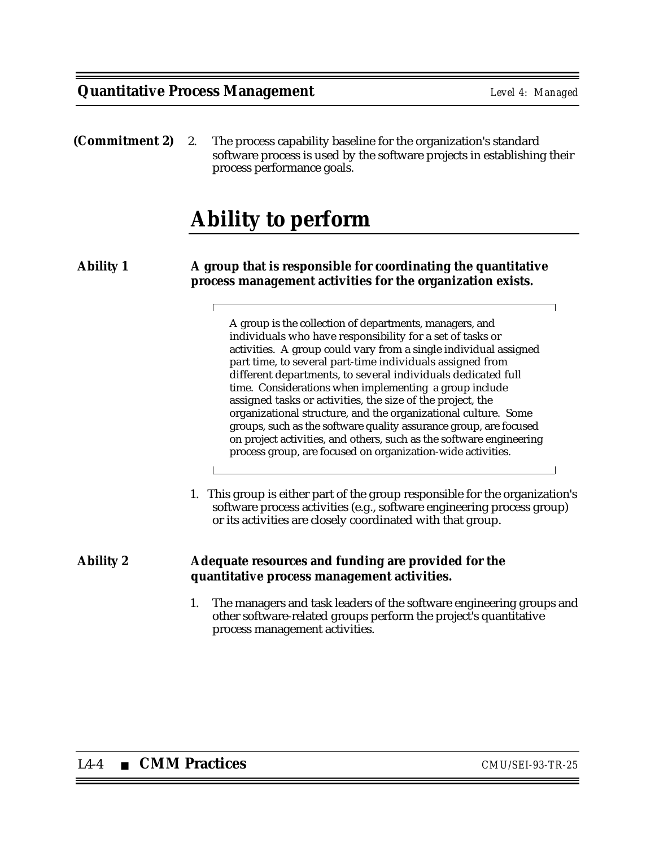### **Quantitative Process Management** *Level 4: Managed*

Г

**(Commitment 2)** 2. The process capability baseline for the organization's standard software process is used by the software projects in establishing their process performance goals.

# **Ability to perform**

#### **Ability 1 A group that is responsible for coordinating the quantitative process management activities for the organization exists.**

A group is the collection of departments, managers, and individuals who have responsibility for a set of tasks or activities. A group could vary from a single individual assigned part time, to several part-time individuals assigned from different departments, to several individuals dedicated full time. Considerations when implementing a group include assigned tasks or activities, the size of the project, the organizational structure, and the organizational culture. Some groups, such as the software quality assurance group, are focused on project activities, and others, such as the software engineering process group, are focused on organization-wide activities.

1. This group is either part of the group responsible for the organization's software process activities (e.g., software engineering process group) or its activities are closely coordinated with that group.

#### **Ability 2 Adequate resources and funding are provided for the quantitative process management activities.**

1. The managers and task leaders of the software engineering groups and other software-related groups perform the project's quantitative process management activities.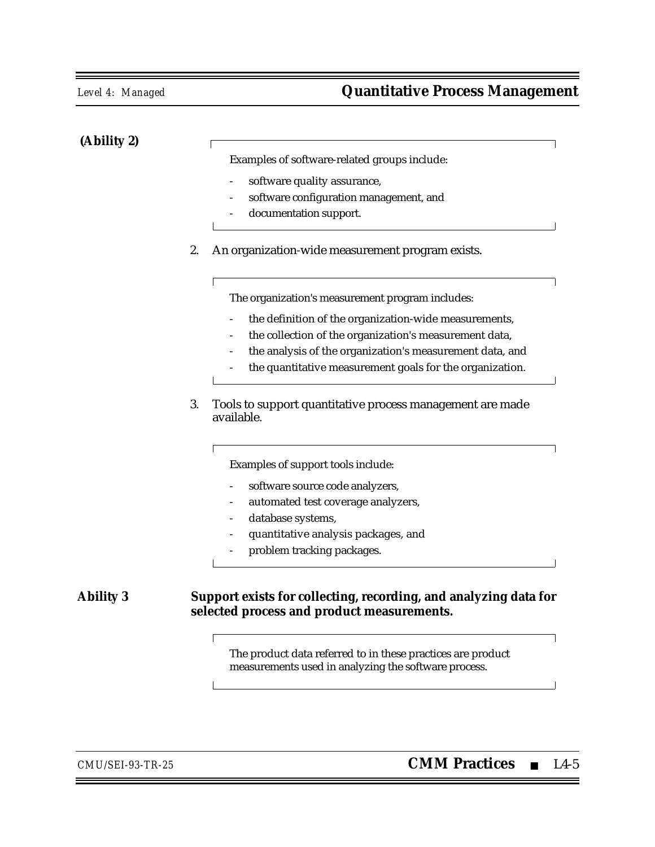| (Ability 2)      |    |                                                                                                                |
|------------------|----|----------------------------------------------------------------------------------------------------------------|
|                  |    | Examples of software-related groups include:                                                                   |
|                  |    | software quality assurance,                                                                                    |
|                  |    | software configuration management, and                                                                         |
|                  |    | documentation support.                                                                                         |
|                  | 2. | An organization-wide measurement program exists.                                                               |
|                  |    | The organization's measurement program includes:                                                               |
|                  |    | the definition of the organization-wide measurements,                                                          |
|                  |    | the collection of the organization's measurement data,                                                         |
|                  |    | the analysis of the organization's measurement data, and                                                       |
|                  |    | the quantitative measurement goals for the organization.                                                       |
|                  |    | Examples of support tools include:                                                                             |
|                  |    | software source code analyzers,                                                                                |
|                  |    | automated test coverage analyzers,                                                                             |
|                  |    | database systems,                                                                                              |
|                  |    | quantitative analysis packages, and                                                                            |
|                  |    | problem tracking packages.                                                                                     |
|                  |    |                                                                                                                |
|                  |    |                                                                                                                |
| <b>Ability 3</b> |    | Support exists for collecting, recording, and analyzing data for<br>selected process and product measurements. |

Ξ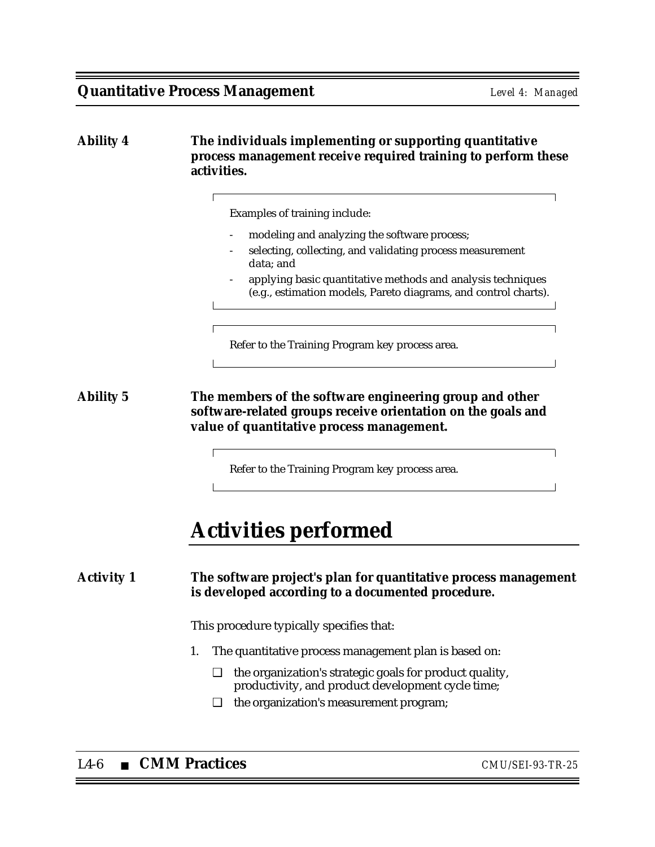**Quantitative Process Management** *Level 4: Managed*

Ξ

| <b>Ability 4</b>  | The individuals implementing or supporting quantitative<br>process management receive required training to perform these<br>activities. |  |  |
|-------------------|-----------------------------------------------------------------------------------------------------------------------------------------|--|--|
|                   | Examples of training include:                                                                                                           |  |  |
|                   | modeling and analyzing the software process;                                                                                            |  |  |
|                   | selecting, collecting, and validating process measurement<br>data; and                                                                  |  |  |
|                   | applying basic quantitative methods and analysis techniques<br>(e.g., estimation models, Pareto diagrams, and control charts).          |  |  |
|                   | Refer to the Training Program key process area.                                                                                         |  |  |
| <b>Ability 5</b>  | The members of the software engineering group and other                                                                                 |  |  |
|                   | software-related groups receive orientation on the goals and<br>value of quantitative process management.                               |  |  |
|                   | Refer to the Training Program key process area.                                                                                         |  |  |
| <b>Activity 1</b> | <b>Activities performed</b><br>The software project's plan for quantitative process management                                          |  |  |
|                   | is developed according to a documented procedure.                                                                                       |  |  |
|                   | This procedure typically specifies that:                                                                                                |  |  |
|                   | The quantitative process management plan is based on:<br>1.                                                                             |  |  |
|                   | the organization's strategic goals for product quality,<br>ப<br>productivity, and product development cycle time;                       |  |  |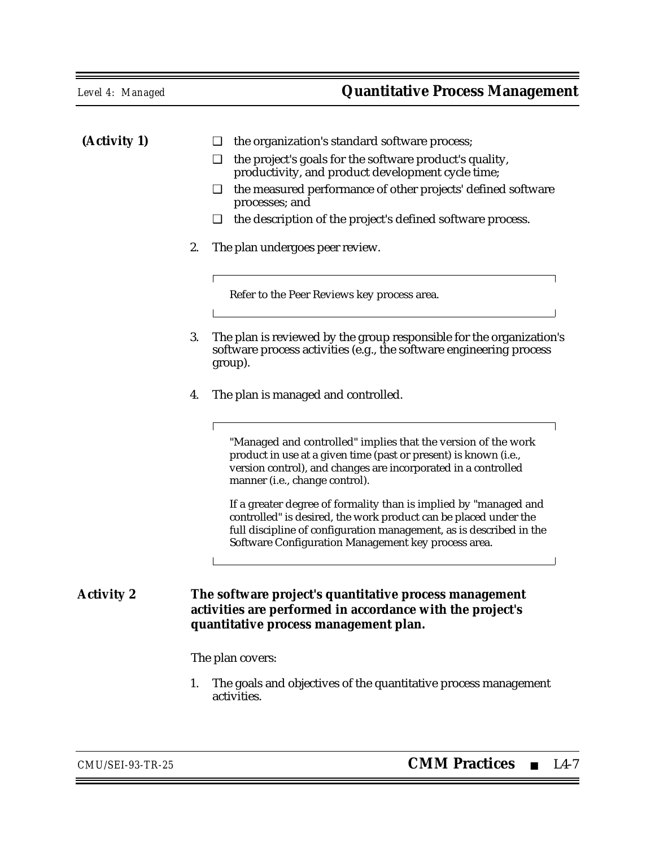| (Activity 1)      | the organization's standard software process;<br>the project's goals for the software product's quality,<br>⊔<br>productivity, and product development cycle time;<br>the measured performance of other projects' defined software<br>$\Box$<br>processes; and<br>the description of the project's defined software process. |
|-------------------|------------------------------------------------------------------------------------------------------------------------------------------------------------------------------------------------------------------------------------------------------------------------------------------------------------------------------|
|                   | 2.<br>The plan undergoes peer review.                                                                                                                                                                                                                                                                                        |
|                   | Refer to the Peer Reviews key process area.                                                                                                                                                                                                                                                                                  |
|                   | 3.<br>The plan is reviewed by the group responsible for the organization's<br>software process activities (e.g., the software engineering process<br>group).                                                                                                                                                                 |
|                   | The plan is managed and controlled.<br>4.                                                                                                                                                                                                                                                                                    |
|                   | "Managed and controlled" implies that the version of the work<br>product in use at a given time (past or present) is known (i.e.,<br>version control), and changes are incorporated in a controlled<br>manner (i.e., change control).                                                                                        |
|                   | If a greater degree of formality than is implied by "managed and<br>controlled" is desired, the work product can be placed under the<br>full discipline of configuration management, as is described in the<br>Software Configuration Management key process area.                                                           |
| <b>Activity 2</b> | The software project's quantitative process management<br>activities are performed in accordance with the project's<br>quantitative process management plan.                                                                                                                                                                 |
|                   | The plan covers:                                                                                                                                                                                                                                                                                                             |
|                   | The goals and objectives of the quantitative process management<br>1.<br>activities.                                                                                                                                                                                                                                         |
|                   |                                                                                                                                                                                                                                                                                                                              |

Ξ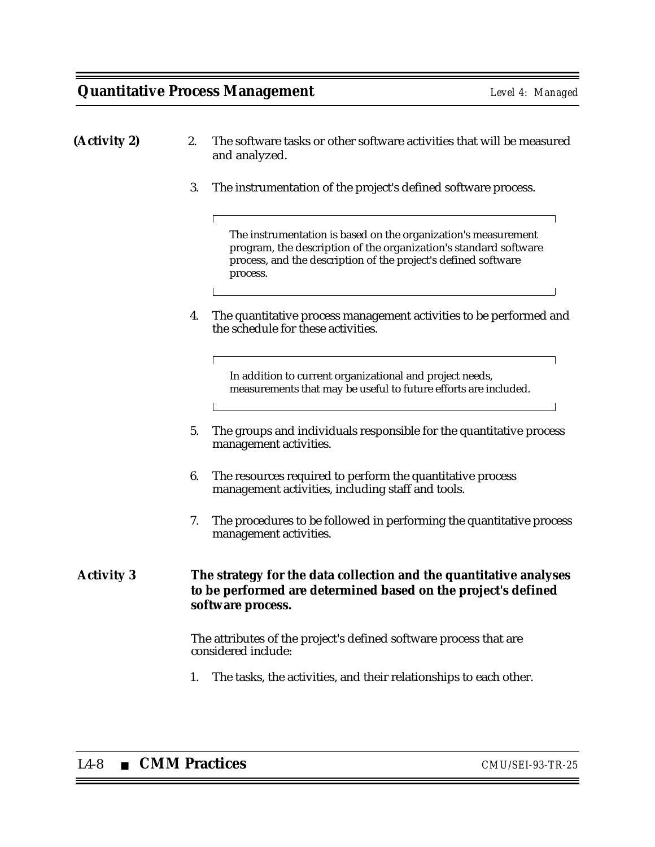Ξ

| (Activity 2)      | The software tasks or other software activities that will be measured<br>2.<br>and analyzed.                                                                                                                     |
|-------------------|------------------------------------------------------------------------------------------------------------------------------------------------------------------------------------------------------------------|
|                   | 3.<br>The instrumentation of the project's defined software process.                                                                                                                                             |
|                   | The instrumentation is based on the organization's measurement<br>program, the description of the organization's standard software<br>process, and the description of the project's defined software<br>process. |
|                   | The quantitative process management activities to be performed and<br>4.<br>the schedule for these activities.                                                                                                   |
|                   | In addition to current organizational and project needs,<br>measurements that may be useful to future efforts are included.                                                                                      |
|                   | The groups and individuals responsible for the quantitative process<br>5.<br>management activities.                                                                                                              |
|                   | 6.<br>The resources required to perform the quantitative process<br>management activities, including staff and tools.                                                                                            |
|                   | The procedures to be followed in performing the quantitative process<br>7.<br>management activities.                                                                                                             |
| <b>Activity 3</b> | The strategy for the data collection and the quantitative analyses<br>to be performed are determined based on the project's defined<br>software process.                                                         |
|                   | The attributes of the project's defined software process that are<br>considered include:                                                                                                                         |
|                   | The tasks, the activities, and their relationships to each other.<br>1.                                                                                                                                          |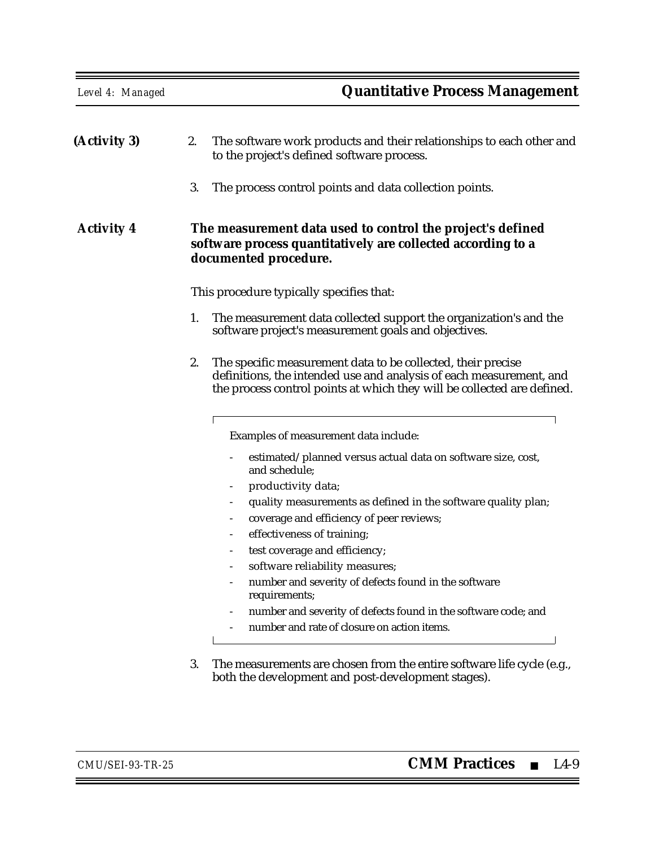#### **(Activity 3)** 2. The software work products and their relationships to each other and to the project's defined software process.

3. The process control points and data collection points.

**Activity 4 The measurement data used to control the project's defined software process quantitatively are collected according to a documented procedure.**

This procedure typically specifies that:

- 1. The measurement data collected support the organization's and the software project's measurement goals and objectives.
- 2. The specific measurement data to be collected, their precise definitions, the intended use and analysis of each measurement, and the process control points at which they will be collected are defined.

Examples of measurement data include:

- estimated/planned versus actual data on software size, cost, and schedule;
- productivity data;

Г

- quality measurements as defined in the software quality plan;
- coverage and efficiency of peer reviews;
- effectiveness of training;
- test coverage and efficiency;
- software reliability measures;
- number and severity of defects found in the software requirements;
- number and severity of defects found in the software code; and
- number and rate of closure on action items.
- 3. The measurements are chosen from the entire software life cycle (e.g., both the development and post-development stages).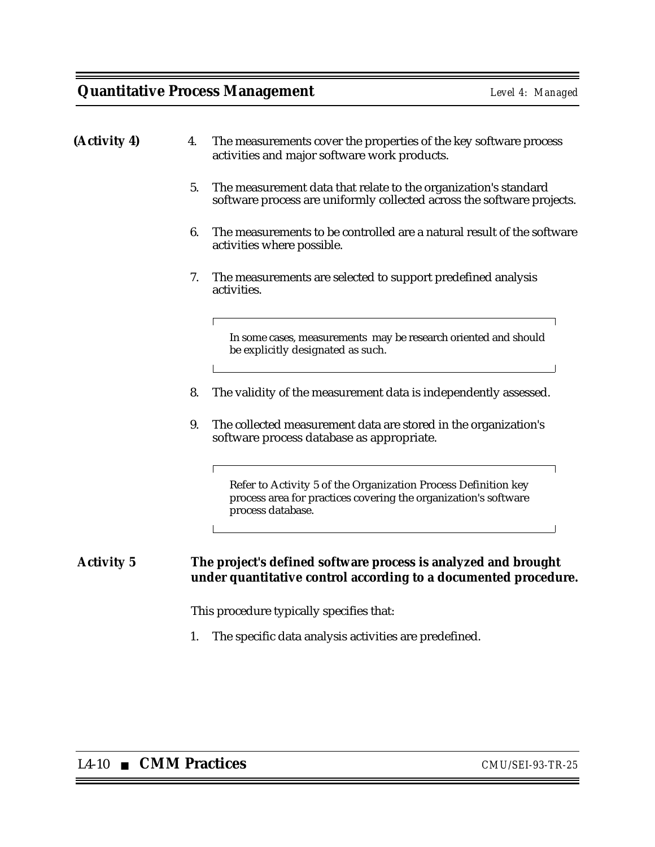Ξ

## **Quantitative Process Management** *Level 4: Managed*

| (Activity 4)      | The measurements cover the properties of the key software process<br>4.<br>activities and major software work products.                                |
|-------------------|--------------------------------------------------------------------------------------------------------------------------------------------------------|
|                   | 5.<br>The measurement data that relate to the organization's standard<br>software process are uniformly collected across the software projects.        |
|                   | 6.<br>The measurements to be controlled are a natural result of the software<br>activities where possible.                                             |
|                   | The measurements are selected to support predefined analysis<br>7.<br>activities.                                                                      |
|                   | In some cases, measurements may be research oriented and should<br>be explicitly designated as such.                                                   |
|                   | 8.<br>The validity of the measurement data is independently assessed.                                                                                  |
|                   | 9.<br>The collected measurement data are stored in the organization's<br>software process database as appropriate.                                     |
|                   | Refer to Activity 5 of the Organization Process Definition key<br>process area for practices covering the organization's software<br>process database. |
| <b>Activity 5</b> | The project's defined software process is analyzed and brought<br>under quantitative control according to a documented procedure.                      |
|                   | This procedure typically specifies that:                                                                                                               |
|                   | The specific data analysis activities are predefined.<br>1.                                                                                            |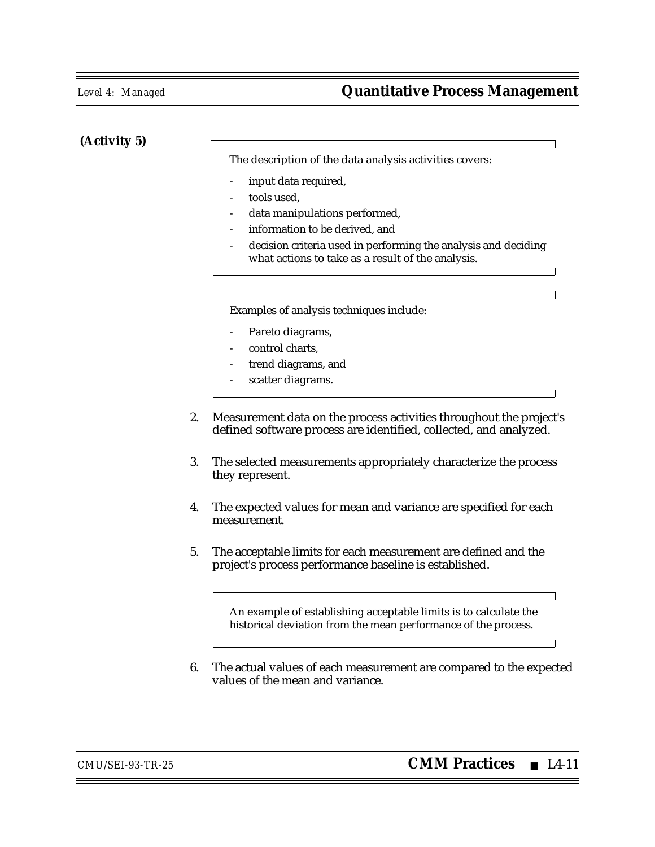| (Activity 5) |                                                                                                                                          |
|--------------|------------------------------------------------------------------------------------------------------------------------------------------|
|              | The description of the data analysis activities covers:                                                                                  |
|              | input data required,                                                                                                                     |
|              | tools used,                                                                                                                              |
|              | data manipulations performed,                                                                                                            |
|              | information to be derived, and                                                                                                           |
|              | decision criteria used in performing the analysis and deciding<br>what actions to take as a result of the analysis.                      |
|              |                                                                                                                                          |
|              | Examples of analysis techniques include:                                                                                                 |
|              | Pareto diagrams,                                                                                                                         |
|              | control charts,                                                                                                                          |
|              | trend diagrams, and                                                                                                                      |
|              | scatter diagrams.                                                                                                                        |
| 2.           | Measurement data on the process activities throughout the project's<br>defined software process are identified, collected, and analyzed. |
| 3.           | The selected measurements appropriately characterize the process<br>they represent.                                                      |
| 4.           | The expected values for mean and variance are specified for each<br>measurement.                                                         |
| 5.           | The acceptable limits for each measurement are defined and the<br>project's process performance baseline is established.                 |
|              | An example of establishing acceptable limits is to calculate the<br>historical deviation from the mean performance of the process.       |

6. The actual values of each measurement are compared to the expected values of the mean and variance.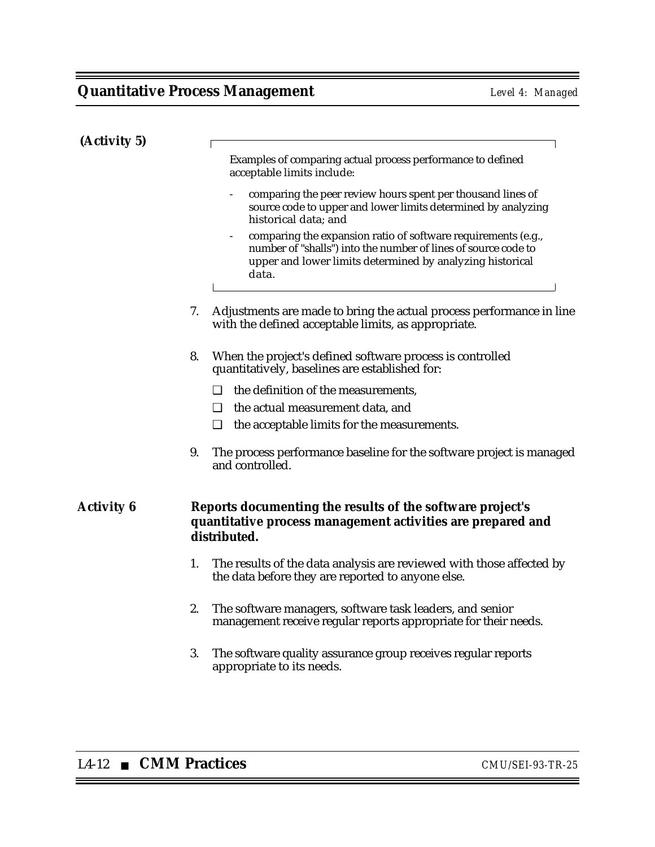# **Quantitative Process Management** *Level 4: Managed*

Ξ

| (Activity 5)      |                                                                                                                                                                                                       |
|-------------------|-------------------------------------------------------------------------------------------------------------------------------------------------------------------------------------------------------|
|                   | Examples of comparing actual process performance to defined<br>acceptable limits include:                                                                                                             |
|                   | comparing the peer review hours spent per thousand lines of<br>source code to upper and lower limits determined by analyzing<br>historical data; and                                                  |
|                   | comparing the expansion ratio of software requirements (e.g.,<br>number of "shalls") into the number of lines of source code to<br>upper and lower limits determined by analyzing historical<br>data. |
| 7.                | Adjustments are made to bring the actual process performance in line<br>with the defined acceptable limits, as appropriate.                                                                           |
| 8.                | When the project's defined software process is controlled<br>quantitatively, baselines are established for:                                                                                           |
|                   | the definition of the measurements,<br>⊔                                                                                                                                                              |
|                   | the actual measurement data, and<br>⊔                                                                                                                                                                 |
|                   | the acceptable limits for the measurements.<br>❏                                                                                                                                                      |
| 9.                | The process performance baseline for the software project is managed<br>and controlled.                                                                                                               |
| <b>Activity 6</b> | Reports documenting the results of the software project's<br>quantitative process management activities are prepared and<br>distributed.                                                              |
| 1.                | The results of the data analysis are reviewed with those affected by<br>the data before they are reported to anyone else.                                                                             |
| 2.                | The software managers, software task leaders, and senior<br>management receive regular reports appropriate for their needs.                                                                           |
| 3.                | The software quality assurance group receives regular reports<br>appropriate to its needs.                                                                                                            |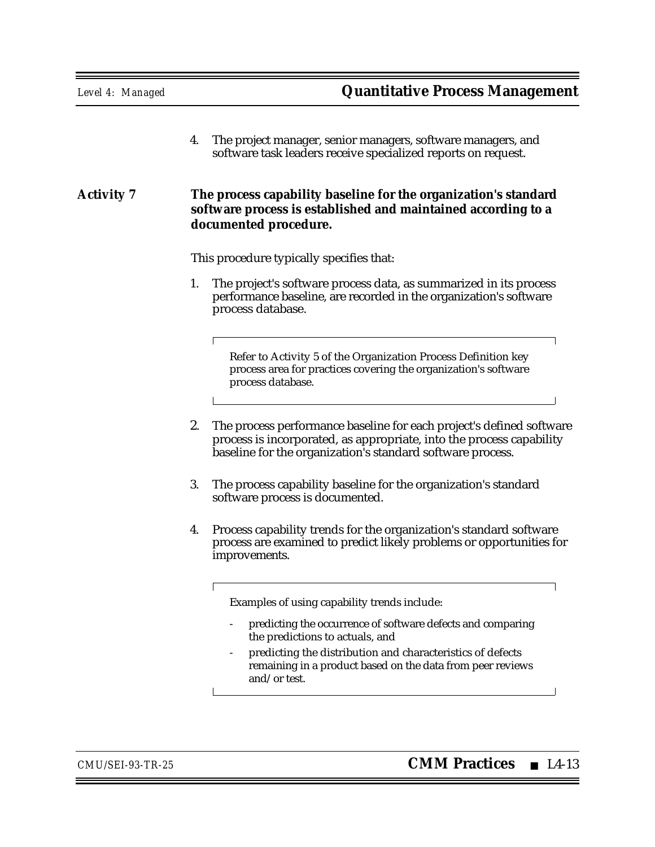4. The project manager, senior managers, software managers, and software task leaders receive specialized reports on request.

#### **Activity 7 The process capability baseline for the organization's standard software process is established and maintained according to a documented procedure.**

This procedure typically specifies that:

1. The project's software process data, as summarized in its process performance baseline, are recorded in the organization's software process database.

> Refer to Activity 5 of the Organization Process Definition key process area for practices covering the organization's software process database.

- 2. The process performance baseline for each project's defined software process is incorporated, as appropriate, into the process capability baseline for the organization's standard software process.
- 3. The process capability baseline for the organization's standard software process is documented.
- 4. Process capability trends for the organization's standard software process are examined to predict likely problems or opportunities for improvements.

Examples of using capability trends include:

- predicting the occurrence of software defects and comparing the predictions to actuals, and
- predicting the distribution and characteristics of defects remaining in a product based on the data from peer reviews and/or test.

ſ

٦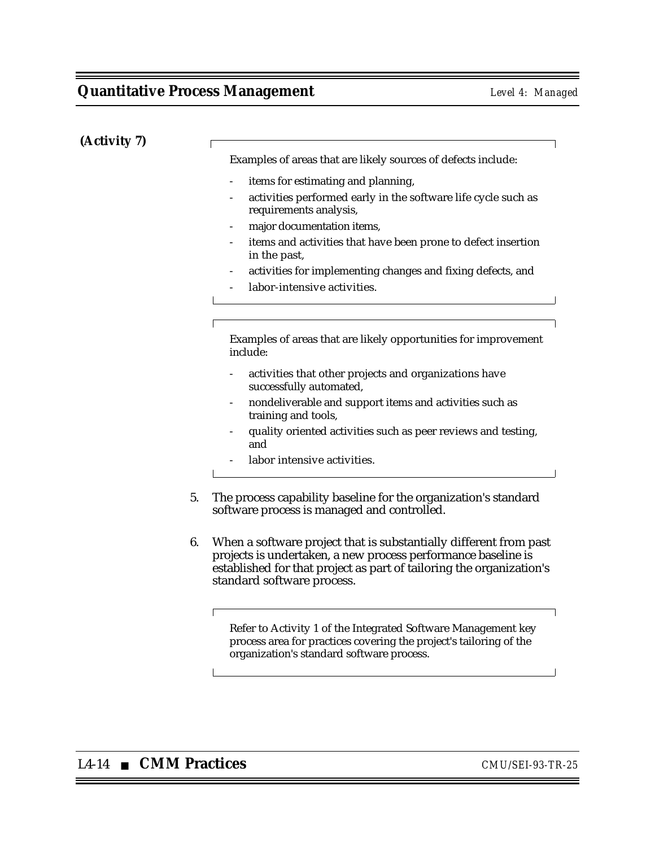# **Quantitative Process Management** *Level 4: Managed*

Ξ

| (Activity 7) |                                                                                                                                                                                                                                          |
|--------------|------------------------------------------------------------------------------------------------------------------------------------------------------------------------------------------------------------------------------------------|
|              | Examples of areas that are likely sources of defects include:                                                                                                                                                                            |
|              | items for estimating and planning,                                                                                                                                                                                                       |
|              | activities performed early in the software life cycle such as<br>requirements analysis,                                                                                                                                                  |
|              | major documentation items,                                                                                                                                                                                                               |
|              | items and activities that have been prone to defect insertion<br>in the past,                                                                                                                                                            |
|              | activities for implementing changes and fixing defects, and                                                                                                                                                                              |
|              | labor-intensive activities.                                                                                                                                                                                                              |
|              |                                                                                                                                                                                                                                          |
|              | Examples of areas that are likely opportunities for improvement<br>include:                                                                                                                                                              |
|              | activities that other projects and organizations have<br>successfully automated,                                                                                                                                                         |
|              | nondeliverable and support items and activities such as<br>training and tools,                                                                                                                                                           |
|              | quality oriented activities such as peer reviews and testing,<br>and                                                                                                                                                                     |
|              | labor intensive activities.                                                                                                                                                                                                              |
| 5.           | The process capability baseline for the organization's standard<br>software process is managed and controlled.                                                                                                                           |
| 6.           | When a software project that is substantially different from past<br>projects is undertaken, a new process performance baseline is<br>established for that project as part of tailoring the organization's<br>standard software process. |
|              | Refer to Activity 1 of the Integrated Software Management key<br>process area for practices covering the project's tailoring of the<br>organization's standard software process.                                                         |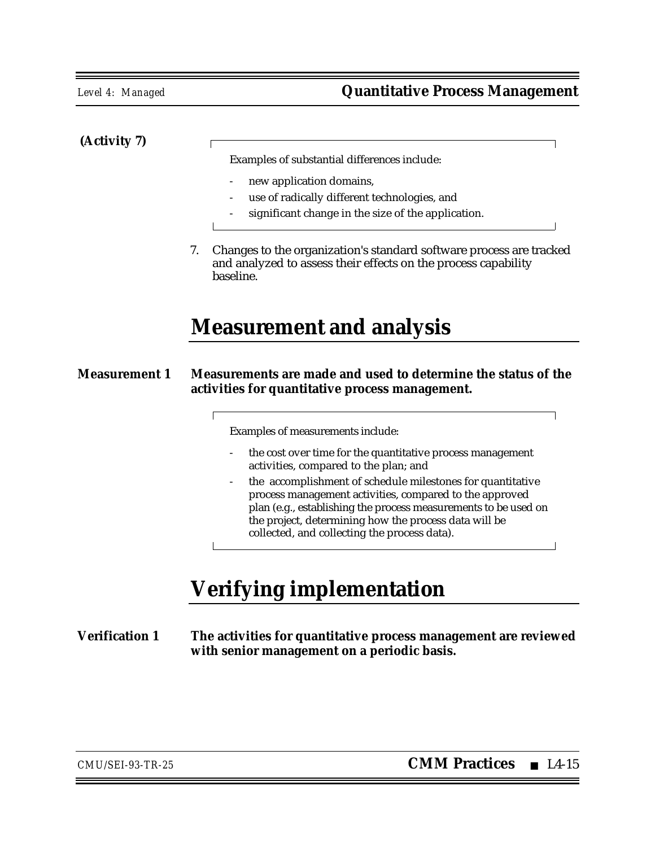## **(Activity 7)** ٦ Examples of substantial differences include: new application domains, use of radically different technologies, and significant change in the size of the application. 7. Changes to the organization's standard software process are tracked and analyzed to assess their effects on the process capability baseline. **Measurement and analysis Measurement 1 Measurements are made and used to determine the status of the activities for quantitative process management.**  $\sqrt{ }$ ٦ Examples of measurements include: the cost over time for the quantitative process management activities, compared to the plan; and the accomplishment of schedule milestones for quantitative process management activities, compared to the approved plan (e.g., establishing the process measurements to be used on the project, determining how the process data will be collected, and collecting the process data). **Verifying implementation**

**Verification 1 The activities for quantitative process management are reviewed with senior management on a periodic basis.**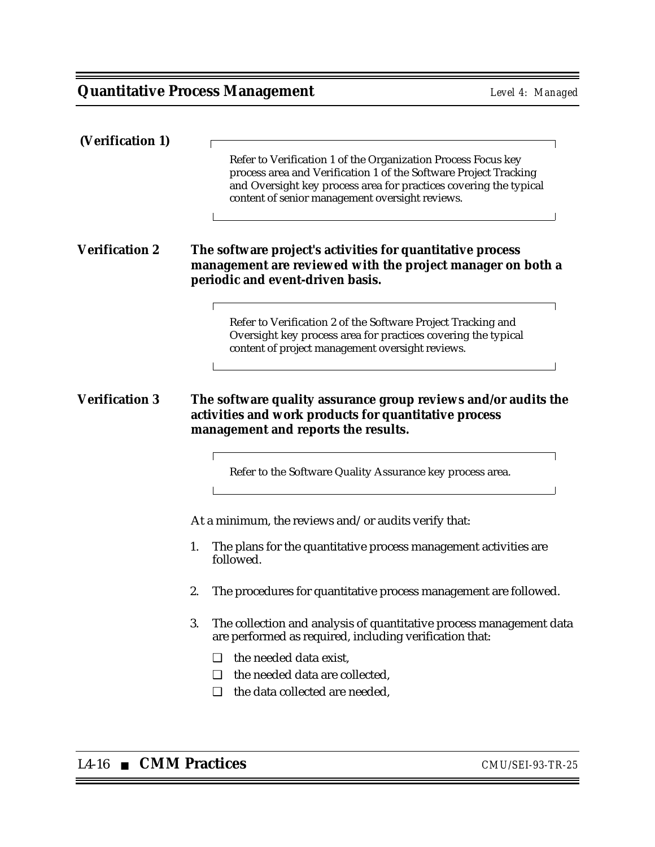# **Quantitative Process Management** *Level 4: Managed*

Ξ

| (Verification 1)      |                                                                                                                                                                                                                                                           |  |  |  |
|-----------------------|-----------------------------------------------------------------------------------------------------------------------------------------------------------------------------------------------------------------------------------------------------------|--|--|--|
|                       | Refer to Verification 1 of the Organization Process Focus key<br>process area and Verification 1 of the Software Project Tracking<br>and Oversight key process area for practices covering the typical<br>content of senior management oversight reviews. |  |  |  |
| <b>Verification 2</b> | The software project's activities for quantitative process<br>management are reviewed with the project manager on both a<br>periodic and event-driven basis.                                                                                              |  |  |  |
|                       | Refer to Verification 2 of the Software Project Tracking and<br>Oversight key process area for practices covering the typical<br>content of project management oversight reviews.                                                                         |  |  |  |
| <b>Verification 3</b> | The software quality assurance group reviews and/or audits the<br>activities and work products for quantitative process<br>management and reports the results.                                                                                            |  |  |  |
|                       | Refer to the Software Quality Assurance key process area.                                                                                                                                                                                                 |  |  |  |
|                       | At a minimum, the reviews and/or audits verify that:                                                                                                                                                                                                      |  |  |  |
|                       | The plans for the quantitative process management activities are<br>1.<br>followed.                                                                                                                                                                       |  |  |  |
|                       | 2.<br>The procedures for quantitative process management are followed.                                                                                                                                                                                    |  |  |  |
|                       | 3.<br>The collection and analysis of quantitative process management data<br>are performed as required, including verification that:                                                                                                                      |  |  |  |
|                       | the needed data exist,<br>❏                                                                                                                                                                                                                               |  |  |  |
|                       | the needed data are collected,<br>⊔                                                                                                                                                                                                                       |  |  |  |
|                       | the data collected are needed,<br>⊔                                                                                                                                                                                                                       |  |  |  |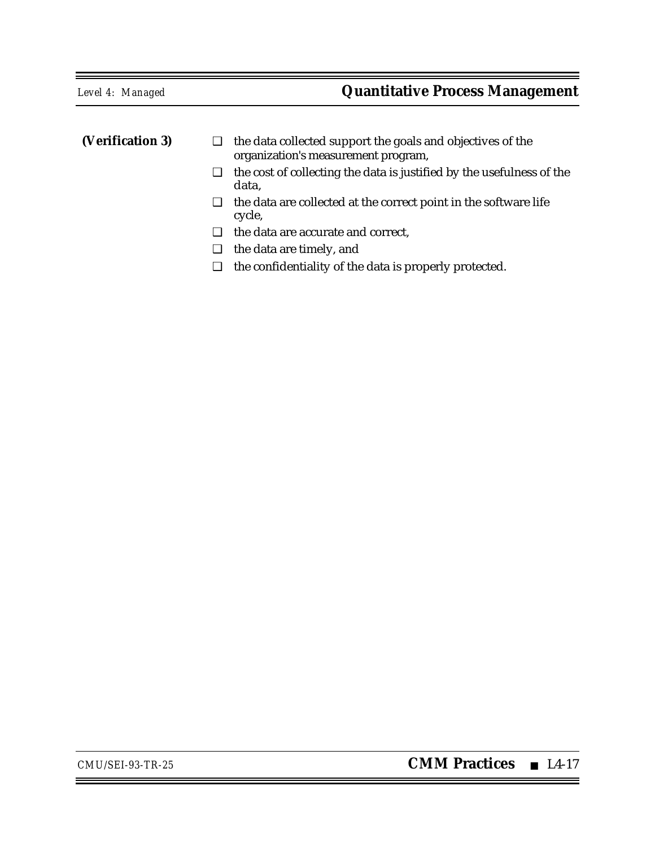| (Verification 3) | ⊔ | the data collected support the goals and objectives of the<br>organization's measurement program, |
|------------------|---|---------------------------------------------------------------------------------------------------|
|                  | ⊔ | the cost of collecting the data is justified by the usefulness of the<br>data,                    |
|                  | ⊔ | the data are collected at the correct point in the software life<br>cycle,                        |
|                  | ⊔ | the data are accurate and correct,                                                                |
|                  | ⊔ | the data are timely, and                                                                          |
|                  | ⊔ | the confidentiality of the data is properly protected.                                            |
|                  |   |                                                                                                   |

Ξ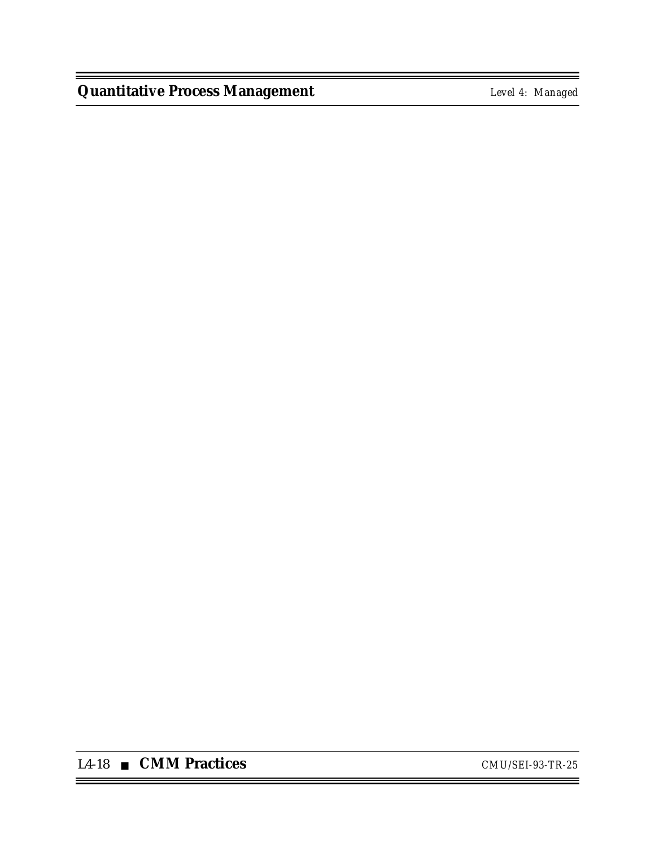**Quantitative Process Management** *Level 4: Managed*

Ξ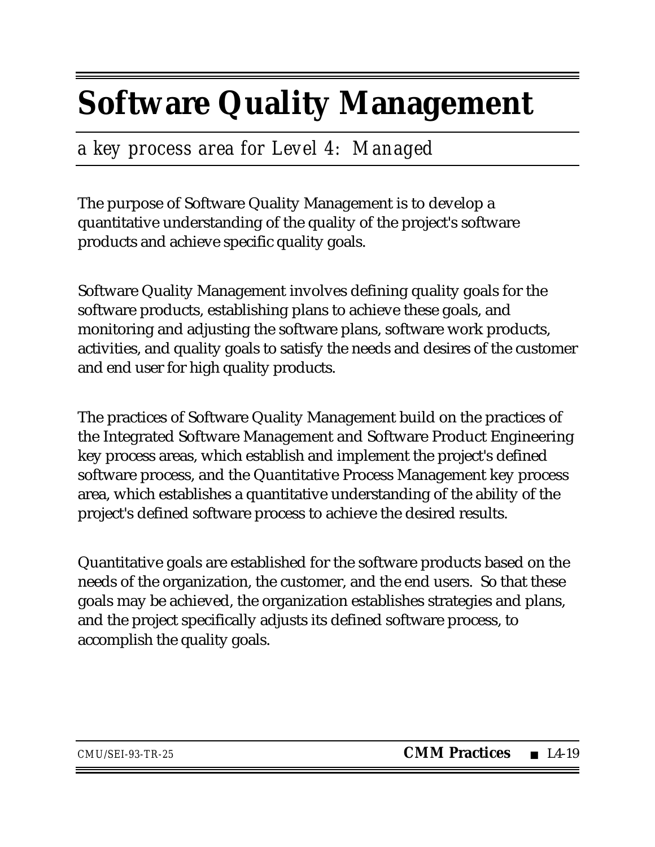# **Software Quality Management**

*a key process area for Level 4: Managed*

The purpose of Software Quality Management is to develop a quantitative understanding of the quality of the project's software products and achieve specific quality goals.

Software Quality Management involves defining quality goals for the software products, establishing plans to achieve these goals, and monitoring and adjusting the software plans, software work products, activities, and quality goals to satisfy the needs and desires of the customer and end user for high quality products.

The practices of Software Quality Management build on the practices of the Integrated Software Management and Software Product Engineering key process areas, which establish and implement the project's defined software process, and the Quantitative Process Management key process area, which establishes a quantitative understanding of the ability of the project's defined software process to achieve the desired results.

Quantitative goals are established for the software products based on the needs of the organization, the customer, and the end users. So that these goals may be achieved, the organization establishes strategies and plans, and the project specifically adjusts its defined software process, to accomplish the quality goals.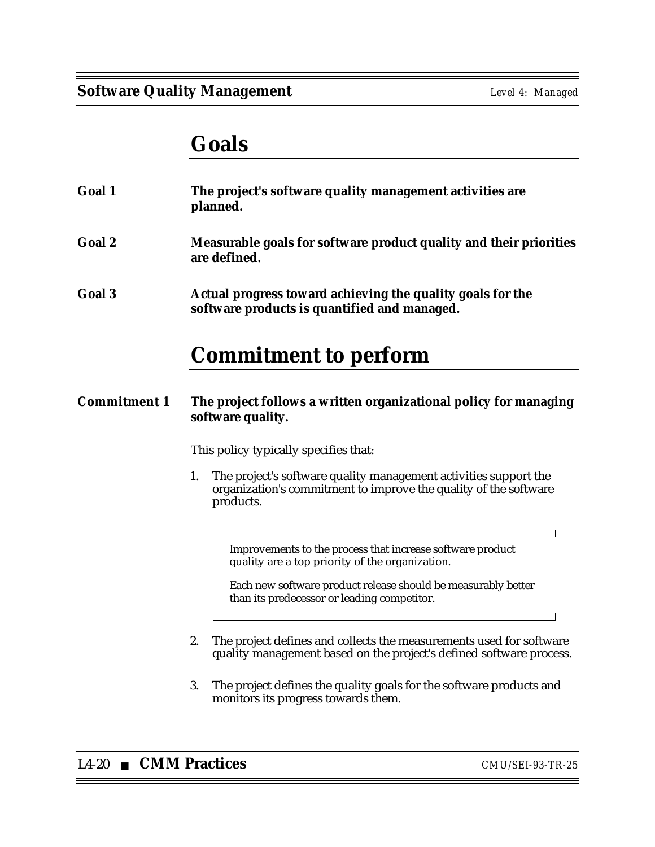## **Software Quality Management** *Level 4: Managed*

Ξ

|                     | Goals                                                                                                                                                   |  |  |  |
|---------------------|---------------------------------------------------------------------------------------------------------------------------------------------------------|--|--|--|
| <b>Goal 1</b>       | The project's software quality management activities are<br>planned.                                                                                    |  |  |  |
| <b>Goal 2</b>       | Measurable goals for software product quality and their priorities<br>are defined.                                                                      |  |  |  |
| Goal 3              | Actual progress toward achieving the quality goals for the<br>software products is quantified and managed.                                              |  |  |  |
|                     | <b>Commitment to perform</b>                                                                                                                            |  |  |  |
| <b>Commitment 1</b> | The project follows a written organizational policy for managing<br>software quality.                                                                   |  |  |  |
|                     | This policy typically specifies that:                                                                                                                   |  |  |  |
|                     | The project's software quality management activities support the<br>1.<br>organization's commitment to improve the quality of the software<br>products. |  |  |  |
|                     | Improvements to the process that increase software product<br>quality are a top priority of the organization.                                           |  |  |  |
|                     | Each new software product release should be measurably better<br>than its predecessor or leading competitor.                                            |  |  |  |
|                     | 2.<br>The project defines and collects the measurements used for software<br>quality management based on the project's defined software process.        |  |  |  |
|                     | 3.<br>The project defines the quality goals for the software products and<br>monitors its progress towards them.                                        |  |  |  |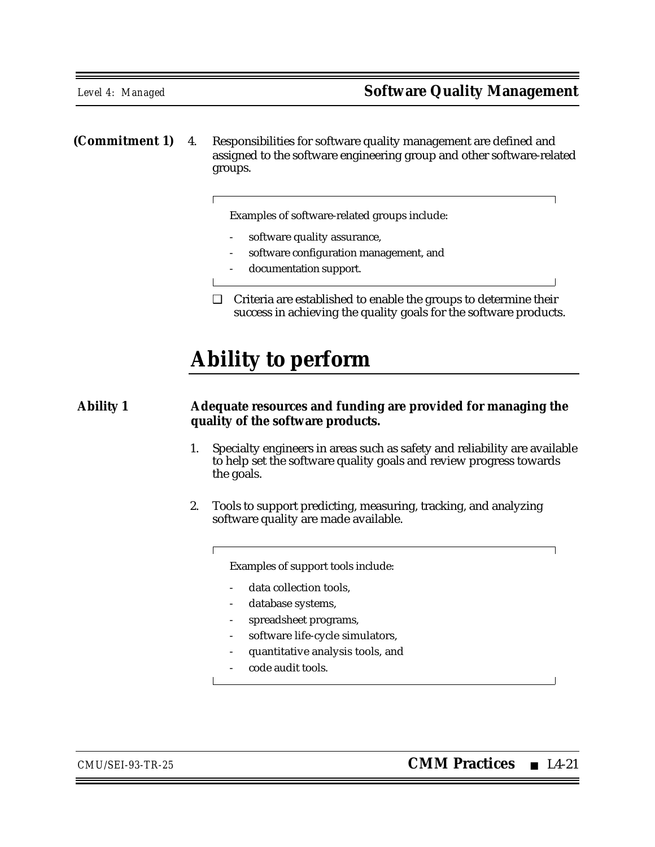#### **(Commitment 1)** 4. Responsibilities for software quality management are defined and assigned to the software engineering group and other software-related groups.

Examples of software-related groups include:

- software quality assurance,
- software configuration management, and
- documentation support.

ſ

Г

❑ Criteria are established to enable the groups to determine their success in achieving the quality goals for the software products.

# **Ability to perform**

#### **Ability 1 Adequate resources and funding are provided for managing the quality of the software products.**

- 1. Specialty engineers in areas such as safety and reliability are available to help set the software quality goals and review progress towards the goals.
- 2. Tools to support predicting, measuring, tracking, and analyzing software quality are made available.

Examples of support tools include:

- data collection tools.
- database systems,
- spreadsheet programs,
- software life-cycle simulators,
- quantitative analysis tools, and
- code audit tools.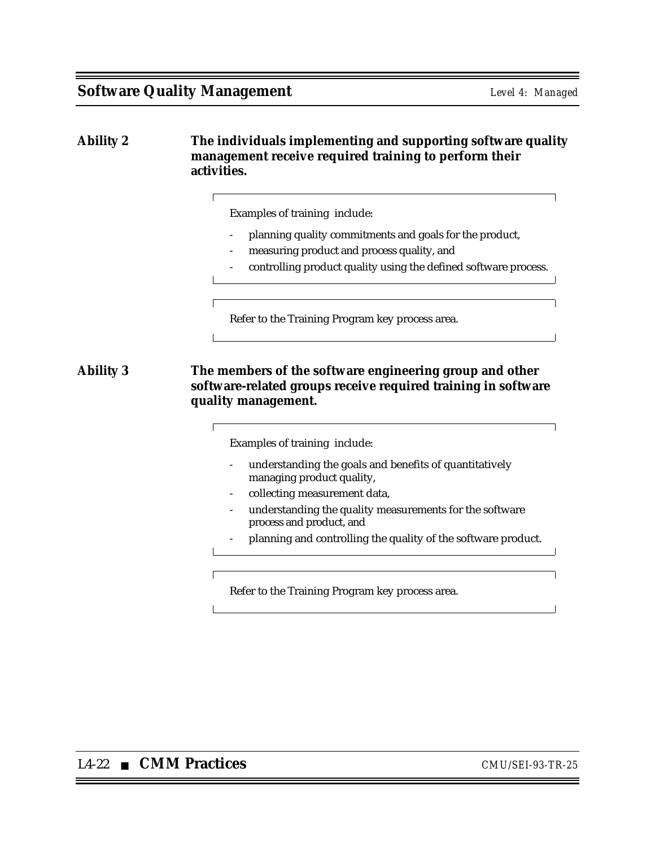# **Ability 2 The individuals implementing and supporting software quality management receive required training to perform their activities.**  $\Gamma$ Examples of training include: planning quality commitments and goals for the product, measuring product and process quality, and - controlling product quality using the defined software process. Г Refer to the Training Program key process area. **Ability 3 The members of the software engineering group and other software-related groups receive required training in software quality management.**  $\Gamma$ Examples of training include: understanding the goals and benefits of quantitatively managing product quality, collecting measurement data, understanding the quality measurements for the software process and product, and planning and controlling the quality of the software product. Refer to the Training Program key process area.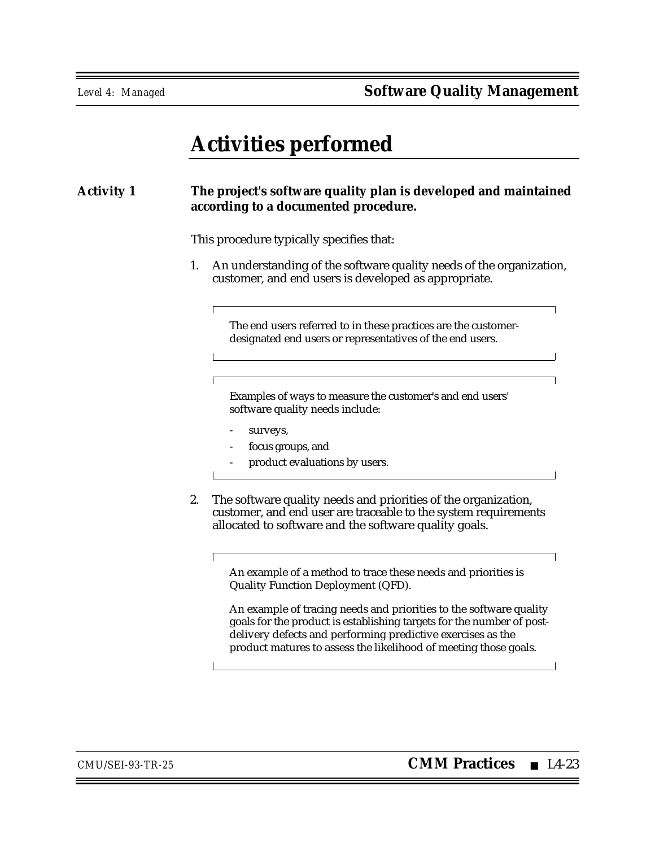# **Activities performed**

#### **Activity 1 The project's software quality plan is developed and maintained according to a documented procedure.**

This procedure typically specifies that:

1. An understanding of the software quality needs of the organization, customer, and end users is developed as appropriate.

> The end users referred to in these practices are the customerdesignated end users or representatives of the end users.

Examples of ways to measure the customer's and end users' software quality needs include:

surveys.

 $\sqrt{ }$ 

 $\sqrt{ }$ 

- focus groups, and
- product evaluations by users.
- 2. The software quality needs and priorities of the organization, customer, and end user are traceable to the system requirements allocated to software and the software quality goals.

An example of a method to trace these needs and priorities is Quality Function Deployment (QFD).

An example of tracing needs and priorities to the software quality goals for the product is establishing targets for the number of postdelivery defects and performing predictive exercises as the product matures to assess the likelihood of meeting those goals.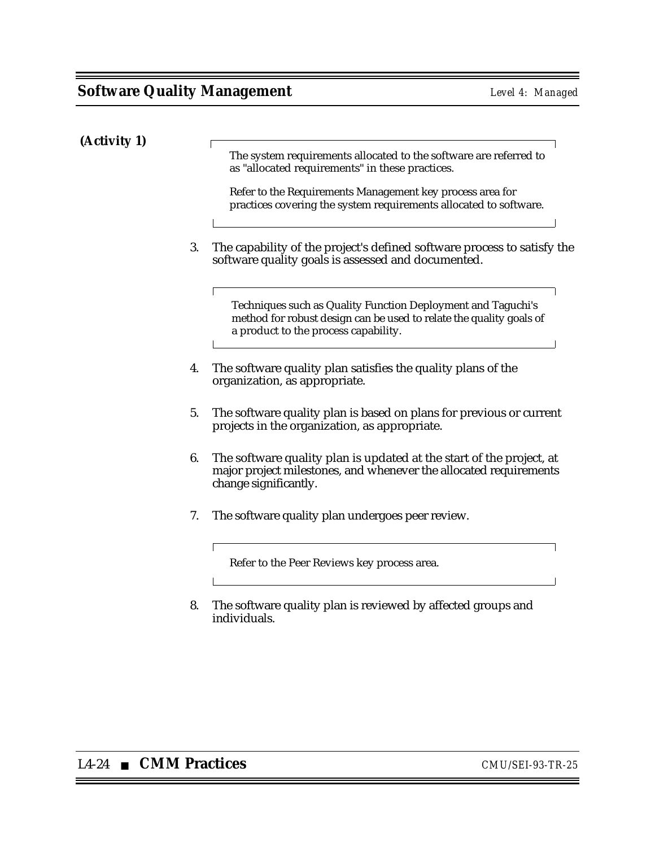| (Activity 1) |    |                                                                                                                                                                             |
|--------------|----|-----------------------------------------------------------------------------------------------------------------------------------------------------------------------------|
|              |    | The system requirements allocated to the software are referred to<br>as "allocated requirements" in these practices.                                                        |
|              |    | Refer to the Requirements Management key process area for<br>practices covering the system requirements allocated to software.                                              |
|              | 3. | The capability of the project's defined software process to satisfy the<br>software quality goals is assessed and documented.                                               |
|              |    | Techniques such as Quality Function Deployment and Taguchi's<br>method for robust design can be used to relate the quality goals of<br>a product to the process capability. |
|              | 4. | The software quality plan satisfies the quality plans of the<br>organization, as appropriate.                                                                               |
|              | 5. | The software quality plan is based on plans for previous or current<br>projects in the organization, as appropriate.                                                        |
|              | 6. | The software quality plan is updated at the start of the project, at<br>major project milestones, and whenever the allocated requirements<br>change significantly.          |
|              | 7. | The software quality plan undergoes peer review.                                                                                                                            |
|              |    | Refer to the Peer Reviews key process area.                                                                                                                                 |
|              | 8. | The software quality plan is reviewed by affected groups and<br>individuals.                                                                                                |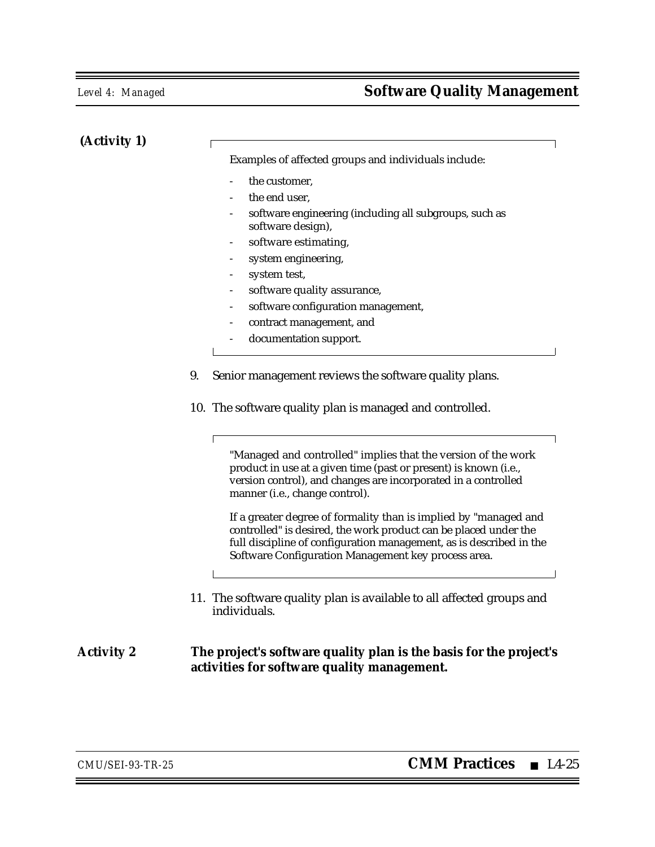| (Activity 1)      |                                                                                                                                                                                                                                                                    |
|-------------------|--------------------------------------------------------------------------------------------------------------------------------------------------------------------------------------------------------------------------------------------------------------------|
|                   | Examples of affected groups and individuals include:                                                                                                                                                                                                               |
|                   | the customer,                                                                                                                                                                                                                                                      |
|                   | the end user,                                                                                                                                                                                                                                                      |
|                   | software engineering (including all subgroups, such as<br>software design),                                                                                                                                                                                        |
|                   | software estimating,                                                                                                                                                                                                                                               |
|                   | system engineering,                                                                                                                                                                                                                                                |
|                   | system test,                                                                                                                                                                                                                                                       |
|                   | software quality assurance,                                                                                                                                                                                                                                        |
|                   | software configuration management,                                                                                                                                                                                                                                 |
|                   | contract management, and                                                                                                                                                                                                                                           |
|                   | documentation support.                                                                                                                                                                                                                                             |
|                   | 9.<br>Senior management reviews the software quality plans.<br>10. The software quality plan is managed and controlled.                                                                                                                                            |
|                   |                                                                                                                                                                                                                                                                    |
|                   | "Managed and controlled" implies that the version of the work<br>product in use at a given time (past or present) is known (i.e.,<br>version control), and changes are incorporated in a controlled<br>manner (i.e., change control).                              |
|                   | If a greater degree of formality than is implied by "managed and<br>controlled" is desired, the work product can be placed under the<br>full discipline of configuration management, as is described in the<br>Software Configuration Management key process area. |
|                   | 11. The software quality plan is available to all affected groups and<br>individuals.                                                                                                                                                                              |
| <b>Activity 2</b> | The project's software quality plan is the basis for the project's<br>activities for software quality management.                                                                                                                                                  |

Ξ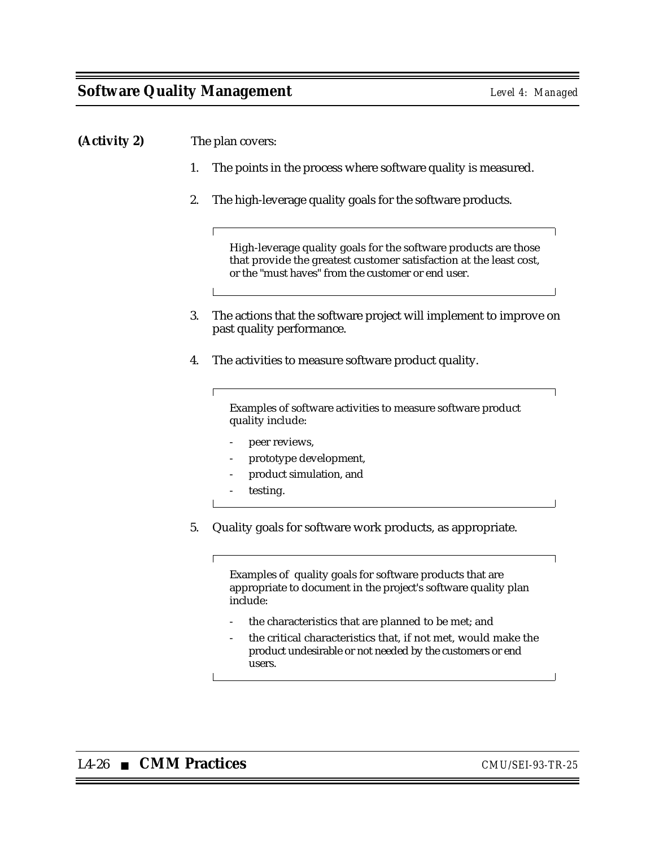| (Activity 2) | The plan covers:                                                                                                                                                                            |  |  |
|--------------|---------------------------------------------------------------------------------------------------------------------------------------------------------------------------------------------|--|--|
|              | 1.<br>The points in the process where software quality is measured.                                                                                                                         |  |  |
|              | 2.<br>The high-leverage quality goals for the software products.                                                                                                                            |  |  |
|              | High-leverage quality goals for the software products are those<br>that provide the greatest customer satisfaction at the least cost,<br>or the "must haves" from the customer or end user. |  |  |
|              | 3.<br>The actions that the software project will implement to improve on<br>past quality performance.                                                                                       |  |  |
|              | 4.<br>The activities to measure software product quality.                                                                                                                                   |  |  |
|              | Examples of software activities to measure software product<br>quality include:                                                                                                             |  |  |
|              | peer reviews,                                                                                                                                                                               |  |  |
|              | prototype development,                                                                                                                                                                      |  |  |
|              | product simulation, and<br>testing.                                                                                                                                                         |  |  |
|              | 5.<br>Quality goals for software work products, as appropriate.                                                                                                                             |  |  |
|              | Examples of quality goals for software products that are<br>appropriate to document in the project's software quality plan<br>include:                                                      |  |  |
|              | the characteristics that are planned to be met; and                                                                                                                                         |  |  |
|              | the critical characteristics that, if not met, would make the<br>product undesirable or not needed by the customers or end<br>users.                                                        |  |  |

I

 $\frac{1}{2}$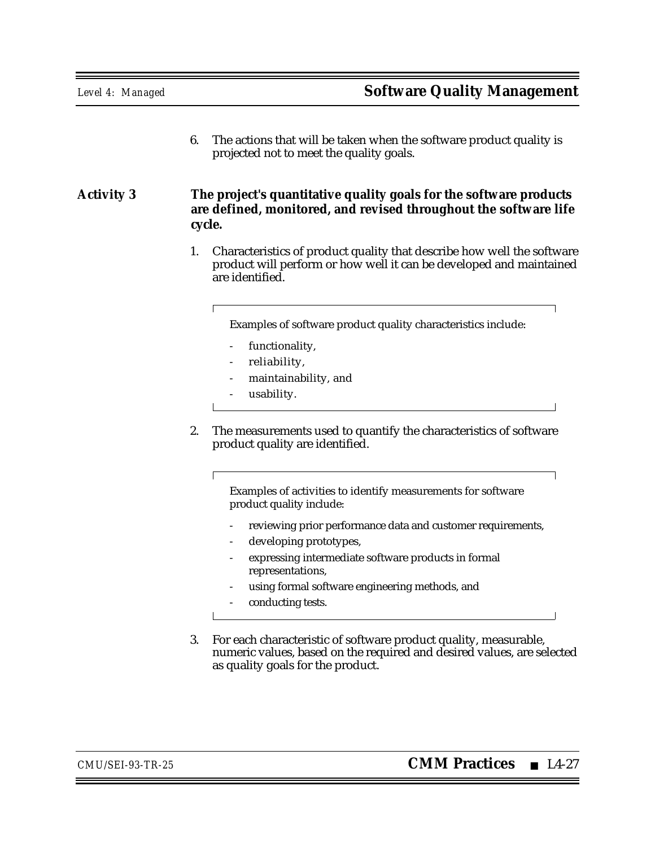6. The actions that will be taken when the software product quality is projected not to meet the quality goals.

#### **Activity 3 The project's quantitative quality goals for the software products are defined, monitored, and revised throughout the software life cycle.**

1. Characteristics of product quality that describe how well the software product will perform or how well it can be developed and maintained are identified.

Examples of software product quality characteristics include:

- functionality,
- reliability,

ſ

- maintainability, and
- usability.
- 2. The measurements used to quantify the characteristics of software product quality are identified.

Examples of activities to identify measurements for software product quality include:

- reviewing prior performance data and customer requirements,
- developing prototypes,
- expressing intermediate software products in formal representations,
- using formal software engineering methods, and
- conducting tests.
- 3. For each characteristic of software product quality, measurable, numeric values, based on the required and desired values, are selected as quality goals for the product.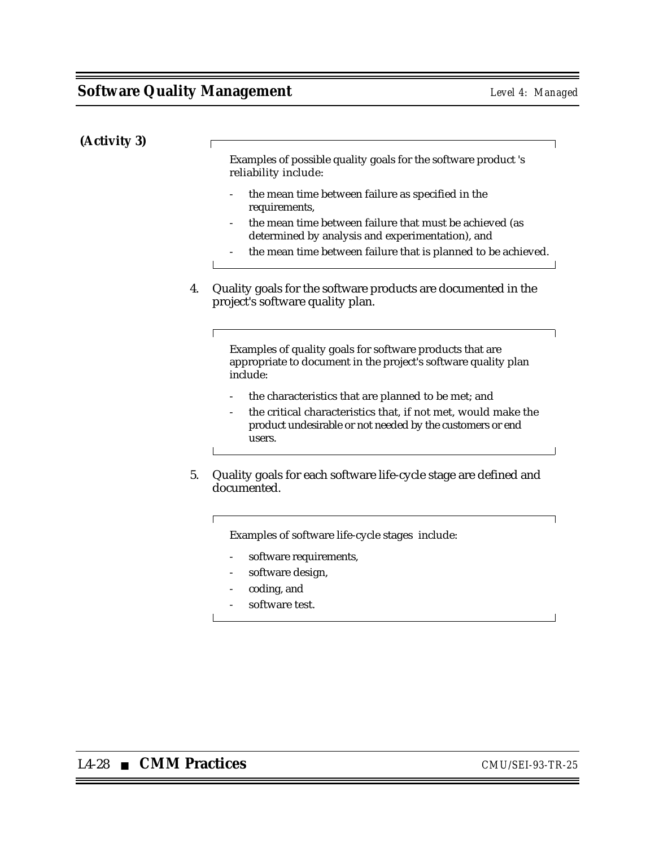### **Software Quality Management** *Level 4: Managed*

Ξ

| (Activity 3) |    |                                                                                                                                        |
|--------------|----|----------------------------------------------------------------------------------------------------------------------------------------|
|              |    | Examples of possible quality goals for the software product 's<br>reliability include:                                                 |
|              |    | the mean time between failure as specified in the<br>requirements,                                                                     |
|              |    | the mean time between failure that must be achieved (as<br>determined by analysis and experimentation), and                            |
|              |    | the mean time between failure that is planned to be achieved.                                                                          |
|              | 4. | Quality goals for the software products are documented in the<br>project's software quality plan.                                      |
|              |    | Examples of quality goals for software products that are<br>appropriate to document in the project's software quality plan<br>include: |
|              |    | the characteristics that are planned to be met; and                                                                                    |
|              |    | the critical characteristics that, if not met, would make the<br>product undesirable or not needed by the customers or end<br>users.   |
|              | 5. | Quality goals for each software life-cycle stage are defined and<br>documented.                                                        |
|              |    | Examples of software life-cycle stages include:                                                                                        |
|              |    | software requirements,                                                                                                                 |
|              |    | software design,                                                                                                                       |
|              |    | coding, and                                                                                                                            |
|              |    | software test.                                                                                                                         |
|              |    |                                                                                                                                        |

=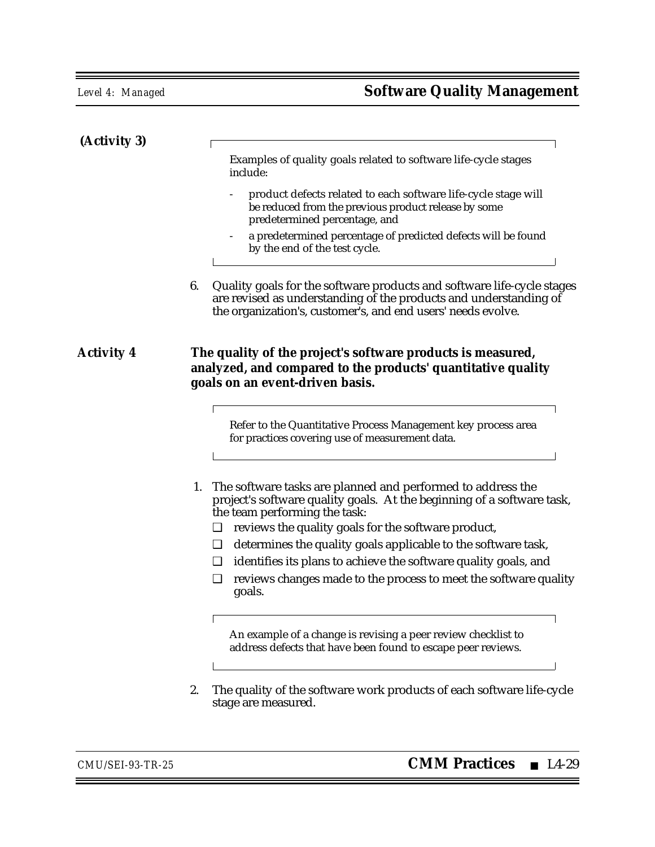| (Activity 3)      |    |                                                                                                                                                                                                             |
|-------------------|----|-------------------------------------------------------------------------------------------------------------------------------------------------------------------------------------------------------------|
|                   |    | Examples of quality goals related to software life-cycle stages<br>include:                                                                                                                                 |
|                   |    | product defects related to each software life-cycle stage will<br>be reduced from the previous product release by some<br>predetermined percentage, and                                                     |
|                   |    | a predetermined percentage of predicted defects will be found<br>by the end of the test cycle.                                                                                                              |
|                   | 6. | Quality goals for the software products and software life-cycle stages<br>are revised as understanding of the products and understanding of<br>the organization's, customer's, and end users' needs evolve. |
| <b>Activity 4</b> |    | The quality of the project's software products is measured,<br>analyzed, and compared to the products' quantitative quality<br>goals on an event-driven basis.                                              |
|                   |    | Refer to the Quantitative Process Management key process area<br>for practices covering use of measurement data.                                                                                            |
|                   | 1. | The software tasks are planned and performed to address the<br>project's software quality goals. At the beginning of a software task,<br>the team performing the task:                                      |
|                   |    | reviews the quality goals for the software product,<br>⊔                                                                                                                                                    |
|                   |    | determines the quality goals applicable to the software task,<br>⊔                                                                                                                                          |
|                   |    | identifies its plans to achieve the software quality goals, and<br>⊔                                                                                                                                        |
|                   |    | reviews changes made to the process to meet the software quality<br>⊔<br>goals.                                                                                                                             |
|                   |    |                                                                                                                                                                                                             |
|                   |    | An example of a change is revising a peer review checklist to<br>address defects that have been found to escape peer reviews.                                                                               |
|                   |    |                                                                                                                                                                                                             |
|                   | 2. | The quality of the software work products of each software life-cycle<br>stage are measured.                                                                                                                |
|                   |    |                                                                                                                                                                                                             |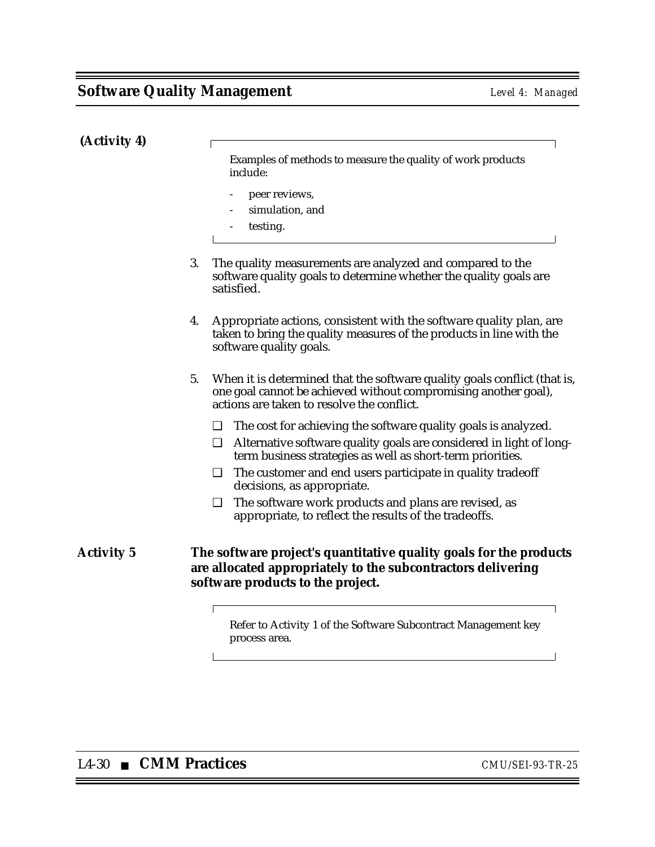### **Software Quality Management** *Level 4: Managed*

Ξ

| (Activity 4)      |                                                                                                                                                                                                 |
|-------------------|-------------------------------------------------------------------------------------------------------------------------------------------------------------------------------------------------|
|                   | Examples of methods to measure the quality of work products<br>include:                                                                                                                         |
|                   | peer reviews,                                                                                                                                                                                   |
|                   | simulation, and                                                                                                                                                                                 |
|                   | testing.                                                                                                                                                                                        |
|                   | 3.<br>The quality measurements are analyzed and compared to the<br>software quality goals to determine whether the quality goals are<br>satisfied.                                              |
|                   | 4.<br>Appropriate actions, consistent with the software quality plan, are<br>taken to bring the quality measures of the products in line with the<br>software quality goals.                    |
|                   | 5.<br>When it is determined that the software quality goals conflict (that is,<br>one goal cannot be achieved without compromising another goal),<br>actions are taken to resolve the conflict. |
|                   | The cost for achieving the software quality goals is analyzed.<br>⊔                                                                                                                             |
|                   | Alternative software quality goals are considered in light of long-<br>u.<br>term business strategies as well as short-term priorities.                                                         |
|                   | The customer and end users participate in quality tradeoff<br>Q<br>decisions, as appropriate.                                                                                                   |
|                   | The software work products and plans are revised, as<br>⊔<br>appropriate, to reflect the results of the tradeoffs.                                                                              |
| <b>Activity 5</b> | The software project's quantitative quality goals for the products<br>are allocated appropriately to the subcontractors delivering<br>software products to the project.                         |
|                   | Refer to Activity 1 of the Software Subcontract Management key<br>process area.                                                                                                                 |

=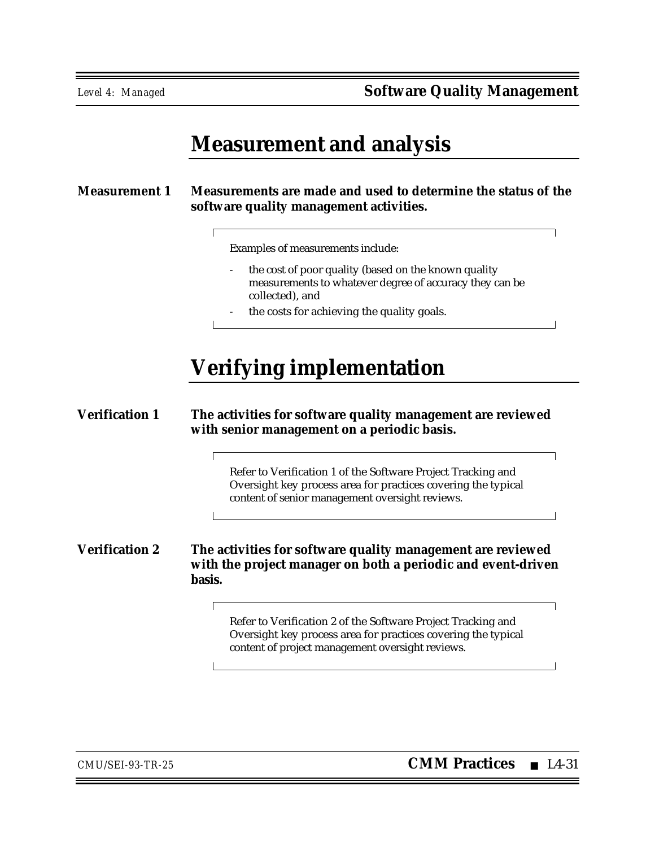## **Measurement and analysis**

| <b>Measurement 1</b>  | Measurements are made and used to determine the status of the<br>software quality management activities.                                                                          |
|-----------------------|-----------------------------------------------------------------------------------------------------------------------------------------------------------------------------------|
|                       | Examples of measurements include:                                                                                                                                                 |
|                       | the cost of poor quality (based on the known quality<br>measurements to whatever degree of accuracy they can be<br>collected), and                                                |
|                       | the costs for achieving the quality goals.                                                                                                                                        |
|                       | <b>Verifying implementation</b>                                                                                                                                                   |
| <b>Verification 1</b> | The activities for software quality management are reviewed<br>with senior management on a periodic basis.                                                                        |
|                       | Refer to Verification 1 of the Software Project Tracking and<br>Oversight key process area for practices covering the typical<br>content of senior management oversight reviews.  |
| <b>Verification 2</b> | The activities for software quality management are reviewed<br>with the project manager on both a periodic and event-driven<br>basis.                                             |
|                       | Refer to Verification 2 of the Software Project Tracking and<br>Oversight key process area for practices covering the typical<br>content of project management oversight reviews. |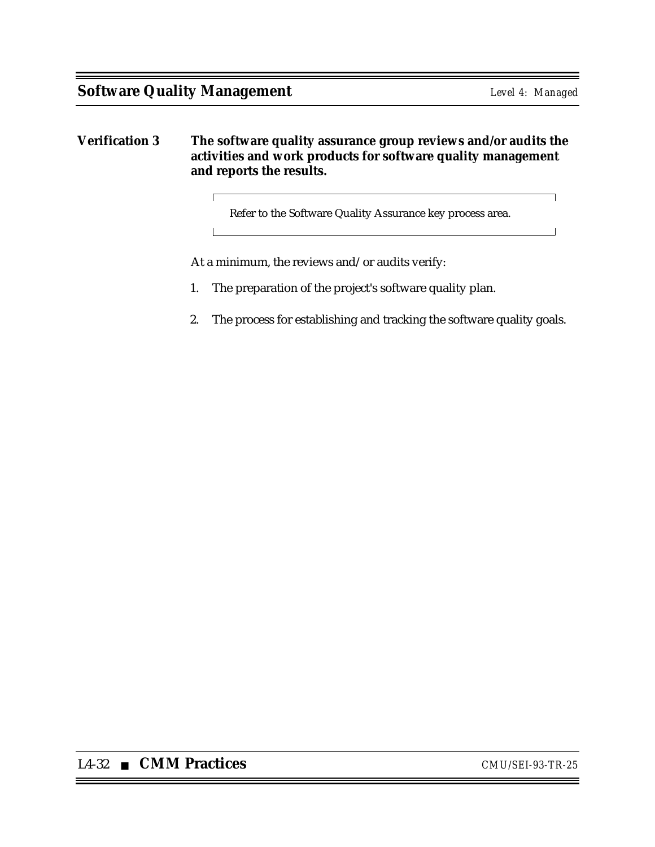$\Box$ 

I

٦

 $\overline{\phantom{a}}$ 

**Verification 3 The software quality assurance group reviews and/or audits the activities and work products for software quality management and reports the results.**

Refer to the Software Quality Assurance key process area.

At a minimum, the reviews and/or audits verify:

- 1. The preparation of the project's software quality plan.
- 2. The process for establishing and tracking the software quality goals.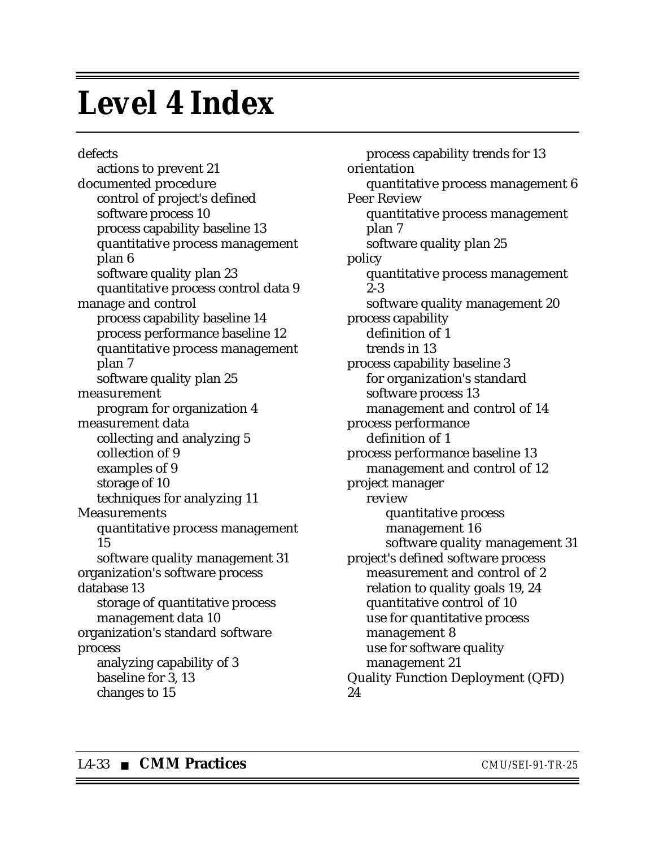# **Level 4 Index**

actions to prevent 21 orientation control of project's defined software process 10 process capability baseline 13 plan 7 quantitative process management plan 6 quantitative process control data 9 2-3 manage and control software quality management 20 process capability baseline 14 process capability process performance baseline 12 definition of 1 quantitative process management plan 7 software quality plan 25 for organization's standard measurement software process 13 program for organization 4 management and control of 14 measurement data process performance collecting and analyzing 5 definition of 1 collection of 9 process performance baseline 13 examples of 9 management and control of 12 storage of 10 project manager techniques for analyzing 11 review Measurements quantitative process quantitative process management management 16 software quality management 31 project's defined software process organization's software process database 13 storage of quantitative process management data 10 organization's standard software management 8 process use for software quality analyzing capability of 3 management 21 changes to 15 24

defects **process** capability trends for 13 documented procedure documented procedure quantitative process management 6 Peer Review quantitative process management software quality plan 25 policy software quality plan 23 quantitative process management trends in 13 process capability baseline 3 15 software quality management 31 measurement and control of 2 relation to quality goals 19, 24 quantitative control of 10 use for quantitative process baseline for 3, 13 Quality Function Deployment (QFD)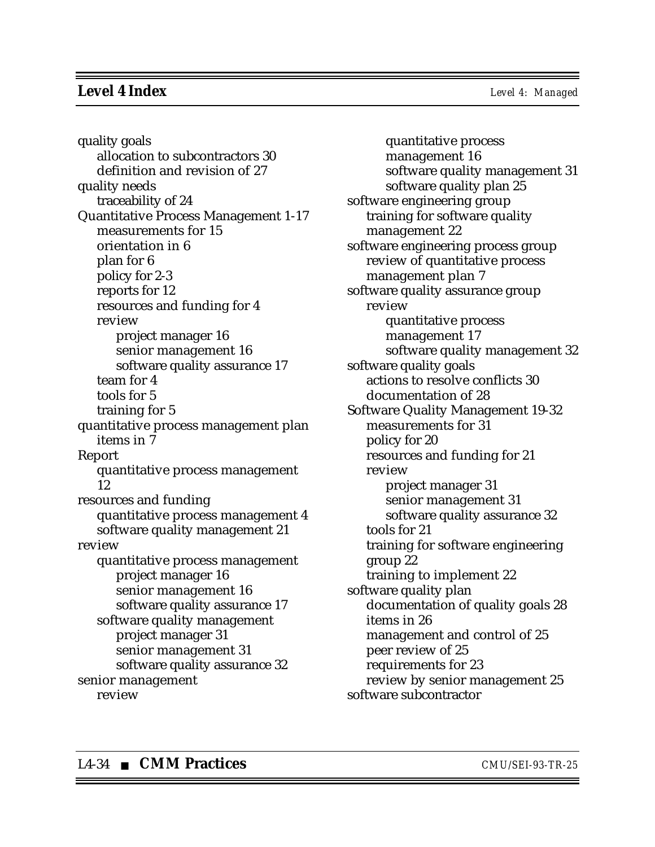#### **Level 4 Index** *Level 4: Managed*

quality goals quantitative process allocation to subcontractors 30 management 16 quality needs software quality plan 25 traceability of 24 software engineering group Quantitative Process Management 1-17 training for software quality measurements for 15 management 22 orientation in 6 software engineering process group plan for 6 **review of quantitative process** policy for 2-3 management plan 7 reports for 12 software quality assurance group resources and funding for 4 review review quantitative process project manager 16 management 17 software quality assurance 17 software quality goals team for 4 actions to resolve conflicts 30 tools for 5 documentation of 28 training for 5 Software Quality Management 19-32 quantitative process management plan measurements for 31 items in 7 Report resources and funding for 21 quantitative process management 12 resources and funding senior management 31 quantitative process management 4 software quality assurance 32 software quality management 21 tools for 21 review training for software engineering quantitative process management group 22 project manager 16 training to implement 22 senior management 16 software quality plan software quality management items in 26<br>project manager 31 management senior management 31 peer review of 25 software quality assurance 32 requirements for 23 senior management **review** by senior management 25

definition and revision of 27 software quality management 31 senior management 16 software quality management 32 policy for 20 review project manager 31 software quality assurance 17 documentation of quality goals 28 management and control of 25 review software subcontractor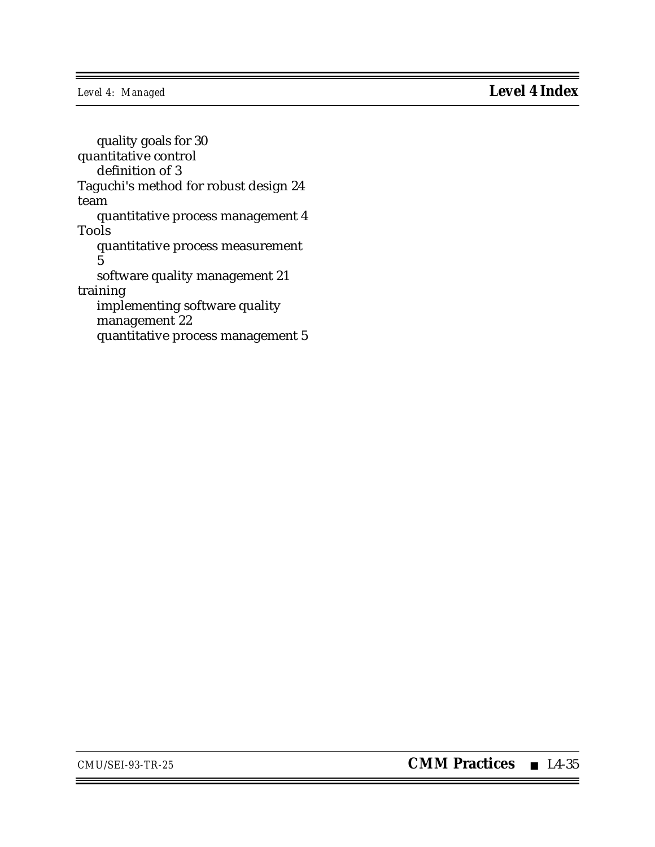quality goals for 30 quantitative control definition of 3 Taguchi's method for robust design 24 team quantitative process management 4 Tools quantitative process measurement 5 software quality management 21 training implementing software quality management 22 quantitative process management 5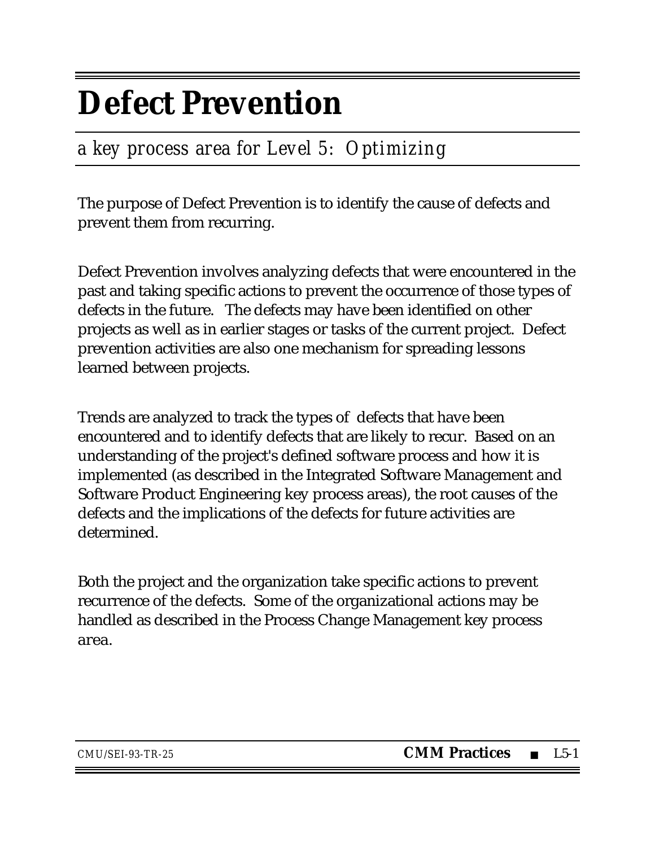# **Defect Prevention**

### *a key process area for Level 5: Optimizing*

The purpose of Defect Prevention is to identify the cause of defects and prevent them from recurring.

Defect Prevention involves analyzing defects that were encountered in the past and taking specific actions to prevent the occurrence of those types of defects in the future. The defects may have been identified on other projects as well as in earlier stages or tasks of the current project. Defect prevention activities are also one mechanism for spreading lessons learned between projects.

Trends are analyzed to track the types of defects that have been encountered and to identify defects that are likely to recur. Based on an understanding of the project's defined software process and how it is implemented (as described in the Integrated Software Management and Software Product Engineering key process areas), the root causes of the defects and the implications of the defects for future activities are determined.

Both the project and the organization take specific actions to prevent recurrence of the defects. Some of the organizational actions may be handled as described in the Process Change Management key process area.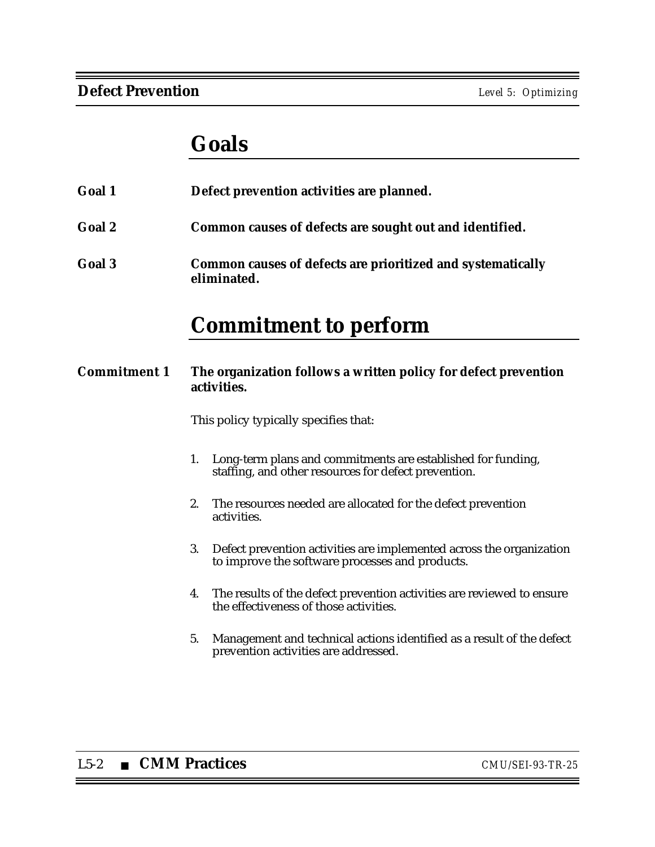## **Goals**

| Goal 1              | Defect prevention activities are planned.                                                                                     |  |
|---------------------|-------------------------------------------------------------------------------------------------------------------------------|--|
| Goal 2              | Common causes of defects are sought out and identified.                                                                       |  |
| Goal 3              | Common causes of defects are prioritized and systematically<br>eliminated.                                                    |  |
|                     | <b>Commitment to perform</b>                                                                                                  |  |
| <b>Commitment 1</b> | The organization follows a written policy for defect prevention<br>activities.                                                |  |
|                     | This policy typically specifies that:                                                                                         |  |
|                     | Long-term plans and commitments are established for funding,<br>1.<br>staffing, and other resources for defect prevention.    |  |
|                     | 2.<br>The resources needed are allocated for the defect prevention<br>activities.                                             |  |
|                     | Defect prevention activities are implemented across the organization<br>3.<br>to improve the software processes and products. |  |
|                     | The results of the defect prevention activities are reviewed to ensure<br>4.<br>the effectiveness of those activities.        |  |
|                     | 5.<br>Management and technical actions identified as a result of the defect<br>prevention activities are addressed.           |  |
|                     |                                                                                                                               |  |

=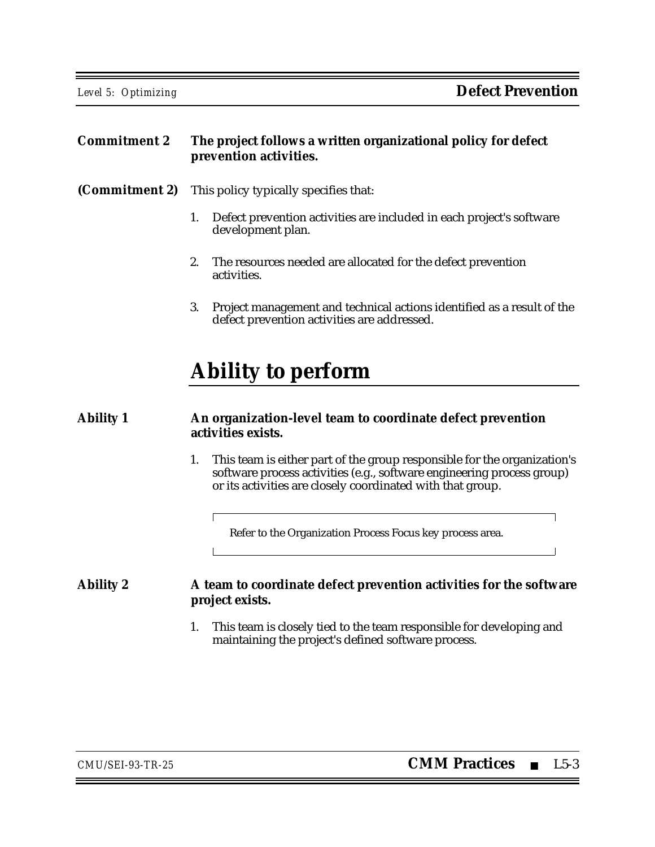#### **Commitment 2 The project follows a written organizational policy for defect prevention activities.**

**(Commitment 2)** This policy typically specifies that:

 $\sqrt{2}$ 

- 1. Defect prevention activities are included in each project's software development plan.
- 2. The resources needed are allocated for the defect prevention activities.
- 3. Project management and technical actions identified as a result of the defect prevention activities are addressed.

### **Ability to perform**

#### **Ability 1 An organization-level team to coordinate defect prevention activities exists.**

1. This team is either part of the group responsible for the organization's software process activities (e.g., software engineering process group) or its activities are closely coordinated with that group.

Refer to the Organization Process Focus key process area.

#### **Ability 2 A team to coordinate defect prevention activities for the software project exists.**

1. This team is closely tied to the team responsible for developing and maintaining the project's defined software process.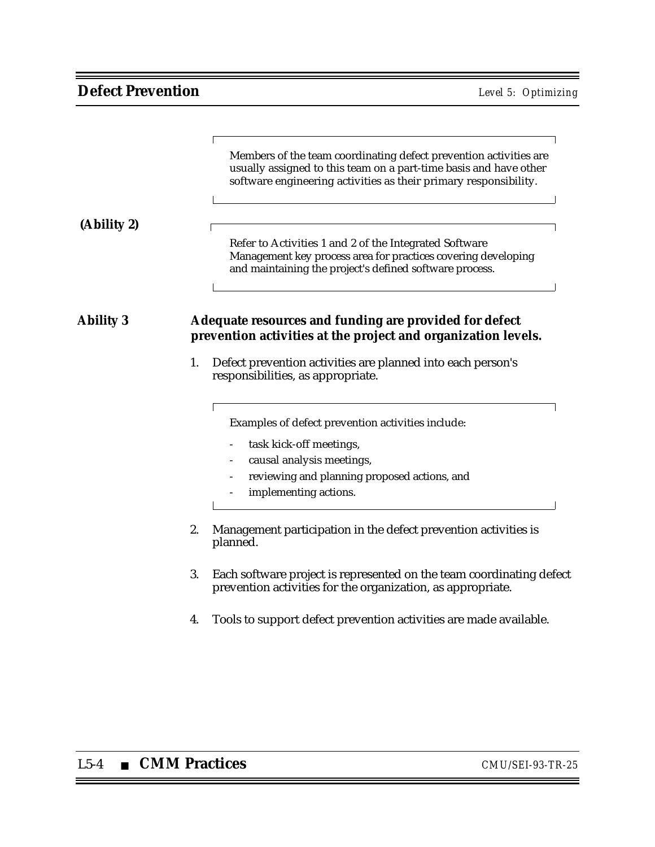### **Defect Prevention** *Level 5: Optimizing*

=

|    | Members of the team coordinating defect prevention activities are<br>usually assigned to this team on a part-time basis and have other<br>software engineering activities as their primary responsibility. |
|----|------------------------------------------------------------------------------------------------------------------------------------------------------------------------------------------------------------|
|    |                                                                                                                                                                                                            |
|    | Refer to Activities 1 and 2 of the Integrated Software<br>Management key process area for practices covering developing<br>and maintaining the project's defined software process.                         |
|    | Adequate resources and funding are provided for defect<br>prevention activities at the project and organization levels.                                                                                    |
|    | Defect prevention activities are planned into each person's<br>responsibilities, as appropriate.                                                                                                           |
|    | Examples of defect prevention activities include:                                                                                                                                                          |
|    | task kick-off meetings,                                                                                                                                                                                    |
|    | causal analysis meetings,                                                                                                                                                                                  |
|    | reviewing and planning proposed actions, and<br>implementing actions.                                                                                                                                      |
|    |                                                                                                                                                                                                            |
| 2. | Management participation in the defect prevention activities is<br>planned.                                                                                                                                |
| 3. | Each software project is represented on the team coordinating defect<br>prevention activities for the organization, as appropriate.                                                                        |
| 4. | Tools to support defect prevention activities are made available.                                                                                                                                          |
|    | 1.                                                                                                                                                                                                         |

 $=$ 

Ξ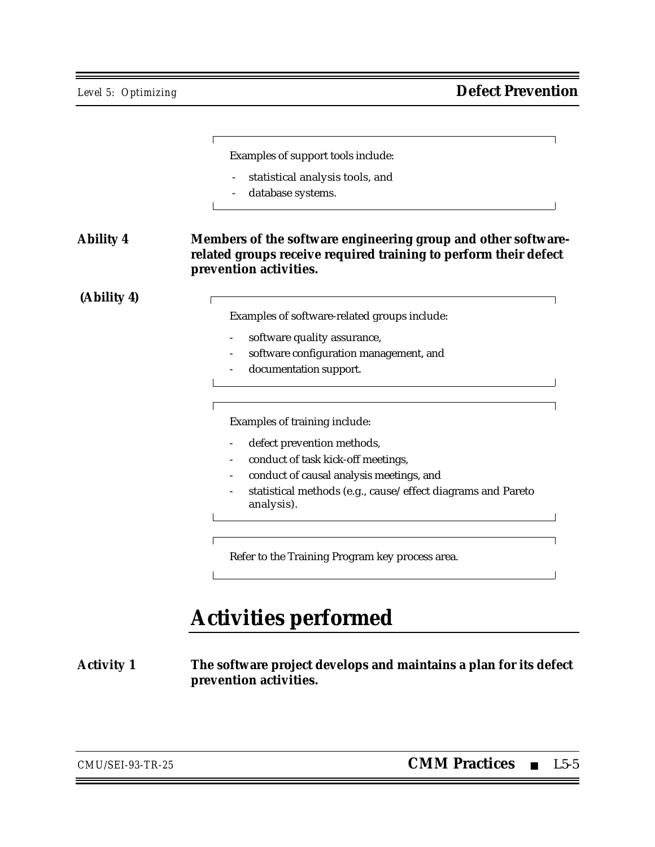|                  | Examples of support tools include:<br>statistical analysis tools, and<br>database systems.                                                                  |  |  |
|------------------|-------------------------------------------------------------------------------------------------------------------------------------------------------------|--|--|
| <b>Ability 4</b> | Members of the software engineering group and other software-<br>related groups receive required training to perform their defect<br>prevention activities. |  |  |
| (Ability 4)      | Examples of software-related groups include:                                                                                                                |  |  |
|                  | software quality assurance,                                                                                                                                 |  |  |
|                  | software configuration management, and                                                                                                                      |  |  |
|                  | documentation support.                                                                                                                                      |  |  |
|                  | Examples of training include:                                                                                                                               |  |  |
|                  | defect prevention methods,                                                                                                                                  |  |  |
|                  | conduct of task kick-off meetings,                                                                                                                          |  |  |
|                  | conduct of causal analysis meetings, and                                                                                                                    |  |  |
|                  | statistical methods (e.g., cause/effect diagrams and Pareto<br>analysis).                                                                                   |  |  |
|                  | Refer to the Training Program key process area.                                                                                                             |  |  |

# **Activities performed**

**Activity 1 The software project develops and maintains a plan for its defect prevention activities.**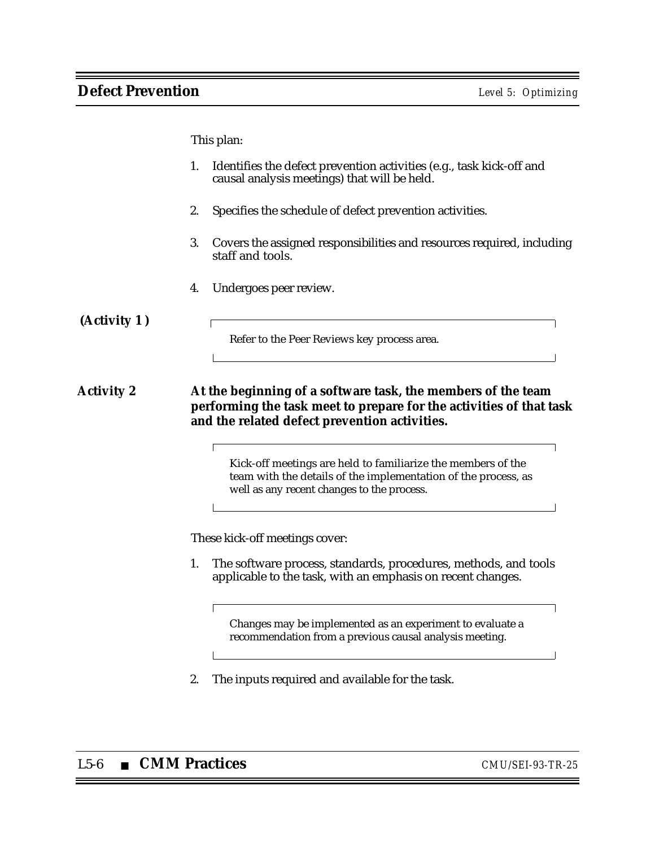٦

٦

 $\overline{\phantom{a}}$ 

٦

This plan:

 $\sqrt{2}$ 

 $\sqrt{ }$ 

| Identifies the defect prevention activities (e.g., task kick-off and |
|----------------------------------------------------------------------|
| causal analysis meetings) that will be held.                         |

- 2. Specifies the schedule of defect prevention activities.
- 3. Covers the assigned responsibilities and resources required, including staff and tools.
- 4. Undergoes peer review.

**(Activity 1 )**

Refer to the Peer Reviews key process area.

**Activity 2 At the beginning of a software task, the members of the team performing the task meet to prepare for the activities of that task and the related defect prevention activities.**

> Kick-off meetings are held to familiarize the members of the team with the details of the implementation of the process, as well as any recent changes to the process.

These kick-off meetings cover:

1. The software process, standards, procedures, methods, and tools applicable to the task, with an emphasis on recent changes.

> Changes may be implemented as an experiment to evaluate a recommendation from a previous causal analysis meeting.

2. The inputs required and available for the task.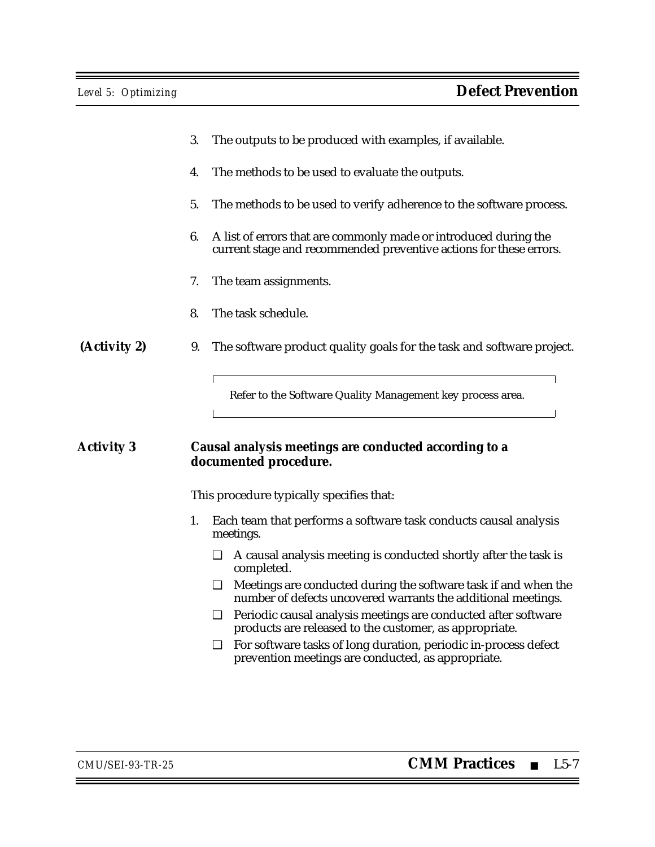|                   | 3.<br>The outputs to be produced with examples, if available.                                                                                |
|-------------------|----------------------------------------------------------------------------------------------------------------------------------------------|
|                   | 4.<br>The methods to be used to evaluate the outputs.                                                                                        |
|                   | 5.<br>The methods to be used to verify adherence to the software process.                                                                    |
|                   | 6.<br>A list of errors that are commonly made or introduced during the<br>current stage and recommended preventive actions for these errors. |
|                   | 7.<br>The team assignments.                                                                                                                  |
|                   | The task schedule.<br>8.                                                                                                                     |
| (Activity 2)      | The software product quality goals for the task and software project.<br>9.                                                                  |
|                   | Refer to the Software Quality Management key process area.                                                                                   |
| <b>Activity 3</b> | Causal analysis meetings are conducted according to a<br>documented procedure.                                                               |
|                   | This procedure typically specifies that:                                                                                                     |
|                   | Each team that performs a software task conducts causal analysis<br>1.<br>meetings.                                                          |
|                   | A causal analysis meeting is conducted shortly after the task is<br>u<br>completed.                                                          |
|                   | Meetings are conducted during the software task if and when the<br>⊔<br>number of defects uncovered warrants the additional meetings.        |
|                   | Periodic causal analysis meetings are conducted after software<br>❏<br>products are released to the customer, as appropriate.                |
|                   | For software tasks of long duration, periodic in-process defect<br>❏<br>prevention meetings are conducted, as appropriate.                   |
|                   |                                                                                                                                              |

 $\equiv$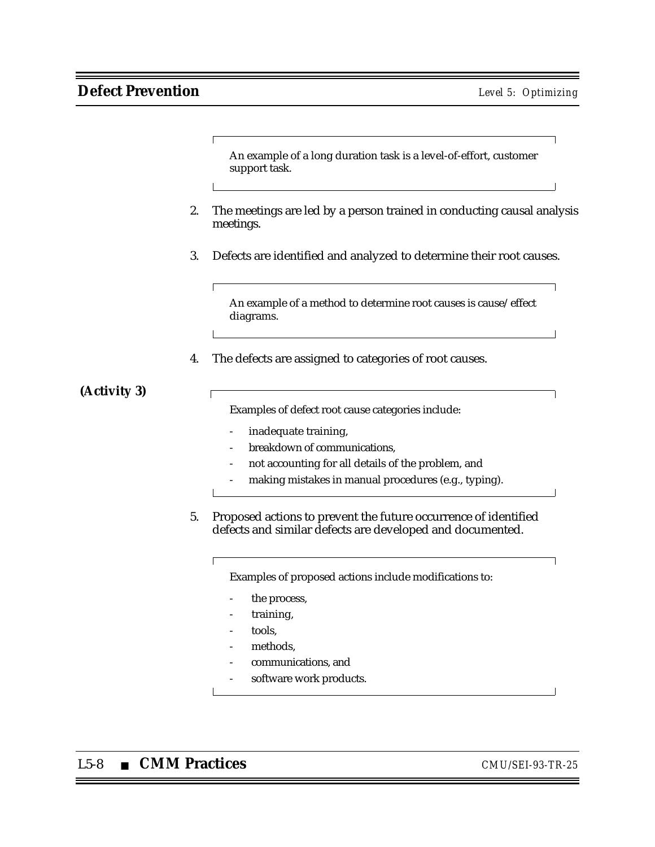### **Defect Prevention** *Level 5: Optimizing*

=

|              | An example of a long duration task is a level-of-effort, customer<br>support task.                                                                                                                                      |
|--------------|-------------------------------------------------------------------------------------------------------------------------------------------------------------------------------------------------------------------------|
|              | 2.<br>The meetings are led by a person trained in conducting causal analysis<br>meetings.                                                                                                                               |
|              | 3.<br>Defects are identified and analyzed to determine their root causes.                                                                                                                                               |
|              | An example of a method to determine root causes is cause/effect<br>diagrams.                                                                                                                                            |
|              | The defects are assigned to categories of root causes.<br>4.                                                                                                                                                            |
| (Activity 3) | Examples of defect root cause categories include:<br>inadequate training,<br>breakdown of communications,<br>not accounting for all details of the problem, and<br>making mistakes in manual procedures (e.g., typing). |
|              | 5.<br>Proposed actions to prevent the future occurrence of identified<br>defects and similar defects are developed and documented.                                                                                      |
|              | Examples of proposed actions include modifications to:<br>the process,<br>training,<br>tools,<br>methods,<br>communications, and<br>software work products.                                                             |

 $\qquad \qquad =\qquad$ 

=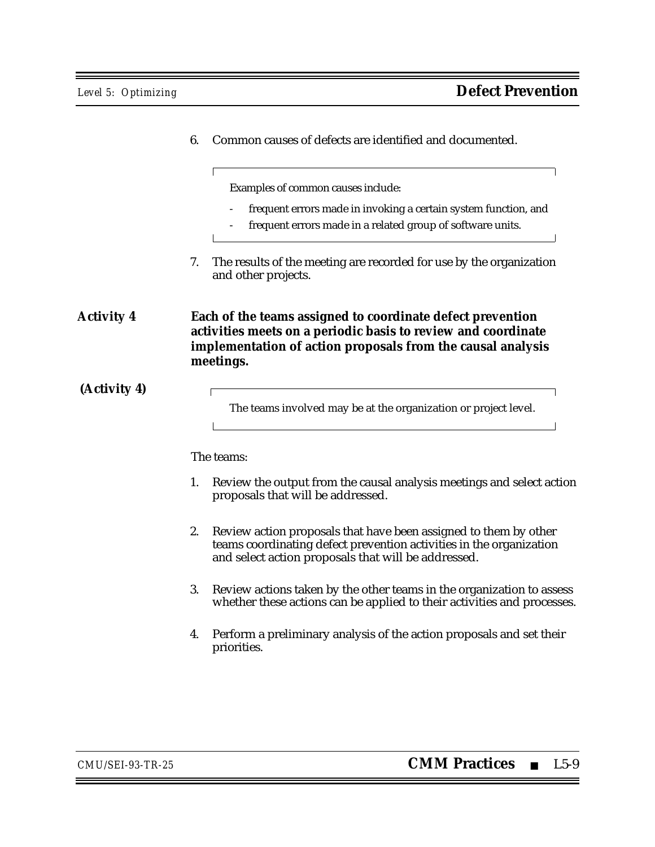|                   | Common causes of defects are identified and documented.<br>6.                                                                                                                                           |
|-------------------|---------------------------------------------------------------------------------------------------------------------------------------------------------------------------------------------------------|
|                   | Examples of common causes include:<br>frequent errors made in invoking a certain system function, and<br>frequent errors made in a related group of software units.                                     |
|                   | The results of the meeting are recorded for use by the organization<br>7.<br>and other projects.                                                                                                        |
| <b>Activity 4</b> | Each of the teams assigned to coordinate defect prevention<br>activities meets on a periodic basis to review and coordinate<br>implementation of action proposals from the causal analysis<br>meetings. |
| (Activity 4)      | The teams involved may be at the organization or project level.                                                                                                                                         |
|                   | The teams:                                                                                                                                                                                              |
|                   | 1.<br>Review the output from the causal analysis meetings and select action<br>proposals that will be addressed.                                                                                        |
|                   | 2.<br>Review action proposals that have been assigned to them by other<br>teams coordinating defect prevention activities in the organization<br>and select action proposals that will be addressed.    |
|                   | 3.<br>Review actions taken by the other teams in the organization to assess<br>whether these actions can be applied to their activities and processes.                                                  |
|                   | Perform a preliminary analysis of the action proposals and set their<br>4.<br>priorities.                                                                                                               |
|                   |                                                                                                                                                                                                         |

 $\equiv$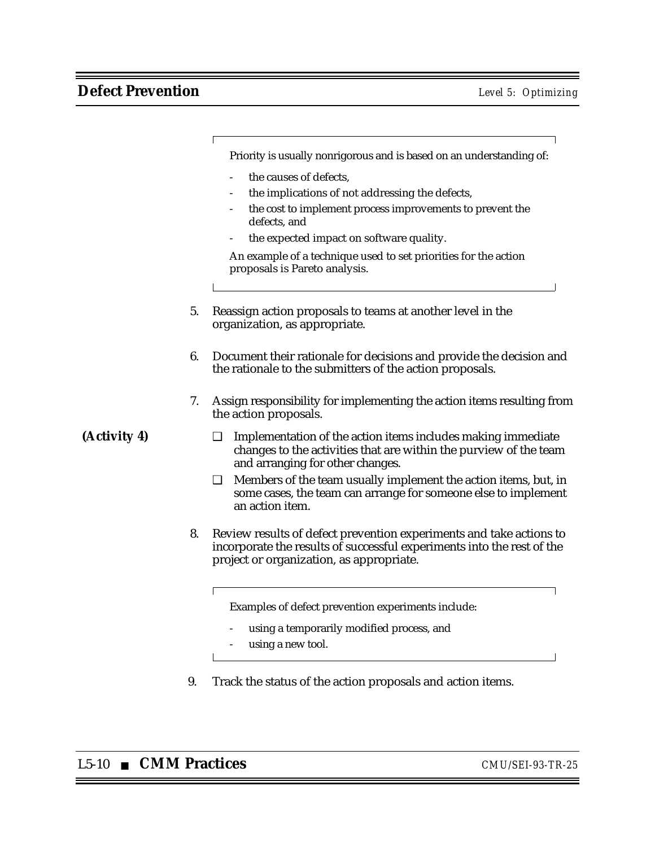#### **Defect Prevention** *Level 5: Optimizing*

Priority is usually nonrigorous and is based on an understanding of: the causes of defects, the implications of not addressing the defects, the cost to implement process improvements to prevent the defects, and the expected impact on software quality. An example of a technique used to set priorities for the action proposals is Pareto analysis. 5. Reassign action proposals to teams at another level in the organization, as appropriate. 6. Document their rationale for decisions and provide the decision and the rationale to the submitters of the action proposals. 7. Assign responsibility for implementing the action items resulting from the action proposals. **(Activity 4)** ❑ Implementation of the action items includes making immediate changes to the activities that are within the purview of the team and arranging for other changes. ❑ Members of the team usually implement the action items, but, in some cases, the team can arrange for someone else to implement an action item. 8. Review results of defect prevention experiments and take actions to incorporate the results of successful experiments into the rest of the project or organization, as appropriate. Examples of defect prevention experiments include: using a temporarily modified process, and using a new tool.

9. Track the status of the action proposals and action items.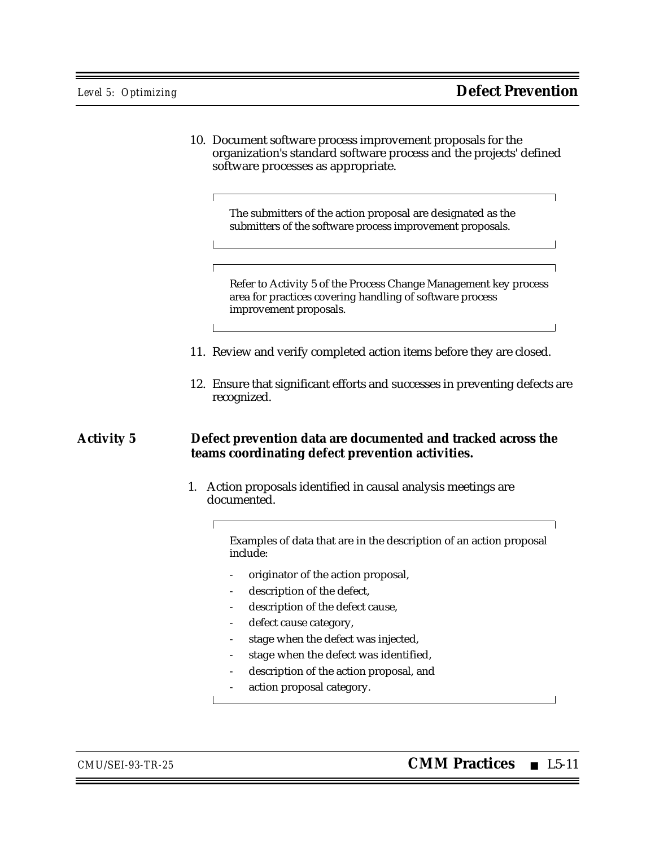ſ

ſ

ſ

 $\overline{\phantom{a}}$ 

٦

10. Document software process improvement proposals for the organization's standard software process and the projects' defined software processes as appropriate.

> The submitters of the action proposal are designated as the submitters of the software process improvement proposals.

Refer to Activity 5 of the Process Change Management key process area for practices covering handling of software process improvement proposals.

- 11. Review and verify completed action items before they are closed.
- 12. Ensure that significant efforts and successes in preventing defects are recognized.

#### **Activity 5 Defect prevention data are documented and tracked across the teams coordinating defect prevention activities.**

1. Action proposals identified in causal analysis meetings are documented.

> Examples of data that are in the description of an action proposal include:

- originator of the action proposal,
- description of the defect,
- description of the defect cause,
- defect cause category,
- stage when the defect was injected,
- stage when the defect was identified,
- description of the action proposal, and
- action proposal category.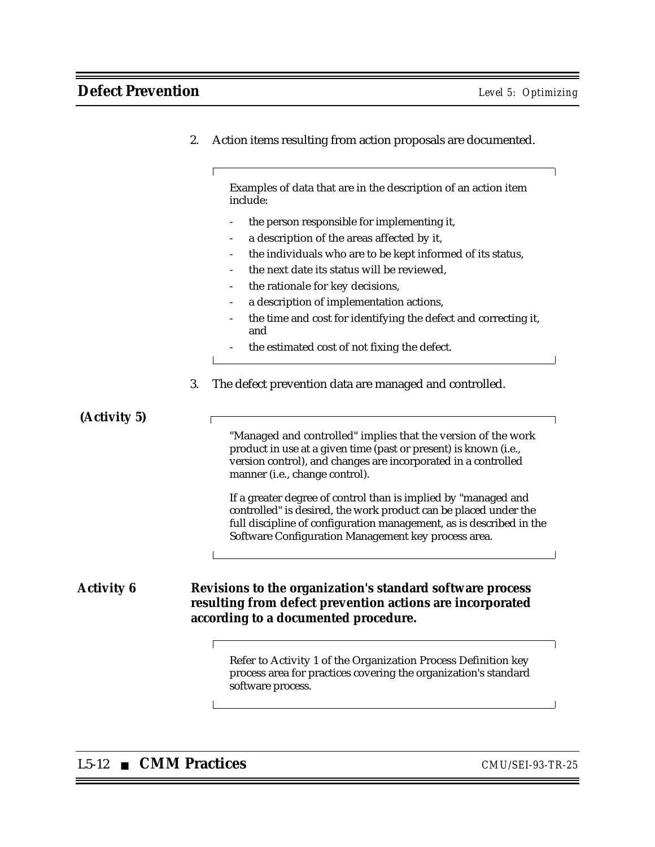#### **Defect Prevention** *Level 5: Optimizing*

Г

2. Action items resulting from action proposals are documented.

Examples of data that are in the description of an action item include:

- the person responsible for implementing it,
- a description of the areas affected by it,
- the individuals who are to be kept informed of its status,
- the next date its status will be reviewed,
- the rationale for key decisions,
- a description of implementation actions,
- the time and cost for identifying the defect and correcting it, and
- the estimated cost of not fixing the defect.
- 3. The defect prevention data are managed and controlled.

**(Activity 5)**

"Managed and controlled" implies that the version of the work product in use at a given time (past or present) is known (i.e., version control), and changes are incorporated in a controlled manner (i.e., change control).

If a greater degree of control than is implied by "managed and controlled" is desired, the work product can be placed under the full discipline of configuration management, as is described in the Software Configuration Management key process area.

**Activity 6 Revisions to the organization's standard software process resulting from defect prevention actions are incorporated according to a documented procedure.**

> Refer to Activity 1 of the Organization Process Definition key process area for practices covering the organization's standard software process.

 $\sqrt{2}$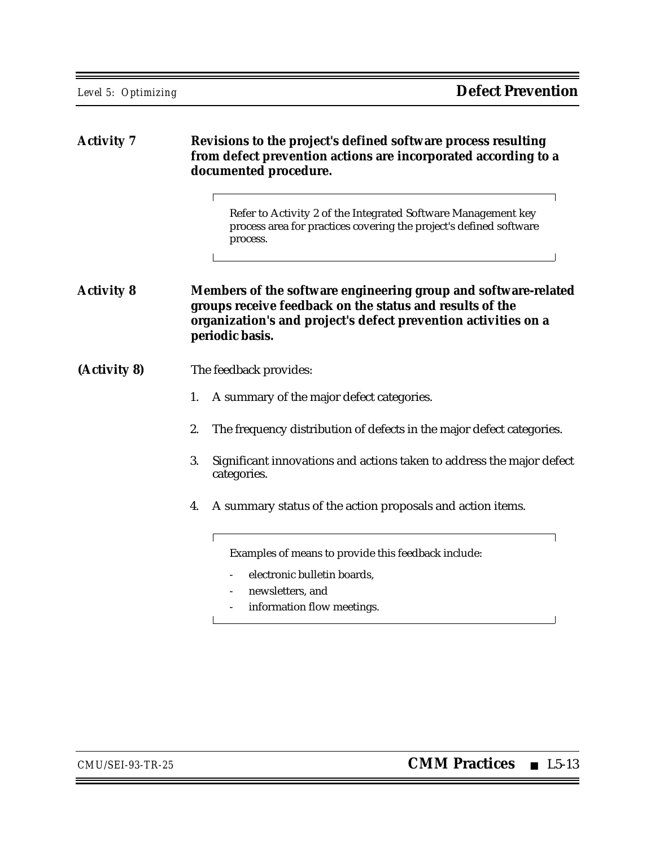| <b>Activity 7</b> | Revisions to the project's defined software process resulting<br>from defect prevention actions are incorporated according to a<br>documented procedure.                                                        |  |  |
|-------------------|-----------------------------------------------------------------------------------------------------------------------------------------------------------------------------------------------------------------|--|--|
|                   | Refer to Activity 2 of the Integrated Software Management key<br>process area for practices covering the project's defined software<br>process.                                                                 |  |  |
| <b>Activity 8</b> | Members of the software engineering group and software-related<br>groups receive feedback on the status and results of the<br>organization's and project's defect prevention activities on a<br>periodic basis. |  |  |
| (Activity 8)      | The feedback provides:                                                                                                                                                                                          |  |  |
|                   | 1.<br>A summary of the major defect categories.                                                                                                                                                                 |  |  |
|                   | 2.<br>The frequency distribution of defects in the major defect categories.                                                                                                                                     |  |  |
|                   | 3.<br>Significant innovations and actions taken to address the major defect<br>categories.                                                                                                                      |  |  |
|                   | 4.<br>A summary status of the action proposals and action items.                                                                                                                                                |  |  |
|                   | Examples of means to provide this feedback include:<br>electronic bulletin boards,<br>$\overline{\phantom{a}}$<br>newsletters, and<br>information flow meetings.                                                |  |  |

 $\equiv$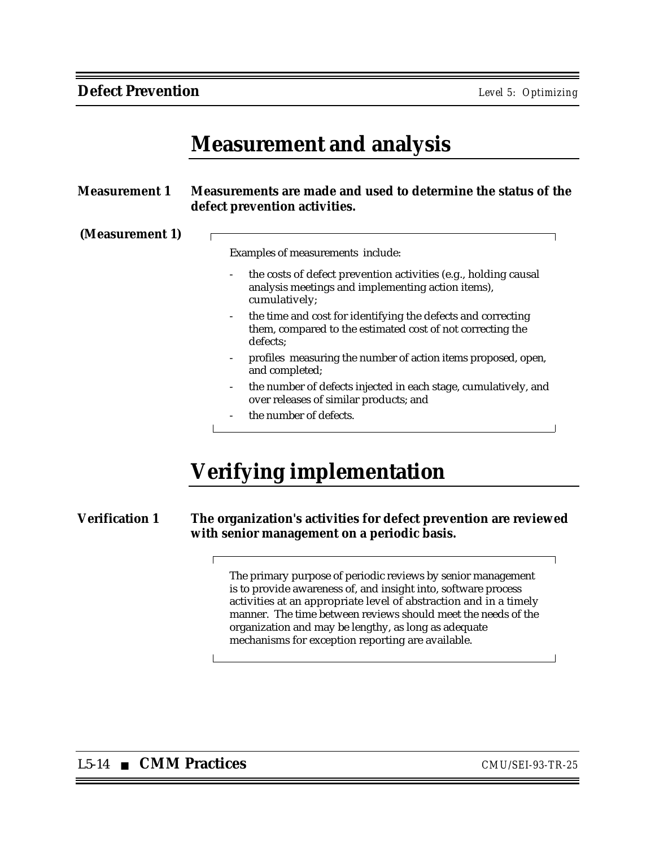## **Measurement and analysis**

| Measurements are made and used to determine the status of the<br>defect prevention activities.                                         |
|----------------------------------------------------------------------------------------------------------------------------------------|
| Examples of measurements include:                                                                                                      |
| the costs of defect prevention activities (e.g., holding causal<br>analysis meetings and implementing action items),<br>cumulatively;  |
| the time and cost for identifying the defects and correcting<br>them, compared to the estimated cost of not correcting the<br>defects; |
| profiles measuring the number of action items proposed, open,<br>and completed;                                                        |
| the number of defects injected in each stage, cumulatively, and<br>$\overline{\phantom{a}}$<br>over releases of similar products; and  |
| the number of defects.                                                                                                                 |
|                                                                                                                                        |

# **Verifying implementation**

**Verification 1 The organization's activities for defect prevention are reviewed with senior management on a periodic basis.**

> The primary purpose of periodic reviews by senior management is to provide awareness of, and insight into, software process activities at an appropriate level of abstraction and in a timely manner. The time between reviews should meet the needs of the organization and may be lengthy, as long as adequate mechanisms for exception reporting are available.

 $\Box$ 

 $\overline{\mathcal{L}}$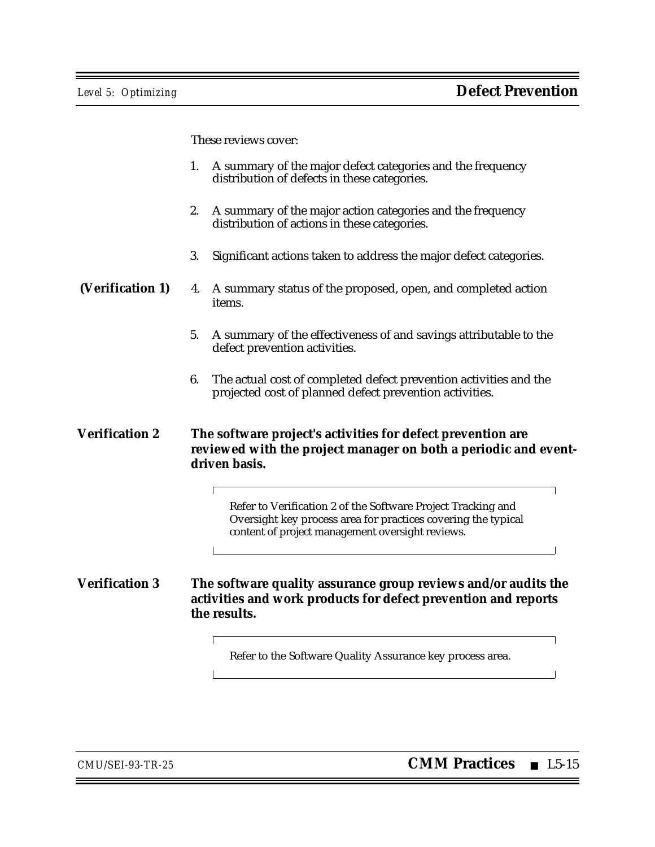These reviews cover:

 $\sqrt{2}$ 

ſ

| A summary of the major defect categories and the frequency |  |
|------------------------------------------------------------|--|
| distribution of defects in these categories.               |  |

- 2. A summary of the major action categories and the frequency distribution of actions in these categories.
- 3. Significant actions taken to address the major defect categories.

#### **(Verification 1)** 4. A summary status of the proposed, open, and completed action items.

- 5. A summary of the effectiveness of and savings attributable to the defect prevention activities.
- 6. The actual cost of completed defect prevention activities and the projected cost of planned defect prevention activities.

**Verification 2 The software project's activities for defect prevention are reviewed with the project manager on both a periodic and eventdriven basis.**

> Refer to Verification 2 of the Software Project Tracking and Oversight key process area for practices covering the typical content of project management oversight reviews.

**Verification 3 The software quality assurance group reviews and/or audits the activities and work products for defect prevention and reports the results.**

Refer to the Software Quality Assurance key process area.

٦

 $\overline{\phantom{a}}$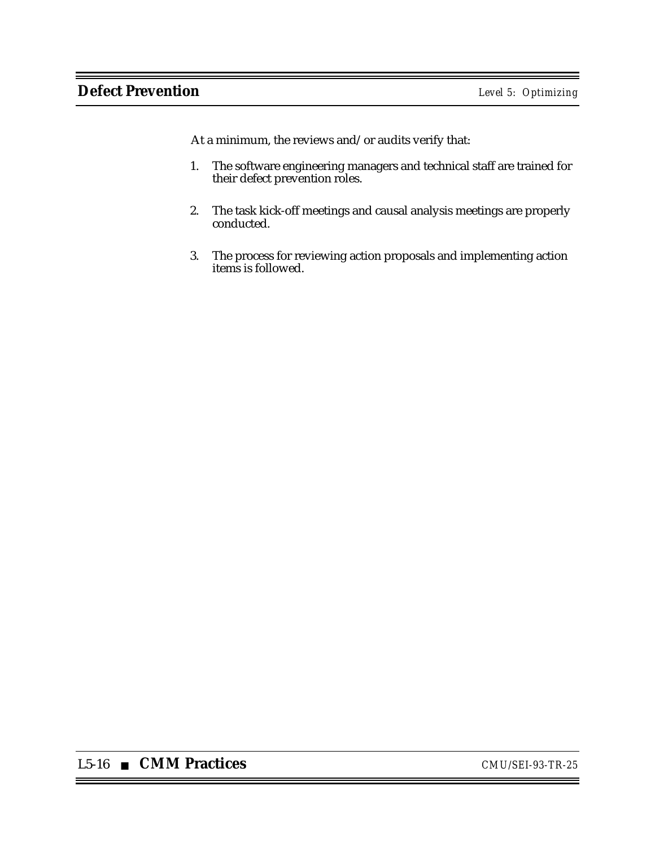### **Defect Prevention** *Level 5: Optimizing*

At a minimum, the reviews and/or audits verify that:

- 1. The software engineering managers and technical staff are trained for their defect prevention roles.
- 2. The task kick-off meetings and causal analysis meetings are properly conducted.
- 3. The process for reviewing action proposals and implementing action items is followed.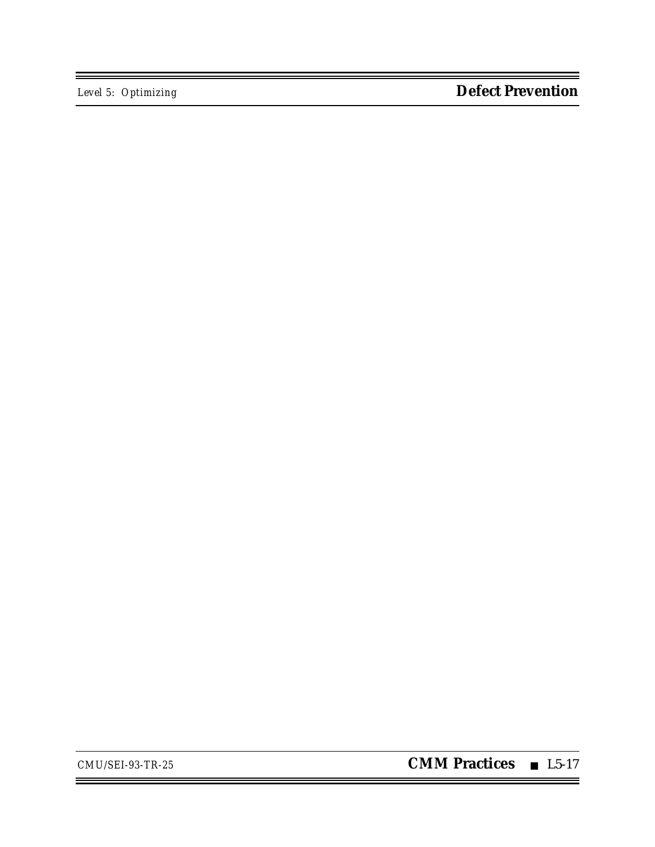Ξ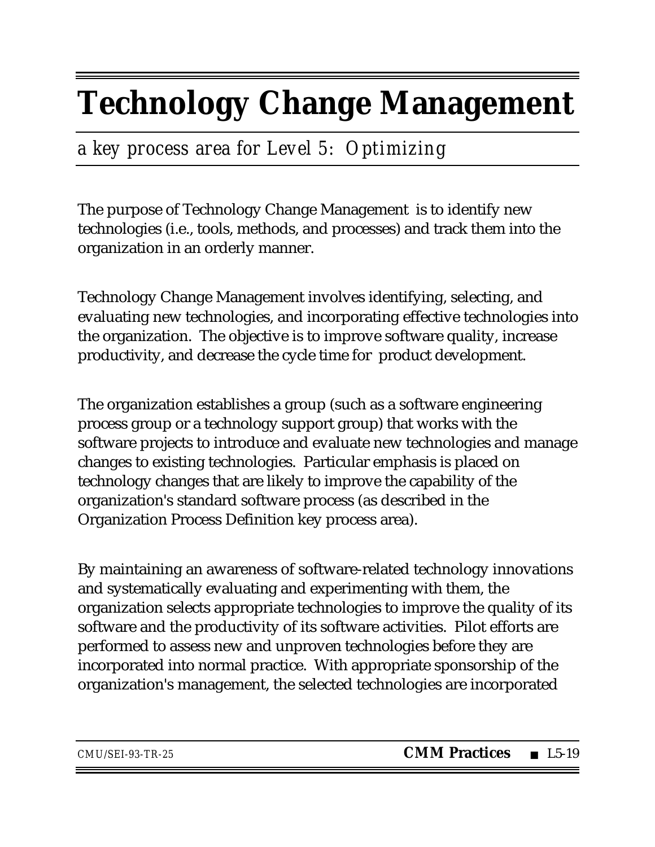# **Technology Change Management**

### *a key process area for Level 5: Optimizing*

The purpose of Technology Change Management is to identify new technologies (i.e., tools, methods, and processes) and track them into the organization in an orderly manner.

Technology Change Management involves identifying, selecting, and evaluating new technologies, and incorporating effective technologies into the organization. The objective is to improve software quality, increase productivity, and decrease the cycle time for product development.

The organization establishes a group (such as a software engineering process group or a technology support group) that works with the software projects to introduce and evaluate new technologies and manage changes to existing technologies. Particular emphasis is placed on technology changes that are likely to improve the capability of the organization's standard software process (as described in the Organization Process Definition key process area).

By maintaining an awareness of software-related technology innovations and systematically evaluating and experimenting with them, the organization selects appropriate technologies to improve the quality of its software and the productivity of its software activities. Pilot efforts are performed to assess new and unproven technologies before they are incorporated into normal practice. With appropriate sponsorship of the organization's management, the selected technologies are incorporated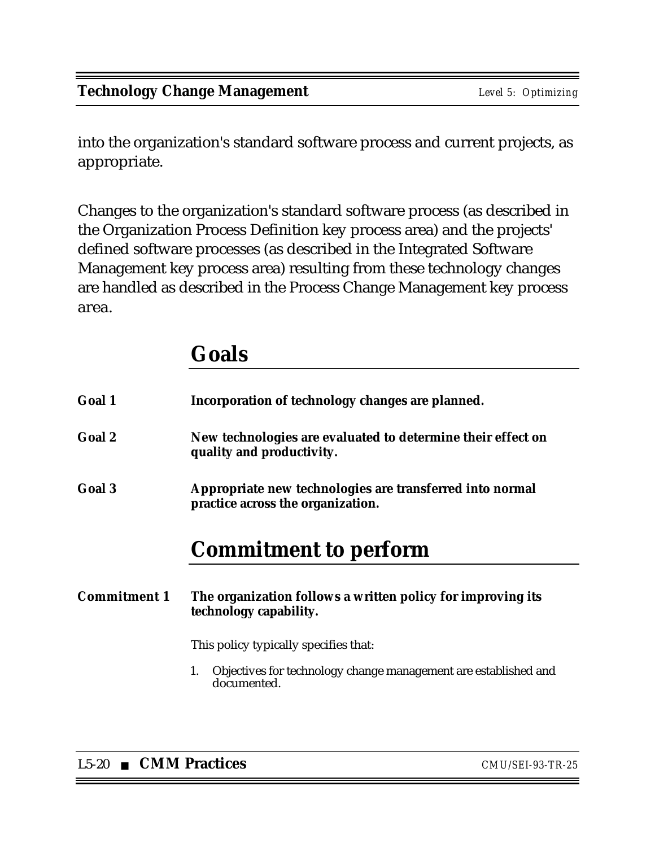into the organization's standard software process and current projects, as appropriate.

Changes to the organization's standard software process (as described in the Organization Process Definition key process area) and the projects' defined software processes (as described in the Integrated Software Management key process area) resulting from these technology changes are handled as described in the Process Change Management key process area.

**Goals**

| Goal 1              | Incorporation of technology changes are planned.                                              |
|---------------------|-----------------------------------------------------------------------------------------------|
| Goal 2              | New technologies are evaluated to determine their effect on<br>quality and productivity.      |
| Goal 3              | Appropriate new technologies are transferred into normal<br>practice across the organization. |
|                     | <b>Commitment to perform</b>                                                                  |
| <b>Commitment 1</b> | The organization follows a written policy for improving its<br>technology capability.         |
|                     | This policy typically specifies that:                                                         |
|                     | Objectives for technology change management are established and<br>1.<br>documented.          |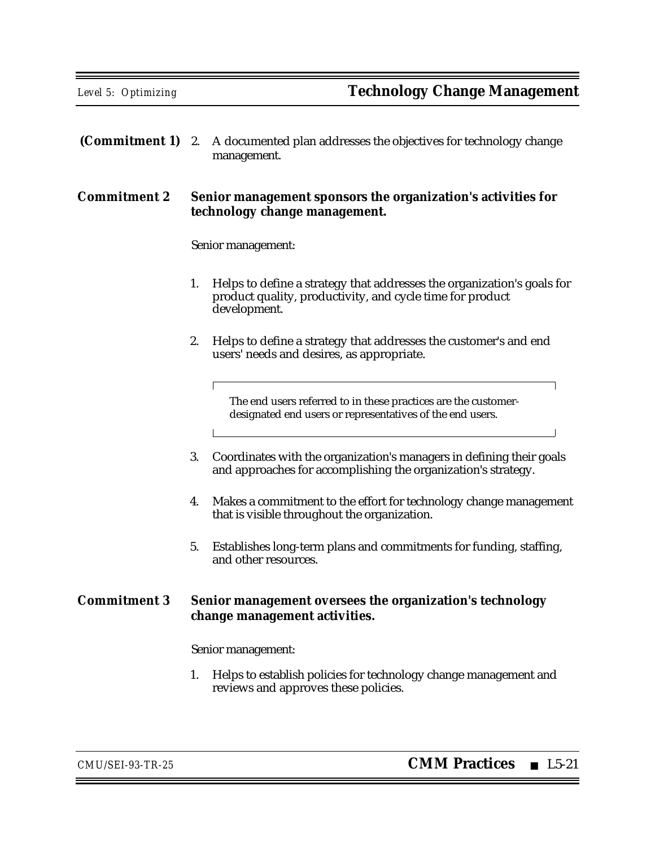**(Commitment 1)** 2. A documented plan addresses the objectives for technology change management.

#### **Commitment 2 Senior management sponsors the organization's activities for technology change management.**

Senior management:

- 1. Helps to define a strategy that addresses the organization's goals for product quality, productivity, and cycle time for product development.
- 2. Helps to define a strategy that addresses the customer's and end users' needs and desires, as appropriate.

The end users referred to in these practices are the customerdesignated end users or representatives of the end users.

- 3. Coordinates with the organization's managers in defining their goals and approaches for accomplishing the organization's strategy.
- 4. Makes a commitment to the effort for technology change management that is visible throughout the organization.
- 5. Establishes long-term plans and commitments for funding, staffing, and other resources.

#### **Commitment 3 Senior management oversees the organization's technology change management activities.**

Senior management:

1. Helps to establish policies for technology change management and reviews and approves these policies.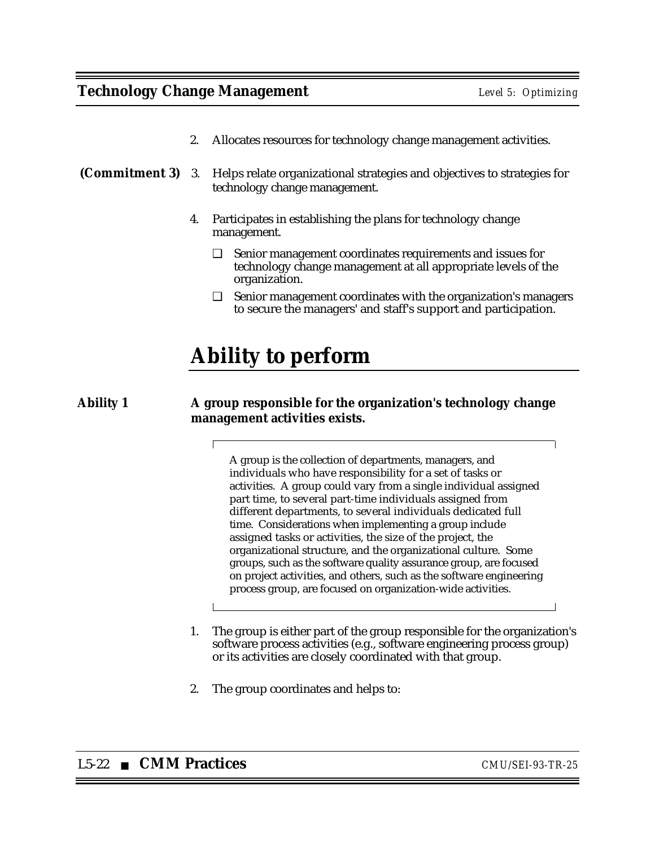#### **Technology Change Management** *Level 5: Optimizing*

- 2. Allocates resources for technology change management activities.
- **(Commitment 3)** 3. Helps relate organizational strategies and objectives to strategies for technology change management.
	- 4. Participates in establishing the plans for technology change management.
		- ❑ Senior management coordinates requirements and issues for technology change management at all appropriate levels of the organization.
		- ❑ Senior management coordinates with the organization's managers to secure the managers' and staff's support and participation.

### **Ability to perform**

 $\Box$ 

#### **Ability 1 A group responsible for the organization's technology change management activities exists.**

A group is the collection of departments, managers, and individuals who have responsibility for a set of tasks or activities. A group could vary from a single individual assigned part time, to several part-time individuals assigned from different departments, to several individuals dedicated full time. Considerations when implementing a group include assigned tasks or activities, the size of the project, the organizational structure, and the organizational culture. Some groups, such as the software quality assurance group, are focused on project activities, and others, such as the software engineering process group, are focused on organization-wide activities.

- 1. The group is either part of the group responsible for the organization's software process activities (e.g., software engineering process group) or its activities are closely coordinated with that group.
- 2. The group coordinates and helps to: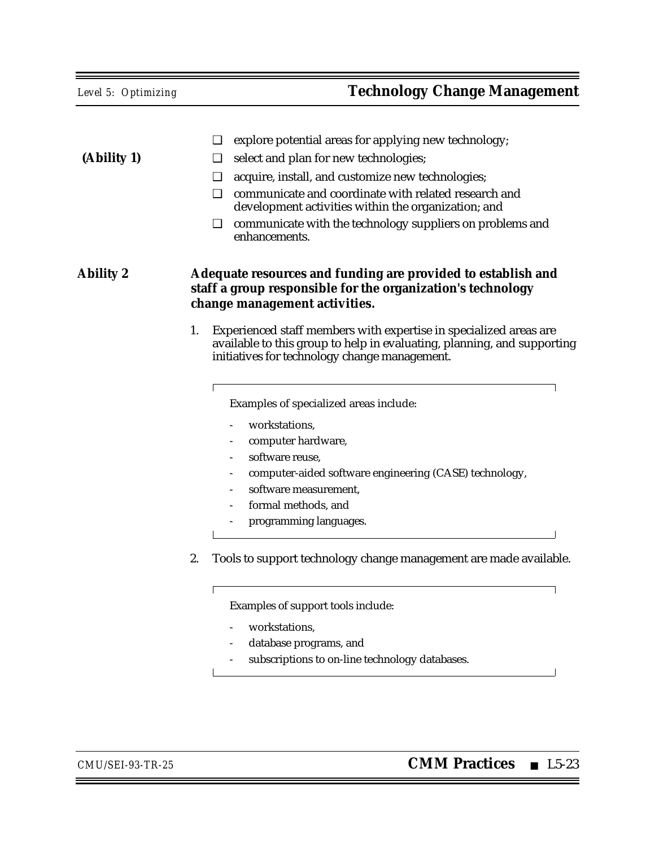|                  | explore potential areas for applying new technology;<br>$\Box$                                                                                                                                      |
|------------------|-----------------------------------------------------------------------------------------------------------------------------------------------------------------------------------------------------|
| (Ability 1)      | select and plan for new technologies;<br>⊔                                                                                                                                                          |
|                  | acquire, install, and customize new technologies;<br>❏                                                                                                                                              |
|                  | communicate and coordinate with related research and<br>❏<br>development activities within the organization; and                                                                                    |
|                  | communicate with the technology suppliers on problems and<br>$\Box$<br>enhancements.                                                                                                                |
| <b>Ability 2</b> | Adequate resources and funding are provided to establish and<br>staff a group responsible for the organization's technology<br>change management activities.                                        |
|                  | 1.<br>Experienced staff members with expertise in specialized areas are<br>available to this group to help in evaluating, planning, and supporting<br>initiatives for technology change management. |
|                  | Examples of specialized areas include:                                                                                                                                                              |
|                  | workstations.                                                                                                                                                                                       |
|                  | computer hardware,                                                                                                                                                                                  |
|                  | software reuse,                                                                                                                                                                                     |
|                  | computer-aided software engineering (CASE) technology,                                                                                                                                              |
|                  | software measurement,                                                                                                                                                                               |
|                  | formal methods, and                                                                                                                                                                                 |
|                  | programming languages.                                                                                                                                                                              |
|                  | 2.<br>Tools to support technology change management are made available.                                                                                                                             |
|                  | Examples of support tools include:                                                                                                                                                                  |
|                  | workstations,                                                                                                                                                                                       |
|                  | database programs, and                                                                                                                                                                              |
|                  | subscriptions to on-line technology databases.                                                                                                                                                      |
|                  |                                                                                                                                                                                                     |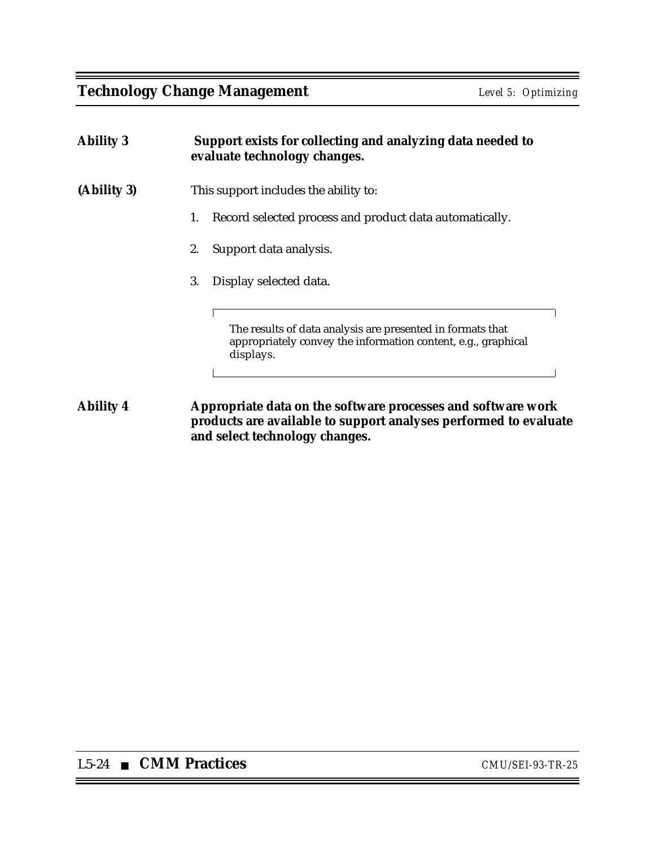**Technology Change Management** *Level 5: Optimizing*

| <b>Ability 3</b> | Support exists for collecting and analyzing data needed to<br>evaluate technology changes.                                                                         |
|------------------|--------------------------------------------------------------------------------------------------------------------------------------------------------------------|
| (Ability 3)      | This support includes the ability to:                                                                                                                              |
|                  | Record selected process and product data automatically.<br>1.                                                                                                      |
|                  | Support data analysis.<br>2.                                                                                                                                       |
|                  | 3.<br>Display selected data.                                                                                                                                       |
|                  | The results of data analysis are presented in formats that<br>appropriately convey the information content, e.g., graphical<br>displays.                           |
| <b>Ability 4</b> | Appropriate data on the software processes and software work<br>products are available to support analyses performed to evaluate<br>and select technology changes. |

=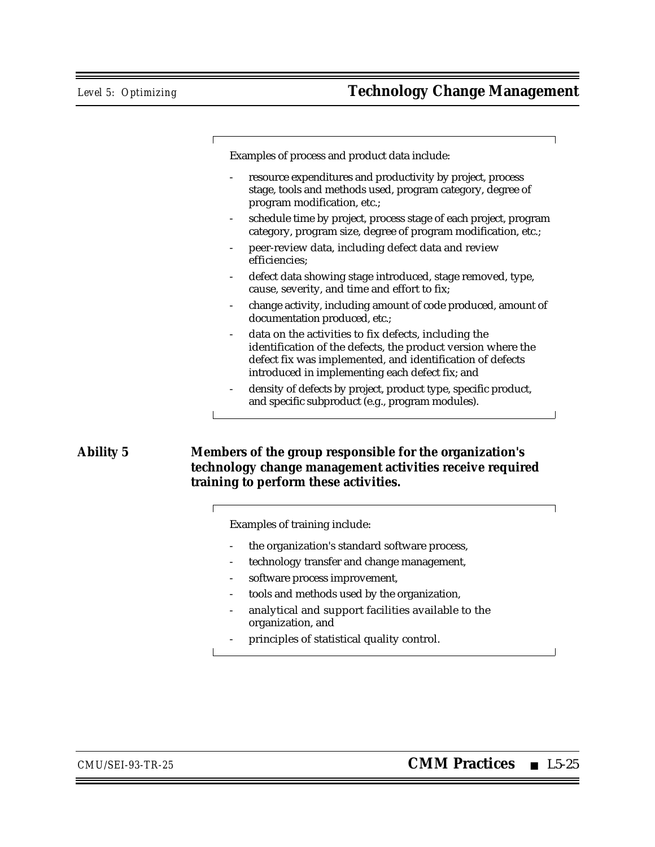Examples of process and product data include: resource expenditures and productivity by project, process stage, tools and methods used, program category, degree of program modification, etc.; schedule time by project, process stage of each project, program category, program size, degree of program modification, etc.; peer-review data, including defect data and review efficiencies; defect data showing stage introduced, stage removed, type, cause, severity, and time and effort to fix; change activity, including amount of code produced, amount of documentation produced, etc.; data on the activities to fix defects, including the identification of the defects, the product version where the defect fix was implemented, and identification of defects introduced in implementing each defect fix; and density of defects by project, product type, specific product, and specific subproduct (e.g., program modules).

**Ability 5 Members of the group responsible for the organization's technology change management activities receive required training to perform these activities.**

Examples of training include:

 $\sqrt{2}$ 

- the organization's standard software process,
- technology transfer and change management,
- software process improvement,
- tools and methods used by the organization,
- analytical and support facilities available to the organization, and
- principles of statistical quality control.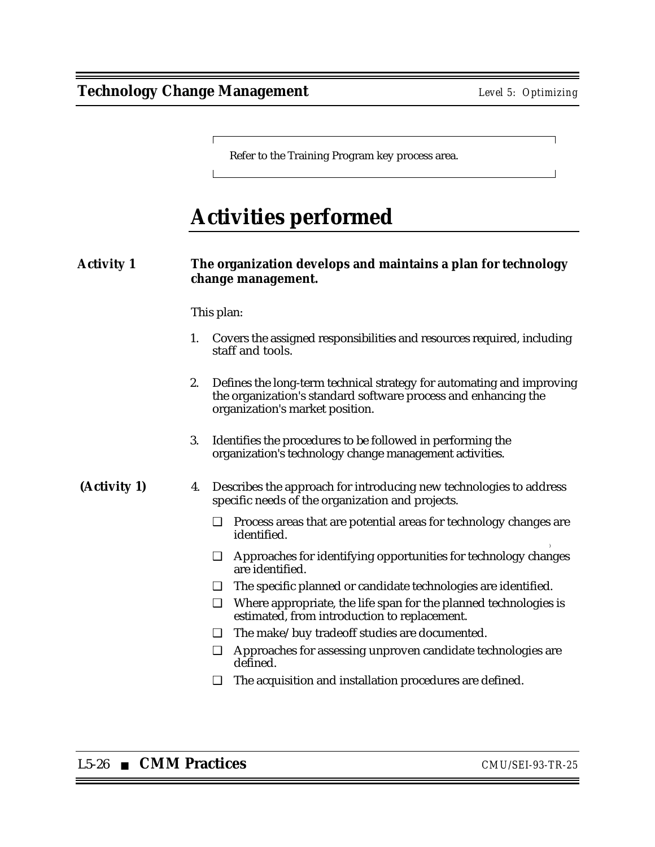#### **Technology Change Management** *Level 5: Optimizing*

Г

Refer to the Training Program key process area.

### **Activities performed**

**Activity 1 The organization develops and maintains a plan for technology change management.**

This plan:

- 1. Covers the assigned responsibilities and resources required, including staff and tools.
- 2. Defines the long-term technical strategy for automating and improving the organization's standard software process and enhancing the organization's market position.
- 3. Identifies the procedures to be followed in performing the organization's technology change management activities.

#### **(Activity 1)** 4. Describes the approach for introducing new technologies to address specific needs of the organization and projects.

- ❑ Process areas that are potential areas for technology changes are identified.
- ❑ Approaches for identifying opportunities for technology changes are identified.
- ❑ The specific planned or candidate technologies are identified.
- ❑ Where appropriate, the life span for the planned technologies is estimated, from introduction to replacement.
- ❑ The make/buy tradeoff studies are documented.
- ❑ Approaches for assessing unproven candidate technologies are defined.
- ❑ The acquisition and installation procedures are defined.

#### L5-26 ■ **CMM Practices** *CMU/SEI-93-TR-25*

)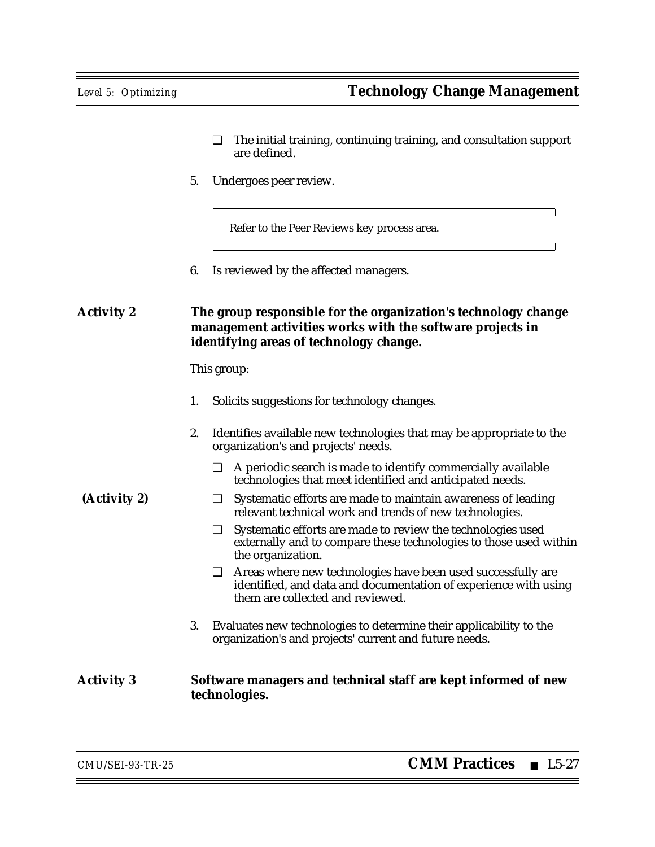|                   | The initial training, continuing training, and consultation support<br>⊔<br>are defined.                                                                                      |
|-------------------|-------------------------------------------------------------------------------------------------------------------------------------------------------------------------------|
|                   | 5.<br>Undergoes peer review.                                                                                                                                                  |
|                   | Refer to the Peer Reviews key process area.                                                                                                                                   |
|                   | Is reviewed by the affected managers.<br>6.                                                                                                                                   |
| <b>Activity 2</b> | The group responsible for the organization's technology change<br>management activities works with the software projects in<br>identifying areas of technology change.        |
|                   | This group:                                                                                                                                                                   |
|                   | 1.<br>Solicits suggestions for technology changes.                                                                                                                            |
|                   | 2.<br>Identifies available new technologies that may be appropriate to the<br>organization's and projects' needs.                                                             |
|                   | A periodic search is made to identify commercially available<br>⊔<br>technologies that meet identified and anticipated needs.                                                 |
| (Activity 2)      | Systematic efforts are made to maintain awareness of leading<br>⊔<br>relevant technical work and trends of new technologies.                                                  |
|                   | ❏<br>Systematic efforts are made to review the technologies used<br>externally and to compare these technologies to those used within<br>the organization.                    |
|                   | Areas where new technologies have been used successfully are<br>$\Box$<br>identified, and data and documentation of experience with using<br>them are collected and reviewed. |
|                   | 3.<br>Evaluates new technologies to determine their applicability to the<br>organization's and projects' current and future needs.                                            |
| <b>Activity 3</b> | Software managers and technical staff are kept informed of new<br>technologies.                                                                                               |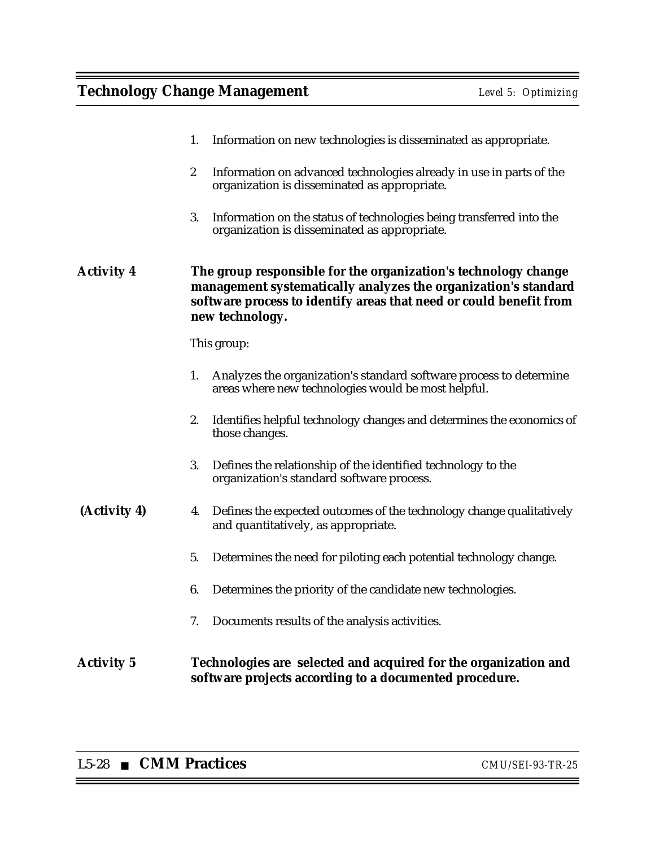#### **Technology Change Management** *Level 5: Optimizing*

- 1. Information on new technologies is disseminated as appropriate.
- 2 Information on advanced technologies already in use in parts of the organization is disseminated as appropriate.
- 3. Information on the status of technologies being transferred into the organization is disseminated as appropriate.

#### **Activity 4 The group responsible for the organization's technology change management systematically analyzes the organization's standard software process to identify areas that need or could benefit from new technology.**

This group:

- 1. Analyzes the organization's standard software process to determine areas where new technologies would be most helpful.
- 2. Identifies helpful technology changes and determines the economics of those changes.
- 3. Defines the relationship of the identified technology to the organization's standard software process.
- **(Activity 4)** 4. Defines the expected outcomes of the technology change qualitatively and quantitatively, as appropriate.
	- 5. Determines the need for piloting each potential technology change.
	- 6. Determines the priority of the candidate new technologies.
	- 7. Documents results of the analysis activities.

#### **Activity 5 Technologies are selected and acquired for the organization and software projects according to a documented procedure.**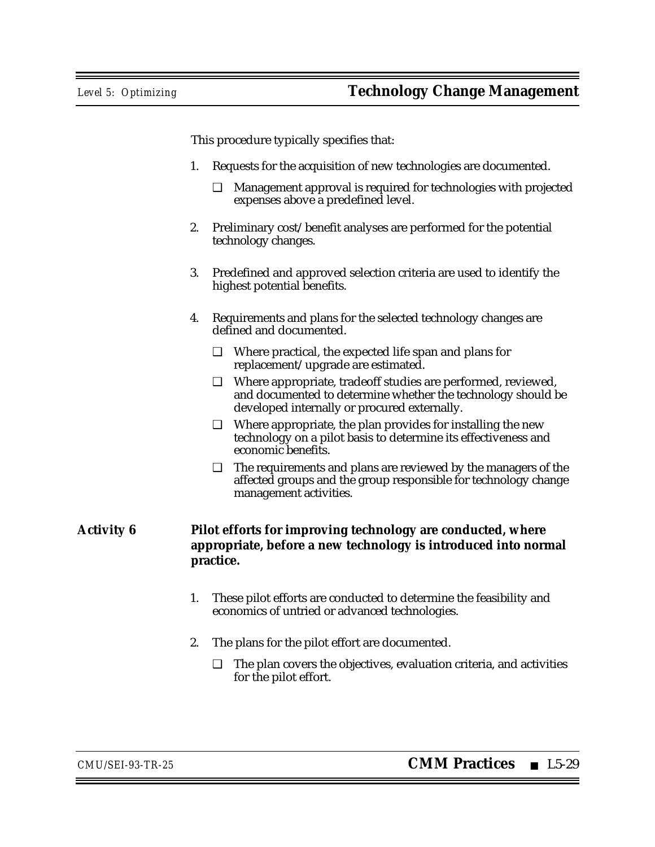This procedure typically specifies that:

- 1. Requests for the acquisition of new technologies are documented.
	- ❑ Management approval is required for technologies with projected expenses above a predefined level.
- 2. Preliminary cost/benefit analyses are performed for the potential technology changes.
- 3. Predefined and approved selection criteria are used to identify the highest potential benefits.
- 4. Requirements and plans for the selected technology changes are defined and documented.
	- ❑ Where practical, the expected life span and plans for replacement/upgrade are estimated.
	- ❑ Where appropriate, tradeoff studies are performed, reviewed, and documented to determine whether the technology should be developed internally or procured externally.
	- ❑ Where appropriate, the plan provides for installing the new technology on a pilot basis to determine its effectiveness and economic benefits.
	- ❑ The requirements and plans are reviewed by the managers of the affected groups and the group responsible for technology change management activities.

#### **Activity 6 Pilot efforts for improving technology are conducted, where appropriate, before a new technology is introduced into normal practice.**

- 1. These pilot efforts are conducted to determine the feasibility and economics of untried or advanced technologies.
- 2. The plans for the pilot effort are documented.
	- ❑ The plan covers the objectives, evaluation criteria, and activities for the pilot effort.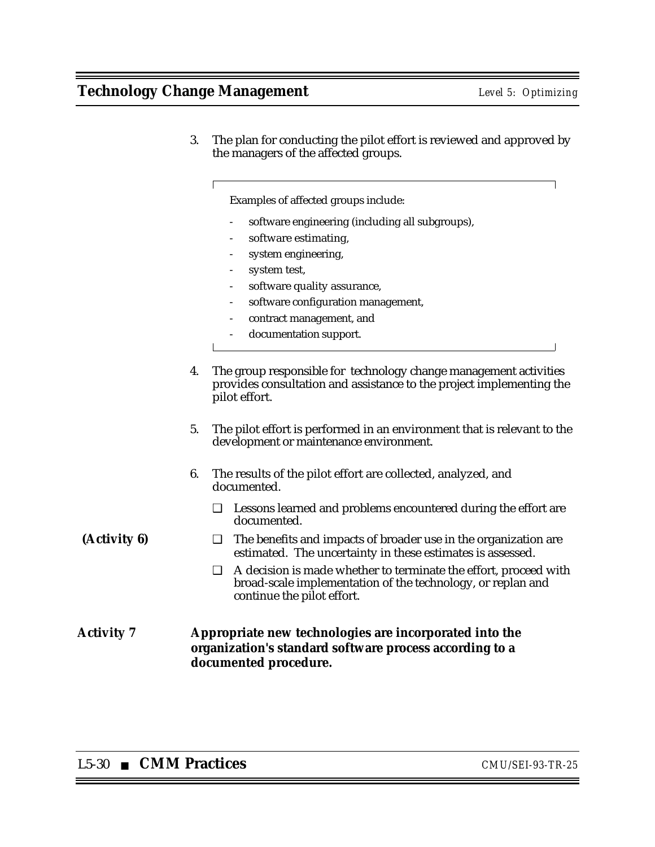### **Technology Change Management** *Level 5: Optimizing*

Г

3. The plan for conducting the pilot effort is reviewed and approved by the managers of the affected groups.

Examples of affected groups include:

- software engineering (including all subgroups),
- software estimating,
- system engineering,
- system test,
- software quality assurance,
- software configuration management,
- contract management, and
- documentation support.
- 4. The group responsible for technology change management activities provides consultation and assistance to the project implementing the pilot effort.
- 5. The pilot effort is performed in an environment that is relevant to the development or maintenance environment.
- 6. The results of the pilot effort are collected, analyzed, and documented.
	- ❑ Lessons learned and problems encountered during the effort are documented.
- **(Activity 6)** ❑ The benefits and impacts of broader use in the organization are estimated. The uncertainty in these estimates is assessed.
	- ❑ A decision is made whether to terminate the effort, proceed with broad-scale implementation of the technology, or replan and continue the pilot effort.

#### **Activity 7 Appropriate new technologies are incorporated into the organization's standard software process according to a documented procedure.**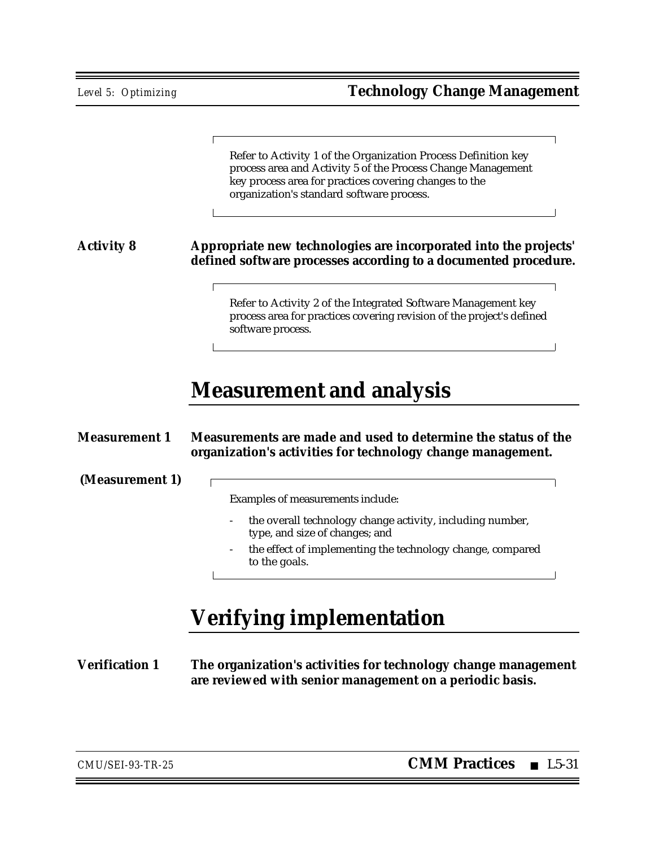|                      | Refer to Activity 1 of the Organization Process Definition key<br>process area and Activity 5 of the Process Change Management<br>key process area for practices covering changes to the<br>organization's standard software process. |
|----------------------|---------------------------------------------------------------------------------------------------------------------------------------------------------------------------------------------------------------------------------------|
| <b>Activity 8</b>    | Appropriate new technologies are incorporated into the projects'<br>defined software processes according to a documented procedure.                                                                                                   |
|                      | Refer to Activity 2 of the Integrated Software Management key<br>process area for practices covering revision of the project's defined<br>software process.                                                                           |
|                      |                                                                                                                                                                                                                                       |
| <b>Measurement 1</b> | <b>Measurement and analysis</b><br>Measurements are made and used to determine the status of the                                                                                                                                      |
|                      | organization's activities for technology change management.                                                                                                                                                                           |
| (Measurement 1)      |                                                                                                                                                                                                                                       |
|                      | Examples of measurements include:<br>the overall technology change activity, including number,<br>type, and size of changes; and                                                                                                      |

**Verification 1 The organization's activities for technology change management are reviewed with senior management on a periodic basis.**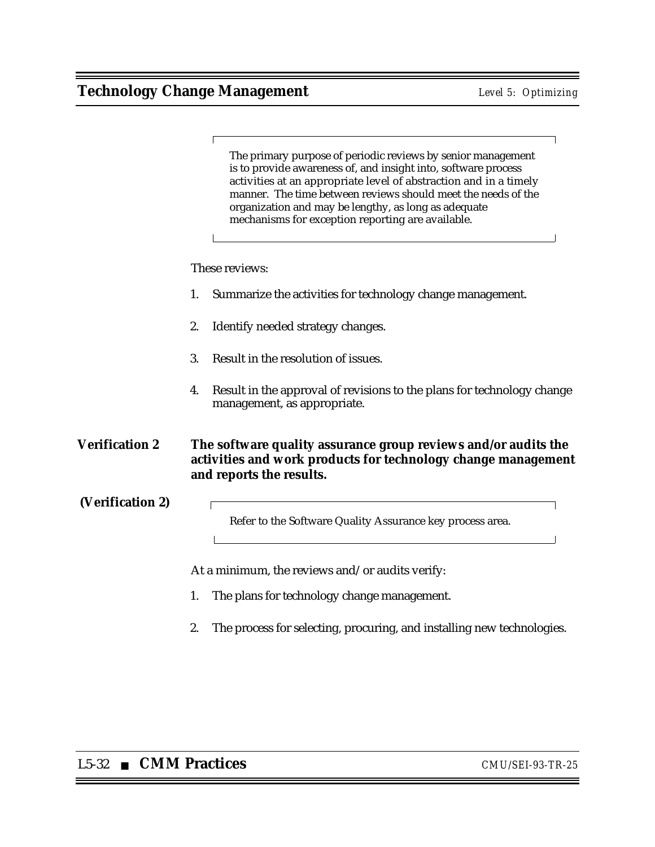# **Technology Change Management** *Level 5: Optimizing*

|                       | The primary purpose of periodic reviews by senior management<br>is to provide awareness of, and insight into, software process<br>activities at an appropriate level of abstraction and in a timely<br>manner. The time between reviews should meet the needs of the<br>organization and may be lengthy, as long as adequate<br>mechanisms for exception reporting are available. |
|-----------------------|-----------------------------------------------------------------------------------------------------------------------------------------------------------------------------------------------------------------------------------------------------------------------------------------------------------------------------------------------------------------------------------|
|                       | These reviews:                                                                                                                                                                                                                                                                                                                                                                    |
|                       | 1.<br>Summarize the activities for technology change management.                                                                                                                                                                                                                                                                                                                  |
|                       | 2.<br>Identify needed strategy changes.                                                                                                                                                                                                                                                                                                                                           |
|                       | Result in the resolution of issues.<br>3.                                                                                                                                                                                                                                                                                                                                         |
|                       | Result in the approval of revisions to the plans for technology change<br>4.<br>management, as appropriate.                                                                                                                                                                                                                                                                       |
| <b>Verification 2</b> | The software quality assurance group reviews and/or audits the<br>activities and work products for technology change management<br>and reports the results.                                                                                                                                                                                                                       |
| (Verification 2)      | Refer to the Software Quality Assurance key process area.                                                                                                                                                                                                                                                                                                                         |
|                       | At a minimum, the reviews and/or audits verify:                                                                                                                                                                                                                                                                                                                                   |
|                       | The plans for technology change management.<br>1.                                                                                                                                                                                                                                                                                                                                 |
|                       | The process for selecting, procuring, and installing new technologies.<br>2.                                                                                                                                                                                                                                                                                                      |

=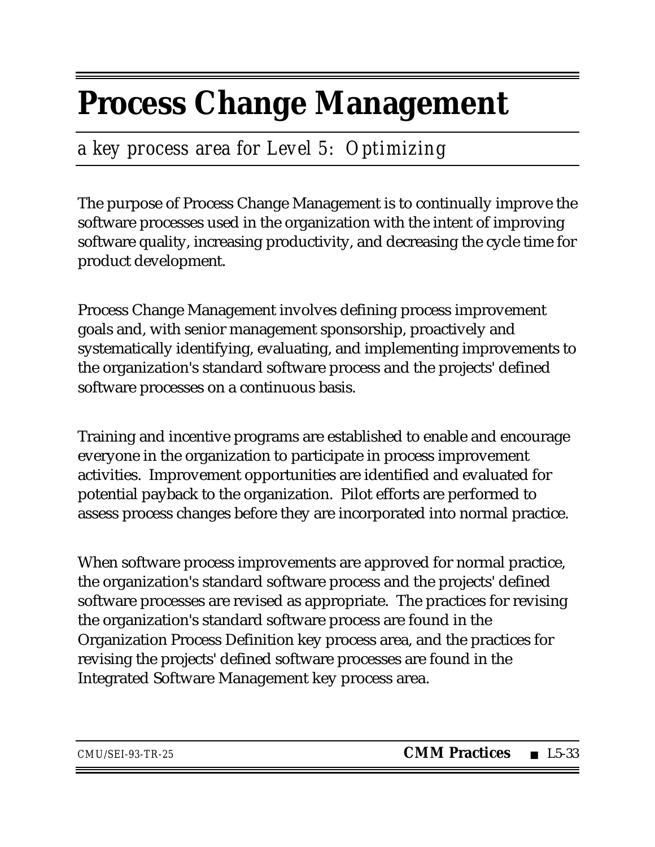# **Process Change Management**

# *a key process area for Level 5: Optimizing*

The purpose of Process Change Management is to continually improve the software processes used in the organization with the intent of improving software quality, increasing productivity, and decreasing the cycle time for product development.

Process Change Management involves defining process improvement goals and, with senior management sponsorship, proactively and systematically identifying, evaluating, and implementing improvements to the organization's standard software process and the projects' defined software processes on a continuous basis.

Training and incentive programs are established to enable and encourage everyone in the organization to participate in process improvement activities. Improvement opportunities are identified and evaluated for potential payback to the organization. Pilot efforts are performed to assess process changes before they are incorporated into normal practice.

When software process improvements are approved for normal practice, the organization's standard software process and the projects' defined software processes are revised as appropriate. The practices for revising the organization's standard software process are found in the Organization Process Definition key process area, and the practices for revising the projects' defined software processes are found in the Integrated Software Management key process area.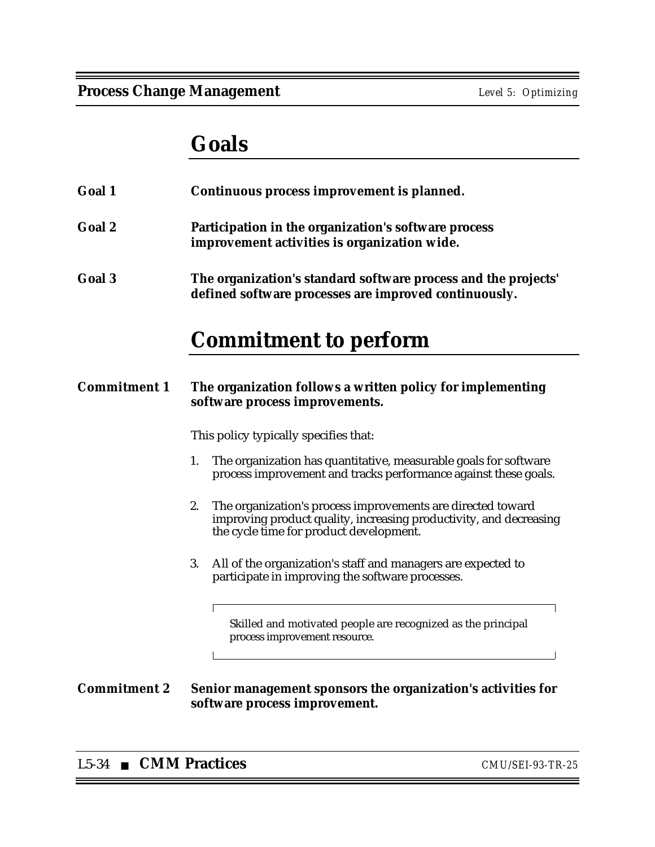# **Process Change Management** *Level 5: Optimizing*

# **Goals**

| Goal 1              | Continuous process improvement is planned.                                                                                                                                         |
|---------------------|------------------------------------------------------------------------------------------------------------------------------------------------------------------------------------|
| Goal 2              | Participation in the organization's software process<br>improvement activities is organization wide.                                                                               |
| Goal 3              | The organization's standard software process and the projects'<br>defined software processes are improved continuously.                                                            |
|                     | <b>Commitment to perform</b>                                                                                                                                                       |
| <b>Commitment 1</b> | The organization follows a written policy for implementing<br>software process improvements.                                                                                       |
|                     | This policy typically specifies that:                                                                                                                                              |
|                     | The organization has quantitative, measurable goals for software<br>1.<br>process improvement and tracks performance against these goals.                                          |
|                     | 2.<br>The organization's process improvements are directed toward<br>improving product quality, increasing productivity, and decreasing<br>the cycle time for product development. |
|                     | 3.<br>All of the organization's staff and managers are expected to<br>participate in improving the software processes.                                                             |
|                     | Skilled and motivated people are recognized as the principal<br>process improvement resource.                                                                                      |
| <b>Commitment 2</b> | Senior management sponsors the organization's activities for<br>software process improvement.                                                                                      |

=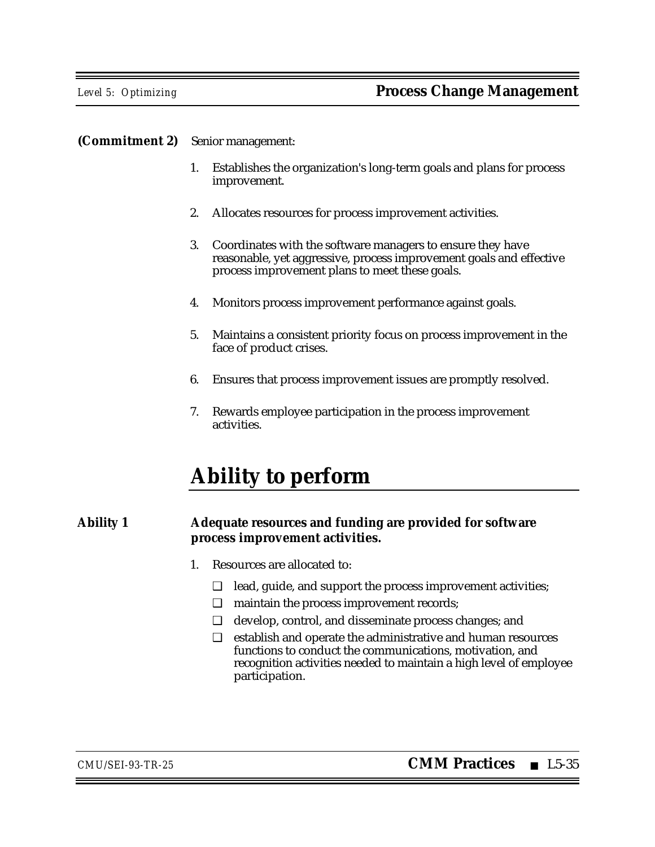| (Commitment 2) Senior management: |    |                                                                                                                                                                                     |
|-----------------------------------|----|-------------------------------------------------------------------------------------------------------------------------------------------------------------------------------------|
|                                   | 1. | Establishes the organization's long-term goals and plans for process<br>improvement.                                                                                                |
|                                   | 2. | Allocates resources for process improvement activities.                                                                                                                             |
|                                   | 3. | Coordinates with the software managers to ensure they have<br>reasonable, yet aggressive, process improvement goals and effective<br>process improvement plans to meet these goals. |
|                                   | 4. | Monitors process improvement performance against goals.                                                                                                                             |
|                                   | 5. | Maintains a consistent priority focus on process improvement in the<br>face of product crises.                                                                                      |
|                                   | 6. | Ensures that process improvement issues are promptly resolved.                                                                                                                      |
|                                   | 7. | Rewards employee participation in the process improvement<br>activities.                                                                                                            |

# **Ability to perform**

#### **Ability 1 Adequate resources and funding are provided for software process improvement activities.**

- 1. Resources are allocated to:
	- ❑ lead, guide, and support the process improvement activities;
	- ❑ maintain the process improvement records;
	- ❑ develop, control, and disseminate process changes; and
	- ❑ establish and operate the administrative and human resources functions to conduct the communications, motivation, and recognition activities needed to maintain a high level of employee participation.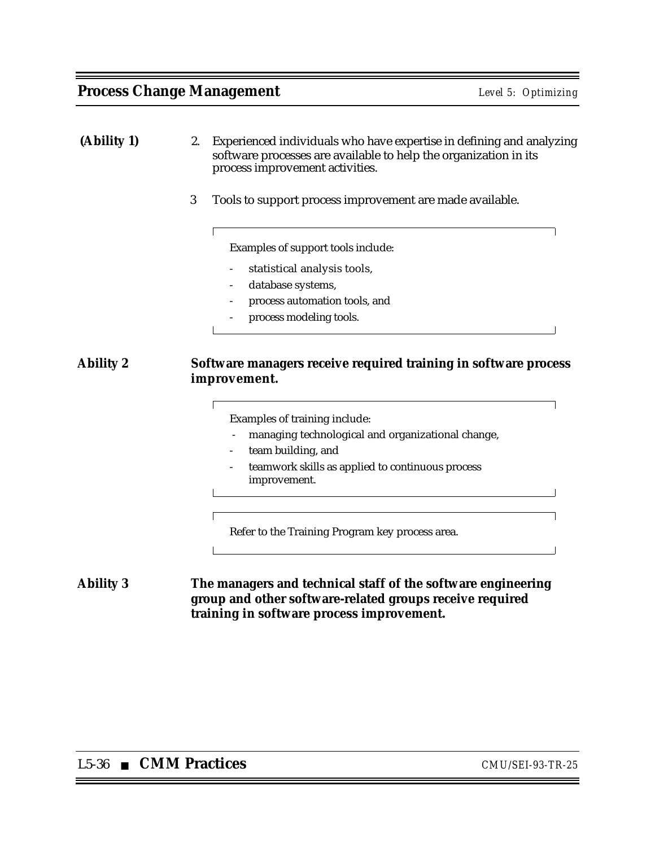# **Process Change Management** *Level 5: Optimizing*

| (Ability 1)      | 2. | Experienced individuals who have expertise in defining and analyzing<br>software processes are available to help the organization in its<br>process improvement activities. |
|------------------|----|-----------------------------------------------------------------------------------------------------------------------------------------------------------------------------|
|                  | 3  | Tools to support process improvement are made available.                                                                                                                    |
|                  |    | Examples of support tools include:                                                                                                                                          |
|                  |    | statistical analysis tools,                                                                                                                                                 |
|                  |    | database systems,                                                                                                                                                           |
|                  |    | process automation tools, and                                                                                                                                               |
|                  |    | process modeling tools.                                                                                                                                                     |
|                  |    | Examples of training include:                                                                                                                                               |
|                  |    |                                                                                                                                                                             |
|                  |    | managing technological and organizational change,                                                                                                                           |
|                  |    | team building, and                                                                                                                                                          |
|                  |    | teamwork skills as applied to continuous process<br>improvement.                                                                                                            |
|                  |    | Refer to the Training Program key process area.                                                                                                                             |
| <b>Ability 3</b> |    | The managers and technical staff of the software engineering                                                                                                                |

Ξ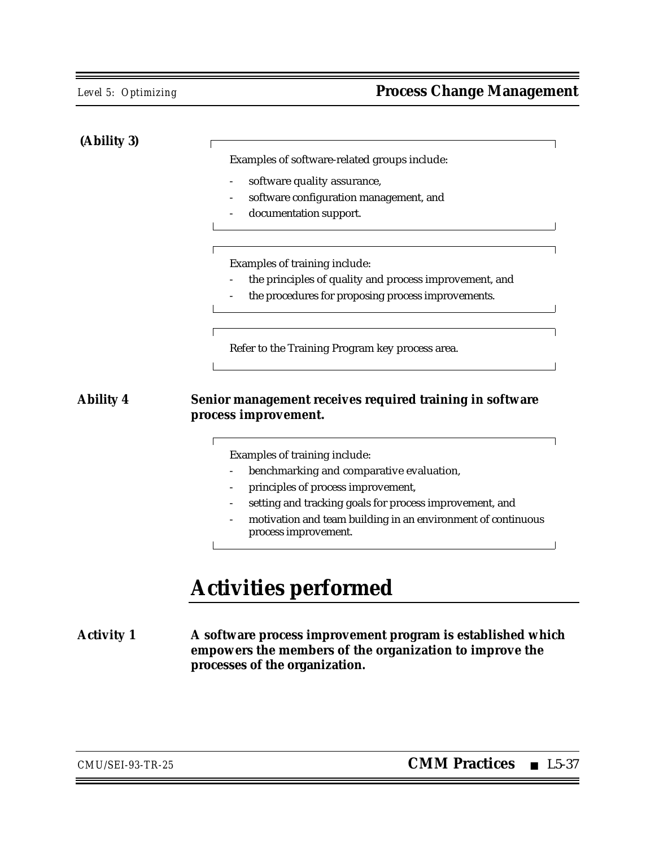|                  | Examples of software-related groups include:                                     |
|------------------|----------------------------------------------------------------------------------|
|                  | software quality assurance,                                                      |
|                  | software configuration management, and                                           |
|                  | documentation support.                                                           |
|                  | Examples of training include:                                                    |
|                  | the principles of quality and process improvement, and                           |
|                  | the procedures for proposing process improvements.                               |
|                  |                                                                                  |
|                  | Refer to the Training Program key process area.                                  |
| <b>Ability 4</b> | Senior management receives required training in software<br>process improvement. |
|                  |                                                                                  |
|                  | <b>Examples of training include:</b><br>benchmarking and comparative evaluation, |
|                  | principles of process improvement,                                               |
|                  | setting and tracking goals for process improvement, and                          |

**Activity 1 A software process improvement program is established which empowers the members of the organization to improve the processes of the organization.**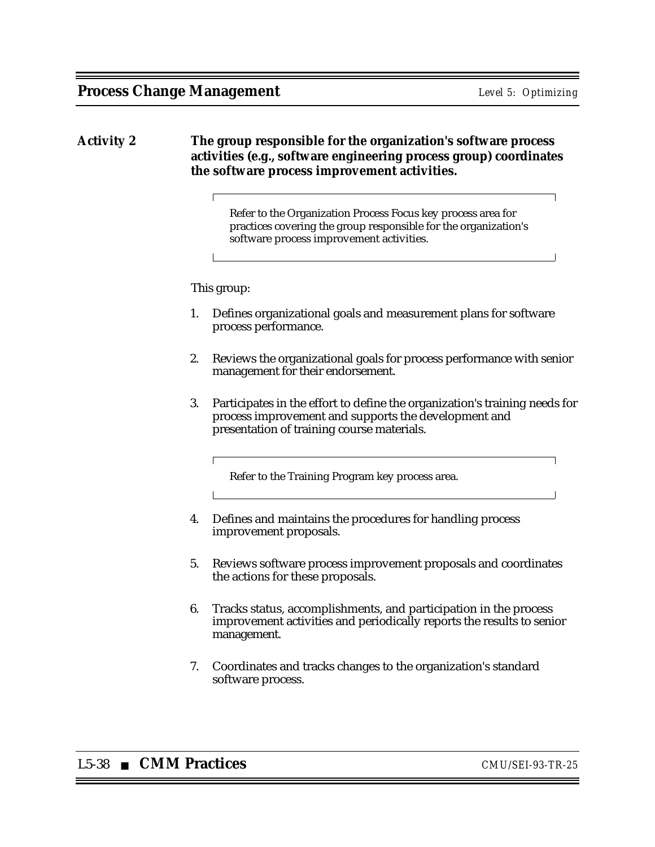### **Activity 2 The group responsible for the organization's software process activities (e.g., software engineering process group) coordinates the software process improvement activities.** Г Refer to the Organization Process Focus key process area for practices covering the group responsible for the organization's software process improvement activities.  $\overline{\phantom{a}}$ This group: 1. Defines organizational goals and measurement plans for software process performance. 2. Reviews the organizational goals for process performance with senior management for their endorsement. 3. Participates in the effort to define the organization's training needs for process improvement and supports the development and presentation of training course materials. Г ٦ Refer to the Training Program key process area.  $\overline{\phantom{a}}$ 4. Defines and maintains the procedures for handling process improvement proposals. 5. Reviews software process improvement proposals and coordinates the actions for these proposals. 6. Tracks status, accomplishments, and participation in the process improvement activities and periodically reports the results to senior management. 7. Coordinates and tracks changes to the organization's standard software process.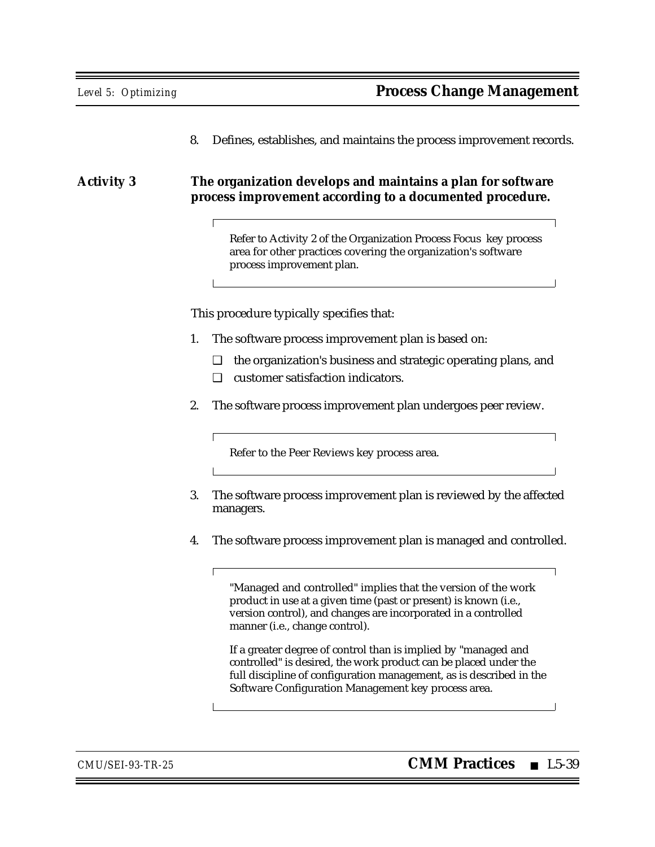8. Defines, establishes, and maintains the process improvement records.

#### **Activity 3 The organization develops and maintains a plan for software process improvement according to a documented procedure.**

Refer to Activity 2 of the Organization Process Focus key process area for other practices covering the organization's software process improvement plan.

This procedure typically specifies that:

 $\Box$ 

 $\sqrt{ }$ 

Г

- 1. The software process improvement plan is based on:
	- ❑ the organization's business and strategic operating plans, and
	- ❑ customer satisfaction indicators.
- 2. The software process improvement plan undergoes peer review.

Refer to the Peer Reviews key process area.

- 3. The software process improvement plan is reviewed by the affected managers.
- 4. The software process improvement plan is managed and controlled.

"Managed and controlled" implies that the version of the work product in use at a given time (past or present) is known (i.e., version control), and changes are incorporated in a controlled manner (i.e., change control).

If a greater degree of control than is implied by "managed and controlled" is desired, the work product can be placed under the full discipline of configuration management, as is described in the Software Configuration Management key process area.

٦

 $\overline{\phantom{a}}$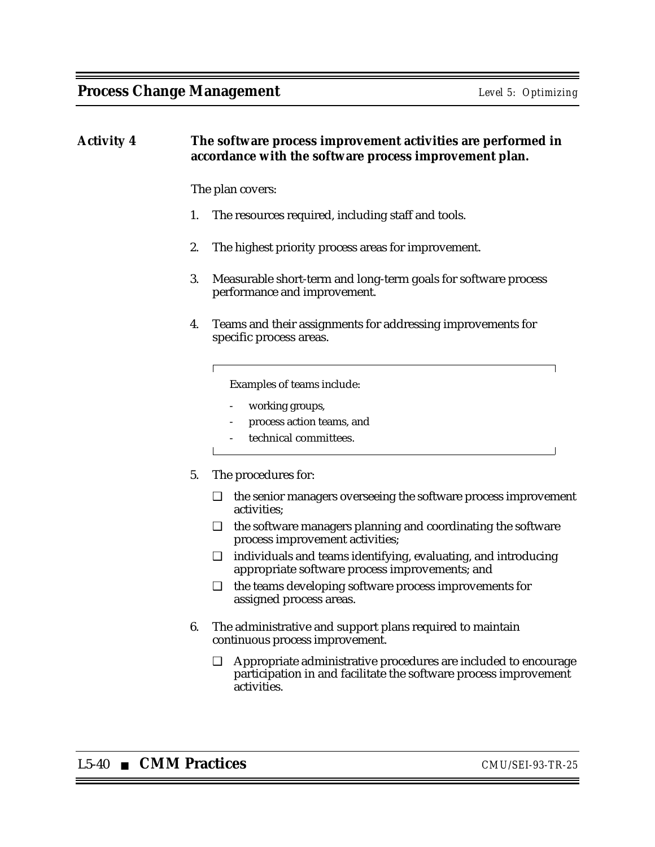# **Activity 4 The software process improvement activities are performed in accordance with the software process improvement plan.** The plan covers: 1. The resources required, including staff and tools. 2. The highest priority process areas for improvement. 3. Measurable short-term and long-term goals for software process performance and improvement. 4. Teams and their assignments for addressing improvements for specific process areas. Examples of teams include: - working groups, process action teams, and technical committees. 5. The procedures for: ❑ the senior managers overseeing the software process improvement activities; ❑ the software managers planning and coordinating the software process improvement activities; ❑ individuals and teams identifying, evaluating, and introducing appropriate software process improvements; and ❑ the teams developing software process improvements for assigned process areas. 6. The administrative and support plans required to maintain continuous process improvement. ❑ Appropriate administrative procedures are included to encourage participation in and facilitate the software process improvement activities.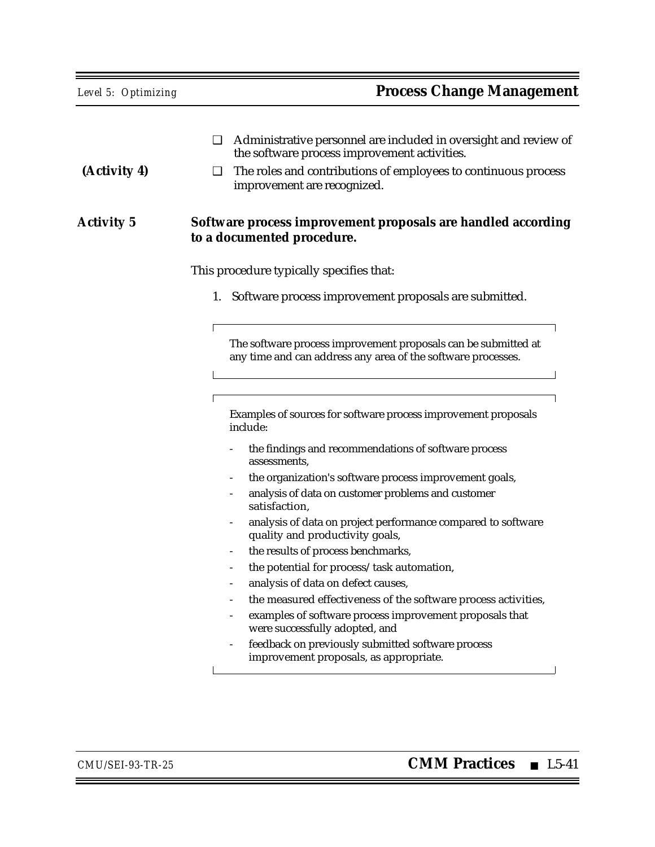|                   | Administrative personnel are included in oversight and review of<br>❏<br>the software process improvement activities.          |
|-------------------|--------------------------------------------------------------------------------------------------------------------------------|
| (Activity 4)      | The roles and contributions of employees to continuous process<br>$\Box$<br>improvement are recognized.                        |
| <b>Activity 5</b> | Software process improvement proposals are handled according<br>to a documented procedure.                                     |
|                   | This procedure typically specifies that:                                                                                       |
|                   | 1. Software process improvement proposals are submitted.                                                                       |
|                   | The software process improvement proposals can be submitted at<br>any time and can address any area of the software processes. |
|                   | Examples of sources for software process improvement proposals<br>include:                                                     |
|                   | the findings and recommendations of software process<br>assessments.                                                           |
|                   | the organization's software process improvement goals,                                                                         |
|                   | analysis of data on customer problems and customer<br>satisfaction.                                                            |
|                   | analysis of data on project performance compared to software<br>quality and productivity goals,                                |
|                   | the results of process benchmarks,<br>$\qquad \qquad \blacksquare$                                                             |
|                   | the potential for process/task automation,<br>$\overline{\phantom{0}}$                                                         |
|                   | analysis of data on defect causes,                                                                                             |
|                   | the measured effectiveness of the software process activities,                                                                 |
|                   | examples of software process improvement proposals that<br>were successfully adopted, and                                      |
|                   | feedback on previously submitted software process<br>improvement proposals, as appropriate.                                    |
|                   |                                                                                                                                |

=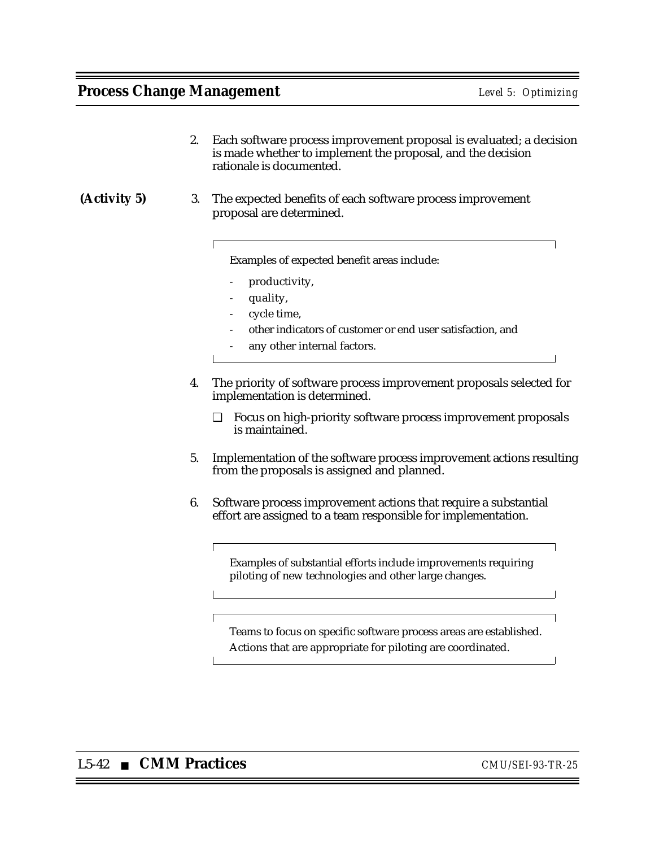#### **Process Change Management** *Level 5: Optimizing*

- 2. Each software process improvement proposal is evaluated; a decision is made whether to implement the proposal, and the decision rationale is documented.
- **(Activity 5)** 3. The expected benefits of each software process improvement proposal are determined.

Examples of expected benefit areas include:

- productivity,
- quality,

 $\sqrt{2}$ 

ſ

Г

- cycle time,
- other indicators of customer or end user satisfaction, and
- any other internal factors.
- 4. The priority of software process improvement proposals selected for implementation is determined.
	- ❑ Focus on high-priority software process improvement proposals is maintained.
- 5. Implementation of the software process improvement actions resulting from the proposals is assigned and planned.
- 6. Software process improvement actions that require a substantial effort are assigned to a team responsible for implementation.

Examples of substantial efforts include improvements requiring piloting of new technologies and other large changes.

Teams to focus on specific software process areas are established. Actions that are appropriate for piloting are coordinated.

٦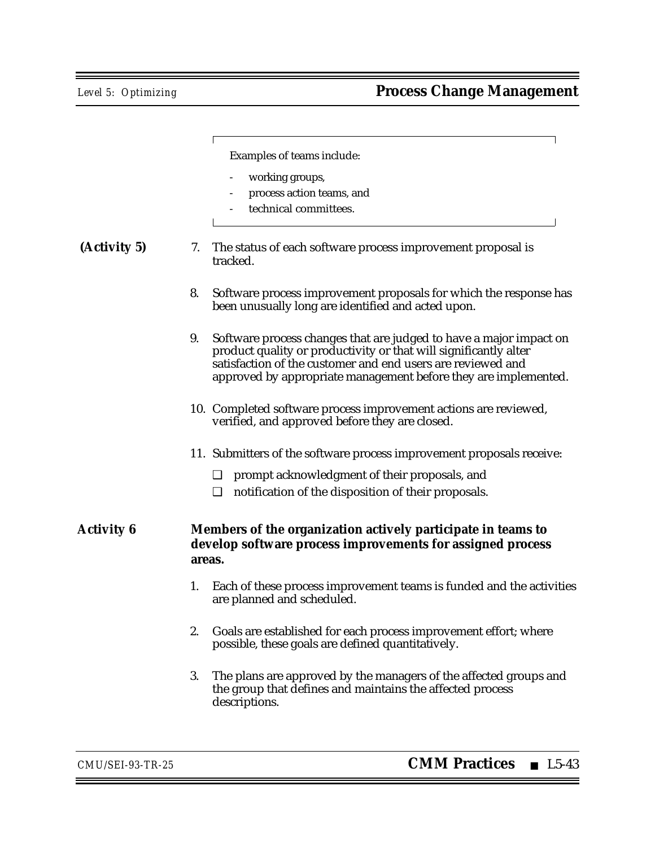|                   | Examples of teams include:                                                                                                                                                                                                                                                     |
|-------------------|--------------------------------------------------------------------------------------------------------------------------------------------------------------------------------------------------------------------------------------------------------------------------------|
|                   | working groups,                                                                                                                                                                                                                                                                |
|                   | process action teams, and                                                                                                                                                                                                                                                      |
|                   | technical committees.                                                                                                                                                                                                                                                          |
| (Activity 5)      | The status of each software process improvement proposal is<br>7.<br>tracked.                                                                                                                                                                                                  |
|                   | Software process improvement proposals for which the response has<br>8.<br>been unusually long are identified and acted upon.                                                                                                                                                  |
|                   | Software process changes that are judged to have a major impact on<br>9.<br>product quality or productivity or that will significantly alter<br>satisfaction of the customer and end users are reviewed and<br>approved by appropriate management before they are implemented. |
|                   | 10. Completed software process improvement actions are reviewed,<br>verified, and approved before they are closed.                                                                                                                                                             |
|                   | 11. Submitters of the software process improvement proposals receive:                                                                                                                                                                                                          |
|                   | prompt acknowledgment of their proposals, and<br>⊔                                                                                                                                                                                                                             |
|                   | notification of the disposition of their proposals.<br>❏                                                                                                                                                                                                                       |
| <b>Activity 6</b> | Members of the organization actively participate in teams to<br>develop software process improvements for assigned process<br>areas.                                                                                                                                           |
|                   | Each of these process improvement teams is funded and the activities<br>1.<br>are planned and scheduled.                                                                                                                                                                       |
|                   | 2.<br>Goals are established for each process improvement effort; where<br>possible, these goals are defined quantitatively.                                                                                                                                                    |
|                   | The plans are approved by the managers of the affected groups and<br>3.<br>the group that defines and maintains the affected process<br>descriptions.                                                                                                                          |

Ξ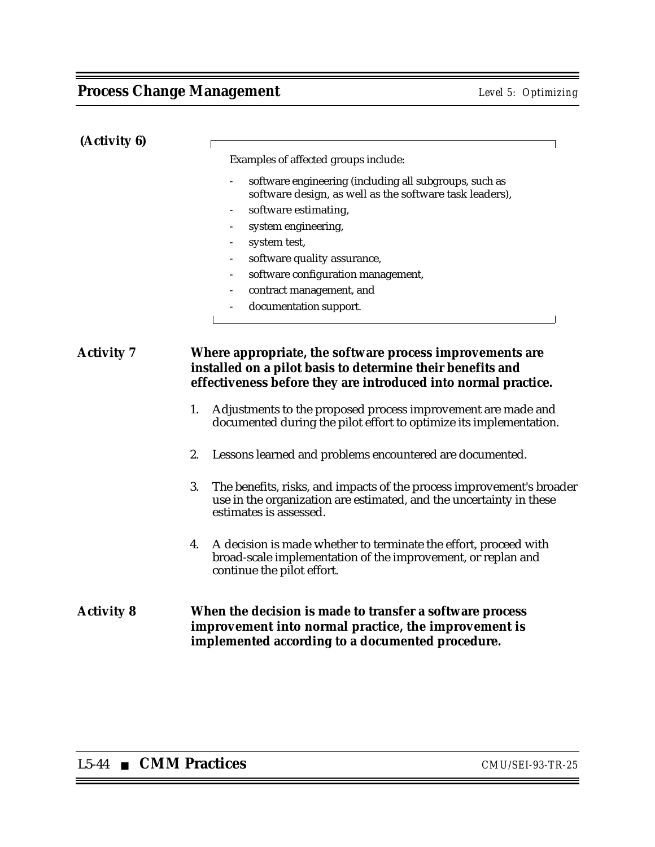# **Process Change Management** *Level 5: Optimizing*

Ξ

| (Activity 6)      |                                                                                                                                                                                                                                                                              |
|-------------------|------------------------------------------------------------------------------------------------------------------------------------------------------------------------------------------------------------------------------------------------------------------------------|
|                   | Examples of affected groups include:                                                                                                                                                                                                                                         |
|                   | software engineering (including all subgroups, such as<br>software design, as well as the software task leaders),                                                                                                                                                            |
|                   | software estimating,                                                                                                                                                                                                                                                         |
|                   | system engineering,                                                                                                                                                                                                                                                          |
|                   | system test,<br>$\qquad \qquad \blacksquare$                                                                                                                                                                                                                                 |
|                   | software quality assurance,<br>$\overline{\phantom{a}}$                                                                                                                                                                                                                      |
|                   | software configuration management,<br>$\blacksquare$                                                                                                                                                                                                                         |
|                   | contract management, and<br>-                                                                                                                                                                                                                                                |
|                   | documentation support.                                                                                                                                                                                                                                                       |
|                   | effectiveness before they are introduced into normal practice.<br>1.<br>Adjustments to the proposed process improvement are made and<br>documented during the pilot effort to optimize its implementation.<br>2.<br>Lessons learned and problems encountered are documented. |
|                   | 3.<br>The benefits, risks, and impacts of the process improvement's broader<br>use in the organization are estimated, and the uncertainty in these<br>estimates is assessed.                                                                                                 |
|                   | A decision is made whether to terminate the effort, proceed with<br>4.<br>broad-scale implementation of the improvement, or replan and<br>continue the pilot effort.                                                                                                         |
| <b>Activity 8</b> | When the decision is made to transfer a software process<br>improvement into normal practice, the improvement is<br>implemented according to a documented procedure.                                                                                                         |

Ξ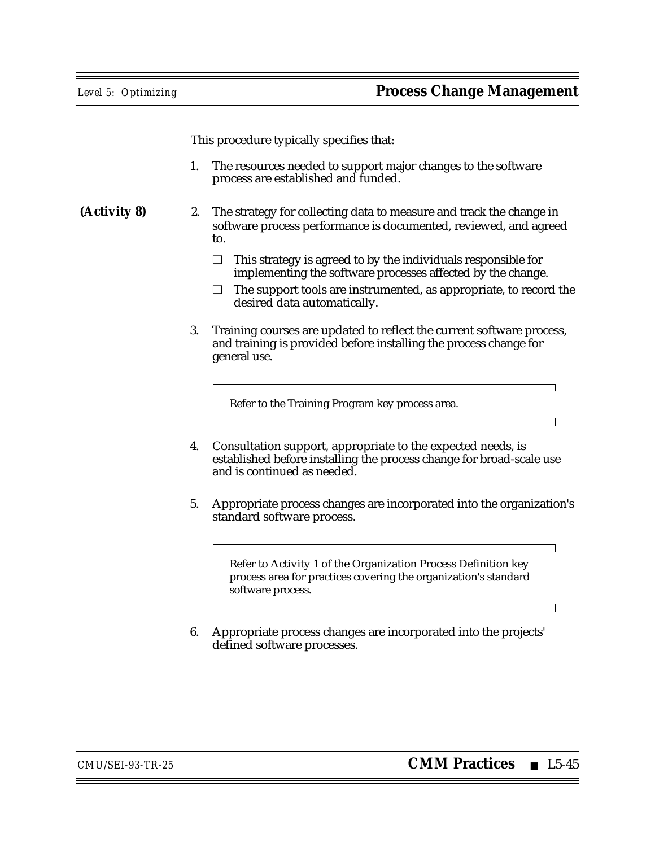This procedure typically specifies that:

- 1. The resources needed to support major changes to the software process are established and funded.
- **(Activity 8)** 2. The strategy for collecting data to measure and track the change in software process performance is documented, reviewed, and agreed to.
	- ❑ This strategy is agreed to by the individuals responsible for implementing the software processes affected by the change.
	- ❑ The support tools are instrumented, as appropriate, to record the desired data automatically.
	- 3. Training courses are updated to reflect the current software process, and training is provided before installing the process change for general use.

Refer to the Training Program key process area.

- 4. Consultation support, appropriate to the expected needs, is established before installing the process change for broad-scale use and is continued as needed.
- 5. Appropriate process changes are incorporated into the organization's standard software process.

Refer to Activity 1 of the Organization Process Definition key process area for practices covering the organization's standard software process.

6. Appropriate process changes are incorporated into the projects' defined software processes.

٦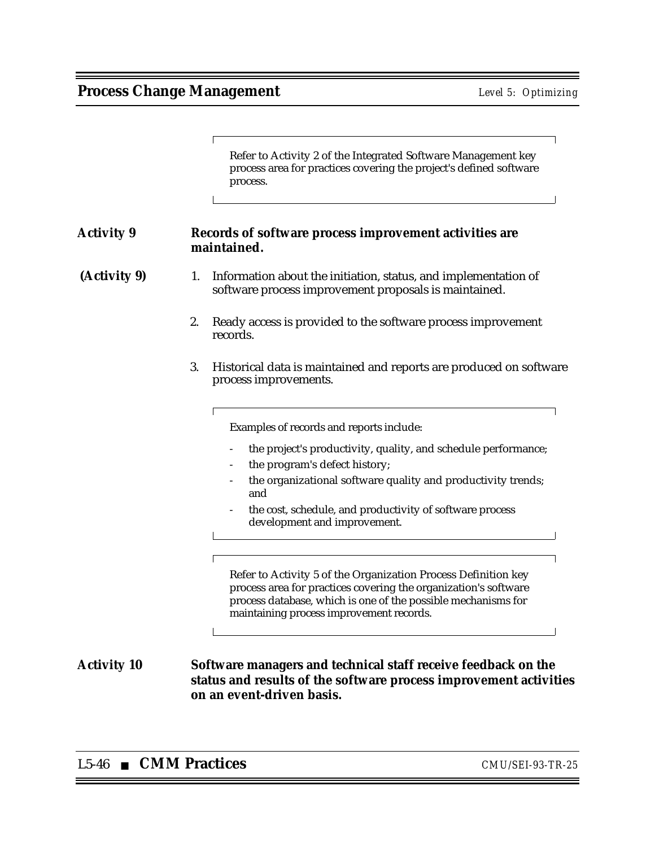Ξ

# **Process Change Management** *Level 5: Optimizing*

|                    | Refer to Activity 2 of the Integrated Software Management key<br>process area for practices covering the project's defined software<br>process.                                                                                                |  |  |  |
|--------------------|------------------------------------------------------------------------------------------------------------------------------------------------------------------------------------------------------------------------------------------------|--|--|--|
| <b>Activity 9</b>  | Records of software process improvement activities are<br>maintained.                                                                                                                                                                          |  |  |  |
| (Activity 9)       | 1.<br>Information about the initiation, status, and implementation of<br>software process improvement proposals is maintained.                                                                                                                 |  |  |  |
|                    | 2.<br>Ready access is provided to the software process improvement<br>records.                                                                                                                                                                 |  |  |  |
|                    | 3.<br>Historical data is maintained and reports are produced on software<br>process improvements.                                                                                                                                              |  |  |  |
|                    | Examples of records and reports include:                                                                                                                                                                                                       |  |  |  |
|                    | the project's productivity, quality, and schedule performance;<br>the program's defect history;                                                                                                                                                |  |  |  |
|                    | the organizational software quality and productivity trends;<br>and                                                                                                                                                                            |  |  |  |
|                    | the cost, schedule, and productivity of software process<br>development and improvement.                                                                                                                                                       |  |  |  |
|                    | Refer to Activity 5 of the Organization Process Definition key<br>process area for practices covering the organization's software<br>process database, which is one of the possible mechanisms for<br>maintaining process improvement records. |  |  |  |
| <b>Activity 10</b> | Software managers and technical staff receive feedback on the<br>status and results of the software process improvement activities<br>on an event-driven basis.                                                                                |  |  |  |

Ξ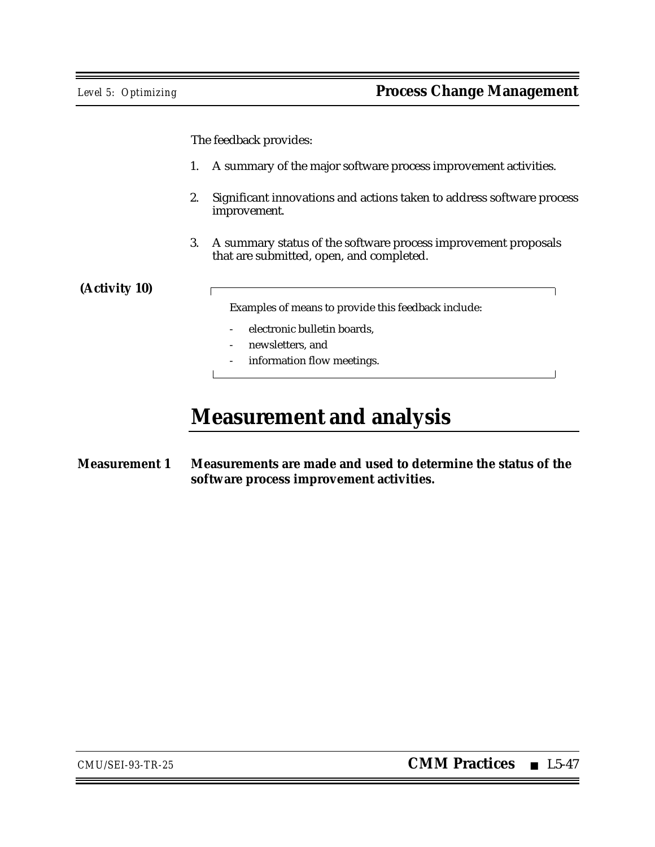$\overline{\phantom{a}}$ 

The feedback provides:

- 1. A summary of the major software process improvement activities.
- 2. Significant innovations and actions taken to address software process improvement.
- 3. A summary status of the software process improvement proposals that are submitted, open, and completed.

**(Activity 10)**

Examples of means to provide this feedback include:

- electronic bulletin boards,
- newsletters, and
- information flow meetings.

# **Measurement and analysis**

#### **Measurement 1 Measurements are made and used to determine the status of the software process improvement activities.**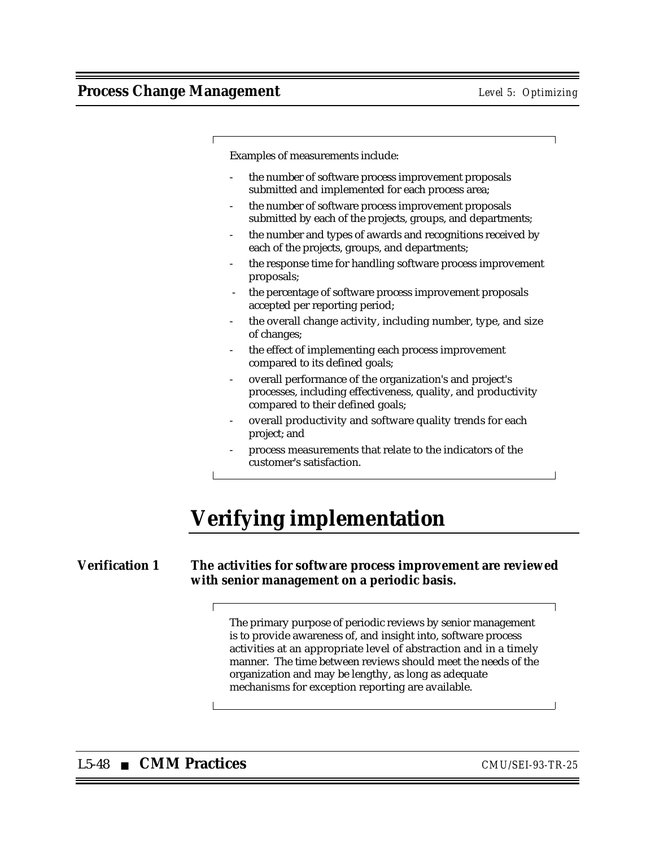#### **Process Change Management** *Level 5: Optimizing*

Examples of measurements include:

- the number of software process improvement proposals submitted and implemented for each process area;
- the number of software process improvement proposals submitted by each of the projects, groups, and departments;
- the number and types of awards and recognitions received by each of the projects, groups, and departments;
- the response time for handling software process improvement proposals;
- the percentage of software process improvement proposals accepted per reporting period;
- the overall change activity, including number, type, and size of changes;
- the effect of implementing each process improvement compared to its defined goals;
- overall performance of the organization's and project's processes, including effectiveness, quality, and productivity compared to their defined goals;
- overall productivity and software quality trends for each project; and
- process measurements that relate to the indicators of the customer's satisfaction.

# **Verifying implementation**

#### **Verification 1 The activities for software process improvement are reviewed with senior management on a periodic basis.**

The primary purpose of periodic reviews by senior management is to provide awareness of, and insight into, software process activities at an appropriate level of abstraction and in a timely manner. The time between reviews should meet the needs of the organization and may be lengthy, as long as adequate mechanisms for exception reporting are available.

 $\sqrt{2}$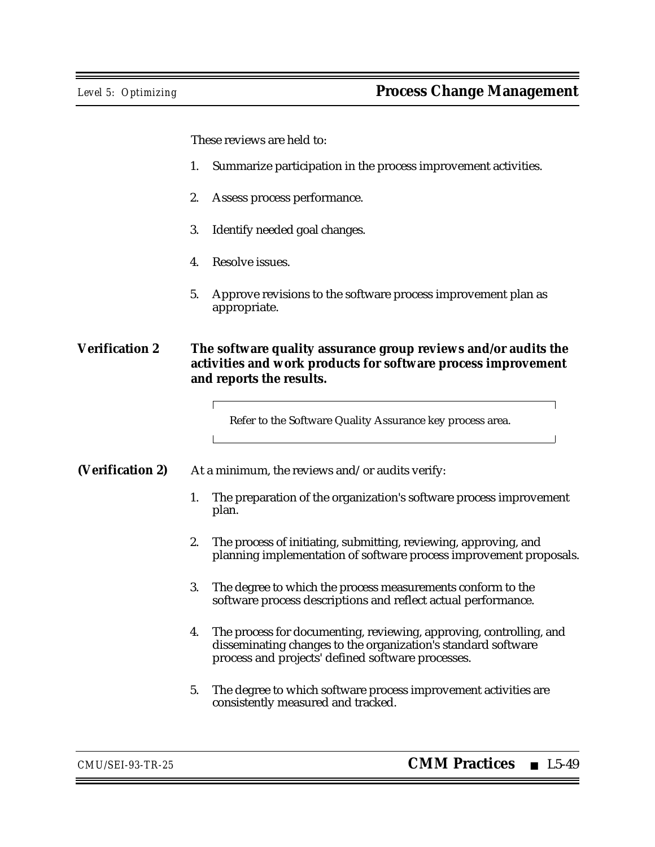These reviews are held to:

- 1. Summarize participation in the process improvement activities.
- 2. Assess process performance.
- 3. Identify needed goal changes.
- 4. Resolve issues.

 $\sqrt{2}$ 

5. Approve revisions to the software process improvement plan as appropriate.

#### **Verification 2 The software quality assurance group reviews and/or audits the activities and work products for software process improvement and reports the results.**

Refer to the Software Quality Assurance key process area.

#### **(Verification 2)** At a minimum, the reviews and/or audits verify:

- 1. The preparation of the organization's software process improvement plan.
- 2. The process of initiating, submitting, reviewing, approving, and planning implementation of software process improvement proposals.
- 3. The degree to which the process measurements conform to the software process descriptions and reflect actual performance.
- 4. The process for documenting, reviewing, approving, controlling, and disseminating changes to the organization's standard software process and projects' defined software processes.
- 5. The degree to which software process improvement activities are consistently measured and tracked.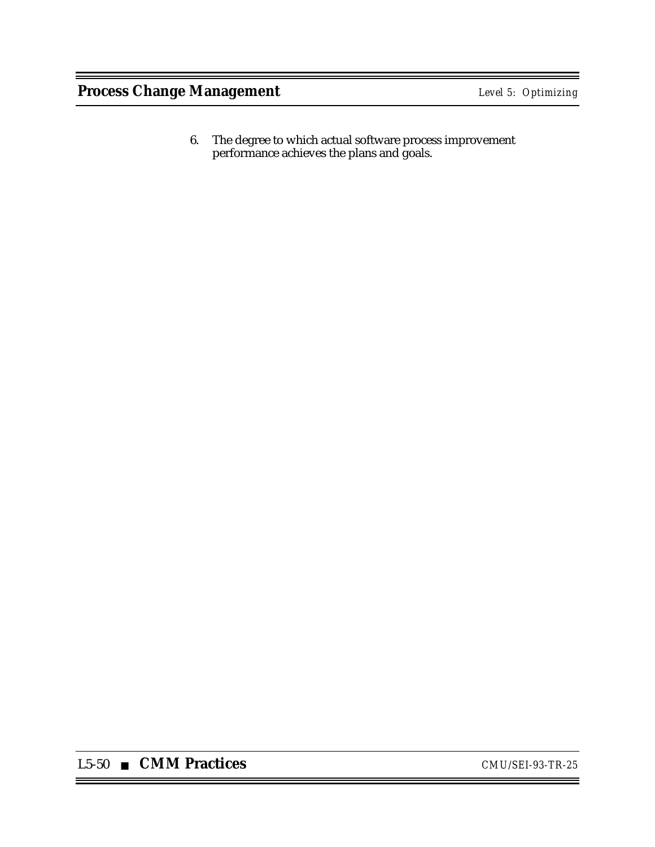6. The degree to which actual software process improvement performance achieves the plans and goals.

=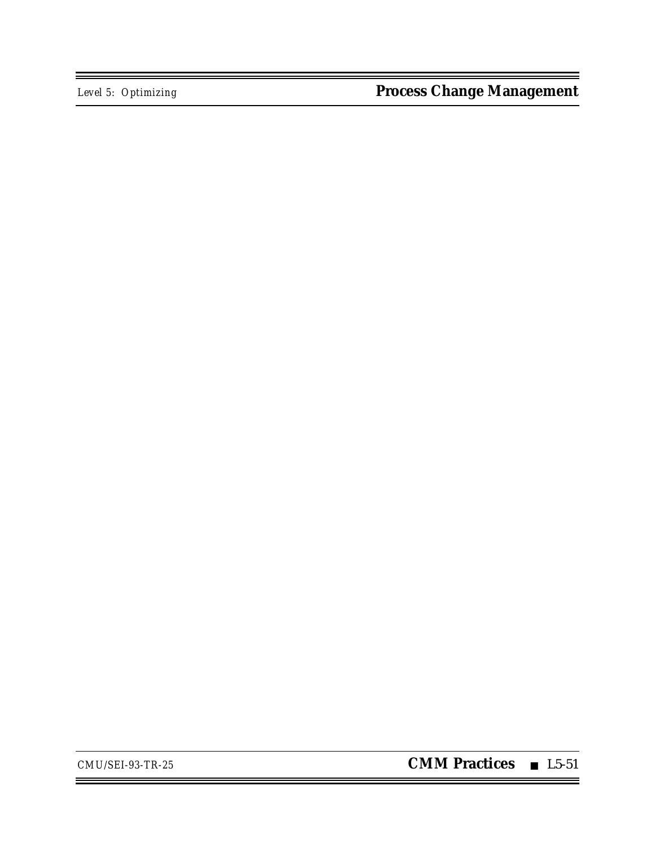Ξ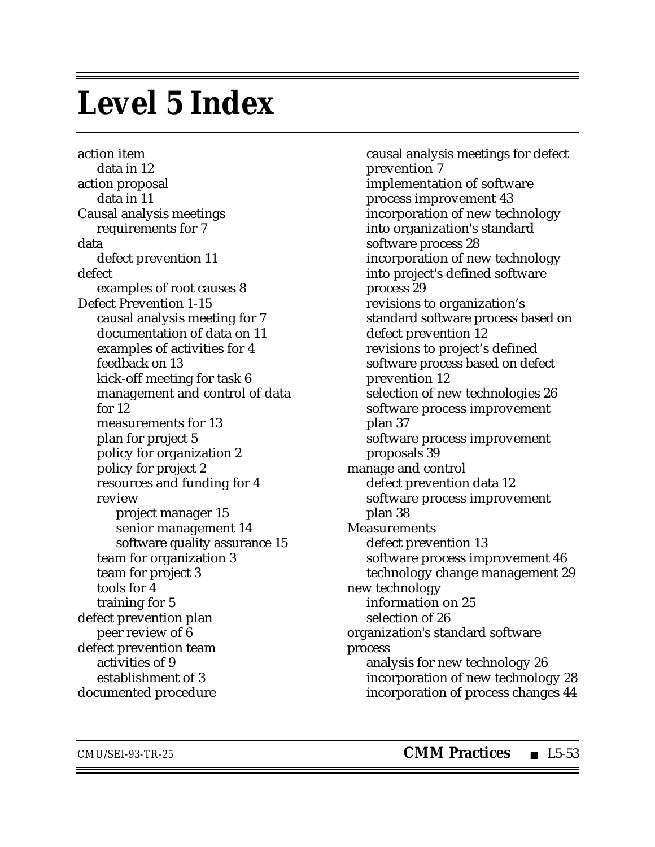# **Level 5 Index**

data in 12 prevention 7 action proposal action of software data in 11 process improvement 43 Causal analysis meetings incorporation of new technology requirements for 7 data defect examples of root causes 8 Defect Prevention 1-15 revisions to organization's causal analysis meeting for 7 documentation of data on 11 feedback on 13 kick-off meeting for task 6 management and control of data for 12 measurements for 13 plan 37 policy for organization 2 proposals 39 policy for project 2 manage and control resources and funding for 4 defect prevention data 12 project manager 15 plan 38 senior management 14 Measurements software quality assurance 15 defect prevention 13 tools for 4 new technology training for 5 information on 25 defect prevention plan selection of 26 peer review of 6 organization's standard software defect prevention team process documented procedure incorporation of process changes 44

action item causal analysis meetings for defect into organization's standard software process 28 defect prevention 11 incorporation of new technology into project's defined software process 29 standard software process based on defect prevention 12 revisions to project's defined software process based on defect prevention 12 selection of new technologies 26 software process improvement plan for project 5 software process improvement review software process improvement team for organization 3 software process improvement 46 team for project 3 technology change management 29 activities of 9 analysis for new technology 26 establishment of 3 incorporation of new technology 28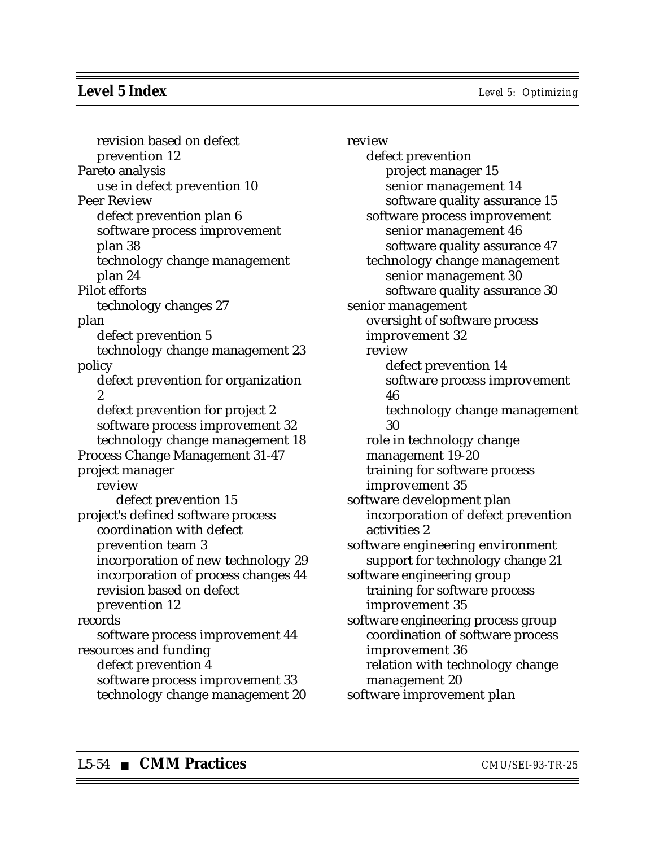#### **Level 5 Index** *Level 5: Optimizing*

revision based on defect prevention 12 Pareto analysis **Pareto** analysis **project manager 15** use in defect prevention 10 senior management 14 Peer Review software quality assurance 15 defect prevention plan 6 software process improvement software process improvement plan 38 technology change management plan 24 Pilot efforts **Software quality assurance 30** technology changes 27 senior management plan oversight of software process defect prevention 5 improvement 32 technology change management 23 review policy defect prevention 14 defect prevention for organization 2 software process improvement 32 30 technology change management 18 role in technology change Process Change Management 31-47 management 19-20 project manager training for software process review improvement 35 defect prevention 15 software development plan project's defined software process incorporation of defect prevention<br>coordination with defect activities 2 coordination with defect prevention team 3 software engineering environment incorporation of new technology 29 support for technology change 21 incorporation of process changes 44 software engineering group revision based on defect prevention 12 records<br>software process improvement 44<br>coordination of software process improvement 44<br>coordination of software process software process improvement 44 resources and funding improvement 36 defect prevention 4 relation with technology change software process improvement 33 management 20 technology change management 20 software improvement plan

review defect prevention senior management 46 software quality assurance 47 technology change management senior management 30 software process improvement 46 defect prevention for project 2 technology change management training for software process improvement 35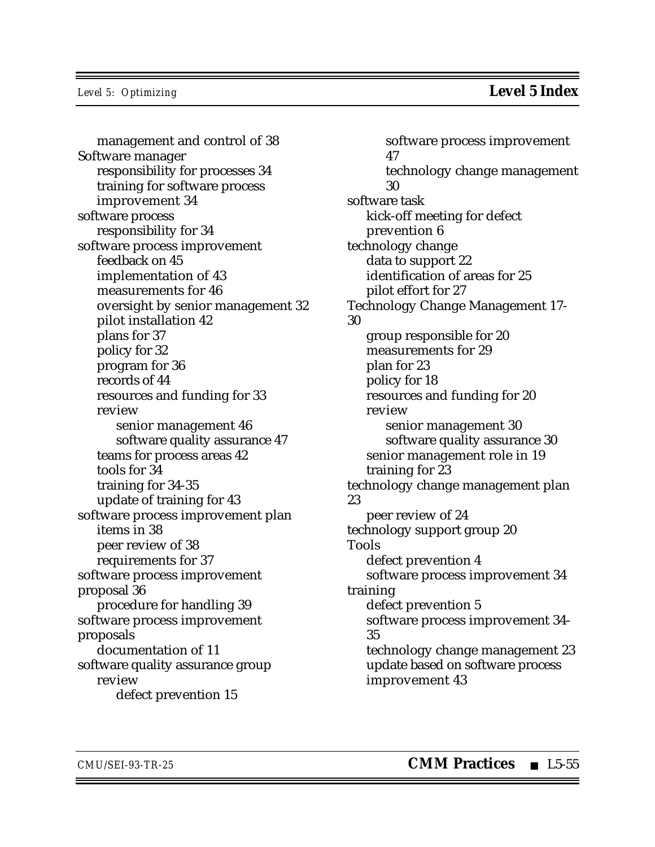Software manager 47 training for software process 30 improvement 34 software task software process kick-off meeting for defect responsibility for 34 prevention 6 software process improvement technology change feedback on 45 data to support 22 implementation of 43 identification of areas for 25 measurements for 46 pilot effort for 27 pilot installation 42 30 plans for 37 group responsible for 20 policy for 32 measurements for 29 program for 36 plan for 23 records of 44 policy for 18 resources and funding for 33 resources and funding for 20 review review senior management 46 senior management 30 teams for process areas 42 senior management role in 19 tools for 34 training for 23 update of training for 43 23 software process improvement plan peer review of 24 items in 38 technology support group 20 peer review of 38 Tools requirements for 37 defect prevention 4 software process improvement proposal 36 procedure for handling 39 defect prevention 5 software process improvement proposals software quality assurance group update based on software process review improvement 43 defect prevention 15

management and control of 38 software process improvement responsibility for processes 34 technology change management oversight by senior management 32 Technology Change Management 17 software quality assurance 47 software quality assurance 30 training for 34-35 technology change management plan software process improvement 34 training software process improvement 34- 35 documentation of 11 technology change management 23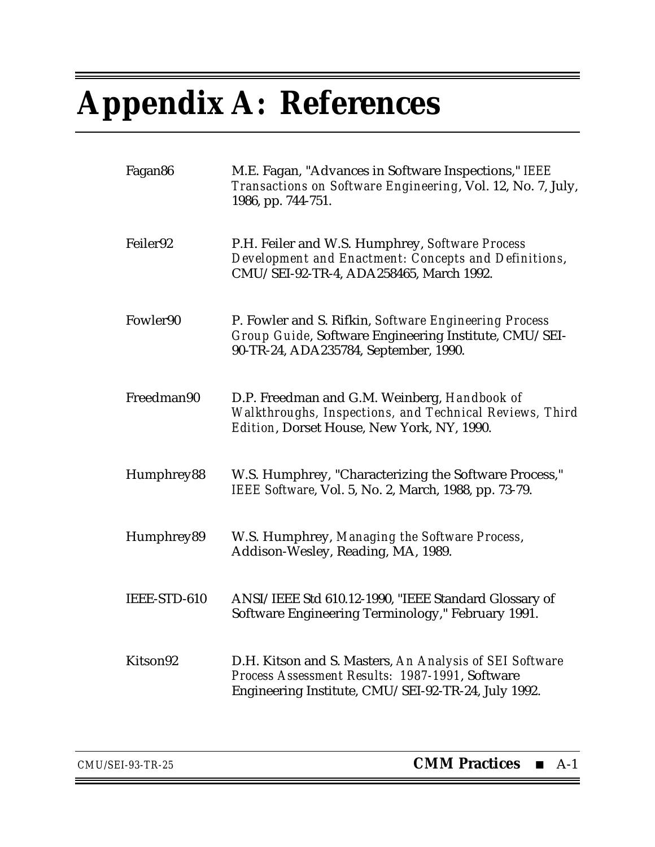# **Appendix A: References**

| Fagan <sub>86</sub> | M.E. Fagan, "Advances in Software Inspections," IEEE<br>Transactions on Software Engineering, Vol. 12, No. 7, July,<br>1986, pp. 744-751.                         |
|---------------------|-------------------------------------------------------------------------------------------------------------------------------------------------------------------|
| Feiler92            | P.H. Feiler and W.S. Humphrey, Software Process<br>Development and Enactment: Concepts and Definitions,<br>CMU/SEI-92-TR-4, ADA258465, March 1992.                |
| Fowler90            | P. Fowler and S. Rifkin, Software Engineering Process<br>Group Guide, Software Engineering Institute, CMU/SEI-<br>90-TR-24, ADA235784, September, 1990.           |
| Freedman90          | D.P. Freedman and G.M. Weinberg, Handbook of<br>Walkthroughs, Inspections, and Technical Reviews, Third<br>Edition, Dorset House, New York, NY, 1990.             |
| Humphrey88          | W.S. Humphrey, "Characterizing the Software Process,"<br>IEEE Software, Vol. 5, No. 2, March, 1988, pp. 73-79.                                                    |
| Humphrey89          | W.S. Humphrey, Managing the Software Process,<br>Addison-Wesley, Reading, MA, 1989.                                                                               |
| IEEE-STD-610        | ANSI/IEEE Std 610.12-1990, "IEEE Standard Glossary of<br>Software Engineering Terminology," February 1991.                                                        |
| Kitson92            | D.H. Kitson and S. Masters, An Analysis of SEI Software<br>Process Assessment Results: 1987-1991, Software<br>Engineering Institute, CMU/SEI-92-TR-24, July 1992. |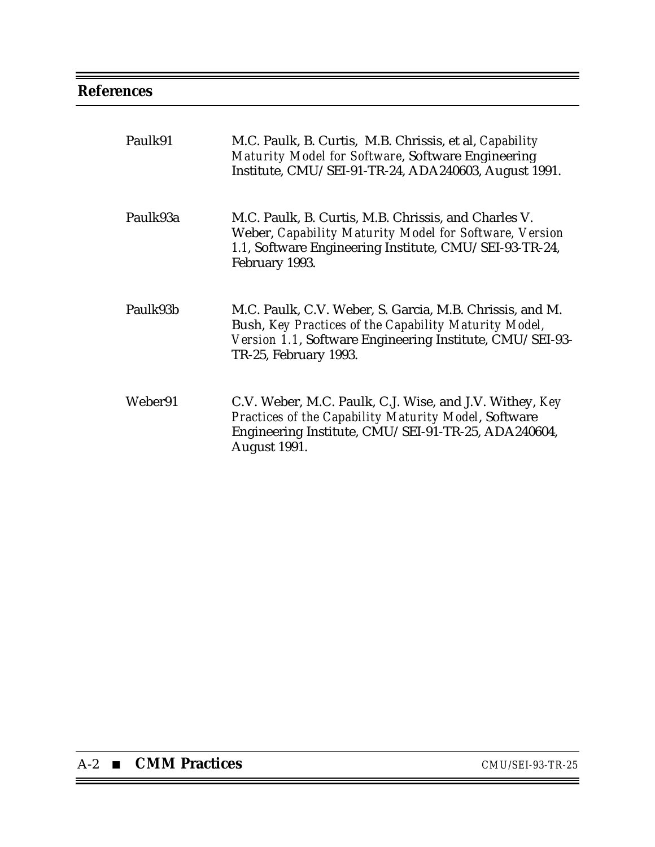| Paulk91  | M.C. Paulk, B. Curtis, M.B. Chrissis, et al, Capability<br>Maturity Model for Software, Software Engineering<br>Institute, CMU/SEI-91-TR-24, ADA240603, August 1991.                                          |
|----------|---------------------------------------------------------------------------------------------------------------------------------------------------------------------------------------------------------------|
| Paulk93a | M.C. Paulk, B. Curtis, M.B. Chrissis, and Charles V.<br>Weber, Capability Maturity Model for Software, Version<br>1.1, Software Engineering Institute, CMU/SEI-93-TR-24,<br>February 1993.                    |
| Paulk93b | M.C. Paulk, C.V. Weber, S. Garcia, M.B. Chrissis, and M.<br><b>Bush, Key Practices of the Capability Maturity Model,</b><br>Version 1.1, Software Engineering Institute, CMU/SEI-93-<br>TR-25, February 1993. |
| Weber91  | C.V. Weber, M.C. Paulk, C.J. Wise, and J.V. Withey, Key<br>Practices of the Capability Maturity Model, Software<br>Engineering Institute, CMU/SEI-91-TR-25, ADA240604,<br><b>August 1991.</b>                 |

=

Ξ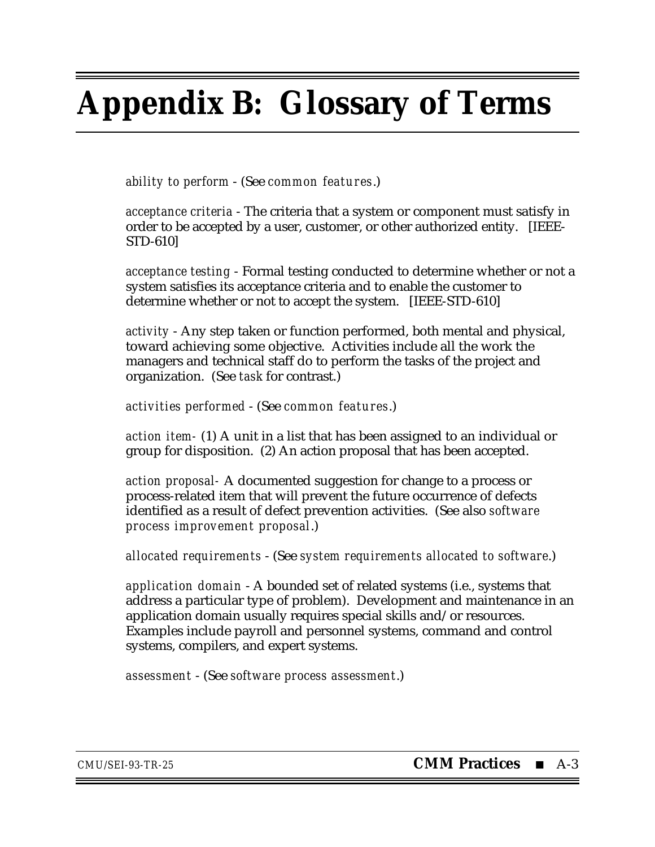# **Appendix B: Glossary of Terms**

*ability to perform* - (See *common features*.)

*acceptance criteria* - The criteria that a system or component must satisfy in order to be accepted by a user, customer, or other authorized entity. [IEEE-STD-610]

*acceptance testing* - Formal testing conducted to determine whether or not a system satisfies its acceptance criteria and to enable the customer to determine whether or not to accept the system. [IEEE-STD-610]

*activity* - Any step taken or function performed, both mental and physical, toward achieving some objective. Activities include all the work the managers and technical staff do to perform the tasks of the project and organization. (See *task* for contrast.)

*activities performed* - (See *common features*.)

*action item-* (1) A unit in a list that has been assigned to an individual or group for disposition. (2) An action proposal that has been accepted.

*action proposal-* A documented suggestion for change to a process or process-related item that will prevent the future occurrence of defects identified as a result of defect prevention activities. (See also *software process improvement proposal*.)

*allocated requirements* - (See *system requirements allocated to software*.)

*application domain* - A bounded set of related systems (i.e., systems that address a particular type of problem). Development and maintenance in an application domain usually requires special skills and/or resources. Examples include payroll and personnel systems, command and control systems, compilers, and expert systems.

*assessment* - (See *software process assessment*.)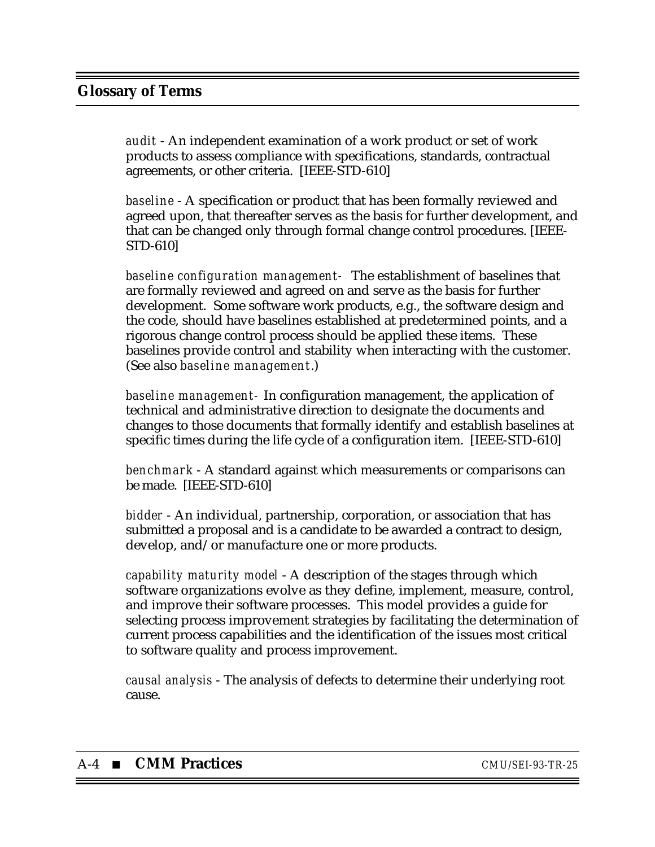*audit* - An independent examination of a work product or set of work products to assess compliance with specifications, standards, contractual agreements, or other criteria. [IEEE-STD-610]

*baseline* - A specification or product that has been formally reviewed and agreed upon, that thereafter serves as the basis for further development, and that can be changed only through formal change control procedures. [IEEE-STD-610]

*baseline configuration management-* The establishment of baselines that are formally reviewed and agreed on and serve as the basis for further development. Some software work products, e.g., the software design and the code, should have baselines established at predetermined points, and a rigorous change control process should be applied these items. These baselines provide control and stability when interacting with the customer. (See also *baseline management*.)

*baseline management-* In configuration management, the application of technical and administrative direction to designate the documents and changes to those documents that formally identify and establish baselines at specific times during the life cycle of a configuration item. [IEEE-STD-610]

*benchmark* - A standard against which measurements or comparisons can be made. [IEEE-STD-610]

*bidder* - An individual, partnership, corporation, or association that has submitted a proposal and is a candidate to be awarded a contract to design, develop, and/or manufacture one or more products.

*capability maturity model* - A description of the stages through which software organizations evolve as they define, implement, measure, control, and improve their software processes. This model provides a guide for selecting process improvement strategies by facilitating the determination of current process capabilities and the identification of the issues most critical to software quality and process improvement.

*causal analysis* - The analysis of defects to determine their underlying root cause.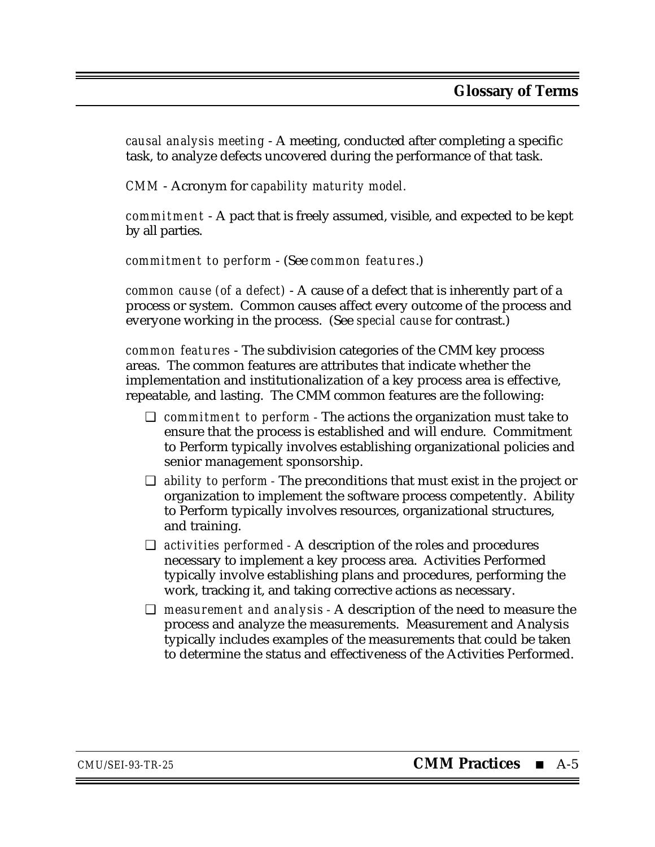*causal analysis meeting* - A meeting, conducted after completing a specific task, to analyze defects uncovered during the performance of that task.

*CMM* - Acronym for *capability maturity model.*

*commitment* - A pact that is freely assumed, visible, and expected to be kept by all parties.

```
commitment to perform - (See common features.)
```
*common cause (of a defect)* - A cause of a defect that is inherently part of a process or system. Common causes affect every outcome of the process and everyone working in the process. (See *special cause* for contrast.)

*common features* - The subdivision categories of the CMM key process areas. The common features are attributes that indicate whether the implementation and institutionalization of a key process area is effective, repeatable, and lasting. The CMM common features are the following:

- ❑ *commitment to perform* The actions the organization must take to ensure that the process is established and will endure. Commitment to Perform typically involves establishing organizational policies and senior management sponsorship.
- ❑ *ability to perform* The preconditions that must exist in the project or organization to implement the software process competently. Ability to Perform typically involves resources, organizational structures, and training.
- ❑ *activities performed* A description of the roles and procedures necessary to implement a key process area. Activities Performed typically involve establishing plans and procedures, performing the work, tracking it, and taking corrective actions as necessary.
- ❑ *measurement and analysis* A description of the need to measure the process and analyze the measurements. Measurement and Analysis typically includes examples of the measurements that could be taken to determine the status and effectiveness of the Activities Performed.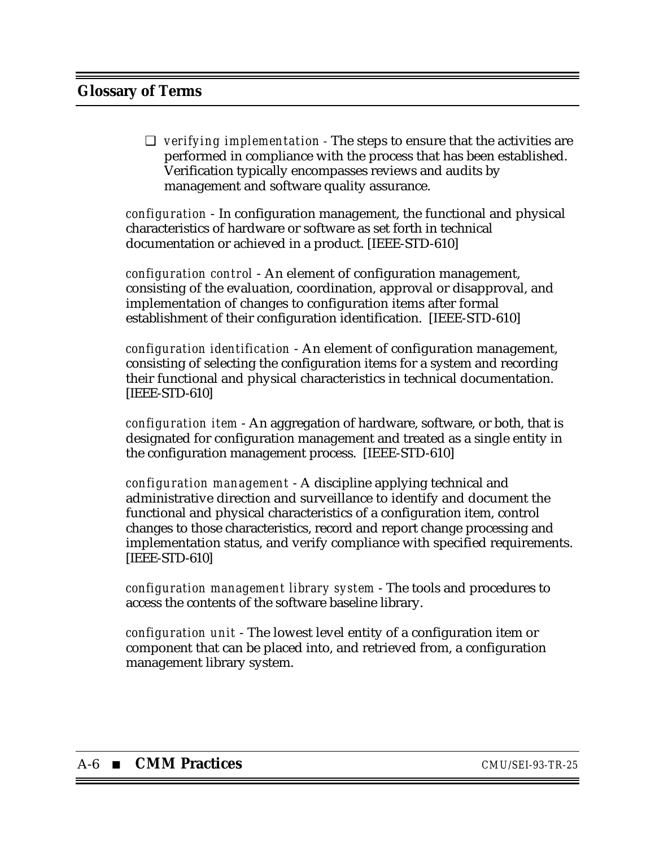❑ *verifying implementation* - The steps to ensure that the activities are performed in compliance with the process that has been established. Verification typically encompasses reviews and audits by management and software quality assurance.

*configuration* - In configuration management, the functional and physical characteristics of hardware or software as set forth in technical documentation or achieved in a product. [IEEE-STD-610]

*configuration control* - An element of configuration management, consisting of the evaluation, coordination, approval or disapproval, and implementation of changes to configuration items after formal establishment of their configuration identification. [IEEE-STD-610]

*configuration identification* - An element of configuration management, consisting of selecting the configuration items for a system and recording their functional and physical characteristics in technical documentation. [IEEE-STD-610]

*configuration item* - An aggregation of hardware, software, or both, that is designated for configuration management and treated as a single entity in the configuration management process. [IEEE-STD-610]

*configuration management* - A discipline applying technical and administrative direction and surveillance to identify and document the functional and physical characteristics of a configuration item, control changes to those characteristics, record and report change processing and implementation status, and verify compliance with specified requirements. [IEEE-STD-610]

*configuration management library system* - The tools and procedures to access the contents of the software baseline library.

*configuration unit* - The lowest level entity of a configuration item or component that can be placed into, and retrieved from, a configuration management library system.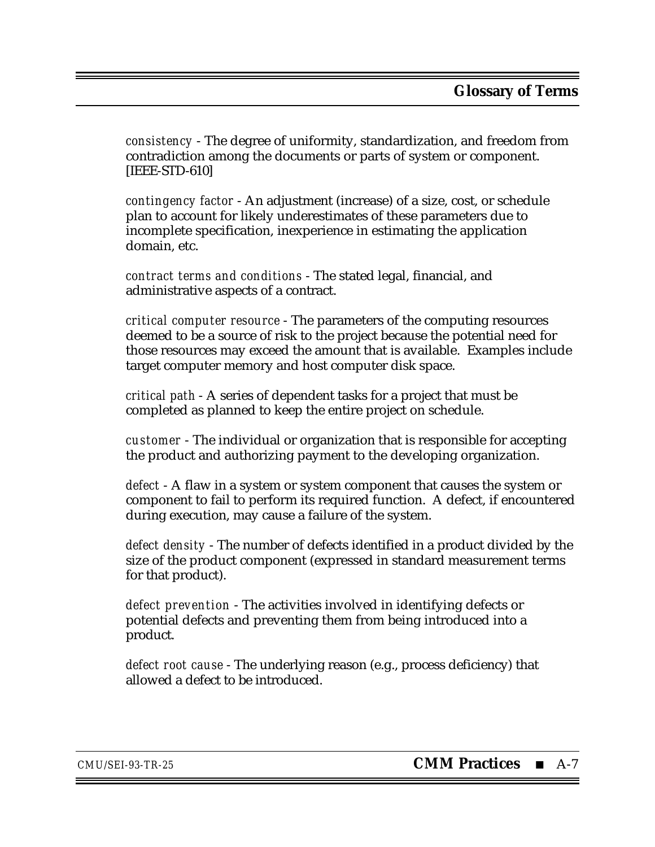*consistency* - The degree of uniformity, standardization, and freedom from contradiction among the documents or parts of system or component. [IEEE-STD-610]

*contingency factor* - An adjustment (increase) of a size, cost, or schedule plan to account for likely underestimates of these parameters due to incomplete specification, inexperience in estimating the application domain, etc.

*contract terms and conditions* - The stated legal, financial, and administrative aspects of a contract.

*critical computer resource* - The parameters of the computing resources deemed to be a source of risk to the project because the potential need for those resources may exceed the amount that is available. Examples include target computer memory and host computer disk space.

*critical path* - A series of dependent tasks for a project that must be completed as planned to keep the entire project on schedule.

*customer* - The individual or organization that is responsible for accepting the product and authorizing payment to the developing organization.

*defect* - A flaw in a system or system component that causes the system or component to fail to perform its required function. A defect, if encountered during execution, may cause a failure of the system.

*defect density* - The number of defects identified in a product divided by the size of the product component (expressed in standard measurement terms for that product).

*defect prevention* - The activities involved in identifying defects or potential defects and preventing them from being introduced into a product.

*defect root cause* - The underlying reason (e.g., process deficiency) that allowed a defect to be introduced.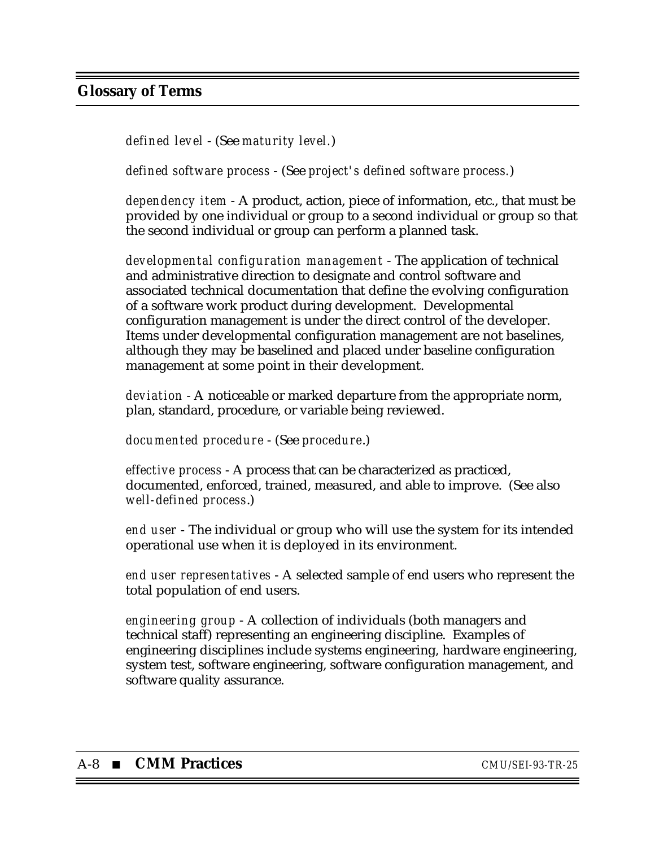#### **Glossary of Terms**

*defined level* - (See *maturity level.*)

*defined software process* - (See *project's defined software process.*)

*dependency item* - A product, action, piece of information, etc., that must be provided by one individual or group to a second individual or group so that the second individual or group can perform a planned task.

*developmental configuration management* - The application of technical and administrative direction to designate and control software and associated technical documentation that define the evolving configuration of a software work product during development. Developmental configuration management is under the direct control of the developer. Items under developmental configuration management are not baselines, although they may be baselined and placed under baseline configuration management at some point in their development.

*deviation* - A noticeable or marked departure from the appropriate norm, plan, standard, procedure, or variable being reviewed.

*documented procedure* - (See *procedure*.)

*effective process* - A process that can be characterized as practiced, documented, enforced, trained, measured, and able to improve. (See also *well-defined process*.)

*end user* - The individual or group who will use the system for its intended operational use when it is deployed in its environment.

*end user representatives* - A selected sample of end users who represent the total population of end users.

*engineering group* - A collection of individuals (both managers and technical staff) representing an engineering discipline. Examples of engineering disciplines include systems engineering, hardware engineering, system test, software engineering, software configuration management, and software quality assurance.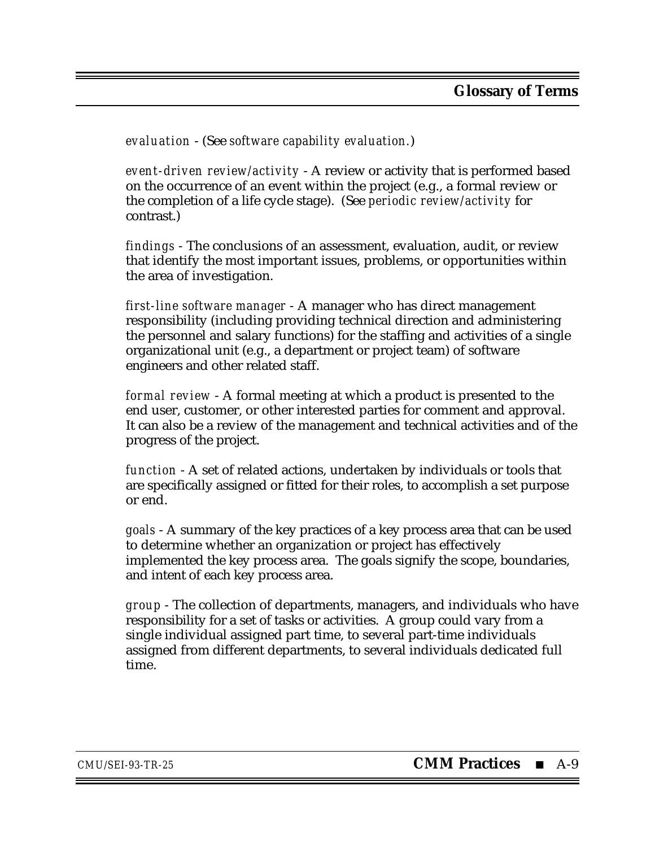*evaluation* - (See *software capability evaluation.*)

*event-driven review/activity* - A review or activity that is performed based on the occurrence of an event within the project (e.g., a formal review or the completion of a life cycle stage). (See *periodic review/activity* for contrast.)

*findings* - The conclusions of an assessment, evaluation, audit, or review that identify the most important issues, problems, or opportunities within the area of investigation.

*first-line software manager* - A manager who has direct management responsibility (including providing technical direction and administering the personnel and salary functions) for the staffing and activities of a single organizational unit (e.g., a department or project team) of software engineers and other related staff.

*formal review* - A formal meeting at which a product is presented to the end user, customer, or other interested parties for comment and approval. It can also be a review of the management and technical activities and of the progress of the project.

*function* - A set of related actions, undertaken by individuals or tools that are specifically assigned or fitted for their roles, to accomplish a set purpose or end.

*goals* - A summary of the key practices of a key process area that can be used to determine whether an organization or project has effectively implemented the key process area. The goals signify the scope, boundaries, and intent of each key process area.

*group* - The collection of departments, managers, and individuals who have responsibility for a set of tasks or activities. A group could vary from a single individual assigned part time, to several part-time individuals assigned from different departments, to several individuals dedicated full time.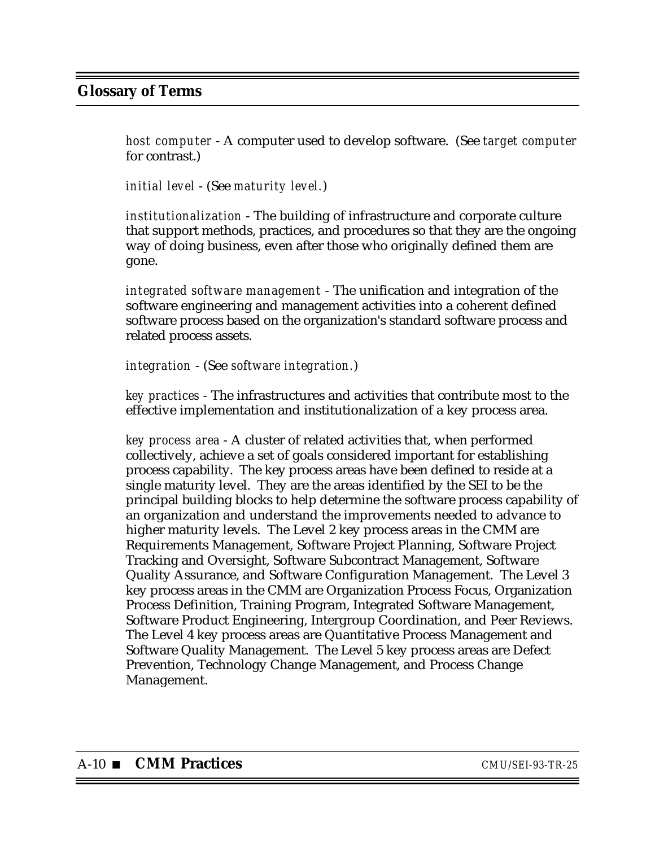*host computer* - A computer used to develop software. (See *target computer* for contrast.)

*initial level* - (See *maturity level.*)

*institutionalization* - The building of infrastructure and corporate culture that support methods, practices, and procedures so that they are the ongoing way of doing business, even after those who originally defined them are gone.

*integrated software management* - The unification and integration of the software engineering and management activities into a coherent defined software process based on the organization's standard software process and related process assets.

*integration* - (See *software integration.*)

*key practices* - The infrastructures and activities that contribute most to the effective implementation and institutionalization of a key process area.

*key process area* - A cluster of related activities that, when performed collectively, achieve a set of goals considered important for establishing process capability. The key process areas have been defined to reside at a single maturity level. They are the areas identified by the SEI to be the principal building blocks to help determine the software process capability of an organization and understand the improvements needed to advance to higher maturity levels. The Level 2 key process areas in the CMM are Requirements Management, Software Project Planning, Software Project Tracking and Oversight, Software Subcontract Management, Software Quality Assurance, and Software Configuration Management. The Level 3 key process areas in the CMM are Organization Process Focus, Organization Process Definition, Training Program, Integrated Software Management, Software Product Engineering, Intergroup Coordination, and Peer Reviews. The Level 4 key process areas are Quantitative Process Management and Software Quality Management. The Level 5 key process areas are Defect Prevention, Technology Change Management, and Process Change Management.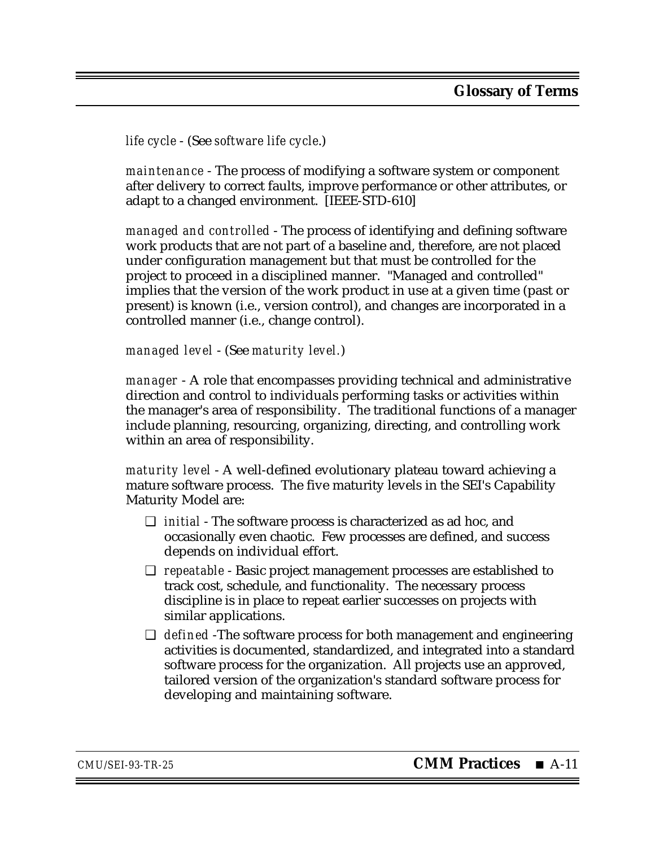*life cycle* - (See *software life cycle*.)

*maintenance* - The process of modifying a software system or component after delivery to correct faults, improve performance or other attributes, or adapt to a changed environment. [IEEE-STD-610]

*managed and controlled* - The process of identifying and defining software work products that are not part of a baseline and, therefore, are not placed under configuration management but that must be controlled for the project to proceed in a disciplined manner. "Managed and controlled" implies that the version of the work product in use at a given time (past or present) is known (i.e., version control), and changes are incorporated in a controlled manner (i.e., change control).

*managed level* - (See *maturity level.*)

*manager* - A role that encompasses providing technical and administrative direction and control to individuals performing tasks or activities within the manager's area of responsibility. The traditional functions of a manager include planning, resourcing, organizing, directing, and controlling work within an area of responsibility.

*maturity level* - A well-defined evolutionary plateau toward achieving a mature software process. The five maturity levels in the SEI's Capability Maturity Model are:

- ❑ *initial* The software process is characterized as ad hoc, and occasionally even chaotic. Few processes are defined, and success depends on individual effort.
- ❑ *repeatable* Basic project management processes are established to track cost, schedule, and functionality. The necessary process discipline is in place to repeat earlier successes on projects with similar applications.
- ❑ *defined* -The software process for both management and engineering activities is documented, standardized, and integrated into a standard software process for the organization. All projects use an approved, tailored version of the organization's standard software process for developing and maintaining software.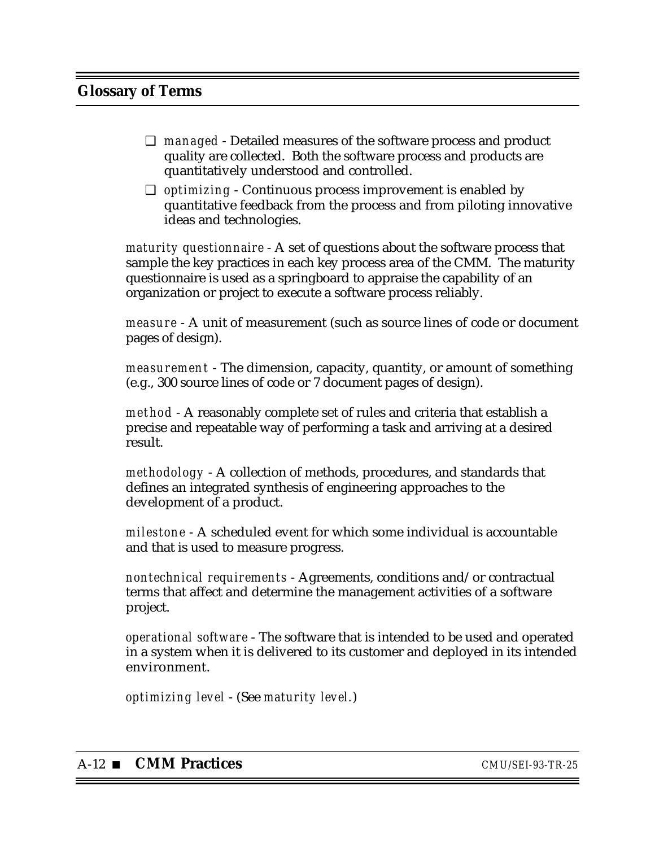- ❑ *managed* Detailed measures of the software process and product quality are collected. Both the software process and products are quantitatively understood and controlled.
- ❑ *optimizing* Continuous process improvement is enabled by quantitative feedback from the process and from piloting innovative ideas and technologies.

*maturity questionnaire* - A set of questions about the software process that sample the key practices in each key process area of the CMM. The maturity questionnaire is used as a springboard to appraise the capability of an organization or project to execute a software process reliably.

*measure* - A unit of measurement (such as source lines of code or document pages of design).

*measurement* - The dimension, capacity, quantity, or amount of something (e.g., 300 source lines of code or 7 document pages of design).

*method* - A reasonably complete set of rules and criteria that establish a precise and repeatable way of performing a task and arriving at a desired result.

*methodology* - A collection of methods, procedures, and standards that defines an integrated synthesis of engineering approaches to the development of a product.

*milestone* - A scheduled event for which some individual is accountable and that is used to measure progress.

*nontechnical requirements* - Agreements, conditions and/or contractual terms that affect and determine the management activities of a software project.

*operational software* - The software that is intended to be used and operated in a system when it is delivered to its customer and deployed in its intended environment.

*optimizing level* - (See *maturity level.*)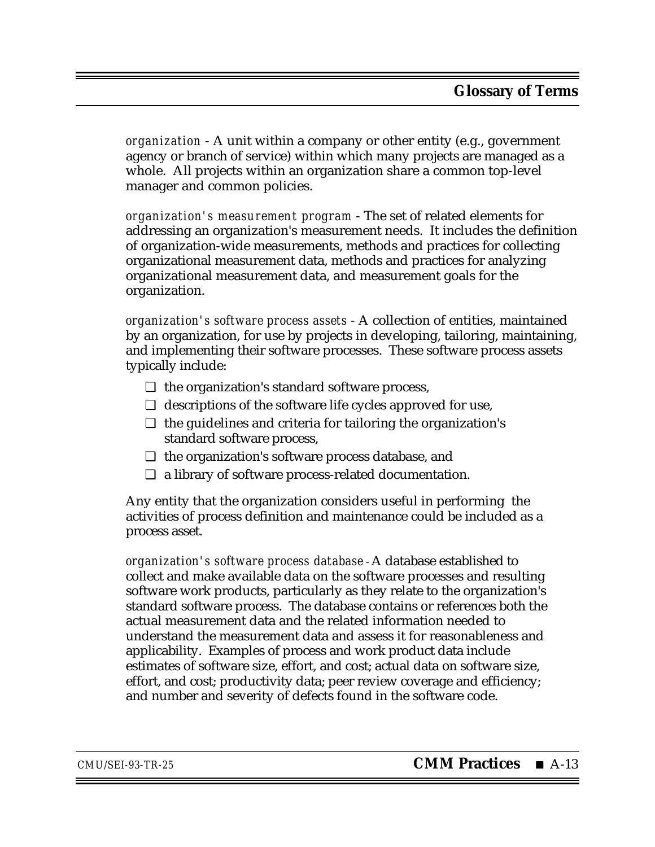*organization* - A unit within a company or other entity (e.g., government agency or branch of service) within which many projects are managed as a whole. All projects within an organization share a common top-level manager and common policies.

*organization's measurement program* - The set of related elements for addressing an organization's measurement needs. It includes the definition of organization-wide measurements, methods and practices for collecting organizational measurement data, methods and practices for analyzing organizational measurement data, and measurement goals for the organization.

*organization's software process assets* - A collection of entities, maintained by an organization, for use by projects in developing, tailoring, maintaining, and implementing their software processes. These software process assets typically include:

- ❑ the organization's standard software process,
- ❑ descriptions of the software life cycles approved for use,
- $\Box$  the guidelines and criteria for tailoring the organization's standard software process,
- ❑ the organization's software process database, and
- ❑ a library of software process-related documentation.

Any entity that the organization considers useful in performing the activities of process definition and maintenance could be included as a process asset.

*organization's software process database* - A database established to collect and make available data on the software processes and resulting software work products, particularly as they relate to the organization's standard software process. The database contains or references both the actual measurement data and the related information needed to understand the measurement data and assess it for reasonableness and applicability. Examples of process and work product data include estimates of software size, effort, and cost; actual data on software size, effort, and cost; productivity data; peer review coverage and efficiency; and number and severity of defects found in the software code.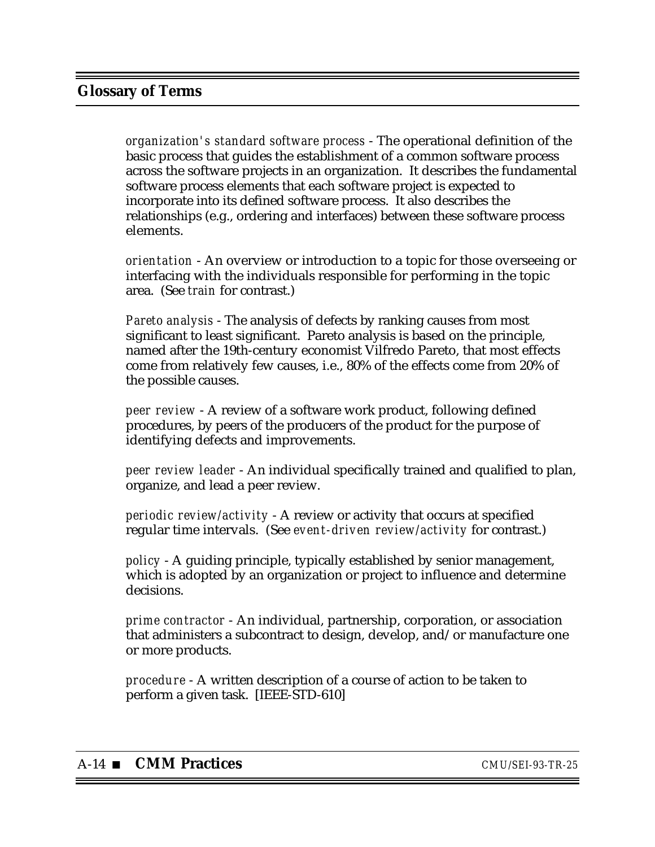*organization's standard software process* - The operational definition of the basic process that guides the establishment of a common software process across the software projects in an organization. It describes the fundamental software process elements that each software project is expected to incorporate into its defined software process. It also describes the relationships (e.g., ordering and interfaces) between these software process elements.

*orientation* - An overview or introduction to a topic for those overseeing or interfacing with the individuals responsible for performing in the topic area. (See *train* for contrast.)

*Pareto analysis* - The analysis of defects by ranking causes from most significant to least significant. Pareto analysis is based on the principle, named after the 19th-century economist Vilfredo Pareto, that most effects come from relatively few causes, i.e., 80% of the effects come from 20% of the possible causes.

*peer review* - A review of a software work product, following defined procedures, by peers of the producers of the product for the purpose of identifying defects and improvements.

*peer review leader* - An individual specifically trained and qualified to plan, organize, and lead a peer review.

*periodic review/activity* - A review or activity that occurs at specified regular time intervals. (See *event-driven review/activity* for contrast.)

*policy* - A guiding principle, typically established by senior management, which is adopted by an organization or project to influence and determine decisions.

*prime contractor* - An individual, partnership, corporation, or association that administers a subcontract to design, develop, and/or manufacture one or more products.

*procedure* - A written description of a course of action to be taken to perform a given task. [IEEE-STD-610]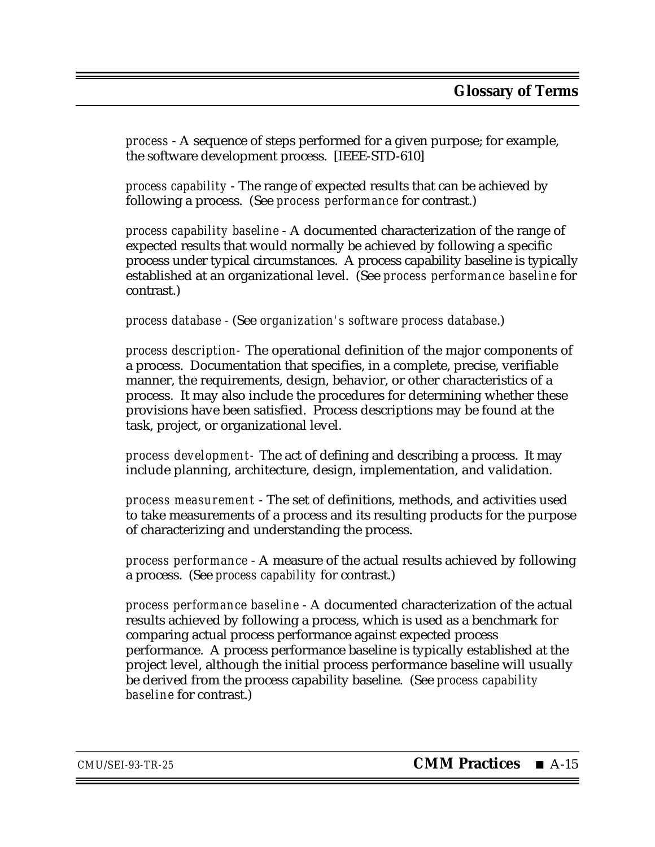*process* - A sequence of steps performed for a given purpose; for example, the software development process. [IEEE-STD-610]

*process capability* - The range of expected results that can be achieved by following a process. (See *process performance* for contrast.)

*process capability baseline* - A documented characterization of the range of expected results that would normally be achieved by following a specific process under typical circumstances. A process capability baseline is typically established at an organizational level. (See *process performance baseline* for contrast.)

*process database* - (See *organization's software process database*.)

*process description-* The operational definition of the major components of a process. Documentation that specifies, in a complete, precise, verifiable manner, the requirements, design, behavior, or other characteristics of a process. It may also include the procedures for determining whether these provisions have been satisfied. Process descriptions may be found at the task, project, or organizational level.

*process development-* The act of defining and describing a process. It may include planning, architecture, design, implementation, and validation.

*process measurement* - The set of definitions, methods, and activities used to take measurements of a process and its resulting products for the purpose of characterizing and understanding the process.

*process performance* - A measure of the actual results achieved by following a process. (See *process capability* for contrast.)

*process performance baseline* - A documented characterization of the actual results achieved by following a process, which is used as a benchmark for comparing actual process performance against expected process performance. A process performance baseline is typically established at the project level, although the initial process performance baseline will usually be derived from the process capability baseline. (See *process capability baseline* for contrast.)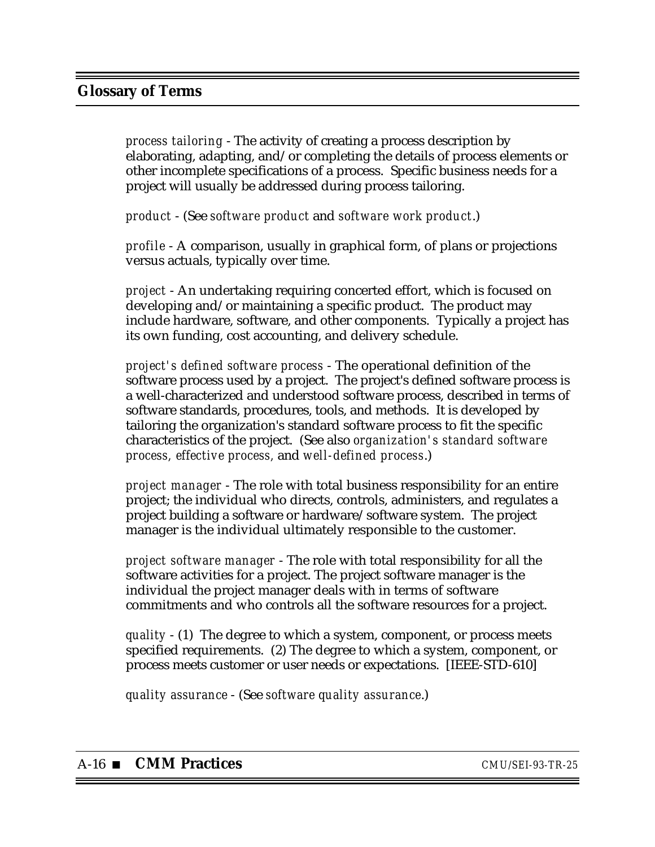*process tailoring* - The activity of creating a process description by elaborating, adapting, and/or completing the details of process elements or other incomplete specifications of a process. Specific business needs for a project will usually be addressed during process tailoring.

*product* - (See *software product* and *software work product*.)

*profile* - A comparison, usually in graphical form, of plans or projections versus actuals, typically over time.

*project* - An undertaking requiring concerted effort, which is focused on developing and/or maintaining a specific product. The product may include hardware, software, and other components. Typically a project has its own funding, cost accounting, and delivery schedule.

*project's defined software process* - The operational definition of the software process used by a project. The project's defined software process is a well-characterized and understood software process, described in terms of software standards, procedures, tools, and methods. It is developed by tailoring the organization's standard software process to fit the specific characteristics of the project. (See also *organization's standard software process, effective process,* and *well-defined process*.)

*project manager* - The role with total business responsibility for an entire project; the individual who directs, controls, administers, and regulates a project building a software or hardware/software system. The project manager is the individual ultimately responsible to the customer.

*project software manager* - The role with total responsibility for all the software activities for a project. The project software manager is the individual the project manager deals with in terms of software commitments and who controls all the software resources for a project.

*quality* - (1) The degree to which a system, component, or process meets specified requirements. (2) The degree to which a system, component, or process meets customer or user needs or expectations. [IEEE-STD-610]

*quality assurance* - (See *software quality assurance*.)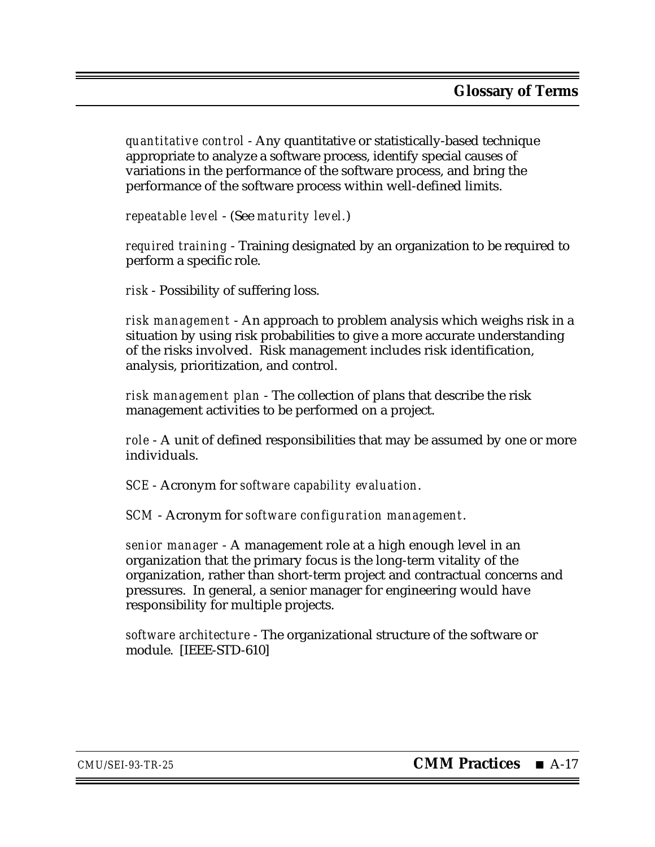*quantitative control* - Any quantitative or statistically-based technique appropriate to analyze a software process, identify special causes of variations in the performance of the software process, and bring the performance of the software process within well-defined limits.

*repeatable level* - (See *maturity level.*)

*required training* - Training designated by an organization to be required to perform a specific role.

*risk* - Possibility of suffering loss.

*risk management* - An approach to problem analysis which weighs risk in a situation by using risk probabilities to give a more accurate understanding of the risks involved. Risk management includes risk identification, analysis, prioritization, and control.

*risk management plan* - The collection of plans that describe the risk management activities to be performed on a project.

*role* - A unit of defined responsibilities that may be assumed by one or more individuals.

*SCE* - Acronym for *software capability evaluation*.

*SCM* - Acronym for *software configuration management*.

*senior manager* - A management role at a high enough level in an organization that the primary focus is the long-term vitality of the organization, rather than short-term project and contractual concerns and pressures. In general, a senior manager for engineering would have responsibility for multiple projects.

*software architecture* - The organizational structure of the software or module. [IEEE-STD-610]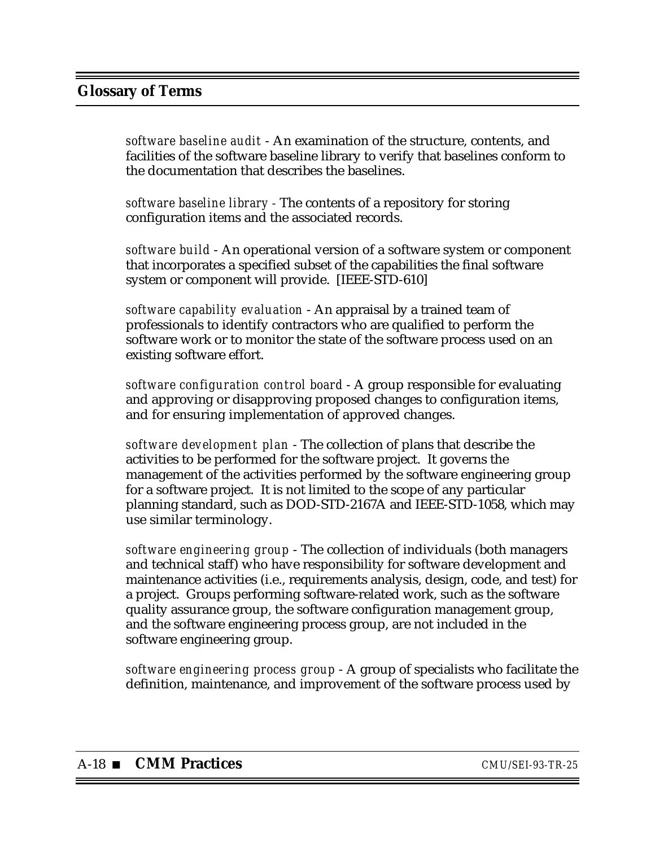*software baseline audit* - An examination of the structure, contents, and facilities of the software baseline library to verify that baselines conform to the documentation that describes the baselines.

*software baseline library* - The contents of a repository for storing configuration items and the associated records.

*software build* - An operational version of a software system or component that incorporates a specified subset of the capabilities the final software system or component will provide. [IEEE-STD-610]

*software capability evaluation* - An appraisal by a trained team of professionals to identify contractors who are qualified to perform the software work or to monitor the state of the software process used on an existing software effort.

*software configuration control board* - A group responsible for evaluating and approving or disapproving proposed changes to configuration items, and for ensuring implementation of approved changes.

*software development plan* - The collection of plans that describe the activities to be performed for the software project. It governs the management of the activities performed by the software engineering group for a software project. It is not limited to the scope of any particular planning standard, such as DOD-STD-2167A and IEEE-STD-1058, which may use similar terminology.

*software engineering group* - The collection of individuals (both managers and technical staff) who have responsibility for software development and maintenance activities (i.e., requirements analysis, design, code, and test) for a project. Groups performing software-related work, such as the software quality assurance group, the software configuration management group, and the software engineering process group, are not included in the software engineering group.

*software engineering process group* - A group of specialists who facilitate the definition, maintenance, and improvement of the software process used by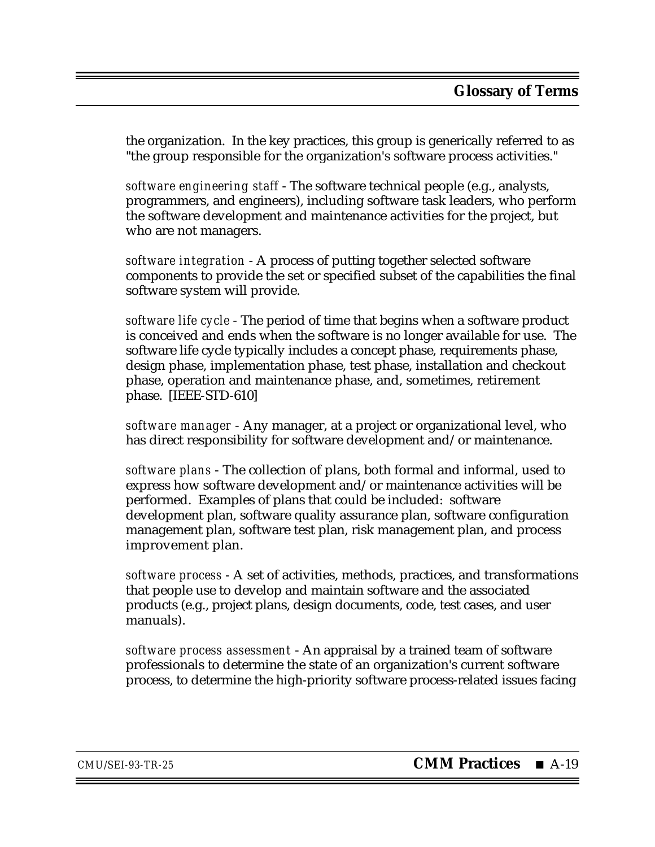the organization. In the key practices, this group is generically referred to as "the group responsible for the organization's software process activities."

*software engineering staff* - The software technical people (e.g., analysts, programmers, and engineers), including software task leaders, who perform the software development and maintenance activities for the project, but who are not managers.

*software integration* - A process of putting together selected software components to provide the set or specified subset of the capabilities the final software system will provide.

*software life cycle* - The period of time that begins when a software product is conceived and ends when the software is no longer available for use. The software life cycle typically includes a concept phase, requirements phase, design phase, implementation phase, test phase, installation and checkout phase, operation and maintenance phase, and, sometimes, retirement phase. [IEEE-STD-610]

*software manager* - Any manager, at a project or organizational level, who has direct responsibility for software development and/or maintenance.

*software plans* - The collection of plans, both formal and informal, used to express how software development and/or maintenance activities will be performed. Examples of plans that could be included: software development plan, software quality assurance plan, software configuration management plan, software test plan, risk management plan, and process improvement plan.

*software process* - A set of activities, methods, practices, and transformations that people use to develop and maintain software and the associated products (e.g., project plans, design documents, code, test cases, and user manuals).

*software process assessment* - An appraisal by a trained team of software professionals to determine the state of an organization's current software process, to determine the high-priority software process-related issues facing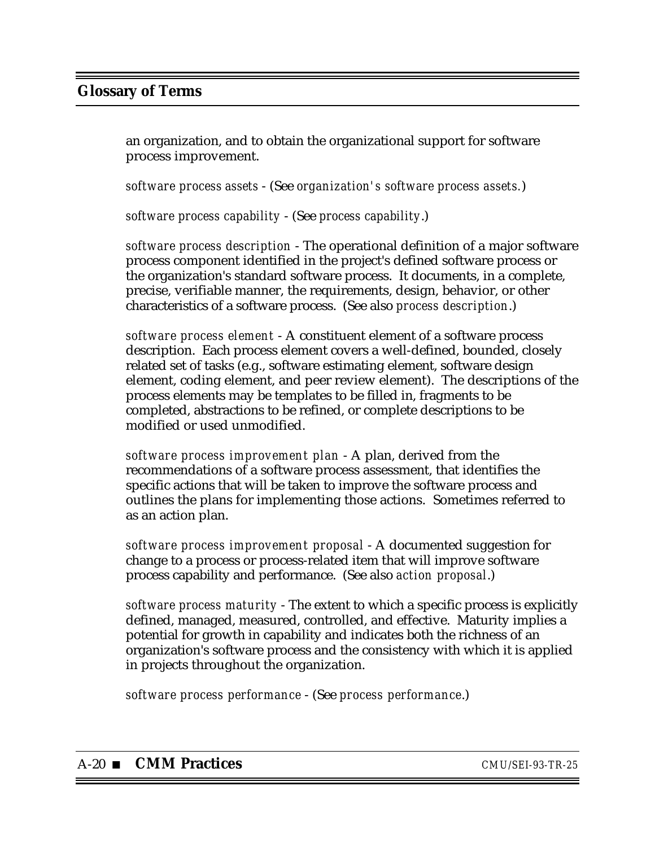an organization, and to obtain the organizational support for software process improvement.

*software process assets* - (See *organization's software process assets.*)

*software process capability* - (See *process capability*.)

*software process description* - The operational definition of a major software process component identified in the project's defined software process or the organization's standard software process. It documents, in a complete, precise, verifiable manner, the requirements, design, behavior, or other characteristics of a software process. (See also *process description*.)

*software process element* - A constituent element of a software process description. Each process element covers a well-defined, bounded, closely related set of tasks (e.g., software estimating element, software design element, coding element, and peer review element). The descriptions of the process elements may be templates to be filled in, fragments to be completed, abstractions to be refined, or complete descriptions to be modified or used unmodified.

*software process improvement plan* - A plan, derived from the recommendations of a software process assessment, that identifies the specific actions that will be taken to improve the software process and outlines the plans for implementing those actions. Sometimes referred to as an action plan.

*software process improvement proposal* - A documented suggestion for change to a process or process-related item that will improve software process capability and performance. (See also *action proposal*.)

*software process maturity* - The extent to which a specific process is explicitly defined, managed, measured, controlled, and effective. Maturity implies a potential for growth in capability and indicates both the richness of an organization's software process and the consistency with which it is applied in projects throughout the organization.

*software process performance* - (See *process performance*.)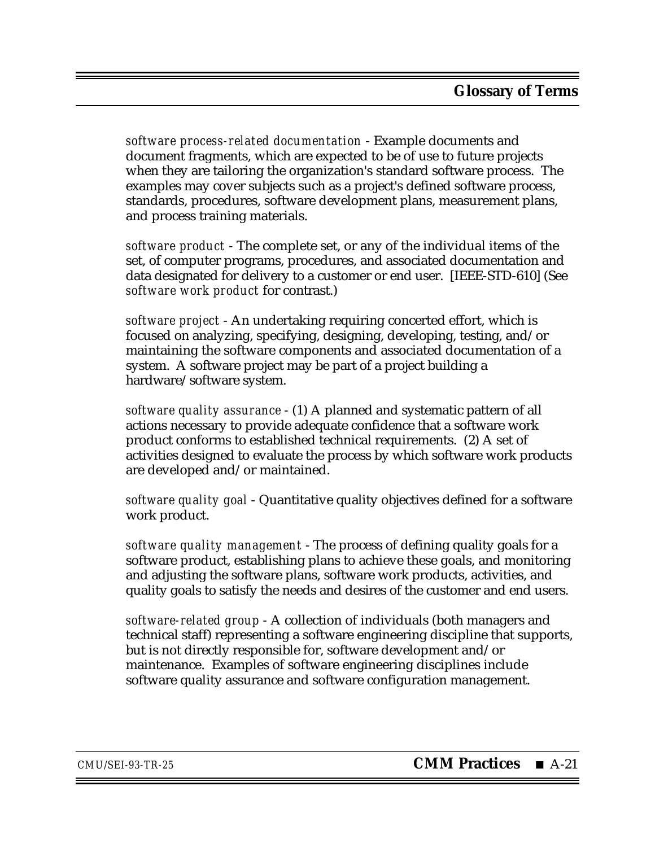*software process-related documentation* - Example documents and document fragments, which are expected to be of use to future projects when they are tailoring the organization's standard software process. The examples may cover subjects such as a project's defined software process, standards, procedures, software development plans, measurement plans, and process training materials.

*software product* - The complete set, or any of the individual items of the set, of computer programs, procedures, and associated documentation and data designated for delivery to a customer or end user. [IEEE-STD-610] (See *software work product* for contrast.)

*software project* - An undertaking requiring concerted effort, which is focused on analyzing, specifying, designing, developing, testing, and/or maintaining the software components and associated documentation of a system. A software project may be part of a project building a hardware/software system.

*software quality assurance* - (1) A planned and systematic pattern of all actions necessary to provide adequate confidence that a software work product conforms to established technical requirements. (2) A set of activities designed to evaluate the process by which software work products are developed and/or maintained.

*software quality goal* - Quantitative quality objectives defined for a software work product.

*software quality management* - The process of defining quality goals for a software product, establishing plans to achieve these goals, and monitoring and adjusting the software plans, software work products, activities, and quality goals to satisfy the needs and desires of the customer and end users.

*software-related group* - A collection of individuals (both managers and technical staff) representing a software engineering discipline that supports, but is not directly responsible for, software development and/or maintenance. Examples of software engineering disciplines include software quality assurance and software configuration management.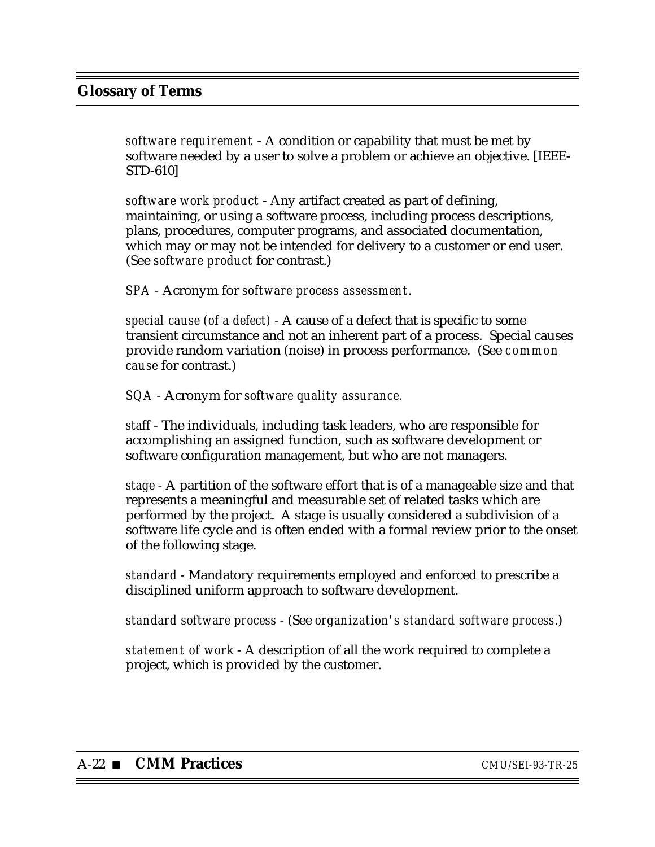*software requirement* - A condition or capability that must be met by software needed by a user to solve a problem or achieve an objective. [IEEE-STD-610]

*software work product* - Any artifact created as part of defining, maintaining, or using a software process, including process descriptions, plans, procedures, computer programs, and associated documentation, which may or may not be intended for delivery to a customer or end user. (See *software product* for contrast.)

*SPA* - Acronym for *software process assessment*.

*special cause (of a defect)* - A cause of a defect that is specific to some transient circumstance and not an inherent part of a process. Special causes provide random variation (noise) in process performance. (See *common cause* for contrast.)

*SQA* - Acronym for *software quality assurance.*

*staff* - The individuals, including task leaders, who are responsible for accomplishing an assigned function, such as software development or software configuration management, but who are not managers.

*stage* - A partition of the software effort that is of a manageable size and that represents a meaningful and measurable set of related tasks which are performed by the project. A stage is usually considered a subdivision of a software life cycle and is often ended with a formal review prior to the onset of the following stage.

*standard* - Mandatory requirements employed and enforced to prescribe a disciplined uniform approach to software development.

*standard software process* - (See *organization's standard software process*.)

*statement of work* - A description of all the work required to complete a project, which is provided by the customer.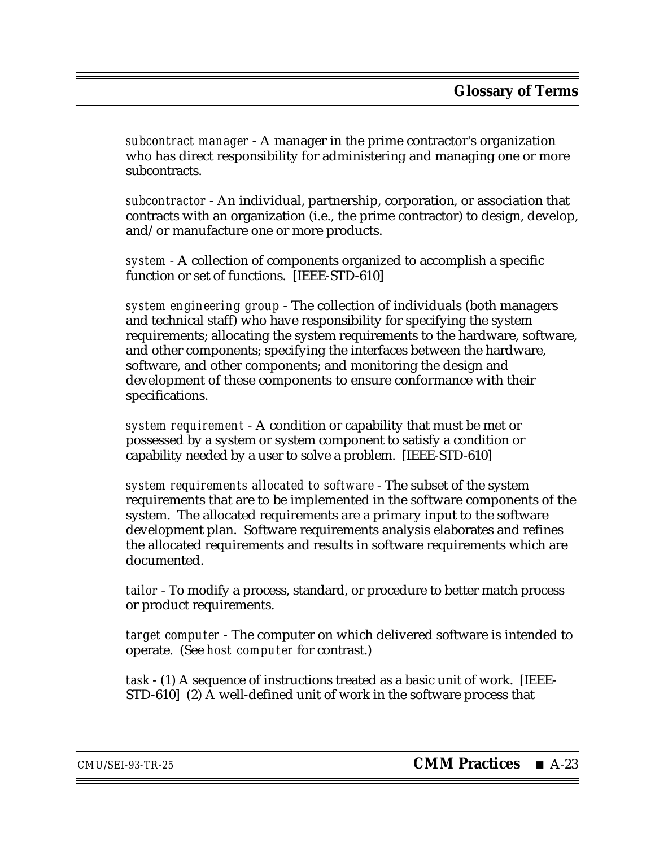*subcontract manager* - A manager in the prime contractor's organization who has direct responsibility for administering and managing one or more subcontracts.

*subcontractor* - An individual, partnership, corporation, or association that contracts with an organization (i.e., the prime contractor) to design, develop, and/or manufacture one or more products.

*system* - A collection of components organized to accomplish a specific function or set of functions. [IEEE-STD-610]

*system engineering group* - The collection of individuals (both managers and technical staff) who have responsibility for specifying the system requirements; allocating the system requirements to the hardware, software, and other components; specifying the interfaces between the hardware, software, and other components; and monitoring the design and development of these components to ensure conformance with their specifications.

*system requirement* - A condition or capability that must be met or possessed by a system or system component to satisfy a condition or capability needed by a user to solve a problem. [IEEE-STD-610]

*system requirements allocated to software* - The subset of the system requirements that are to be implemented in the software components of the system. The allocated requirements are a primary input to the software development plan. Software requirements analysis elaborates and refines the allocated requirements and results in software requirements which are documented.

*tailor* - To modify a process, standard, or procedure to better match process or product requirements.

*target computer* - The computer on which delivered software is intended to operate. (See *host computer* for contrast.)

*task* - (1) A sequence of instructions treated as a basic unit of work. [IEEE-STD-610] (2) A well-defined unit of work in the software process that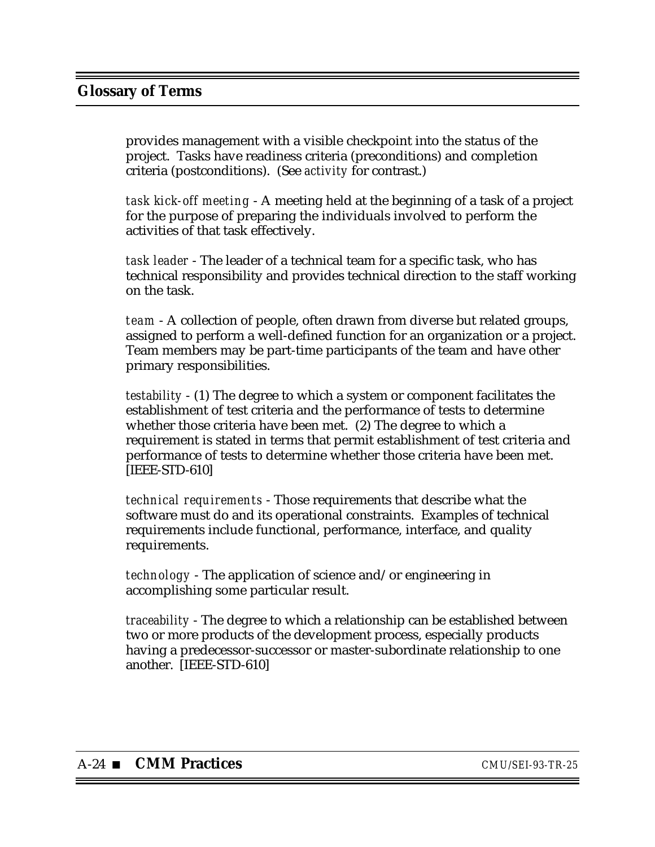provides management with a visible checkpoint into the status of the project. Tasks have readiness criteria (preconditions) and completion criteria (postconditions). (See *activity* for contrast.)

*task kick-off meeting* - A meeting held at the beginning of a task of a project for the purpose of preparing the individuals involved to perform the activities of that task effectively.

*task leader* - The leader of a technical team for a specific task, who has technical responsibility and provides technical direction to the staff working on the task.

*team* - A collection of people, often drawn from diverse but related groups, assigned to perform a well-defined function for an organization or a project. Team members may be part-time participants of the team and have other primary responsibilities.

*testability* - (1) The degree to which a system or component facilitates the establishment of test criteria and the performance of tests to determine whether those criteria have been met. (2) The degree to which a requirement is stated in terms that permit establishment of test criteria and performance of tests to determine whether those criteria have been met. [IEEE-STD-610]

*technical requirements* - Those requirements that describe what the software must do and its operational constraints. Examples of technical requirements include functional, performance, interface, and quality requirements.

*technology* - The application of science and/or engineering in accomplishing some particular result.

*traceability* - The degree to which a relationship can be established between two or more products of the development process, especially products having a predecessor-successor or master-subordinate relationship to one another. [IEEE-STD-610]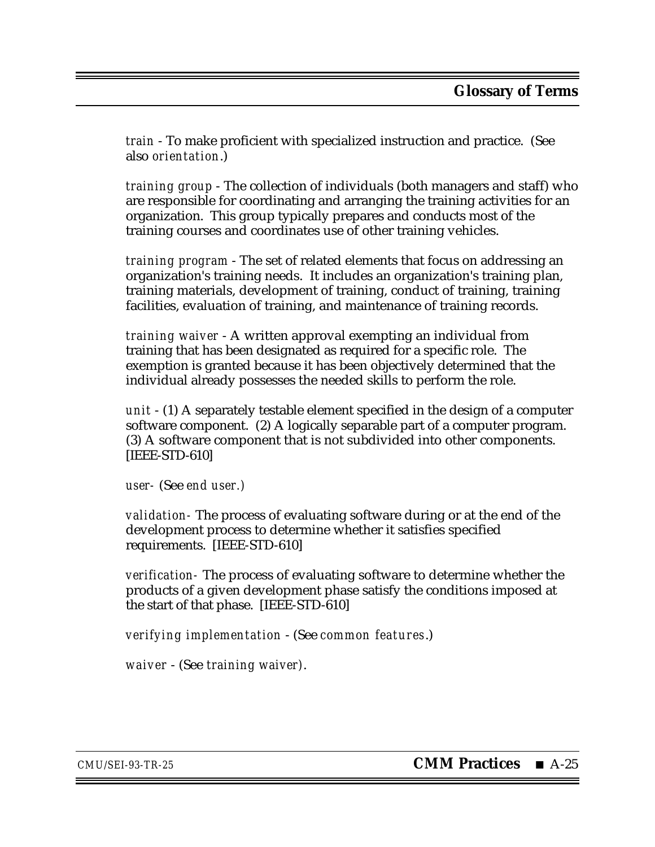*train* - To make proficient with specialized instruction and practice. (See also *orientation*.)

*training group* - The collection of individuals (both managers and staff) who are responsible for coordinating and arranging the training activities for an organization. This group typically prepares and conducts most of the training courses and coordinates use of other training vehicles.

*training program* - The set of related elements that focus on addressing an organization's training needs. It includes an organization's training plan, training materials, development of training, conduct of training, training facilities, evaluation of training, and maintenance of training records.

*training waiver* - A written approval exempting an individual from training that has been designated as required for a specific role. The exemption is granted because it has been objectively determined that the individual already possesses the needed skills to perform the role.

*unit* - (1) A separately testable element specified in the design of a computer software component. (2) A logically separable part of a computer program. (3) A software component that is not subdivided into other components. [IEEE-STD-610]

*user-* (See *end user.)*

*validation-* The process of evaluating software during or at the end of the development process to determine whether it satisfies specified requirements. [IEEE-STD-610]

*verification-* The process of evaluating software to determine whether the products of a given development phase satisfy the conditions imposed at the start of that phase. [IEEE-STD-610]

*verifying implementation* - (See *common features*.)

*waiver* - (See *training waiver)*.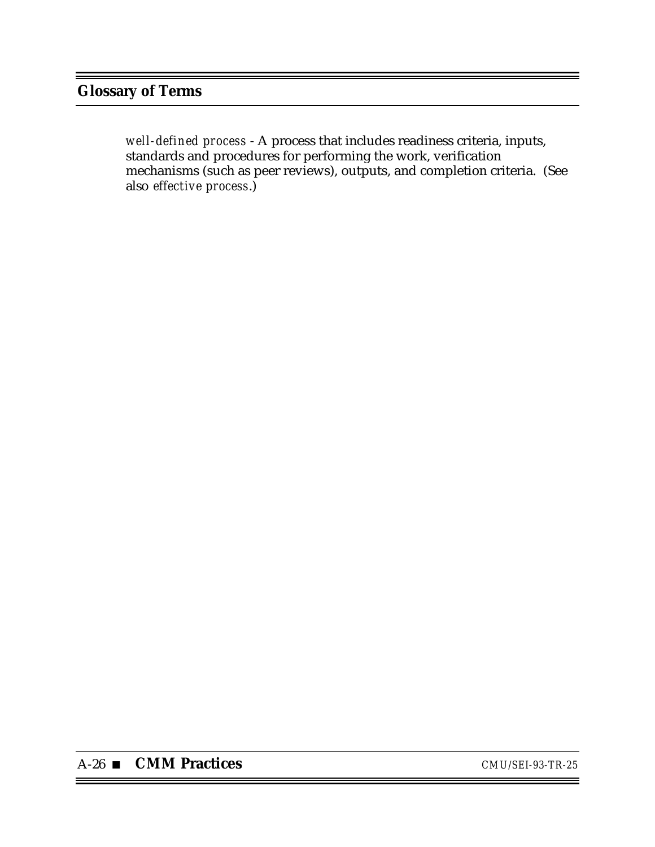*well-defined process* - A process that includes readiness criteria, inputs, standards and procedures for performing the work, verification mechanisms (such as peer reviews), outputs, and completion criteria. (See also *effective process*.)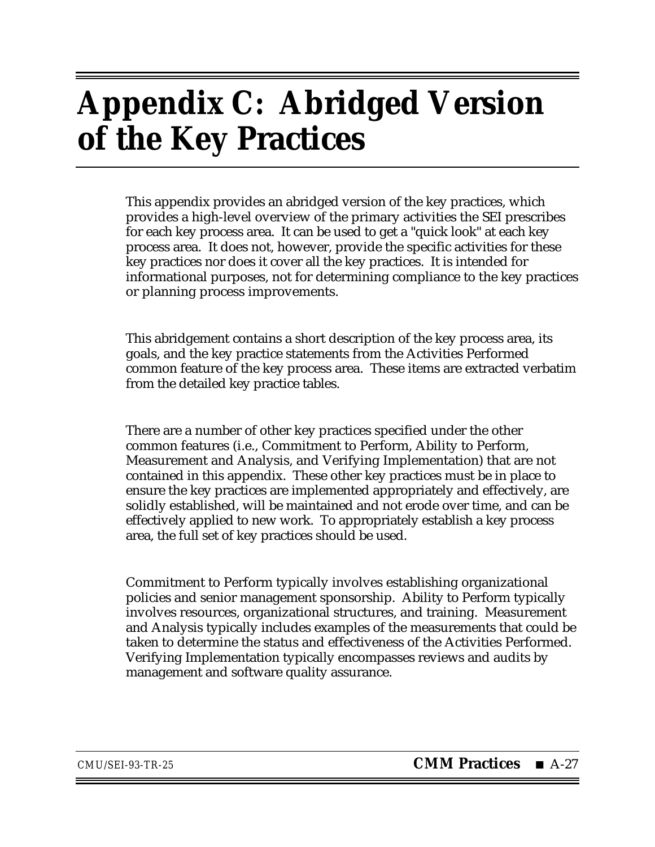# **Appendix C: Abridged Version of the Key Practices**

This appendix provides an abridged version of the key practices, which provides a high-level overview of the primary activities the SEI prescribes for each key process area. It can be used to get a "quick look" at each key process area. It does not, however, provide the specific activities for these key practices nor does it cover all the key practices. It is intended for informational purposes, not for determining compliance to the key practices or planning process improvements.

This abridgement contains a short description of the key process area, its goals, and the key practice statements from the Activities Performed common feature of the key process area. These items are extracted verbatim from the detailed key practice tables.

There are a number of other key practices specified under the other common features (i.e., Commitment to Perform, Ability to Perform, Measurement and Analysis, and Verifying Implementation) that are not contained in this appendix. These other key practices must be in place to ensure the key practices are implemented appropriately and effectively, are solidly established, will be maintained and not erode over time, and can be effectively applied to new work. To appropriately establish a key process area, the full set of key practices should be used.

Commitment to Perform typically involves establishing organizational policies and senior management sponsorship. Ability to Perform typically involves resources, organizational structures, and training. Measurement and Analysis typically includes examples of the measurements that could be taken to determine the status and effectiveness of the Activities Performed. Verifying Implementation typically encompasses reviews and audits by management and software quality assurance.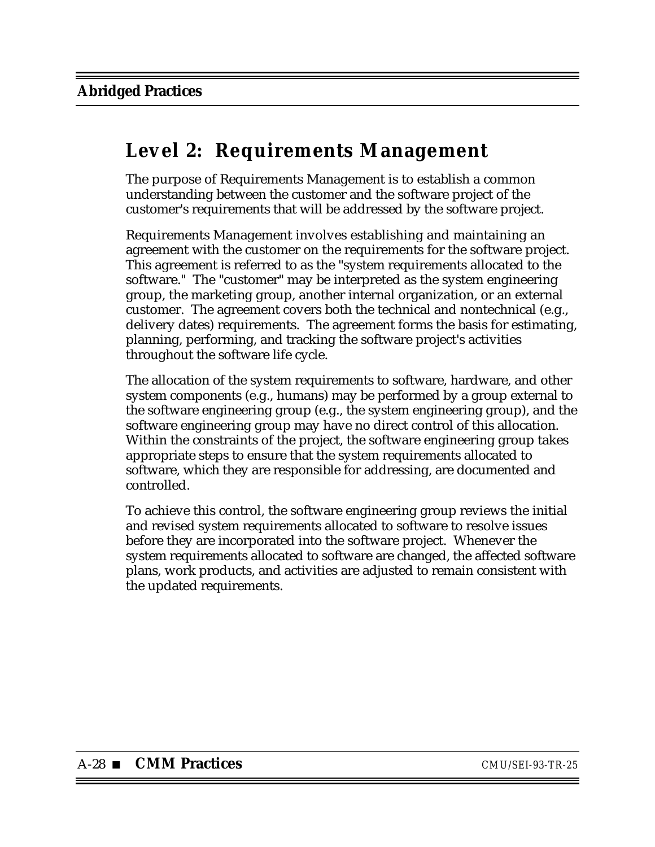# **Level 2: Requirements Management**

The purpose of Requirements Management is to establish a common understanding between the customer and the software project of the customer's requirements that will be addressed by the software project.

Requirements Management involves establishing and maintaining an agreement with the customer on the requirements for the software project. This agreement is referred to as the "system requirements allocated to the software." The "customer" may be interpreted as the system engineering group, the marketing group, another internal organization, or an external customer. The agreement covers both the technical and nontechnical (e.g., delivery dates) requirements. The agreement forms the basis for estimating, planning, performing, and tracking the software project's activities throughout the software life cycle.

The allocation of the system requirements to software, hardware, and other system components (e.g., humans) may be performed by a group external to the software engineering group (e.g., the system engineering group), and the software engineering group may have no direct control of this allocation. Within the constraints of the project, the software engineering group takes appropriate steps to ensure that the system requirements allocated to software, which they are responsible for addressing, are documented and controlled.

To achieve this control, the software engineering group reviews the initial and revised system requirements allocated to software to resolve issues before they are incorporated into the software project. Whenever the system requirements allocated to software are changed, the affected software plans, work products, and activities are adjusted to remain consistent with the updated requirements.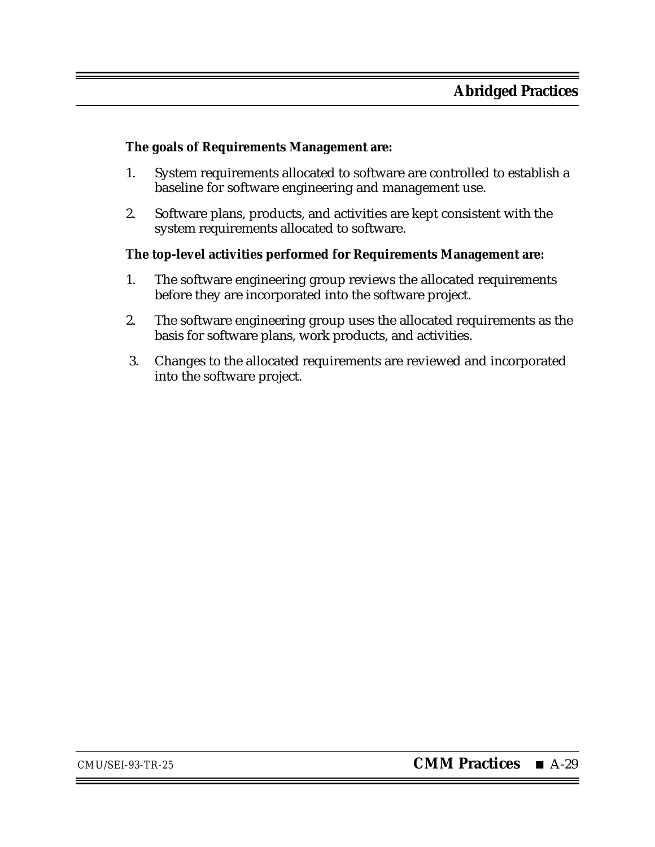#### **The goals of Requirements Management are:**

- 1. System requirements allocated to software are controlled to establish a baseline for software engineering and management use.
- 2. Software plans, products, and activities are kept consistent with the system requirements allocated to software.

#### **The top-level activities performed for Requirements Management are:**

- 1. The software engineering group reviews the allocated requirements before they are incorporated into the software project.
- 2. The software engineering group uses the allocated requirements as the basis for software plans, work products, and activities.
- 3. Changes to the allocated requirements are reviewed and incorporated into the software project.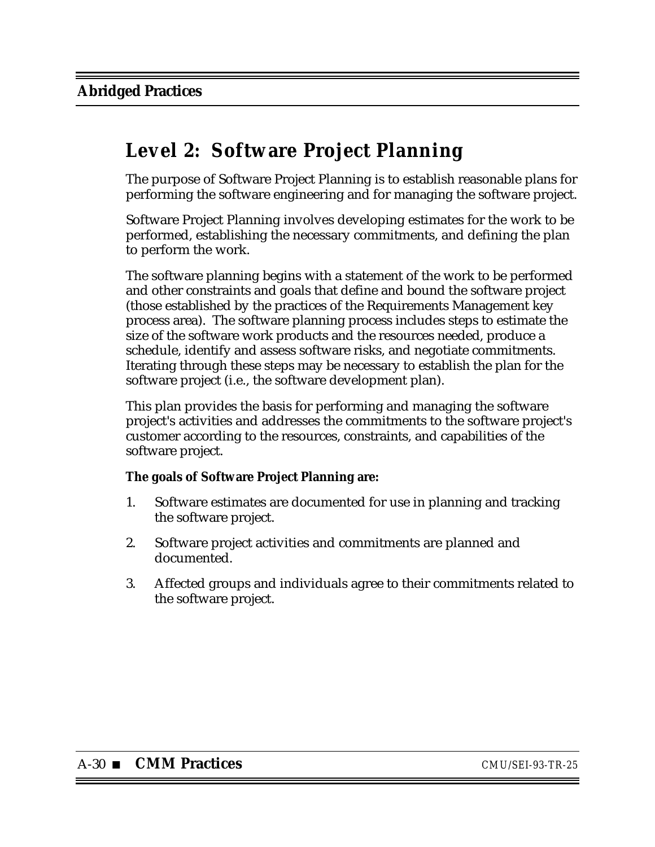# **Level 2: Software Project Planning**

The purpose of Software Project Planning is to establish reasonable plans for performing the software engineering and for managing the software project.

Software Project Planning involves developing estimates for the work to be performed, establishing the necessary commitments, and defining the plan to perform the work.

The software planning begins with a statement of the work to be performed and other constraints and goals that define and bound the software project (those established by the practices of the Requirements Management key process area). The software planning process includes steps to estimate the size of the software work products and the resources needed, produce a schedule, identify and assess software risks, and negotiate commitments. Iterating through these steps may be necessary to establish the plan for the software project (i.e., the software development plan).

This plan provides the basis for performing and managing the software project's activities and addresses the commitments to the software project's customer according to the resources, constraints, and capabilities of the software project.

### **The goals of Software Project Planning are:**

- 1. Software estimates are documented for use in planning and tracking the software project.
- 2. Software project activities and commitments are planned and documented.
- 3. Affected groups and individuals agree to their commitments related to the software project.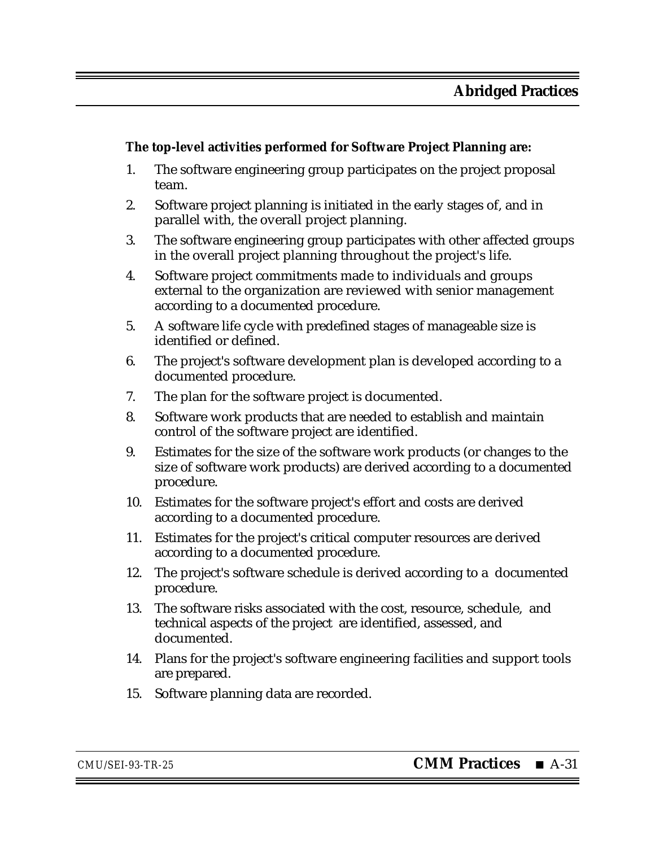#### **The top-level activities performed for Software Project Planning are:**

- 1. The software engineering group participates on the project proposal team.
- 2. Software project planning is initiated in the early stages of, and in parallel with, the overall project planning.
- 3. The software engineering group participates with other affected groups in the overall project planning throughout the project's life.
- 4. Software project commitments made to individuals and groups external to the organization are reviewed with senior management according to a documented procedure.
- 5. A software life cycle with predefined stages of manageable size is identified or defined.
- 6. The project's software development plan is developed according to a documented procedure.
- 7. The plan for the software project is documented.
- 8. Software work products that are needed to establish and maintain control of the software project are identified.
- 9. Estimates for the size of the software work products (or changes to the size of software work products) are derived according to a documented procedure.
- 10. Estimates for the software project's effort and costs are derived according to a documented procedure.
- 11. Estimates for the project's critical computer resources are derived according to a documented procedure.
- 12. The project's software schedule is derived according to a documented procedure.
- 13. The software risks associated with the cost, resource, schedule, and technical aspects of the project are identified, assessed, and documented.
- 14. Plans for the project's software engineering facilities and support tools are prepared.
- 15. Software planning data are recorded.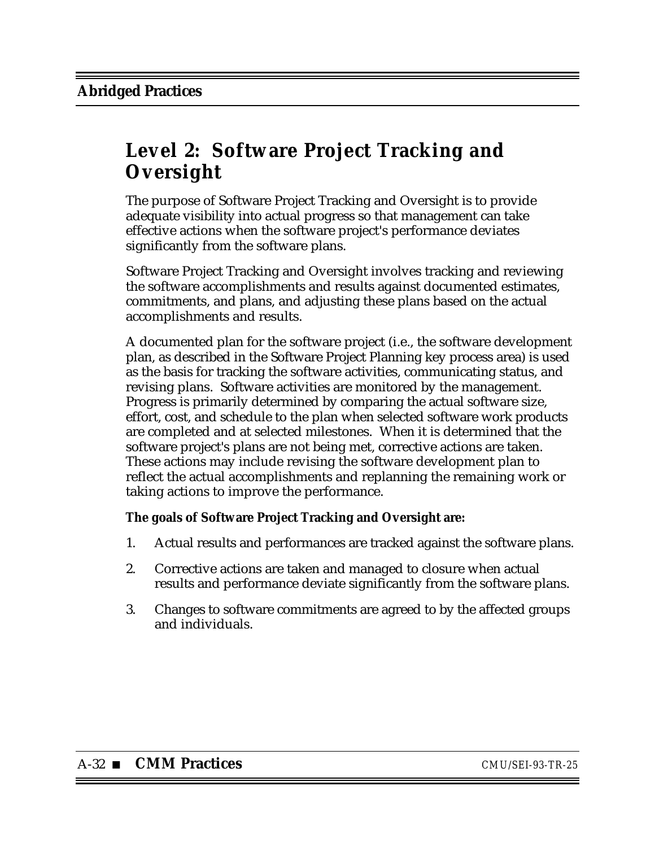# **Level 2: Software Project Tracking and Oversight**

The purpose of Software Project Tracking and Oversight is to provide adequate visibility into actual progress so that management can take effective actions when the software project's performance deviates significantly from the software plans.

Software Project Tracking and Oversight involves tracking and reviewing the software accomplishments and results against documented estimates, commitments, and plans, and adjusting these plans based on the actual accomplishments and results.

A documented plan for the software project (i.e., the software development plan, as described in the Software Project Planning key process area) is used as the basis for tracking the software activities, communicating status, and revising plans. Software activities are monitored by the management. Progress is primarily determined by comparing the actual software size, effort, cost, and schedule to the plan when selected software work products are completed and at selected milestones. When it is determined that the software project's plans are not being met, corrective actions are taken. These actions may include revising the software development plan to reflect the actual accomplishments and replanning the remaining work or taking actions to improve the performance.

### **The goals of Software Project Tracking and Oversight are:**

- 1. Actual results and performances are tracked against the software plans.
- 2. Corrective actions are taken and managed to closure when actual results and performance deviate significantly from the software plans.
- 3. Changes to software commitments are agreed to by the affected groups and individuals.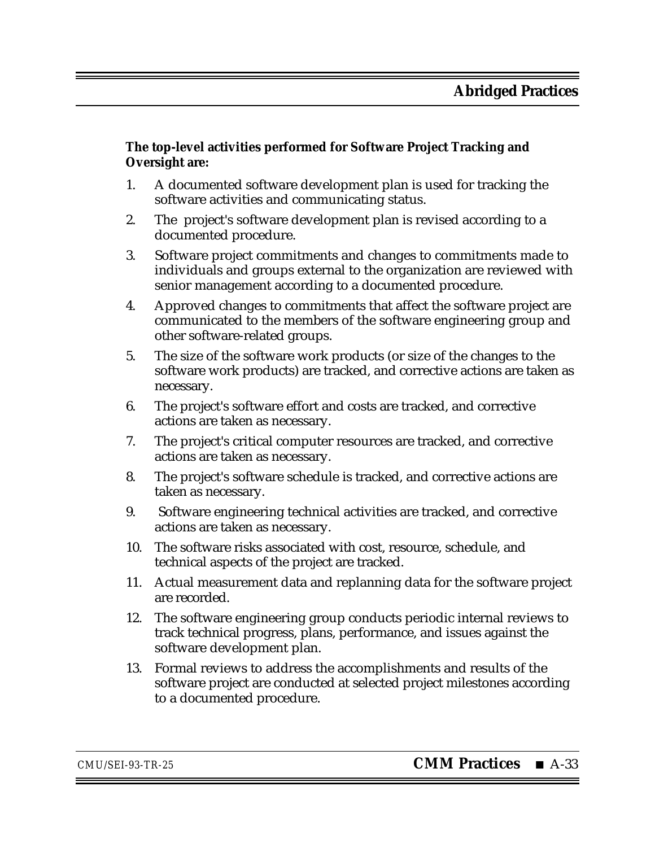#### **The top-level activities performed for Software Project Tracking and Oversight are:**

- 1. A documented software development plan is used for tracking the software activities and communicating status.
- 2. The project's software development plan is revised according to a documented procedure.
- 3. Software project commitments and changes to commitments made to individuals and groups external to the organization are reviewed with senior management according to a documented procedure.
- 4. Approved changes to commitments that affect the software project are communicated to the members of the software engineering group and other software-related groups.
- 5. The size of the software work products (or size of the changes to the software work products) are tracked, and corrective actions are taken as necessary.
- 6. The project's software effort and costs are tracked, and corrective actions are taken as necessary.
- 7. The project's critical computer resources are tracked, and corrective actions are taken as necessary.
- 8. The project's software schedule is tracked, and corrective actions are taken as necessary.
- 9. Software engineering technical activities are tracked, and corrective actions are taken as necessary.
- 10. The software risks associated with cost, resource, schedule, and technical aspects of the project are tracked.
- 11. Actual measurement data and replanning data for the software project are recorded.
- 12. The software engineering group conducts periodic internal reviews to track technical progress, plans, performance, and issues against the software development plan.
- 13. Formal reviews to address the accomplishments and results of the software project are conducted at selected project milestones according to a documented procedure.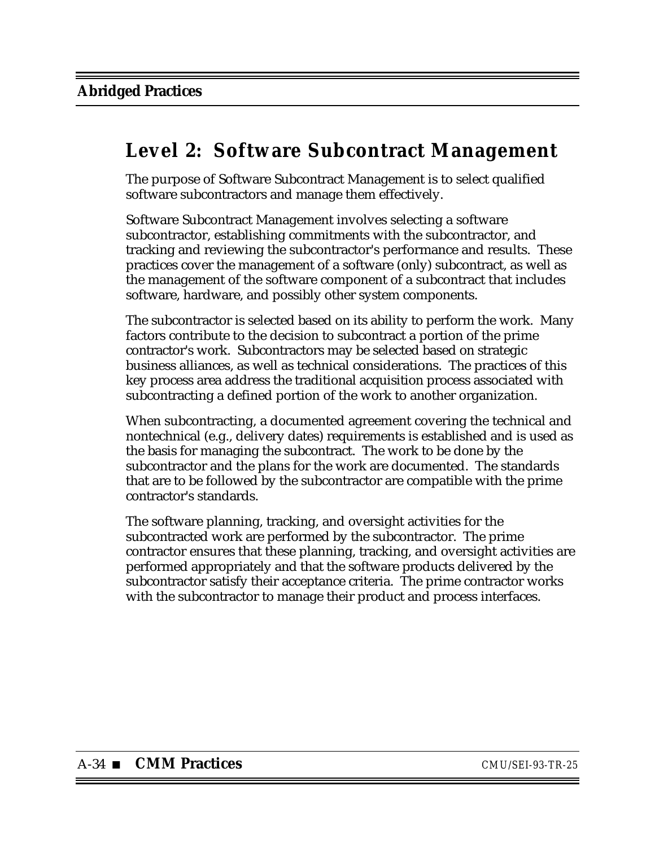# **Level 2: Software Subcontract Management**

The purpose of Software Subcontract Management is to select qualified software subcontractors and manage them effectively.

Software Subcontract Management involves selecting a software subcontractor, establishing commitments with the subcontractor, and tracking and reviewing the subcontractor's performance and results. These practices cover the management of a software (only) subcontract, as well as the management of the software component of a subcontract that includes software, hardware, and possibly other system components.

The subcontractor is selected based on its ability to perform the work. Many factors contribute to the decision to subcontract a portion of the prime contractor's work. Subcontractors may be selected based on strategic business alliances, as well as technical considerations. The practices of this key process area address the traditional acquisition process associated with subcontracting a defined portion of the work to another organization.

When subcontracting, a documented agreement covering the technical and nontechnical (e.g., delivery dates) requirements is established and is used as the basis for managing the subcontract. The work to be done by the subcontractor and the plans for the work are documented. The standards that are to be followed by the subcontractor are compatible with the prime contractor's standards.

The software planning, tracking, and oversight activities for the subcontracted work are performed by the subcontractor. The prime contractor ensures that these planning, tracking, and oversight activities are performed appropriately and that the software products delivered by the subcontractor satisfy their acceptance criteria. The prime contractor works with the subcontractor to manage their product and process interfaces.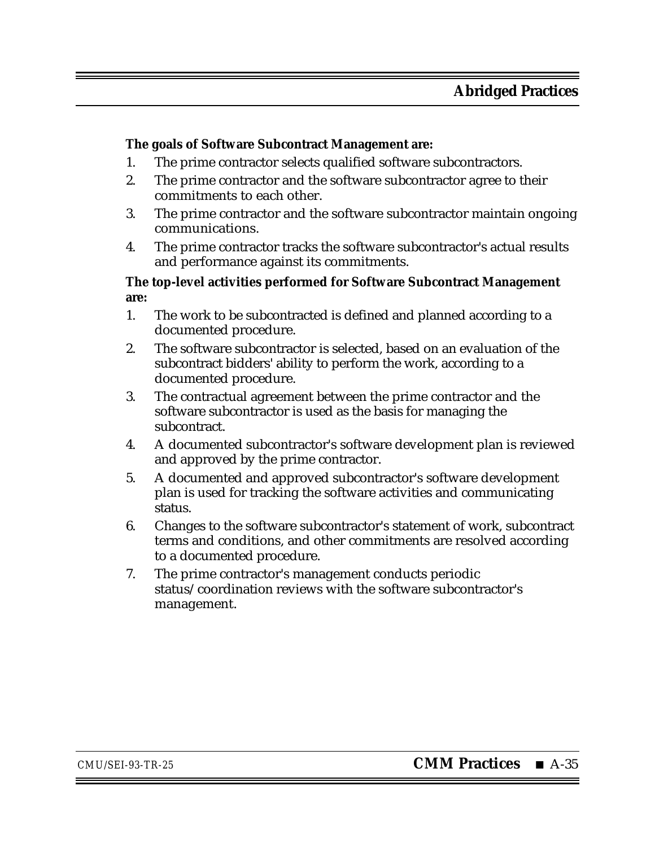#### **The goals of Software Subcontract Management are:**

- 1. The prime contractor selects qualified software subcontractors.
- 2. The prime contractor and the software subcontractor agree to their commitments to each other.
- 3. The prime contractor and the software subcontractor maintain ongoing communications.
- 4. The prime contractor tracks the software subcontractor's actual results and performance against its commitments.

#### **The top-level activities performed for Software Subcontract Management are:**

- 1. The work to be subcontracted is defined and planned according to a documented procedure.
- 2. The software subcontractor is selected, based on an evaluation of the subcontract bidders' ability to perform the work, according to a documented procedure.
- 3. The contractual agreement between the prime contractor and the software subcontractor is used as the basis for managing the subcontract.
- 4. A documented subcontractor's software development plan is reviewed and approved by the prime contractor.
- 5. A documented and approved subcontractor's software development plan is used for tracking the software activities and communicating status.
- 6. Changes to the software subcontractor's statement of work, subcontract terms and conditions, and other commitments are resolved according to a documented procedure.
- 7. The prime contractor's management conducts periodic status/coordination reviews with the software subcontractor's management.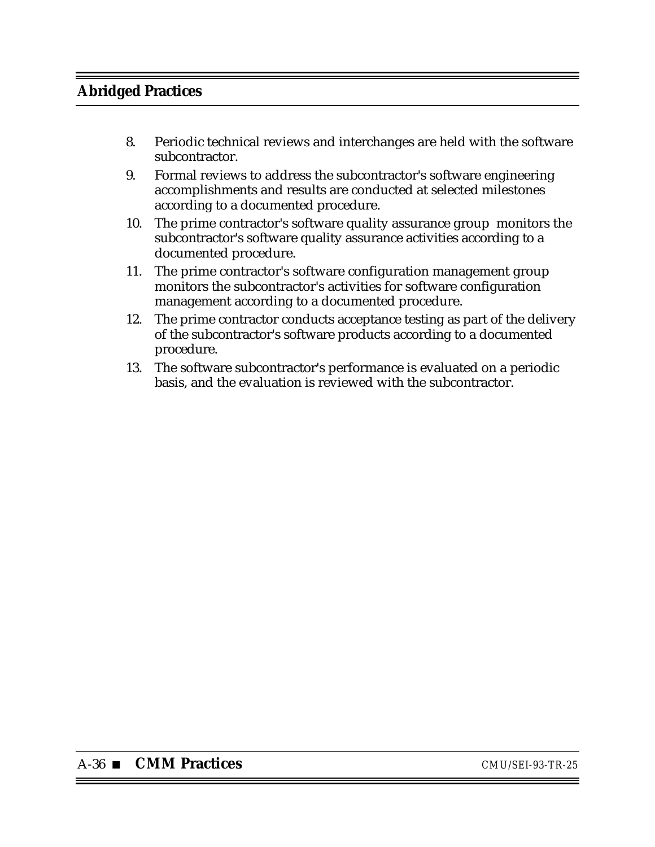# **Abridged Practices**

- 8. Periodic technical reviews and interchanges are held with the software subcontractor.
- 9. Formal reviews to address the subcontractor's software engineering accomplishments and results are conducted at selected milestones according to a documented procedure.
- 10. The prime contractor's software quality assurance group monitors the subcontractor's software quality assurance activities according to a documented procedure.
- 11. The prime contractor's software configuration management group monitors the subcontractor's activities for software configuration management according to a documented procedure.
- 12. The prime contractor conducts acceptance testing as part of the delivery of the subcontractor's software products according to a documented procedure.
- 13. The software subcontractor's performance is evaluated on a periodic basis, and the evaluation is reviewed with the subcontractor.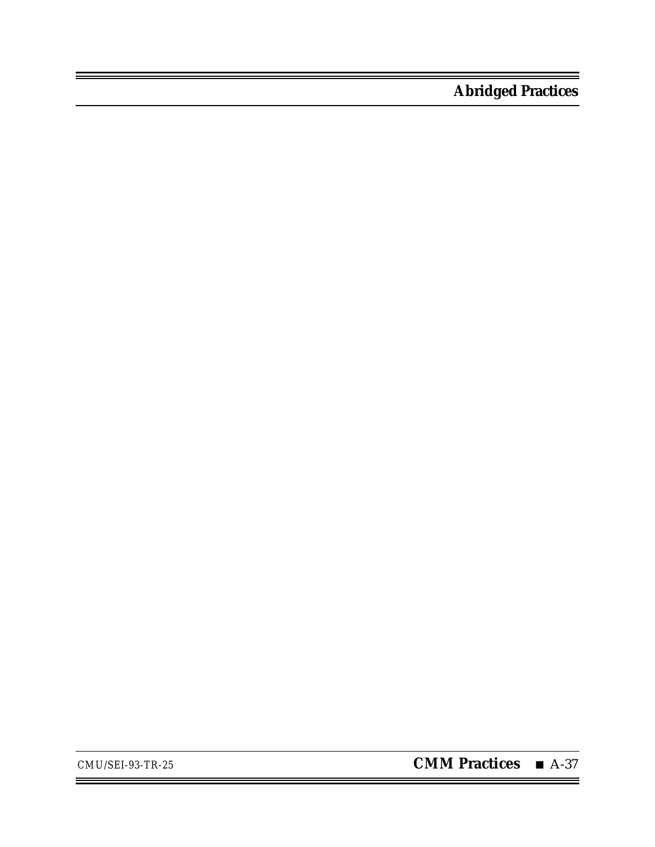**Abridged Practices**

≡

Ξ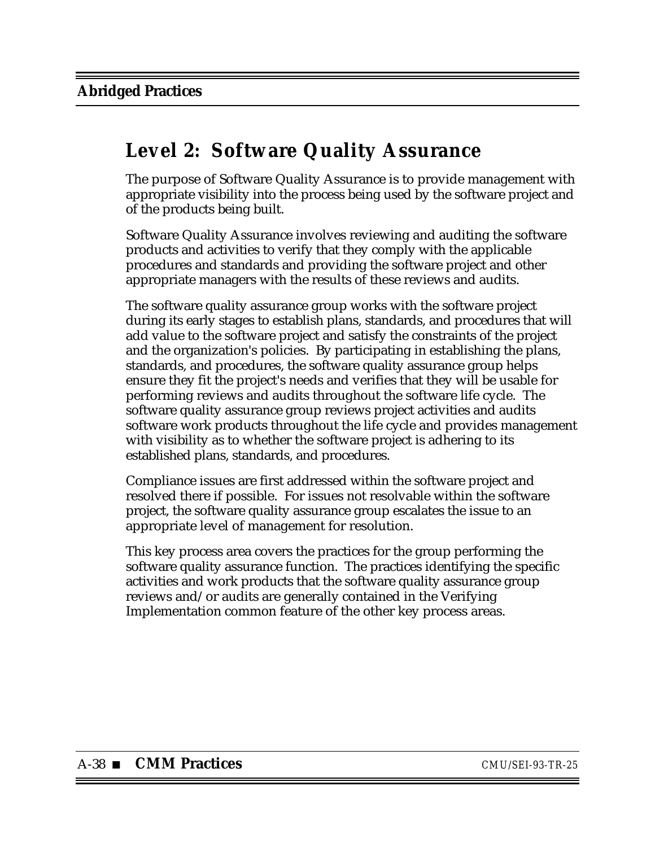# **Level 2: Software Quality Assurance**

The purpose of Software Quality Assurance is to provide management with appropriate visibility into the process being used by the software project and of the products being built.

Software Quality Assurance involves reviewing and auditing the software products and activities to verify that they comply with the applicable procedures and standards and providing the software project and other appropriate managers with the results of these reviews and audits.

The software quality assurance group works with the software project during its early stages to establish plans, standards, and procedures that will add value to the software project and satisfy the constraints of the project and the organization's policies. By participating in establishing the plans, standards, and procedures, the software quality assurance group helps ensure they fit the project's needs and verifies that they will be usable for performing reviews and audits throughout the software life cycle. The software quality assurance group reviews project activities and audits software work products throughout the life cycle and provides management with visibility as to whether the software project is adhering to its established plans, standards, and procedures.

Compliance issues are first addressed within the software project and resolved there if possible. For issues not resolvable within the software project, the software quality assurance group escalates the issue to an appropriate level of management for resolution.

This key process area covers the practices for the group performing the software quality assurance function. The practices identifying the specific activities and work products that the software quality assurance group reviews and/or audits are generally contained in the Verifying Implementation common feature of the other key process areas.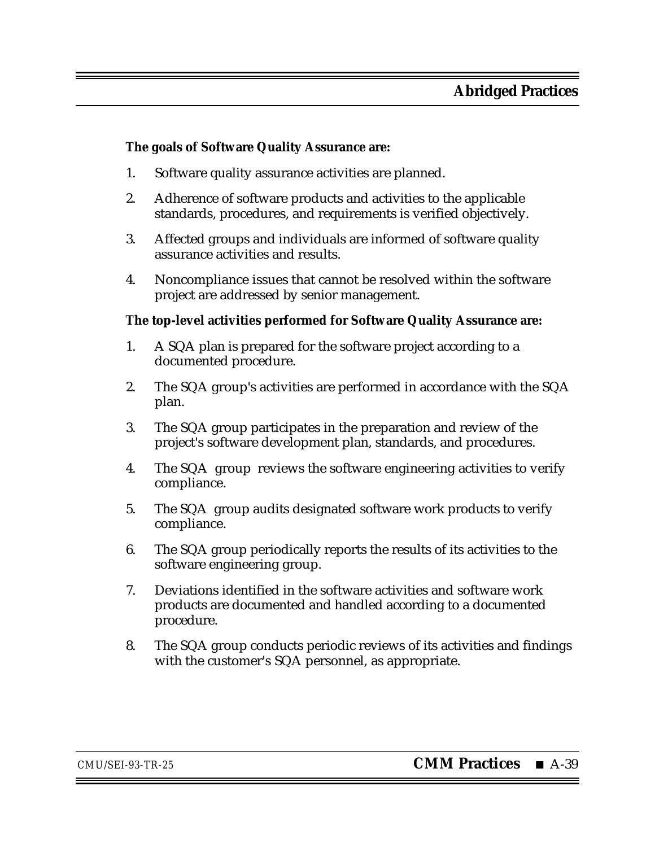#### **The goals of Software Quality Assurance are:**

- 1. Software quality assurance activities are planned.
- 2. Adherence of software products and activities to the applicable standards, procedures, and requirements is verified objectively.
- 3. Affected groups and individuals are informed of software quality assurance activities and results.
- 4. Noncompliance issues that cannot be resolved within the software project are addressed by senior management.

#### **The top-level activities performed for Software Quality Assurance are:**

- 1. A SQA plan is prepared for the software project according to a documented procedure.
- 2. The SQA group's activities are performed in accordance with the SQA plan.
- 3. The SQA group participates in the preparation and review of the project's software development plan, standards, and procedures.
- 4. The SQA group reviews the software engineering activities to verify compliance.
- 5. The SQA group audits designated software work products to verify compliance.
- 6. The SQA group periodically reports the results of its activities to the software engineering group.
- 7. Deviations identified in the software activities and software work products are documented and handled according to a documented procedure.
- 8. The SQA group conducts periodic reviews of its activities and findings with the customer's SQA personnel, as appropriate.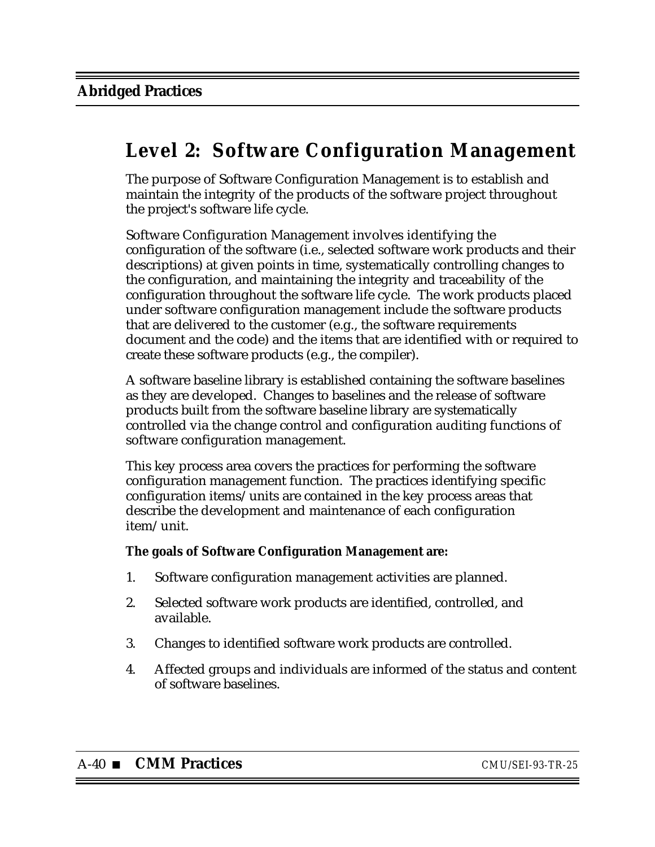# **Level 2: Software Configuration Management**

The purpose of Software Configuration Management is to establish and maintain the integrity of the products of the software project throughout the project's software life cycle.

Software Configuration Management involves identifying the configuration of the software (i.e., selected software work products and their descriptions) at given points in time, systematically controlling changes to the configuration, and maintaining the integrity and traceability of the configuration throughout the software life cycle. The work products placed under software configuration management include the software products that are delivered to the customer (e.g., the software requirements document and the code) and the items that are identified with or required to create these software products (e.g., the compiler).

A software baseline library is established containing the software baselines as they are developed. Changes to baselines and the release of software products built from the software baseline library are systematically controlled via the change control and configuration auditing functions of software configuration management.

This key process area covers the practices for performing the software configuration management function. The practices identifying specific configuration items/units are contained in the key process areas that describe the development and maintenance of each configuration item/unit.

#### **The goals of Software Configuration Management are:**

- 1. Software configuration management activities are planned.
- 2. Selected software work products are identified, controlled, and available.
- 3. Changes to identified software work products are controlled.
- 4. Affected groups and individuals are informed of the status and content of software baselines.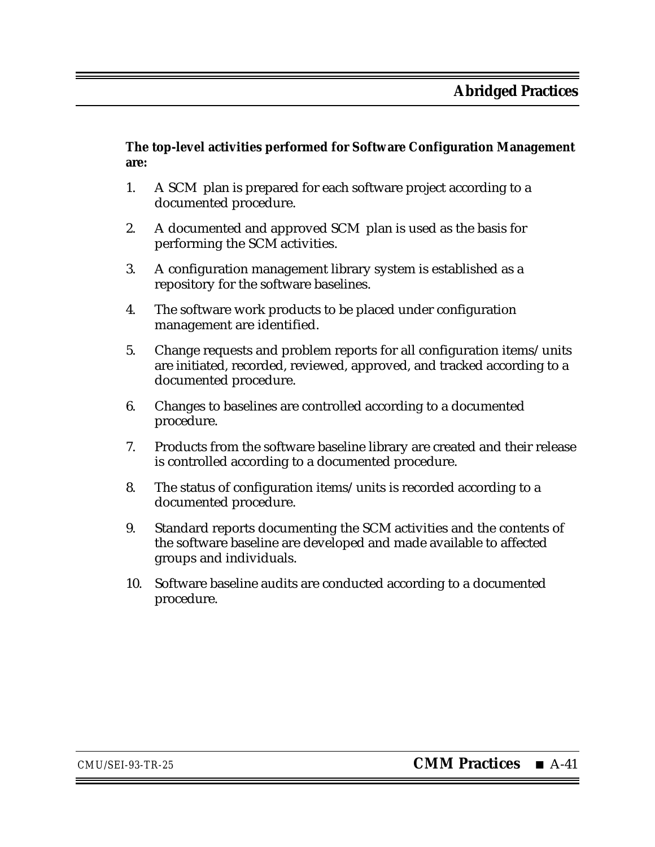**The top-level activities performed for Software Configuration Management are:**

- 1. A SCM plan is prepared for each software project according to a documented procedure.
- 2. A documented and approved SCM plan is used as the basis for performing the SCM activities.
- 3. A configuration management library system is established as a repository for the software baselines.
- 4. The software work products to be placed under configuration management are identified.
- 5. Change requests and problem reports for all configuration items/units are initiated, recorded, reviewed, approved, and tracked according to a documented procedure.
- 6. Changes to baselines are controlled according to a documented procedure.
- 7. Products from the software baseline library are created and their release is controlled according to a documented procedure.
- 8. The status of configuration items/units is recorded according to a documented procedure.
- 9. Standard reports documenting the SCM activities and the contents of the software baseline are developed and made available to affected groups and individuals.
- 10. Software baseline audits are conducted according to a documented procedure.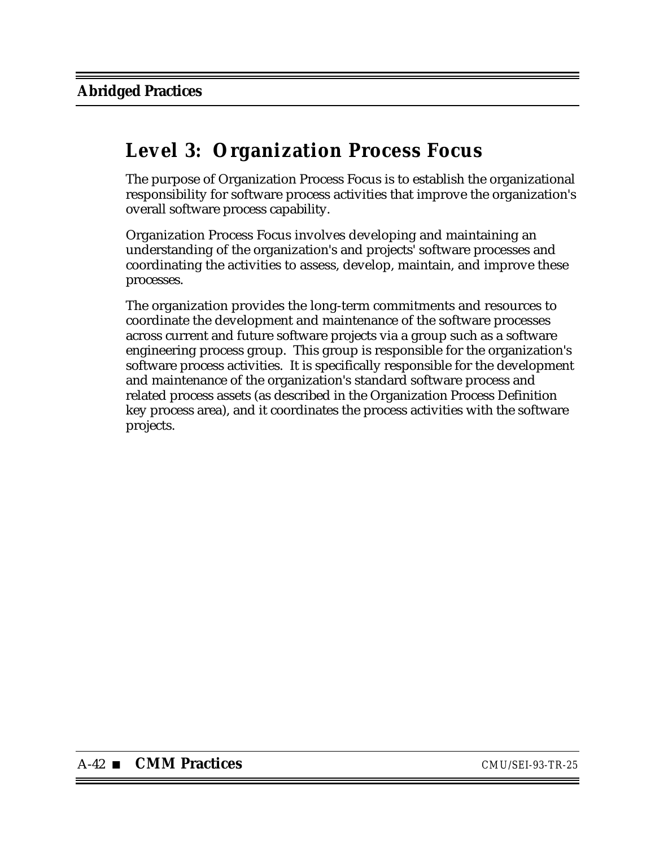# **Level 3: Organization Process Focus**

The purpose of Organization Process Focus is to establish the organizational responsibility for software process activities that improve the organization's overall software process capability.

Organization Process Focus involves developing and maintaining an understanding of the organization's and projects' software processes and coordinating the activities to assess, develop, maintain, and improve these processes.

The organization provides the long-term commitments and resources to coordinate the development and maintenance of the software processes across current and future software projects via a group such as a software engineering process group. This group is responsible for the organization's software process activities. It is specifically responsible for the development and maintenance of the organization's standard software process and related process assets (as described in the Organization Process Definition key process area), and it coordinates the process activities with the software projects.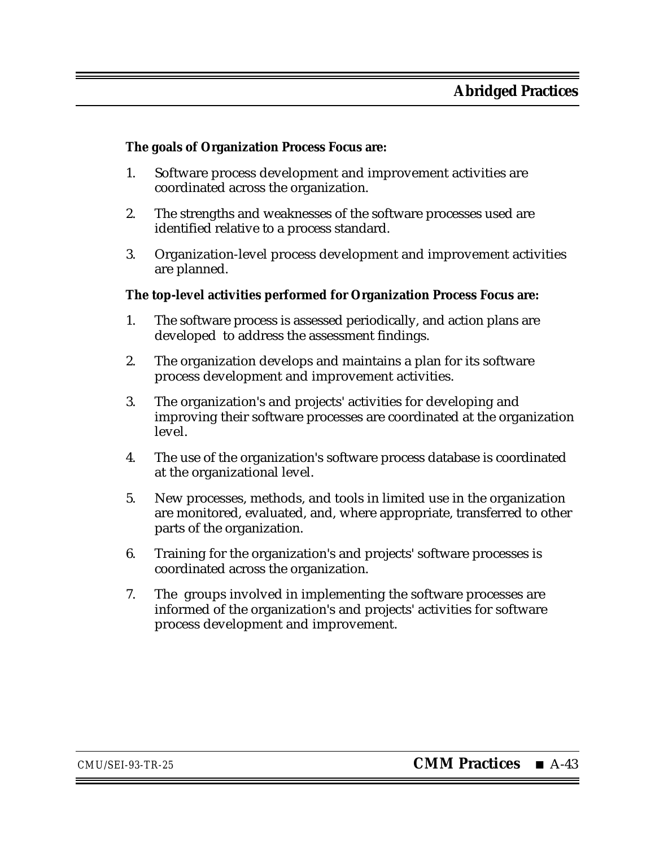#### **The goals of Organization Process Focus are:**

- 1. Software process development and improvement activities are coordinated across the organization.
- 2. The strengths and weaknesses of the software processes used are identified relative to a process standard.
- 3. Organization-level process development and improvement activities are planned.

#### **The top-level activities performed for Organization Process Focus are:**

- 1. The software process is assessed periodically, and action plans are developed to address the assessment findings.
- 2. The organization develops and maintains a plan for its software process development and improvement activities.
- 3. The organization's and projects' activities for developing and improving their software processes are coordinated at the organization level.
- 4. The use of the organization's software process database is coordinated at the organizational level.
- 5. New processes, methods, and tools in limited use in the organization are monitored, evaluated, and, where appropriate, transferred to other parts of the organization.
- 6. Training for the organization's and projects' software processes is coordinated across the organization.
- 7. The groups involved in implementing the software processes are informed of the organization's and projects' activities for software process development and improvement.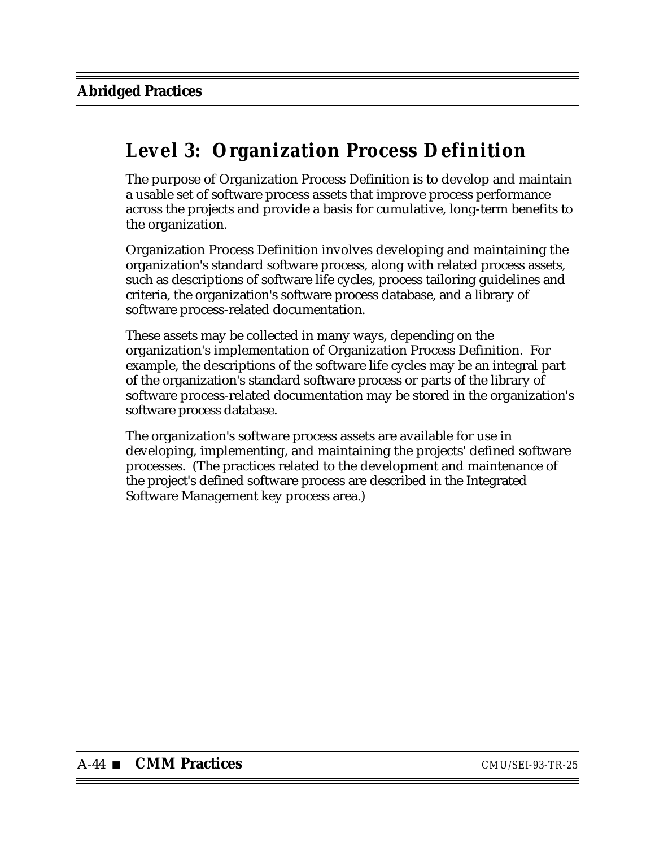# **Level 3: Organization Process Definition**

The purpose of Organization Process Definition is to develop and maintain a usable set of software process assets that improve process performance across the projects and provide a basis for cumulative, long-term benefits to the organization.

Organization Process Definition involves developing and maintaining the organization's standard software process, along with related process assets, such as descriptions of software life cycles, process tailoring guidelines and criteria, the organization's software process database, and a library of software process-related documentation.

These assets may be collected in many ways, depending on the organization's implementation of Organization Process Definition. For example, the descriptions of the software life cycles may be an integral part of the organization's standard software process or parts of the library of software process-related documentation may be stored in the organization's software process database.

The organization's software process assets are available for use in developing, implementing, and maintaining the projects' defined software processes. (The practices related to the development and maintenance of the project's defined software process are described in the Integrated Software Management key process area.)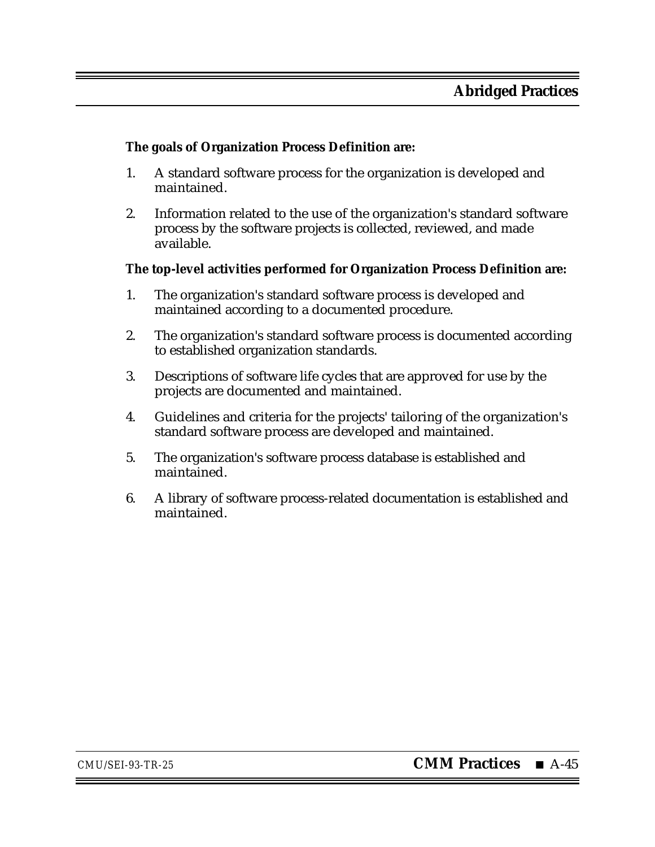#### **The goals of Organization Process Definition are:**

- 1. A standard software process for the organization is developed and maintained.
- 2. Information related to the use of the organization's standard software process by the software projects is collected, reviewed, and made available.

#### **The top-level activities performed for Organization Process Definition are:**

- 1. The organization's standard software process is developed and maintained according to a documented procedure.
- 2. The organization's standard software process is documented according to established organization standards.
- 3. Descriptions of software life cycles that are approved for use by the projects are documented and maintained.
- 4. Guidelines and criteria for the projects' tailoring of the organization's standard software process are developed and maintained.
- 5. The organization's software process database is established and maintained.
- 6. A library of software process-related documentation is established and maintained.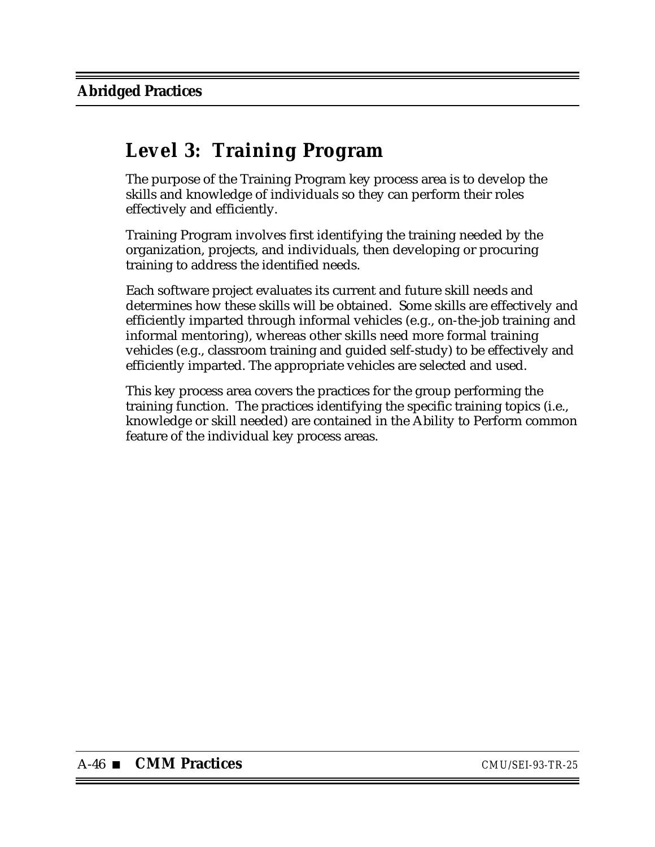# **Level 3: Training Program**

The purpose of the Training Program key process area is to develop the skills and knowledge of individuals so they can perform their roles effectively and efficiently.

Training Program involves first identifying the training needed by the organization, projects, and individuals, then developing or procuring training to address the identified needs.

Each software project evaluates its current and future skill needs and determines how these skills will be obtained. Some skills are effectively and efficiently imparted through informal vehicles (e.g., on-the-job training and informal mentoring), whereas other skills need more formal training vehicles (e.g., classroom training and guided self-study) to be effectively and efficiently imparted. The appropriate vehicles are selected and used.

This key process area covers the practices for the group performing the training function. The practices identifying the specific training topics (i.e., knowledge or skill needed) are contained in the Ability to Perform common feature of the individual key process areas.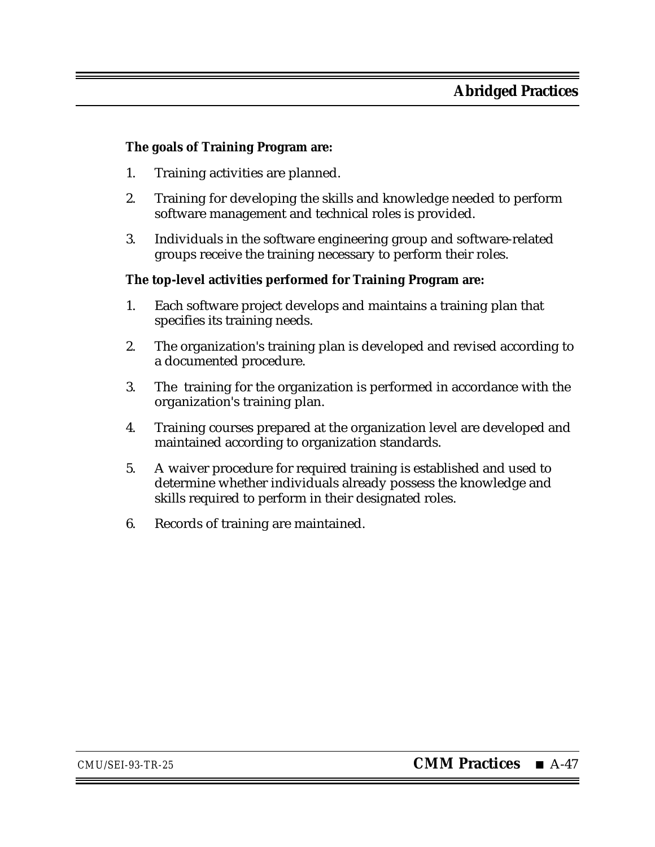#### **The goals of Training Program are:**

- 1. Training activities are planned.
- 2. Training for developing the skills and knowledge needed to perform software management and technical roles is provided.
- 3. Individuals in the software engineering group and software-related groups receive the training necessary to perform their roles.

#### **The top-level activities performed for Training Program are:**

- 1. Each software project develops and maintains a training plan that specifies its training needs.
- 2. The organization's training plan is developed and revised according to a documented procedure.
- 3. The training for the organization is performed in accordance with the organization's training plan.
- 4. Training courses prepared at the organization level are developed and maintained according to organization standards.
- 5. A waiver procedure for required training is established and used to determine whether individuals already possess the knowledge and skills required to perform in their designated roles.
- 6. Records of training are maintained.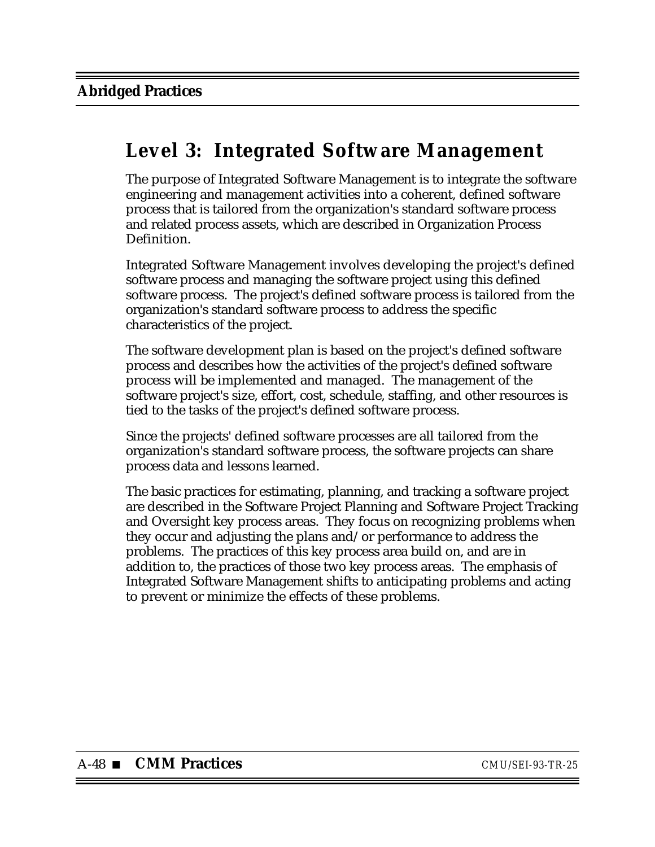# **Level 3: Integrated Software Management**

The purpose of Integrated Software Management is to integrate the software engineering and management activities into a coherent, defined software process that is tailored from the organization's standard software process and related process assets, which are described in Organization Process Definition.

Integrated Software Management involves developing the project's defined software process and managing the software project using this defined software process. The project's defined software process is tailored from the organization's standard software process to address the specific characteristics of the project.

The software development plan is based on the project's defined software process and describes how the activities of the project's defined software process will be implemented and managed. The management of the software project's size, effort, cost, schedule, staffing, and other resources is tied to the tasks of the project's defined software process.

Since the projects' defined software processes are all tailored from the organization's standard software process, the software projects can share process data and lessons learned.

The basic practices for estimating, planning, and tracking a software project are described in the Software Project Planning and Software Project Tracking and Oversight key process areas. They focus on recognizing problems when they occur and adjusting the plans and/or performance to address the problems. The practices of this key process area build on, and are in addition to, the practices of those two key process areas. The emphasis of Integrated Software Management shifts to anticipating problems and acting to prevent or minimize the effects of these problems.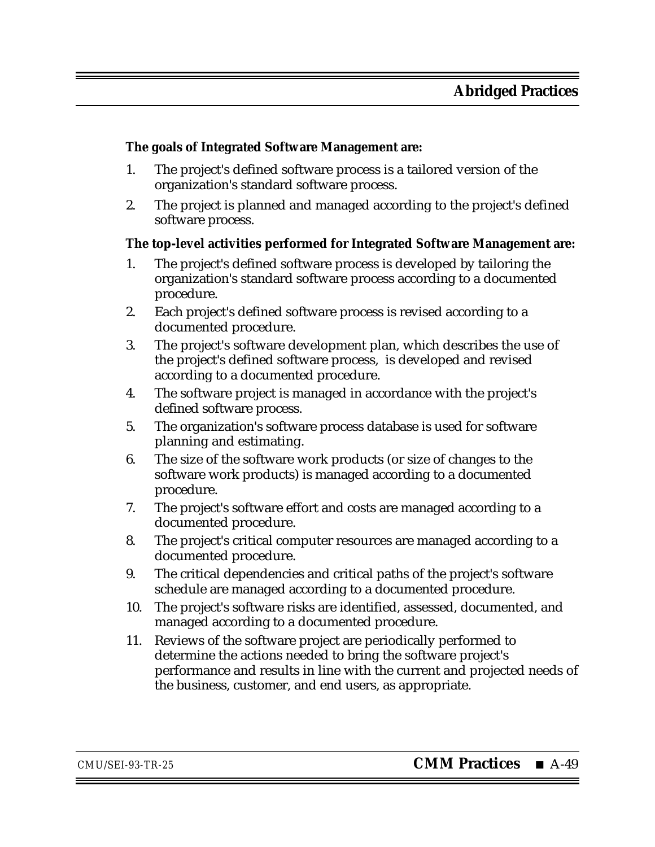#### **The goals of Integrated Software Management are:**

- 1. The project's defined software process is a tailored version of the organization's standard software process.
- 2. The project is planned and managed according to the project's defined software process.

#### **The top-level activities performed for Integrated Software Management are:**

- 1. The project's defined software process is developed by tailoring the organization's standard software process according to a documented procedure.
- 2. Each project's defined software process is revised according to a documented procedure.
- 3. The project's software development plan, which describes the use of the project's defined software process, is developed and revised according to a documented procedure.
- 4. The software project is managed in accordance with the project's defined software process.
- 5. The organization's software process database is used for software planning and estimating.
- 6. The size of the software work products (or size of changes to the software work products) is managed according to a documented procedure.
- 7. The project's software effort and costs are managed according to a documented procedure.
- 8. The project's critical computer resources are managed according to a documented procedure.
- 9. The critical dependencies and critical paths of the project's software schedule are managed according to a documented procedure.
- 10. The project's software risks are identified, assessed, documented, and managed according to a documented procedure.
- 11. Reviews of the software project are periodically performed to determine the actions needed to bring the software project's performance and results in line with the current and projected needs of the business, customer, and end users, as appropriate.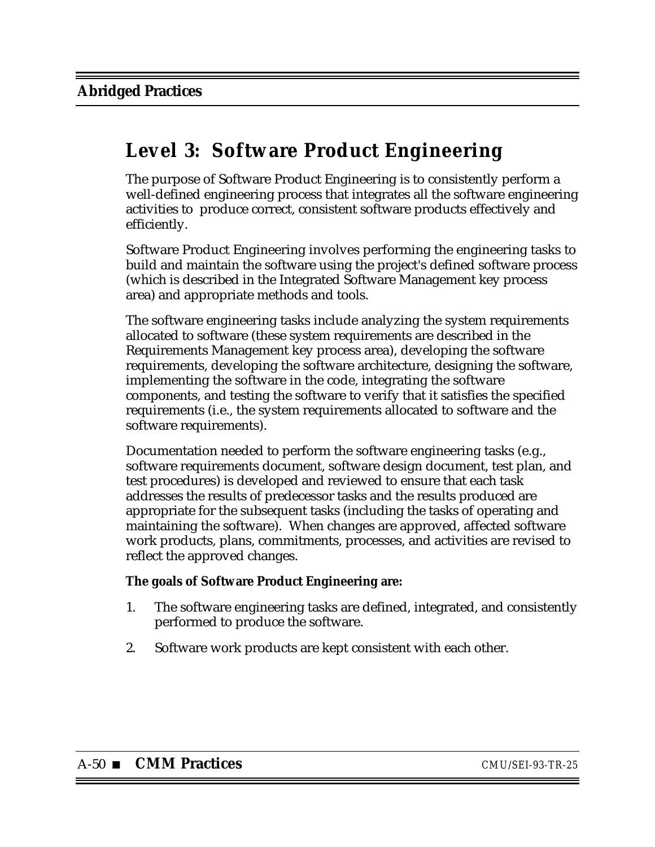# **Level 3: Software Product Engineering**

The purpose of Software Product Engineering is to consistently perform a well-defined engineering process that integrates all the software engineering activities to produce correct, consistent software products effectively and efficiently.

Software Product Engineering involves performing the engineering tasks to build and maintain the software using the project's defined software process (which is described in the Integrated Software Management key process area) and appropriate methods and tools.

The software engineering tasks include analyzing the system requirements allocated to software (these system requirements are described in the Requirements Management key process area), developing the software requirements, developing the software architecture, designing the software, implementing the software in the code, integrating the software components, and testing the software to verify that it satisfies the specified requirements (i.e., the system requirements allocated to software and the software requirements).

Documentation needed to perform the software engineering tasks (e.g., software requirements document, software design document, test plan, and test procedures) is developed and reviewed to ensure that each task addresses the results of predecessor tasks and the results produced are appropriate for the subsequent tasks (including the tasks of operating and maintaining the software). When changes are approved, affected software work products, plans, commitments, processes, and activities are revised to reflect the approved changes.

#### **The goals of Software Product Engineering are:**

- 1. The software engineering tasks are defined, integrated, and consistently performed to produce the software.
- 2. Software work products are kept consistent with each other.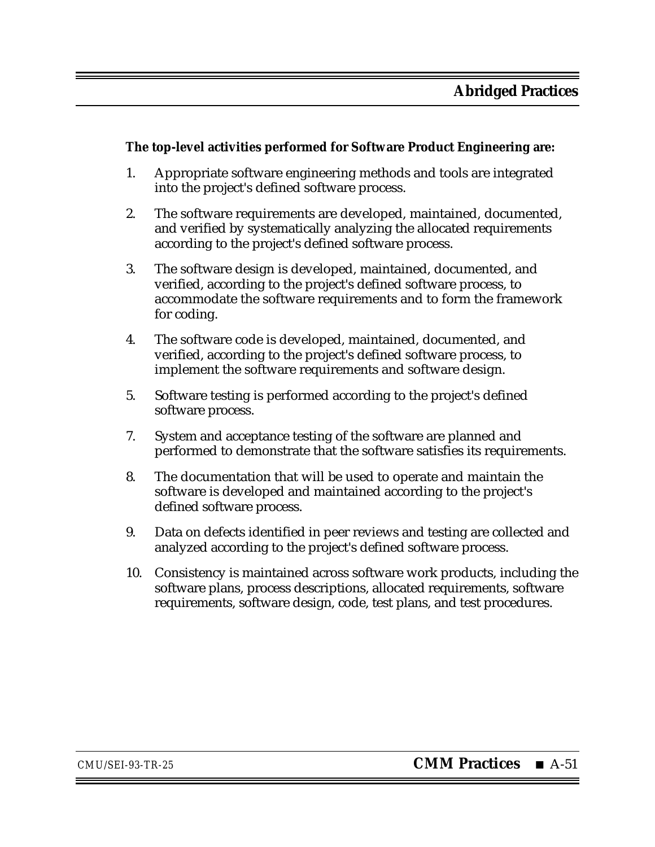#### **The top-level activities performed for Software Product Engineering are:**

- 1. Appropriate software engineering methods and tools are integrated into the project's defined software process.
- 2. The software requirements are developed, maintained, documented, and verified by systematically analyzing the allocated requirements according to the project's defined software process.
- 3. The software design is developed, maintained, documented, and verified, according to the project's defined software process, to accommodate the software requirements and to form the framework for coding.
- 4. The software code is developed, maintained, documented, and verified, according to the project's defined software process, to implement the software requirements and software design.
- 5. Software testing is performed according to the project's defined software process.
- 7. System and acceptance testing of the software are planned and performed to demonstrate that the software satisfies its requirements.
- 8. The documentation that will be used to operate and maintain the software is developed and maintained according to the project's defined software process.
- 9. Data on defects identified in peer reviews and testing are collected and analyzed according to the project's defined software process.
- 10. Consistency is maintained across software work products, including the software plans, process descriptions, allocated requirements, software requirements, software design, code, test plans, and test procedures.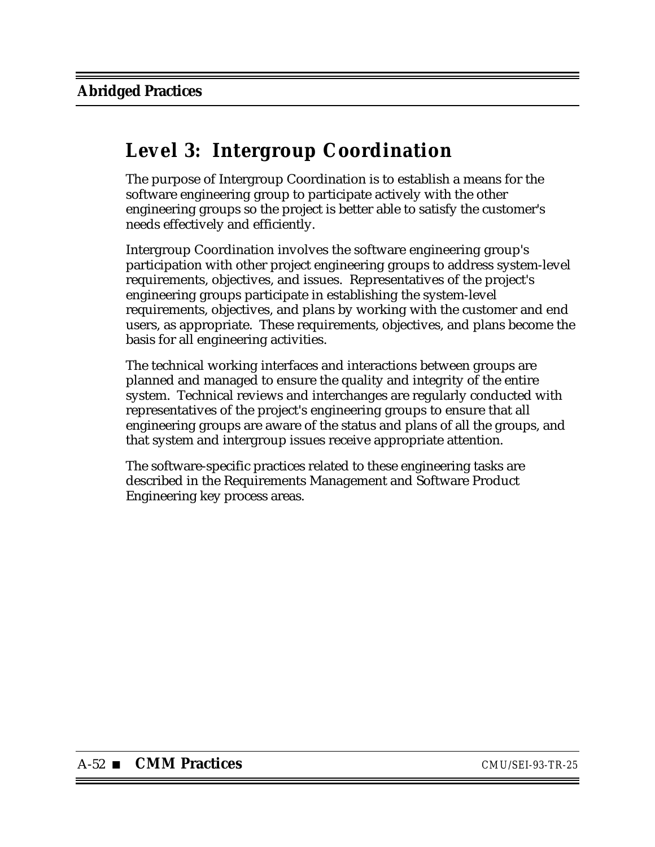# **Level 3: Intergroup Coordination**

The purpose of Intergroup Coordination is to establish a means for the software engineering group to participate actively with the other engineering groups so the project is better able to satisfy the customer's needs effectively and efficiently.

Intergroup Coordination involves the software engineering group's participation with other project engineering groups to address system-level requirements, objectives, and issues. Representatives of the project's engineering groups participate in establishing the system-level requirements, objectives, and plans by working with the customer and end users, as appropriate. These requirements, objectives, and plans become the basis for all engineering activities.

The technical working interfaces and interactions between groups are planned and managed to ensure the quality and integrity of the entire system. Technical reviews and interchanges are regularly conducted with representatives of the project's engineering groups to ensure that all engineering groups are aware of the status and plans of all the groups, and that system and intergroup issues receive appropriate attention.

The software-specific practices related to these engineering tasks are described in the Requirements Management and Software Product Engineering key process areas.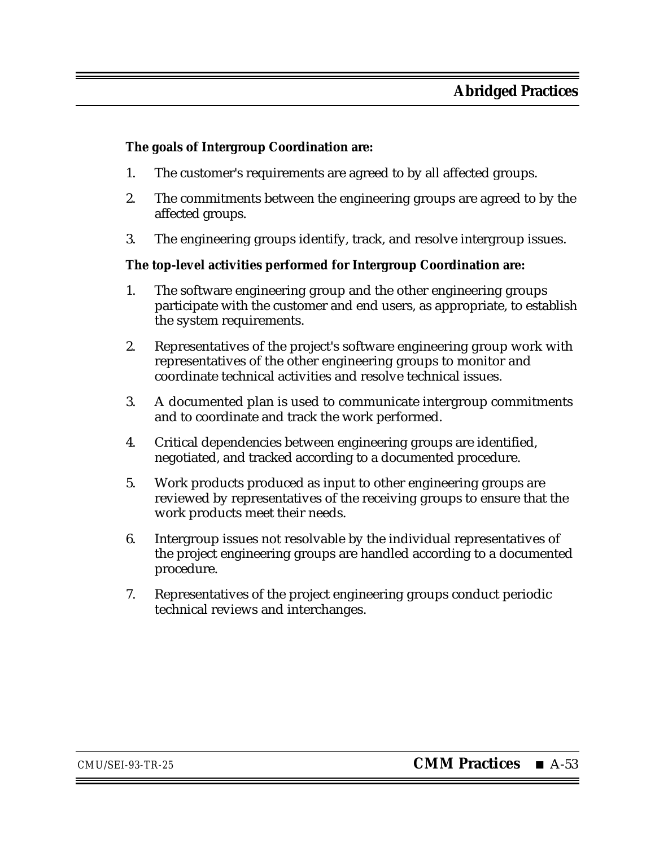#### **The goals of Intergroup Coordination are:**

- 1. The customer's requirements are agreed to by all affected groups.
- 2. The commitments between the engineering groups are agreed to by the affected groups.
- 3. The engineering groups identify, track, and resolve intergroup issues.

#### **The top-level activities performed for Intergroup Coordination are:**

- 1. The software engineering group and the other engineering groups participate with the customer and end users, as appropriate, to establish the system requirements.
- 2. Representatives of the project's software engineering group work with representatives of the other engineering groups to monitor and coordinate technical activities and resolve technical issues.
- 3. A documented plan is used to communicate intergroup commitments and to coordinate and track the work performed.
- 4. Critical dependencies between engineering groups are identified, negotiated, and tracked according to a documented procedure.
- 5. Work products produced as input to other engineering groups are reviewed by representatives of the receiving groups to ensure that the work products meet their needs.
- 6. Intergroup issues not resolvable by the individual representatives of the project engineering groups are handled according to a documented procedure.
- 7. Representatives of the project engineering groups conduct periodic technical reviews and interchanges.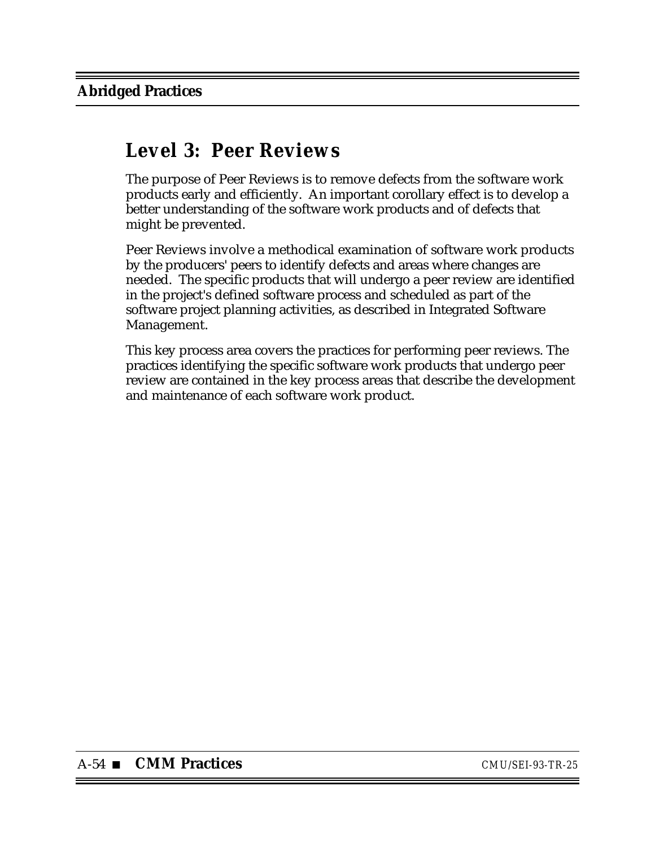# **Level 3: Peer Reviews**

The purpose of Peer Reviews is to remove defects from the software work products early and efficiently. An important corollary effect is to develop a better understanding of the software work products and of defects that might be prevented.

Peer Reviews involve a methodical examination of software work products by the producers' peers to identify defects and areas where changes are needed. The specific products that will undergo a peer review are identified in the project's defined software process and scheduled as part of the software project planning activities, as described in Integrated Software Management.

This key process area covers the practices for performing peer reviews. The practices identifying the specific software work products that undergo peer review are contained in the key process areas that describe the development and maintenance of each software work product.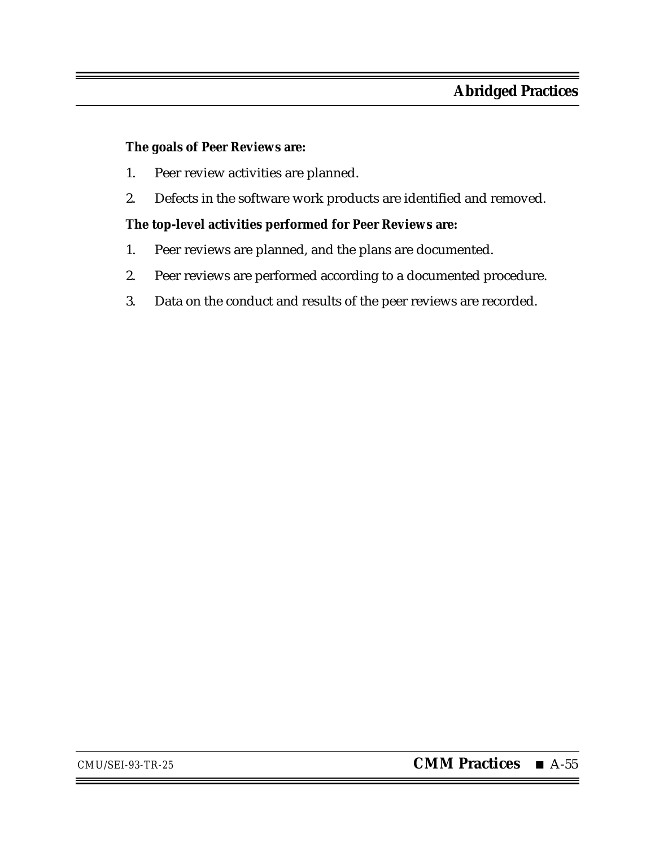#### **The goals of Peer Reviews are:**

- 1. Peer review activities are planned.
- 2. Defects in the software work products are identified and removed.

#### **The top-level activities performed for Peer Reviews are:**

- 1. Peer reviews are planned, and the plans are documented.
- 2. Peer reviews are performed according to a documented procedure.
- 3. Data on the conduct and results of the peer reviews are recorded.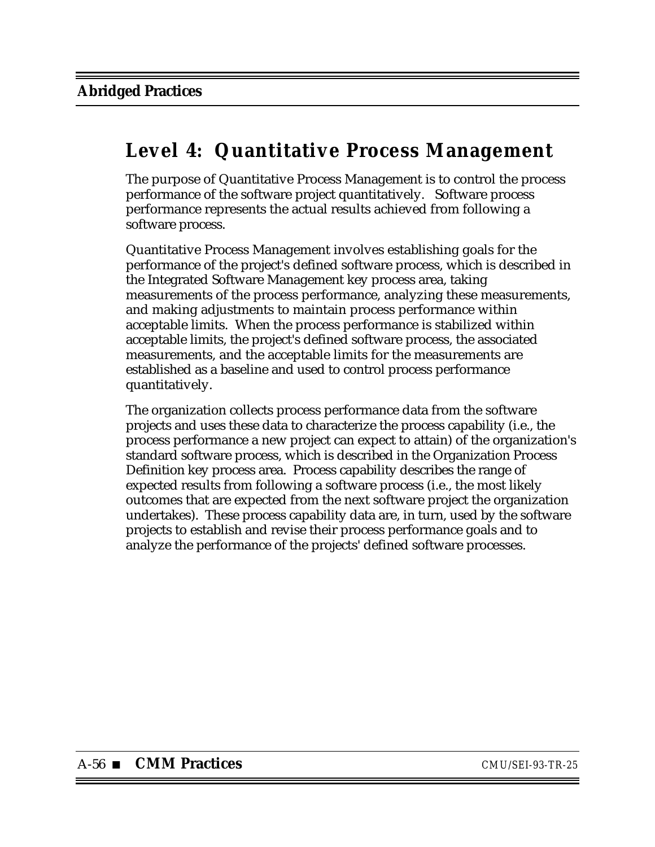# **Level 4: Quantitative Process Management**

The purpose of Quantitative Process Management is to control the process performance of the software project quantitatively. Software process performance represents the actual results achieved from following a software process.

Quantitative Process Management involves establishing goals for the performance of the project's defined software process, which is described in the Integrated Software Management key process area, taking measurements of the process performance, analyzing these measurements, and making adjustments to maintain process performance within acceptable limits. When the process performance is stabilized within acceptable limits, the project's defined software process, the associated measurements, and the acceptable limits for the measurements are established as a baseline and used to control process performance quantitatively.

The organization collects process performance data from the software projects and uses these data to characterize the process capability (i.e., the process performance a new project can expect to attain) of the organization's standard software process, which is described in the Organization Process Definition key process area. Process capability describes the range of expected results from following a software process (i.e., the most likely outcomes that are expected from the next software project the organization undertakes). These process capability data are, in turn, used by the software projects to establish and revise their process performance goals and to analyze the performance of the projects' defined software processes.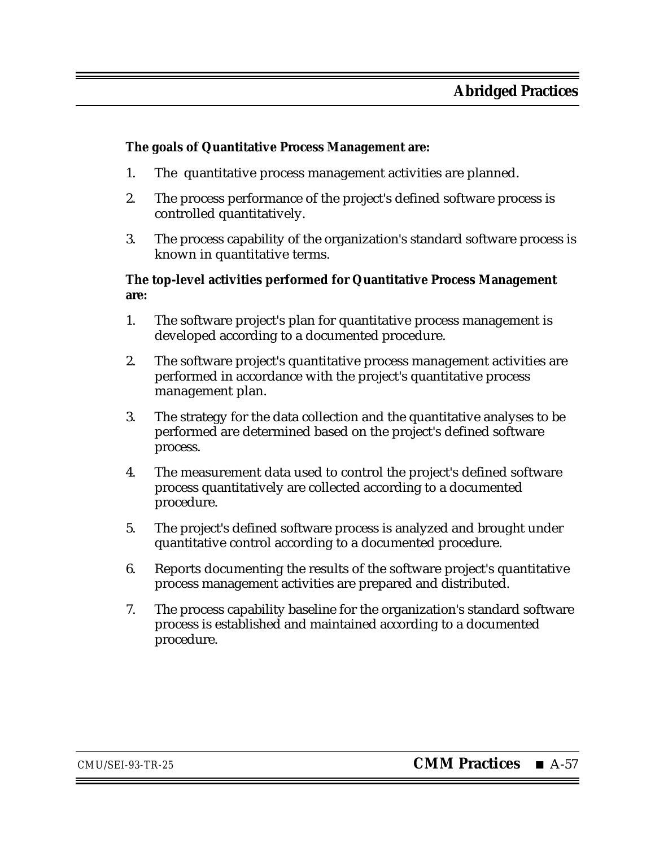#### **The goals of Quantitative Process Management are:**

- 1. The quantitative process management activities are planned.
- 2. The process performance of the project's defined software process is controlled quantitatively.
- 3. The process capability of the organization's standard software process is known in quantitative terms.

#### **The top-level activities performed for Quantitative Process Management are:**

- 1. The software project's plan for quantitative process management is developed according to a documented procedure.
- 2. The software project's quantitative process management activities are performed in accordance with the project's quantitative process management plan.
- 3. The strategy for the data collection and the quantitative analyses to be performed are determined based on the project's defined software process.
- 4. The measurement data used to control the project's defined software process quantitatively are collected according to a documented procedure.
- 5. The project's defined software process is analyzed and brought under quantitative control according to a documented procedure.
- 6. Reports documenting the results of the software project's quantitative process management activities are prepared and distributed.
- 7. The process capability baseline for the organization's standard software process is established and maintained according to a documented procedure.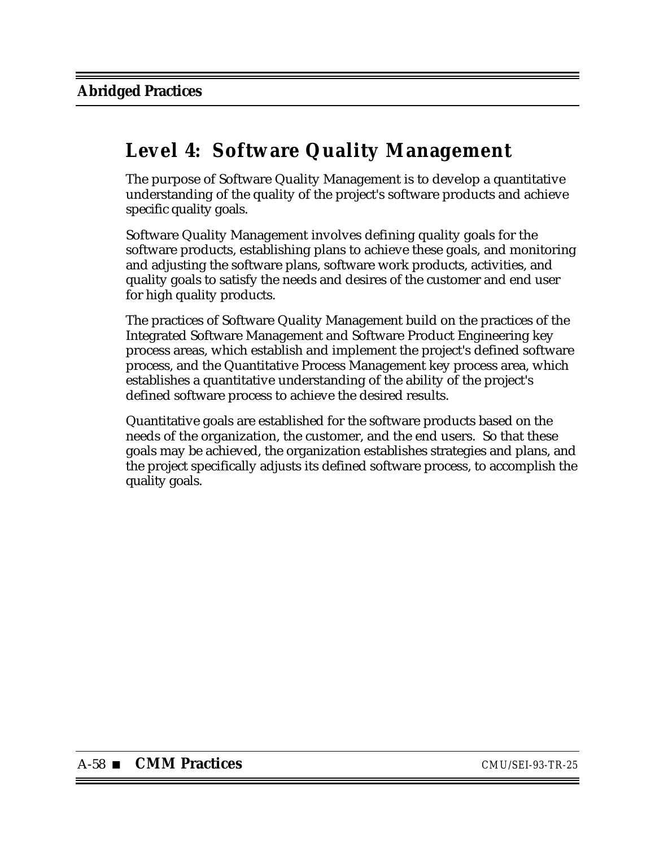# **Level 4: Software Quality Management**

The purpose of Software Quality Management is to develop a quantitative understanding of the quality of the project's software products and achieve specific quality goals.

Software Quality Management involves defining quality goals for the software products, establishing plans to achieve these goals, and monitoring and adjusting the software plans, software work products, activities, and quality goals to satisfy the needs and desires of the customer and end user for high quality products.

The practices of Software Quality Management build on the practices of the Integrated Software Management and Software Product Engineering key process areas, which establish and implement the project's defined software process, and the Quantitative Process Management key process area, which establishes a quantitative understanding of the ability of the project's defined software process to achieve the desired results.

Quantitative goals are established for the software products based on the needs of the organization, the customer, and the end users. So that these goals may be achieved, the organization establishes strategies and plans, and the project specifically adjusts its defined software process, to accomplish the quality goals.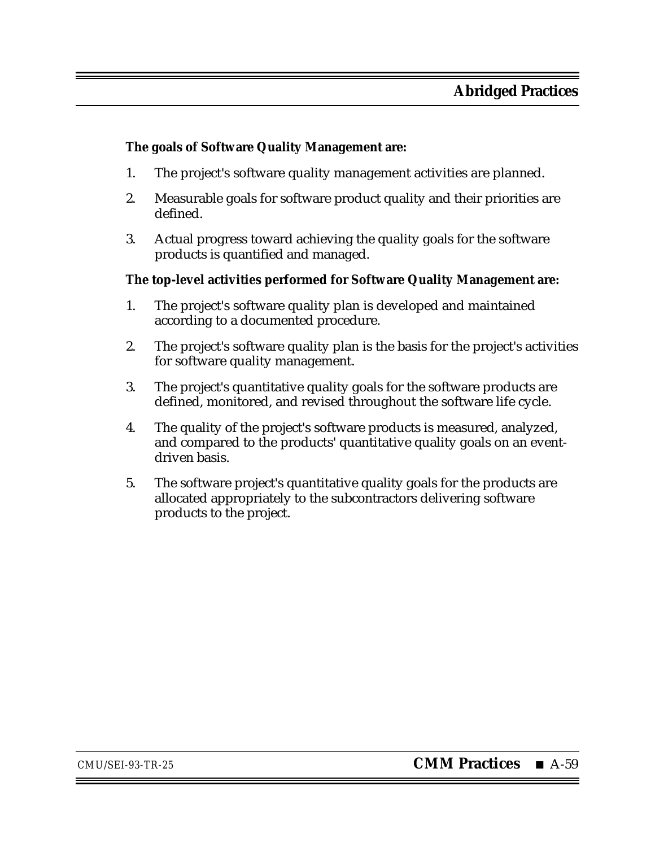#### **The goals of Software Quality Management are:**

- 1. The project's software quality management activities are planned.
- 2. Measurable goals for software product quality and their priorities are defined.
- 3. Actual progress toward achieving the quality goals for the software products is quantified and managed.

#### **The top-level activities performed for Software Quality Management are:**

- 1. The project's software quality plan is developed and maintained according to a documented procedure.
- 2. The project's software quality plan is the basis for the project's activities for software quality management.
- 3. The project's quantitative quality goals for the software products are defined, monitored, and revised throughout the software life cycle.
- 4. The quality of the project's software products is measured, analyzed, and compared to the products' quantitative quality goals on an eventdriven basis.
- 5. The software project's quantitative quality goals for the products are allocated appropriately to the subcontractors delivering software products to the project.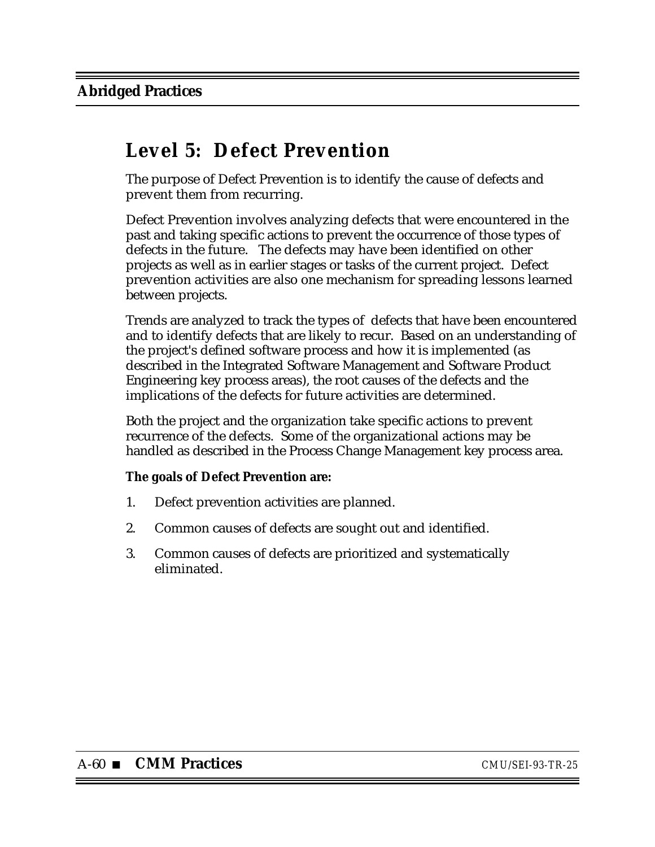# **Level 5: Defect Prevention**

The purpose of Defect Prevention is to identify the cause of defects and prevent them from recurring.

Defect Prevention involves analyzing defects that were encountered in the past and taking specific actions to prevent the occurrence of those types of defects in the future. The defects may have been identified on other projects as well as in earlier stages or tasks of the current project. Defect prevention activities are also one mechanism for spreading lessons learned between projects.

Trends are analyzed to track the types of defects that have been encountered and to identify defects that are likely to recur. Based on an understanding of the project's defined software process and how it is implemented (as described in the Integrated Software Management and Software Product Engineering key process areas), the root causes of the defects and the implications of the defects for future activities are determined.

Both the project and the organization take specific actions to prevent recurrence of the defects. Some of the organizational actions may be handled as described in the Process Change Management key process area.

#### **The goals of Defect Prevention are:**

- 1. Defect prevention activities are planned.
- 2. Common causes of defects are sought out and identified.
- 3. Common causes of defects are prioritized and systematically eliminated.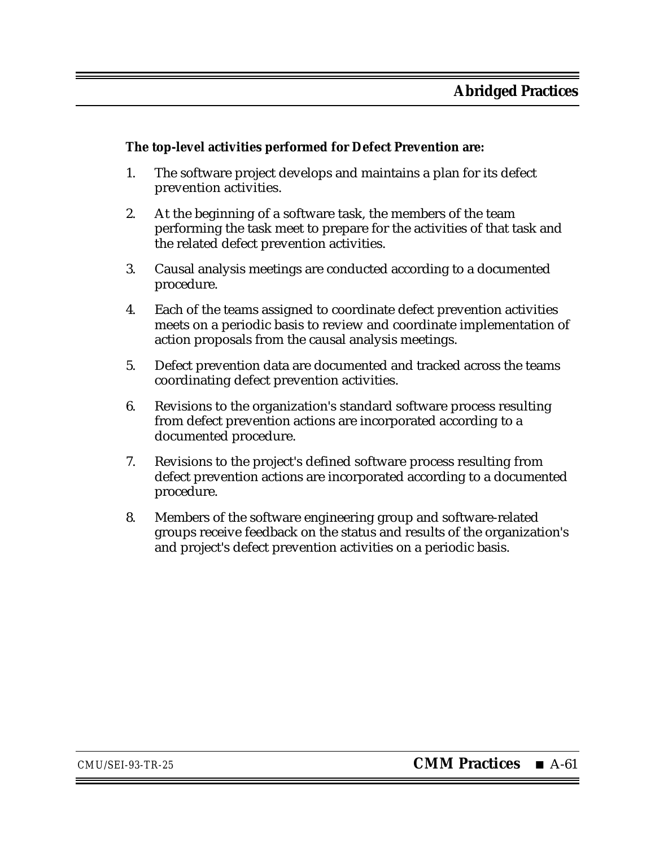#### **The top-level activities performed for Defect Prevention are:**

- 1. The software project develops and maintains a plan for its defect prevention activities.
- 2. At the beginning of a software task, the members of the team performing the task meet to prepare for the activities of that task and the related defect prevention activities.
- 3. Causal analysis meetings are conducted according to a documented procedure.
- 4. Each of the teams assigned to coordinate defect prevention activities meets on a periodic basis to review and coordinate implementation of action proposals from the causal analysis meetings.
- 5. Defect prevention data are documented and tracked across the teams coordinating defect prevention activities.
- 6. Revisions to the organization's standard software process resulting from defect prevention actions are incorporated according to a documented procedure.
- 7. Revisions to the project's defined software process resulting from defect prevention actions are incorporated according to a documented procedure.
- 8. Members of the software engineering group and software-related groups receive feedback on the status and results of the organization's and project's defect prevention activities on a periodic basis.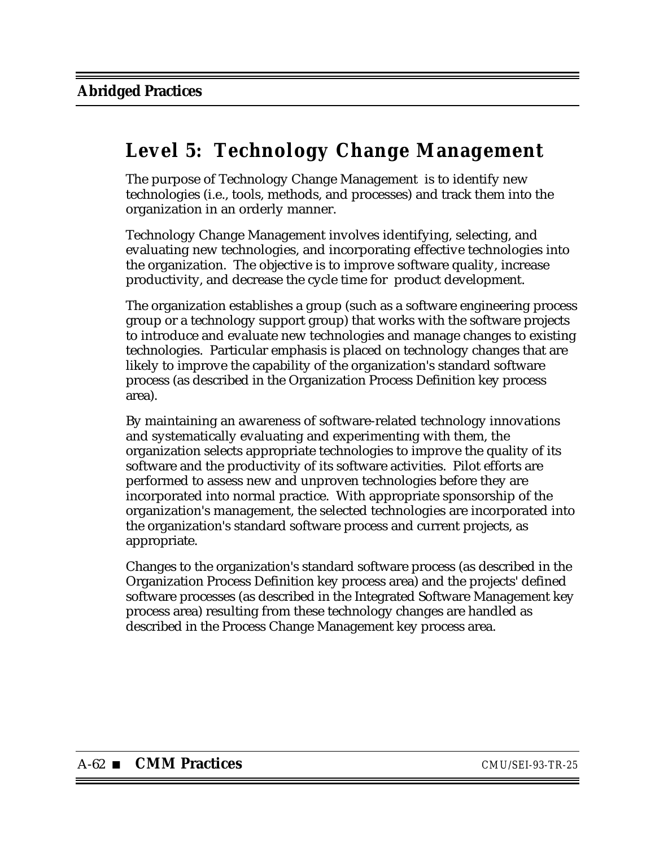# **Level 5: Technology Change Management**

The purpose of Technology Change Management is to identify new technologies (i.e., tools, methods, and processes) and track them into the organization in an orderly manner.

Technology Change Management involves identifying, selecting, and evaluating new technologies, and incorporating effective technologies into the organization. The objective is to improve software quality, increase productivity, and decrease the cycle time for product development.

The organization establishes a group (such as a software engineering process group or a technology support group) that works with the software projects to introduce and evaluate new technologies and manage changes to existing technologies. Particular emphasis is placed on technology changes that are likely to improve the capability of the organization's standard software process (as described in the Organization Process Definition key process area).

By maintaining an awareness of software-related technology innovations and systematically evaluating and experimenting with them, the organization selects appropriate technologies to improve the quality of its software and the productivity of its software activities. Pilot efforts are performed to assess new and unproven technologies before they are incorporated into normal practice. With appropriate sponsorship of the organization's management, the selected technologies are incorporated into the organization's standard software process and current projects, as appropriate.

Changes to the organization's standard software process (as described in the Organization Process Definition key process area) and the projects' defined software processes (as described in the Integrated Software Management key process area) resulting from these technology changes are handled as described in the Process Change Management key process area.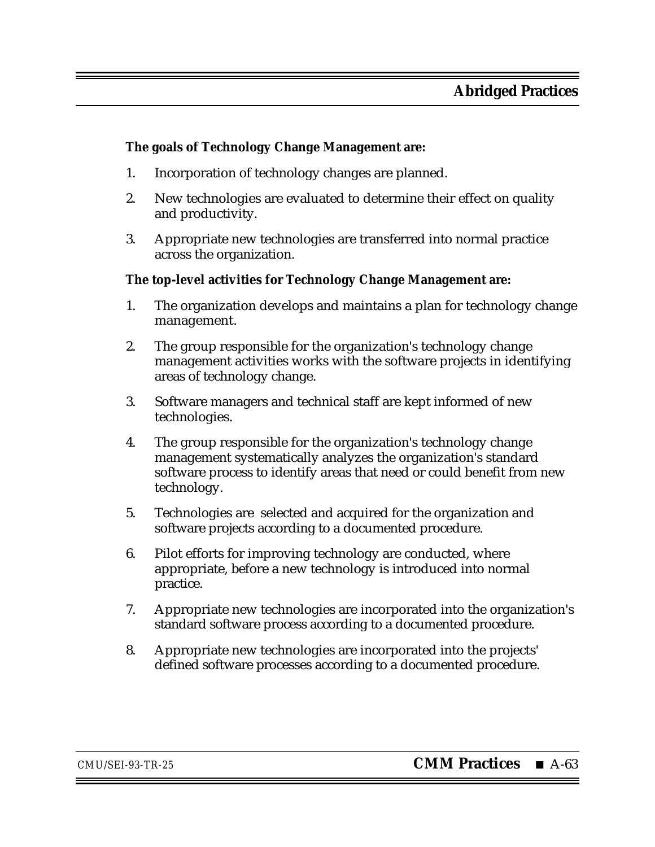#### **The goals of Technology Change Management are:**

- 1. Incorporation of technology changes are planned.
- 2. New technologies are evaluated to determine their effect on quality and productivity.
- 3. Appropriate new technologies are transferred into normal practice across the organization.

#### **The top-level activities for Technology Change Management are:**

- 1. The organization develops and maintains a plan for technology change management.
- 2. The group responsible for the organization's technology change management activities works with the software projects in identifying areas of technology change.
- 3. Software managers and technical staff are kept informed of new technologies.
- 4. The group responsible for the organization's technology change management systematically analyzes the organization's standard software process to identify areas that need or could benefit from new technology.
- 5. Technologies are selected and acquired for the organization and software projects according to a documented procedure.
- 6. Pilot efforts for improving technology are conducted, where appropriate, before a new technology is introduced into normal practice.
- 7. Appropriate new technologies are incorporated into the organization's standard software process according to a documented procedure.
- 8. Appropriate new technologies are incorporated into the projects' defined software processes according to a documented procedure.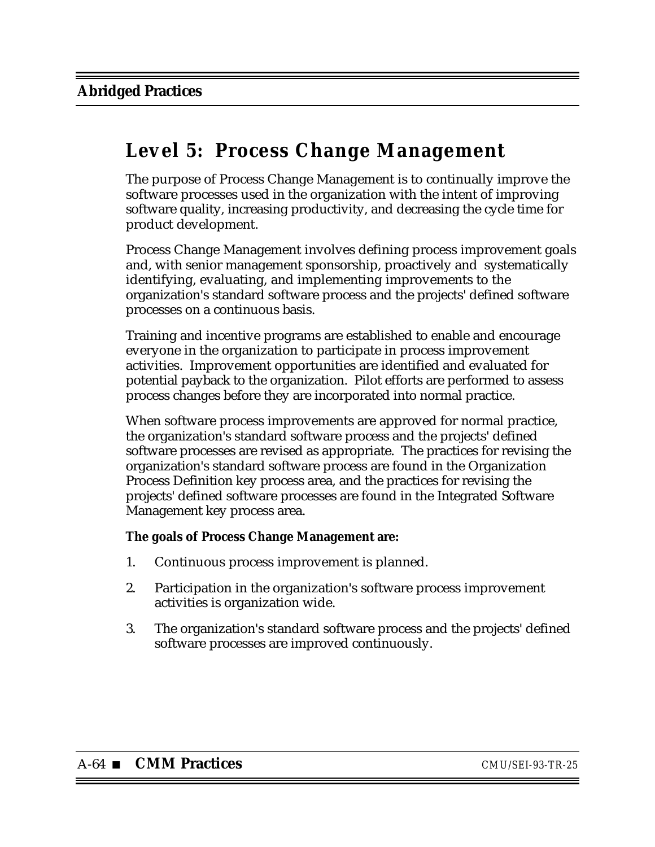# **Level 5: Process Change Management**

The purpose of Process Change Management is to continually improve the software processes used in the organization with the intent of improving software quality, increasing productivity, and decreasing the cycle time for product development.

Process Change Management involves defining process improvement goals and, with senior management sponsorship, proactively and systematically identifying, evaluating, and implementing improvements to the organization's standard software process and the projects' defined software processes on a continuous basis.

Training and incentive programs are established to enable and encourage everyone in the organization to participate in process improvement activities. Improvement opportunities are identified and evaluated for potential payback to the organization. Pilot efforts are performed to assess process changes before they are incorporated into normal practice.

When software process improvements are approved for normal practice, the organization's standard software process and the projects' defined software processes are revised as appropriate. The practices for revising the organization's standard software process are found in the Organization Process Definition key process area, and the practices for revising the projects' defined software processes are found in the Integrated Software Management key process area.

#### **The goals of Process Change Management are:**

- 1. Continuous process improvement is planned.
- 2. Participation in the organization's software process improvement activities is organization wide.
- 3. The organization's standard software process and the projects' defined software processes are improved continuously.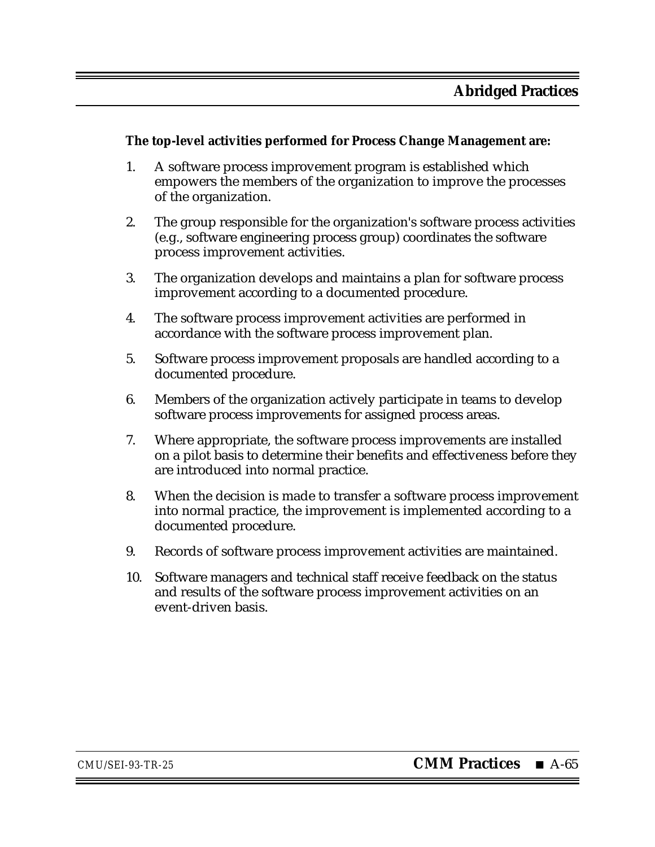#### **The top-level activities performed for Process Change Management are:**

- 1. A software process improvement program is established which empowers the members of the organization to improve the processes of the organization.
- 2. The group responsible for the organization's software process activities (e.g., software engineering process group) coordinates the software process improvement activities.
- 3. The organization develops and maintains a plan for software process improvement according to a documented procedure.
- 4. The software process improvement activities are performed in accordance with the software process improvement plan.
- 5. Software process improvement proposals are handled according to a documented procedure.
- 6. Members of the organization actively participate in teams to develop software process improvements for assigned process areas.
- 7. Where appropriate, the software process improvements are installed on a pilot basis to determine their benefits and effectiveness before they are introduced into normal practice.
- 8. When the decision is made to transfer a software process improvement into normal practice, the improvement is implemented according to a documented procedure.
- 9. Records of software process improvement activities are maintained.
- 10. Software managers and technical staff receive feedback on the status and results of the software process improvement activities on an event-driven basis.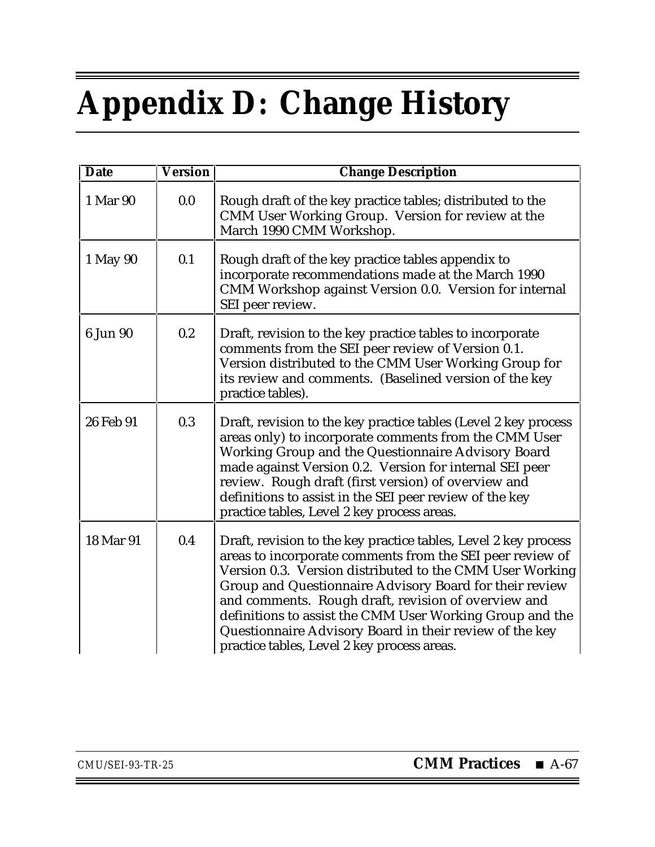# **Appendix D: Change History**

| <b>Date</b> | <b>Version</b> | <b>Change Description</b>                                                                                                                                                                                                                                                                                                                                                                                                                                                        |
|-------------|----------------|----------------------------------------------------------------------------------------------------------------------------------------------------------------------------------------------------------------------------------------------------------------------------------------------------------------------------------------------------------------------------------------------------------------------------------------------------------------------------------|
| 1 Mar 90    | 0.0            | Rough draft of the key practice tables; distributed to the<br>CMM User Working Group. Version for review at the<br>March 1990 CMM Workshop.                                                                                                                                                                                                                                                                                                                                      |
| 1 May 90    | 0.1            | Rough draft of the key practice tables appendix to<br>incorporate recommendations made at the March 1990<br>CMM Workshop against Version 0.0. Version for internal<br>SEI peer review.                                                                                                                                                                                                                                                                                           |
| 6 Jun 90    | 0.2            | Draft, revision to the key practice tables to incorporate<br>comments from the SEI peer review of Version 0.1.<br>Version distributed to the CMM User Working Group for<br>its review and comments. (Baselined version of the key<br>practice tables).                                                                                                                                                                                                                           |
| 26 Feb 91   | 0.3            | Draft, revision to the key practice tables (Level 2 key process<br>areas only) to incorporate comments from the CMM User<br>Working Group and the Questionnaire Advisory Board<br>made against Version 0.2. Version for internal SEI peer<br>review. Rough draft (first version) of overview and<br>definitions to assist in the SEI peer review of the key<br>practice tables, Level 2 key process areas.                                                                       |
| 18 Mar 91   | 0.4            | Draft, revision to the key practice tables, Level 2 key process<br>areas to incorporate comments from the SEI peer review of<br>Version 0.3. Version distributed to the CMM User Working<br>Group and Questionnaire Advisory Board for their review<br>and comments. Rough draft, revision of overview and<br>definitions to assist the CMM User Working Group and the<br>Questionnaire Advisory Board in their review of the key<br>practice tables, Level 2 key process areas. |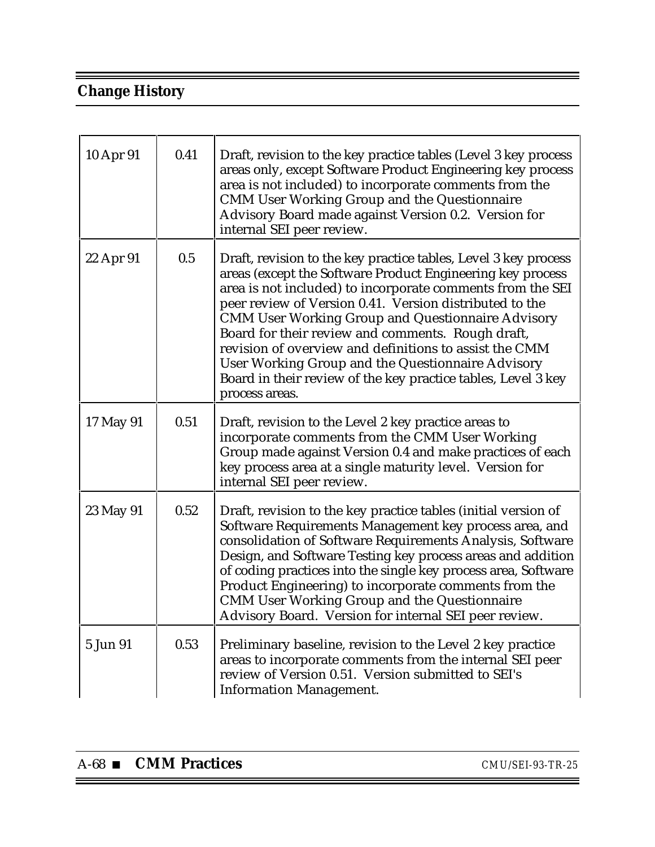# **Change History**

| 10 Apr 91 | 0.41 | Draft, revision to the key practice tables (Level 3 key process<br>areas only, except Software Product Engineering key process<br>area is not included) to incorporate comments from the<br><b>CMM User Working Group and the Questionnaire</b><br>Advisory Board made against Version 0.2. Version for<br>internal SEI peer review.                                                                                                                                                                                                                                      |
|-----------|------|---------------------------------------------------------------------------------------------------------------------------------------------------------------------------------------------------------------------------------------------------------------------------------------------------------------------------------------------------------------------------------------------------------------------------------------------------------------------------------------------------------------------------------------------------------------------------|
| 22 Apr 91 | 0.5  | Draft, revision to the key practice tables, Level 3 key process<br>areas (except the Software Product Engineering key process<br>area is not included) to incorporate comments from the SEI<br>peer review of Version 0.41. Version distributed to the<br><b>CMM User Working Group and Questionnaire Advisory</b><br>Board for their review and comments. Rough draft,<br>revision of overview and definitions to assist the CMM<br>User Working Group and the Questionnaire Advisory<br>Board in their review of the key practice tables, Level 3 key<br>process areas. |
| 17 May 91 | 0.51 | Draft, revision to the Level 2 key practice areas to<br>incorporate comments from the CMM User Working<br>Group made against Version 0.4 and make practices of each<br>key process area at a single maturity level. Version for<br>internal SEI peer review.                                                                                                                                                                                                                                                                                                              |
| 23 May 91 | 0.52 | Draft, revision to the key practice tables (initial version of<br>Software Requirements Management key process area, and<br>consolidation of Software Requirements Analysis, Software<br>Design, and Software Testing key process areas and addition<br>of coding practices into the single key process area, Software<br>Product Engineering) to incorporate comments from the<br><b>CMM User Working Group and the Questionnaire</b><br>Advisory Board. Version for internal SEI peer review.                                                                           |
| 5 Jun 91  | 0.53 | Preliminary baseline, revision to the Level 2 key practice<br>areas to incorporate comments from the internal SEI peer<br>review of Version 0.51. Version submitted to SEI's<br><b>Information Management.</b>                                                                                                                                                                                                                                                                                                                                                            |

Ξ

Ξ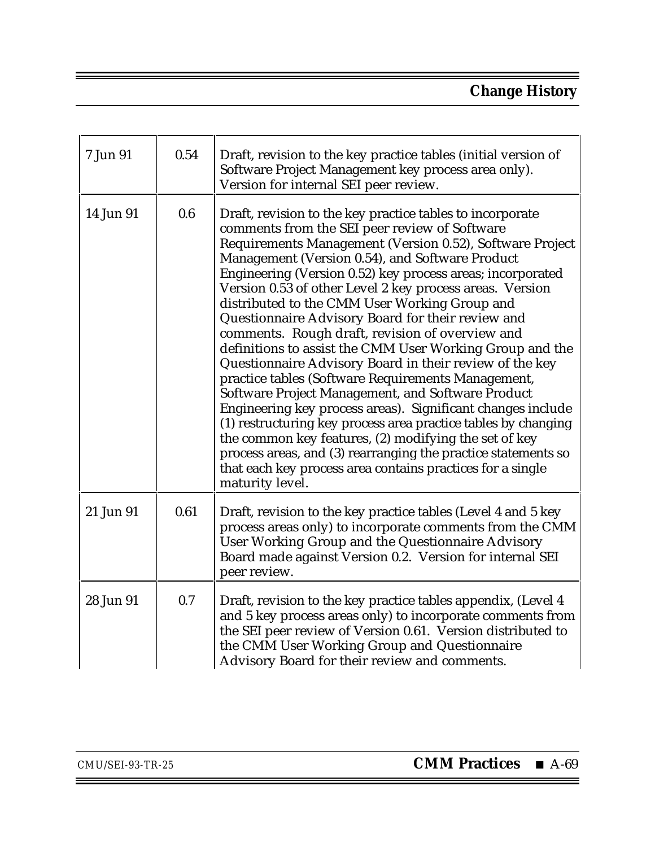| 7 Jun 91  | 0.54 | Draft, revision to the key practice tables (initial version of<br>Software Project Management key process area only).<br>Version for internal SEI peer review.                                                                                                                                                                                                                                                                                                                                                                                                                                                                                                                                                                                                                                                                                                                                                                                                                                                                                                                             |
|-----------|------|--------------------------------------------------------------------------------------------------------------------------------------------------------------------------------------------------------------------------------------------------------------------------------------------------------------------------------------------------------------------------------------------------------------------------------------------------------------------------------------------------------------------------------------------------------------------------------------------------------------------------------------------------------------------------------------------------------------------------------------------------------------------------------------------------------------------------------------------------------------------------------------------------------------------------------------------------------------------------------------------------------------------------------------------------------------------------------------------|
| 14 Jun 91 | 0.6  | Draft, revision to the key practice tables to incorporate<br>comments from the SEI peer review of Software<br>Requirements Management (Version 0.52), Software Project<br>Management (Version 0.54), and Software Product<br>Engineering (Version 0.52) key process areas; incorporated<br>Version 0.53 of other Level 2 key process areas. Version<br>distributed to the CMM User Working Group and<br>Questionnaire Advisory Board for their review and<br>comments. Rough draft, revision of overview and<br>definitions to assist the CMM User Working Group and the<br>Questionnaire Advisory Board in their review of the key<br>practice tables (Software Requirements Management,<br>Software Project Management, and Software Product<br>Engineering key process areas). Significant changes include<br>(1) restructuring key process area practice tables by changing<br>the common key features, (2) modifying the set of key<br>process areas, and (3) rearranging the practice statements so<br>that each key process area contains practices for a single<br>maturity level. |
| 21 Jun 91 | 0.61 | Draft, revision to the key practice tables (Level 4 and 5 key<br>process areas only) to incorporate comments from the CMM<br>User Working Group and the Questionnaire Advisory<br>Board made against Version 0.2. Version for internal SEI<br>peer review.                                                                                                                                                                                                                                                                                                                                                                                                                                                                                                                                                                                                                                                                                                                                                                                                                                 |
| 28 Jun 91 | 0.7  | Draft, revision to the key practice tables appendix, (Level 4<br>and 5 key process areas only) to incorporate comments from<br>the SEI peer review of Version 0.61. Version distributed to<br>the CMM User Working Group and Questionnaire<br>Advisory Board for their review and comments.                                                                                                                                                                                                                                                                                                                                                                                                                                                                                                                                                                                                                                                                                                                                                                                                |

Ξ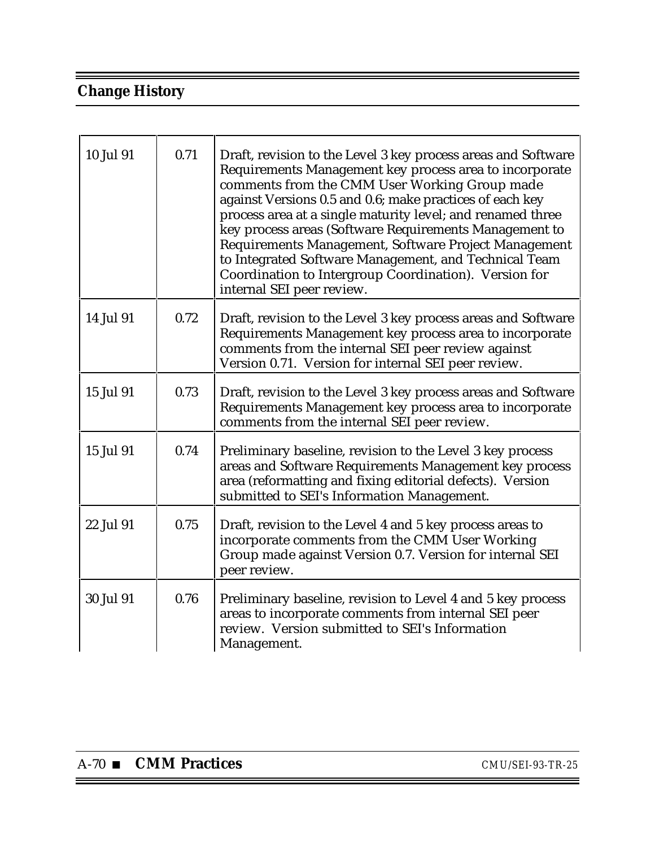# **Change History**

| 10 Jul 91 | 0.71 | Draft, revision to the Level 3 key process areas and Software<br>Requirements Management key process area to incorporate<br>comments from the CMM User Working Group made<br>against Versions 0.5 and 0.6; make practices of each key<br>process area at a single maturity level; and renamed three<br>key process areas (Software Requirements Management to<br>Requirements Management, Software Project Management<br>to Integrated Software Management, and Technical Team<br>Coordination to Intergroup Coordination). Version for<br>internal SEI peer review. |
|-----------|------|----------------------------------------------------------------------------------------------------------------------------------------------------------------------------------------------------------------------------------------------------------------------------------------------------------------------------------------------------------------------------------------------------------------------------------------------------------------------------------------------------------------------------------------------------------------------|
| 14 Jul 91 | 0.72 | Draft, revision to the Level 3 key process areas and Software<br>Requirements Management key process area to incorporate<br>comments from the internal SEI peer review against<br>Version 0.71. Version for internal SEI peer review.                                                                                                                                                                                                                                                                                                                                |
| 15 Jul 91 | 0.73 | Draft, revision to the Level 3 key process areas and Software<br>Requirements Management key process area to incorporate<br>comments from the internal SEI peer review.                                                                                                                                                                                                                                                                                                                                                                                              |
| 15 Jul 91 | 0.74 | Preliminary baseline, revision to the Level 3 key process<br>areas and Software Requirements Management key process<br>area (reformatting and fixing editorial defects). Version<br>submitted to SEI's Information Management.                                                                                                                                                                                                                                                                                                                                       |
| 22 Jul 91 | 0.75 | Draft, revision to the Level 4 and 5 key process areas to<br>incorporate comments from the CMM User Working<br>Group made against Version 0.7. Version for internal SEI<br>peer review.                                                                                                                                                                                                                                                                                                                                                                              |
| 30 Jul 91 | 0.76 | Preliminary baseline, revision to Level 4 and 5 key process<br>areas to incorporate comments from internal SEI peer<br>review. Version submitted to SEI's Information<br>Management.                                                                                                                                                                                                                                                                                                                                                                                 |

Ξ

=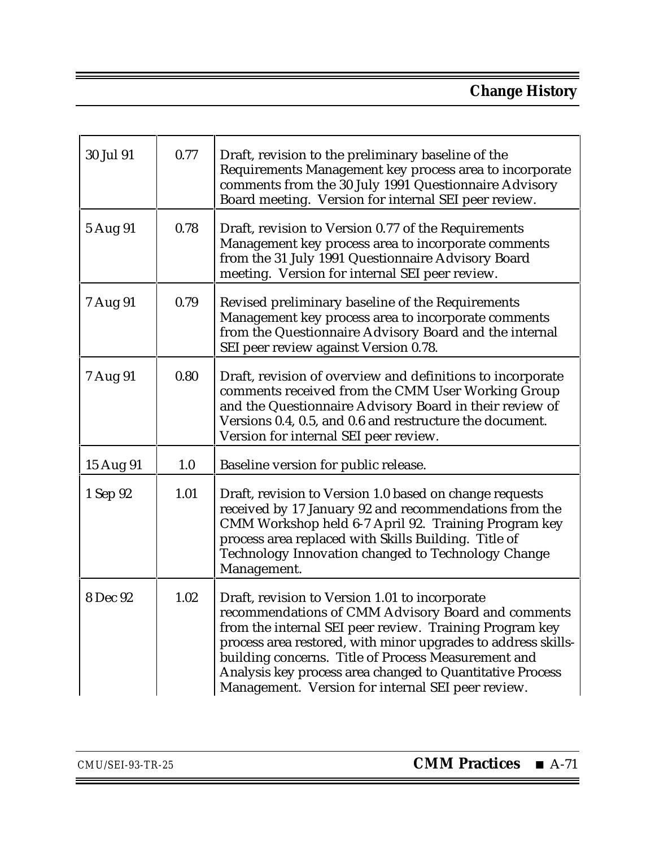| 30 Jul 91 | 0.77 | Draft, revision to the preliminary baseline of the<br>Requirements Management key process area to incorporate<br>comments from the 30 July 1991 Questionnaire Advisory<br>Board meeting. Version for internal SEI peer review.                                                                                                                                                                            |
|-----------|------|-----------------------------------------------------------------------------------------------------------------------------------------------------------------------------------------------------------------------------------------------------------------------------------------------------------------------------------------------------------------------------------------------------------|
| 5 Aug 91  | 0.78 | Draft, revision to Version 0.77 of the Requirements<br>Management key process area to incorporate comments<br>from the 31 July 1991 Questionnaire Advisory Board<br>meeting. Version for internal SEI peer review.                                                                                                                                                                                        |
| 7 Aug 91  | 0.79 | Revised preliminary baseline of the Requirements<br>Management key process area to incorporate comments<br>from the Questionnaire Advisory Board and the internal<br>SEI peer review against Version 0.78.                                                                                                                                                                                                |
| 7 Aug 91  | 0.80 | Draft, revision of overview and definitions to incorporate<br>comments received from the CMM User Working Group<br>and the Questionnaire Advisory Board in their review of<br>Versions 0.4, 0.5, and 0.6 and restructure the document.<br>Version for internal SEI peer review.                                                                                                                           |
| 15 Aug 91 | 1.0  | Baseline version for public release.                                                                                                                                                                                                                                                                                                                                                                      |
| 1 Sep 92  | 1.01 | Draft, revision to Version 1.0 based on change requests<br>received by 17 January 92 and recommendations from the<br>CMM Workshop held 6-7 April 92. Training Program key<br>process area replaced with Skills Building. Title of<br><b>Technology Innovation changed to Technology Change</b><br>Management.                                                                                             |
| 8 Dec 92  | 1.02 | Draft, revision to Version 1.01 to incorporate<br>recommendations of CMM Advisory Board and comments<br>from the internal SEI peer review. Training Program key<br>process area restored, with minor upgrades to address skills-<br>building concerns. Title of Process Measurement and<br>Analysis key process area changed to Quantitative Process<br>Management. Version for internal SEI peer review. |

=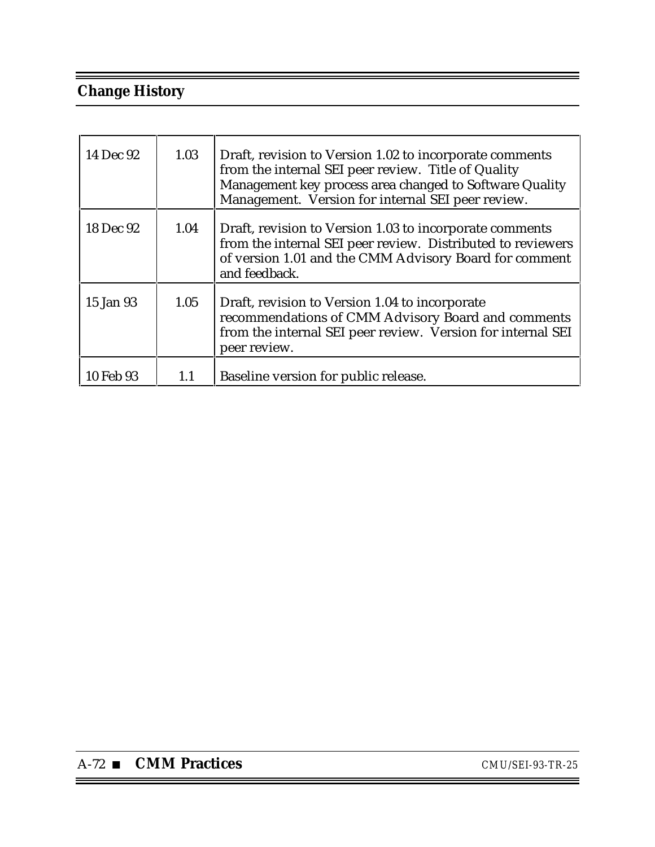# **Change History**

| 14 Dec 92 | 1.03 | Draft, revision to Version 1.02 to incorporate comments<br>from the internal SEI peer review. Title of Quality<br>Management key process area changed to Software Quality<br>Management. Version for internal SEI peer review. |
|-----------|------|--------------------------------------------------------------------------------------------------------------------------------------------------------------------------------------------------------------------------------|
| 18 Dec 92 | 1.04 | Draft, revision to Version 1.03 to incorporate comments<br>from the internal SEI peer review. Distributed to reviewers<br>of version 1.01 and the CMM Advisory Board for comment<br>and feedback.                              |
| 15 Jan 93 | 1.05 | Draft, revision to Version 1.04 to incorporate<br>recommendations of CMM Advisory Board and comments<br>from the internal SEI peer review. Version for internal SEI<br>peer review.                                            |
| 10 Feb 93 | 1.1  | Baseline version for public release.                                                                                                                                                                                           |

Ξ

Ξ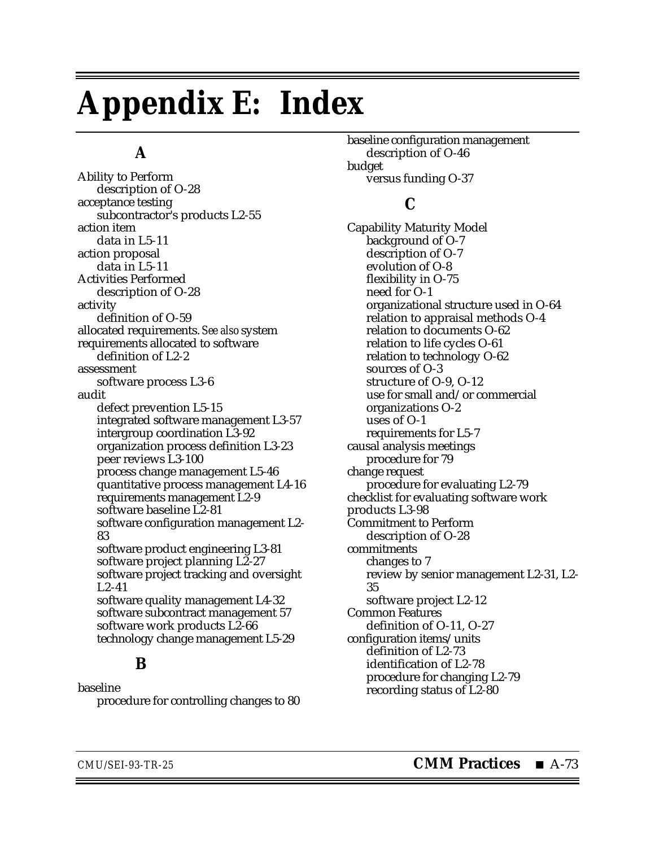# **Appendix E: Index**

# **A**

Ability to Perform and the Contract of the Versus funding O-37 description of O-28 acceptance testing **C** subcontractor's products L2-55 action item Capability Maturity Model<br>data in L5-11 background of O-7 action proposal description of O-7<br>data in L5-11 data evolution of O-8 Activities Performed<br>description of O-28 flexibility in O-75 description of O-28 activity<br>definition of O-59 errors organizational structure used in O-64<br>relation to appraisal methods O-4 allocated requirements. *See also* system requirements allocated to software definition of L2-2 relation to technology O-62 assessment<br>sources of O-3<br>structure of O-9. O-12 software process L3-6 audit use for small and/or commercial defect prevention L5-15 organizations O-2 integrated software management L3-57 uses of O-1 intergroup coordination L3-92 requirements for L5-7<br>organization process definition L3-23 causal analysis meetings organization process definition L3-23 peer reviews L3-100 procedure for 79 process change management L5-46 change request quantitative process management L4-16 procedure for evaluating L2-79 requirements management L2-9 checklist for evaluating software work software baseline L2-81 products L3-98 software configuration management L2- 83 software product engineering L3-81 software project planning L2-27 changes to 7 software project tracking and oversight L2-41 software quality management L4-32 software project L2-12 software subcontract management 57 Common Features<br>software work products L2-66 definition of O-11, O-27 software work products L2-66 technology change management L5-29 configuration items/units

## **B**

procedure for controlling changes to 80

baseline configuration management description of O-46 budget

background of O-7 evolution of O-8 relation to appraisal methods O-4 relation to documents O-62 relation to life cycles O-61 Commitment to Perform description of O-28<br>commitments review by senior management L2-31, L2- 35 definition of L2-73 identification of L2-78 procedure for changing L2-79 baseline **recording status of L2-80**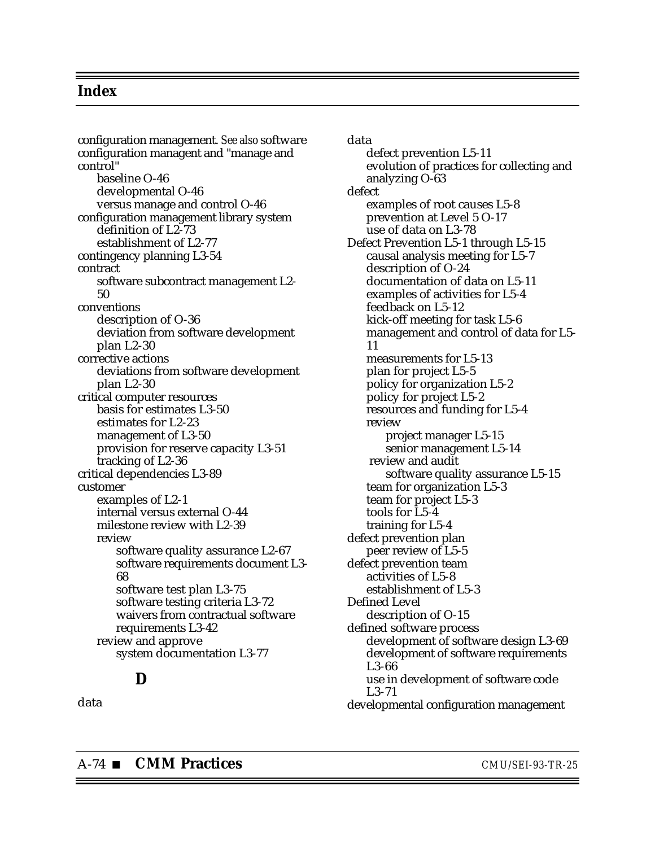configuration management. *See also* software configuration managent and "manage and control" baseline O-46 analyzing O-63 developmental O-46 defect versus manage and control O-46 examples of root causes L5-8 configuration management library system prevention at Level 5 O-17 definition of L2-73 use of data on L3-78 establishment of L2-77 Defect Prevention L5-1 through L5-15 contingency planning L3-54 causal analysis meeting for L5-7 contract description of O-24 software subcontract management L2- 50 conventions feedback on L5-12 description of O-36 kick-off meeting for task L5-6 deviation from software development plan L2-30 corrective actions measurements for L5-13 deviations from software development plan L2-30 critical computer resources policy for project L5-2 basis for estimates L3-50 resources and funding for L5-4 estimates for L2-23 review management of L3-50 project manager L5-15 provision for reserve capacity L3-51 senior management L5-14 tracking of L2-36 review and audit critical dependencies L3-89 software quality assurance L5-15 customer team for organization L5-3 examples of L2-1 team for project L5-3 internal versus external O-44 tools for L5-4 milestone review with L2-39 training for L5-4 review defect prevention plan software quality assurance  $L2-67$  peer review of  $L5-5$ software requirements document L3- 68 software test plan L3-75 establishment of L5-3 software testing criteria L3-72 Defined Level waivers from contractual software requirements L3-42

data defect prevention L5-11 evolution of practices for collecting and documentation of data on L5-11 examples of activities for L5-4 management and control of data for L5- 11 plan for project L5-5 policy for organization L5-2 defect prevention team activities of L5-8 description of O-15 defined software process review and approve development of software design L3-69 system documentation L3-77 development of software requirements L3-66 **D** use in development of software code L3-71 data developmental configuration management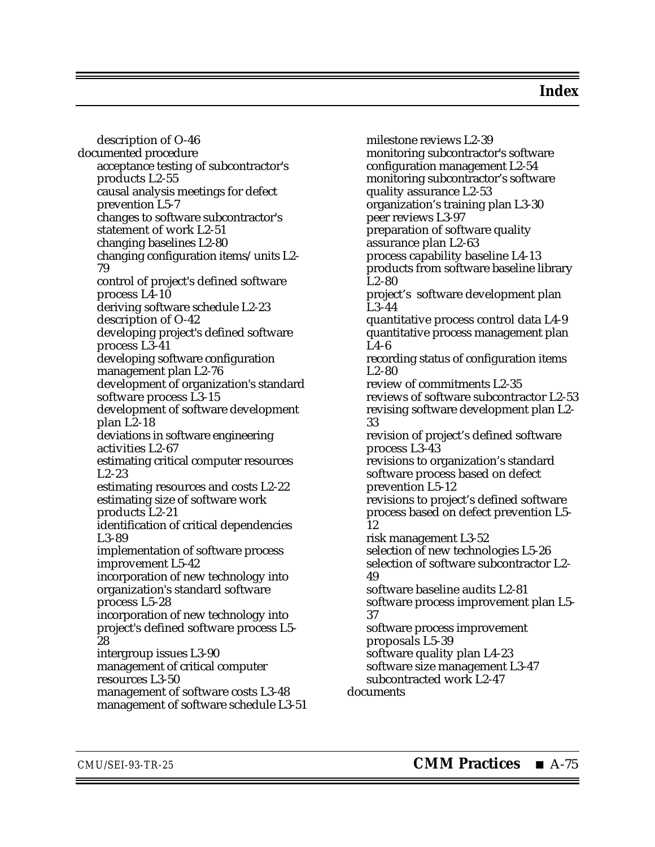description of O-46 milestone reviews L2-39 documented procedure monitoring subcontractor's software acceptance testing of subcontractor's configuration management L2-54 products L2-55 monitoring subcontractor's software causal analysis meetings for defect quality assurance L2-53 prevention L5-7 organization's training plan L3-30 changes to software subcontractor's statement of work L2-51 changing baselines L2-80 assurance plan L2-63 changing configuration items/units L2- 79 control of project's defined software L2-80 process L4-10 **profect's** software development plan deriving software schedule L2-23 L3-44<br>description of O-42 quant developing project's defined software process L3-41 developing software configuration management plan L2-76 development of organization's standard software process L3-15 development of software development plan L2-18 deviations in software engineering activities L2-67 estimating critical computer resources L2-23 estimating resources and costs L2-22 prevention L5-12 estimating size of software work products L2-21 identification of critical dependencies 12 L3-89 risk management L3-52 implementation of software process improvement L5-42 incorporation of new technology into 49 organization's standard software process L5-28 incorporation of new technology into 37 project's defined software process L5- 28 intergroup issues L3-90 software quality plan L4-23 management of critical computer resources L3-50 management of software costs L3-48 documents management of software schedule L3-51

peer reviews L3-97 preparation of software quality process capability baseline L4-13 products from software baseline library quantitative process control data L4-9 quantitative process management plan L4-6 recording status of configuration items L2-80 review of commitments L2-35 reviews of software subcontractor L2-53 revising software development plan L2- 33 revision of project's defined software process L3-43 revisions to organization's standard software process based on defect revisions to project's defined software process based on defect prevention L5 selection of new technologies L5-26 selection of software subcontractor L2 software baseline audits L2-81 software process improvement plan L5 software process improvement proposals L5-39 software size management L3-47 subcontracted work L2-47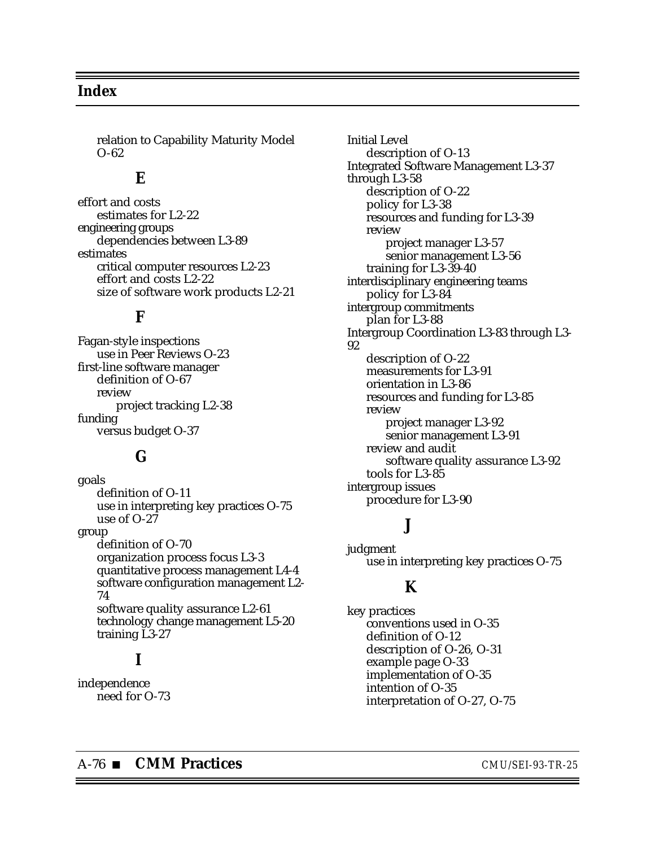relation to Capability Maturity Model O-62

#### **E**

effort and costs<br>estimates for L2-22<br>estimates for L2-22<br>escurres and fu engineering groups review dependencies between L3-89 project manager L3-57<br>estimates critical computer resources L2-23 training for L3-39-40<br>effort and costs L2-22 interdisciplinary engineer size of software work products  $L2-21$  policy for  $\dot{L}3-8\dot{4}$ 

#### **F**

Fagan-style inspections and the same style in Peer Reviews O-23 use in Peer Reviews O-23 description of O-22<br>first-line software manager definition of O-67 description in L3-86

#### **G**

tools for L3-85 goals intergroup issues definition of O-11 procedure for L3-90 use in interpreting key practices O-75 use of O-27 group definition of O-70 judgment<br>organization process focus L3-3 use in interpreting key practices O-75 quantitative process management L4-4 software configuration management L2- **<sup>K</sup>** <sup>74</sup> software quality assurance  $L2-61$  key practices technology change management L5-20 conventions used in O-35<br>training L3-27 definition of O-12

## **I**

Initial Level description of O-13 Integrated Software Management L3-37 through L3-58 description of O-22 resources and funding for L3-39 senior management L3-56 interdisciplinary engineering teams intergroup commitments plan for L3-88 Intergroup Coordination L3-83 through L3 review resources and funding for L3-85<br>project tracking L2-38 review resources and funding for L3-85<br>project manager L3-92<br>senior management L3-91 review and audit software quality assurance L3-92

#### **J**

definition of  $O-12$ description of O-26, O-31 example page O-33 implementation of O-35<br>intention of O-35 intention of O-35<br>interpretation of O-27, O-75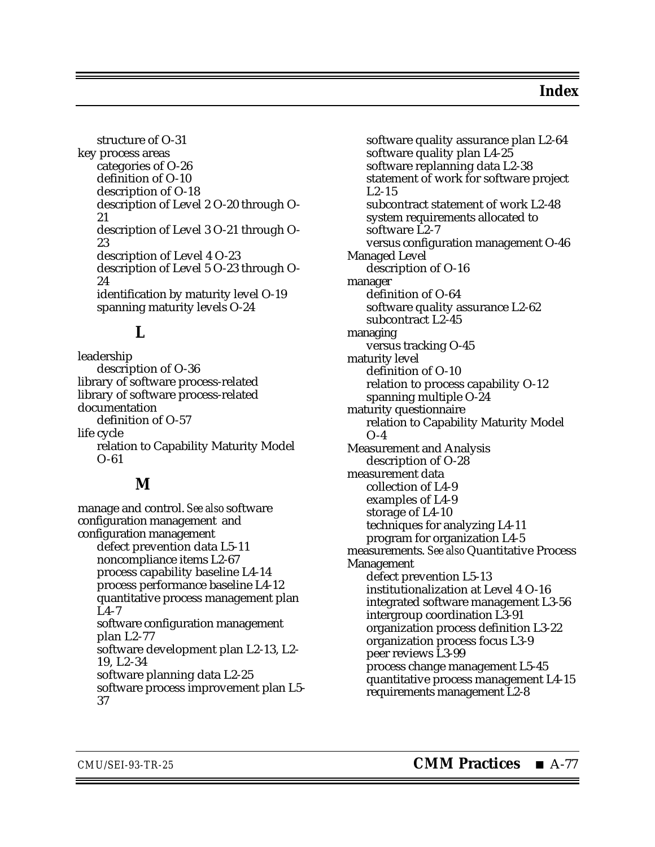key process areas software quality plan L4-25 categories of  $O-26$  software replanning data L2-38 description of O-18 L2-15 description of Level 2 O-20 through O-21 description of Level 3 O-21 through O-<br>software L2-7 description of Level 4 O-23 Managed Level description of Level 5 O-23 through O-24 identification by maturity level O-19 definition of O-64

### **L**

leadership maturity level description of O-36 definition of O-10<br>library of software process-related relation to process library of software process-related documentation life cycle O-4 relation to Capability Maturity Model O-61

#### **M**

examples of L4-9 manage and control. *See also* software configuration management and configuration management moncompliance items L2-67<br>process capability baseline L4-14 Management process capability baseline L4-14 defect prevention L5-13<br>process performance baseline L4-12 institutionalization at Level 4 O-16<br>quantitative process management plan<br>integrated software management I L4-7 L<sup>4-7</sup><br>software configuration management<br>organization process definition sortware configuration management<br>plan L2-77 organization process definition L3-22<br>organization process focus L3-9 software development plan L2-13, L2-19, L2-34 37

structure of O-31 software quality assurance plan L2-64 definition of O-10 statement of work for software project subcontract statement of work L2-48 system requirements allocated to 23 versus configuration management O-46 description of O-16 manager spanning maturity levels O-24 software quality assurance L2-62 subcontract L2-45 managing versus tracking O-45 relation to process capability O-12 spanning multiple O-24 maturity questionnaire definition of O-57 relation to Capability Maturity Model Measurement and Analysis description of O-28 measurement data collection of L4-9 storage of L4-10 techniques for analyzing L4-11 program for organization L4-5 defect prevention data L5-11 measurements. *See also* Quantitative Process integrated software management L3-56 peer reviews L3-99 process change management L5-45 software planning data L2-25 quantitative process management L4-15 software process improvement plan L5 requirements management L2-8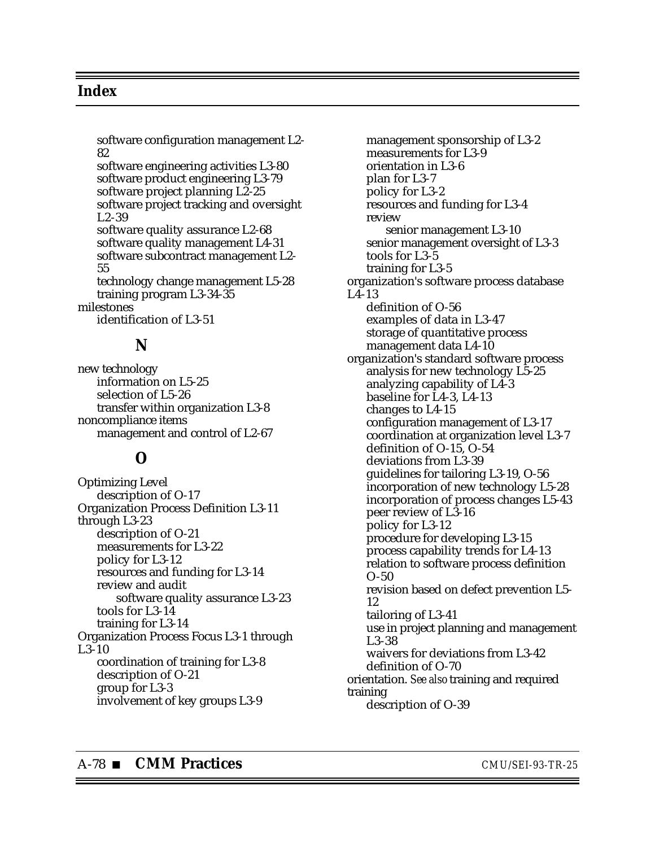software configuration management L2- 82 software engineering activities L3-80 orientation in L3-6 software product engineering L3-79 plan for L3-7 software project planning L2-25 policy for L3-2 software project tracking and oversight L2-39 software quality assurance L2-68 senior management L3-10 software quality management L4-31 senior management oversight of L3-3 software subcontract management L2- 55 technology change management L5-28 organization's software process database training program L3-34-35 L4-13 milestones definition of O-56 identification of L3-51 examples of data in L3-47

#### **N**

information on L5-25 analyzing capability of L4-3<br>selection of L5-26 analyzing capability of L4-3 transfer within organization L3-8 changes to L4-15<br>noncompliance items configuration ma

## **O**

Organization Process Definition L3-11 peer review of L<br>through L3-23 policy for L3-12 software quality assurance L3-23<br>tools for L3-14 tai tailoring of L3-41<br>training for L3-14 training for L3-14<br>Organization Process Focus L3-1 through L3-38<br>L3-10 waivers for deviations from L3-42 group for L3-3 training the training involvement of key groups L3-9 description of O-39

management sponsorship of L3-2 measurements for L3-9 resources and funding for L3-4 review tools for L3-5 training for L3-5 storage of quantitative process management data L4-10 organization's standard software process new technology<br>information on L5-25<br>analysis for new technology L5-25<br>analyzing canability of I 4-3 baseline for L4-3, L4-13 icompliance items<br>management and control of L2-67 coordination at organization level L coordination at organization level L3-7 definition of O-15, O-54 deviations from L3-39 Optimizing Level guidelines for tailoring L3-19, O-56<br>description of O-17 incorporation of new technology L5-28<br>Organization Process Definition L3-11 peer review of L3-16<br>peer review of L3-16 policy for L3-12<br>description of O-21 procedure for developing L3-15<br>measurements for L3-22 process capability trends for L4-13<br>policy for L3-12 relation to software process definition policy for E3-12<br>resources and funding for L3-14<br>review and audit<br>review and audit revision based on defect prevention L5coordination of training for L3-8 definition of O-70<br>description of O-21 orientation. *See also* training and required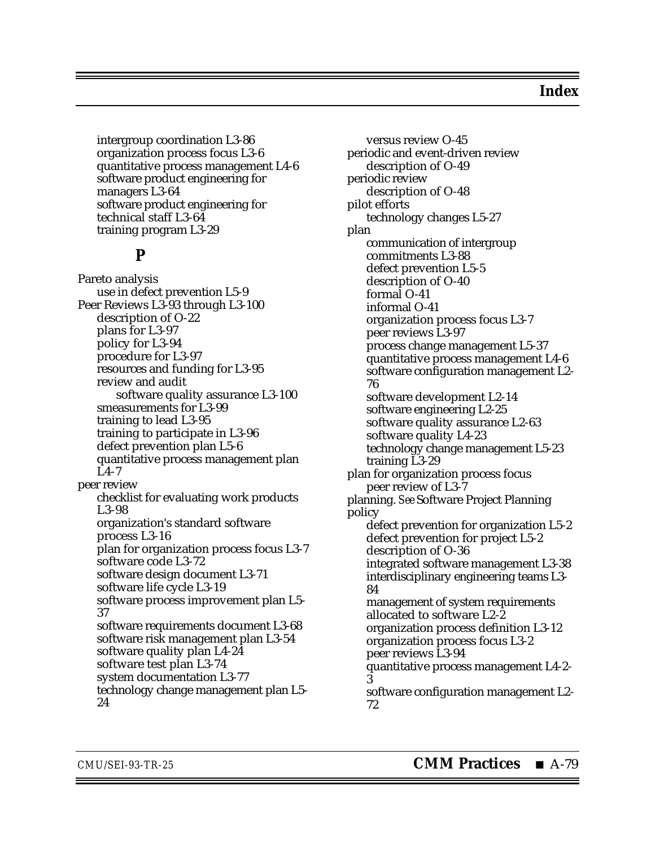intergroup coordination L3-86 versus review O-45 organization process focus L3-6 periodic and event-driven review quantitative process management L4-6 description of O-49 software product engineering for managers L3-64 software product engineering for technical staff L3-64 training program L3-29 plan

### **P**

Pareto analysis description of O-40 use in defect prevention L5-9 formal O-41 Peer Reviews L3-93 through L3-100 informal O-41<br>description of O-22 organization r description of O-22 organization process focus L3-7<br>plans for L3-97 organization process focus L3-7 plans for L3-97 peer reviews L3-97 peer reviews L3-97 peer reviews L3-97 policy for L3-94 process change management L5-37<br>procedure for L3-97 process change management I review and audit 76 software quality assurance L3-100 software development L2-14<br>smeasurements for L3-99 software engineering L2-25 smeasurements for L3-99 software engineering L2-25<br>training to lead L3-95 software quality assurance training to participate in L3-96 software quality L4-23<br>defect prevention plan L5-6 technology change man quantitative process management plan L4-7 peer review peer review of L3-7 checklist for evaluating work products L3-98 organization's standard software process L3-16 plan for organization process focus L3-7 description of O-36 software life cycle L3-19 84 software process improvement plan L5- 37 software risk management plan L3-54 organization process focus L3-2 software quality plan L4-24 peer reviews L3-94<br>software test plan L3-74 quantitative proces system documentation  $L3-77$   $\overline{3}$ technology change management plan L5- 24

periodic review description of O-48 pilot efforts technology changes L5-27 communication of intergroup commitments L3-88 defect prevention L5-5 procedure for L3-97 procedure for L3-97<br>1.1-6 resources and funding for L3-95 process management L3 software configuration management L2software quality assurance L2-63 technology change management L5-23 training L3-29 plan for organization process focus planning. *See* Software Project Planning policy defect prevention for organization L5-2 defect prevention for project L5-2 software code L3-72<br>software design document L3-71 integrated software management L3-38<br>interdisciplinary engineering teams L3interdisciplinary engineering teams L3management of system requirements allocated to software L2-2 software requirements document L3-68 organization process definition L3-12 quantitative process management L4-2software configuration management L2- 72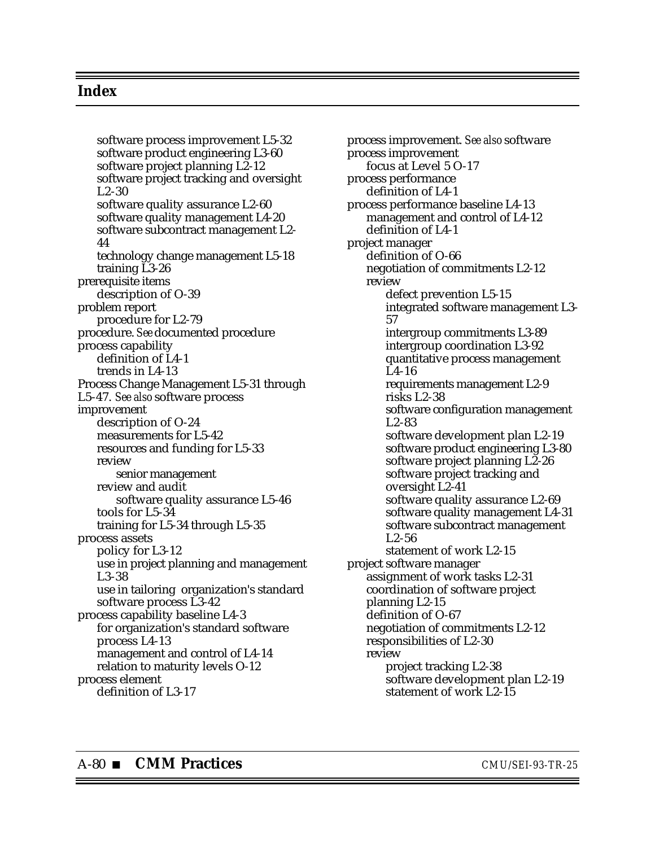software process improvement L5-32 process improvement. *See also* software software product engineering L3-60 process improvement software project planning L2-12 focus at Level 5 O-17 software project tracking and oversight L2-30 software quality assurance L2-60 process performance baseline L4-13 software quality management L4-20 management and control of L4-12 software subcontract management L2- 44 technology change management L5-18 definition of O-66 training L3-26 negotiation of commitments L2-12 prerequisite items review description of O-39 defect prevention L5-15 problem report integrated software management L3 procedure for L2-79 57 procedure. *See* documented procedure intergroup commitments L3-89 process capability intergroup coordination L3-92 definition of L4-1 definition of L4-1 trends in  $L4-13$   $\overline{L}4-16$ Process Change Management L5-31 through L5-47. *See also* software process improvement description of O-24 L2-83 review software project planning L2-26 senior management software project tracking and review and audit and according the coversight L2-41 process assets L2-56 policy for L3-12 statement of work L2-15 use in project planning and management L3-38 use in tailoring organization's standard software process L3-42 process capability baseline L4-3 definition of O-67 for organization's standard software process L4-13 management and control of L4-14 review relation to maturity levels O-12 project tracking L2-38 process element<br>definition of L3-17<br>definition of L3-17<br>definition of L3-17

process performance definition of L4-1 definition of L4-1 project manager requirements management L2-9 risks L2-38 software configuration management measurements for L5-42 software development plan L2-19 resources and funding for L5-33 software product engineering L3-80 software quality assurance L5-46 software quality assurance L2-69 tools for L5-34 software quality management L4-31 training for L5-34 through L5-35 software subcontract management project software manager assignment of work tasks L2-31 coordination of software project planning L2-15 negotiation of commitments L2-12 responsibilities of L2-30 statement of work L2-15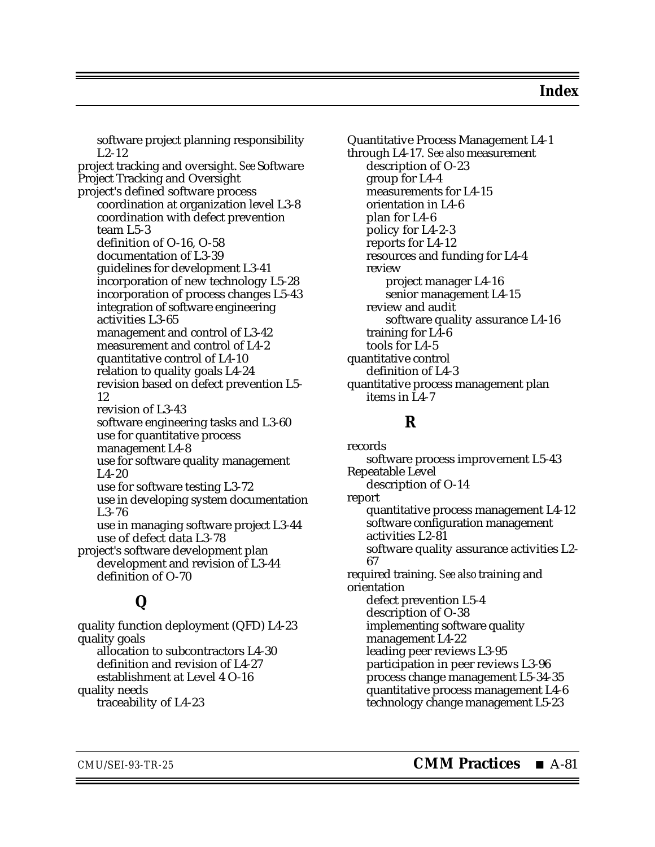software project planning responsibility L2-12 project tracking and oversight. *See* Software Project Tracking and Oversight project's defined software process measurements for L4-15 coordination at organization level L3-8 orientation in L4-6 coordination with defect prevention team L5-3 definition of O-16, O-58 reports for L4-12 documentation of L3-39 resources and funding for L4-4 guidelines for development L3-41 review incorporation of new technology L5-28 project manager L4-16 incorporation of process changes L5-43 senior management L4-15 integration of software engineering activities L3-65 management and control of L3-42 training for L4-6 measurement and control of L4-2 tools for L4-5<br>quantitative control of L4-10 quantitative control quantitative control of L4-10 quantitative control relation to quality goals L4-24 definition of L4-3 revision based on defect prevention L5- 12 revision of L3-43 software engineering tasks and L3-60 **R** use for quantitative process management L4-8<br>
use for software quality management<br>
records<br>
software process improvement L5-43 use for software quality management L4-20 Repeatable Level<br>use for software testing L3-72 description of O-14 use for software testing L3-72 despite the original original of the original of O-144 desired the O-144 desire<br>Terms of O-144 developing system documentation and D-144 report use in developing system documentation use in managing software project L3-44 use of defect data L3-78 project's software development plan development and revision of L3-44 definition of O-70

quality function deployment (QFD) L4-23 implementing software quality quality goals<br>allocation to subcontractors L4-30 heading peer reviews L3-95 allocation to subcontractors L4-30<br>definition and revision of L4-27

Quantitative Process Management L4-1 through L4-17. *See also* measurement description of O-23 group for L4-4 plan for L4-6 policy for L4-2-3 review and audit software quality assurance L4-16 quantitative process management plan items in L4-7

L3-76 **L3-76** COLORGIAL CONSERVANCE PROCESS MANAGEMENT L4-12 software configuration management activities L2-81 software quality assurance activities L2- 67 required training. *See also* training and orientation **Q** defect prevention L5-4 description of O-38 participation in peer reviews L3-96 establishment at Level 4 O-16 process change management L5-34-35 quality needs quantitative process management L4-6 traceability of L4-23 technology change management L5-23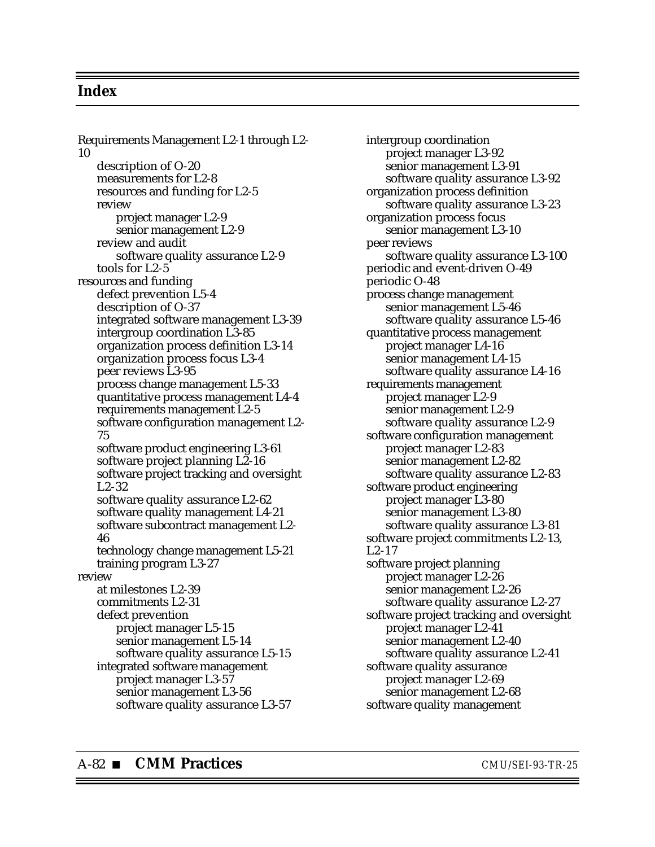Requirements Management L2-1 through L2- 10 description of O-20 senior management L3-91 measurements for L2-8 software quality assurance L3-92 resources and funding for L2-5 organization process definition review software quality assurance L3-23 project manager L2-9 organization process focus senior management L2-9 senior management L3-10 review and audit peer reviews tools for L2-5 periodic and event-driven O-49 resources and funding periodic O-48 defect prevention L5-4 process change management description of O-37 senior management L5-46 integrated software management L3-39 software quality assurance L5-46 intergroup coordination L3-85 quantitative process management organization process definition L3-14 project manager L4-16 organization process focus L3-4 senior management L4-15 peer reviews L3-95 software quality assurance L4-16 process change management L5-33 requirements management quantitative process management L4-4 project manager L2-9 requirements management L2-5 senior management L2-9 software configuration management L2- 75 software product engineering L3-61 project manager L2-83 software project planning L2-16 senior management L2-82 software project tracking and oversight L2-32 software quality assurance L2-62 project manager L3-80 software quality management L4-21 senior management L3-80 software subcontract management L2- 46 technology change management L5-21 L2-17 training program L3-27 software project planning review project manager L2-26 at milestones L2-39 senior management L2-26<br>commitments L2-31 software quality assurance defect prevention software project tracking and oversight project manager L5-15 project manager L2-41 senior management L5-14 senior management L2-40 integrated software management software quality assurance project manager L3-57 project manager L2-69 senior management L3-56 senior management L2-68 software quality assurance L3-57 software quality management

intergroup coordination project manager L3-92 software quality assurance L2-9 software quality assurance L3-100 software quality assurance L2-9 software configuration management software quality assurance L2-83 software product engineering software quality assurance L3-81 software project commitments L2-13, software quality assurance L2-27 software quality assurance L5-15 software quality assurance L2-41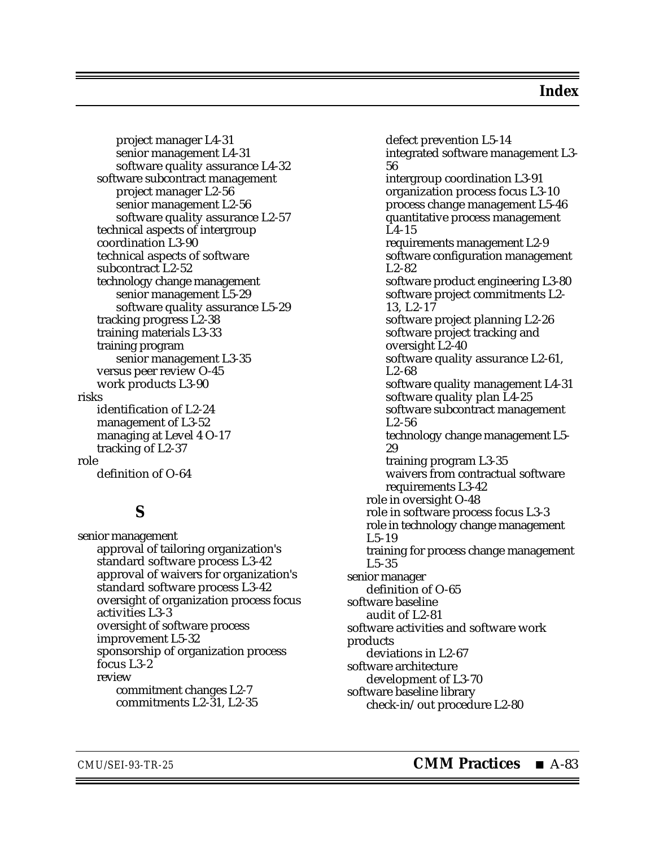project manager L4-31 defect prevention L5-14 software quality assurance L4-32 56 software subcontract management intergroup coordination L3-91 technical aspects of intergroup L4-15 coordination L3-90 requirements management L2-9 technical aspects of software subcontract L2-52 software quality assurance L5-29 13, L2-17 tracking progress L2-38 software project planning L2-26 training materials L3-33 software project tracking and training program oversight L2-40 versus peer review O-45 L2-68 risks software quality plan L4-25 management of L3-52 L2-56 tracking of L2-37 29 role training program L3-35

# **S**

senior management L5-19 approval of tailoring organization's standard software process L3-42 approval of waivers for organization's standard software process L3-42 oversight of organization process focus activities L3-3 oversight of software process improvement L5-32 sponsorship of organization process focus L3-2 review development of L3-70 commitment changes L2-7 software baseline library<br>commitments L2-31, L2-35 check-in/out procedure

senior management L4-31 integrated software management L3project manager L2-56 organization process focus L3-10 senior management L2-56 process change management L5-46 software quality assurance L2-57 quantitative process management software configuration management L2-82 technology change management software product engineering L3-80 senior management L5-29 software project commitments L2senior management L3-35 software quality assurance L2-61, work products L3-90 software quality management L4-31 identification of L2-24 software subcontract management managing at Level 4 O-17 technology change management L5definition of O-64 waivers from contractual software requirements L3-42 role in oversight O-48 role in software process focus L3-3 role in technology change management training for process change management L5-35 senior manager definition of O-65 software baseline audit of L2-81 software activities and software work products deviations in L2-67 software architecture check-in/out procedure L2-80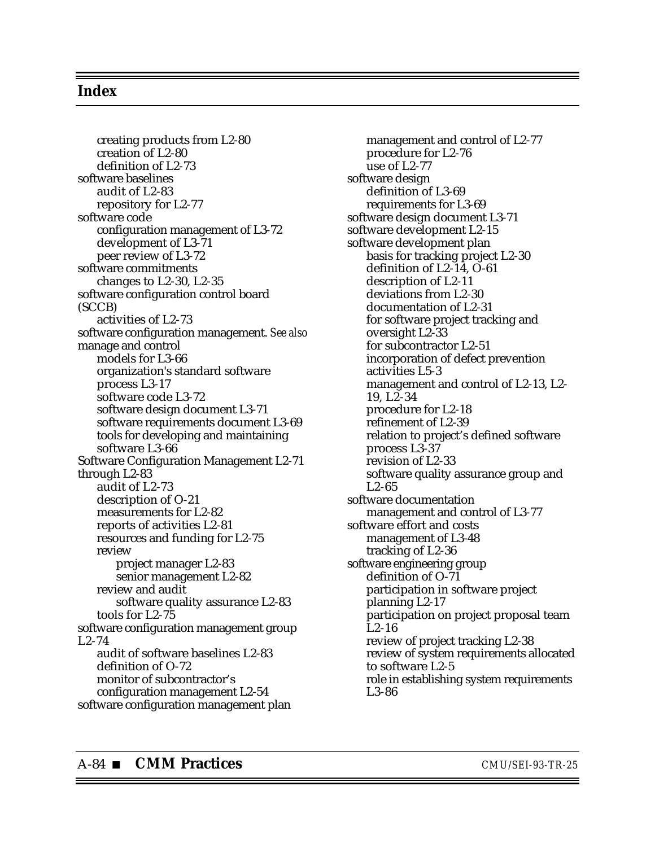creation of L2-80 procedure for L2-76 definition of L2-73 use of L2-77 software baselines software design audit of L2-83 definition of L3-69 repository for L2-77 requirements for L3-69<br>software code software design document configuration management of L3-72 software development L2-15<br>development of L3-71 software development plan peer review of L3-72 basis for tracking project L2-30 software commitments definition of L2-14, O-61 changes to L2-30, L2-35 description of L2-11 software configuration control board (SCCB) activities of L2-73 for software project tracking and software configuration management. *See also* oversight L2-33<br>manage and control oversight to subcontracte models for L3-66 incorporation of defect prevention organization's standard software activities L5-3 software code L3-72 19, L2-34 software design document L3-71 procedure for L2-18 software requirements document L3-69 refinement of L2-39 tools for developing and maintaining software L3-66 Software Configuration Management L2-71 through L2-83 audit of L2-73 L2-65 description of O-21 software documentation measurements for L2-82 management and control of L3-77 reports of activities L2-81 software effort and costs resources and funding for L2-75 management of L3-48 review tracking of L2-36 project manager L2-83 software engineering group senior management L2-82 definition of O-71 review and audit participation in software project software quality assurance L2-83 planning L2-17 software configuration management group L2-16 L2-74 review of project tracking L2-38<br>audit of software baselines L2-83 review of system requirements a definition of O-72 to software L2-5 monitor of subcontractor's configuration management L2-54 software configuration management plan

creating products from L2-80 management and control of L2-77 software design document L3-71 software development plan deviations from L2-30 documentation of L2-31 for subcontractor L2-51 process L3-17 management and control of L2-13, L2 relation to project's defined software process L3-37 revision of L2-33 software quality assurance group and tools for L2-75 participation on project proposal team review of system requirements allocated role in establishing system requirements L3-86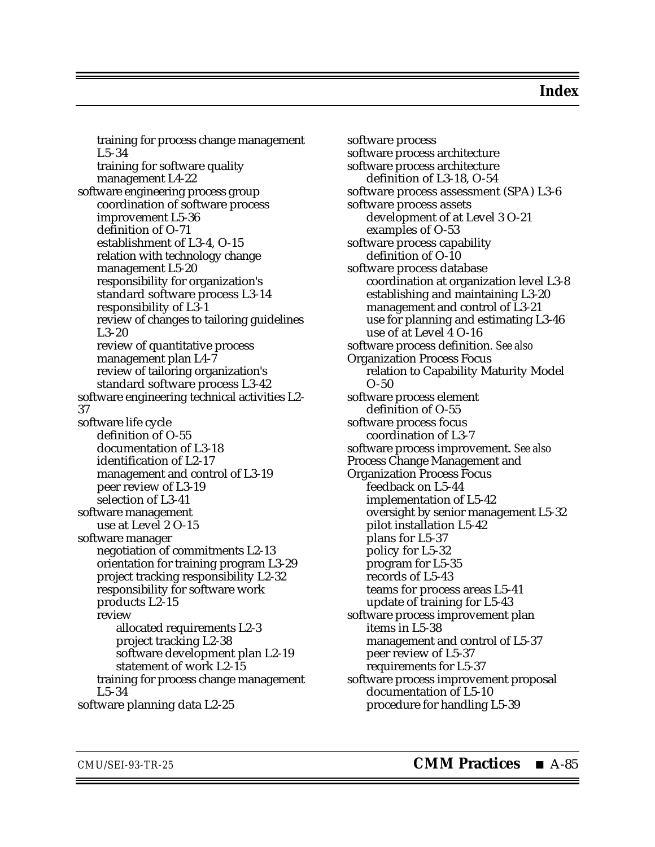training for process change management L5-34 training for software quality management L4-22 software engineering process group software process assessment (SPA) L3-6 coordination of software process improvement L5-36 definition of O-71 examples of O-53 establishment of L3-4, O-15 software process capability relation with technology change management L5-20 responsibility for organization's standard software process L3-14 responsibility of L3-1 management and control of L3-21 review of changes to tailoring guidelines L3-20 review of quantitative process management plan L4-7 review of tailoring organization's standard software process L3-42 software engineering technical activities L2- 37 software life cycle software process focus definition of O-55 coordination of L3-7<br>documentation of L3-18 coordination of L3-18 identification of L2-17 management and control of L3-19 peer review of L3-19 feedback on L5-44 selection of L3-41 implementation of L5-42 software management **oversight** by senior management L5-32 use at Level 2 O-15 pilot installation L5-42 software manager plans for L5-37 negotiation of commitments L2-13 policy for L5-32 orientation for training program L3-29 program for L5-35 project tracking responsibility L2-32 records of L5-43 responsibility for software work products L2-15 review software process improvement plan allocated requirements L2-3 items in L5-38 software development plan L2-19 peer review of L5-37 statement of work L2-15 requirements for L5-37 training for process change management L5-34 software planning data L2-25 procedure for handling L5-39

software process software process architecture software process architecture definition of L3-18, O-54 software process assets development of at Level 3 O-21 definition of O-10 software process database coordination at organization level L3-8 establishing and maintaining L3-20 use for planning and estimating L3-46 use of at Level 4 O-16 software process definition. *See also* Organization Process Focus relation to Capability Maturity Model O-50 software process element definition of O-55 software process improvement. See also Process Change Management and Organization Process Focus teams for process areas L5-41 update of training for L5-43 project tracking L2-38 management and control of L5-37 software process improvement proposal documentation of L5-10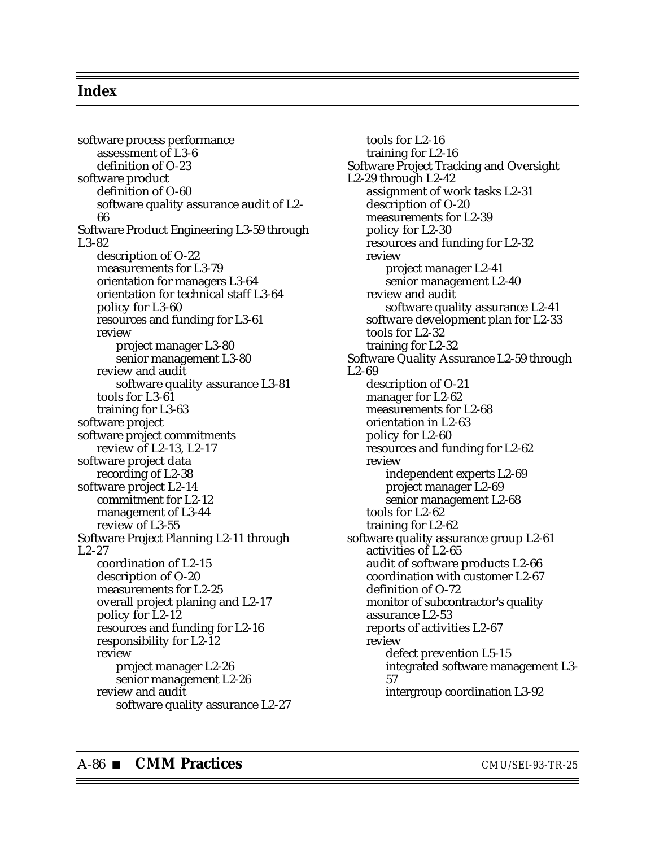software process performance tools for L2-16 assessment of L3-6 training for L2-16 definition of O-23 Software Project Tracking and Oversight software product L2-29 through L2-42 definition of O-60 **assignment** of work tasks L2-31 software quality assurance audit of L2- 66 Software Product Engineering L3-59 through L3-82 description of O-22 review measurements for L3-79 project manager L2-41 orientation for managers L3-64 senior management L2-40 orientation for technical staff L3-64 review and audit policy for L3-60 software quality assurance L2-41 review tools for L2-32 project manager L3-80 training for L2-32 review and audit L2-69 software quality assurance L3-81 description of O-21 tools for L3-61 manager for L2-62 training for L3-63 measurements for L2-68 software project orientation in L2-63 software project commitments policy for L2-60 review of L2-13, L2-17 resources and funding for L2-62 software project data review recording of L2-38 independent experts L2-69 software project L2-14 project manager L2-69 commitment for L2-12 senior management L2-68 management of L3-44 tools for L2-62 review of L3-55 training for L2-62 Software Project Planning L2-11 through L2-27 coordination of L2-15 audit of software products L2-66 description of O-20 coordination with customer L2-67 measurements for L2-25 definition of O-72 overall project planing and L2-17 monitor of subcontractor's quality policy for L2-12 assurance L2-53 resources and funding for L2-16 reports of activities L2-67 responsibility for L2-12 review review defect prevention L5-15 senior management L2-26 57 review and audit intergroup coordination L3-92 software quality assurance L2-27

description of O-20 measurements for L2-39 policy for L2-30 resources and funding for L2-32 resources and funding for L3-61 software development plan for L2-33 senior management L3-80 Software Quality Assurance L2-59 through software quality assurance group L2-61 activities of L2-65 project manager L2-26 integrated software management L3-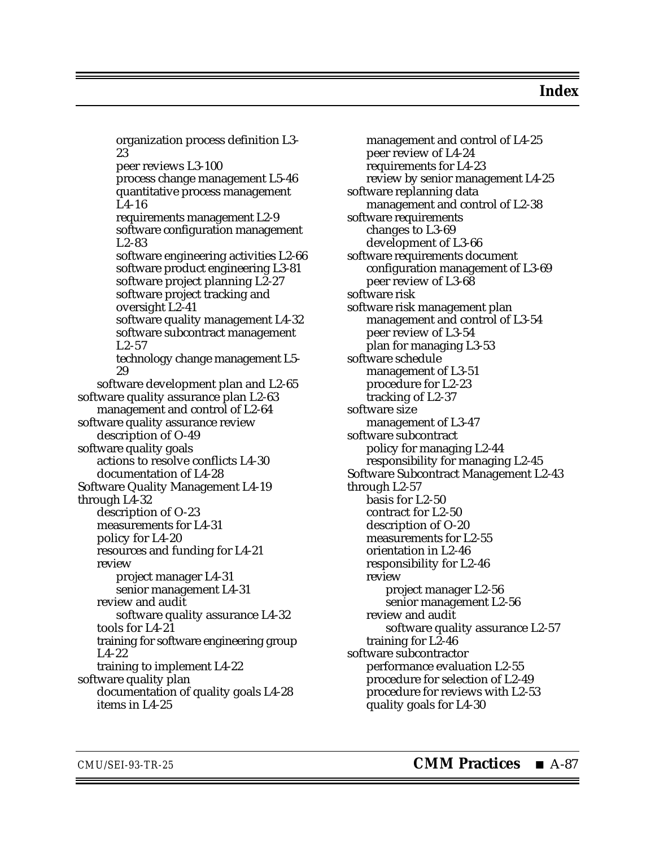organization process definition L3- 23 peer reviews L3-100 requirements for L4-23 quantitative process management L4-16 requirements management L2-9 software requirements software configuration management L2-83 software engineering activities L2-66 software requirements document software project planning L2-27 peer review of L3-68 software project tracking and oversight L2-41 software subcontract management L2-57 technology change management L5- 29 software development plan and L2-65 procedure for L2-23 software quality assurance plan L2-63 tracking of L2-37 management and control of L2-64 software size software quality assurance review management of L3-47 description of O-49 software subcontract software quality goals **policy** for managing L2-44 actions to resolve conflicts L4-30 responsibility for managing L2-45 Software Quality Management L4-19 through L2-57 through L4-32 basis for L2-50 description of O-23 contract for L2-50 measurements for L4-31 description of O-20 policy for L4-20 measurements for L2-55 resources and funding for L4-21 orientation in L2-46 review review responsibility for L2-46 project manager L4-31 review senior management L4-31 project manager L2-56 review and audit senior management L2-56 software quality assurance L4-32 review and audit tools for L4-21 software quality assurance L2-57 training for software engineering group L4-22 training to implement L4-22 performance evaluation L2-55 software quality plan procedure for selection of L2-49 documentation of quality goals L4-28 procedure for reviews with L2-53 items in L4-25 quality goals for L4-30

management and control of L4-25 peer review of L4-24 process change management L5-46 review by senior management L4-25 software replanning data management and control of L2-38 changes to L3-69 development of L3-66 software product engineering L3-81 configuration management of L3-69 software risk software risk management plan software quality management L4-32 management and control of L3-54 peer review of L3-54 plan for managing L3-53 software schedule management of L3-51 documentation of L4-28 Software Subcontract Management L2-43 training for L2-46 software subcontractor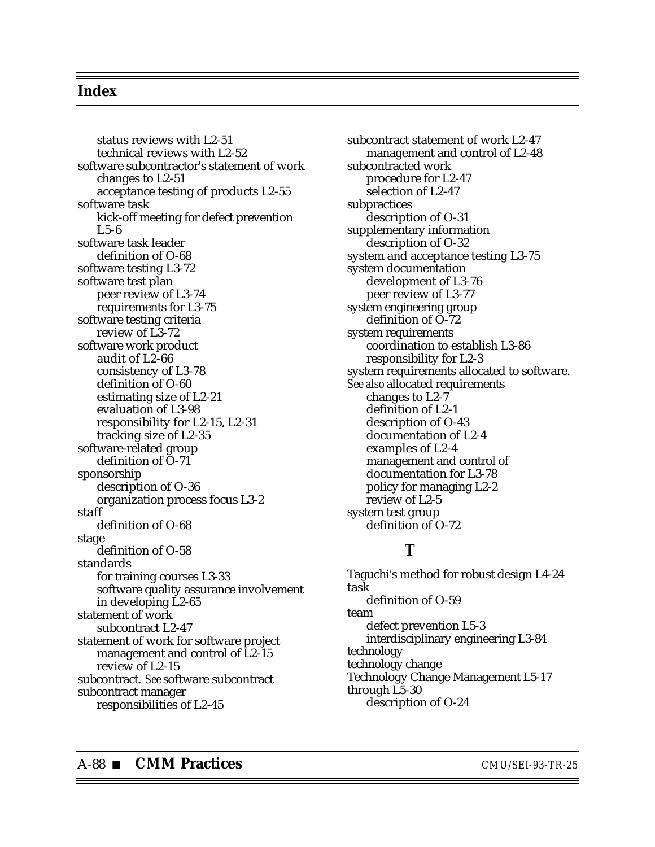status reviews with L2-51 subcontract statement of work L2-47 technical reviews with L2-52 management and control of L2-48 software subcontractor's statement of work subcontracted work changes to L2-51 procedure for L2-47 acceptance testing of products L2-55 selection of L2-47 software task subpractices kick-off meeting for defect prevention L5-6 software task leader description of O-32 definition of O-68 system and acceptance testing L3-75 software testing L3-72 system documentation software test plan development of L3-76 peer review of L3-74 peer review of L3-77 requirements for L3-75 system engineering group software testing criteria and the definition of O-72 review of L3-72 system requirements software work product and the coordination to establish L3-86 audit of L2-66 responsibility for L2-3 definition of O-60 *See also* allocated requirements estimating size of L2-21 changes to L2-7 evaluation of L3-98 definition of L2-1 responsibility for L2-15, L2-31 description of O-43 tracking size of L2-35 documentation of L2-4 software-related group examples of L2-4 definition of O-71 management and control of sponsorship documentation for L3-78 description of O-36 policy for managing L2-2 organization process focus L3-2 review of L2-5 staff staff system test group definition of O-68 definition of O-72 stage definition of O-58 **T** standards software quality assurance involvement task<br>in developing L2-65 in developing L2-65 definition of  $\mu$ o-separation of O-599 definition of O-599 definition of O-599 definition o statement of work subcontract L2-47<br>
ement of work for software project<br>  $\frac{13-84}{2}$ statement of work for software project interdis<br>management and control of L2-15 technology management and control of L2-15 review of L2-15 technology change subcontract. *See* software subcontract subcontract manager responsibilities of L2-45

description of O-31 supplementary information consistency of L3-78 system requirements allocated to software.

for training courses L3-33 Taguchi's method for robust design L4-24 Technology Change Management L5-17 through L5-30<br>description of O-24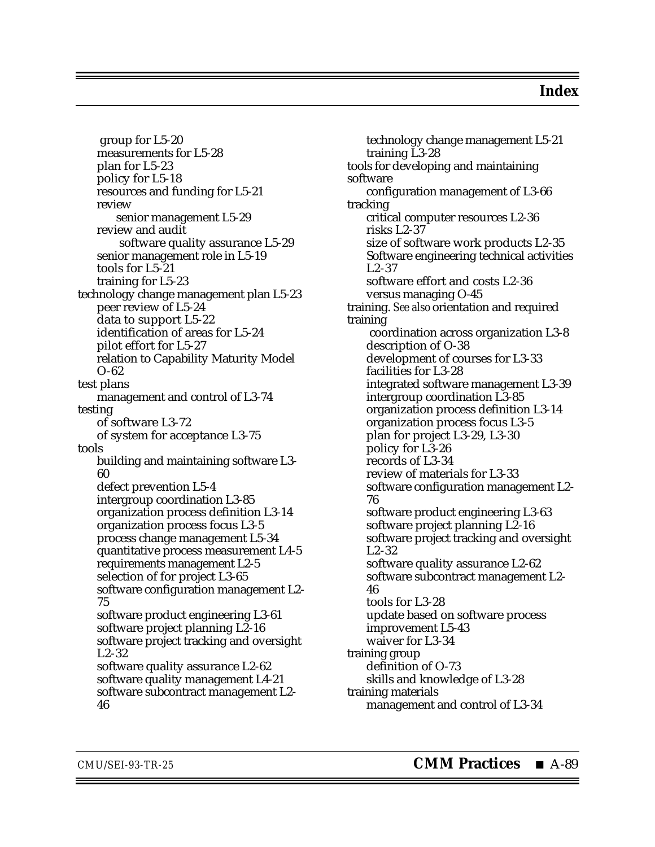group for L5-20 technology change management L5-21 measurements for L5-28 training L3-28 plan for L5-23 tools for developing and maintaining policy for L5-18 software resources and funding for L5-21 configuration management of L3-66 review tracking tracking senior management L5-29 critical computer resources L2-36 critical computer resources L2-36 review and audit tools for L5-21 L2-37 training for L5-23 software effort and costs L2-36 technology change management plan L5-23 versus managing O-45 peer review of L5-24 training. *See also* orientation and required data to support L5-22 training pilot effort for L5-27 description of O-38 relation to Capability Maturity Model O-62 test plans integrated software management L3-39 management and control of L3-74 intergroup coordination L3-85 testing testing testing testing the contract of the contract of the contract of the contract of the contract of the contract of the contract of the contract of the contract of the contract of the contract of the contract o of software L3-72 organization process focus L3-5 of system for acceptance L3-75 plan for project L3-29, L3-30 tools policy for L3-26 building and maintaining software L3- 60 intergroup coordination L3-85 76 organization process definition L3-14 software product engineering L3-63 organization process focus L3-5 software project planning L2-16 quantitative process measurement L4-5 L2-32 requirements management L2-5 software quality assurance L2-62 software configuration management L2- 46 75 tools for L3-28 software product engineering L3-61 update based on software process software project planning L2-16 improvement L5-43 software project tracking and oversight L2-32 software quality assurance L2-62 definition of O-73 software quality management L4-21 skills and knowledge of L3-28 software subcontract management L2- 46

 software quality assurance L5-29 size of software work products L2-35 senior management role in L5-19 Software engineering technical activities identification of areas for L5-24 coordination across organization L3-8 development of courses for L3-33 facilities for L3-28 records of L3-34 review of materials for L3-33 defect prevention L5-4 software configuration management L2process change management L5-34 software project tracking and oversight selection of for project L3-65 software subcontract management L2waiver for L3-34 training group training materials management and control of L3-34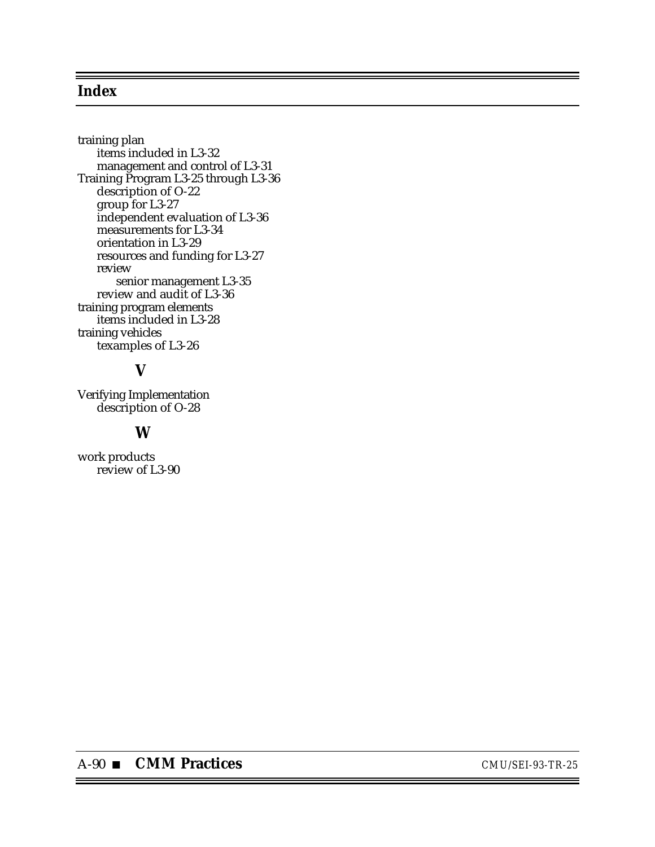training plan items included in L3-32 management and control of L3-31 Training Program L3-25 through L3-36 description of O-22 group for L3-27 independent evaluation of L3-36 measurements for L3-34 orientation in L3-29 resources and funding for L3-27 review senior management L3-35 review and audit of L3-36 training program elements items included in L3-28 training vehicles texamples of L3-26

# **V**

Verifying Implementation description of O-28

# **W**

work products review of L3-90